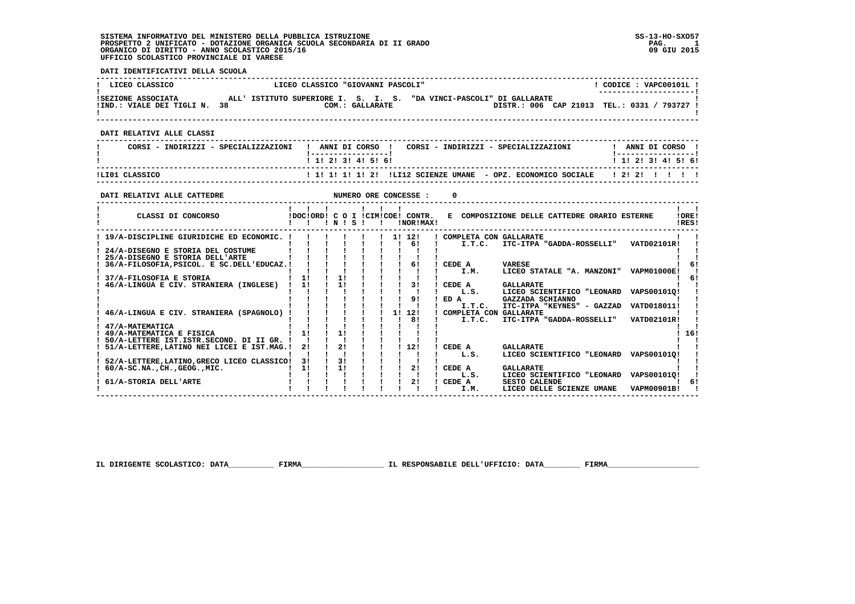#### **DATI IDENTIFICATIVI DELLA SCUOLA**

| LICEO CLASSICO                                  | LICEO CLASSICO "GIOVANNI PASCOLI"                                                                                           | CODICE: VAPC00101L!                                 |
|-------------------------------------------------|-----------------------------------------------------------------------------------------------------------------------------|-----------------------------------------------------|
| ISEZIONE ASSOCIATA<br>!IND.: VIALE DEI TIGLI N. | ISTITUTO SUPERIORE I. S. I. S. "DA VINCI-PASCOLI" DI GALLARATE<br>AT.T. '<br>DISTR.: 006 CAP 21013<br>38<br>COM.: GALLARATE | ---------------------- <br>TEL.: 0331 /<br>793727 ! |

 **------------------------------------------------------------------------------------------------------------------------------------**

#### **DATI RELATIVI ALLE CLASSI**

| CORSI - INDIRIZZI - SPECIALIZZAZIONI | ! ANNI DI CORSO !<br>CORSI - INDIRIZZI - SPECIALIZZAZIONI                       | ANNI DI CORSO             |
|--------------------------------------|---------------------------------------------------------------------------------|---------------------------|
|                                      | 1 1 2 3 3 4 5 6 1                                                               | 1 1 1 2 1 3 1 4 1 5 1 6 1 |
| ILIO1 CLASSICO                       | ! 1! 1! 1! 1! 2! !LI12 SCIENZE UMANE - OPZ. ECONOMICO SOCIALE   2! 2! ! ! ! ! ! |                           |

#### **DATI RELATIVI ALLE CATTEDRE NUMERO ORE CONCESSE : 0**

| CLASSI DI CONCORSO                          |    | IDOCIORDI CO | N  | s |  |    | I !CIM!COE! CONTR.<br>!NOR!MAX! | к.   |        | COMPOSIZIONE DELLE CATTEDRE ORARIO ESTERNE |                    | !ORE!<br>!RES! |
|---------------------------------------------|----|--------------|----|---|--|----|---------------------------------|------|--------|--------------------------------------------|--------------------|----------------|
| 19/A-DISCIPLINE GIURIDICHE ED ECONOMIC.     |    |              |    |   |  |    | 11 121                          |      |        | COMPLETA CON GALLARATE                     |                    |                |
|                                             |    |              |    |   |  |    | 61                              |      | I.T.C. | ITC-ITPA "GADDA-ROSSELLI"                  | <b>VATD02101R!</b> |                |
| 24/A-DISEGNO E STORIA DEL COSTUME           |    |              |    |   |  |    |                                 |      |        |                                            |                    |                |
| 25/A-DISEGNO E STORIA DELL'ARTE             |    |              |    |   |  |    |                                 |      |        |                                            |                    |                |
| 36/A-FILOSOFIA, PSICOL. E SC. DELL'EDUCAZ.! |    |              |    |   |  |    | 61                              |      | CEDE A | <b>VARESE</b>                              |                    |                |
|                                             |    |              |    |   |  |    |                                 |      | I.M.   | LICEO STATALE "A. MANZONI"                 | <b>VAPM01000E!</b> |                |
| 37/A-FILOSOFIA E STORIA                     | 11 |              | 11 |   |  |    |                                 |      |        |                                            |                    |                |
| 46/A-LINGUA E CIV. STRANIERA (INGLESE)      | 11 |              | 11 |   |  |    | 31                              |      | CEDE A | <b>GALLARATE</b>                           |                    |                |
|                                             |    |              |    |   |  |    |                                 |      | L.S.   | LICEO SCIENTIFICO "LEONARD                 | VAPS001010!        |                |
|                                             |    |              |    |   |  |    | 91                              | ED A |        | GAZZADA SCHIANNO                           |                    |                |
|                                             |    |              |    |   |  |    |                                 |      | I.T.C. | ITC-ITPA "KEYNES" - GAZZAD                 | VATD018011!        |                |
| 46/A-LINGUA E CIV. STRANIERA (SPAGNOLO)     |    |              |    |   |  | 11 | 12!                             |      |        | COMPLETA CON GALLARATE                     |                    |                |
|                                             |    |              |    |   |  |    | 8!                              |      | I.T.C. | ITC-ITPA "GADDA-ROSSELLI"                  | VATD02101R!        |                |
| 47/A-MATEMATICA                             |    |              |    |   |  |    |                                 |      |        |                                            |                    |                |
| 49/A-MATEMATICA E FISICA                    | 1! |              | 11 |   |  |    |                                 |      |        |                                            |                    | 16!            |
| 50/A-LETTERE IST.ISTR.SECOND. DI II GR.     |    |              |    |   |  |    |                                 |      |        |                                            |                    |                |
| 51/A-LETTERE, LATINO NEI LICEI E IST.MAG.!  | 21 |              | 2! |   |  |    | 12!                             |      | CEDE A | <b>GALLARATE</b>                           |                    |                |
|                                             |    |              |    |   |  |    |                                 |      | L.S.   | LICEO SCIENTIFICO "LEONARD                 | VAPS001010!        |                |
| 52/A-LETTERE, LATINO, GRECO LICEO CLASSICO! | 31 |              | 31 |   |  |    |                                 |      |        |                                            |                    |                |
| $60/A-SC.NA.$ , CH., GEOG., MIC.            | 11 |              | 11 |   |  |    | 21                              |      | CEDE A | <b>GALLARATE</b>                           |                    |                |
|                                             |    |              |    |   |  |    |                                 |      | L.S.   | LICEO SCIENTIFICO<br>"LEONARD              | VAPS001010!        |                |
| 61/A-STORIA DELL'ARTE                       |    |              |    |   |  |    | 21                              |      | CEDE A | <b>SESTO CALENDE</b>                       |                    | 61             |
|                                             |    |              |    |   |  |    |                                 |      | I.M.   | LICEO DELLE SCIENZE UMANE                  | VAPM00901B!        |                |

 **IL DIRIGENTE SCOLASTICO: DATA\_\_\_\_\_\_\_\_\_\_ FIRMA\_\_\_\_\_\_\_\_\_\_\_\_\_\_\_\_\_\_ IL RESPONSABILE DELL'UFFICIO: DATA\_\_\_\_\_\_\_\_ FIRMA\_\_\_\_\_\_\_\_\_\_\_\_\_\_\_\_\_\_\_\_**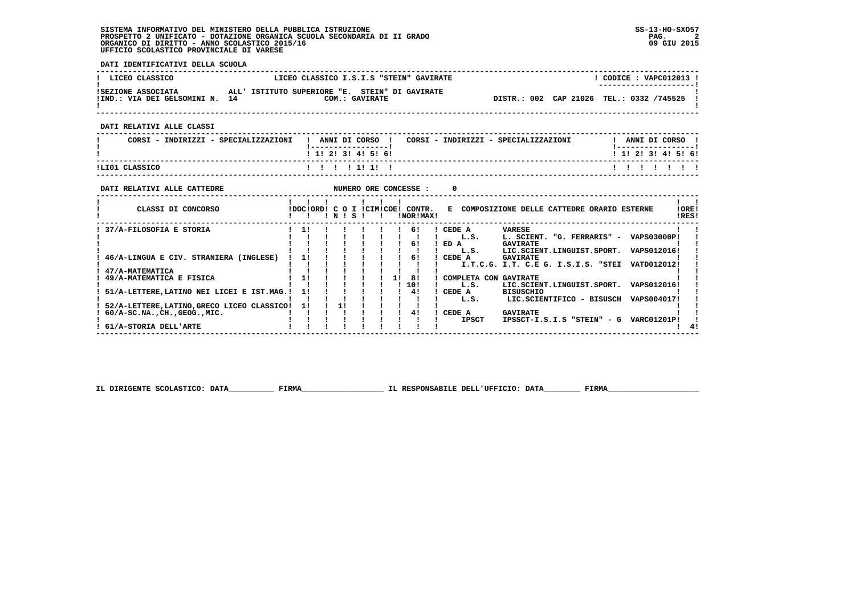**DATI IDENTIFICATIVI DELLA SCUOLA**

| ! LICEO CLASSICO                                     | LICEO CLASSICO I.S.I.S "STEIN" GAVIRATE                          | $CODE: VAPCO12013$ !<br>--------------------- |
|------------------------------------------------------|------------------------------------------------------------------|-----------------------------------------------|
| ISEZIONE ASSOCIATA<br>!IND.: VIA DEI GELSOMINI N. 14 | ALL' ISTITUTO SUPERIORE "E. STEIN" DI GAVIRATE<br>COM.: GAVIRATE | DISTR.: 002 CAP 21026 TEL.: 0332 /745525      |

 **DATI RELATIVI ALLE CLASSI**

| CORSI - INDIRIZZI - SPECIALIZZAZIONI | ANNI DI CORSO<br>CORSI - INDIRIZZI - SPECIALIZZAZIONI          | ANNI DI CORSO            |
|--------------------------------------|----------------------------------------------------------------|--------------------------|
| ILIO1 CLASSICO                       | $1 \; 1 \; 2 \; 3 \; 1 \; 4 \; 5 \; 6 \; 1$<br>1 1 1 1 1 1 1 1 | ! 1! 2! 3! 4! 5! 6!<br>. |

 **------------------------------------------------------------------------------------------------------------------------------------**

| DATI RELATIVI ALLE CATTEDRE                 |                           |      |  |    | NUMERO ORE CONCESSE : |        |              |                                            |                           |                    |                 |
|---------------------------------------------|---------------------------|------|--|----|-----------------------|--------|--------------|--------------------------------------------|---------------------------|--------------------|-----------------|
| CLASSI DI CONCORSO                          | IDOCIORDI C O I ICIMICOEI | INIS |  |    | CONTR.<br>!NOR!MAX!   | к.     |              | COMPOSIZIONE DELLE CATTEDRE ORARIO ESTERNE |                           |                    | ! ORE!<br>!RES! |
| 37/A-FILOSOFIA E STORIA                     | 11                        |      |  |    | 61                    | CEDE A |              | VARESE                                     |                           |                    |                 |
|                                             |                           |      |  |    |                       |        | L.S.         | L. SCIENT. "G. FERRARIS" -                 |                           | <b>VAPS03000P!</b> |                 |
|                                             |                           |      |  |    | 61                    | ED A   |              | <b>GAVIRATE</b>                            |                           |                    |                 |
|                                             |                           |      |  |    |                       |        | L.S.         | LIC.SCIENT.LINGUIST.SPORT.                 |                           | VAPS012016!        |                 |
| 46/A-LINGUA E CIV. STRANIERA (INGLESE)      | 1!                        |      |  |    | 61                    | CEDE A |              | <b>GAVIRATE</b>                            |                           |                    |                 |
|                                             |                           |      |  |    |                       |        |              | I.T.C.G. I.T. C.E G. I.S.I.S. "STEI        |                           | VATD012012!        |                 |
| 47/A-MATEMATICA                             |                           |      |  |    |                       |        |              |                                            |                           |                    |                 |
| 49/A-MATEMATICA E FISICA                    | 1!                        |      |  | 11 | -81                   |        |              | COMPLETA CON GAVIRATE                      |                           |                    |                 |
|                                             |                           |      |  |    | 10!                   |        | L.S.         | LIC.SCIENT.LINGUIST.SPORT.                 |                           | VAPS012016!        |                 |
| 51/A-LETTERE, LATINO NEI LICEI E IST. MAG.! | 11                        |      |  |    | 41                    | CEDE A |              | <b>BISUSCHIO</b>                           |                           |                    |                 |
|                                             |                           |      |  |    |                       |        | L.S.         |                                            | LIC.SCIENTIFICO - BISUSCH | VAPS004017!        |                 |
| 52/A-LETTERE, LATINO, GRECO LICEO CLASSICO! | 11                        |      |  |    |                       |        |              |                                            |                           |                    |                 |
| $60/A-SC$ .NA., $CH.$ , $GEOG.$ , $MIC.$    |                           |      |  |    | 41                    | CEDE A |              | <b>GAVIRATE</b>                            |                           |                    |                 |
|                                             |                           |      |  |    |                       |        | <b>IPSCT</b> | IPSSCT-I.S.I.S "STEIN" - G                 |                           | <b>VARC01201P!</b> |                 |
| 61/A-STORIA DELL'ARTE                       |                           |      |  |    |                       |        |              |                                            |                           |                    |                 |

 **IL DIRIGENTE SCOLASTICO: DATA\_\_\_\_\_\_\_\_\_\_ FIRMA\_\_\_\_\_\_\_\_\_\_\_\_\_\_\_\_\_\_ IL RESPONSABILE DELL'UFFICIO: DATA\_\_\_\_\_\_\_\_ FIRMA\_\_\_\_\_\_\_\_\_\_\_\_\_\_\_\_\_\_\_\_**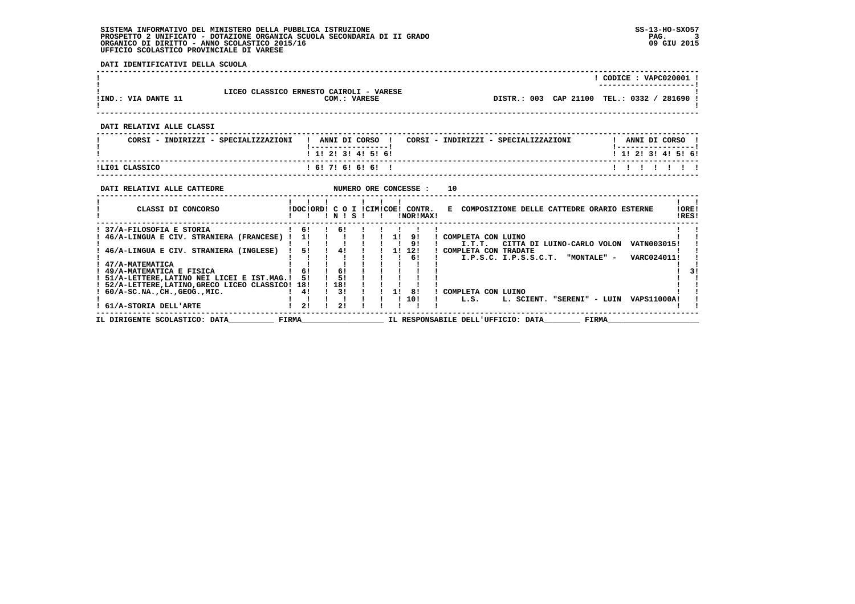**DATI IDENTIFICATIVI DELLA SCUOLA**

|                                                                                                                                                                                                                                       |                                                   |                                   |  |                         | ! CODICE: VAPC020001 !                                                                                                                           |  |
|---------------------------------------------------------------------------------------------------------------------------------------------------------------------------------------------------------------------------------------|---------------------------------------------------|-----------------------------------|--|-------------------------|--------------------------------------------------------------------------------------------------------------------------------------------------|--|
| LICEO CLASSICO ERNESTO CAIROLI - VARESE<br>!IND.: VIA DANTE 11                                                                                                                                                                        |                                                   | COM.: VARESE                      |  |                         | !<br>! DISTR.: 003 CAP 21100 TEL.: 0332 / 281690 P                                                                                               |  |
| DATI RELATIVI ALLE CLASSI                                                                                                                                                                                                             |                                                   |                                   |  |                         |                                                                                                                                                  |  |
| CORSI - INDIRIZZI - SPECIALIZZAZIONI                                                                                                                                                                                                  |                                                   | _ _ _ _ _ _ _ _ _ _ _ _ _ _ _ _ _ |  |                         | ! ANNI DI CORSO ! CORSI - INDIRIZZI - SPECIALIZZAZIONI ! ANNI DI CORSO !                                                                         |  |
|                                                                                                                                                                                                                                       |                                                   | ! 1! 2! 3! 4! 5! 6!               |  |                         | 1 1 2 2 1 3 1 4 1 5 1 6 1                                                                                                                        |  |
| 1 6 1 7 1 6 1 6 1 6 1 1<br>ILI01 CLASSICO<br>-------------------------------------                                                                                                                                                    |                                                   |                                   |  |                         | 1111111                                                                                                                                          |  |
| NUMERO ORE CONCESSE :<br>DATI RELATIVI ALLE CATTEDRE                                                                                                                                                                                  |                                                   |                                   |  |                         | 10                                                                                                                                               |  |
|                                                                                                                                                                                                                                       |                                                   |                                   |  |                         | CLASSI DI CONCORSO                 IDOC!ORD! C O I !CIM!COE! CONTR.   E COMPOSIZIONE DELLE CATTEDRE ORARIO ESTERNE<br>IORE <sub>1</sub><br>IRES! |  |
| 37/A-FILOSOFIA E STORIA<br>$\begin{tabular}{cccccccccc} 1 & 46/A-LINGUA & CIV. STRANIERA (FRANCESE) & 1 & 1 & 1 & 1 & 1 & 1 & 9 & 1 & COMPLETA CON LUTNO \\ 1 & & 1 & 1 & 1 & 1 & 1 & 1 & 1 & 9 & 1 & 1 & 1.7.7. CITTA \end{tabular}$ |                                                   |                                   |  | $16!$ $16!$ $11!$ $11!$ | I.T.T. CITTA DI LUINO-CARLO VOLON VATN003015!                                                                                                    |  |
| ! 46/A-LINGUA E CIV. STRANIERA (INGLESE) ! 5! ! 4! ! ! 1! 12! ! COMPLETA CON TRADATE<br>! 47/A-MATEMATICA                                                                                                                             |                                                   |                                   |  |                         | ! 6! ! . T.P.S.C. I.P.S.S.C.T. "MONTALE" - VARC024011!                                                                                           |  |
| ! 49/A-MATEMATICA E FISICA<br>! 51/A-LETTERE, LATINO NEI LICEI E IST. MAG.! 5! ! 5!                                                                                                                                                   | $1 \t61 \t161$                                    |                                   |  |                         |                                                                                                                                                  |  |
| ! 52/A-LETTERE, LATINO, GRECO LICEO CLASSICO! 18!<br>$1.60/A-SC.NA.$ , CH., GEOG., MIC.<br>! 61/A-STORIA DELL'ARTE                                                                                                                    | 41<br>$\begin{array}{ccc} 1 & 21 & 1 \end{array}$ | 1 181<br>$\frac{1}{3}$<br>21      |  |                         | $\frac{1}{1}$ 1 3 $\frac{1}{1}$ COMPLETA CON LUINO<br>$1 \quad 10! \quad 1 \quad L.S.$<br>L. SCIENT. "SERENI" - LUIN VAPS11000A!                 |  |
| IL DIRIGENTE SCOLASTICO: DATA FIRMA                                                                                                                                                                                                   |                                                   |                                   |  |                         | IL RESPONSABILE DELL'UFFICIO: DATA FIRMA                                                                                                         |  |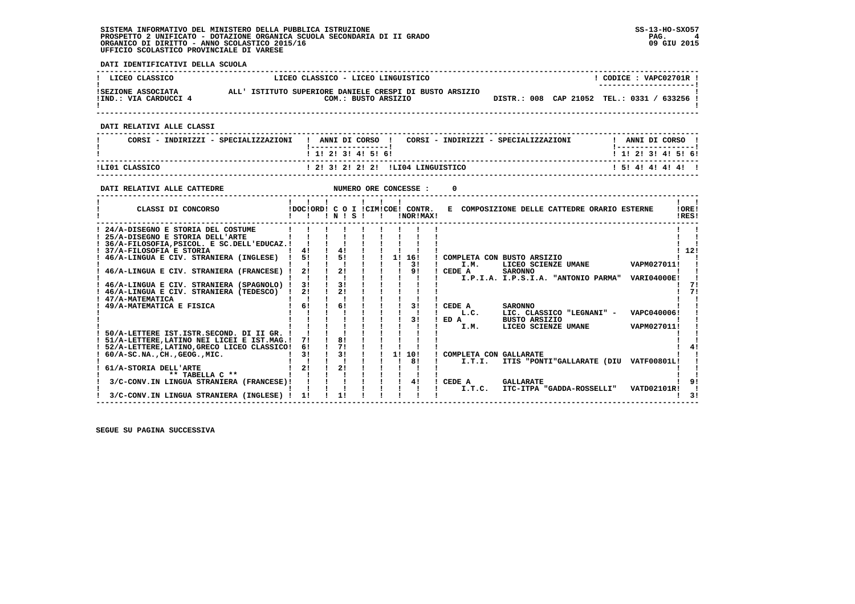**DATI IDENTIFICATIVI DELLA SCUOLA**

| LICEO CLASSICO                                                                                                                          | LICEO CLASSICO - LICEO LINGUISTICO                                                        |                                           |                        |                |                                    |                                                                               | ! CODICE : VAPC02701R !   |                           |
|-----------------------------------------------------------------------------------------------------------------------------------------|-------------------------------------------------------------------------------------------|-------------------------------------------|------------------------|----------------|------------------------------------|-------------------------------------------------------------------------------|---------------------------|---------------------------|
| ISEZIONE ASSOCIATA ALL' ISTITUTO SUPERIORE DANIELE CRESPI DI BUSTO ARSIZIO<br>!IND.: VIA CARDUCCI 4                                     |                                                                                           |                                           |                        |                | COM.: BUSTO ARSIZIO                | DISTR.: 008 CAP 21052 TEL.: 0331 / 633256 !                                   |                           |                           |
|                                                                                                                                         |                                                                                           |                                           |                        |                |                                    |                                                                               |                           |                           |
| DATI RELATIVI ALLE CLASSI                                                                                                               | --------------------------------------                                                    |                                           |                        |                |                                    |                                                                               |                           |                           |
| CORSI - INDIRIZZI - SPECIALIZZAZIONI                                                                                                    |                                                                                           | <u>  __________________</u>               |                        |                |                                    | ! ANNI DI CORSO ! CORSI - INDIRIZZI - SPECIALIZZAZIONI " ! ANNI DI CORSO !    |                           |                           |
|                                                                                                                                         |                                                                                           | ! 1! 2! 3! 4! 5! 6!                       |                        |                |                                    |                                                                               | 1 1 2 2 1 3 1 4 1 5 1 6 1 |                           |
| ILI01 CLASSICO                                                                                                                          |                                                                                           |                                           |                        |                | ! 2! 3! 2! 2! 2! !LI04 LINGUISTICO |                                                                               | 1 5 1 4 1 4 1 4 1 4 1     |                           |
|                                                                                                                                         |                                                                                           |                                           |                        |                |                                    |                                                                               |                           |                           |
| NUMERO ORE CONCESSE :<br>DATI RELATIVI ALLE CATTEDRE                                                                                    |                                                                                           |                                           |                        |                | $^{\circ}$                         |                                                                               |                           |                           |
|                                                                                                                                         | 1 1 1 1 1 1 1                                                                             |                                           |                        |                |                                    |                                                                               |                           | $\mathbf{1}$ $\mathbf{1}$ |
| CLASSI DI CONCORSO                                                                                                                      |                                                                                           |                                           |                        |                |                                    | IDOCIORDI C O I ICIMICOEI CONTR. E COMPOSIZIONE DELLE CATTEDRE ORARIO ESTERNE |                           | 10RE1                     |
|                                                                                                                                         |                                                                                           |                                           |                        |                |                                    |                                                                               |                           | !RES!                     |
| ! 24/A-DISEGNO E STORIA DEL COSTUME                                                                                                     | $1 \quad 1 \quad 1 \quad 1 \quad 1 \quad 1$                                               |                                           |                        |                |                                    |                                                                               |                           |                           |
| ! 25/A-DISEGNO E STORIA DELL'ARTE                                                                                                       | $\mathbf{1}$ $\mathbf{1}$ $\mathbf{1}$ $\mathbf{1}$ $\mathbf{1}$                          |                                           |                        |                |                                    |                                                                               |                           |                           |
| ! 36/A-FILOSOFIA, PSICOL. E SC. DELL'EDUCAZ.! ! ! !<br>1 41 1 41 1 1 1                                                                  |                                                                                           |                                           |                        |                |                                    |                                                                               |                           | 1121                      |
| $\frac{1}{1}$ 46/A-LINGUA E CIV. STRANIERA (INGLESE) $\frac{1}{1}$ 5! $\frac{1}{1}$ 5! $\frac{1}{1}$ 1 1 16! COMPLETA CON BUSTO ARSIZIO |                                                                                           |                                           |                        |                |                                    |                                                                               |                           |                           |
|                                                                                                                                         |                                                                                           |                                           |                        |                |                                    | I.M. LICEO SCIENZE UMANE VAPM027011!                                          |                           |                           |
|                                                                                                                                         |                                                                                           |                                           |                        |                | I CEDE A                           | <b>SARONNO</b>                                                                |                           |                           |
|                                                                                                                                         |                                                                                           |                                           |                        |                | the contract of the contract of    | I.P.I.A. I.P.S.I.A. "ANTONIO PARMA" VARI04000E!                               |                           | 71                        |
| ! 46/A-LINGUA E CIV. STRANIERA (TEDESCO) ! 2! ! 2!                                                                                      |                                                                                           |                                           |                        |                |                                    |                                                                               |                           | 71                        |
| ! 47/A-MATEMATICA                                                                                                                       | $\blacksquare$ $\blacksquare$ $\blacksquare$ $\blacksquare$ $\blacksquare$ $\blacksquare$ |                                           |                        |                |                                    |                                                                               |                           |                           |
| $\overrightarrow{1}$ $\overrightarrow{6}$ $\overrightarrow{1}$<br>! 49/A-MATEMATICA E FISICA                                            |                                                                                           | 6!                                        |                        | $1 \quad 31$   | ! CEDE A                           | <b>SARONNO</b>                                                                |                           |                           |
|                                                                                                                                         |                                                                                           |                                           |                        | $\blacksquare$ | L.C.                               | LIC. CLASSICO "LEGNANI" - VAPC040006!                                         |                           |                           |
|                                                                                                                                         |                                                                                           |                                           | $\frac{1}{3}$          |                | $1$ $I.M.$                         | ! ED A BUSTO ARSIZIO<br>LICEO SCIENZE UMANE                                   | VAPM027011!               |                           |
| ! 50/A-LETTERE IST. ISTR. SECOND. DI II GR. ! ! ! ! !                                                                                   |                                                                                           |                                           |                        |                |                                    |                                                                               |                           |                           |
| ! 51/A-LETTERE, LATINO NEI LICEI E IST. MAG. ! 7! ! 8!                                                                                  |                                                                                           |                                           |                        |                |                                    |                                                                               |                           |                           |
| ! 52/A-LETTERE, LATINO, GRECO LICEO CLASSICO! 6!                                                                                        |                                                                                           | $\frac{1}{2}$ $\frac{7}{2}$ $\frac{1}{2}$ |                        | $\blacksquare$ |                                    |                                                                               |                           |                           |
|                                                                                                                                         |                                                                                           |                                           | $1 \quad 11 \quad 101$ |                | ! COMPLETA CON GALLARATE           |                                                                               |                           |                           |
|                                                                                                                                         |                                                                                           |                                           |                        |                | $\mathbf{I}$ and $\mathbf{I}$      | I.T.I. ITIS "PONTI"GALLARATE (DIU VATF00801L!                                 |                           |                           |
|                                                                                                                                         |                                                                                           |                                           |                        |                |                                    |                                                                               |                           |                           |
| 3/C-CONV.IN LINGUA STRANIERA (FRANCESE)! ! ! ! ! ! ! 4!                                                                                 |                                                                                           |                                           |                        |                | ! CEDE A GALLARATE                 |                                                                               |                           | - 91                      |
|                                                                                                                                         |                                                                                           |                                           |                        | $\mathbf{I}$   |                                    | I.T.C. ITC-ITPA "GADDA-ROSSELLI" VATD02101R!                                  |                           |                           |
| 3/C-CONV.IN LINGUA STRANIERA (INGLESE) ! 1!                                                                                             |                                                                                           |                                           |                        |                |                                    |                                                                               |                           | $1 \quad 31$              |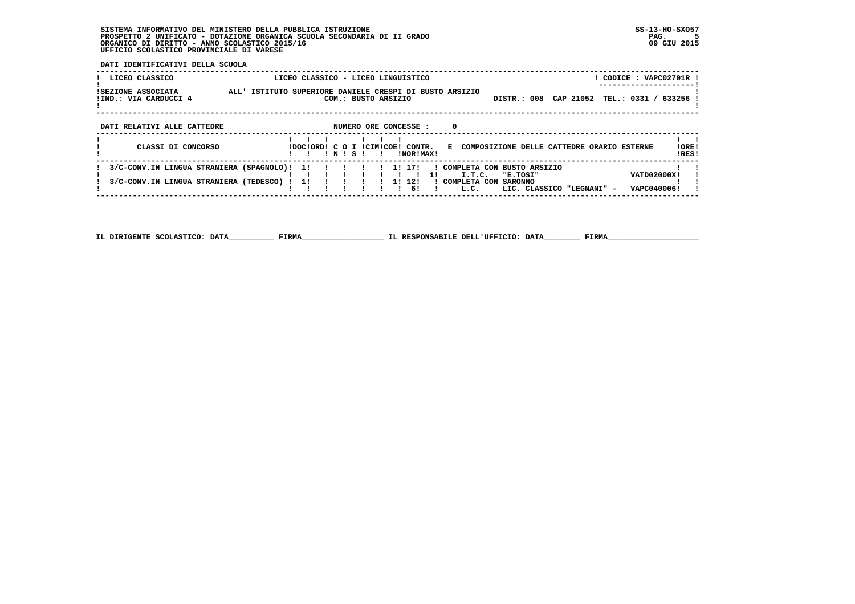**DATI IDENTIFICATIVI DELLA SCUOLA**

| LICEO CLASSICO                                                                       | LICEO CLASSICO - LICEO LINGUISTICO        |                                                                                  | CODICE: VAPC02701R                                                                                     |               |
|--------------------------------------------------------------------------------------|-------------------------------------------|----------------------------------------------------------------------------------|--------------------------------------------------------------------------------------------------------|---------------|
| ISEZIONE ASSOCIATA<br>!IND.: VIA CARDUCCI 4                                          | ALL' ISTITUTO SUPERIORE DANIELE CRESPI DI | BUSTO ARSIZIO<br>COM.: BUSTO ARSIZIO                                             | CAP 21052<br>TEL.: 0331 /<br>DISTR.: 008                                                               | 633256        |
| DATI RELATIVI ALLE CATTEDRE                                                          |                                           | 0<br>NUMERO ORE CONCESSE :                                                       |                                                                                                        |               |
| CLASSI DI CONCORSO                                                                   | IDOCIORDI C O I ICIMICOE!<br>INISI        | CONTR.<br>E.<br>INORIMAXI                                                        | COMPOSIZIONE DELLE CATTEDRE ORARIO ESTERNE                                                             | IORE<br>!RES! |
| 3/C-CONV.IN LINGUA STRANIERA (SPAGNOLO)!<br>3/C-CONV.IN LINGUA STRANIERA (TEDESCO) ! | 11<br>11                                  | 171<br>COMPLETA CON<br>11<br>I.T.C.<br>12!<br>11<br>! COMPLETA CON<br>61<br>L.C. | BUSTO ARSIZIO<br>VATD02000X!<br>"E.TOSI"<br><b>SARONNO</b><br>VAPC040006!<br>LIC. CLASSICO "LEGNANI" - |               |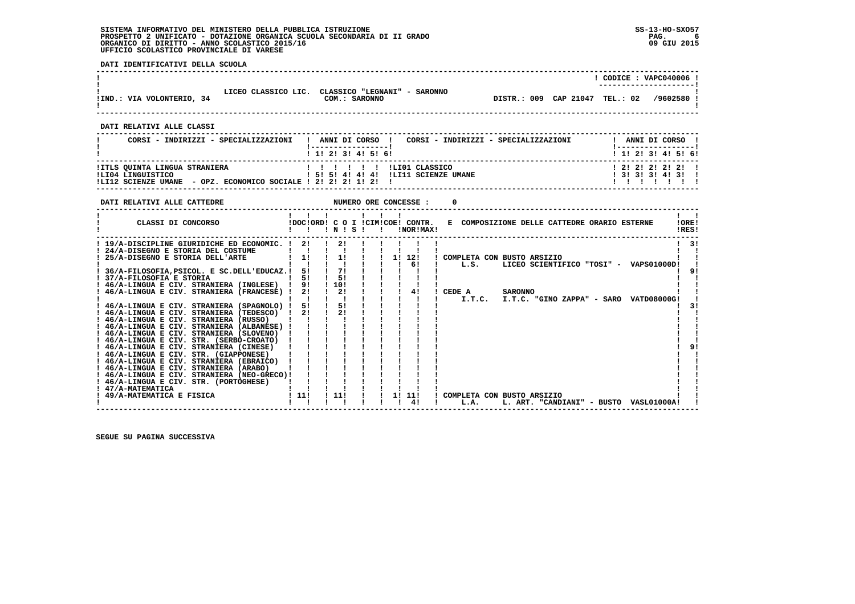**DATI IDENTIFICATIVI DELLA SCUOLA**

|                           |                     |                                               |             |           |          | CODICE: VAPC040006<br>----------------------- |
|---------------------------|---------------------|-----------------------------------------------|-------------|-----------|----------|-----------------------------------------------|
| !IND.: VIA VOLONTERIO, 34 | LICEO CLASSICO LIC. | CLASSICO "LEGNANI" - SARONNO<br>COM.: SARONNO | DISTR.: 009 | CAP 21047 | TEL.: 02 | /9602580                                      |

 **------------------------------------------------------------------------------------------------------------------------------------**

 **------------------------------------------------------------------------------------------------------------------------------------**

 **DATI RELATIVI ALLE CLASSI**

| CORSI - INDIRIZZI - SPECIALIZZAZIONI                                                                                  | CORSI - INDIRIZZI - SPECIALIZZAZIONI<br>! ANNI DI CORSO !                                                                                                                                                                                                                                                                                                                                                                                                                                                                          | ANNI DI CORSO !                              |  |
|-----------------------------------------------------------------------------------------------------------------------|------------------------------------------------------------------------------------------------------------------------------------------------------------------------------------------------------------------------------------------------------------------------------------------------------------------------------------------------------------------------------------------------------------------------------------------------------------------------------------------------------------------------------------|----------------------------------------------|--|
|                                                                                                                       | 1 1 1 2 1 3 1 4 1 5 1 6 1                                                                                                                                                                                                                                                                                                                                                                                                                                                                                                          | 1 1 2 3 3 4 5 6 1                            |  |
| !ITLS QUINTA LINGUA STRANIERA<br>ILI04 LINGUISTICO<br>!LI12 SCIENZE UMANE - OPZ. ECONOMICO SOCIALE ! 2! 2! 2! 1! 2! ! | $\blacksquare$ $\blacksquare$ $\blacksquare$ $\blacksquare$ $\blacksquare$ $\blacksquare$ $\blacksquare$ $\blacksquare$ $\blacksquare$ $\blacksquare$ $\blacksquare$ $\blacksquare$ $\blacksquare$ $\blacksquare$ $\blacksquare$ $\blacksquare$ $\blacksquare$ $\blacksquare$ $\blacksquare$ $\blacksquare$ $\blacksquare$ $\blacksquare$ $\blacksquare$ $\blacksquare$ $\blacksquare$ $\blacksquare$ $\blacksquare$ $\blacksquare$ $\blacksquare$ $\blacksquare$ $\blacksquare$ $\blacks$<br>1 51 51 41 41 41 ILI11 SCIENZE UMANE | 1 2 1 2 1 2 1 2 1 1<br>1 3 1 3 1 3 1 4 1 3 1 |  |

| DATI RELATIVI ALLE CATTEDRE                 |       |     |       |    | NUMERO ORE CONCESSE :                         |                                                                |    |
|---------------------------------------------|-------|-----|-------|----|-----------------------------------------------|----------------------------------------------------------------|----|
| CLASSI DI CONCORSO                          |       |     | INISI |    | !DOC!ORD! C O I !CIM!COE! CONTR.<br>INORIMAX! | !ORE!<br>E COMPOSIZIONE DELLE CATTEDRE ORARIO ESTERNE<br>IRES! |    |
| ! 19/A-DISCIPLINE GIURIDICHE ED ECONOMIC. ! | 21    |     | 21    |    |                                               |                                                                | 3! |
| 24/A-DISEGNO E STORIA DEL COSTUME           |       |     |       |    |                                               |                                                                |    |
| 25/A-DISEGNO E STORIA DELL'ARTE             | 11    |     | 11    | 11 | 12!                                           | ! COMPLETA CON BUSTO ARSIZIO                                   |    |
|                                             |       |     |       |    | 61                                            | LICEO SCIENTIFICO "TOSI" - VAPS01000D!<br>L.S.                 |    |
| 36/A-FILOSOFIA, PSICOL. E SC.DELL'EDUCAZ.!  | 51    |     | 71    |    |                                               |                                                                |    |
| 37/A-FILOSOFIA E STORIA                     | 51    |     | 51    |    |                                               |                                                                |    |
| ! 46/A-LINGUA E CIV. STRANIERA (INGLESE)    | 9!    | 10! |       |    |                                               |                                                                |    |
| 46/A-LINGUA E CIV. STRANIERA (FRANCESE) !   | 21    |     | 21    |    | 41                                            | <b>SARONNO</b><br>CEDE A                                       |    |
|                                             |       |     |       |    |                                               | I.T.C.<br>I.T.C. "GINO ZAPPA" - SARO VATD08000G!               |    |
| ! 46/A-LINGUA E CIV. STRANIERA (SPAGNOLO) ! | 51    |     | 51    |    |                                               |                                                                |    |
| 46/A-LINGUA E CIV. STRANIERA (TEDESCO)      | 2!    |     | 21    |    |                                               |                                                                |    |
| ! 46/A-LINGUA E CIV. STRANIERA (RUSSO)      |       |     |       |    |                                               |                                                                |    |
| ! 46/A-LINGUA E CIV. STRANIERA (ALBANESE) ! |       |     |       |    |                                               |                                                                |    |
| ! 46/A-LINGUA E CIV. STRANIERA (SLOVENO)    |       |     |       |    |                                               |                                                                |    |
| ! 46/A-LINGUA E CIV. STR. (SERBO-CROATO)    |       |     |       |    |                                               |                                                                |    |
| ! 46/A-LINGUA E CIV. STRANIERA (CINESE)     |       |     |       |    |                                               |                                                                |    |
| ! 46/A-LINGUA E CIV. STR. (GIAPPONESE)      |       |     |       |    |                                               |                                                                |    |
| ! 46/A-LINGUA E CIV. STRANIERA (EBRAICO)    |       |     |       |    |                                               |                                                                |    |
| ! 46/A-LINGUA E CIV. STRANIERA (ARABO)      |       |     |       |    |                                               |                                                                |    |
| 46/A-LINGUA E CIV. STRANIERA (NEO-GRECO)!   |       |     |       |    |                                               |                                                                |    |
| ! 46/A-LINGUA E CIV. STR. (PORTOGHESE)      |       |     |       |    |                                               |                                                                |    |
| ! 47/A-MATEMATICA                           |       |     |       |    |                                               |                                                                |    |
| 49/A-MATEMATICA E FISICA                    | ! 11! | 11! |       | 11 | 11!                                           | COMPLETA CON BUSTO ARSIZIO                                     |    |
|                                             |       |     |       |    | 41                                            | L. ART. "CANDIANI" - BUSTO<br>L.A.<br><b>VASL01000A!</b>       |    |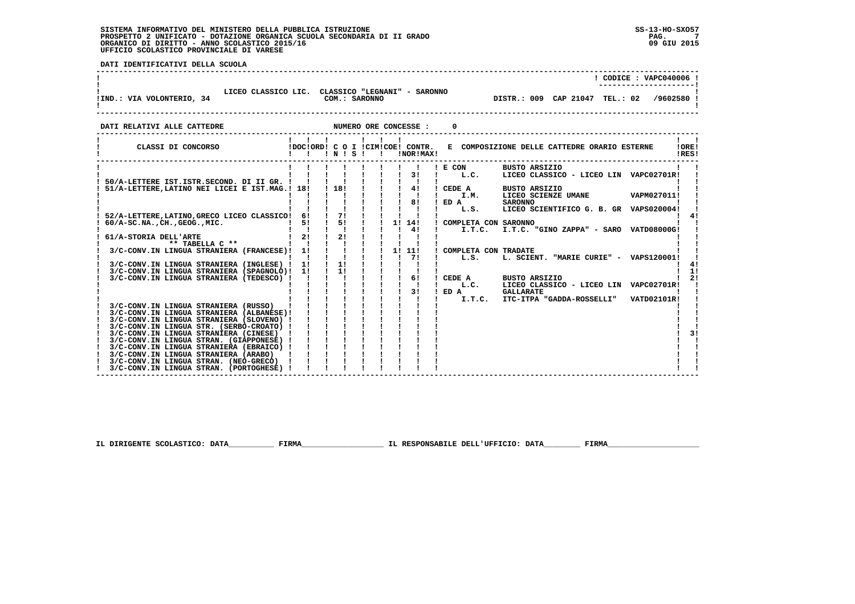j

 **DATI IDENTIFICATIVI DELLA SCUOLA**

|                                                                                                            |                                                  |                                        |                                                                                                                                                                                                                                                                                                                                                                                                                                                                                                    |                                                                                                                                  | ! CODICE : VAPC040006 !                                                                                             |
|------------------------------------------------------------------------------------------------------------|--------------------------------------------------|----------------------------------------|----------------------------------------------------------------------------------------------------------------------------------------------------------------------------------------------------------------------------------------------------------------------------------------------------------------------------------------------------------------------------------------------------------------------------------------------------------------------------------------------------|----------------------------------------------------------------------------------------------------------------------------------|---------------------------------------------------------------------------------------------------------------------|
| LICEO CLASSICO LIC. CLASSICO "LEGNANI" - SARONNO<br>!IND.: VIA VOLONTERIO, 34                              |                                                  | COM.: SARONNO                          |                                                                                                                                                                                                                                                                                                                                                                                                                                                                                                    |                                                                                                                                  | DISTR.: 009 CAP 21047 TEL.: 02 /9602580 !                                                                           |
| DATI RELATIVI ALLE CATTEDRE                                                                                |                                                  |                                        |                                                                                                                                                                                                                                                                                                                                                                                                                                                                                                    |                                                                                                                                  | 0                                                                                                                   |
|                                                                                                            | $1 \quad 1 \quad 1 \quad 1 \quad 1$<br>!!!!N!S!! |                                        |                                                                                                                                                                                                                                                                                                                                                                                                                                                                                                    | !NOR!MAX!                                                                                                                        | CLASSI DI CONCORSO (DOCIORDI C O I ICIMICOEI CONTR. E COMPOSIZIONE DELLE CATTEDRE ORARIO ESTERNE<br>! ORE!<br>!RES! |
|                                                                                                            |                                                  |                                        |                                                                                                                                                                                                                                                                                                                                                                                                                                                                                                    |                                                                                                                                  | ! E COM<br>BUSTO ARSIZIO                                                                                            |
|                                                                                                            |                                                  |                                        |                                                                                                                                                                                                                                                                                                                                                                                                                                                                                                    | $\begin{array}{cccccccccccccc} & 1 & 1 & 1 & 1 & 1 & 1 & 1 & 1 & 1 & 1 \\ & & 1 & 1 & 1 & 1 & 1 & 1 & 31 & 1 & 1 \\ \end{array}$ | LICEO CLASSICO - LICEO LIN VAPC02701R!<br>L.C.                                                                      |
| 50/A-LETTERE IST. ISTR. SECOND. DI II GR. ! ! ! !<br>51/A-LETTERE, LATINO NEI LICEI E IST. MAG.! 18!!! 18! |                                                  |                                        |                                                                                                                                                                                                                                                                                                                                                                                                                                                                                                    |                                                                                                                                  | <b>BUSTO ARSIZIO</b>                                                                                                |
|                                                                                                            |                                                  |                                        |                                                                                                                                                                                                                                                                                                                                                                                                                                                                                                    |                                                                                                                                  | LICEO SCIENZE UMANE VAPM027011!                                                                                     |
|                                                                                                            |                                                  |                                        |                                                                                                                                                                                                                                                                                                                                                                                                                                                                                                    | $\frac{1}{1}$ $\frac{1}{1}$ 81                                                                                                   | $I$ ED $A$<br><b>SARONNO</b><br>LICEO SCIENTIFICO G. B. GR VAPS020004!                                              |
|                                                                                                            |                                                  |                                        |                                                                                                                                                                                                                                                                                                                                                                                                                                                                                                    |                                                                                                                                  |                                                                                                                     |
| 60/A-SC.NA., CH., GEOG., MIC.<br>61/A-STORIA DELL'ARTE [ 1 1<br>** TABELLA C ** [ 1 2]                     |                                                  | $\mathbf{I}$ $\mathbf{I}$ $\mathbf{I}$ |                                                                                                                                                                                                                                                                                                                                                                                                                                                                                                    | $1 \quad 1 \quad 41$                                                                                                             |                                                                                                                     |
|                                                                                                            |                                                  | $\frac{1}{2}$ $\frac{2}{1}$            |                                                                                                                                                                                                                                                                                                                                                                                                                                                                                                    |                                                                                                                                  | <b>Contract Contract</b><br>I.T.C. I.T.C. "GINO ZAPPA" - SARO VATD08000G!                                           |
|                                                                                                            |                                                  |                                        |                                                                                                                                                                                                                                                                                                                                                                                                                                                                                                    |                                                                                                                                  |                                                                                                                     |
| 3/C-CONV. IN LINGUA STRANIERA (FRANCESE)! 1!                                                               |                                                  | $\mathbf{I}$ $\mathbf{I}$              | $\frac{1}{2}$ i 11 111                                                                                                                                                                                                                                                                                                                                                                                                                                                                             |                                                                                                                                  | ! COMPLETA CON TRADATE                                                                                              |
| 3/C-CONV. IN LINGUA STRANIERA (INGLESE) ! 1!                                                               |                                                  |                                        | $\begin{array}{cccccccccccc} 1 & 1 & 1 & 1 & 1 & 1 & 1 & 1 \\ 1 & 1 & 1 & 1 & 1 & 1 & 1 & 1 \\ 11 & 1 & 1 & 1 & 1 & 1 & 1 & 1 \\ 11 & 1 & 1 & 1 & 1 & 1 & 1 & 1 \\ 11 & 1 & 1 & 1 & 1 & 1 & 1 & 1 \\ 11 & 1 & 1 & 1 & 1 & 1 & 1 & 1 \\ 11 & 1 & 1 & 1 & 1 & 1 & 1 & 1 \\ \end{array}$                                                                                                                                                                                                              |                                                                                                                                  | L.S.<br>L. SCIENT. "MARIE CURIE" - VAPS120001!<br>41                                                                |
| 3/C-CONV.IN LINGUA STRANIERA (SPAGNOLO)! 1!                                                                |                                                  |                                        |                                                                                                                                                                                                                                                                                                                                                                                                                                                                                                    |                                                                                                                                  | 1!                                                                                                                  |
| 3/C-CONV.IN LINGUA STRANIERA (TEDESCO) !                                                                   |                                                  |                                        |                                                                                                                                                                                                                                                                                                                                                                                                                                                                                                    |                                                                                                                                  | 21<br>! CEDE A<br><b>BUSTO ARSIZIO</b>                                                                              |
|                                                                                                            |                                                  |                                        |                                                                                                                                                                                                                                                                                                                                                                                                                                                                                                    | $1 \quad 31$                                                                                                                     | $\mathbf{I}$ and $\mathbf{I}$<br>L.C.<br>LICEO CLASSICO - LICEO LIN VAPC02701R!                                     |
|                                                                                                            |                                                  |                                        |                                                                                                                                                                                                                                                                                                                                                                                                                                                                                                    |                                                                                                                                  | $!$ ED $A$<br><b>GALLARATE</b><br>I.T.C.<br>ITC-ITPA "GADDA-ROSSELLI" VATD02101R!                                   |
| 3/C-CONV.IN LINGUA STRANIERA (RUSSO)                                                                       |                                                  |                                        |                                                                                                                                                                                                                                                                                                                                                                                                                                                                                                    |                                                                                                                                  |                                                                                                                     |
| 3/C-CONV.IN LINGUA STRANIERA (ALBANESE)!                                                                   |                                                  |                                        |                                                                                                                                                                                                                                                                                                                                                                                                                                                                                                    |                                                                                                                                  |                                                                                                                     |
| 3/C-CONV.IN LINGUA STRANIERA (SLOVENO) !                                                                   |                                                  |                                        |                                                                                                                                                                                                                                                                                                                                                                                                                                                                                                    |                                                                                                                                  |                                                                                                                     |
| 3/C-CONV.IN LINGUA STR. (SERBO-CROATO) !<br>3/C-CONV.IN LINGUA STRANIERA (CINESE) !                        |                                                  |                                        |                                                                                                                                                                                                                                                                                                                                                                                                                                                                                                    |                                                                                                                                  | 31                                                                                                                  |
| 3/C-CONV.IN LINGUA STRAN. (GIAPPONESE) !                                                                   |                                                  |                                        |                                                                                                                                                                                                                                                                                                                                                                                                                                                                                                    |                                                                                                                                  |                                                                                                                     |
| 3/C-CONV.IN LINGUA STRANIERA (EBRAICO) !                                                                   |                                                  |                                        | $\begin{array}{cccccccccccc} \mathbf{y} & \mathbf{i} & \mathbf{j} & \mathbf{i} & \mathbf{j} & \mathbf{j} & \mathbf{j} & \mathbf{j} & \mathbf{j} \\ \mathbf{y} & \mathbf{j} & \mathbf{j} & \mathbf{j} & \mathbf{j} & \mathbf{j} & \mathbf{j} & \mathbf{j} & \mathbf{j} & \mathbf{j} \\ \mathbf{E} & \mathbf{j} & \mathbf{j} & \mathbf{j} & \mathbf{j} & \mathbf{j} & \mathbf{j} & \mathbf{j} & \mathbf{j} & \mathbf{j} \\ \mathbf{E} & \mathbf{j} & \mathbf{j} & \mathbf{j} & \mathbf{j} & \mathbf$ |                                                                                                                                  |                                                                                                                     |
| 3/C-CONV.IN LINGUA STRANIERA (ARABO)                                                                       |                                                  |                                        |                                                                                                                                                                                                                                                                                                                                                                                                                                                                                                    |                                                                                                                                  |                                                                                                                     |
| 3/C-CONV.IN LINGUA STRAN. (NEO-GRECO) !<br>3/C-CONV.IN LINGUA STRAN. (PORTOGHESE) !                        |                                                  |                                        |                                                                                                                                                                                                                                                                                                                                                                                                                                                                                                    |                                                                                                                                  |                                                                                                                     |
|                                                                                                            |                                                  |                                        |                                                                                                                                                                                                                                                                                                                                                                                                                                                                                                    |                                                                                                                                  |                                                                                                                     |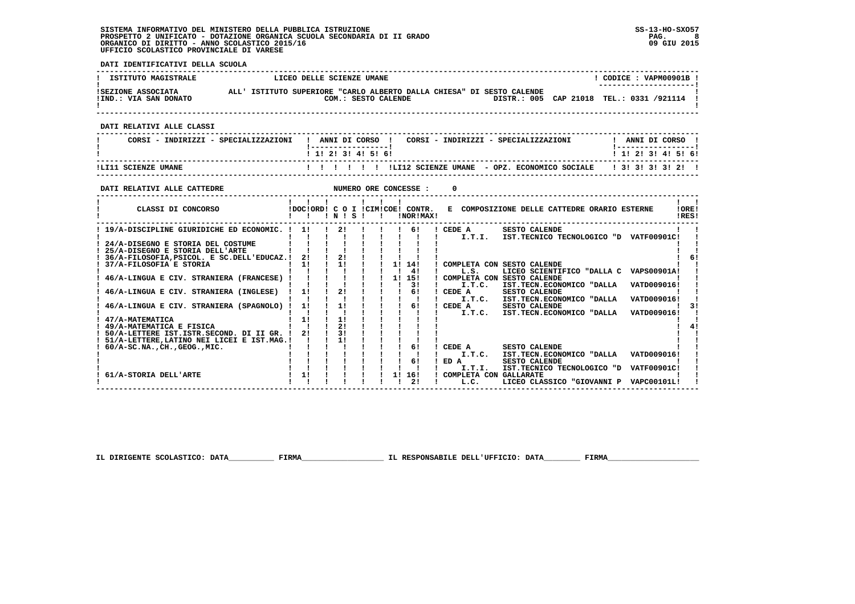**DATI IDENTIFICATIVI DELLA SCUOLA**

| ISTITUTO MAGISTRALE                                                                                           | LICEO DELLE SCIENZE UMANE                                              |                           |                                     |                                        |                                                                        | $!$ CODICE : VAPM00901B $!$<br>---------------- |
|---------------------------------------------------------------------------------------------------------------|------------------------------------------------------------------------|---------------------------|-------------------------------------|----------------------------------------|------------------------------------------------------------------------|-------------------------------------------------|
|                                                                                                               |                                                                        |                           |                                     |                                        | COM.: SESTO CALENDE <b>DISTR.: 005</b> CAP 21018 TEL.: 0331 /921114 1  |                                                 |
| DATI RELATIVI ALLE CLASSI                                                                                     |                                                                        |                           |                                     |                                        |                                                                        |                                                 |
| CORSI - INDIRIZZI - SPECIALIZZAZIONI   ANNI DI CORSO   CORSI - INDIRIZZI - SPECIALIZZAZIONI     ANNI DI CORSO |                                                                        |                           |                                     |                                        |                                                                        |                                                 |
|                                                                                                               |                                                                        | 1 1 2 2 1 3 1 4 1 5 1 6 1 |                                     |                                        |                                                                        | 1 1 2 3 4 5 6                                   |
|                                                                                                               |                                                                        |                           |                                     |                                        |                                                                        |                                                 |
|                                                                                                               |                                                                        |                           |                                     |                                        |                                                                        |                                                 |
| CLASSI DI CONCORSO             IDOC!ORD! C O I !CIM!COE! CONTR. E COMPOSIZIONE DELLE CATTEDRE ORARIO ESTERNE  |                                                                        |                           |                                     |                                        |                                                                        | $\mathbf{I}$ $\mathbf{I}$<br>!ORE!<br>!RES!     |
|                                                                                                               |                                                                        |                           |                                     |                                        |                                                                        |                                                 |
|                                                                                                               | 1 1 1 1 1 1 1 1 4                                                      |                           |                                     | $\blacksquare$ . L.S.                  | ! COMPLETA CON SESTO CALENDE<br>LICEO SCIENTIFICO "DALLA C VAPS00901A! | -61                                             |
| ! 46/A-LINGUA E CIV. STRANIERA (FRANCESE) ! ! ! ! ! ! 1 15!                                                   |                                                                        |                           |                                     |                                        | ! COMPLETA CON SESTO CALENDE                                           |                                                 |
|                                                                                                               |                                                                        |                           |                                     |                                        |                                                                        |                                                 |
|                                                                                                               |                                                                        |                           |                                     |                                        |                                                                        | $1 \quad 31$                                    |
| 47/A-MATEMATICA<br>! 49/A-MATEMATICA E FISICA                                                                 |                                                                        |                           |                                     |                                        |                                                                        | 41                                              |
|                                                                                                               |                                                                        |                           |                                     |                                        |                                                                        |                                                 |
|                                                                                                               |                                                                        |                           |                                     |                                        |                                                                        |                                                 |
| 61/A-STORIA DELL'ARTE                                                                                         | $\frac{1}{1}$ $\frac{1}{11}$ $\frac{1}{1}$ $\frac{1}{1}$ $\frac{1}{1}$ |                           | $\mathbf{I}$ $\mathbf{I}$<br>1! 16! | $1$ I.T.I.<br>! COMPLETA CON GALLARATE | IST. TECNICO TECNOLOGICO "D VATF00901C!                                |                                                 |
|                                                                                                               |                                                                        |                           | 2!                                  |                                        | ! L.C. LICEO CLASSICO "GIOVANNI P VAPC00101L!                          |                                                 |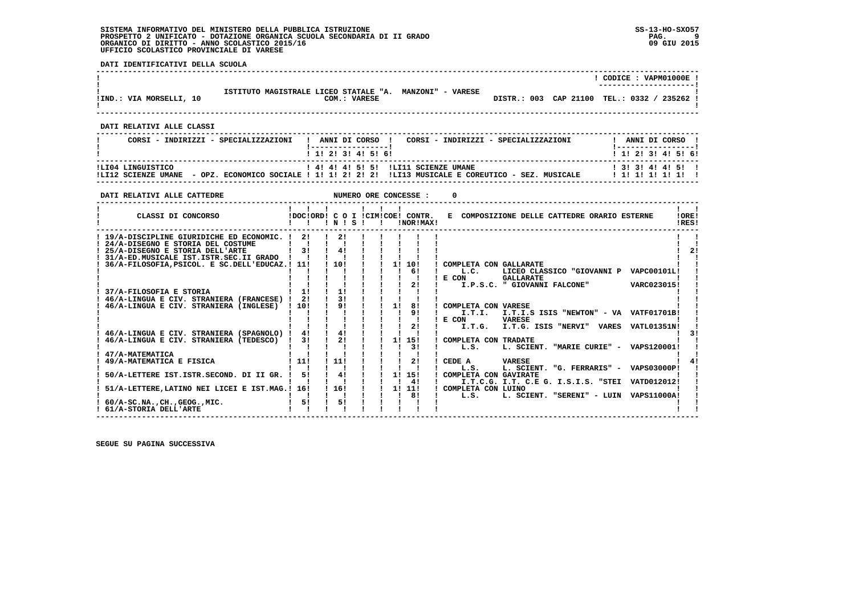**DATI IDENTIFICATIVI DELLA SCUOLA**

|                           |                                                                         | ! CODICE : VAPM01000E !<br>------------------- |
|---------------------------|-------------------------------------------------------------------------|------------------------------------------------|
| !IND.: VIA MORSELLI, 10   | ISTITUTO MAGISTRALE LICEO STATALE "A. MANZONI" - VARESE<br>COM.: VARESE | DISTR.: 003 CAP 21100 TEL.: 0332 / 235262 !    |
| DATI RELATIVI ALLE CLASSI |                                                                         |                                                |

|                   | CORSI - INDIRIZZI - SPECIALIZZAZIONI | ANNI DI CORSO !           | CORSI - INDIRIZZI - SPECIALIZZAZIONI                                                                                                              | ANNI DI CORSO !                              |
|-------------------|--------------------------------------|---------------------------|---------------------------------------------------------------------------------------------------------------------------------------------------|----------------------------------------------|
|                   |                                      | 1 1 1 2 1 3 1 4 1 5 1 6 1 |                                                                                                                                                   | 1 1 1 2 1 3 1 4 1 5 1 6 1                    |
| ILI04 LINGUISTICO |                                      |                           | ! 4! 4! 4! 5! 5! !LI11 SCIENZE UMANE<br>ILI12 SCIENZE UMANE  – OPZ. ECONOMICO SOCIALE ! 1! 1! 2! 2! 2! ILI13 MUSICALE E COREUTICO – SEZ. MUSICALE | 1 3 1 3 1 4 1 4 1 5 1 1<br>1 1 1 1 1 1 1 1 1 |

 **------------------------------------------------------------------------------------------------------------------------------------**

| DATI RELATIVI ALLE CATTEDRE                                                                                                                                                                                      |                                  |                 |  |    | NUMERO ORE CONCESSE : |                              |                                                                                      |                                   |                |
|------------------------------------------------------------------------------------------------------------------------------------------------------------------------------------------------------------------|----------------------------------|-----------------|--|----|-----------------------|------------------------------|--------------------------------------------------------------------------------------|-----------------------------------|----------------|
| CLASSI DI CONCORSO                                                                                                                                                                                               | IDOCIORDI C O I ICIMICOEI CONTR. | $'$ N $'$ S $'$ |  |    | !NOR!MAX!             |                              | E COMPOSIZIONE DELLE CATTEDRE ORARIO ESTERNE                                         |                                   | !ORE!<br>!RES! |
| ! 19/A-DISCIPLINE GIURIDICHE ED ECONOMIC. !<br>24/A-DISEGNO E STORIA DEL COSTUME<br>25/A-DISEGNO E STORIA DELL'ARTE<br>31/A-ED.MUSICALE IST.ISTR.SEC.II GRADO<br>36/A-FILOSOFIA, PSICOL. E SC. DELL'EDUCAZ.! 11! | 21<br>3 <sub>1</sub>             | 2!<br>41<br>10! |  | 1! | 10!                   | COMPLETA CON GALLARATE       |                                                                                      |                                   | 21             |
|                                                                                                                                                                                                                  |                                  |                 |  |    | 61<br>2!              | L.C.<br>E CON                | LICEO CLASSICO "GIOVANNI P<br><b>GALLARATE</b><br>I.P.S.C. " GIOVANNI FALCONE"       | <b>VAPC00101L!</b><br>VARC023015! |                |
| 37/A-FILOSOFIA E STORIA<br>46/A-LINGUA E CIV. STRANIERA (FRANCESE) !<br>46/A-LINGUA E CIV. STRANIERA (INGLESE)                                                                                                   | 11<br>21<br>110!                 | 11<br>31<br>91  |  | 11 | 81                    | COMPLETA CON VARESE          |                                                                                      |                                   |                |
|                                                                                                                                                                                                                  |                                  |                 |  |    | 9 <sub>1</sub><br>21  | I.T.I.<br>E CON<br>I.T.G.    | I.T.I.S ISIS "NEWTON" - VA VATF01701B!<br><b>VARESE</b><br>I.T.G. ISIS "NERVI" VARES | <b>VATL01351N!</b>                |                |
| 46/A-LINGUA E CIV. STRANIERA (SPAGNOLO) !<br>46/A-LINGUA E CIV. STRANIERA (TEDESCO)                                                                                                                              | 41<br>31                         | 41<br>21        |  | 11 | 15!<br>31             | COMPLETA CON TRADATE<br>L.S. | L. SCIENT. "MARIE CURIE" - VAPS120001!                                               |                                   |                |
| 47/A-MATEMATICA<br>49/A-MATEMATICA E FISICA                                                                                                                                                                      | 11!                              | 11!             |  |    | 2!                    | CEDE A<br>L.S.               | <b>VARESE</b><br>L. SCIENT. "G. FERRARIS" - VAPS03000P!                              |                                   |                |
| 50/A-LETTERE IST.ISTR.SECOND. DI II GR.                                                                                                                                                                          | 51                               | 41              |  | 1! | 15!<br>41             | COMPLETA CON GAVIRATE        | I.T.C.G. I.T. C.E G. I.S.I.S. "STEI VATD012012!                                      |                                   |                |
| 51/A-LETTERE, LATINO NEI LICEI E IST. MAG.! 16!                                                                                                                                                                  |                                  | 1161            |  | 11 | 11!<br>81             | ! COMPLETA CON LUINO<br>L.S. | L. SCIENT. "SERENI" - LUIN                                                           | <b>VAPS11000A!</b>                |                |
| $60/A-SC.NA.$ , $CH.$ , $GEOG.$ , $MIC.$<br>! 61/A-STORIA DELL'ARTE                                                                                                                                              | 51                               | 5!              |  |    |                       |                              |                                                                                      |                                   |                |

 **------------------------------------------------------------------------------------------------------------------------------------**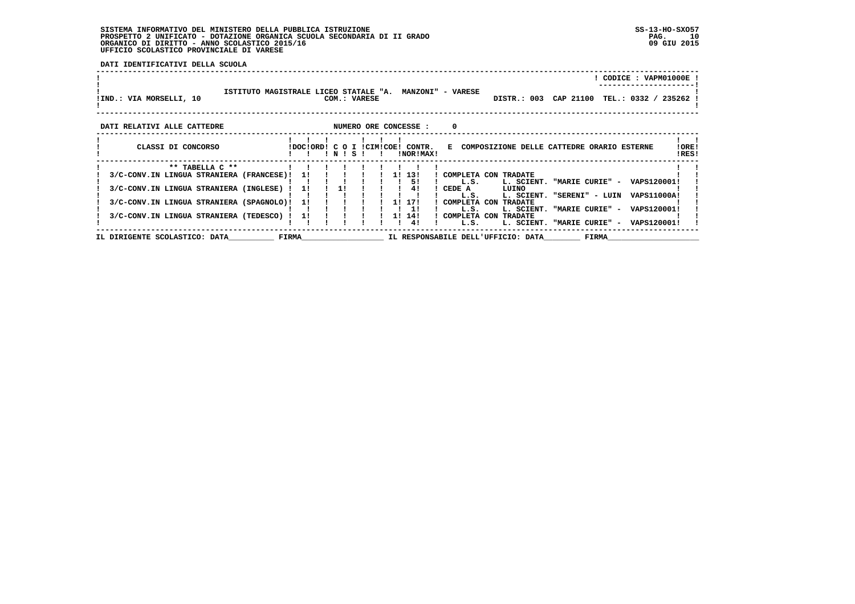**DATI IDENTIFICATIVI DELLA SCUOLA**

| IIND.: VIA MORSELLI, 10                  | ISTITUTO MAGISTRALE LICEO STATALE "A. |       |    |    |       | COM.: VARESE |           | <b>MANZONI" - VARESE</b>                      |          |                | DISTR.: 003 CAP 21100                        |                             |       | CODICE: VAPM01000E !<br>TEL.: 0332 / 235262 |             |                |
|------------------------------------------|---------------------------------------|-------|----|----|-------|--------------|-----------|-----------------------------------------------|----------|----------------|----------------------------------------------|-----------------------------|-------|---------------------------------------------|-------------|----------------|
| DATI RELATIVI ALLE CATTEDRE              |                                       |       |    |    |       |              |           | NUMERO ORE CONCESSE :                         | $\Omega$ |                |                                              |                             |       |                                             |             |                |
| CLASSI DI CONCORSO                       |                                       |       |    | NI | $S^+$ |              |           | IDOCIORDI C O I ICIMICOEI CONTR.<br>!NOR!MAX! |          |                | E COMPOSIZIONE DELLE CATTEDRE ORARIO ESTERNE |                             |       |                                             |             | !ORE!<br>!RES! |
| ** TABELLA C **                          |                                       |       |    |    |       |              |           |                                               |          |                |                                              |                             |       |                                             |             |                |
| 3/C-CONV.IN LINGUA STRANIERA (FRANCESE)! |                                       |       | 11 |    |       |              | <b>11</b> | 131                                           |          |                | COMPLETA CON TRADATE                         |                             |       |                                             |             |                |
|                                          |                                       |       |    |    |       |              |           | 51                                            |          | L.S.           | L. SCIENT.                                   | "MARIE CURIE" - VAPS120001! |       |                                             |             |                |
| 3/C-CONV.IN LINGUA STRANIERA (INGLESE)   |                                       |       | 11 | 11 |       |              |           | 41                                            |          | CEDE A         | LUINO                                        | "SERENI" - LUIN             |       |                                             | VAPS11000A! |                |
| 3/C-CONV.IN LINGUA STRANIERA (SPAGNOLO)! |                                       |       | 11 |    |       |              | 11        | 17!                                           |          | L.S.           | L. SCIENT.<br>! COMPLETA CON TRADATE         |                             |       |                                             |             |                |
|                                          |                                       |       |    |    |       |              |           | 11                                            |          | L.S.           | L. SCIENT.                                   | "MARIE CURIE" -             |       |                                             | VAPS120001! |                |
| 3/C-CONV.IN LINGUA STRANIERA (TEDESCO) ! |                                       |       | 11 |    |       |              | 11        | 14!                                           |          | ! COMPLETA CON | <b>TRADATE</b>                               |                             |       |                                             |             |                |
|                                          |                                       |       |    |    |       |              |           | 41                                            |          | L.S.           | L. SCIENT.                                   | "MARIE CURIE" -             |       |                                             | VAPS120001! |                |
| IL DIRIGENTE SCOLASTICO: DATA            |                                       | FIRMA |    |    |       |              |           |                                               |          |                | IL RESPONSABILE DELL'UFFICIO: DATA           |                             | FIRMA |                                             |             |                |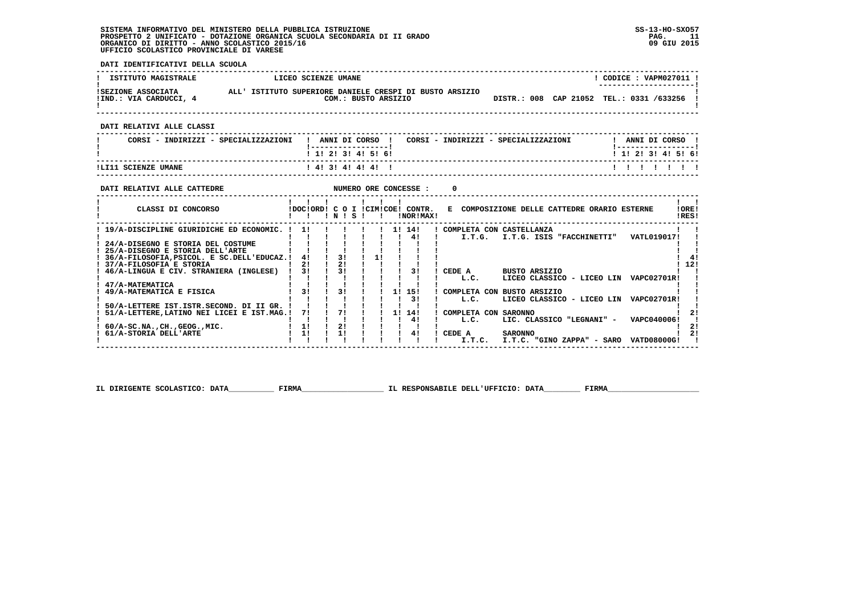**DATI IDENTIFICATIVI DELLA SCUOLA**

| <b>ISTITUTO MAGISTRALE</b>                                                                                                          | LICEO SCIENZE UMANE          |                     |                              |                        |                        |                                                                          | ! CODICE : VAPM027011 !                                                |
|-------------------------------------------------------------------------------------------------------------------------------------|------------------------------|---------------------|------------------------------|------------------------|------------------------|--------------------------------------------------------------------------|------------------------------------------------------------------------|
| ISEZIONE ASSOCIATA                ALL' ISTITUTO SUPERIORE DANIELE CRESPI DI BUSTO ARSIZIO<br>!IND.: VIA CARDUCCI, 4                 |                              | COM.: BUSTO ARSIZIO |                              |                        |                        | DISTR.: 008 CAP 21052 TEL.: 0331 /633256 !                               |                                                                        |
| DATI RELATIVI ALLE CLASSI                                                                                                           |                              |                     |                              |                        |                        |                                                                          |                                                                        |
| CORSI - INDIRIZZI - SPECIALIZZAZIONI                                                                                                |                              |                     |                              |                        |                        | ! ANNI DI CORSO ! CORSI - INDIRIZZI - SPECIALIZZAZIONI ! ANNI DI CORSO ! |                                                                        |
| --------------------------------                                                                                                    |                              | ! 1! 2! 3! 4! 5! 6! |                              |                        |                        |                                                                          | <u> 1 - - - - - - - - - - - - - - - - 1</u><br>$1$ , 1! 2! 3! 4! 5! 6! |
|                                                                                                                                     |                              |                     |                              |                        |                        |                                                                          | 1111111                                                                |
| NUMERO ORE CONCESSE :<br>DATI RELATIVI ALLE CATTEDRE<br>------------------------------------                                        |                              |                     |                              |                        | $\Omega$               |                                                                          |                                                                        |
| CLASSI DI CONCORSO CONSIDERE IDOCIORDI CO I ICIMICOEI CONTR. E COMPOSIZIONE DELLE CATTEDRE ORARIO ESTERNE                           | 1 1 1 1 1 1 1                |                     |                              |                        |                        | -----------------------------                                            | $\mathbf{1}$ $\mathbf{1}$<br>!ORE!<br>!RES!                            |
| ! 19/A-DISCIPLINE GIURIDICHE ED ECONOMIC. ! 1! ! ! ! ! ! 1! 14! ! COMPLETA CON CASTELLANZA                                          |                              |                     |                              | 1 1 1 1 4 1 1          |                        | I.T.G. I.T.G. ISIS "FACCHINETTI" VATL019017!                             |                                                                        |
| ! 24/A-DISEGNO E STORIA DEL COSTUME<br>! 25/A-DISEGNO E STORIA DELL'ARTE<br>! 36/A-FILOSOFIA, PSICOL. E SC. DELL'EDUCAZ.! 4! ! 3! ! |                              |                     | 1!                           |                        |                        |                                                                          | 41                                                                     |
| ! 37/A-FILOSOFIA E STORIA                                                                                                           | $1 \quad 21$<br>$\mathbf{I}$ | 21                  |                              |                        |                        |                                                                          | 112!                                                                   |
| ! 46/A-LINGUA E CIV. STRANIERA (INGLESE) ! 3!                                                                                       |                              | 1 31 1 1 1 31       |                              |                        | L.C.                   | ! CEDE A BUSTO ARSIZIO<br>LICEO CLASSICO - LICEO LIN VAPC02701R!         |                                                                        |
| 47/A-MATEMATICA<br>1 31 1 31 1<br>49/A-MATEMATICA E FISICA                                                                          |                              |                     |                              | $1 \quad 1! \quad 15!$ |                        | ! COMPLETA CON BUSTO ARSIZIO                                             |                                                                        |
|                                                                                                                                     |                              |                     |                              | $\frac{1}{3}$          | L.C.                   | LICEO CLASSICO - LICEO LIN VAPC02701R!                                   |                                                                        |
| 50/A-LETTERE IST.ISTR.SECOND. DI II GR. ! ! ! ! ! !<br>! 51/A-LETTERE, LATINO NEI LICEI E IST.MAG. ! 7! ! 7! ! ! 1! 14!             |                              |                     | $\mathbf{I}$                 | $\mathbf{I}$           |                        |                                                                          |                                                                        |
|                                                                                                                                     |                              |                     | $1 \quad 1 \quad 1 \quad 41$ |                        | ! COMPLETA CON SARONNO | L.C. LIC. CLASSICO "LEGNANI" - VAPC040006!                               | 21                                                                     |
| $60/A-SC.NA.$ , CH., GEOG., MIC. $11$                                                                                               |                              | 21                  |                              |                        |                        |                                                                          | 21                                                                     |
| ! 61/A-STORIA DELL'ARTE                                                                                                             | $1 \quad 11$                 | 1!                  |                              | 41                     | ! CEDE A SARONNO       | I.T.C. I.T.C. "GINO ZAPPA" - SARO VATD08000G!                            | 2!                                                                     |
|                                                                                                                                     |                              |                     |                              |                        |                        |                                                                          |                                                                        |

 **IL DIRIGENTE SCOLASTICO: DATA\_\_\_\_\_\_\_\_\_\_ FIRMA\_\_\_\_\_\_\_\_\_\_\_\_\_\_\_\_\_\_ IL RESPONSABILE DELL'UFFICIO: DATA\_\_\_\_\_\_\_\_ FIRMA\_\_\_\_\_\_\_\_\_\_\_\_\_\_\_\_\_\_\_\_**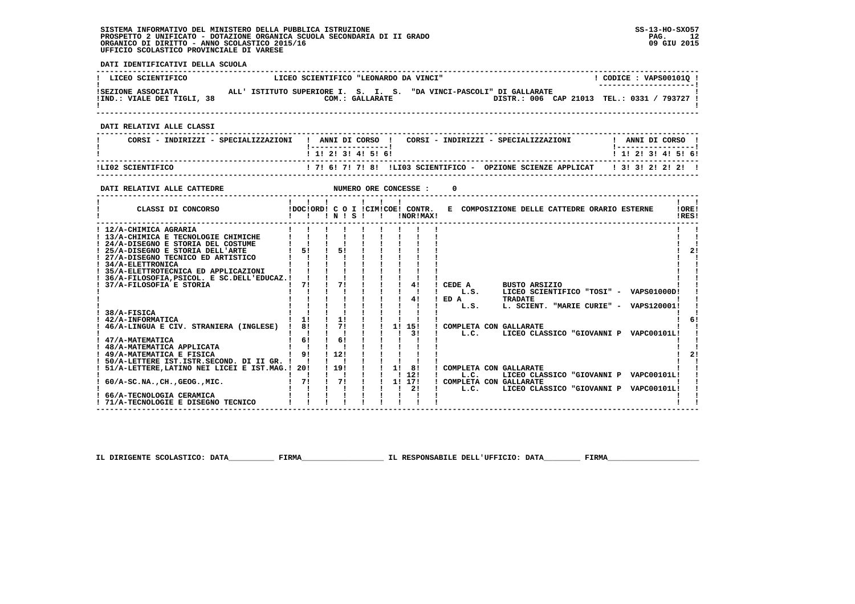**------------------------------------------------------------------------------------------------------------------------------------** $1$  CODICE : VAPS001010 I **EXECUENTIFICO E LICEO SCIENTIFICO "LEONARDO DA VINCI"** \_\_\_\_\_\_\_\_\_\_\_\_\_\_\_\_\_\_\_\_\_\_\_\_  **! ---------------------! !SEZIONE ASSOCIATA ALL' ISTITUTO SUPERIORE I. S. I. S. "DA VINCI-PASCOLI" DI GALLARATE ! !IND.: VIALE DEI TIGLI, 38 COM.: GALLARATE DISTR.: 006 CAP 21013 TEL.: 0331 / 793727 ! ! !** - 1  **------------------------------------------------------------------------------------------------------------------------------------ DATI RELATIVI ALLE CLASSI ------------------------------------------------------------------------------------------------------------------------------------**! ANNI DI CORSO !  **! CORSI - INDIRIZZI - SPECIALIZZAZIONI ! ANNI DI CORSO ! CORSI - INDIRIZZI - SPECIALIZZAZIONI ! ANNI DI CORSO !**\_\_\_\_\_\_\_\_\_\_\_\_\_\_\_\_\_\_\_\_\_\_  **! !-----------------! !-----------------!**1 1 2 2 1 3 1 4 1 5 1 6 1  **! ! 1! 2! 3! 4! 5! 6! ! 1! 2! 3! 4! 5! 6! ------------------------------------------------------------------------------------------------------------------------------------ !LI02 SCIENTIFICO ! 7! 6! 7! 7! 8! !LI03 SCIENTIFICO - OPZIONE SCIENZE APPLICAT ! 3! 3! 2! 2! 2! ! ------------------------------------------------------------------------------------------------------------------------------------DATI RELATIVI ALLE CATTEDRE NUMERO ORE CONCESSE : 0 ------------------------------------------------------------------------------------------------------------------------------------** $\mathbf{I}$   $\mathbf{I}$  **! ! ! ! ! ! ! ! !LORE!** CLASSI DI CONCORSO **8** | DOC!ORD! C O I !CIM!COE! CONTR. E COMPOSIZIONE DELLE CATTEDRE ORARIO ESTERNE IRES! **2 CLASSI DI CONCORSO 1 1 1 1 N 1 S 1 1 1 1 INORIMAX! ------------------------------------------------------------------------------------------------------------------------------------** $\blacksquare$ 1 12/A-CHIMICA AGRARIA<br>
1 13/A-CHIMICA AGRARIA<br>
1 24/A-DISEGNO E STORIA DEL COSTUME<br>
1 25/A-DISEGNO E STORIA DEL COSTUME<br>
1 27/A-DISEGNO E STORIA DELL'ARTE<br>
1 27/A-DISEGNO E STORIA DELL'ARTE<br>
1 21/4/A-ELETTRONICA<br>
1 21/4/A  $\blacksquare$  $1 \quad 21$  $\blacksquare$  $\blacksquare$  **! 35/A-ELETTROTECNICA ED APPLICAZIONI ! ! ! ! ! ! ! ! ! ! ! ! 36/A-FILOSOFIA,PSICOL. E SC.DELL'EDUCAZ.! ! ! ! ! ! ! ! ! ! ! ! 37/A-FILOSOFIA E STORIA ! 7! ! 7! ! ! ! 4! ! CEDE A BUSTO ARSIZIO ! ! ! ! ! ! ! ! ! ! ! ! L.S. LICEO SCIENTIFICO "TOSI" - VAPS01000D! ! ! ! ! ! ! ! ! ! 4! ! ED A TRADATE ! ! ! ! ! ! ! ! ! ! ! ! L.S. L. SCIENT. "MARIE CURIE" - VAPS120001! !**- 1  **! 38/A-FISICA ! ! ! ! ! ! ! ! ! ! !** $1<sub>61</sub>$  **! 42/A-INFORMATICA ! 1! ! 1! ! ! ! ! ! ! 6! ! 46/A-LINGUA E CIV. STRANIERA (INGLESE) ! 8! ! 7! ! ! 1! 15! ! COMPLETA CON GALLARATE ! ! ! ! ! ! ! ! ! ! 3! ! L.C. LICEO CLASSICO "GIOVANNI P VAPC00101L! ! ! 47/A-MATEMATICA ! 6! ! 6! ! ! ! ! ! ! !**- 1  $\blacksquare$  **! 48/A-MATEMATICA APPLICATA ! ! ! ! ! ! ! ! ! ! ! ! 49/A-MATEMATICA E FISICA ! 9! ! 12! ! ! ! ! ! ! 2! ! 50/A-LETTERE IST.ISTR.SECOND. DI II GR. ! ! ! ! ! ! ! ! ! ! ! ! 51/A-LETTERE,LATINO NEI LICEI E IST.MAG.! 20! ! 19! ! ! 1! 8! ! COMPLETA CON GALLARATE ! ! ! ! ! ! ! ! ! ! 12! ! L.C. LICEO CLASSICO "GIOVANNI P VAPC00101L! ! ! 60/A-SC.NA.,CH.,GEOG.,MIC. ! 7! ! 7! ! ! 1! 17! ! COMPLETA CON GALLARATE ! !** $2!$  $\blacksquare$  **! ! ! ! ! ! ! ! 2! ! L.C. LICEO CLASSICO "GIOVANNI P VAPC00101L!**<br> **1 66/A-TECNOLOGIA CERAMICA**  $\mathbf{I}$  **! 66/A-TECNOLOGIA CERAMICA ! ! ! ! ! ! ! ! ! ! !** $\mathbf{I}$ **1 71/A-TECNOLOGIE E DISEGNO TECNICO** 

 **IL DIRIGENTE SCOLASTICO: DATA\_\_\_\_\_\_\_\_\_\_ FIRMA\_\_\_\_\_\_\_\_\_\_\_\_\_\_\_\_\_\_ IL RESPONSABILE DELL'UFFICIO: DATA\_\_\_\_\_\_\_\_ FIRMA\_\_\_\_\_\_\_\_\_\_\_\_\_\_\_\_\_\_\_\_**

 **------------------------------------------------------------------------------------------------------------------------------------**

 **DATI IDENTIFICATIVI DELLA SCUOLA**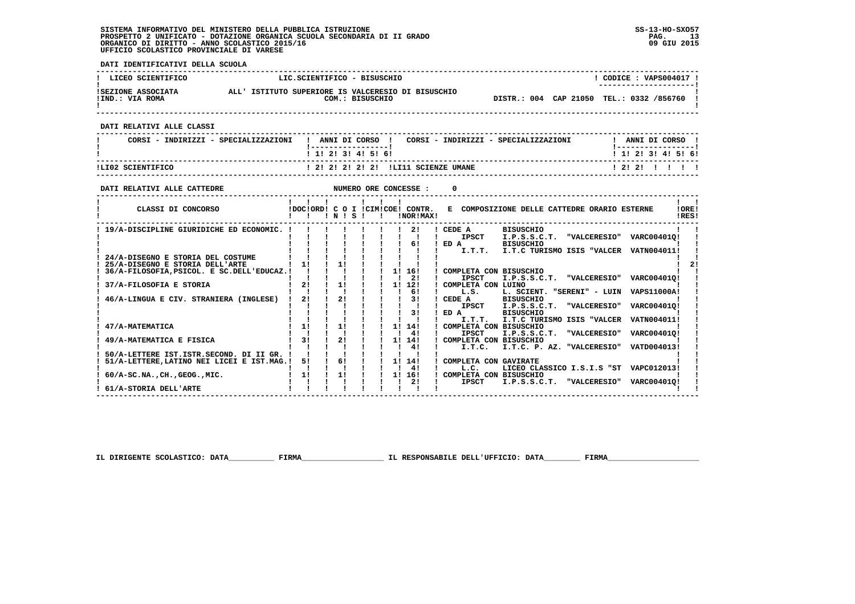**DATI IDENTIFICATIVI DELLA SCUOLA**

| LICEO SCIENTIFICO                                                                                                                                                                             |                                                                | LIC.SCIENTIFICO - BISUSCHIO                    |                      |                                                                                                                          |                                                                                                                               | ! CODICE : VAPS004017 !                     |
|-----------------------------------------------------------------------------------------------------------------------------------------------------------------------------------------------|----------------------------------------------------------------|------------------------------------------------|----------------------|--------------------------------------------------------------------------------------------------------------------------|-------------------------------------------------------------------------------------------------------------------------------|---------------------------------------------|
| ISEZIONE ASSOCIATA ALL' ISTITUTO SUPERIORE IS VALCERESIO DI BISUSCHIO<br>!IND.: VIA ROMA                                                                                                      |                                                                | COM.: BISUSCHIO                                |                      |                                                                                                                          | DISTR.: 004 CAP 21050 TEL.: 0332 /856760 !                                                                                    |                                             |
| DATI RELATIVI ALLE CLASSI                                                                                                                                                                     |                                                                |                                                |                      |                                                                                                                          |                                                                                                                               |                                             |
| CORSI - INDIRIZZI - SPECIALIZZAZIONI   ANNI DI CORSO   CORSI - INDIRIZZI - SPECIALIZZAZIONI     ANNI DI CORSO                                                                                 |                                                                |                                                |                      |                                                                                                                          |                                                                                                                               | <u> 1 - - - - - - - - - - - - - - - - 1</u> |
|                                                                                                                                                                                               |                                                                | ! 1! 2! 3! 4! 5! 6!                            |                      |                                                                                                                          | -----------------------------------                                                                                           | 1 1 2 3 3 4 5 6 6                           |
| ILI02 SCIENTIFICO                                                                                                                                                                             |                                                                |                                                |                      | ! 2! 2! 2! 2! 2! !LI11 SCIENZE UMANE                                                                                     |                                                                                                                               | 1 2 1 2 1 1 1 1 1                           |
| DATI RELATIVI ALLE CATTEDRE                                                                                                                                                                   |                                                                |                                                |                      |                                                                                                                          |                                                                                                                               |                                             |
| CLASSI DI CONCORSO                        !DOC!ORD! C O I !CIM!COE! CONTR.   E COMPOSIZIONE DELLE CATTEDRE ORARIO ESTERNE                                                                     |                                                                | 1 1 1 1 1 1 1                                  |                      |                                                                                                                          |                                                                                                                               | $\mathbf{1}$ $\mathbf{1}$<br>IOREI<br>!RES! |
| ! 19/A-DISCIPLINE GIURIDICHE ED ECONOMIC. !!!!!!!!!!!!! CEDE A                                                                                                                                |                                                                |                                                |                      |                                                                                                                          | BISUSCHIO<br>IPSCT I.P.S.S.C.T. "VALCERESIO" VARC004010!<br>BISUSCHIO                                                         |                                             |
| ! 25/A-DISEGNO E STORIA DELL'ARTE                                                                                                                                                             |                                                                |                                                |                      |                                                                                                                          |                                                                                                                               | 2!                                          |
| 37/A-FILOSOFIA E STORIA                                                                                                                                                                       |                                                                | $1$ 2! $1$ 1! $1$ 1 1! 12!<br>1 1 1 1 1 1 1 61 |                      | ! COMPLETA CON LUINO                                                                                                     |                                                                                                                               |                                             |
| 46/A-LINGUA E CIV. STRANIERA (INGLESE) ! 2! ! 2! ! ! ! 3!                                                                                                                                     |                                                                | 1 1 1 1 1 31                                   |                      | $\blacksquare$ .s.<br>ICEDE A<br>$!$ ED A                                                                                | L. SCIENT. "SERENI" - LUIN VAPS11000A!<br><b>BISUSCHIO</b><br>IPSCT I.P.S.S.C.T. "VALCERESIO" VARC004010!<br><b>BISUSCHIO</b> |                                             |
| 47/A-MATEMATICA                                                                                                                                                                               | $\begin{array}{ccccccccccccccccc}\n1 & 1 & 1 & 1\n\end{array}$ |                                                | $1 \quad 1 \quad 41$ | I.T.T.<br>! COMPLETA CON BISUSCHIO<br><b>Contract Contract Contract</b><br><b>IPSCT</b>                                  | I.T.C TURISMO ISIS "VALCER VATN004011!<br>I.P.S.S.C.T. "VALCERESIO"                                                           | VARC004010!                                 |
| 49/A-MATEMATICA E FISICA                                                                                                                                                                      |                                                                |                                                |                      | $1 \quad 31 \quad 1 \quad 21 \quad 1 \quad 11 \quad 141 \quad 1$ COMPLETA CON BISUSCHIO<br>$\mathbf{1}$ and $\mathbf{1}$ | I.T.C. I.T.C. P. AZ. "VALCERESIO" VATD004013!                                                                                 |                                             |
| 50/A-LETTERE IST.ISTR.SECOND. DI II GR. ! ! ! ! ! ! ! ! ! 4!<br>51/A-LETTERE IST.ISTR.SECOND. DI II GR. ! ! ! ! ! ! ! ! ! ! !<br>51/A-LETTERE,LATINO NEI LICEI E IST.MAG.! 5! ! 6! ! ! 1! 14! |                                                                | $1 \t1 \t1 \t1 \t1 \t1 \t1$                    |                      | ! COMPLETA CON GAVIRATE<br><b>The Common</b><br>L.C.                                                                     | LICEO CLASSICO I.S.I.S "ST VAPC012013!                                                                                        |                                             |
| $60/A$ -SC.NA., CH., GEOG., MIC.                                                                                                                                                              |                                                                |                                                | $\frac{1}{2}$        | ! 1! ! ! ! ! 1! 16! ! COMPLETA CON BISUSCHIO<br><b>IPSCT</b>                                                             | I.P.S.S.C.T. "VALCERESIO" VARC004010!                                                                                         |                                             |
| ! 61/A-STORIA DELL'ARTE                                                                                                                                                                       |                                                                |                                                |                      |                                                                                                                          |                                                                                                                               |                                             |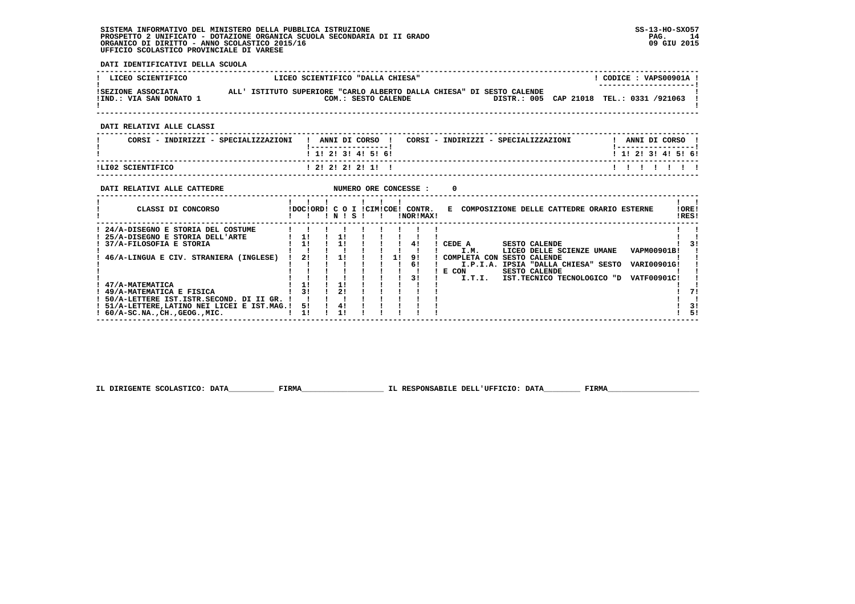**DATI IDENTIFICATIVI DELLA SCUOLA**

| LICEO SCIENTIFICO                                                                                                                                                                                                      | LICEO SCIENTIFICO "DALLA CHIESA"<br>! CODICE : VAPS00901A !                                                                                                                                                                                                              |                                   |
|------------------------------------------------------------------------------------------------------------------------------------------------------------------------------------------------------------------------|--------------------------------------------------------------------------------------------------------------------------------------------------------------------------------------------------------------------------------------------------------------------------|-----------------------------------|
| ! IND.: VIA SAN DONATO 1                                                                                                                                                                                               | !SEZIONE ASSOCIATA ALL'ISTITUTO SUPERIORE "CARLO ALBERTO DALLA CHIESA" DI SESTO CALENDE<br>COM.: SESTO CALENDE <b>DISTR.: 005</b> CAP 21018 TEL.: 0331 /921063 !                                                                                                         |                                   |
| DATI RELATIVI ALLE CLASSI                                                                                                                                                                                              | ----------------                                                                                                                                                                                                                                                         |                                   |
| CORSI - INDIRIZZI - SPECIALIZZAZIONI                                                                                                                                                                                   | ! ANNI DI CORSO ! CORSI - INDIRIZZI - SPECIALIZZAZIONI         ! ANNI DI CORSO !<br>! 1! 2! 3! 4! 5! 6!<br>1 1 2 2 1 3 1 4 1 5 1 6 1                                                                                                                                     |                                   |
| ILI02 SCIENTIFICO <b>ANDERESSE EN 1999</b>                                                                                                                                                                             | 12!2!2!2!1!1!<br>1 1 1 1 1 1 1                                                                                                                                                                                                                                           |                                   |
| DATI RELATIVI ALLE CATTEDRE <b>ALLE CONCRANGE ASSESSE</b> : 0                                                                                                                                                          | $\mathbf{1}$ $\mathbf{1}$<br>CLASSI DI CONCORSO (DOCIORDI C O I ICIMICOE! CONTR. E COMPOSIZIONE DELLE CATTEDRE ORARIO ESTERNE<br>!ORE!<br>IRES!                                                                                                                          |                                   |
| ! 24/A-DISEGNO E STORIA DEL COSTUME   ! ! ! ! ! ! ! ! ! !<br>! 50/A-LETTERE IST. ISTR. SECOND. DI II GR. ! ! ! !<br>! 51/A-LETTERE, LATINO NEI LICEI E IST.MAG.! 5! ! 4!<br>$: 60/A-SC.NA.$ , $CH.$ , $GEOG.$ , $MIC.$ | I.M. LICEO DELLE SCIENZE UMANE VAPM00901B!<br>1 1 1 1 1 61<br>I.P.I.A. IPSIA "DALLA CHIESA" SESTO VARI00901G!<br>! E CON SESTO CALENDE<br>$\frac{1}{2}$ $\frac{1}{2}$ $\frac{1}{2}$ $\frac{3}{2}$<br>I.T.I. IST.TECNICO TECNOLOGICO "D VATF00901C!<br>11<br>$1 \quad 11$ | $\overline{31}$<br>71<br>3!<br>51 |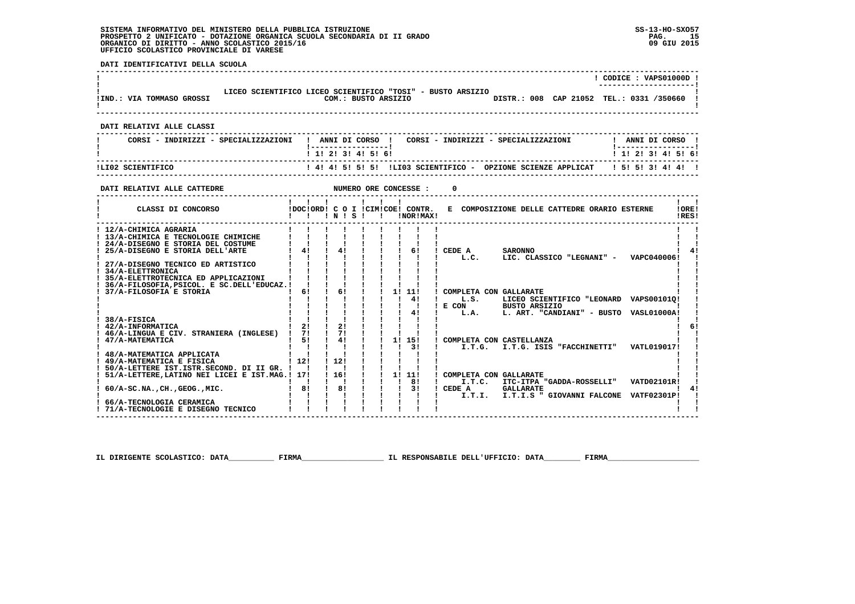**DATI IDENTIFICATIVI DELLA SCUOLA**

|                                                                                                                                                                                                                                                                                                                                                                                                                                             |                                                                                                |                                                                                      |                                                                                  |                                                                                          |                                                                                |                                                                                                                                                                     | ! CODICE: VAPS01000D !                   |                                             |
|---------------------------------------------------------------------------------------------------------------------------------------------------------------------------------------------------------------------------------------------------------------------------------------------------------------------------------------------------------------------------------------------------------------------------------------------|------------------------------------------------------------------------------------------------|--------------------------------------------------------------------------------------|----------------------------------------------------------------------------------|------------------------------------------------------------------------------------------|--------------------------------------------------------------------------------|---------------------------------------------------------------------------------------------------------------------------------------------------------------------|------------------------------------------|---------------------------------------------|
| LICEO SCIENTIFICO LICEO SCIENTIFICO "TOSI" - BUSTO ARSIZIO<br>! IND.: VIA TOMMASO GROSSI                                                                                                                                                                                                                                                                                                                                                    |                                                                                                |                                                                                      |                                                                                  |                                                                                          |                                                                                | COM.: BUSTO ARSIZIO DISTR.: 008 CAP 21052 TEL.: 0331 /350660 !                                                                                                      |                                          |                                             |
| DATI RELATIVI ALLE CLASSI                                                                                                                                                                                                                                                                                                                                                                                                                   |                                                                                                |                                                                                      |                                                                                  |                                                                                          |                                                                                |                                                                                                                                                                     |                                          |                                             |
| CORSI - INDIRIZZI - SPECIALIZZAZIONI                                                                                                                                                                                                                                                                                                                                                                                                        |                                                                                                |                                                                                      |                                                                                  |                                                                                          |                                                                                | ! ANNI DI CORSO ! CORSI - INDIRIZZI - SPECIALIZZAZIONI                                                                                                              | ! ANNI DI CORSO !                        |                                             |
|                                                                                                                                                                                                                                                                                                                                                                                                                                             |                                                                                                | 1 1 1 2 1 3 1 4 1 5 1 6 1                                                            |                                                                                  |                                                                                          |                                                                                |                                                                                                                                                                     | 1 1 1 2 1 3 1 4 1 5 1 6 1                |                                             |
| ILI02 SCIENTIFICO                                                                                                                                                                                                                                                                                                                                                                                                                           |                                                                                                |                                                                                      |                                                                                  |                                                                                          |                                                                                | ! 4! 4! 5! 5! 5! !LIO3 SCIENTIFICO - OPZIONE SCIENZE APPLICAT   5! 5! 3! 4! 4! !                                                                                    |                                          |                                             |
| DATI RELATIVI ALLE CATTEDRE                                                                                                                                                                                                                                                                                                                                                                                                                 |                                                                                                |                                                                                      | NUMERO ORE CONCESSE :                                                            |                                                                                          | $\Omega$                                                                       |                                                                                                                                                                     |                                          |                                             |
| CLASSI DI CONCORSO                                                                                                                                                                                                                                                                                                                                                                                                                          |                                                                                                | $1$ $1$ $1$ $1$ $1$ $1$<br>!DOC!ORD! C O I !CIM!COE! CONTR.<br>!!!!!!!!!!!           |                                                                                  | INORIMAXI                                                                                |                                                                                | E COMPOSIZIONE DELLE CATTEDRE ORARIO ESTERNE                                                                                                                        |                                          | $\mathbf{I}$ $\mathbf{I}$<br>!ORE!<br>!RES! |
| ! 12/A-CHIMICA AGRARIA<br>! 13/A-CHIMICA E TECNOLOGIE CHIMICHE<br>! 24/A-DISEGNO E STORIA DEL COSTUME<br>! 25/A-DISEGNO E STORIA DELL'ARTE<br>! 27/A-DISEGNO TECNICO ED ARTISTICO<br>! 34/A-ELETTRONICA<br>! 35/A-ELETTROTECNICA ED APPLICAZIONI<br>! 36/A-FILOSOFIA, PSICOL. E SC. DELL'EDUCAZ.! !<br>! 37/A-FILOSOFIA E STORIA<br>38/A-FISICA<br>! 42/A-INFORMATICA<br>! 46/A-LINGUA E CIV. STRANIERA (INGLESE) ! 7!<br>! 47/A-MATEMATICA | $1 \quad 1 \quad 1 \quad 1$<br>$1 \quad 41 \quad 1 \quad 41$<br>$1-6!$<br>$1 \quad 21$<br>1.51 | $\sqrt{1}$ 61<br>21<br>$1 \quad 71$<br>41                                            | $\mathbf{I}$ $\mathbf{I}$                                                        | <b>Contract Contract</b><br>1!11!<br>4!<br>$\mathbf{I}$ and $\mathbf{I}$<br>4!<br>11 151 | !! 6! ! CEDE A SARONNO<br>COMPLETA CON GALLARATE<br>! COMPLETA CON CASTELLANZA | ! L.C. LIC. CLASSICO "LEGNANI" - VAPC040006!<br>L.S. LICEO SCIENTIFICO "LEONARD VAPS001010!<br>! E CON BUSTO ARSIZIO<br>L.A. L. ART. "CANDIANI" - BUSTO VASL01000A! |                                          | 41<br>6!                                    |
| 48/A-MATEMATICA APPLICATA<br>! 49/A-MATEMATICA E FISICA<br>! 50/A-LETTERE IST.ISTR.SECOND. DI II GR. !!<br>! 51/A-LETTERE, LATINO NEI LICEI E IST. MAG. ! 17!<br>$1.60/A-SC.NA.$ , $CH.$ , $GEOG.$ , $MIC.$<br>66/A-TECNOLOGIA CERAMICA<br>! 71/A-TECNOLOGIE E DISEGNO TECNICO                                                                                                                                                              | $\mathbf{I}$<br>1121<br>$\mathbf{1}$ $\mathbf{1}$<br>181                                       | 1 1 2 1<br>$\mathbf{I}$ $\mathbf{I}$<br>1 16 1<br>1 1 1 1 1 8 !<br>$\overline{1}$ 81 | $1 \quad 1 \quad 1111$<br>$\begin{array}{cccccccc}\n1 & 1 & 1 & 31\n\end{array}$ | $\frac{1}{3}$                                                                            | ! COMPLETA CON GALLARATE<br>! CEDE A                                           | I.T.G. I.T.G. ISIS "FACCHINETTI"<br>! I.T.C. ITC-ITPA "GADDA-ROSSELLI"<br><b>GALLARATE</b><br>I.T.I. I.T.I.S " GIOVANNI FALCONE VATF02301P!                         | <b>VATL019017!</b><br><b>VATD02101R!</b> |                                             |

 **IL DIRIGENTE SCOLASTICO: DATA\_\_\_\_\_\_\_\_\_\_ FIRMA\_\_\_\_\_\_\_\_\_\_\_\_\_\_\_\_\_\_ IL RESPONSABILE DELL'UFFICIO: DATA\_\_\_\_\_\_\_\_ FIRMA\_\_\_\_\_\_\_\_\_\_\_\_\_\_\_\_\_\_\_\_**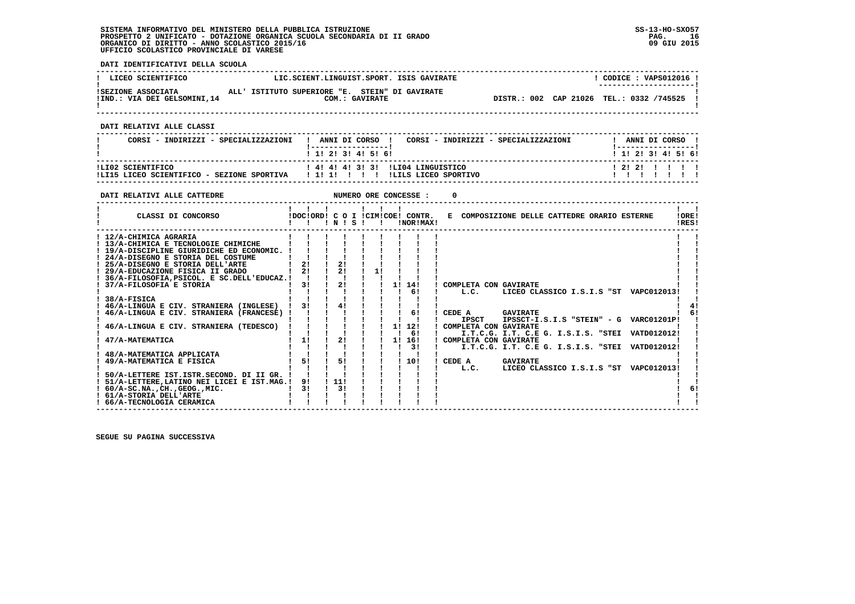**DATI IDENTIFICATIVI DELLA SCUOLA**

| ! LICEO SCIENTIFICO          | LIC.SCIENT.LINGUIST.SPORT. ISIS GAVIRATE       | CODICE: VAPS012016 !                     |
|------------------------------|------------------------------------------------|------------------------------------------|
|                              |                                                | ---------------------                    |
| ISEZIONE ASSOCIATA           | ALL' ISTITUTO SUPERIORE "E. STEIN" DI GAVIRATE |                                          |
| !IND.: VIA DEI GELSOMINI, 14 | COM.: GAVIRATE                                 | DISTR.: 002 CAP 21026 TEL.: 0332 /745525 |
|                              |                                                |                                          |

 **------------------------------------------------------------------------------------------------------------------------------------**

 **DATI RELATIVI ALLE CLASSI**

| CORSI - INDIRIZZI - SPECIALIZZAZIONI                            | ! ANNI DI CORSO !<br>CORSI - INDIRIZZI - SPECIALIZZAZIONI<br>1 1 2 3 3 4 5 6 1 | ANNI DI CORSO<br>1 1 1 2 1 3 1 4 1 5 1 6 1 |
|-----------------------------------------------------------------|--------------------------------------------------------------------------------|--------------------------------------------|
| ILI02 SCIENTIFICO<br>!LI15 LICEO SCIENTIFICO - SEZIONE SPORTIVA | ! 4! 4! 4! 3! 3! ILIO4 LINGUISTICO<br>ILILS LICEO SPORTIVO<br>1111111          | 1 2 1 2 1 1 1 1 1                          |

 **------------------------------------------------------------------------------------------------------------------------------------**

| DATI RELATIVI ALLE CATTEDRE                                                                                                                                                                                                                                                                                                                                                                                                                                                                                                                                                                                                                                                |                                              |                 |                                        |    | NUMERO ORE CONCESSE :                                       |                                                                                                                                 |                                                                                                                                          |  |                                                                                                                            |                |
|----------------------------------------------------------------------------------------------------------------------------------------------------------------------------------------------------------------------------------------------------------------------------------------------------------------------------------------------------------------------------------------------------------------------------------------------------------------------------------------------------------------------------------------------------------------------------------------------------------------------------------------------------------------------------|----------------------------------------------|-----------------|----------------------------------------|----|-------------------------------------------------------------|---------------------------------------------------------------------------------------------------------------------------------|------------------------------------------------------------------------------------------------------------------------------------------|--|----------------------------------------------------------------------------------------------------------------------------|----------------|
| CLASSI DI CONCORSO                                                                                                                                                                                                                                                                                                                                                                                                                                                                                                                                                                                                                                                         |                                              |                 | 1 N 1 S 1                              |    | IDOCIORDI C O I ICIMICOEI CONTR.<br>!NOR!MAX!               |                                                                                                                                 | E COMPOSIZIONE DELLE CATTEDRE ORARIO ESTERNE                                                                                             |  |                                                                                                                            | !ORE!<br>!RES! |
| ! 12/A-CHIMICA AGRARIA<br>! 13/A-CHIMICA E TECNOLOGIE CHIMICHE<br>! 19/A-DISCIPLINE GIURIDICHE ED ECONOMIC.<br>! 24/A-DISEGNO E STORIA DEL COSTUME<br>25/A-DISEGNO E STORIA DELL'ARTE<br>! 29/A-EDUCAZIONE FISICA II GRADO<br>36/A-FILOSOFIA, PSICOL. E SC.DELL'EDUCAZ.!<br>37/A-FILOSOFIA E STORIA<br>38/A-FISICA<br>! 46/A-LINGUA E CIV. STRANIERA (INGLESE)<br>46/A-LINGUA E CIV. STRANIERA (FRANCESE) !<br>46/A-LINGUA E CIV. STRANIERA (TEDESCO)<br>47/A-MATEMATICA<br>48/A-MATEMATICA APPLICATA<br>49/A-MATEMATICA E FISICA<br>50/A-LETTERE IST.ISTR.SECOND. DI II GR.<br>! 51/A-LETTERE, LATINO NEI LICEI E IST.MAG.!<br>$: 60/A-SC.NA.$ , $CH.$ , $GEOG.$ , $MIC.$ | 21<br>21<br>31<br>31<br>11<br>51<br>91<br>31 | $\frac{1}{111}$ | 21<br>21<br>21<br>41<br>21<br>51<br>31 | 11 | 11 141<br>61<br>61<br>11 121<br>61<br>11 161<br>-31<br>110! | COMPLETA CON GAVIRATE<br>L.C.<br>CEDE A<br><b>IPSCT</b><br>! COMPLETA CON GAVIRATE<br>! COMPLETA CON GAVIRATE<br>CEDE A<br>L.C. | <b>GAVIRATE</b><br>I.T.C.G. I.T. C.E G. I.S.I.S. "STEI VATD012012!<br>I.T.C.G. I.T. C.E G. I.S.I.S. "STEI VATD012012!<br><b>GAVIRATE</b> |  | LICEO CLASSICO I.S.I.S "ST VAPC012013!<br>IPSSCT-I.S.I.S "STEIN" - G VARC01201P!<br>LICEO CLASSICO I.S.I.S "ST VAPC012013! |                |
| ! 61/A-STORIA DELL'ARTE<br>! 66/A-TECNOLOGIA CERAMICA                                                                                                                                                                                                                                                                                                                                                                                                                                                                                                                                                                                                                      |                                              |                 |                                        |    |                                                             |                                                                                                                                 |                                                                                                                                          |  |                                                                                                                            |                |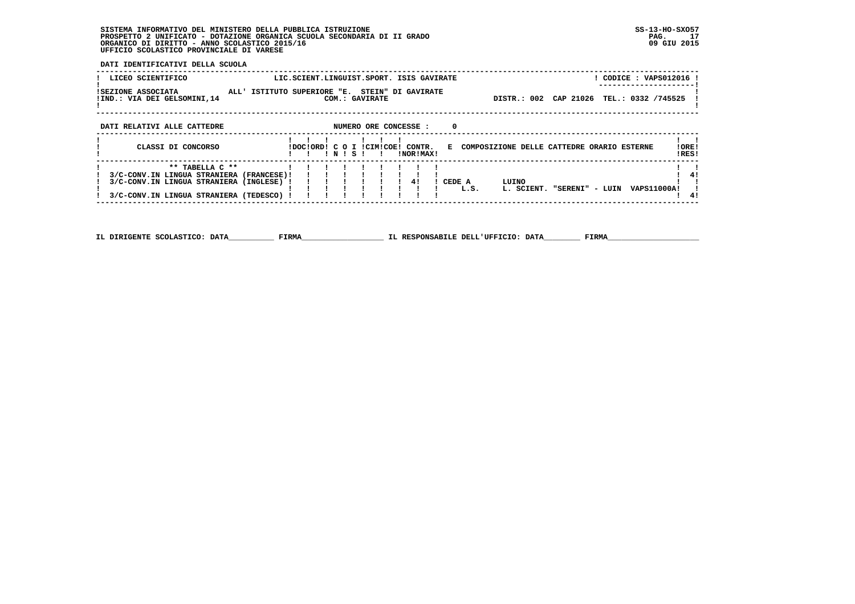**DATI IDENTIFICATIVI DELLA SCUOLA**

| LICEO SCIENTIFICO                                  | LIC.SCIENT.LINGUIST.SPORT. ISIS GAVIRATE                         | CODICE: VAPS012016 !<br>---------------------                    |
|----------------------------------------------------|------------------------------------------------------------------|------------------------------------------------------------------|
| ISEZIONE ASSOCIATA<br>!IND.: VIA DEI GELSOMINI, 14 | ALL' ISTITUTO SUPERIORE "E. STEIN" DI GAVIRATE<br>COM.: GAVIRATE | DISTR.: 002 CAP 21026 TEL.: 0332 /745525                         |
| DATI RELATIVI ALLE CATTEDRE                        | NUMERO ORE CONCESSE :                                            | 0                                                                |
| CLASSI DI CONCORSO                                 | IDOCIORDI C O I ICIMICOEI CONTR.<br>INORIMAXI<br>$+$ 1 $S$ $+$   | ! ORE !<br>E COMPOSIZIONE DELLE CATTEDRE ORARIO ESTERNE<br>!RES! |

| 3/C-CONV.IN LINGUA STRANIERA (FRANCESE)!!!!!!!!!!         |   |  |  |  |        |                                           |  |
|-----------------------------------------------------------|---|--|--|--|--------|-------------------------------------------|--|
| ! 3/C-CONV.IN LINGUA STRANIERA (INGLESE) ! ! ! ! ! ! ! 4! |   |  |  |  | CEDE A | LUINO                                     |  |
|                                                           | . |  |  |  | L.S.   | "SERENI" - LUIN VAPS11000A!<br>L. SCIENT. |  |
| $\pm$ 3/C-CONV.IN LINGUA STRANIERA (TEDESCO) !!!!!!!!!!!! |   |  |  |  |        |                                           |  |
|                                                           |   |  |  |  |        |                                           |  |

 **------------------------------------------------------------------------------------------------------------------------------------**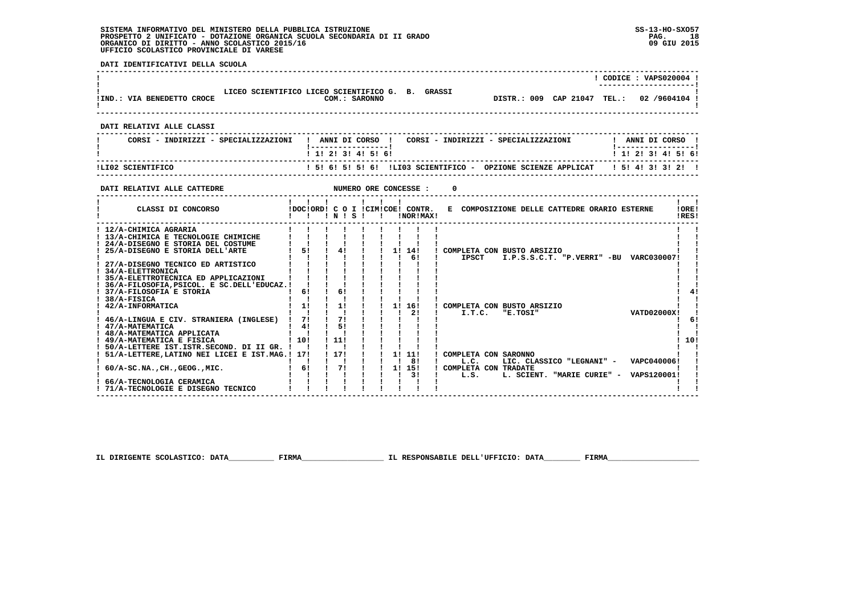**! 71/A-TECNOLOGIE E DISEGNO TECNICO ! ! ! ! ! ! ! ! ! ! !**

 $\mathbf{I}$ 

 **DATI IDENTIFICATIVI DELLA SCUOLA ------------------------------------------------------------------------------------------------------------------------------------ ! ! CODICE : VAPS020004 ! ! ---------------------!1** LICEO SCIENTIFICO LICEO SCIENTIFICO COM.: SARONNO<br> **EXECUTE:** VIA BENEDETTO CROCE COM.: SARONNO  **!IND.: VIA BENEDETTO CROCE COM.: SARONNO DISTR.: 009 CAP 21047 TEL.: 02 /9604104 !** $\blacksquare$  **! ! ------------------------------------------------------------------------------------------------------------------------------------ DATI RELATIVI ALLE CLASSI ------------------------------------------------------------------------------------------------------------------------------------**I ANNI DI CORSO I  **! CORSI - INDIRIZZI - SPECIALIZZAZIONI ! ANNI DI CORSO ! CORSI - INDIRIZZI - SPECIALIZZAZIONI ! ANNI DI CORSO !**\_\_\_\_\_\_\_\_\_\_\_\_\_\_\_\_\_\_\_\_\_\_  **! !-----------------! !-----------------!**1 1 2 2 1 3 1 4 1 5 1 6 1  **! ! 1! 2! 3! 4! 5! 6! ! 1! 2! 3! 4! 5! 6! ------------------------------------------------------------------------------------------------------------------------------------ !LI02 SCIENTIFICO ! 5! 6! 5! 5! 6! !LI03 SCIENTIFICO - OPZIONE SCIENZE APPLICAT ! 5! 4! 3! 3! 2! ! ------------------------------------------------------------------------------------------------------------------------------------DATI RELATIVI ALLE CATTEDRE NUMERO ORE CONCESSE : 0 ------------------------------------------------------------------------------------------------------------------------------------** $\mathbf{I}$   $\mathbf{I}$  **! ! ! ! ! ! ! ! !IORE! ! CLASSI DI CONCORSO !DOC!ORD! C O I !CIM!COE! CONTR. E COMPOSIZIONE DELLE CATTEDRE ORARIO ESTERNE !ORE!**IRES! **2 CLASSI DI CONCORSO 1 1 1 1 N 1 S ! 1 INORIMAX! ------------------------------------------------------------------------------------------------------------------------------------ ! 12/A-CHIMICA AGRARIA ! ! ! ! ! ! ! ! ! ! ! ! 13/A-CHIMICA E TECNOLOGIE CHIMICHE ! ! ! ! ! ! ! ! ! ! ! ! 24/A-DISEGNO E STORIA DEL COSTUME ! ! ! ! ! ! ! ! ! ! ! ! 25/A-DISEGNO E STORIA DELL'ARTE ! 5! ! 4! ! ! 1! 14! ! COMPLETA CON BUSTO ARSIZIO ! ! ! ! ! ! ! ! ! ! 6! ! IPSCT I.P.S.S.C.T. "P.VERRI" -BU VARC030007! ! ! 27/A-DISEGNO TECNICO ED ARTISTICO ! ! ! ! ! ! ! ! ! ! !** $\blacksquare$  $\sim$  1  $\sim$  1  $\blacksquare$  $\blacksquare$  $\overline{\phantom{a}}$  **! 34/A-ELETTRONICA ! ! ! ! ! ! ! ! ! ! ! ! 35/A-ELETTROTECNICA ED APPLICAZIONI ! ! ! ! ! ! ! ! ! ! ! ! 36/A-FILOSOFIA,PSICOL. E SC.DELL'EDUCAZ.! ! ! ! ! ! ! ! ! ! !** $\blacksquare$  $\mathbf{I}$  $41$  **! 37/A-FILOSOFIA E STORIA ! 6! ! 6! ! ! ! ! ! ! 4!** $\mathbf{I}$  **! 38/A-FISICA ! ! ! ! ! ! ! ! ! ! ! ! 42/A-INFORMATICA ! 1! ! 1! ! ! 1! 16! ! COMPLETA CON BUSTO ARSIZIO ! ! ! ! ! ! ! ! ! ! 2! ! I.T.C. "E.TOSI" VATD02000X! !**VATD02000X1 1  $1<sub>61</sub>$  **! 46/A-LINGUA E CIV. STRANIERA (INGLESE) ! 7! ! ?! ! ! ! ! ! ! !**<br>! 47/A-MATEMATICA  $\blacksquare$  **! 47/A-MATEMATICA ! 4! ! 5! ! ! ! ! ! ! ! ! 48/A-MATEMATICA APPLICATA ! ! ! ! ! ! ! ! ! ! !**- 1  $1101$  **! 49/A-MATEMATICA E FISICA ! 10! ! 11! ! ! ! ! ! ! 10! ! 50/A-LETTERE IST.ISTR.SECOND. DI II GR. ! ! ! ! ! ! ! ! ! ! ! ! 51/A-LETTERE,LATINO NEI LICEI E IST.MAG.! 17! ! 17! ! ! 1! 11! ! COMPLETA CON SARONNO ! ! ! ! ! ! ! ! ! ! 8! ! L.C. LIC. CLASSICO "LEGNANI" - VAPC040006! !** $\mathbf{1}$   $\mathbf{1}$  $\mathbf{I}$  **! 60/A-SC.NA.,CH.,GEOG.,MIC. ! 6! ! 7! ! ! 1! 15! ! COMPLETA CON TRADATE ! !** $\blacksquare$  **! ! ! ! ! ! ! ! 3! ! L.S. L. SCIENT. "MARIE CURIE" - VAPS120001! ! ! 66/A-TECNOLOGIA CERAMICA ! ! ! ! ! ! ! ! ! ! !** $\blacksquare$ 

 **IL DIRIGENTE SCOLASTICO: DATA\_\_\_\_\_\_\_\_\_\_ FIRMA\_\_\_\_\_\_\_\_\_\_\_\_\_\_\_\_\_\_ IL RESPONSABILE DELL'UFFICIO: DATA\_\_\_\_\_\_\_\_ FIRMA\_\_\_\_\_\_\_\_\_\_\_\_\_\_\_\_\_\_\_\_**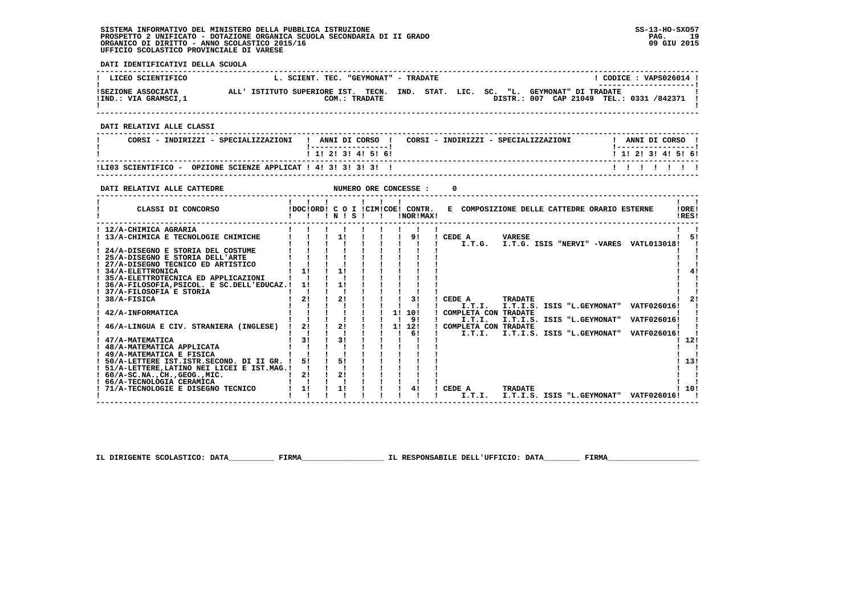**------------------------------------------------------------------------------------------------------------------------------------**

 $1.101$ 

 **DATI IDENTIFICATIVI DELLA SCUOLA ------------------------------------------------------------------------------------------------------------------------------------**L CODICE : VAPS026014 L ! LICEO SCIENTIFICO L. SCIENT. TEC. "GEYMONAT" - TRADATE ! CODICE : VAPS026014<br>! ISEZIONE ASSOCIATA ALL' ISTITUTO SUPERIORE IST. TECN. IND. STAT. LIC. SC. "L. G \_\_\_\_\_\_\_\_\_\_\_\_\_\_\_\_\_\_\_\_\_\_\_\_ DISTR.: 007 CAP 21049 TEL.: 0331 /842371 1 - 1  **! ! ------------------------------------------------------------------------------------------------------------------------------------ DATI RELATIVI ALLE CLASSI ------------------------------------------------------------------------------------------------------------------------------------**! ANNI DI CORSO !  **! CORSI - INDIRIZZI - SPECIALIZZAZIONI ! ANNI DI CORSO ! CORSI - INDIRIZZI - SPECIALIZZAZIONI ! ANNI DI CORSO !**\_\_\_\_\_\_\_\_\_\_\_\_\_\_\_\_\_\_\_\_\_\_  **! !-----------------! !-----------------!**1 1 2 3 3 4 5 6  **! ! 1! 2! 3! 4! 5! 6! ! 1! 2! 3! 4! 5! 6! ------------------------------------------------------------------------------------------------------------------------------------ !LI03 SCIENTIFICO - OPZIONE SCIENZE APPLICAT ! 4! 3! 3! 3! 3! ! ! ! ! ! ! ! ! ------------------------------------------------------------------------------------------------------------------------------------DATI RELATIVI ALLE CATTEDRE NUMERO ORE CONCESSE : 0 ------------------------------------------------------------------------------------------------------------------------------------** $\mathbf{I}$   $\mathbf{I}$  **! ! ! ! ! ! ! ! !LORE! ! CLASSI DI CONCORSO !DOC!ORD! C O I !CIM!COE! CONTR. E COMPOSIZIONE DELLE CATTEDRE ORARIO ESTERNE !ORE! ! ! ! ! N ! S ! ! !NOR!MAX! !RES!** $IPICI$  **------------------------------------------------------------------------------------------------------------------------------------ ! 12/A-CHIMICA AGRARIA ! ! ! ! ! ! ! ! ! ! ! ! 13/A-CHIMICA E TECNOLOGIE CHIMICHE ! ! ! 1! ! ! ! 9! ! CEDE A VARESE ! 5! ! ! ! ! ! ! ! ! ! ! I.T.G. I.T.G. ISIS "NERVI" -VARES VATL013018! !** $\blacksquare$  **! 24/A-DISEGNO E STORIA DEL COSTUME ! ! ! ! ! ! ! ! ! ! ! ! 25/A-DISEGNO E STORIA DELL'ARTE ! ! ! ! ! ! ! ! ! ! ! ! 27/A-DISEGNO TECNICO ED ARTISTICO ! ! ! ! ! ! ! ! ! ! !** $\blacksquare$  $\blacksquare$  $1 \quad 41$  **! 34/A-ELETTRONICA ! 1! ! 1! ! ! ! ! ! ! 4! ! 35/A-ELETTROTECNICA ED APPLICAZIONI ! ! ! ! ! ! ! ! ! ! ! ! 36/A-FILOSOFIA,PSICOL. E SC.DELL'EDUCAZ.! 1! ! 1! ! ! ! ! ! ! !** $\mathbf{I}$  $\blacksquare$  **! 37/A-FILOSOFIA E STORIA ! ! ! ! ! ! ! ! ! ! !** $121$ ا 2 ! 2 ! 2 ! 2 ! 2 ! 2 ! 2 ! 2 ! ! 2 ! 2 ! 2 ! 2 ! 2 ! 2 ! 2 ! 2 ! 2 ! 2 ! 2 ! 2 ! 2 ! 2 ! 2 ! 2 ! 2 ! 2 ! 2 !<br>| 1 ! ! ! ! ! ! ! ! ! ! ! I ! I.T.I. I.T.I. ISIS "L.GEYMONAT" VATF026016 ! !<br>! 42/A-INFORMATICA ! ! ! ! ! ! !  $\sim$  1  $\sim$  1  **! ! ! ! ! ! ! ! 9! ! I.T.I. I.T.I.S. ISIS "L.GEYMONAT" VATF026016! !**- 1  **! 46/A-LINGUA E CIV. STRANIERA (INGLESE) ! 2! ! 2! ! ! 1! 12! ! COMPLETA CON TRADATE ! ! ! ! ! ! ! ! ! ! 6! ! I.T.I. I.T.I.S. ISIS "L.GEYMONAT" VATF026016! ! ! 47/A-MATEMATICA ! 3! ! 3! ! ! ! ! ! ! 12!** $1.121$  $1 - 1$  **! 48/A-MATEMATICA APPLICATA ! ! ! ! ! ! ! ! ! ! ! ! 49/A-MATEMATICA E FISICA ! ! ! ! ! ! ! ! ! ! ! ! 50/A-LETTERE IST.ISTR.SECOND. DI II GR. ! 5! ! 5! ! ! ! ! ! ! 13!**- 1  $1, 131$  $\frac{1}{2}$   $\frac{1}{2}$  **! 51/A-LETTERE,LATINO NEI LICEI E IST.MAG.! ! ! ! ! ! ! ! ! ! ! ! 60/A-SC.NA.,CH.,GEOG.,MIC. ! 2! ! 2! ! ! ! ! ! ! ! ! 66/A-TECNOLOGIA CERAMICA ! ! ! ! ! ! ! ! ! ! !** $\mathbf{r}$  $\mathbf{r}$  **! 71/A-TECNOLOGIE E DISEGNO TECNICO ! 1! ! 1! ! ! ! 4! ! CEDE A TRADATE ! 10!**

 **IL DIRIGENTE SCOLASTICO: DATA\_\_\_\_\_\_\_\_\_\_ FIRMA\_\_\_\_\_\_\_\_\_\_\_\_\_\_\_\_\_\_ IL RESPONSABILE DELL'UFFICIO: DATA\_\_\_\_\_\_\_\_ FIRMA\_\_\_\_\_\_\_\_\_\_\_\_\_\_\_\_\_\_\_\_**

 **! ! ! ! ! ! ! ! ! ! I.T.I. I.T.I.S. ISIS "L.GEYMONAT" VATF026016! !**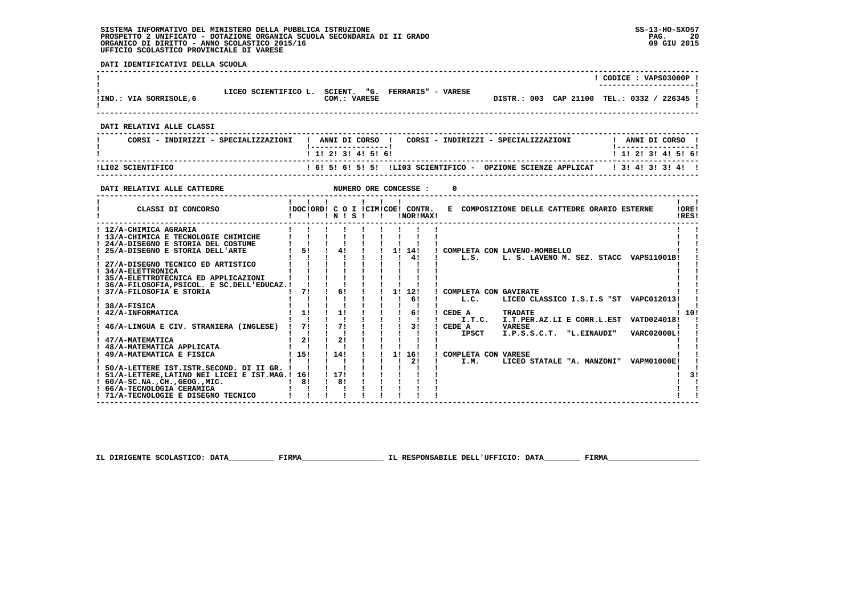**DATI IDENTIFICATIVI DELLA SCUOLA ------------------------------------------------------------------------------------------------------------------------------------ ! ! CODICE : VAPS03000P ! ! ---------------------!**i **120 ELICEO SCIENTIFICO L. SCIENT. "G. FERRARIS" - VARESE**<br>1IND.: VIA SORRISOLE.6 (COM.: VARESE  **!IND.: VIA SORRISOLE,6 COM.: VARESE DISTR.: 003 CAP 21100 TEL.: 0332 / 226345 !**- 1  **! ! ------------------------------------------------------------------------------------------------------------------------------------ DATI RELATIVI ALLE CLASSI ------------------------------------------------------------------------------------------------------------------------------------**! ANNI DI CORSO !  **! CORSI - INDIRIZZI - SPECIALIZZAZIONI ! ANNI DI CORSO ! CORSI - INDIRIZZI - SPECIALIZZAZIONI ! ANNI DI CORSO !**\_\_\_\_\_\_\_\_\_\_\_\_\_\_\_\_\_\_\_\_\_\_  **! !-----------------! !-----------------!**1 1 2 2 1 3 1 4 1 5 1 6 1  **! ! 1! 2! 3! 4! 5! 6! ! 1! 2! 3! 4! 5! 6! ------------------------------------------------------------------------------------------------------------------------------------ !LI02 SCIENTIFICO ! 6! 5! 6! 5! 5! !LI03 SCIENTIFICO - OPZIONE SCIENZE APPLICAT ! 3! 4! 3! 3! 4! ! ------------------------------------------------------------------------------------------------------------------------------------DATI RELATIVI ALLE CATTEDRE NUMERO ORE CONCESSE : 0 ------------------------------------------------------------------------------------------------------------------------------------** $\mathbf{I}$   $\mathbf{I}$  **! ! ! ! ! ! ! ! !LORE!** CLASSI DI CONCORSO **8** | DOC!ORD! C O I !CIM!COE! CONTR. E COMPOSIZIONE DELLE CATTEDRE ORARIO ESTERNE IRES! **2 CLASSI DI CONCORSO : EXECUTED IN IS ! : EXECUTED INORIMAX! ------------------------------------------------------------------------------------------------------------------------------------ ! 12/A-CHIMICA AGRARIA ! ! ! ! ! ! ! ! ! ! ! ! 13/A-CHIMICA E TECNOLOGIE CHIMICHE ! ! ! ! ! ! ! ! ! ! ! ! 24/A-DISEGNO E STORIA DEL COSTUME ! ! ! ! ! ! ! ! ! ! ! ! 25/A-DISEGNO E STORIA DELL'ARTE ! 5! ! 4! ! ! 1! 14! ! COMPLETA CON LAVENO-MOMBELLO ! ! ! ! ! ! ! ! ! ! 4! ! L.S. L. S. LAVENO M. SEZ. STACC VAPS11001B! ! ! 27/A-DISEGNO TECNICO ED ARTISTICO ! ! ! ! ! ! ! ! ! ! !** $\blacksquare$  $\mathbf{I}$  and  $\mathbf{I}$ - 1  **! 34/A-ELETTRONICA ! ! ! ! ! ! ! ! ! ! ! ! 35/A-ELETTROTECNICA ED APPLICAZIONI ! ! ! ! ! ! ! ! ! ! ! ! 36/A-FILOSOFIA,PSICOL. E SC.DELL'EDUCAZ.! ! ! ! ! ! ! ! ! ! ! 1 37/A-FILOSOFIA E STORIA 1 1 2 2 2 37/A-FILOSOFIA E STORIA ! ! ! ! ! ! ! ! 6! ! L.C. LICEO CLASSICO I.S.I.S "ST VAPC012013! ! ! 38/A-FISICA ! ! ! ! ! ! ! ! ! ! !** $1.101$  **! 42/A-INFORMATICA ! 1! ! 1! ! ! ! 6! ! CEDE A TRADATE ! 10! ! ! ! ! ! ! ! ! ! ! I.T.C. I.T.PER.AZ.LI E CORR.L.EST VATD024018! ! ! 46/A-LINGUA E CIV. STRANIERA (INGLESE) ! 7! ! 7! ! ! ! 3! ! CEDE A VARESE ! ! ! ! ! ! ! ! ! ! ! ! IPSCT I.P.S.S.C.T. "L.EINAUDI" VARC02000L! ! ! 47/A-MATEMATICA ! 2! ! 2! ! ! ! ! ! ! ! ! 48/A-MATEMATICA APPLICATA ! ! ! ! ! ! ! ! ! ! ! ! 49/A-MATEMATICA E FISICA ! 15! ! 14! ! ! 1! 16! ! COMPLETA CON VARESE ! ! ! ! ! ! ! ! ! ! 2! ! I.M. LICEO STATALE "A. MANZONI" VAPM01000E! !**- 1  **! 50/A-LETTERE IST.ISTR.SECOND. DI II GR. ! ! ! ! ! ! ! ! ! ! ! ! 51/A-LETTERE,LATINO NEI LICEI E IST.MAG.! 16! ! 17! ! ! ! ! ! ! 3! ! 60/A-SC.NA.,CH.,GEOG.,MIC. ! 8! ! 8! ! ! ! ! ! ! ! ! 66/A-TECNOLOGIA CERAMICA ! ! ! ! ! ! ! ! ! ! !** $\overline{1}$   $\overline{3}$   $\overline{1}$  $\mathbf{I}$  $\mathbf{I}$  $\mathbf{I}$  and  $\mathbf{I}$ **1 71/A-TECNOLOGIE E DISEGNO TECNICO ! ! ! ! ! ! ! ! !** 

 **IL DIRIGENTE SCOLASTICO: DATA\_\_\_\_\_\_\_\_\_\_ FIRMA\_\_\_\_\_\_\_\_\_\_\_\_\_\_\_\_\_\_ IL RESPONSABILE DELL'UFFICIO: DATA\_\_\_\_\_\_\_\_ FIRMA\_\_\_\_\_\_\_\_\_\_\_\_\_\_\_\_\_\_\_\_**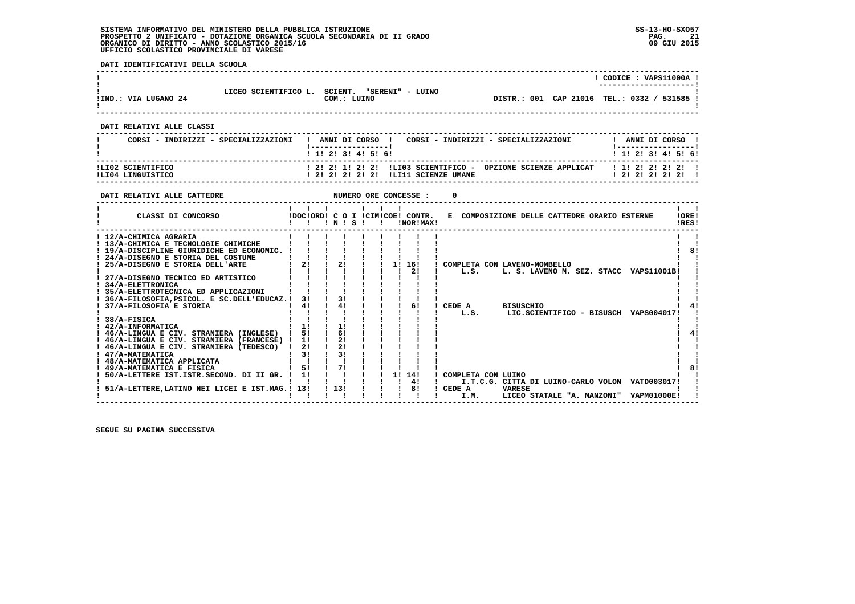**DATI IDENTIFICATIVI DELLA SCUOLA**

|                      |                      |                                            |  | CODICE: VAPS11000A !                        |  |
|----------------------|----------------------|--------------------------------------------|--|---------------------------------------------|--|
| !IND.: VIA LUGANO 24 | LICEO SCIENTIFICO L. | "SERENI" - LUINO<br>SCIENT.<br>COM.: LUINO |  | DISTR.: 001 CAP 21016 TEL.: 0332 / 531585 ! |  |

 **DATI RELATIVI ALLE CLASSI**

| CORSI - INDIRIZZI - SPECIALIZZAZIONI | ANNI DI CORSO<br>CORSI - INDIRIZZI - SPECIALIZZAZIONI<br>1 1 2 3 3 4 5 6 1 | ANNI DI CORSO<br>1 1 2 2 1 3 1 4 1 5 1 6 1 |
|--------------------------------------|----------------------------------------------------------------------------|--------------------------------------------|
| ILI02 SCIENTIFICO                    | ! 2! 2! 1! 2! 2! !LIO3 SCIENTIFICO - OPZIONE SCIENZE APPLICAT              | 1 1 2 2 2 2 2 2 1                          |
| ILI04 LINGUISTICO                    | ! 2! 2! 2! 2! 2! !LI11 SCIENZE UMANE                                       | ! 2! 2! 2! 2! 2!                           |

 **------------------------------------------------------------------------------------------------------------------------------------**

| DATI RELATIVI ALLE CATTEDRE                                                                                                                                                                                                                                                                                                                                                                                                                                                                                                                                                                                                                                                                                             |                                                          |                                                            | NUMERO ORE CONCESSE :                         |                                                                                                                                                                                                                                                                       |                       |
|-------------------------------------------------------------------------------------------------------------------------------------------------------------------------------------------------------------------------------------------------------------------------------------------------------------------------------------------------------------------------------------------------------------------------------------------------------------------------------------------------------------------------------------------------------------------------------------------------------------------------------------------------------------------------------------------------------------------------|----------------------------------------------------------|------------------------------------------------------------|-----------------------------------------------|-----------------------------------------------------------------------------------------------------------------------------------------------------------------------------------------------------------------------------------------------------------------------|-----------------------|
| CLASSI DI CONCORSO                                                                                                                                                                                                                                                                                                                                                                                                                                                                                                                                                                                                                                                                                                      |                                                          | $'$ N $'$ S $'$                                            | IDOCIORDI C O I ICIMICOEI CONTR.<br>!NOR!MAX! | E COMPOSIZIONE DELLE CATTEDRE ORARIO ESTERNE                                                                                                                                                                                                                          | <b>IORE!</b><br>IRES! |
| ! 12/A-CHIMICA AGRARIA<br>! 13/A-CHIMICA E TECNOLOGIE CHIMICHE<br>! 19/A-DISCIPLINE GIURIDICHE ED ECONOMIC.<br>! 24/A-DISEGNO E STORIA DEL COSTUME<br>25/A-DISEGNO E STORIA DELL'ARTE<br>27/A-DISEGNO TECNICO ED ARTISTICO<br>! 34/A-ELETTRONICA<br>35/A-ELETTROTECNICA ED APPLICAZIONI<br>36/A-FILOSOFIA, PSICOL. E SC. DELL'EDUCAZ.!<br>37/A-FILOSOFIA E STORIA<br>38/A-FISICA<br>42/A-INFORMATICA<br>! 46/A-LINGUA E CIV. STRANIERA (INGLESE)<br>46/A-LINGUA E CIV. STRANIERA (FRANCESE) !<br>! 46/A-LINGUA E CIV. STRANIERA (TEDESCO)<br>! 47/A-MATEMATICA<br>! 48/A-MATEMATICA APPLICATA<br>49/A-MATEMATICA E FISICA<br>50/A-LETTERE IST.ISTR.SECOND. DI II GR.<br>51/A-LETTERE, LATINO NEI LICEI E IST. MAG.! 13! | 21<br>31<br>41<br>11<br>51<br>11<br>21<br>31<br>51<br>11 | 21<br>31<br>41<br>11<br>61<br>2!<br>2!<br>31<br>71<br>113! | 1! 16!<br>21<br>6!<br>1! 14!<br>4!<br>81      | ! COMPLETA CON LAVENO-MOMBELLO<br>L.S.<br>L. S. LAVENO M. SEZ. STACC VAPS11001B!<br>CEDE A<br><b>BISUSCHIO</b><br>L.S.<br>LIC.SCIENTIFICO - BISUSCH VAPS004017!<br>COMPLETA CON LUINO<br>I.T.C.G. CITTA DI LUINO-CARLO VOLON VATD003017!<br>! CEDE A<br><b>VARESE</b> |                       |
|                                                                                                                                                                                                                                                                                                                                                                                                                                                                                                                                                                                                                                                                                                                         |                                                          |                                                            |                                               | LICEO STATALE "A. MANZONI"<br>VAPM01000E!<br>I.M.                                                                                                                                                                                                                     |                       |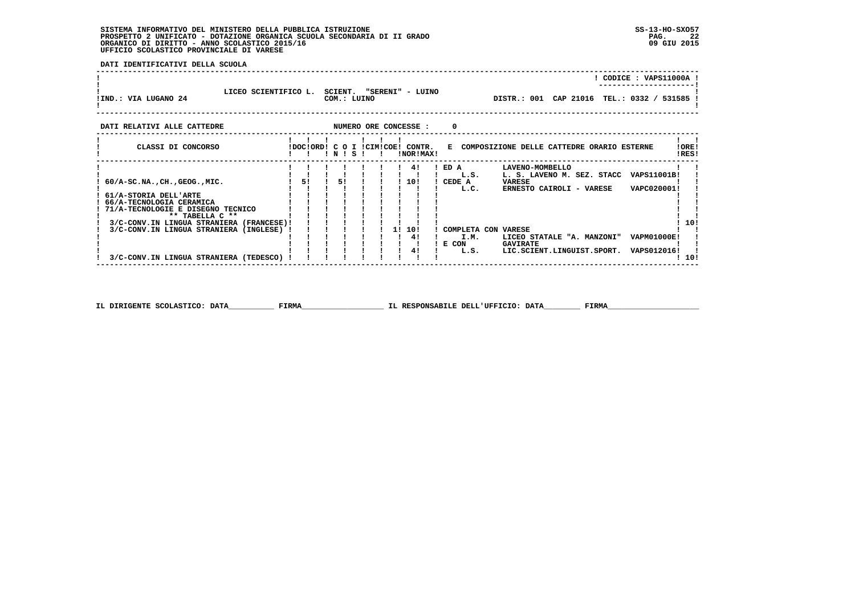**DATI IDENTIFICATIVI DELLA SCUOLA**

|                      |                      |                                            |                                             | CODICE: VAPS11000A!<br>---------------------- |  |
|----------------------|----------------------|--------------------------------------------|---------------------------------------------|-----------------------------------------------|--|
| !IND.: VIA LUGANO 24 | LICEO SCIENTIFICO L. | SCIENT.<br>"SERENI" - LUINO<br>COM.: LUINO | DISTR.: 001 CAP 21016 TEL.: 0332 / 531585 ! |                                               |  |

| DATI RELATIVI ALLE CATTEDRE                                                                                                                                                                                                                                                                 |           |              |      |           |  | NUMERO ORE CONCESSE :           | 0                         |                              |                                                                            |                                                                                                                    |                                                                 |                |
|---------------------------------------------------------------------------------------------------------------------------------------------------------------------------------------------------------------------------------------------------------------------------------------------|-----------|--------------|------|-----------|--|---------------------------------|---------------------------|------------------------------|----------------------------------------------------------------------------|--------------------------------------------------------------------------------------------------------------------|-----------------------------------------------------------------|----------------|
| CLASSI DI CONCORSO                                                                                                                                                                                                                                                                          | !DOC!ORD! | C O<br>! N ! | - SI | ICIMICOE! |  | CONTR.<br>INORIMAX!             | R.                        |                              |                                                                            | COMPOSIZIONE DELLE CATTEDRE ORARIO ESTERNE                                                                         |                                                                 | !ORE!<br>!RES! |
| $60/A-SC.NA.$ , $CH.$ , $GEOG.$ , $MIC.$<br>61/A-STORIA DELL'ARTE<br>66/A-TECNOLOGIA CERAMICA<br>71/A-TECNOLOGIE E DISEGNO TECNICO<br>** TABELLA C **<br>3/C-CONV.IN LINGUA STRANIERA<br>(FRANCESE)!<br>3/C-CONV.IN LINGUA STRANIERA<br>(INGLESE)<br>3/C-CONV.IN LINGUA STRANIERA (TEDESCO) | 51        | 51           |      |           |  | 41<br>10!<br>1! 10!<br>41<br>41 | ! ED A<br>CEDE A<br>E CON | L.S.<br>L.C.<br>I.M.<br>L.S. | LAVENO-MOMBELLO<br><b>VARESE</b><br>COMPLETA CON VARESE<br><b>GAVIRATE</b> | L. S. LAVENO M. SEZ. STACC<br>ERNESTO CAIROLI - VARESE<br>LICEO STATALE "A. MANZONI"<br>LIC.SCIENT.LINGUIST.SPORT. | VAPS11001B!<br>VAPC020001!<br><b>VAPM01000E!</b><br>VAPS012016! | 10!<br>10!     |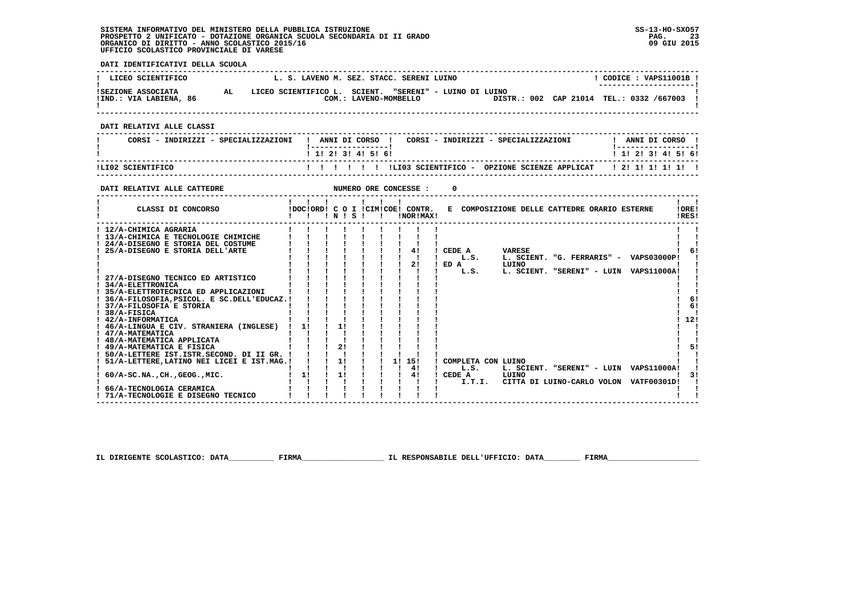**DATI IDENTIFICATIVI DELLA SCUOLA**

| LICEO SCIENTIFICO                                                                                                                                                             | L. S. LAVENO M. SEZ. STACC. SERENI LUINO                              |                   |                                            |                           |                          |                                                 | $!$ CODICE : VAPS11001B $!$ |                                              |
|-------------------------------------------------------------------------------------------------------------------------------------------------------------------------------|-----------------------------------------------------------------------|-------------------|--------------------------------------------|---------------------------|--------------------------|-------------------------------------------------|-----------------------------|----------------------------------------------|
| ISEZIONE ASSOCIATA AL LICEO SCIENTIFICO L. SCIENT. "SERENI" - LUINO DI LUINO I LUINO AND LETRE ASSOCIATA (100)<br>IIND.: VIA LABIENA, 86 (2001.: LAVENO-MOMBELLO ) DISTR.: 00 |                                                                       |                   |                                            |                           |                          | DISTR.: 002 CAP 21014 TEL.: 0332 /667003 1      |                             |                                              |
| DATI RELATIVI ALLE CLASSI                                                                                                                                                     |                                                                       |                   |                                            |                           |                          |                                                 |                             |                                              |
| CORSI - INDIRIZZI - SPECIALIZZAZIONI   ANNI DI CORSO   CORSI - INDIRIZZI - SPECIALIZZAZIONI     ANNI DI CORSO                                                                 |                                                                       |                   |                                            |                           |                          |                                                 |                             |                                              |
|                                                                                                                                                                               |                                                                       | 1 1 2 3 3 4 5 6 1 |                                            |                           |                          |                                                 | 1 1 2 3 3 4 5 5 6 1         |                                              |
| ILI02 SCIENTIFICO                                                                                                                                                             |                                                                       |                   |                                            |                           |                          |                                                 |                             |                                              |
|                                                                                                                                                                               |                                                                       |                   |                                            |                           | 0                        |                                                 |                             |                                              |
|                                                                                                                                                                               |                                                                       |                   |                                            |                           |                          |                                                 |                             |                                              |
| CLASSI DI CONCORSO           IDOCIORDI C O I ICIMICOE! CONTR.   E COMPOSIZIONE DELLE CATTEDRE ORARIO ESTERNE                                                                  |                                                                       |                   |                                            |                           |                          |                                                 |                             | $\mathbf{1}$ $\mathbf{1}$<br>! ORE!<br>IRES! |
| ! 12/A-CHIMICA AGRARIA                                                                                                                                                        |                                                                       |                   |                                            |                           |                          |                                                 |                             |                                              |
| ! 13/A-CHIMICA E TECNOLOGIE CHIMICHE                                                                                                                                          |                                                                       |                   |                                            |                           |                          |                                                 |                             |                                              |
| ! 24/A-DISEGNO E STORIA DEL COSTUME<br>! 25/A-DISEGNO E STORIA DELL'ARTE                                                                                                      | $\frac{1}{2}$ $\frac{1}{2}$ $\frac{1}{2}$ $\frac{1}{2}$ $\frac{1}{2}$ |                   | $\frac{1}{1}$ $\frac{1}{4}$                |                           | ! CEDE A VARESE          |                                                 |                             | -61                                          |
|                                                                                                                                                                               |                                                                       |                   |                                            | $\mathbf{I}$ $\mathbf{I}$ | $1 \quad L.S.$           | L. SCIENT. "G. FERRARIS" - VAPS03000P!          |                             |                                              |
|                                                                                                                                                                               | i i i                                                                 |                   |                                            | $\frac{1}{2}$             | $I$ ED A                 | LUINO                                           |                             |                                              |
|                                                                                                                                                                               |                                                                       |                   |                                            |                           | L.S.                     | L. SCIENT. "SERENI" - LUIN VAPS11000A!          |                             |                                              |
| ! 34/A-ELETTRONICA                                                                                                                                                            |                                                                       |                   |                                            |                           |                          |                                                 |                             |                                              |
| ! 35/A-ELETTROTECNICA ED APPLICAZIONI                                                                                                                                         | $\sim$ 1.1 $\sim$                                                     |                   |                                            |                           |                          |                                                 |                             |                                              |
| ! 36/A-FILOSOFIA, PSICOL. E SC. DELL'EDUCAZ. ! ! ! !                                                                                                                          |                                                                       |                   |                                            |                           |                          |                                                 |                             | -61                                          |
| ! 37/A-FILOSOFIA E STORIA                                                                                                                                                     |                                                                       |                   |                                            |                           |                          |                                                 |                             | -61                                          |
| $1.38/A-FISICA$                                                                                                                                                               |                                                                       |                   |                                            |                           |                          |                                                 |                             |                                              |
| ! 42/A-INFORMATICA<br>! 46/A-LINGUA E CIV. STRANIERA (INGLESE) ! 1! ! 1!                                                                                                      |                                                                       |                   |                                            |                           |                          |                                                 |                             | 112!                                         |
|                                                                                                                                                                               |                                                                       |                   |                                            |                           |                          |                                                 |                             |                                              |
| 1 47/A-MATEMATICA<br>1 48/A-MATEMATICA APPLICATA<br>1 49/A-MATEMATICA E FISICA<br>1 49/A-MATEMATICA E FISICA<br>1 1 21                                                        |                                                                       |                   |                                            |                           |                          |                                                 |                             |                                              |
|                                                                                                                                                                               |                                                                       |                   |                                            |                           |                          |                                                 |                             | 51                                           |
| ! 50/A-LETTERE IST. ISTR. SECOND. DI II GR. ! ! ! ! !                                                                                                                         |                                                                       |                   |                                            |                           |                          |                                                 |                             |                                              |
| ! 51/A-LETTERE, LATINO NEI LICEI E IST. MAG.!!!!!!!                                                                                                                           | 1 1 1 1 1 1 1 41                                                      |                   | $1 \quad 11 \quad 151$                     |                           | ! COMPLETA CON LUINO     |                                                 |                             |                                              |
| ! 60/A-SC.NA., CH., GEOG., MIC.                                                                                                                                               | $1 \quad 11 \quad 1 \quad 11 \quad 1$                                 |                   | $\frac{1}{2}$ $\frac{1}{2}$ $\frac{41}{2}$ |                           | $1$ $L.S.$<br>$!$ CEDE A | L. SCIENT. "SERENI" - LUIN VAPS11000A!<br>LUINO |                             | 3!                                           |
|                                                                                                                                                                               | $\mathbf{I}$ and $\mathbf{I}$ and $\mathbf{I}$ and $\mathbf{I}$       |                   |                                            |                           | <b>Contract Contract</b> | I.T.I. CITTA DI LUINO-CARLO VOLON VATF00301D!   |                             |                                              |
| 66/A-TECNOLOGIA CERAMICA                                                                                                                                                      | $1 \quad 1 \quad 1$                                                   |                   |                                            |                           |                          |                                                 |                             |                                              |
| ! 71/A-TECNOLOGIE E DISEGNO TECNICO                                                                                                                                           |                                                                       |                   |                                            |                           |                          |                                                 |                             |                                              |

 **IL DIRIGENTE SCOLASTICO: DATA\_\_\_\_\_\_\_\_\_\_ FIRMA\_\_\_\_\_\_\_\_\_\_\_\_\_\_\_\_\_\_ IL RESPONSABILE DELL'UFFICIO: DATA\_\_\_\_\_\_\_\_ FIRMA\_\_\_\_\_\_\_\_\_\_\_\_\_\_\_\_\_\_\_\_**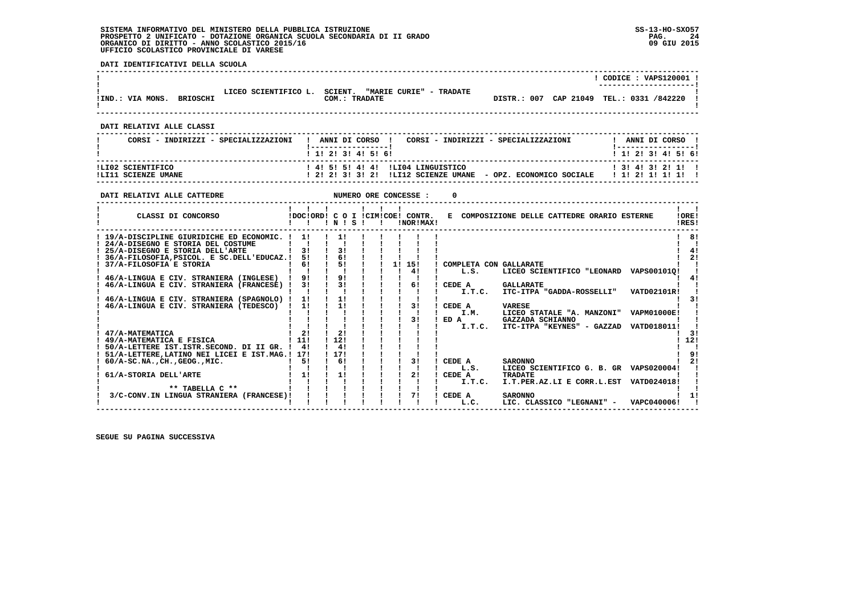**DATI IDENTIFICATIVI DELLA SCUOLA**

|                                                                                                                                                                                                                                                                                                                                                                                                                                                                                                                                                                                              |                                                                                                                                                                                                                                                                                                                                                                                                                                                                                           |                                                                                                                                                                                                                                                                                   | ! CODICE : VAPS120001 !                                                                                                                                                                                                                                                                                                                                               |
|----------------------------------------------------------------------------------------------------------------------------------------------------------------------------------------------------------------------------------------------------------------------------------------------------------------------------------------------------------------------------------------------------------------------------------------------------------------------------------------------------------------------------------------------------------------------------------------------|-------------------------------------------------------------------------------------------------------------------------------------------------------------------------------------------------------------------------------------------------------------------------------------------------------------------------------------------------------------------------------------------------------------------------------------------------------------------------------------------|-----------------------------------------------------------------------------------------------------------------------------------------------------------------------------------------------------------------------------------------------------------------------------------|-----------------------------------------------------------------------------------------------------------------------------------------------------------------------------------------------------------------------------------------------------------------------------------------------------------------------------------------------------------------------|
| !IND.: VIA MONS. BRIOSCHI                                                                                                                                                                                                                                                                                                                                                                                                                                                                                                                                                                    | LICEO SCIENTIFICO L. SCIENT. "MARIE CURIE" - TRADATE<br>COM.: TRADATE                                                                                                                                                                                                                                                                                                                                                                                                                     |                                                                                                                                                                                                                                                                                   | DISTR.: 007 CAP 21049 TEL.: 0331 /842220                                                                                                                                                                                                                                                                                                                              |
| DATI RELATIVI ALLE CLASSI                                                                                                                                                                                                                                                                                                                                                                                                                                                                                                                                                                    |                                                                                                                                                                                                                                                                                                                                                                                                                                                                                           |                                                                                                                                                                                                                                                                                   |                                                                                                                                                                                                                                                                                                                                                                       |
| CORSI - INDIRIZZI - SPECIALIZZAZIONI                                                                                                                                                                                                                                                                                                                                                                                                                                                                                                                                                         | ! ANNI DI CORSO !<br><u> 1 - - - - - - - - - - - - - - - - 1</u>                                                                                                                                                                                                                                                                                                                                                                                                                          | CORSI - INDIRIZZI - SPECIALIZZAZIONI                                                                                                                                                                                                                                              | ! ANNI DI CORSO !                                                                                                                                                                                                                                                                                                                                                     |
|                                                                                                                                                                                                                                                                                                                                                                                                                                                                                                                                                                                              | ! 1! 2! 3! 4! 5! 6!                                                                                                                                                                                                                                                                                                                                                                                                                                                                       |                                                                                                                                                                                                                                                                                   | ! 1! 2! 3! 4! 5! 6!                                                                                                                                                                                                                                                                                                                                                   |
| ILI02 SCIENTIFICO<br>!LI11 SCIENZE UMANE                                                                                                                                                                                                                                                                                                                                                                                                                                                                                                                                                     | ! 4! 5! 5! 4! 4!                                                                                                                                                                                                                                                                                                                                                                                                                                                                          | ILI04 LINGUISTICO                                                                                                                                                                                                                                                                 | ! 3! 4! 3! 2! 1! !<br>! 2! 2! 3! 3! 2! !LI12 SCIENZE UMANE - OPZ. ECONOMICO SOCIALE   1! 2! 1! 1! 1! !                                                                                                                                                                                                                                                                |
| DATI RELATIVI ALLE CATTEDRE                                                                                                                                                                                                                                                                                                                                                                                                                                                                                                                                                                  | NUMERO ORE CONCESSE :                                                                                                                                                                                                                                                                                                                                                                                                                                                                     | <sup>0</sup>                                                                                                                                                                                                                                                                      |                                                                                                                                                                                                                                                                                                                                                                       |
| CLASSI DI CONCORSO                                                                                                                                                                                                                                                                                                                                                                                                                                                                                                                                                                           | $\mathbf{1}$ $\mathbf{1}$ $\mathbf{1}$<br>$\mathbf{1}$ $\mathbf{1}$<br>!DOC!ORD! C O I !CIM!COE! CONTR.<br>$\mathbf{1}$ $\mathbf{1}$<br>1 N 1 S 1 1                                                                                                                                                                                                                                                                                                                                       | !NOR!MAX!                                                                                                                                                                                                                                                                         | $\mathbf{1}$ $\mathbf{1}$<br>E COMPOSIZIONE DELLE CATTEDRE ORARIO ESTERNE<br>!ORE!<br>IRES!                                                                                                                                                                                                                                                                           |
| ! 19/A-DISCIPLINE GIURIDICHE ED ECONOMIC. ! 1!<br>! 24/A-DISEGNO E STORIA DEL COSTUME<br>! 25/A-DISEGNO E STORIA DELL'ARTE<br>! 36/A-FILOSOFIA, PSICOL. E SC.DELL'EDUCAZ.!<br>! 37/A-FILOSOFIA E STORIA<br>46/A-LINGUA E CIV. STRANIERA (INGLESE)<br>46/A-LINGUA E CIV. STRANIERA (FRANCESE) !<br>46/A-LINGUA E CIV. STRANIERA (SPAGNOLO) !<br>46/A-LINGUA E CIV. STRANIERA (TEDESCO) !<br>47/A-MATEMATICA<br>! 49/A-MATEMATICA E FISICA<br>! 50/A-LETTERE IST.ISTR.SECOND. DI II GR. ! 4!<br>! 51/A-LETTERE, LATINO NEI LICEI E IST.MAG.! 17!<br>$: 60/A-SC.NA.$ , $CH.$ , $GEOG.$ , $MIC.$ | 11<br>$\mathbf{1}$ $\mathbf{1}$<br>31<br>$1 \quad 31$<br>6!<br>51<br>$\mathbf{I}$<br>51<br>$1 \quad 61$<br>$\mathbf{I}$<br>9!<br>91<br>$\mathbf{I}$<br>$\mathbf{1}$ $\mathbf{1}$ $\mathbf{1}$<br>$\frac{1}{3}$<br>31<br>$\mathbf{1}$ $\mathbf{1}$ $\mathbf{1}$ $\mathbf{1}$<br>$\mathbf{I}$ $\mathbf{I}$<br>$\blacksquare$<br>11<br>11<br>$\mathbf{I}$<br>11<br>11<br>2!<br>$1 \quad 21$<br>1, 121<br>1.111<br>$1 \quad 41$<br>1 1 7 1<br>$1 \quad 61$<br>51<br>$\mathbf{I}$ $\mathbf{I}$ | 1! 15!<br>COMPLETA CON GALLARATE<br>4!<br>L.S.<br>$\blacksquare$<br>61<br>CEDE A<br>I.T.C.<br>$\mathbf{i}$ $\mathbf{i}$ $\mathbf{j}$<br>$\sim$<br>31<br>! CEDE A<br><b>VARESE</b><br>- 11<br>I.M.<br>! ED A<br>I.T.C.<br>31<br>! CEDE A<br>$\blacksquare$<br>$\mathbf{I}$<br>L.S. | 1 8!<br>4!<br>2 <sub>1</sub><br>LICEO SCIENTIFICO "LEONARD VAPS00101Q!<br>41<br><b>GALLARATE</b><br>ITC-ITPA "GADDA-ROSSELLI"<br><b>VATD02101R!</b><br>31<br>LICEO STATALE "A. MANZONI"<br><b>VAPM01000E!</b><br>GAZZADA SCHIANNO<br>ITC-ITPA "KEYNES" - GAZZAD<br>VATD018011!<br>- 31<br>12!<br>91<br><b>SARONNO</b><br>2!<br>LICEO SCIENTIFICO G. B. GR VAPS020004! |
| 61/A-STORIA DELL'ARTE<br>** TABELLA $C$ **<br>3/C-CONV.IN LINGUA STRANIERA (FRANCESE)!                                                                                                                                                                                                                                                                                                                                                                                                                                                                                                       | $\blacksquare$<br>11<br>$1 - 1 - 1$                                                                                                                                                                                                                                                                                                                                                                                                                                                       | 21<br>! CEDE A<br>$\mathbf{I}$ $\mathbf{I}$<br>I.T.C.<br>$\mathbf{I}$<br>71<br>! CEDE A<br>L.C.                                                                                                                                                                                   | <b>TRADATE</b><br>I.T.PER.AZ.LI E CORR.L.EST VATD024018!<br>1!<br><b>SARONNO</b><br>LIC. CLASSICO "LEGNANI" - VAPC040006!                                                                                                                                                                                                                                             |

 **------------------------------------------------------------------------------------------------------------------------------------**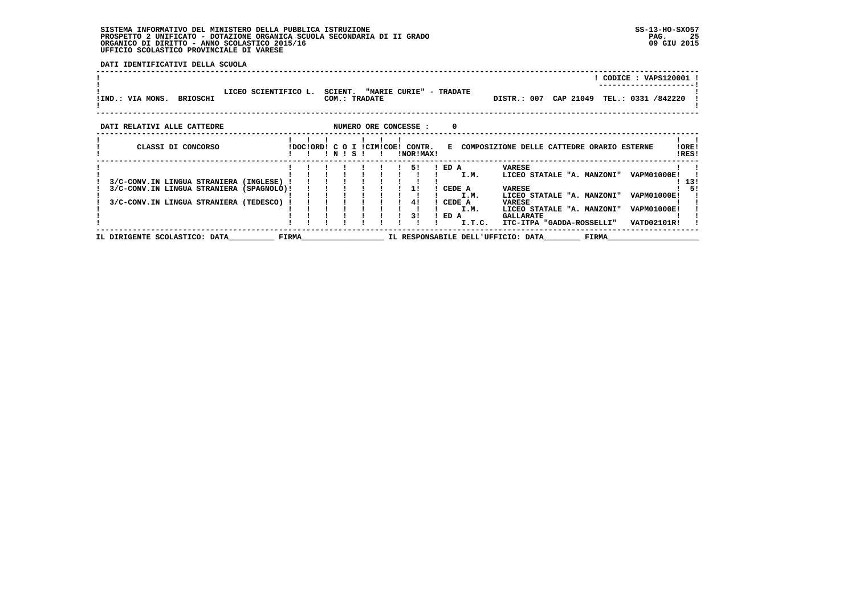**DATI IDENTIFICATIVI DELLA SCUOLA**

| !IND.: VIA MONS. BRIOSCHI                | LICEO SCIENTIFICO L. |  | SCIENT. | COM.: TRADATE | "MARIE CURIE" - TRADATE                       |            |        | DISTR.: 007 CAP 21049                      |       | CODICE: VAPS120001<br>TEL.: 0331 /842220 |                 |
|------------------------------------------|----------------------|--|---------|---------------|-----------------------------------------------|------------|--------|--------------------------------------------|-------|------------------------------------------|-----------------|
| DATI RELATIVI ALLE CATTEDRE              |                      |  |         |               | NUMERO ORE CONCESSE :                         | $^{\circ}$ |        |                                            |       |                                          |                 |
| CLASSI DI CONCORSO                       |                      |  | ! N ! S |               | IDOCIORDI C O I ICIMICOEI CONTR.<br>!NOR!MAX! | E.         |        | COMPOSIZIONE DELLE CATTEDRE ORARIO ESTERNE |       |                                          | ! ORE!<br>!RES! |
|                                          |                      |  |         |               | 51                                            | ! ED A     |        | VARESE                                     |       |                                          |                 |
|                                          |                      |  |         |               |                                               |            | I.M.   | LICEO STATALE "A. MANZONI"                 |       | <b>VAPM01000E!</b>                       |                 |
| 3/C-CONV.IN LINGUA STRANIERA (INGLESE) ! |                      |  |         |               |                                               |            |        |                                            |       |                                          | 13!             |
| 3/C-CONV.IN LINGUA STRANIERA (SPAGNOLO)! |                      |  |         |               | 11                                            | CEDE A     |        | <b>VARESE</b>                              |       |                                          | 51              |
|                                          |                      |  |         |               |                                               |            | I.M.   | LICEO STATALE "A. MANZONI"                 |       | <b>VAPM01000E!</b>                       |                 |
| 3/C-CONV.IN LINGUA STRANIERA (TEDESCO)   |                      |  |         |               | 41                                            | CEDE A     |        | VARESE                                     |       |                                          |                 |
|                                          |                      |  |         |               |                                               |            | I.M.   | LICEO STATALE "A. MANZONI"                 |       | <b>VAPM01000E!</b>                       |                 |
|                                          |                      |  |         |               | 31                                            | ED A       |        | <b>GALLARATE</b>                           |       |                                          |                 |
|                                          |                      |  |         |               |                                               |            | I.T.C. | ITC-ITPA "GADDA-ROSSELLI"                  |       | <b>VATD02101R!</b>                       |                 |
| IL DIRIGENTE SCOLASTICO: DATA            | <b>FIRMA</b>         |  |         |               |                                               |            |        | IL RESPONSABILE DELL'UFFICIO: DATA         | FIRMA |                                          |                 |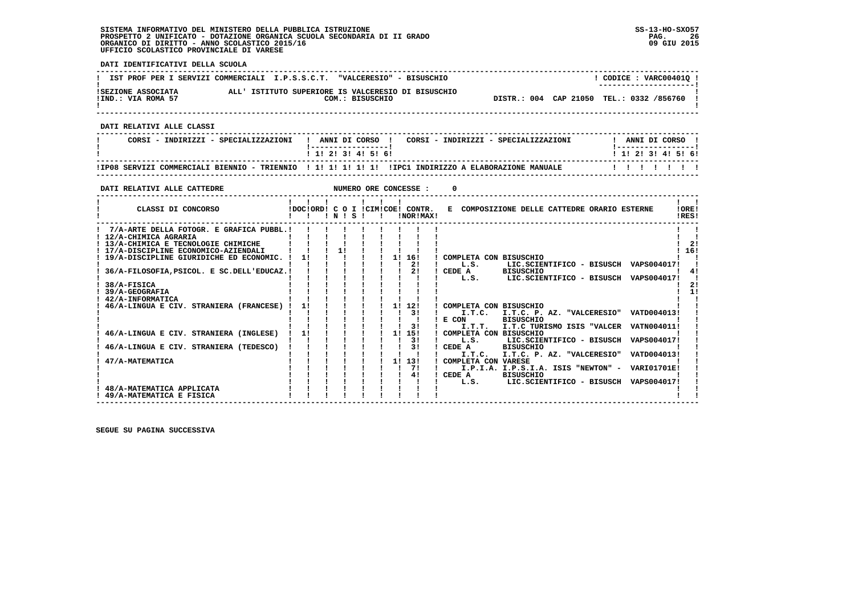**DATI IDENTIFICATIVI DELLA SCUOLA ------------------------------------------------------------------------------------------------------------------------------------**L CODICE : VARC004010 L **! IST PROF PER I SERVIZI COMMERCIALI I.P.S.S.C.T. "VALCERESIO" - BISUSCHIO ! ---------------------! !SEZIONE ASSOCIATA ALL' ISTITUTO SUPERIORE IS VALCERESIO DI BISUSCHIO ! !IND.: VIA ROMA 57 COM.: BISUSCHIO DISTR.: 004 CAP 21050 TEL.: 0332 /856760 !** $\mathbf{I}$  **! ! ------------------------------------------------------------------------------------------------------------------------------------ DATI RELATIVI ALLE CLASSI ------------------------------------------------------------------------------------------------------------------------------------**I ANNIT DI CORSO I  **! CORSI - INDIRIZZI - SPECIALIZZAZIONI ! ANNI DI CORSO ! CORSI - INDIRIZZI - SPECIALIZZAZIONI ! ANNI DI CORSO !**\_\_\_\_\_\_\_\_\_\_\_\_\_\_\_\_\_\_\_\_\_\_  **! !-----------------! !-----------------!**1 1 1 2 1 3 1 4 1 5 1 6 1  **! ! 1! 2! 3! 4! 5! 6! ! 1! 2! 3! 4! 5! 6! ------------------------------------------------------------------------------------------------------------------------------------ !IP08 SERVIZI COMMERCIALI BIENNIO - TRIENNIO ! 1! 1! 1! 1! 1! !IPC1 INDIRIZZO A ELABORAZIONE MANUALE ! ! ! ! ! ! ! ------------------------------------------------------------------------------------------------------------------------------------DATI RELATIVI ALLE CATTEDRE NUMERO ORE CONCESSE : 0 ------------------------------------------------------------------------------------------------------------------------------------** $\mathbf{I}$   $\mathbf{I}$  **! ! ! ! ! ! ! ! !LORE!** CLASSI DI CONCORSO **8** | DOC!ORD! C O I !CIM!COE! CONTR. E COMPOSIZIONE DELLE CATTEDRE ORARIO ESTERNE **IDFSI ! ! ! ! N ! S ! ! !NOR!MAX! !RES! ------------------------------------------------------------------------------------------------------------------------------------** $\mathbf{I}$  **! 7/A-ARTE DELLA FOTOGR. E GRAFICA PUBBL.! ! ! ! ! ! ! ! ! ! ! ! 12/A-CHIMICA AGRARIA ! ! ! ! ! ! ! ! ! ! !** $1 \quad 21$  **! 13/A-CHIMICA E TECNOLOGIE CHIMICHE ! ! ! ! ! ! ! ! ! ! 2! ! 17/A-DISCIPLINE ECONOMICO-AZIENDALI ! ! ! 1! ! ! ! ! ! ! 16! ! 19/A-DISCIPLINE GIURIDICHE ED ECONOMIC. ! 1! ! ! ! ! 1! 16! ! COMPLETA CON BISUSCHIO ! ! ! ! ! ! ! ! ! ! 2! ! L.S. LIC.SCIENTIFICO - BISUSCH VAPS004017! ! ! 36/A-FILOSOFIA,PSICOL. E SC.DELL'EDUCAZ.! ! ! ! ! ! ! 2! ! CEDE A BISUSCHIO ! 4! ! ! ! ! ! ! ! ! ! ! L.S. LIC.SCIENTIFICO - BISUSCH VAPS004017! ! ! 38/A-FISICA ! ! ! ! ! ! ! ! ! ! 2!** $1, 161$  $\blacksquare$  $1 \quad 41$  $\mathbf{r}$  $1 \quad 21$  $1 - 11$  **! 39/A-GEOGRAFIA ! ! ! ! ! ! ! ! ! ! 1! ! 42/A-INFORMATICA ! ! ! ! ! ! ! ! ! ! ! ! 46/A-LINGUA E CIV. STRANIERA (FRANCESE) ! 1! ! ! ! ! 1! 12! ! COMPLETA CON BISUSCHIO ! ! ! ! ! ! ! ! ! ! 3! ! I.T.C. I.T.C. P. AZ. "VALCERESIO" VATD004013! !** $\mathbf{I}$  **! ! ! ! ! ! ! ! ! ! E CON BISUSCHIO ! ! ! ! ! ! ! ! ! ! 3! ! I.T.T. I.T.C TURISMO ISIS "VALCER VATN004011! ! ! 46/A-LINGUA E CIV. STRANIERA (INGLESE) ! 1! ! ! ! ! 1! 15! ! COMPLETA CON BISUSCHIO ! ! ! ! ! ! ! ! ! ! 3! ! L.S. LIC.SCIENTIFICO - BISUSCH VAPS004017! ! ! 46/A-LINGUA E CIV. STRANIERA (TEDESCO) ! ! ! ! ! ! ! 3! ! CEDE A BISUSCHIO ! ! ! ! ! ! ! ! ! ! ! ! I.T.C. I.T.C. P. AZ. "VALCERESIO" VATD004013! ! ! 47/A-MATEMATICA ! ! ! ! ! ! 1! 13! ! COMPLETA CON VARESE ! !**ا ! ! ! ! ! ! ! ! ! ! ! ! T.P.I.A. I.P.S.I.A. ISIS "NEWTON" - VARI01701E! !<br>! ! ! ! ! ! ! ! ! ! ! ! A BISUSCHIO - BISUSCHIO XAPS004017!<br>! ! ! ! ! ! ! ! ! ! ! ! L.S. LIC.SCIENTIFICO - BISUSCH VAPS004017! - 1  **! 48/A-MATEMATICA APPLICATA ! ! ! ! ! ! ! ! ! ! !** $\overline{\phantom{a}}$  **19/A-MATEMATICA E FISICA E FISICA E FISICA E FISICA E FISICA E FISICA E FISICA E FISICA E FISICA E FISICA E F** 

 **------------------------------------------------------------------------------------------------------------------------------------**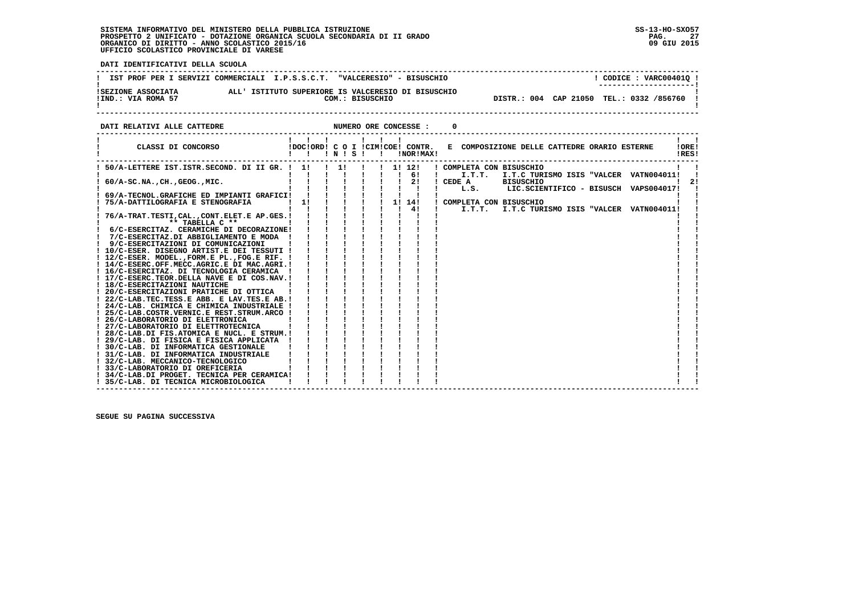j

 **DATI IDENTIFICATIVI DELLA SCUOLA**

|                                          | IST PROF PER I SERVIZI COMMERCIALI I.P.S.S.C.T. "VALCERESIO" - BISUSCHIO | CODICE: VARC004010!<br>--------------------- |
|------------------------------------------|--------------------------------------------------------------------------|----------------------------------------------|
| ISEZIONE ASSOCIATA<br>!IND.: VIA ROMA 57 | ALL' ISTITUTO SUPERIORE IS VALCERESIO DI BISUSCHIO<br>COM.: BISUSCHIO    | DISTR.: 004 CAP 21050 TEL.: 0332 /856760     |
|                                          |                                                                          |                                              |

**DATI RELATIVI ALLE CATTEDRE CONCESSE : 0** 

| CLASSI DI CONCORSO                                                                           | $\mathbf{1}$ $\mathbf{1}$ $\mathbf{1}$ | 1 N 1 S 1    | $\mathbf{I}$ $\mathbf{I}$ | !NOR!MAX!                 | IDOCIORDI C O I ICIMICOEI CONTR. E COMPOSIZIONE DELLE CATTEDRE ORARIO ESTERNE<br>IOREI<br>IRES! |    |
|----------------------------------------------------------------------------------------------|----------------------------------------|--------------|---------------------------|---------------------------|-------------------------------------------------------------------------------------------------|----|
| 50/A-LETTERE IST.ISTR.SECOND. DI II GR. ! 1!                                                 |                                        | $\mathbf{I}$ |                           | ! 1! ! ! 1! 12!<br>. . 61 | COMPLETA CON BISUSCHIO<br>I.T.T.<br>I.T.C TURISMO ISIS "VALCER VATN004011!                      |    |
| $60/A-SC.NA.$ , CH., GEOG., MIC.                                                             |                                        |              |                           | -21                       | CEDE A<br><b>BISUSCHIO</b>                                                                      | 21 |
| 69/A-TECNOL.GRAFICHE ED IMPIANTI GRAFICI!                                                    |                                        |              |                           |                           | LIC.SCIENTIFICO - BISUSCH VAPS004017!<br>L.S.                                                   |    |
| 75/A-DATTILOGRAFIA E STENOGRAFIA                                                             | 1!                                     |              |                           | 1! 14!                    | ! COMPLETA CON BISUSCHIO                                                                        |    |
|                                                                                              |                                        |              |                           | 41                        | I.T.T. I.T.C TURISMO ISIS "VALCER VATN004011!                                                   |    |
| 76/A-TRAT.TESTI, CAL., CONT.ELET.E AP.GES.!<br>$**$ TABELLA $C**$                            |                                        |              |                           |                           |                                                                                                 |    |
| 6/C-ESERCITAZ. CERAMICHE DI DECORAZIONE!                                                     |                                        |              |                           |                           |                                                                                                 |    |
| 7/C-ESERCITAZ.DI ABBIGLIAMENTO E MODA !<br>9/C-ESERCITAZIONI DI COMUNICAZIONI                |                                        |              |                           |                           |                                                                                                 |    |
| ! 10/C-ESER. DISEGNO ARTIST.E DEI TESSUTI !                                                  |                                        |              |                           |                           |                                                                                                 |    |
| ! 12/C-ESER. MODEL., FORM.E PL., FOG.E RIF. !<br>! 14/C-ESERC.OFF.MECC.AGRIC.E DI MAC.AGRI.! |                                        |              |                           |                           |                                                                                                 |    |
| ! 16/C-ESERCITAZ. DI TECNOLOGIA CERAMICA !                                                   |                                        |              |                           |                           |                                                                                                 |    |
| ! 17/C-ESERC.TEOR.DELLA NAVE E DI COS.NAV.!                                                  |                                        |              |                           |                           |                                                                                                 |    |
| ! 18/C-ESERCITAZIONI NAUTICHE<br>! 20/C-ESERCITAZIONI PRATICHE DI OTTICA                     |                                        |              |                           |                           |                                                                                                 |    |
| ! 22/C-LAB.TEC.TESS.E ABB. E LAV.TES.E AB.!                                                  |                                        |              |                           |                           |                                                                                                 |    |
| ! 24/C-LAB. CHIMICA E CHIMICA INDUSTRIALE !<br>! 25/C-LAB.COSTR.VERNIC.E REST.STRUM.ARCO     |                                        |              |                           |                           |                                                                                                 |    |
| ! 26/C-LABORATORIO DI ELETTRONICA                                                            |                                        |              |                           |                           |                                                                                                 |    |
| ! 27/C-LABORATORIO DI ELETTROTECNICA                                                         |                                        |              |                           |                           |                                                                                                 |    |
| ! 28/C-LAB.DI FIS.ATOMICA E NUCL. E STRUM.!<br>! 29/C-LAB. DI FISICA E FISICA APPLICATA      |                                        |              |                           |                           |                                                                                                 |    |
| ! 30/C-LAB. DI INFORMATICA GESTIONALE                                                        |                                        |              |                           |                           |                                                                                                 |    |
| ! 31/C-LAB. DI INFORMATICA INDUSTRIALE<br>! 32/C-LAB. MECCANICO-TECNOLOGICO                  |                                        |              |                           |                           |                                                                                                 |    |
| ! 33/C-LABORATORIO DI OREFICERIA                                                             |                                        |              |                           |                           |                                                                                                 |    |
| ! 34/C-LAB.DI PROGET. TECNICA PER CERAMICA!                                                  |                                        |              |                           |                           |                                                                                                 |    |
| 35/C-LAB. DI TECNICA MICROBIOLOGICA                                                          |                                        |              |                           |                           |                                                                                                 |    |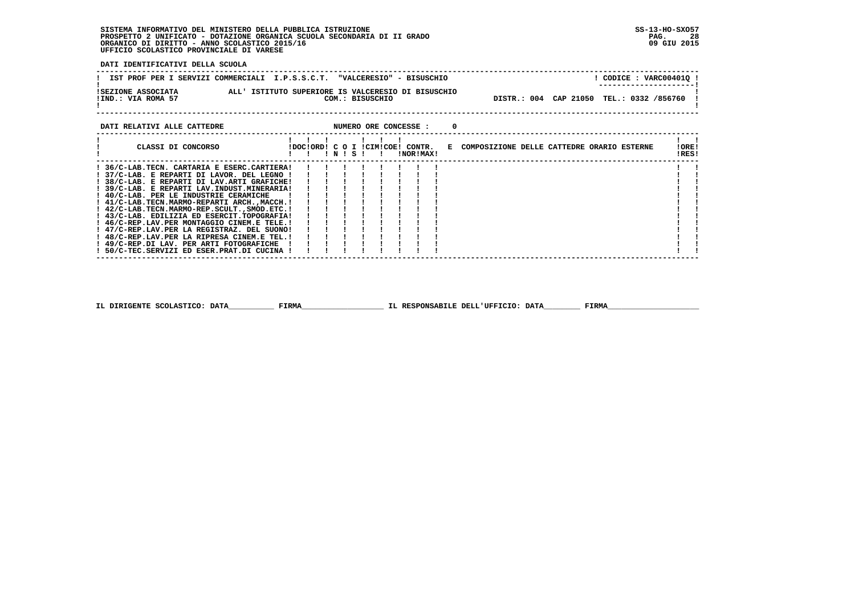**DATI IDENTIFICATIVI DELLA SCUOLA**

|                                          | IST PROF PER I SERVIZI COMMERCIALI I.P.S.S.C.T. "VALCERESIO" - BISUSCHIO | CODICE: VARC00401Q !<br>--------------------- |
|------------------------------------------|--------------------------------------------------------------------------|-----------------------------------------------|
| ISEZIONE ASSOCIATA<br>!IND.: VIA ROMA 57 | ALL' ISTITUTO SUPERIORE IS VALCERESIO DI BISUSCHIO<br>COM.: BISUSCHIO    | DISTR.: 004 CAP 21050 TEL.: 0332 /856760      |
|                                          |                                                                          |                                               |

| DATI RELATIVI ALLE CATTEDRE                                                            |                                  |           |  |  | NUMERO ORE CONCESSE : |  |                                              |  |  |                |  |
|----------------------------------------------------------------------------------------|----------------------------------|-----------|--|--|-----------------------|--|----------------------------------------------|--|--|----------------|--|
| CLASSI DI CONCORSO                                                                     | !DOC!ORD! C O I !CIM!COE! CONTR. | ! N ! S ! |  |  | !NOR!MAX!             |  | E COMPOSIZIONE DELLE CATTEDRE ORARIO ESTERNE |  |  | !ORE!<br>IRES! |  |
| ! 36/C-LAB.TECN. CARTARIA E ESERC.CARTIERA!                                            |                                  |           |  |  |                       |  |                                              |  |  |                |  |
| 37/C-LAB. E REPARTI DI LAVOR. DEL LEGNO !<br>38/C-LAB. E REPARTI DI LAV.ARTI GRAFICHE! |                                  |           |  |  |                       |  |                                              |  |  |                |  |
| ! 39/C-LAB. E REPARTI LAV.INDUST.MINERARIA!                                            |                                  |           |  |  |                       |  |                                              |  |  |                |  |
| ! 40/C-LAB. PER LE INDUSTRIE CERAMICHE                                                 |                                  |           |  |  |                       |  |                                              |  |  |                |  |
| ! 41/C-LAB.TECN.MARMO-REPARTI ARCH., MACCH. !                                          |                                  |           |  |  |                       |  |                                              |  |  |                |  |
| ! 42/C-LAB.TECN.MARMO-REP.SCULT., SMOD.ETC.!                                           |                                  |           |  |  |                       |  |                                              |  |  |                |  |
| ! 43/C-LAB. EDILIZIA ED ESERCIT.TOPOGRAFIA!                                            |                                  |           |  |  |                       |  |                                              |  |  |                |  |
| ! 46/C-REP.LAV.PER MONTAGGIO CINEM.E TELE.!                                            |                                  |           |  |  |                       |  |                                              |  |  |                |  |
| ! 47/C-REP.LAV.PER LA REGISTRAZ. DEL SUONO!                                            |                                  |           |  |  |                       |  |                                              |  |  |                |  |
| ! 48/C-REP.LAV.PER LA RIPRESA CINEM.E TEL.!                                            |                                  |           |  |  |                       |  |                                              |  |  |                |  |
| ! 49/C-REP.DI LAV. PER ARTI FOTOGRAFICHE                                               |                                  |           |  |  |                       |  |                                              |  |  |                |  |
| ! 50/C-TEC.SERVIZI ED ESER.PRAT.DI CUCINA !                                            |                                  |           |  |  |                       |  |                                              |  |  |                |  |
|                                                                                        |                                  |           |  |  |                       |  |                                              |  |  |                |  |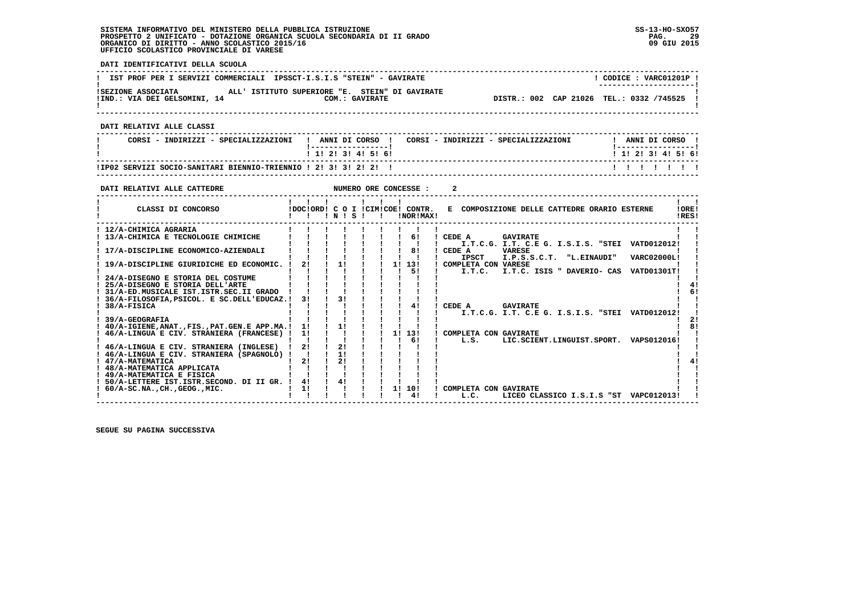**DATI IDENTIFICATIVI DELLA SCUOLA ------------------------------------------------------------------------------------------------------------------------------------** $1$  CODICE : VARC01201P I **! IST PROF PER I SERVIZI COMMERCIALI IPSSCT-I.S.I.S "STEIN" - GAVIRATE ! ---------------------! !SEZIONE ASSOCIATA ALL' ISTITUTO SUPERIORE "E. STEIN" DI GAVIRATE ! !IND.: VIA DEI GELSOMINI, 14 COM.: GAVIRATE DISTR.: 002 CAP 21026 TEL.: 0332 /745525 !** $\mathbf{I}$  **! ! ------------------------------------------------------------------------------------------------------------------------------------ DATI RELATIVI ALLE CLASSI ------------------------------------------------------------------------------------------------------------------------------------**I ANNI DI CORSO I  **! CORSI - INDIRIZZI - SPECIALIZZAZIONI ! ANNI DI CORSO ! CORSI - INDIRIZZI - SPECIALIZZAZIONI ! ANNI DI CORSO !**\_\_\_\_\_\_\_\_\_\_\_\_\_\_\_\_\_\_\_\_  **! !-----------------! !-----------------!**1 1 1 2 1 3 1 4 1 5 1 6 1  **! ! 1! 2! 3! 4! 5! 6! ! 1! 2! 3! 4! 5! 6! ------------------------------------------------------------------------------------------------------------------------------------ !IP02 SERVIZI SOCIO-SANITARI BIENNIO-TRIENNIO ! 2! 3! 3! 2! 2! ! ! ! ! ! ! ! ! ------------------------------------------------------------------------------------------------------------------------------------DATI RELATIVI ALLE CATTEDRE NUMERO ORE CONCESSE : 2 ------------------------------------------------------------------------------------------------------------------------------------ ! ! ! ! ! ! ! ! !** $\mathbf{I}$   $\mathbf{I}$ **LORE!** CLASSI DI CONCORSO **8** | DOC!ORD! C O I !CIM!COE! CONTR. E COMPOSIZIONE DELLE CATTEDRE ORARIO ESTERNE **IDFSI ! ! ! ! N ! S ! ! !NOR!MAX! !RES! ------------------------------------------------------------------------------------------------------------------------------------** $\mathbf{I}$  **! 12/A-CHIMICA AGRARIA ! ! ! ! ! ! ! ! ! ! ! ! 13/A-CHIMICA E TECNOLOGIE CHIMICHE ! ! ! ! ! ! ! 6! ! CEDE A GAVIRATE ! ! ! ! ! ! ! ! ! ! ! ! I.T.C.G. I.T. C.E G. I.S.I.S. "STEI VATD012012! ! ! 17/A-DISCIPLINE ECONOMICO-AZIENDALI ! ! ! ! ! ! ! 8! ! CEDE A VARESE ! ! ! ! ! ! ! ! ! ! ! ! IPSCT I.P.S.S.C.T. "L.EINAUDI" VARC02000L! ! ! 19/A-DISCIPLINE GIURIDICHE ED ECONOMIC. ! 2! ! 1! ! ! 1! 13! ! COMPLETA CON VARESE ! ! ! ! ! ! ! ! ! ! 5! ! I.T.C. I.T.C. ISIS " DAVERIO- CAS VATD01301T! ! ! 24/A-DISEGNO E STORIA DEL COSTUME ! ! ! ! ! ! ! ! ! ! ! ! 25/A-DISEGNO E STORIA DELL'ARTE ! ! ! ! ! ! ! ! ! ! 4!**- 1  $4<sub>1</sub>$  $61$  **! 31/A-ED.MUSICALE IST.ISTR.SEC.II GRADO ! ! ! ! ! ! ! ! ! ! 6! ! 36/A-FILOSOFIA,PSICOL. E SC.DELL'EDUCAZ.! 3! ! 3! ! ! ! ! ! ! ! ! 38/A-FISICA ! ! ! ! ! ! ! 4! ! CEDE A GAVIRATE ! ! ! ! ! ! ! ! ! ! ! ! I.T.C.G. I.T. C.E G. I.S.I.S. "STEI VATD012012! !** $\frac{1}{2}$  **! 39/A-GEOGRAFIA ! ! ! ! ! ! ! ! ! ! 2! ! 40/A-IGIENE,ANAT.,FIS.,PAT.GEN.E APP.MA.! 1! ! 1! ! ! ! ! ! ! 8! ! 46/A-LINGUA E CIV. STRANIERA (FRANCESE) ! 1! ! ! ! ! 1! 13! ! COMPLETA CON GAVIRATE ! ! ! ! ! ! ! ! ! ! 6! ! L.S. LIC.SCIENT.LINGUIST.SPORT. VAPS012016! !** $\overline{1}$  81 - 1  **! 46/A-LINGUA E CIV. STRANIERA (INGLESE) ! 2! ! 2! ! ! ! ! ! ! !** $\blacksquare$  **! 46/A-LINGUA E CIV. STRANIERA (SPAGNOLO) ! ! ! 1! ! ! ! ! ! ! ! ! 47/A-MATEMATICA ! 2! ! 2! ! ! ! ! ! ! 4!** $1 \quad 41$  $\overline{\phantom{a}}$  **! 48/A-MATEMATICA APPLICATA ! ! ! ! ! ! ! ! ! ! !**- 1  **! 49/A-MATEMATICA E FISICA ! ! ! ! ! ! ! ! ! ! ! ! 50/A-LETTERE IST.ISTR.SECOND. DI II GR. ! 4! ! 4! ! ! ! ! ! ! !** $\blacksquare$  **! 60/A-SC.NA.,CH.,GEOG.,MIC. ! 1! ! ! ! ! 1! 10! ! COMPLETA CON GAVIRATE ! ! ! ! ! ! ! ! ! ! 4! ! L.C. LICEO CLASSICO I.S.I.S "ST VAPC012013! !**

 **------------------------------------------------------------------------------------------------------------------------------------**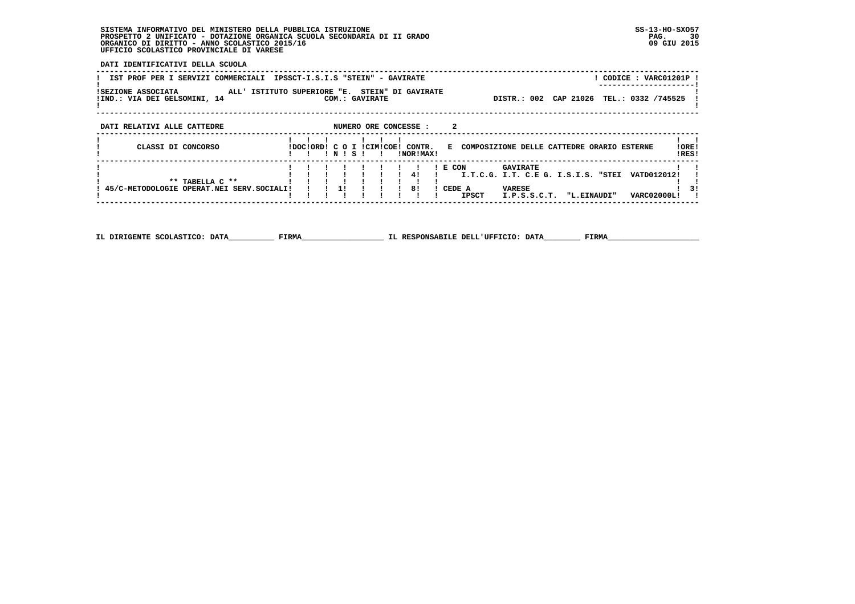**DATI IDENTIFICATIVI DELLA SCUOLA**

| IST PROF PER I SERVIZI COMMERCIALI                                                |                           |       |                | IPSSCT-I.S.I.S "STEIN" - GAVIRATE |                                              |                                                        |           | ! CODICE : VARC01201P ! |                |
|-----------------------------------------------------------------------------------|---------------------------|-------|----------------|-----------------------------------|----------------------------------------------|--------------------------------------------------------|-----------|-------------------------|----------------|
| ISEZIONE ASSOCIATA<br>ALL' ISTITUTO SUPERIORE "E.<br>!IND.: VIA DEI GELSOMINI, 14 |                           |       | COM.: GAVIRATE | STEIN" DI GAVIRATE                |                                              | DISTR.: 002                                            | CAP 21026 | TEL.: 0332 /745525      |                |
| DATI RELATIVI ALLE CATTEDRE                                                       |                           |       |                | NUMERO ORE CONCESSE :             |                                              |                                                        |           |                         |                |
| CLASSI DI CONCORSO                                                                | IDOCIORDI C O I ICIMICOEI | ! N ! | - S - I        | CONTR.<br>INORIMAXI               | E COMPOSIZIONE DELLE CATTEDRE ORARIO ESTERNE |                                                        |           |                         | !ORE!<br>IRES! |
| ** TABELLA C **                                                                   |                           |       |                | 41                                | $I$ E CON                                    | <b>GAVIRATE</b><br>I.T.C.G. I.T. C.E G. I.S.I.S. "STEI |           | VATD012012!             |                |
| 45/C-METODOLOGIE OPERAT.NEI SERV.SOCIALI!                                         |                           | 11    |                | 81                                | CEDE A<br><b>IPSCT</b>                       | <b>VARESE</b><br>I.P.S.S.C.T. "L.EINAUDI"              |           | <b>VARC02000LI</b>      | 31             |

 **------------------------------------------------------------------------------------------------------------------------------------**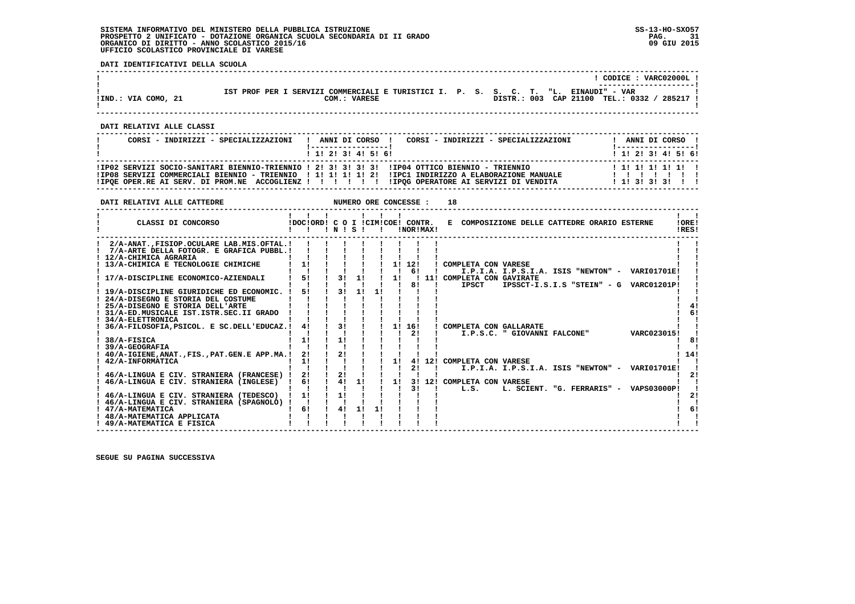**DATI IDENTIFICATIVI DELLA SCUOLA**

|                     |                                                                                     |  | CODICE: VARC02000L!<br>---------------------- |
|---------------------|-------------------------------------------------------------------------------------|--|-----------------------------------------------|
|                     | IST PROF PER I SERVIZI COMMERCIALI E TURISTICI I. P. S. S. C. T. "L. EINAUDI" - VAR |  |                                               |
| !IND.: VIA COMO, 21 | COM.: VARESE                                                                        |  | DISTR.: 003 CAP 21100 TEL.: 0332 /<br>285217  |

 **------------------------------------------------------------------------------------------------------------------------------------**

 **------------------------------------------------------------------------------------------------------------------------------------**

 **DATI RELATIVI ALLE CLASSI**

| CORSI - INDIRIZZI - SPECIALIZZAZIONI | CORSI - INDIRIZZI - SPECIALIZZAZIONI<br>ANNI DI CORSO !<br>------------------                                                                                                                        | ANNI DI CORSO !<br>! -----------------!                 |
|--------------------------------------|------------------------------------------------------------------------------------------------------------------------------------------------------------------------------------------------------|---------------------------------------------------------|
|                                      | $1 \; 1 \; 2 \; 3 \; 3 \; 4 \; 5 \; 6$                                                                                                                                                               | ! 1! 2! 3! 4! 5! 6!                                     |
|                                      | IP02 SERVIZI SOCIO-SANITARI BIENNIO-TRIENNIO ! 2! 3! 3! 3! 3! IP04 OTTICO BIENNIO - TRIENNIO<br>IIPO8 SERVIZI COMMERCIALI BIENNIO - TRIENNIO   1! 1! 1! 1! 2! IIPC1 INDIRIZZO A ELABORAZIONE MANUALE | 1 1 1 1 1 1 1 1 1 1<br>1111111<br>1 1 1 3 1 3 1 3 1 1 1 |

| DATI RELATIVI ALLE CATTEDRE                                                                                                                                                                                                                                                                                     |                                  |                      |          |              |    | NUMERO ORE CONCESSE : | 18                                                                                                                                                              |                |
|-----------------------------------------------------------------------------------------------------------------------------------------------------------------------------------------------------------------------------------------------------------------------------------------------------------------|----------------------------------|----------------------|----------|--------------|----|-----------------------|-----------------------------------------------------------------------------------------------------------------------------------------------------------------|----------------|
| CLASSI DI CONCORSO                                                                                                                                                                                                                                                                                              | IDOCIORD! C O I ICIMICOE! CONTR. | INISI                |          | $\mathbf{I}$ |    | !NOR!MAX!             | E COMPOSIZIONE DELLE CATTEDRE ORARIO ESTERNE                                                                                                                    | !ORE!<br>IRES! |
| 2/A-ANAT. FISIOP. OCULARE LAB.MIS. OFTAL. !<br>7/A-ARTE DELLA FOTOGR. E GRAFICA PUBBL.!<br>12/A-CHIMICA AGRARIA<br>13/A-CHIMICA E TECNOLOGIE CHIMICHE<br>17/A-DISCIPLINE ECONOMICO-AZIENDALI<br>19/A-DISCIPLINE GIURIDICHE ED ECONOMIC.<br>24/A-DISEGNO E STORIA DEL COSTUME<br>25/A-DISEGNO E STORIA DELL'ARTE | 1!<br>5!<br>51                   | 31<br>31             | 1!<br>11 |              | 11 | 1! 12!<br>61<br>81    | ! COMPLETA CON VARESE<br>I.P.I.A. I.P.S.I.A. ISIS "NEWTON" - VARI01701E!<br>11! COMPLETA CON GAVIRATE<br><b>IPSCT</b><br>IPSSCT-I.S.I.S "STEIN" - G VARC01201P! |                |
| 31/A-ED.MUSICALE IST.ISTR.SEC.II GRADO<br>34/A-ELETTRONICA<br>36/A-FILOSOFIA.PSICOL. E SC.DELL'EDUCAZ.!<br>38/A-FISICA<br>39/A-GEOGRAFIA<br>40/A-IGIENE, ANAT., FIS., PAT. GEN. E APP.MA.!<br>42/A-INFORMATICA<br>46/A-LINGUA E CIV. STRANIERA (FRANCESE) !                                                     | 4!<br>11<br>2!<br>11<br>2!       | 31<br>11<br>21<br>21 |          |              | 11 | 1! 16!<br>21<br>2!    | ! COMPLETA CON GALLARATE<br>VARC023015!<br>I.P.S.C. " GIOVANNI FALCONE"<br>4! 12! COMPLETA CON VARESE<br>I.P.I.A. I.P.S.I.A. ISIS "NEWTON" - VARI01701E!        | 14!            |
| 46/A-LINGUA E CIV. STRANIERA (INGLESE)<br>46/A-LINGUA E CIV. STRANIERA (TEDESCO)<br>! 46/A-LINGUA E CIV. STRANIERA (SPAGNOLO) !<br>! 47/A-MATEMATICA<br>48/A-MATEMATICA APPLICATA<br>49/A-MATEMATICA E FISICA                                                                                                   | 61<br>11<br>61                   | 41<br>1!<br>4!       | 1!<br>1! | 1!           | 11 | 31                    | 3! 12! COMPLETA CON VARESE<br>L. SCIENT. "G. FERRARIS" - VAPS03000P!<br>L.S.                                                                                    | 21             |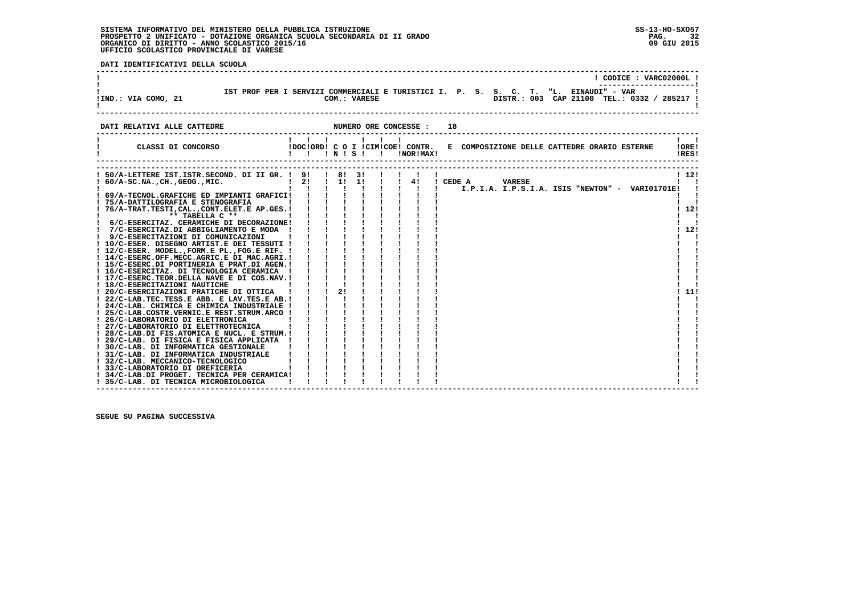| DATI IDENTIFICATIVI DELLA SCUOLA                                                                                                |                                                                                                                    |                                                                                                            |  |                                                                                                                                    |
|---------------------------------------------------------------------------------------------------------------------------------|--------------------------------------------------------------------------------------------------------------------|------------------------------------------------------------------------------------------------------------|--|------------------------------------------------------------------------------------------------------------------------------------|
|                                                                                                                                 |                                                                                                                    |                                                                                                            |  | ! CODICE : VARC02000L !                                                                                                            |
| !IND.: VIA COMO, 21                                                                                                             |                                                                                                                    | COM.: VARESE                                                                                               |  | IST PROF PER I SERVIZI COMMERCIALI E TURISTICI I. P. S. S. C. T. "L. EINAUDI" - VAR<br>DISTR.: 003 CAP 21100 TEL.: 0332 / 285217 ! |
|                                                                                                                                 |                                                                                                                    |                                                                                                            |  |                                                                                                                                    |
| DATI RELATIVI ALLE CATTEDRE                                                                                                     | NUMERO ORE CONCESSE :                                                                                              |                                                                                                            |  | 18                                                                                                                                 |
| CLASSI DI CONCORSO (DOCIORDI C O I ICIMICOEI CONTR.                                                                             | $\begin{array}{cccccccccccccc} 1 & 1 & 1 & 1 & 1 & 1 & 1 & 1 \end{array}$                                          |                                                                                                            |  | $\mathbf{1}$ $\mathbf{1}$<br>E COMPOSIZIONE DELLE CATTEDRE ORARIO ESTERNE<br>10RE1<br>!RES!                                        |
|                                                                                                                                 |                                                                                                                    |                                                                                                            |  |                                                                                                                                    |
| ! 50/A-LETTERE IST.ISTR.SECOND. DI II GR. ! 9! ! 8! 3! !<br>! 60/A-SC.NA., CH., GEOG., MIC.   2! ! 1! 1! ! ! 4! ! CEDE A VARESE |                                                                                                                    |                                                                                                            |  | 1121<br>$\mathbf{I}$ $\mathbf{I}$                                                                                                  |
| ! 69/A-TECNOL.GRAFICHE ED IMPIANTI GRAFICI!                                                                                     |                                                                                                                    |                                                                                                            |  |                                                                                                                                    |
| ! 75/A-DATTILOGRAFIA E STENOGRAFIA<br>! 76/A-TRAT. TESTI, CAL., CONT. ELET. E AP. GES. !                                        |                                                                                                                    |                                                                                                            |  | 112!                                                                                                                               |
| $***$ TABELLA $C***$<br>and the contract of the state of the<br>! 6/C-ESERCITAZ. CERAMICHE DI DECORAZIONE!                      |                                                                                                                    | $\mathbf{1}=\mathbf{1}=\mathbf{1}=\mathbf{1}=\mathbf{1}=\mathbf{1}=\mathbf{1}=\mathbf{1}$<br>1 1 1 1 1 1 1 |  | $\blacksquare$                                                                                                                     |
| ! 7/C-ESERCITAZ.DI ABBIGLIAMENTO E MODA !                                                                                       |                                                                                                                    |                                                                                                            |  | 1121                                                                                                                               |
| ! 9/C-ESERCITAZIONI DI COMUNICAZIONI<br>! 10/C-ESER. DISEGNO ARTIST.E DEI TESSUTI !                                             | $\mathbf{1}$ $\mathbf{1}$ $\mathbf{1}$ $\mathbf{1}$                                                                | $1 \quad 1 \quad 1 \quad 1$                                                                                |  |                                                                                                                                    |
| ! 12/C-ESER. MODEL., FORM.E PL., FOG.E RIF. !                                                                                   | $\frac{1}{2}$ $\frac{1}{2}$ $\frac{1}{2}$                                                                          |                                                                                                            |  |                                                                                                                                    |
| ! 14/C-ESERC.OFF.MECC.AGRIC.E DI MAC.AGRI.!<br>! 15/C-ESERC.DI PORTINERIA E PRAT.DI AGEN.!                                      | $1 \quad 1 \quad 1$                                                                                                |                                                                                                            |  |                                                                                                                                    |
| ! 16/C-ESERCITAZ. DI TECNOLOGIA CERAMICA !                                                                                      |                                                                                                                    | $1 \quad 1 \quad 1 \quad 1$                                                                                |  |                                                                                                                                    |
| ! 17/C-ESERC.TEOR.DELLA NAVE E DI COS.NAV.!<br>! 18/C-ESERCITAZIONI NAUTICHE                                                    |                                                                                                                    |                                                                                                            |  |                                                                                                                                    |
| ! 20/C-ESERCITAZIONI PRATICHE DI OTTICA                                                                                         |                                                                                                                    |                                                                                                            |  | 11!                                                                                                                                |
| ! 22/C-LAB.TEC.TESS.E ABB. E LAV.TES.E AB.!<br>! 24/C-LAB. CHIMICA E CHIMICA INDUSTRIALE !                                      | $1 \quad 1 \quad$                                                                                                  |                                                                                                            |  |                                                                                                                                    |
| ! 25/C-LAB.COSTR.VERNIC.E REST.STRUM.ARCO !                                                                                     | $\mathbf{i}$ $\mathbf{i}$ $\mathbf{j}$                                                                             |                                                                                                            |  |                                                                                                                                    |
| ! 26/C-LABORATORIO DI ELETTRONICA<br>! 27/C-LABORATORIO DI ELETTROTECNICA                                                       | $i \rightarrow i \rightarrow i$                                                                                    |                                                                                                            |  |                                                                                                                                    |
| ! 28/C-LAB.DI FIS.ATOMICA E NUCL. E STRUM.!                                                                                     |                                                                                                                    | $1 \quad 1 \quad 1 \quad 1$                                                                                |  |                                                                                                                                    |
| ! 29/C-LAB. DI FISICA E FISICA APPLICATA !<br>! 30/C-LAB. DI INFORMATICA GESTIONALE                                             |                                                                                                                    | $\mathbf{i}$ $\mathbf{j}$ $\mathbf{k}$ $\mathbf{k}$ $\mathbf{k}$<br>i i i i                                |  |                                                                                                                                    |
| ! 31/C-LAB. DI INFORMATICA INDUSTRIALE                                                                                          | $\begin{array}{cccccccccc} 1 & 1 & 1 & 1 & 1 & 1 \\ 1 & 1 & 1 & 1 & 1 & 1 \\ 1 & 1 & 1 & 1 & 1 & 1 \\ \end{array}$ |                                                                                                            |  |                                                                                                                                    |
| ! 32/C-LAB. MECCANICO-TECNOLOGICO                                                                                               |                                                                                                                    |                                                                                                            |  |                                                                                                                                    |
| ! 33/C-LABORATORIO DI OREFICERIA<br>! 34/C-LAB.DI PROGET. TECNICA PER CERAMICA!                                                 |                                                                                                                    |                                                                                                            |  |                                                                                                                                    |
| ! 35/C-LAB. DI TECNICA MICROBIOLOGICA                                                                                           |                                                                                                                    |                                                                                                            |  |                                                                                                                                    |

 **------------------------------------------------------------------------------------------------------------------------------------**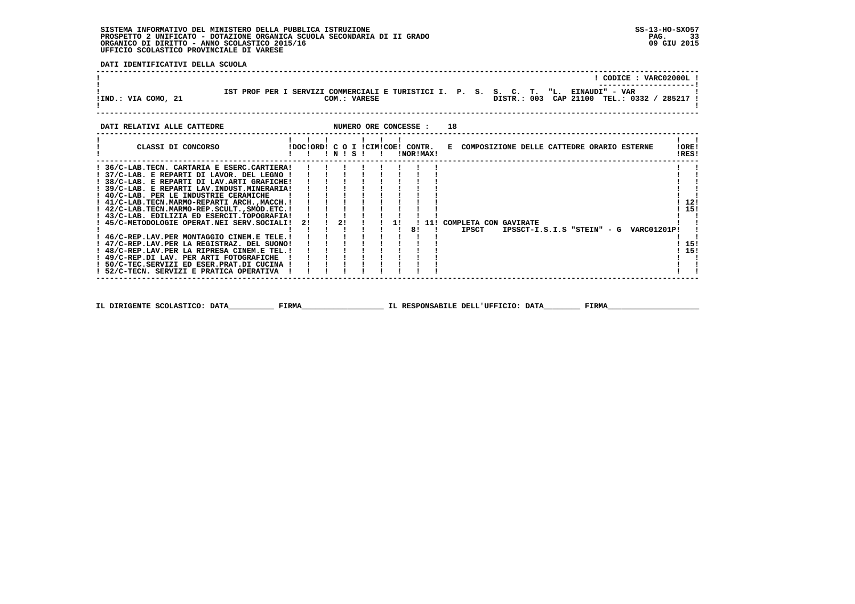**DATI IDENTIFICATIVI DELLA SCUOLA**

|                                                                                                                                                                                                                                                                                                                                                                                                                                                                                                                                                                                                                                                                                                                        |                                                                                                                                                   |    |              |  |    |           |    |                                                |  |  |  | ! CODICE : VARC02000L                       |                             |  |
|------------------------------------------------------------------------------------------------------------------------------------------------------------------------------------------------------------------------------------------------------------------------------------------------------------------------------------------------------------------------------------------------------------------------------------------------------------------------------------------------------------------------------------------------------------------------------------------------------------------------------------------------------------------------------------------------------------------------|---------------------------------------------------------------------------------------------------------------------------------------------------|----|--------------|--|----|-----------|----|------------------------------------------------|--|--|--|---------------------------------------------|-----------------------------|--|
| IST PROF PER I SERVIZI COMMERCIALI E TURISTICI I. P. S. S. C. T. "L. EINAUDI" - VAR<br>!IND.: VIA COMO, 21                                                                                                                                                                                                                                                                                                                                                                                                                                                                                                                                                                                                             |                                                                                                                                                   |    | COM.: VARESE |  |    |           |    |                                                |  |  |  | DISTR.: 003 CAP 21100 TEL.: 0332 / 285217 ! |                             |  |
| NUMERO ORE CONCESSE :<br>DATI RELATIVI ALLE CATTEDRE                                                                                                                                                                                                                                                                                                                                                                                                                                                                                                                                                                                                                                                                   |                                                                                                                                                   |    |              |  |    |           | 18 |                                                |  |  |  |                                             |                             |  |
| CLASSI DI CONCORSO                                                                                                                                                                                                                                                                                                                                                                                                                                                                                                                                                                                                                                                                                                     | 111111111<br>!DOC!ORD! C O I !CIM!COE! CONTR. E COMPOSIZIONE DELLE CATTEDRE ORARIO ESTERNE<br>$1 \quad 1 \quad 1 \quad N \quad 1 \quad S \quad 1$ |    |              |  |    | INORIMAXI |    |                                                |  |  |  |                                             | !ORE!<br>!RES!              |  |
| ! 36/C-LAB.TECN. CARTARIA E ESERC.CARTIERA!<br>! 37/C-LAB. E REPARTI DI LAVOR. DEL LEGNO !<br>! 38/C-LAB. E REPARTI DI LAV.ARTI GRAFICHE!<br>! 39/C-LAB. E REPARTI LAV. INDUST. MINERARIA!<br>! 40/C-LAB. PER LE INDUSTRIE CERAMICHE<br>! 41/C-LAB.TECN.MARMO-REPARTI ARCH.,MACCH.!<br>! 42/C-LAB.TECN.MARMO-REP.SCULT., SMOD.ETC. !<br>! 43/C-LAB. EDILIZIA ED ESERCIT.TOPOGRAFIA!<br>! 45/C-METODOLOGIE OPERAT.NEI SERV.SOCIALI!<br>! 46/C-REP.LAV.PER MONTAGGIO CINEM.E TELE.!<br>! 47/C-REP.LAV.PER LA REGISTRAZ. DEL SUONO!<br>! 48/C-REP.LAV.PER LA RIPRESA CINEM.E TEL.!<br>! 49/C-REP.DI LAV. PER ARTI FOTOGRAFICHE<br>! 50/C-TEC.SERVIZI ED ESER.PRAT.DI CUCINA !<br>! 52/C-TECN. SERVIZI E PRATICA OPERATIVA | 21                                                                                                                                                | 2! |              |  | 8! |           |    | 1! ! 11! COMPLETA CON GAVIRATE<br><b>IPSCT</b> |  |  |  | IPSSCT-I.S.I.S "STEIN" - G VARC01201P!      | 121<br>! 15!<br>15!<br>115! |  |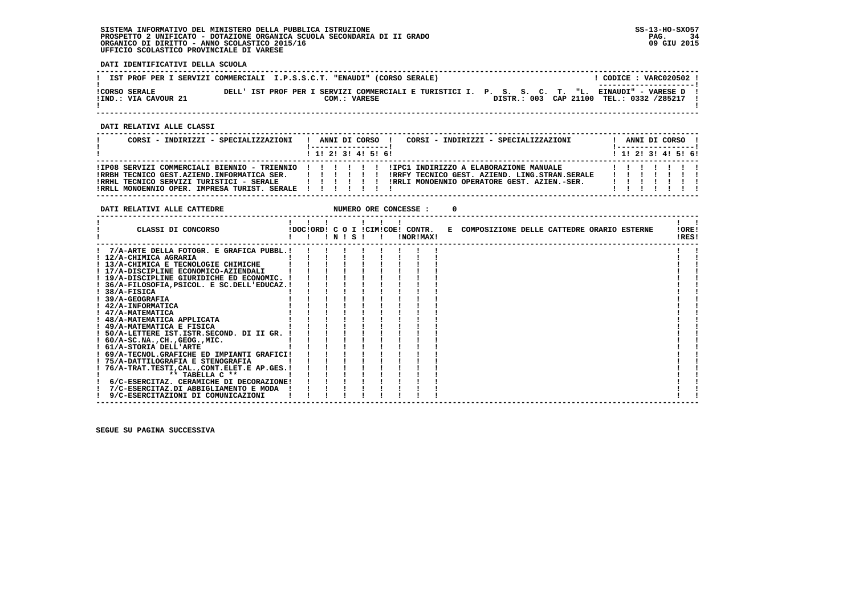**DATI IDENTIFICATIVI DELLA SCUOLA**

|                                              | IST PROF PER I SERVIZI COMMERCIALI I.P.S.S.C.T. "ENAUDI" (CORSO SERALE) | CODICE: VARC020502 !<br>---------------------                                                                                                  |
|----------------------------------------------|-------------------------------------------------------------------------|------------------------------------------------------------------------------------------------------------------------------------------------|
| <b>!CORSO SERALE</b><br>!IND.: VIA CAVOUR 21 | COM.: VARESE                                                            | DELL' IST PROF PER I SERVIZI COMMERCIALI E TURISTICI I. P. S. S. C. T. "L. EINAUDI" - VARESE D !<br>DISTR.: 003 CAP 21100 TEL.: 0332 /285217 ! |

 **------------------------------------------------------------------------------------------------------------------------------------**

 **DATI RELATIVI ALLE CLASSI**

| CORSI - INDIRIZZI - SPECIALIZZAZIONI                                                                                                                                           | CORSI - INDIRIZZI - SPECIALIZZAZIONI<br>ANNI DI CORSO !<br>1 1 1 2 1 3 1 4 1 5 1 6 1                                                                                                                |  |  | ANNI DI CORSO !<br>1 1 1 2 1 3 1 4 1 5 1 6 1 |  |
|--------------------------------------------------------------------------------------------------------------------------------------------------------------------------------|-----------------------------------------------------------------------------------------------------------------------------------------------------------------------------------------------------|--|--|----------------------------------------------|--|
| IRRBH TECNICO GEST.AZIEND.INFORMATICA SER.            <br>IRRHL TECNICO SERVIZI TURISTICI - SERALE            <br>!RRLL MONOENNIO OPER. IMPRESA TURIST. SERALE ! ! ! ! ! ! ! ! | IIPO8 SERVIZI COMMERCIALI BIENNIO - TRIENNIO                 IIPC1 INDIRIZZO A ELABORAZIONE MANUALE<br>IRRFY TECNICO GEST. AZIEND. LING.STRAN.SERALE<br>IRRLI MONOENNIO OPERATORE GEST. AZIEN.-SER. |  |  |                                              |  |

**DATI RELATIVI ALLE CATTEDRE NUMERO ORE CONCESSE : 0** 

| CLASSI DI CONCORSO                              |  | $'$ N $'$ S |  |  | !DOC!ORD! C O I !CIM!COE! CONTR.<br>!NOR!MAX! |  | E COMPOSIZIONE DELLE CATTEDRE ORARIO ESTERNE |  |  | !ORE!<br>!RES! |  |
|-------------------------------------------------|--|-------------|--|--|-----------------------------------------------|--|----------------------------------------------|--|--|----------------|--|
| 7/A-ARTE DELLA FOTOGR. E GRAFICA PUBBL.!        |  |             |  |  |                                               |  |                                              |  |  |                |  |
| ! 12/A-CHIMICA AGRARIA                          |  |             |  |  |                                               |  |                                              |  |  |                |  |
| ! 13/A-CHIMICA E TECNOLOGIE CHIMICHE            |  |             |  |  |                                               |  |                                              |  |  |                |  |
| ! 17/A-DISCIPLINE ECONOMICO-AZIENDALI           |  |             |  |  |                                               |  |                                              |  |  |                |  |
| ! 19/A-DISCIPLINE GIURIDICHE ED ECONOMIC.       |  |             |  |  |                                               |  |                                              |  |  |                |  |
| ! 36/A-FILOSOFIA, PSICOL. E SC.DELL'EDUCAZ.!    |  |             |  |  |                                               |  |                                              |  |  |                |  |
| ! 38/A-FISICA                                   |  |             |  |  |                                               |  |                                              |  |  |                |  |
| <b>39/A-GEOGRAFIA</b>                           |  |             |  |  |                                               |  |                                              |  |  |                |  |
| ! 42/A-INFORMATICA                              |  |             |  |  |                                               |  |                                              |  |  |                |  |
| ! 47/A-MATEMATICA                               |  |             |  |  |                                               |  |                                              |  |  |                |  |
| ! 48/A-MATEMATICA APPLICATA                     |  |             |  |  |                                               |  |                                              |  |  |                |  |
| ! 49/A-MATEMATICA E FISICA                      |  |             |  |  |                                               |  |                                              |  |  |                |  |
| ! 50/A-LETTERE IST.ISTR.SECOND. DI II GR.       |  |             |  |  |                                               |  |                                              |  |  |                |  |
| $1.60/A-SC.NA.$ , $CH.$ , $GEOG.$ , $MIC.$      |  |             |  |  |                                               |  |                                              |  |  |                |  |
| ! 61/A-STORIA DELL'ARTE                         |  |             |  |  |                                               |  |                                              |  |  |                |  |
| ! 69/A-TECNOL.GRAFICHE ED IMPIANTI GRAFICI!     |  |             |  |  |                                               |  |                                              |  |  |                |  |
| ! 75/A-DATTILOGRAFIA E STENOGRAFIA              |  |             |  |  |                                               |  |                                              |  |  |                |  |
| 76/A-TRAT.TESTI, CAL., CONT. ELET. E AP. GES. ! |  |             |  |  |                                               |  |                                              |  |  |                |  |
| ** TABELLA $C$ **                               |  |             |  |  |                                               |  |                                              |  |  |                |  |
| 6/C-ESERCITAZ. CERAMICHE DI DECORAZIONE!        |  |             |  |  |                                               |  |                                              |  |  |                |  |
| 7/C-ESERCITAZ.DI ABBIGLIAMENTO E MODA           |  |             |  |  |                                               |  |                                              |  |  |                |  |
| 9/C-ESERCITAZIONI DI COMUNICAZIONI              |  |             |  |  |                                               |  |                                              |  |  |                |  |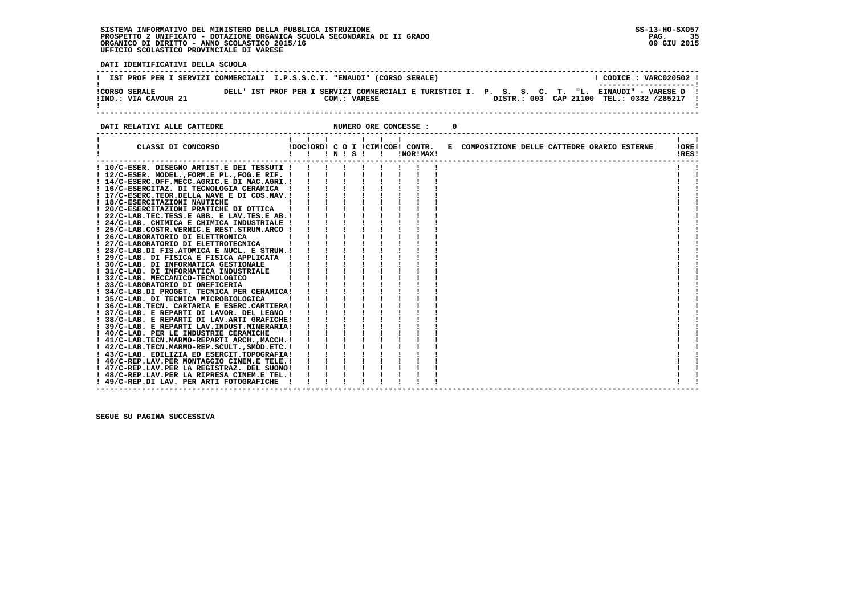**DATI IDENTIFICATIVI DELLA SCUOLA**

|                                              | IST PROF PER I SERVIZI COMMERCIALI I.P.S.S.C.T. "ENAUDI" (CORSO SERALE) | CODICE: VARC020502 !<br>----------------------                                                                                                 |
|----------------------------------------------|-------------------------------------------------------------------------|------------------------------------------------------------------------------------------------------------------------------------------------|
| <b>!CORSO SERALE</b><br>!IND.: VIA CAVOUR 21 | COM.: VARESE                                                            | DELL' IST PROF PER I SERVIZI COMMERCIALI E TURISTICI I. P. S. S. C. T. "L. EINAUDI" - VARESE D !<br>DISTR.: 003 CAP 21100 TEL.: 0332 /285217 ! |

**DATI RELATIVI ALLE CATTEDRE CONCESSE : 0** 

| CLASSI DI CONCORSO                             | . | $'$ N $'$ S $'$ | $\mathbf{I}$ $\mathbf{I}$ | !DOC!ORD! C O I !CIM!COE! CONTR.<br>!NOR!MAX! | E COMPOSIZIONE DELLE CATTEDRE ORARIO ESTERNE | !ORE!<br>!RES! |
|------------------------------------------------|---|-----------------|---------------------------|-----------------------------------------------|----------------------------------------------|----------------|
| ! 10/C-ESER. DISEGNO ARTIST.E DEI TESSUTI !    |   |                 |                           |                                               |                                              |                |
| ! 12/C-ESER. MODEL., FORM.E PL., FOG.E RIF. !  |   |                 |                           |                                               |                                              |                |
| ! 14/C-ESERC.OFF.MECC.AGRIC.E DI MAC.AGRI.!    |   |                 |                           |                                               |                                              |                |
| ! 16/C-ESERCITAZ. DI TECNOLOGIA CERAMICA       |   |                 |                           |                                               |                                              |                |
| ! 17/C-ESERC.TEOR.DELLA NAVE E DI COS.NAV.!    |   |                 |                           |                                               |                                              |                |
| ! 18/C-ESERCITAZIONI NAUTICHE                  |   |                 |                           |                                               |                                              |                |
| ! 20/C-ESERCITAZIONI PRATICHE DI OTTICA        |   |                 |                           |                                               |                                              |                |
| ! 22/C-LAB.TEC.TESS.E ABB. E LAV.TES.E AB.!    |   |                 |                           |                                               |                                              |                |
| ! 24/C-LAB. CHIMICA E CHIMICA INDUSTRIALE !    |   |                 |                           |                                               |                                              |                |
| ! 25/C-LAB.COSTR.VERNIC.E REST.STRUM.ARCO !    |   |                 |                           |                                               |                                              |                |
| ! 26/C-LABORATORIO DI ELETTRONICA              |   |                 |                           |                                               |                                              |                |
| ! 27/C-LABORATORIO DI ELETTROTECNICA           |   |                 |                           |                                               |                                              |                |
| ! 28/C-LAB.DI FIS.ATOMICA E NUCL. E STRUM.!    |   |                 |                           |                                               |                                              |                |
| ! 29/C-LAB. DI FISICA E FISICA APPLICATA       |   |                 |                           |                                               |                                              |                |
| ! 30/C-LAB. DI INFORMATICA GESTIONALE          |   |                 |                           |                                               |                                              |                |
| ! 31/C-LAB. DI INFORMATICA INDUSTRIALE         |   |                 |                           |                                               |                                              |                |
| ! 32/C-LAB. MECCANICO-TECNOLOGICO              |   |                 |                           |                                               |                                              |                |
| ! 33/C-LABORATORIO DI OREFICERIA               |   |                 |                           |                                               |                                              |                |
| ! 34/C-LAB.DI PROGET. TECNICA PER CERAMICA!    |   |                 |                           |                                               |                                              |                |
| ! 35/C-LAB. DI TECNICA MICROBIOLOGICA          |   |                 |                           |                                               |                                              |                |
| ! 36/C-LAB. TECN. CARTARIA E ESERC. CARTIERA!  |   |                 |                           |                                               |                                              |                |
| ! 37/C-LAB. E REPARTI DI LAVOR. DEL LEGNO !    |   |                 |                           |                                               |                                              |                |
| ! 38/C-LAB. E REPARTI DI LAV.ARTI GRAFICHE!    |   |                 |                           |                                               |                                              |                |
| ! 39/C-LAB. E REPARTI LAV.INDUST.MINERARIA!    |   |                 |                           |                                               |                                              |                |
| ! 40/C-LAB. PER LE INDUSTRIE CERAMICHE         |   |                 |                           |                                               |                                              |                |
| ! 41/C-LAB.TECN.MARMO-REPARTI ARCH.,MACCH.!    |   |                 |                           |                                               |                                              |                |
| $!$ 42/C-LAB.TECN.MARMO-REP.SCULT., SMOD.ETC.! |   |                 |                           |                                               |                                              |                |
| ! 43/C-LAB. EDILIZIA ED ESERCIT.TOPOGRAFIA!    |   |                 |                           |                                               |                                              |                |
| ! 46/C-REP.LAV.PER MONTAGGIO CINEM.E TELE.!    |   |                 |                           |                                               |                                              |                |
| ! 47/C-REP.LAV.PER LA REGISTRAZ. DEL SUONO!    |   |                 |                           |                                               |                                              |                |
| ! 48/C-REP.LAV.PER LA RIPRESA CINEM.E TEL.!    |   |                 |                           |                                               |                                              |                |
| ! 49/C-REP.DI LAV. PER ARTI FOTOGRAFICHE       |   |                 |                           |                                               |                                              |                |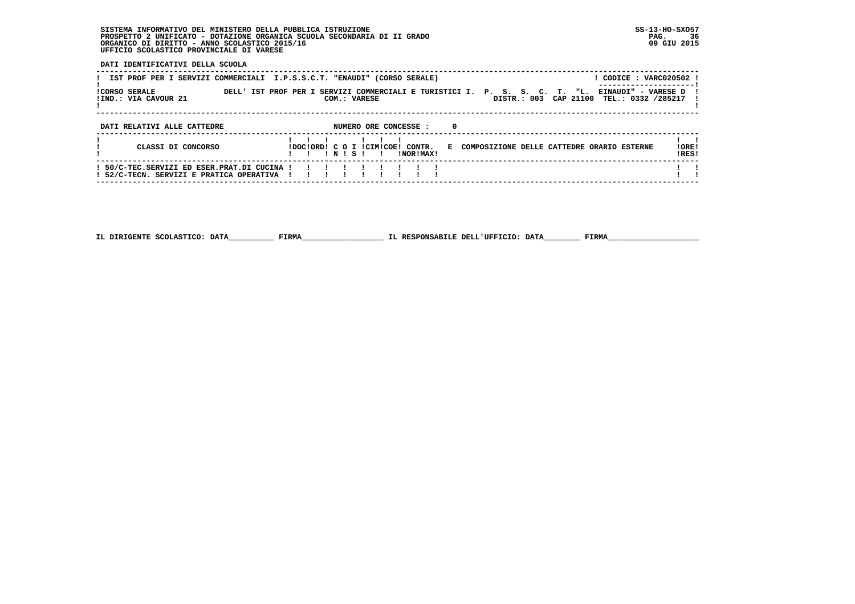**DATI IDENTIFICATIVI DELLA SCUOLA**

| IST PROF PER I SERVIZI COMMERCIALI I.P.S.S.C.T. "ENAUDI" (CORSO SERALE)<br><b>ICORSO SERALE</b> | ! CODICE : VARC020502 !<br>DELL' IST PROF PER I SERVIZI COMMERCIALI E TURISTICI I. P. S. S. C. T. "L.<br>EINAUDI" - VARESE D |                 |  |  |  |  |  |
|-------------------------------------------------------------------------------------------------|------------------------------------------------------------------------------------------------------------------------------|-----------------|--|--|--|--|--|
| !IND.: VIA CAVOUR 21                                                                            | DISTR.: 003 CAP 21100<br>TEL.: 0332 /285217<br>COM.: VARESE                                                                  |                 |  |  |  |  |  |
| NUMERO ORE CONCESSE :<br>$\Omega$<br>DATI RELATIVI ALLE CATTEDRE                                |                                                                                                                              |                 |  |  |  |  |  |
| CLASSI DI CONCORSO                                                                              | IDOCIORD! C O I ICIMICOE! CONTR.<br>E COMPOSIZIONE DELLE CATTEDRE ORARIO ESTERNE<br>NISI<br>INORIMAXI                        | ! ORE!<br>IRES! |  |  |  |  |  |
| ! 50/C-TEC.SERVIZI ED ESER.PRAT.DI CUCINA<br>! 52/C-TECN. SERVIZI E PRATICA OPERATIVA           |                                                                                                                              |                 |  |  |  |  |  |

 **------------------------------------------------------------------------------------------------------------------------------------**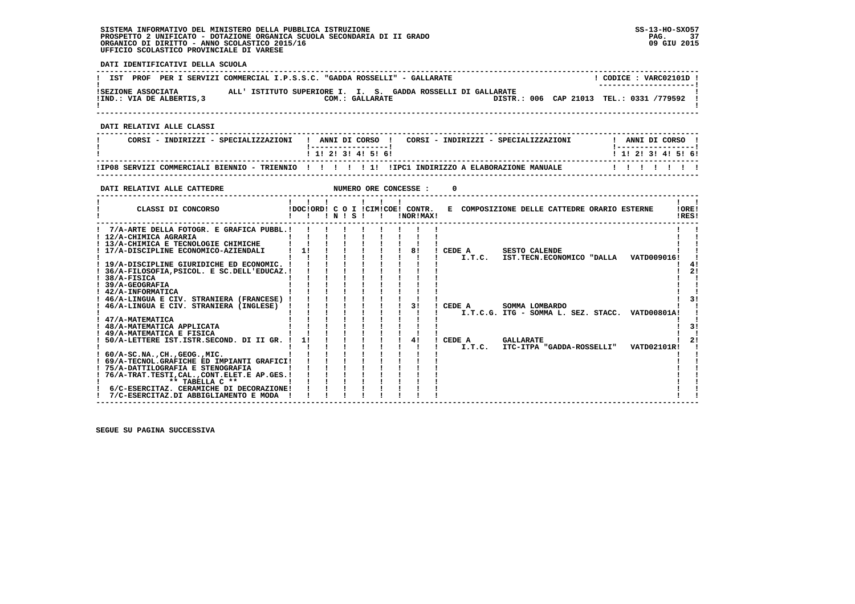**------------------------------------------------------------------------------------------------------------------------------------**1 CODICE : VARC02101D I **! IST PROF PER I SERVIZI COMMERCIAL I.P.S.S.C. "GADDA ROSSELLI" - GALLARATE ! ---------------------! !SEZIONE ASSOCIATA ALL' ISTITUTO SUPERIORE I. I. S. GADDA ROSSELLI DI GALLARATE ! !IND.: VIA DE ALBERTIS,3 COM.: GALLARATE DISTR.: 006 CAP 21013 TEL.: 0331 /779592 !**- 1  **! ! ------------------------------------------------------------------------------------------------------------------------------------ DATI RELATIVI ALLE CLASSI ------------------------------------------------------------------------------------------------------------------------------------**! ANNI DI CORSO !  **! CORSI - INDIRIZZI - SPECIALIZZAZIONI ! ANNI DI CORSO ! CORSI - INDIRIZZI - SPECIALIZZAZIONI ! ANNI DI CORSO !**\_\_\_\_\_\_\_\_\_\_\_\_\_\_\_\_\_\_\_\_\_\_  **! !-----------------! !-----------------!**1 1 2 2 1 3 1 4 1 5 1 6 1  **! ! 1! 2! 3! 4! 5! 6! ! 1! 2! 3! 4! 5! 6! ------------------------------------------------------------------------------------------------------------------------------------ !IP08 SERVIZI COMMERCIALI BIENNIO - TRIENNIO ! ! ! ! ! 1! !IPC1 INDIRIZZO A ELABORAZIONE MANUALE ! ! ! ! ! ! ! ------------------------------------------------------------------------------------------------------------------------------------DATI RELATIVI ALLE CATTEDRE NUMERO ORE CONCESSE : 0 ------------------------------------------------------------------------------------------------------------------------------------** $\mathbf{I}$   $\mathbf{I}$  **! ! ! ! ! ! ! ! !LORE!** CLASSI DI CONCORSO **8** | DOC!ORD! C O I !CIM!COE! CONTR. E COMPOSIZIONE DELLE CATTEDRE ORARIO ESTERNE **IDFSI ! ! ! ! N ! S ! ! !NOR!MAX! !RES! ------------------------------------------------------------------------------------------------------------------------------------** $\mathbf{I}$  **! 7/A-ARTE DELLA FOTOGR. E GRAFICA PUBBL.! ! ! ! ! ! ! ! ! ! ! ! 12/A-CHIMICA AGRARIA ! ! ! ! ! ! ! ! ! ! ! ! 13/A-CHIMICA E TECNOLOGIE CHIMICHE ! ! ! ! ! ! ! ! ! ! !** $\mathbf{I}$  and  $\mathbf{I}$  $\blacksquare$  **! 17/A-DISCIPLINE ECONOMICO-AZIENDALI ! 1! ! ! ! ! ! 8! ! CEDE A SESTO CALENDE ! ! ! ! ! ! ! ! ! ! ! ! I.T.C. IST.TECN.ECONOMICO "DALLA VATD009016! ! ! 19/A-DISCIPLINE GIURIDICHE ED ECONOMIC. ! ! ! ! ! ! ! ! ! ! 4!** $\blacksquare$  $\frac{1}{4}$  $1 \quad 21$  **! 36/A-FILOSOFIA,PSICOL. E SC.DELL'EDUCAZ.! ! ! ! ! ! ! ! ! ! 2!** $\mathbf{I}$  **18/A-FISICA 2012 12:00 12:00 12:00 12:00 12:00 12:00 12:00 12:00 12:00 12:00 12:00 12:00 12:00 12:00 12:00 12:00 12:00 12:00 12:00 12:00 12:00 12:00 12:00 12:00 12:00 12:00 12:00 12:00 12:00 12:00 12:00 12:00 12:00 12:00**  $\mathbf{I}$  **! 39/A-GEOGRAFIA ! ! ! ! ! ! ! ! ! ! ! ! 42/A-INFORMATICA ! ! ! ! ! ! ! ! ! ! ! ! 46/A-LINGUA E CIV. STRANIERA (FRANCESE) ! ! ! ! ! ! ! ! ! ! 3! ! 46/A-LINGUA E CIV. STRANIERA (INGLESE) ! ! ! ! ! ! ! 3! ! CEDE A SOMMA LOMBARDO ! ! ! ! ! ! ! ! ! ! ! ! I.T.C.G. ITG - SOMMA L. SEZ. STACC. VATD00801A! ! ! 47/A-MATEMATICA ! ! ! ! ! ! ! ! ! ! !** $\mathbf{I}$  $1 - 31$  **! 48/A-MATEMATICA APPLICATA ! ! ! ! ! ! ! ! ! ! 3! ! 49/A-MATEMATICA E FISICA ! ! ! ! ! ! ! ! ! ! !** $\blacksquare$  $121$  **! 50/A-LETTERE IST.ISTR.SECOND. DI II GR. ! 1! ! ! ! ! ! 4! ! CEDE A GALLARATE ! 2! ! ! ! ! ! ! ! ! ! ! I.T.C. ITC-ITPA "GADDA-ROSSELLI" VATD02101R! ! ! 60/A-SC.NA.,CH.,GEOG.,MIC. ! ! ! ! ! ! ! ! ! ! ! ! 69/A-TECNOL.GRAFICHE ED IMPIANTI GRAFICI! ! ! ! ! ! ! ! ! ! !**- 1  $\blacksquare$  **! 75/A-DATTILOGRAFIA E STENOGRAFIA ! ! ! ! ! ! ! ! ! ! ! ! 76/A-TRAT.TESTI,CAL.,CONT.ELET.E AP.GES.! ! ! ! ! ! ! ! ! ! ! ! \*\* TABELLA C \*\* ! ! ! ! ! ! ! ! ! ! !** $\mathbf{I}$  $\mathbf{I}$  $\mathbf{I}$  **! 6/C-ESERCITAZ. CERAMICHE DI DECORAZIONE! ! ! ! ! ! ! ! ! ! !** $\mathbf{I}$   $\mathbf{I}$  **! 7/C-ESERCITAZ.DI ABBIGLIAMENTO E MODA ! ! ! ! ! ! ! ! ! ! !**

 **------------------------------------------------------------------------------------------------------------------------------------**

 **SEGUE SU PAGINA SUCCESSIVA**

## **DATI IDENTIFICATIVI DELLA SCUOLA**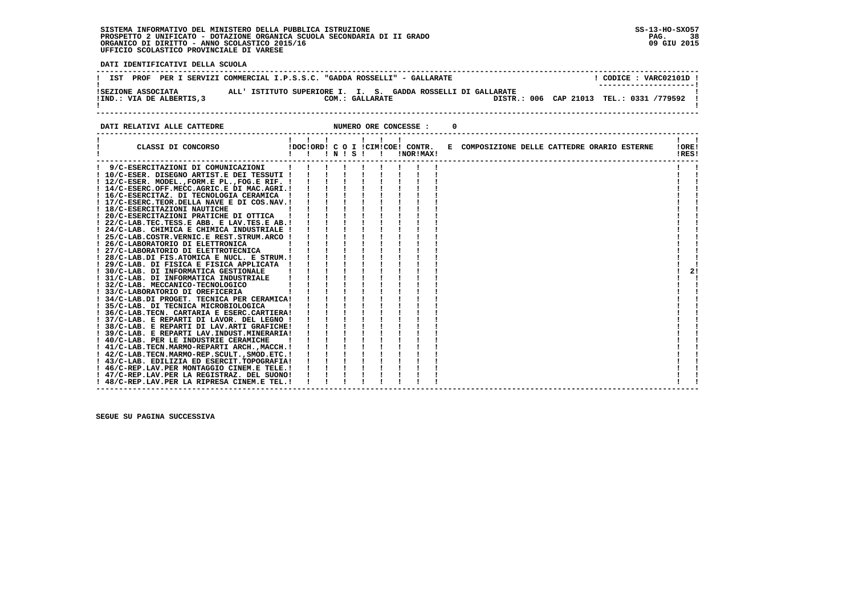i

 **DATI IDENTIFICATIVI DELLA SCUOLA**

| PROF<br>IST               | PER I SERVIZI COMMERCIAL I.P.S.S.C. "GADDA ROSSELLI" - GALLARATE | CODICE: VARC02101D !                     |
|---------------------------|------------------------------------------------------------------|------------------------------------------|
| ISEZIONE ASSOCIATA        | ALL' ISTITUTO SUPERIORE I. I. S. GADDA ROSSELLI DI GALLARATE     | ----------------------                   |
| !IND.: VIA DE ALBERTIS, 3 | COM.: GALLARATE                                                  | DISTR.: 006 CAP 21013 TEL.: 0331 /779592 |

**DATI RELATIVI ALLE CATTEDRE CONCESSE : 0** 

| 9/C-ESERCITAZIONI DI COMUNICAZIONI<br>! 10/C-ESER. DISEGNO ARTIST.E DEI TESSUTI !<br>! 12/C-ESER. MODEL., FORM.E PL., FOG.E RIF. !<br>! 14/C-ESERC.OFF.MECC.AGRIC.E DI MAC.AGRI.!<br>! 16/C-ESERCITAZ. DI TECNOLOGIA CERAMICA ! | !DOC!ORD! C O I !CIM!COE! CONTR. E COMPOSIZIONE DELLE CATTEDRE ORARIO ESTERNE<br>IOREI<br>!RES! |
|---------------------------------------------------------------------------------------------------------------------------------------------------------------------------------------------------------------------------------|-------------------------------------------------------------------------------------------------|
|                                                                                                                                                                                                                                 |                                                                                                 |
|                                                                                                                                                                                                                                 |                                                                                                 |
|                                                                                                                                                                                                                                 |                                                                                                 |
|                                                                                                                                                                                                                                 |                                                                                                 |
|                                                                                                                                                                                                                                 |                                                                                                 |
| ! 17/C-ESERC.TEOR.DELLA NAVE E DI COS.NAV.!                                                                                                                                                                                     |                                                                                                 |
| ! 18/C-ESERCITAZIONI NAUTICHE                                                                                                                                                                                                   |                                                                                                 |
| 20/C-ESERCITAZIONI PRATICHE DI OTTICA                                                                                                                                                                                           |                                                                                                 |
| ! 22/C-LAB.TEC.TESS.E ABB. E LAV.TES.E AB.!                                                                                                                                                                                     |                                                                                                 |
| ! 24/C-LAB. CHIMICA E CHIMICA INDUSTRIALE !                                                                                                                                                                                     |                                                                                                 |
| ! 25/C-LAB.COSTR.VERNIC.E REST.STRUM.ARCO !                                                                                                                                                                                     |                                                                                                 |
| ! 26/C-LABORATORIO DI ELETTRONICA                                                                                                                                                                                               |                                                                                                 |
| ! 27/C-LABORATORIO DI ELETTROTECNICA                                                                                                                                                                                            |                                                                                                 |
| ! 28/C-LAB.DI FIS.ATOMICA E NUCL. E STRUM.!                                                                                                                                                                                     |                                                                                                 |
| ! 29/C-LAB. DI FISICA E FISICA APPLICATA !                                                                                                                                                                                      |                                                                                                 |
| ! 30/C-LAB. DI INFORMATICA GESTIONALE                                                                                                                                                                                           | 21                                                                                              |
| ! 31/C-LAB. DI INFORMATICA INDUSTRIALE                                                                                                                                                                                          |                                                                                                 |
| ! 32/C-LAB. MECCANICO-TECNOLOGICO                                                                                                                                                                                               |                                                                                                 |
| 33/C-LABORATORIO DI OREFICERIA                                                                                                                                                                                                  |                                                                                                 |
| ! 34/C-LAB.DI PROGET. TECNICA PER CERAMICA!                                                                                                                                                                                     |                                                                                                 |
| ! 35/C-LAB. DI TECNICA MICROBIOLOGICA                                                                                                                                                                                           |                                                                                                 |
| ! 36/C-LAB.TECN. CARTARIA E ESERC.CARTIERA!                                                                                                                                                                                     |                                                                                                 |
| ! 37/C-LAB. E REPARTI DI LAVOR. DEL LEGNO !                                                                                                                                                                                     |                                                                                                 |
| ! 38/C-LAB. E REPARTI DI LAV.ARTI GRAFICHE!                                                                                                                                                                                     |                                                                                                 |
| ! 39/C-LAB. E REPARTI LAV. INDUST. MINERARIA!                                                                                                                                                                                   |                                                                                                 |
| ! 40/C-LAB. PER LE INDUSTRIE CERAMICHE                                                                                                                                                                                          |                                                                                                 |
| ! 41/C-LAB.TECN.MARMO-REPARTI ARCH.,MACCH.!                                                                                                                                                                                     |                                                                                                 |
| ! 42/C-LAB.TECN.MARMO-REP.SCULT., SMOD.ETC.!                                                                                                                                                                                    |                                                                                                 |
| ! 43/C-LAB. EDILIZIA ED ESERCIT.TOPOGRAFIA!                                                                                                                                                                                     |                                                                                                 |
| ! 46/C-REP.LAV.PER MONTAGGIO CINEM.E TELE.!                                                                                                                                                                                     |                                                                                                 |
| ! 47/C-REP.LAV.PER LA REGISTRAZ. DEL SUONO!                                                                                                                                                                                     |                                                                                                 |
| ! 48/C-REP.LAV.PER LA RIPRESA CINEM.E TEL.!                                                                                                                                                                                     |                                                                                                 |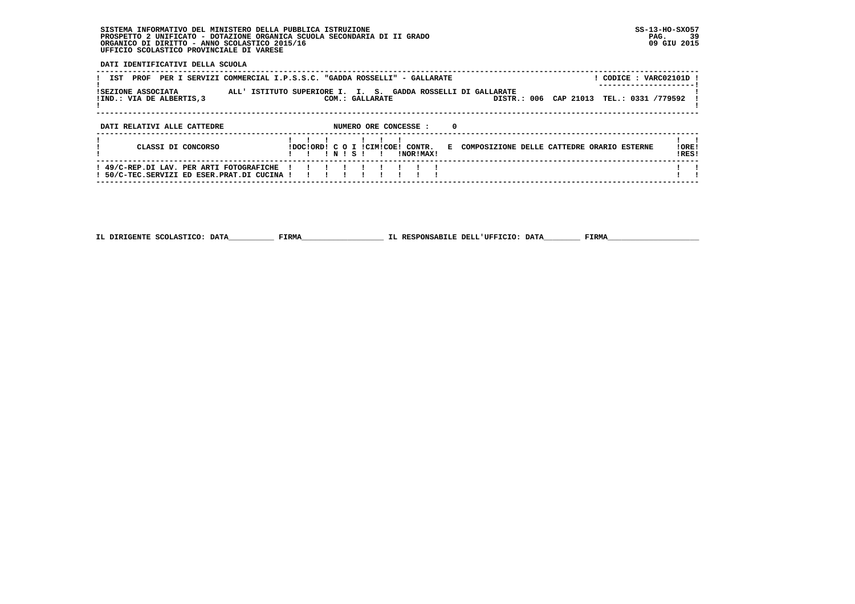**DATI IDENTIFICATIVI DELLA SCUOLA**

| IST<br>PROF                                                                             | ! CODICE : VARC02101D !<br>PER I SERVIZI COMMERCIAL I.P.S.S.C. "GADDA ROSSELLI" - GALLARATE                                    |                 |
|-----------------------------------------------------------------------------------------|--------------------------------------------------------------------------------------------------------------------------------|-----------------|
| ISEZIONE ASSOCIATA<br>!IND.: VIA DE ALBERTIS, 3                                         | ALL' ISTITUTO SUPERIORE I. I. S. GADDA ROSSELLI DI GALLARATE<br>DISTR.: 006 CAP 21013<br>TEL.: 0331 /779592<br>COM.: GALLARATE |                 |
| DATI RELATIVI ALLE CATTEDRE                                                             | NUMERO ORE CONCESSE :<br>$\Omega$                                                                                              |                 |
| CLASSI DI CONCORSO                                                                      | IDOCIORDI C O I ICIMICOEI CONTR.<br>COMPOSIZIONE DELLE CATTEDRE ORARIO ESTERNE<br>E.<br>INISI<br>!NOR!MAX!                     | ! ORE!<br>IRES! |
| ! 49/C-REP.DI LAV. PER ARTI FOTOGRAFICHE<br>! 50/C-TEC.SERVIZI ED ESER.PRAT.DI CUCINA ! |                                                                                                                                |                 |

 **------------------------------------------------------------------------------------------------------------------------------------**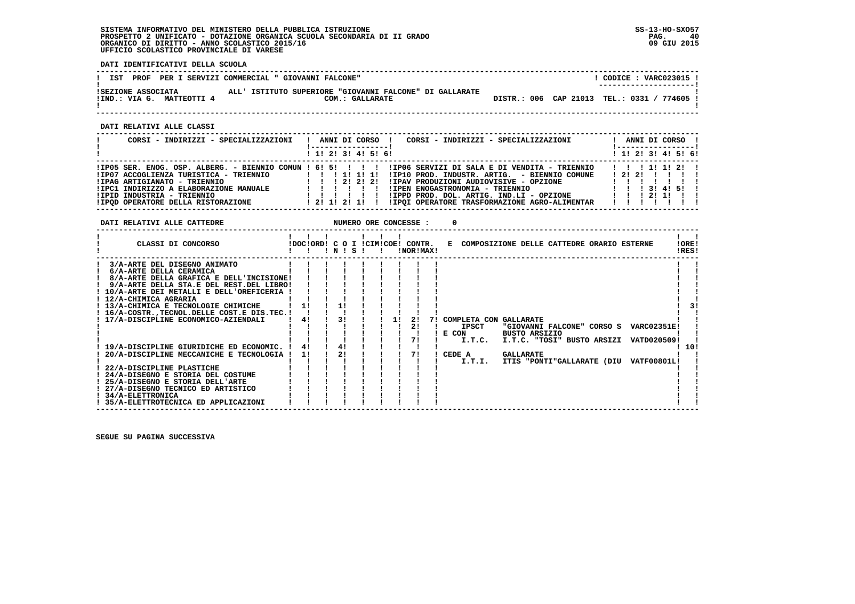**DATI IDENTIFICATIVI DELLA SCUOLA**

| PROF<br>IST                                     | PER I SERVIZI COMMERCIAL " GIOVANNI FALCONE"                               |  | CODICE: VARC023015 !<br>--------------------- |
|-------------------------------------------------|----------------------------------------------------------------------------|--|-----------------------------------------------|
| ISEZIONE ASSOCIATA<br>IIND.: VIA G. MATTEOTTI 4 | ALL' ISTITUTO SUPERIORE "GIOVANNI FALCONE" DI GALLARATE<br>COM.: GALLARATE |  | DISTR.: 006 CAP 21013 TEL.: 0331 / 774605     |

 **------------------------------------------------------------------------------------------------------------------------------------**

 **DATI RELATIVI ALLE CLASSI**

| CORSI - INDIRIZZI - SPECIALIZZAZIONI                                                                                                                                                 | CORSI - INDIRIZZI - SPECIALIZZAZIONI<br>ANNI DI CORSO !                                                                                                                                                                                                                                                                                                                                | ANNI DI CORSO !                                                        |
|--------------------------------------------------------------------------------------------------------------------------------------------------------------------------------------|----------------------------------------------------------------------------------------------------------------------------------------------------------------------------------------------------------------------------------------------------------------------------------------------------------------------------------------------------------------------------------------|------------------------------------------------------------------------|
|                                                                                                                                                                                      | $1$ , 1! 2! 3! 4! 5! 6!                                                                                                                                                                                                                                                                                                                                                                | $1$ 1! 2! 3! 4! 5! 6!                                                  |
| IIP07 ACCOGLIENZA TURISTICA - TRIENNIO<br>!IPAG ARTIGIANATO - TRIENNIO<br>!IPC1 INDIRIZZO A ELABORAZIONE MANUALE<br>!IPID INDUSTRIA - TRIENNIO<br>IIPOD OPERATORE DELLA RISTORAZIONE | IIP05 SER. ENOG. OSP. ALBERG. - BIENNIO COMUN ! 6! 5! ! ! ! ! IIP06 SERVIZI DI SALA E DI VENDITA - TRIENNIO<br>!IP10 PROD. INDUSTR. ARTIG. - BIENNIO COMUNE<br>1 1 1 2 1 2 1 2 1<br>IIPAV PRODUZIONI AUDIOVISIVE - OPZIONE<br>!IPEN ENOGASTRONOMIA - TRIENNIO<br>!IPPD PROD. DOL. ARTIG. IND.LI - OPZIONE<br>11111<br>!IPQI OPERATORE TRASFORMAZIONE AGRO-ALIMENTAR<br>1 2 1 1 2 1 1 1 | 1 1 1 1 1 1 2 1<br>1 2 1 2 1 1 1 1 1<br>1 3 1 4 1 5 1<br>1 1 1 2 1 1 1 |

**DATI RELATIVI ALLE CATTEDRE NUMERO ORE CONCESSE : 0** 

| CLASSI DI CONCORSO                                      | !DOC!ORD! C O I !CIM!COE! CONTR. | N | S. |  | !NOR!MAX! |  | E COMPOSIZIONE DELLE CATTEDRE ORARIO ESTERNE |                      |                            |  |                    | !ORE!<br>!RES! |    |
|---------------------------------------------------------|----------------------------------|---|----|--|-----------|--|----------------------------------------------|----------------------|----------------------------|--|--------------------|----------------|----|
| 3/A-ARTE DEL DISEGNO ANIMATO                            |                                  |   |    |  |           |  |                                              |                      |                            |  |                    |                |    |
| 6/A-ARTE DELLA CERAMICA                                 |                                  |   |    |  |           |  |                                              |                      |                            |  |                    |                |    |
| 8/A-ARTE DELLA GRAFICA E DELL'INCISIONE!                |                                  |   |    |  |           |  |                                              |                      |                            |  |                    |                |    |
| 9/A-ARTE DELLA STA.E DEL REST.DEL LIBRO!                |                                  |   |    |  |           |  |                                              |                      |                            |  |                    |                |    |
| ! 10/A-ARTE DEI METALLI E DELL'OREFICERIA               |                                  |   |    |  |           |  |                                              |                      |                            |  |                    |                |    |
| 12/A-CHIMICA AGRARIA                                    |                                  |   |    |  |           |  |                                              |                      |                            |  |                    |                |    |
| ! 13/A-CHIMICA E TECNOLOGIE CHIMICHE                    |                                  |   |    |  |           |  |                                              |                      |                            |  |                    |                | 31 |
| ! 16/A-COSTR., TECNOL. DELLE COST. E DIS. TEC. !        |                                  |   |    |  |           |  |                                              |                      |                            |  |                    |                |    |
| : 17/A-DISCIPLINE ECONOMICO-AZIENDALI                   | 41                               |   |    |  |           |  | COMPLETA CON GALLARATE                       |                      |                            |  |                    |                |    |
|                                                         |                                  |   |    |  | 21        |  | <b>IPSCT</b>                                 |                      | "GIOVANNI FALCONE" CORSO S |  | <b>VARC02351E!</b> |                |    |
|                                                         |                                  |   |    |  |           |  | E CON                                        | <b>BUSTO ARSIZIO</b> |                            |  |                    |                |    |
|                                                         |                                  |   |    |  |           |  | I.T.C.                                       |                      | I.T.C. "TOSI" BUSTO ARSIZI |  | VATD020509!        |                |    |
| 19/A-DISCIPLINE GIURIDICHE ED ECONOMIC.                 | 41                               |   |    |  |           |  |                                              |                      |                            |  |                    | 10!            |    |
| 20/A-DISCIPLINE MECCANICHE E TECNOLOGIA                 | 11                               |   | 21 |  |           |  | CEDE A                                       | <b>GALLARATE</b>     |                            |  |                    |                |    |
|                                                         |                                  |   |    |  |           |  | I.T.I.                                       |                      | ITIS "PONTI"GALLARATE (DIU |  | <b>VATF00801L!</b> |                |    |
| 22/A-DISCIPLINE PLASTICHE                               |                                  |   |    |  |           |  |                                              |                      |                            |  |                    |                |    |
| ! 24/A-DISEGNO E STORIA DEL COSTUME                     |                                  |   |    |  |           |  |                                              |                      |                            |  |                    |                |    |
| 25/A-DISEGNO E STORIA DELL'ARTE                         |                                  |   |    |  |           |  |                                              |                      |                            |  |                    |                |    |
| ! 27/A-DISEGNO TECNICO ED ARTISTICO<br>34/A-ELETTRONICA |                                  |   |    |  |           |  |                                              |                      |                            |  |                    |                |    |
| ! 35/A-ELETTROTECNICA ED APPLICAZIONI                   |                                  |   |    |  |           |  |                                              |                      |                            |  |                    |                |    |
|                                                         |                                  |   |    |  |           |  |                                              |                      |                            |  |                    |                |    |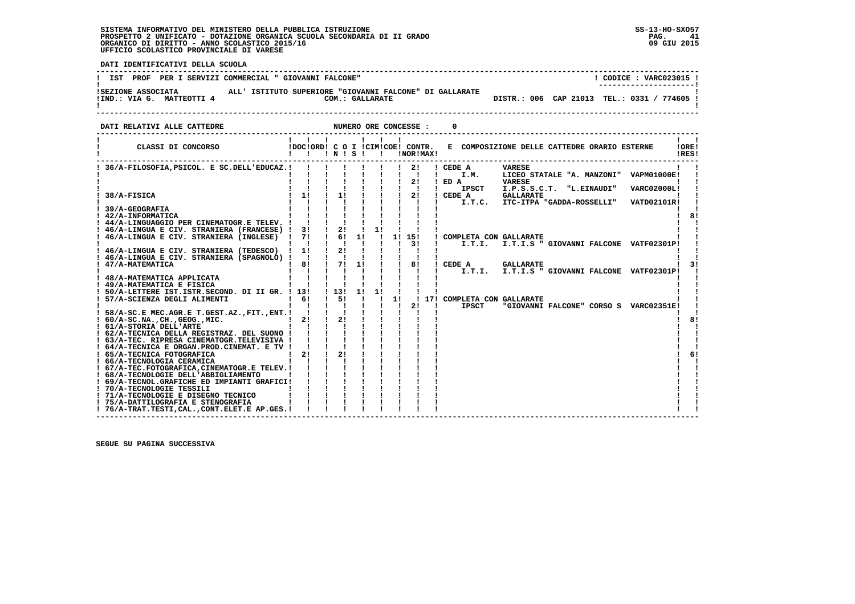i

 **DATI IDENTIFICATIVI DELLA SCUOLA**

| PROF<br>IST<br>PER I SERVIZI COMMERCIAL " GIOVANNI FALCONE"                                                                   | CODICE: VARC023015 !<br>---------------------- |
|-------------------------------------------------------------------------------------------------------------------------------|------------------------------------------------|
| ALL' ISTITUTO SUPERIORE "GIOVANNI FALCONE" DI GALLARATE<br>ISEZIONE ASSOCIATA<br>!IND.: VIA G. MATTEOTTI 4<br>COM.: GALLARATE | DISTR.: 006 CAP 21013 TEL.: 0331 / 774605 !    |

 **DATI RELATIVI ALLE CATTEDRE NUMERO ORE CONCESSE : 0**

| CLASSI DI CONCORSO                                             | !DOC!ORD! C O I !CIM!COE! CONTR. | $'$ N $'$ S $'$ |    |    |    |    | !NOR!MAX! | E COMPOSIZIONE DELLE CATTEDRE ORARIO ESTERNE                   | !ORE!<br>IRES! |
|----------------------------------------------------------------|----------------------------------|-----------------|----|----|----|----|-----------|----------------------------------------------------------------|----------------|
| 36/A-FILOSOFIA, PSICOL. E SC.DELL'EDUCAZ.!                     |                                  |                 |    |    |    |    | -21       | ! CEDE A<br><b>VARESE</b>                                      |                |
|                                                                |                                  |                 |    |    |    |    |           | LICEO STATALE "A. MANZONI" VAPM01000E!<br>$\mathbf{I}$<br>I.M. |                |
|                                                                |                                  |                 |    |    |    |    | 21        | $I$ ED $A$<br><b>VARESE</b>                                    |                |
|                                                                |                                  |                 |    |    |    |    |           | <b>IPSCT</b><br>I.P.S.S.C.T. "L.EINAUDI"<br><b>VARC02000L!</b> |                |
| 38/A-FISICA                                                    | 11                               |                 | 11 |    |    |    | 2!        | ! CEDE A<br><b>GALLARATE</b>                                   |                |
|                                                                |                                  |                 |    |    |    |    |           | ITC-ITPA "GADDA-ROSSELLI"<br>I.T.C.<br>VATD02101R!             |                |
| 39/A-GEOGRAFIA                                                 |                                  |                 |    |    |    |    |           |                                                                |                |
| ! 42/A-INFORMATICA                                             |                                  |                 |    |    |    |    |           |                                                                | 8!             |
| ! 44/A-LINGUAGGIO PER CINEMATOGR.E TELEV. !                    |                                  |                 |    |    |    |    |           |                                                                |                |
| 46/A-LINGUA E CIV. STRANIERA (FRANCESE) !                      | 3!                               |                 | 2! |    | 11 |    |           |                                                                |                |
| 46/A-LINGUA E CIV. STRANIERA (INGLESE)                         | 71                               |                 | 61 | 1! |    |    | 1! 15!    | ! COMPLETA CON GALLARATE                                       |                |
|                                                                |                                  |                 |    |    |    |    | 31        | I.T.I.<br>I.T.I.S " GIOVANNI FALCONE VATF02301P!               |                |
| ! 46/A-LINGUA E CIV. STRANIERA (TEDESCO)                       | 1!                               |                 | 21 |    |    |    |           |                                                                |                |
| ! 46/A-LINGUA E CIV. STRANIERA (SPAGNOLO) !<br>47/A-MATEMATICA | $\blacksquare$<br>8!             |                 | 71 | 1! |    |    | 8!        | CEDE A<br><b>GALLARATE</b>                                     |                |
|                                                                |                                  |                 |    |    |    |    |           | I.T.I.S " GIOVANNI FALCONE VATF02301P!                         |                |
| 48/A-MATEMATICA APPLICATA                                      |                                  |                 |    |    |    |    |           | I.T.I.                                                         |                |
| ! 49/A-MATEMATICA E FISICA                                     |                                  |                 |    |    |    |    |           |                                                                |                |
| ! 50/A-LETTERE IST.ISTR.SECOND. DI II GR. ! 13!                |                                  | $1\,131$        |    | 11 |    |    |           |                                                                |                |
| ! 57/A-SCIENZA DEGLI ALIMENTI                                  | 6!                               |                 | 51 |    |    | 11 |           | 17! COMPLETA CON GALLARATE                                     |                |
|                                                                |                                  |                 |    |    |    |    | 21        | <b>IPSCT</b><br>"GIOVANNI FALCONE" CORSO S VARC02351E!         |                |
| ! 58/A-SC.E MEC.AGR.E T.GEST.AZ.,FIT.,ENT.!                    |                                  |                 |    |    |    |    |           |                                                                |                |
| $: 60/A-SC.NA.$ , $CH.$ , $GEOG.$ , $MIC.$                     | 21                               |                 | 2! |    |    |    |           |                                                                | 8!             |
| ! 61/A-STORIA DELL'ARTE                                        |                                  |                 |    |    |    |    |           |                                                                |                |
| ! 62/A-TECNICA DELLA REGISTRAZ. DEL SUONO !                    |                                  |                 |    |    |    |    |           |                                                                |                |
| ! 63/A-TEC. RIPRESA CINEMATOGR.TELEVISIVA !                    |                                  |                 |    |    |    |    |           |                                                                |                |
| ! 64/A-TECNICA E ORGAN.PROD.CINEMAT. E TV !                    |                                  |                 |    |    |    |    |           |                                                                |                |
| ! 65/A-TECNICA FOTOGRAFICA                                     | 2!                               |                 | 2! |    |    |    |           |                                                                |                |
| ! 66/A-TECNOLOGIA CERAMICA                                     |                                  |                 |    |    |    |    |           |                                                                |                |
| ! 67/A-TEC.FOTOGRAFICA, CINEMATOGR.E TELEV. !                  |                                  |                 |    |    |    |    |           |                                                                |                |
| ! 68/A-TECNOLOGIE DELL'ABBIGLIAMENTO                           |                                  |                 |    |    |    |    |           |                                                                |                |
| ! 69/A-TECNOL.GRAFICHE ED IMPIANTI GRAFICI!                    |                                  |                 |    |    |    |    |           |                                                                |                |
| ! 70/A-TECNOLOGIE TESSILI                                      |                                  |                 |    |    |    |    |           |                                                                |                |
| ! 71/A-TECNOLOGIE E DISEGNO TECNICO                            |                                  |                 |    |    |    |    |           |                                                                |                |
| ! 75/A-DATTILOGRAFIA E STENOGRAFIA                             |                                  |                 |    |    |    |    |           |                                                                |                |
| ! 76/A-TRAT.TESTI, CAL., CONT.ELET.E AP.GES.!                  |                                  |                 |    |    |    |    |           |                                                                |                |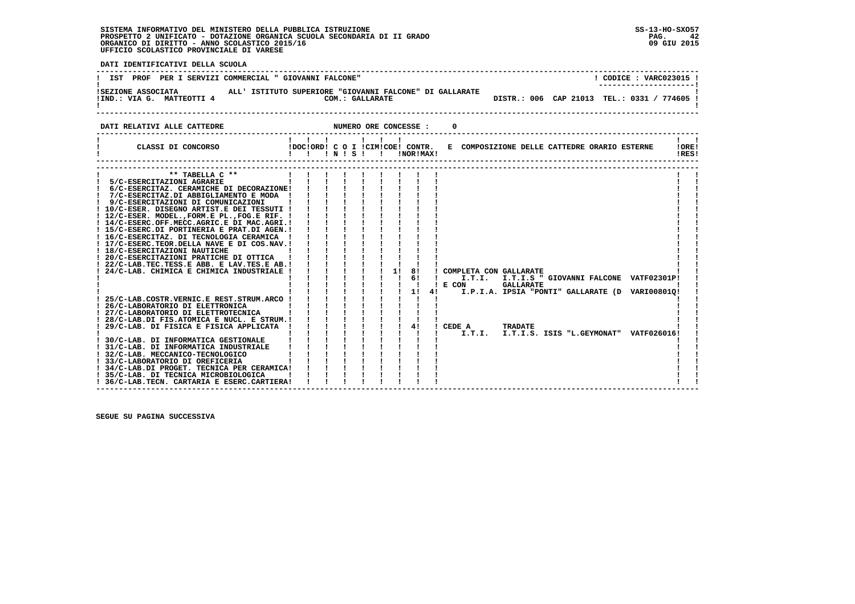$\ddot{ }$ 

 **DATI IDENTIFICATIVI DELLA SCUOLA**

| IST PROF PER I SERVIZI COMMERCIAL " GIOVANNI FALCONE"                                                                                                                                                                                                                                                                                                                                                                                                                                                                                                                                                                                                                                                                                                                                                                                                                                                                                                                                                                                          |                                                                                                                                                                                                                                                                                                                                                                                                                                                                                                                                                                                                                                                                                                                                                                                                                | ! CODICE : VARC023015 !                     |
|------------------------------------------------------------------------------------------------------------------------------------------------------------------------------------------------------------------------------------------------------------------------------------------------------------------------------------------------------------------------------------------------------------------------------------------------------------------------------------------------------------------------------------------------------------------------------------------------------------------------------------------------------------------------------------------------------------------------------------------------------------------------------------------------------------------------------------------------------------------------------------------------------------------------------------------------------------------------------------------------------------------------------------------------|----------------------------------------------------------------------------------------------------------------------------------------------------------------------------------------------------------------------------------------------------------------------------------------------------------------------------------------------------------------------------------------------------------------------------------------------------------------------------------------------------------------------------------------------------------------------------------------------------------------------------------------------------------------------------------------------------------------------------------------------------------------------------------------------------------------|---------------------------------------------|
| ! IND.: VIA G. MATTEOTTI 4                                                                                                                                                                                                                                                                                                                                                                                                                                                                                                                                                                                                                                                                                                                                                                                                                                                                                                                                                                                                                     | !SEZIONE ASSOCIATA               ALL' ISTITUTO SUPERIORE "GIOVANNI FALCONE" DI GALLARATE<br>COM.: GALLARATE                                                                                                                                                                                                                                                                                                                                                                                                                                                                                                                                                                                                                                                                                                    | DISTR.: 006 CAP 21013 TEL.: 0331 / 774605 ! |
| DATI RELATIVI ALLE CATTEDRE                                                                                                                                                                                                                                                                                                                                                                                                                                                                                                                                                                                                                                                                                                                                                                                                                                                                                                                                                                                                                    | NUMERO ORE CONCESSE :<br>0                                                                                                                                                                                                                                                                                                                                                                                                                                                                                                                                                                                                                                                                                                                                                                                     |                                             |
|                                                                                                                                                                                                                                                                                                                                                                                                                                                                                                                                                                                                                                                                                                                                                                                                                                                                                                                                                                                                                                                | CLASSI DI CONCORSO COLORDI CO I ICIMICOEI CONTR. E COMPOSIZIONE DELLE CATTEDRE ORARIO ESTERNE                                                                                                                                                                                                                                                                                                                                                                                                                                                                                                                                                                                                                                                                                                                  | !ORE!<br>!RES!                              |
| ** TABELLA $C$ **<br>! 5/C-ESERCITAZIONI AGRARIE<br>! 6/C-ESERCITAZ. CERAMICHE DI DECORAZIONE!<br>! 7/C-ESERCITAZ.DI ABBIGLIAMENTO E MODA !<br>! 9/C-ESERCITAZIONI DI COMUNICAZIONI<br>! 10/C-ESER. DISEGNO ARTIST.E DEI TESSUTI !<br>! 12/C-ESER. MODEL., FORM.E PL., FOG.E RIF. !<br>! 14/C-ESERC.OFF.MECC.AGRIC.E DI MAC.AGRI.!<br>! 15/C-ESERC.DI PORTINERIA E PRAT.DI AGEN.!<br>! 16/C-ESERCITAZ. DI TECNOLOGIA CERAMICA !<br>! 17/C-ESERC.TEOR.DELLA NAVE E DI COS.NAV.!<br>! 18/C-ESERCITAZIONI NAUTICHE<br>! 20/C-ESERCITAZIONI PRATICHE DI OTTICA<br>! 22/C-LAB.TEC.TESS.E ABB. E LAV.TES.E AB.!<br>! 24/C-LAB. CHIMICA E CHIMICA INDUSTRIALE !<br>25/C-LAB.COSTR.VERNIC.E REST.STRUM.ARCO !<br>! 26/C-LABORATORIO DI ELETTRONICA<br>! 27/C-LABORATORIO DI ELETTROTECNICA<br>! 31/C-LAB. DI INFORMATICA INDUSTRIALE<br>! 32/C-LAB. MECCANICO-TECNOLOGICO<br>! 33/C-LABORATORIO DI OREFICERIA<br>! 34/C-LAB.DI PROGET. TECNICA PER CERAMICA!<br>! 35/C-LAB. DI TECNICA MICROBIOLOGICA<br>! 36/C-LAB. TECN. CARTARIA E ESERC. CARTIERA! | $\mathbf{I}$<br>$\mathbf{I}$<br>$\mathbf{1}$ $\mathbf{1}$ $\mathbf{1}$ $\mathbf{1}$<br>AMICA            <br>DS.NAV.            <br>               <br>FICA            <br>$\mathbf{1}$ $\mathbf{1}$ $\mathbf{1}$ $\mathbf{1}$ $\mathbf{1}$<br>$\mathbf{i}$ $\mathbf{i}$ $\mathbf{j}$ $\mathbf{k}$<br>$1 \quad 11$<br>8!<br>! COMPLETA CON GALLARATE<br>$\mathbf{I}$<br>61<br>I.T.I. I.T.I.S " GIOVANNI FALCONE VATF02301P!<br>$\mathbf{I}$<br>$!$ E CON<br><b>GALLARATE</b><br>$1 \quad 1 \quad 1 \quad 1 \quad 1 \quad 11$<br>41<br>I.P.I.A. IPSIA "PONTI" GALLARATE (D VARI008010!<br>i i i i i<br>$1 \quad 1 \quad 1 \quad 1$<br>$1 \quad 41$<br>$!$ CEDE A<br><b>TRADATE</b><br>I.T.I.<br>I.T.I.S. ISIS "L.GEYMONAT" VATF026016!<br>i.<br>$\mathbf{1}$ $\mathbf{1}$ $\mathbf{1}$ $\mathbf{1}$ $\mathbf{1}$ |                                             |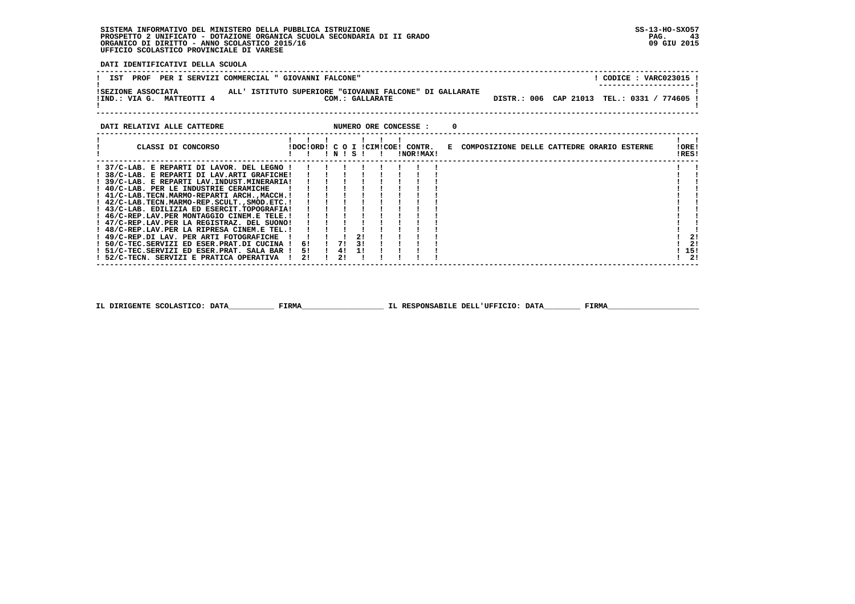**DATI IDENTIFICATIVI DELLA SCUOLA**

| ALL' ISTITUTO SUPERIORE "GIOVANNI FALCONE" DI GALLARATE<br>ISEZIONE ASSOCIATA<br>DISTR.: 006 CAP 21013 TEL.: 0331 /<br>MATTEOTTI 4<br>IIND.: VIA G.<br>COM.: GALLARATE | PROF<br>PER I SERVIZI COMMERCIAL " GIOVANNI FALCONE"<br>IST | CODICE: VARC023015 ! |
|------------------------------------------------------------------------------------------------------------------------------------------------------------------------|-------------------------------------------------------------|----------------------|
|                                                                                                                                                                        |                                                             | 774605               |

| DATI RELATIVI ALLE CATTEDRE                   |    |    |           |              |  | NUMERO ORE CONCESSE :                         |  |                                              |  |  |                |
|-----------------------------------------------|----|----|-----------|--------------|--|-----------------------------------------------|--|----------------------------------------------|--|--|----------------|
| CLASSI DI CONCORSO                            |    |    | ! N ! S ! | $\mathbf{r}$ |  | IDOCIORDI C O I ICIMICOEI CONTR.<br>INORIMAXI |  | E COMPOSIZIONE DELLE CATTEDRE ORARIO ESTERNE |  |  | !ORE!<br>!RES! |
| ! 37/C-LAB. E REPARTI DI LAVOR. DEL LEGNO !   |    |    |           |              |  |                                               |  |                                              |  |  |                |
| ! 38/C-LAB. E REPARTI DI LAV.ARTI GRAFICHE!   |    |    |           |              |  |                                               |  |                                              |  |  |                |
| ! 39/C-LAB. E REPARTI LAV.INDUST.MINERARIA!   |    |    |           |              |  |                                               |  |                                              |  |  |                |
| ! 40/C-LAB. PER LE INDUSTRIE CERAMICHE        |    |    |           |              |  |                                               |  |                                              |  |  |                |
| ! 41/C-LAB.TECN.MARMO-REPARTI ARCH.,MACCH.!   |    |    |           |              |  |                                               |  |                                              |  |  |                |
| ! 42/C-LAB.TECN.MARMO-REP.SCULT., SMOD.ETC. ! |    |    |           |              |  |                                               |  |                                              |  |  |                |
| ! 43/C-LAB. EDILIZIA ED ESERCIT.TOPOGRAFIA!   |    |    |           |              |  |                                               |  |                                              |  |  |                |
| ! 46/C-REP.LAV.PER MONTAGGIO CINEM.E TELE.!   |    |    |           |              |  |                                               |  |                                              |  |  |                |
| ! 47/C-REP.LAV.PER LA REGISTRAZ. DEL SUONO!   |    |    |           |              |  |                                               |  |                                              |  |  |                |
| ! 48/C-REP.LAV.PER LA RIPRESA CINEM.E TEL.!   |    |    |           |              |  |                                               |  |                                              |  |  |                |
| ! 49/C-REP.DI LAV. PER ARTI FOTOGRAFICHE      |    |    |           |              |  |                                               |  |                                              |  |  | 21             |
| ! 50/C-TEC.SERVIZI ED ESER.PRAT.DI CUCINA !   | 61 |    | 1 71 31   |              |  |                                               |  |                                              |  |  | 2!             |
| ! 51/C-TEC.SERVIZI ED ESER.PRAT. SALA BAR !   | 51 |    | ! 4! 1!   |              |  |                                               |  |                                              |  |  | - 15!          |
| ! 52/C-TECN. SERVIZI E PRATICA OPERATIVA      | 21 | 21 |           |              |  |                                               |  |                                              |  |  | ! 2!           |
|                                               |    |    |           |              |  |                                               |  |                                              |  |  |                |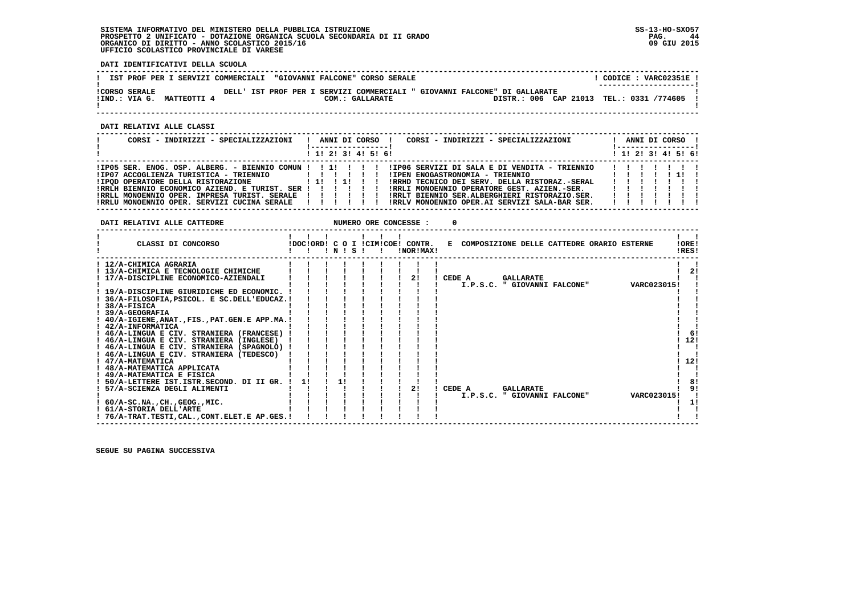**DATI IDENTIFICATIVI DELLA SCUOLA**

|                                                   |  | IST PROF PER I SERVIZI COMMERCIALI "GIOVANNI FALCONE" CORSO SERALE |                                                                           | CODICE: VARC02351E!<br>--------------------- |
|---------------------------------------------------|--|--------------------------------------------------------------------|---------------------------------------------------------------------------|----------------------------------------------|
| <b>!CORSO SERALE</b><br>!IND.: VIA G. MATTEOTTI 4 |  | COM.: GALLARATE                                                    | DELL' IST PROF PER I SERVIZI COMMERCIALI " GIOVANNI FALCONE" DI GALLARATE | DISTR.: 006 CAP 21013 TEL.: 0331 /774605     |

 **------------------------------------------------------------------------------------------------------------------------------------**

 **DATI RELATIVI ALLE CLASSI**

| CORSI - INDIRIZZI - SPECIALIZZAZIONI                       | $\mathbf{I}$ | ANNI DI CORSO !         |  |  | CORSI - INDIRIZZI - SPECIALIZZAZIONI<br>ANNI DI CORSO !<br>!-----------------                                    |  |
|------------------------------------------------------------|--------------|-------------------------|--|--|------------------------------------------------------------------------------------------------------------------|--|
|                                                            |              | $1$ , 1, 2, 3, 4, 5, 6, |  |  | ! 1! 2! 3! 4! 5! 6!                                                                                              |  |
|                                                            |              |                         |  |  | IPO5 SER. ENOG. OSP. ALBERG. - BIENNIO COMUN !!!!!!!!!!!!!DO6 SERVIZI DI SALA E DI VENDITA - TRIENNIO<br>1111111 |  |
| ! IPOD OPERATORE DELLA RISTORAZIONE [1] !! !! !!           |              |                         |  |  | !RRHD TECNICO DEI SERV. DELLA RISTORAZ.-SERAL<br>.                                                               |  |
| !RRLH BIENNIO ECONOMICO AZIEND. E TURIST. SER ! ! ! ! ! !  |              |                         |  |  | !RRLI MONOENNIO OPERATORE GEST. AZIEN.-SER. [ !!!                                                                |  |
| !RRLL MONOENNIO OPER. IMPRESA TURIST. SERALE ! ! ! ! ! ! ! |              |                         |  |  | IRRLT BIENNIO SER.ALBERGHIERI RISTORAZIO.SER.<br>.                                                               |  |
| IRRLU MONOENNIO OPER. SERVIZI CUCINA SERALE                |              | .                       |  |  | !RRLV MONOENNIO OPER.AI SERVIZI SALA-BAR SER. [ !!!!!                                                            |  |

**DATI RELATIVI ALLE CATTEDRE NUMERO ORE CONCESSE : 0** 

| CLASSI DI CONCORSO                             |    | ! N ! S |  | !DOC!ORD! C O I !CIM!COE! CONTR.<br>!NOR!MAX! | !ORE!<br>E COMPOSIZIONE DELLE CATTEDRE ORARIO ESTERNE<br>!RES! |     |
|------------------------------------------------|----|---------|--|-----------------------------------------------|----------------------------------------------------------------|-----|
| ! 12/A-CHIMICA AGRARIA                         |    |         |  |                                               |                                                                |     |
| ! 13/A-CHIMICA E TECNOLOGIE CHIMICHE           |    |         |  |                                               |                                                                | 21  |
| 17/A-DISCIPLINE ECONOMICO-AZIENDALI            |    |         |  | 2!                                            | CEDE A<br><b>GALLARATE</b>                                     |     |
|                                                |    |         |  |                                               | I.P.S.C. " GIOVANNI FALCONE"<br>VARC0230151                    |     |
| ! 19/A-DISCIPLINE GIURIDICHE ED ECONOMIC.      |    |         |  |                                               |                                                                |     |
| 36/A-FILOSOFIA, PSICOL. E SC.DELL'EDUCAZ. !    |    |         |  |                                               |                                                                |     |
| 38/A-FISICA                                    |    |         |  |                                               |                                                                |     |
| <b>39/A-GEOGRAFIA</b>                          |    |         |  |                                               |                                                                |     |
| 40/A-IGIENE, ANAT., FIS., PAT. GEN. E APP.MA.! |    |         |  |                                               |                                                                |     |
| ! 42/A-INFORMATICA                             |    |         |  |                                               |                                                                |     |
| ! 46/A-LINGUA E CIV. STRANIERA (FRANCESE)      |    |         |  |                                               |                                                                | -61 |
| ! 46/A-LINGUA E CIV. STRANIERA (INGLESE)       |    |         |  |                                               | 12!                                                            |     |
| ! 46/A-LINGUA E CIV. STRANIERA (SPAGNOLO) !    |    |         |  |                                               |                                                                |     |
| ! 46/A-LINGUA E CIV. STRANIERA (TEDESCO)       |    |         |  |                                               |                                                                |     |
| 47/A-MATEMATICA                                |    |         |  |                                               | 12!                                                            |     |
| ! 48/A-MATEMATICA APPLICATA                    |    |         |  |                                               |                                                                |     |
| ! 49/A-MATEMATICA E FISICA                     |    |         |  |                                               |                                                                |     |
| 50/A-LETTERE IST.ISTR.SECOND. DI II GR.        | 11 | 11      |  |                                               |                                                                | 8!  |
| 57/A-SCIENZA DEGLI ALIMENTI                    |    |         |  | 2!                                            | CEDE A<br><b>GALLARATE</b>                                     |     |
|                                                |    |         |  |                                               | VARC023015!<br>I.P.S.C. " GIOVANNI FALCONE"                    |     |
| ! 60/A-SC.NA.,CH.,GEOG.,MIC.                   |    |         |  |                                               |                                                                |     |
| ! 61/A-STORIA DELL'ARTE                        |    |         |  |                                               |                                                                |     |
| ! 76/A-TRAT.TESTI,CAL.,CONT.ELET.E AP.GES.!    |    |         |  |                                               |                                                                |     |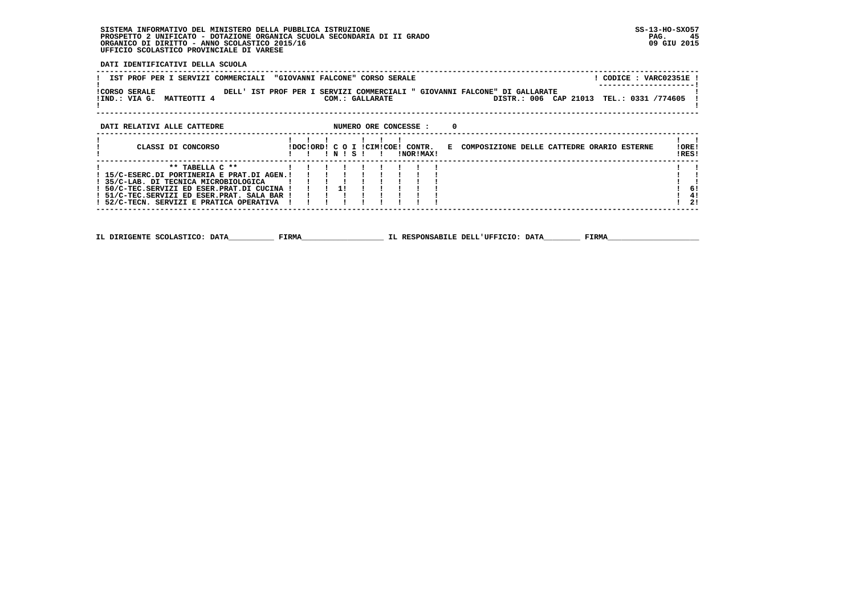**DATI IDENTIFICATIVI DELLA SCUOLA**

| IST PROF PER I SERVIZI COMMERCIALI                                                   |                      | "GIOVANNI FALCONE" CORSO SERALE |       |                 |                       |                                                                                                    | ! CODICE : VARC02351E ! |
|--------------------------------------------------------------------------------------|----------------------|---------------------------------|-------|-----------------|-----------------------|----------------------------------------------------------------------------------------------------|-------------------------|
| <b>!CORSO SERALE</b><br>!IND.: VIA G.<br><b>MATTEOTTI 4</b>                          |                      |                                 |       | COM.: GALLARATE |                       | DELL' IST PROF PER I SERVIZI COMMERCIALI " GIOVANNI FALCONE" DI GALLARATE<br>DISTR.: 006 CAP 21013 | TEL.: 0331 /774605      |
| DATI RELATIVI ALLE CATTEDRE                                                          |                      |                                 |       |                 | NUMERO ORE CONCESSE : | 0                                                                                                  |                         |
| CLASSI DI CONCORSO                                                                   |                      | IDOCIORDI C O I ICIMICOEI       | INISI |                 | CONTR.<br>INORIMAXI   | E COMPOSIZIONE DELLE CATTEDRE ORARIO ESTERNE                                                       | ! ORE!<br>IRES!         |
| ! 15/C-ESERC.DI PORTINERIA E PRAT.DI AGEN.!                                          | $***$ TABELLA $C***$ |                                 |       |                 |                       |                                                                                                    |                         |
| ! 35/C-LAB. DI TECNICA MICROBIOLOGICA<br>! 50/C-TEC.SERVIZI ED ESER.PRAT.DI CUCINA ! |                      |                                 | 11    |                 |                       |                                                                                                    | -61                     |
|                                                                                      |                      |                                 |       |                 |                       |                                                                                                    |                         |

 **! 51/C-TEC.SERVIZI ED ESER.PRAT. SALA BAR ! ! ! ! ! ! ! ! ! ! 4! ! 52/C-TECN. SERVIZI E PRATICA OPERATIVA ! ! ! ! ! ! ! ! ! ! 2! ------------------------------------------------------------------------------------------------------------------------------------**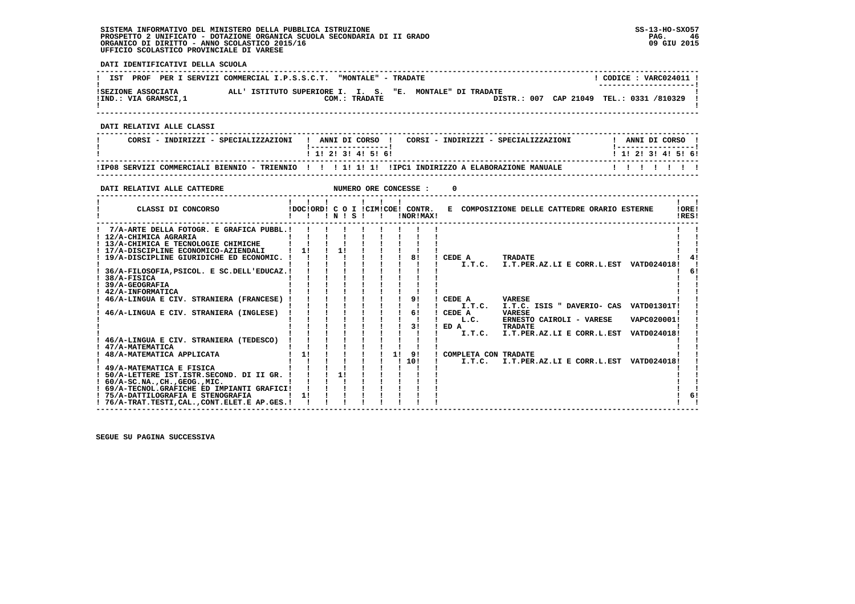**DATI IDENTIFICATIVI DELLA SCUOLA ------------------------------------------------------------------------------------------------------------------------------------** $1$  CODICE : VARC024011 I **! IST PROF PER I SERVIZI COMMERCIAL I.P.S.S.C.T. "MONTALE" - TRADATE ! ---------------------! !SEZIONE ASSOCIATA ALL' ISTITUTO SUPERIORE I. I. S. "E. MONTALE" DI TRADATE ! !IND.: VIA GRAMSCI,1 COM.: TRADATE DISTR.: 007 CAP 21049 TEL.: 0331 /810329 !**- 1  **! ! ------------------------------------------------------------------------------------------------------------------------------------ DATI RELATIVI ALLE CLASSI ------------------------------------------------------------------------------------------------------------------------------------**I ANNI DI CORSO I  **! CORSI - INDIRIZZI - SPECIALIZZAZIONI ! ANNI DI CORSO ! CORSI - INDIRIZZI - SPECIALIZZAZIONI ! ANNI DI CORSO !**\_\_\_\_\_\_\_\_\_\_\_\_\_\_\_\_\_\_\_\_\_\_  **! !-----------------! !-----------------!**1 1 2 3 3 4 5 6  **! ! 1! 2! 3! 4! 5! 6! ! 1! 2! 3! 4! 5! 6! ------------------------------------------------------------------------------------------------------------------------------------ !IP08 SERVIZI COMMERCIALI BIENNIO - TRIENNIO ! ! ! 1! 1! 1! !IPC1 INDIRIZZO A ELABORAZIONE MANUALE ! ! ! ! ! ! ! ------------------------------------------------------------------------------------------------------------------------------------DATI RELATIVI ALLE CATTEDRE NUMERO ORE CONCESSE : 0 ------------------------------------------------------------------------------------------------------------------------------------** $\mathbf{I}$   $\mathbf{I}$ **1**  *<b>1 <b>1 <b>1 <b>1 <b>1 <b>1 <b>1 <b>1 <b>1* **1 1 1 IORE!** CLASSI DI CONCORSO **8** | DOC!ORD! C O I !CIM!COE! CONTR. E COMPOSIZIONE DELLE CATTEDRE ORARIO ESTERNE IRES!  **! ! ! ! N ! S ! ! !NOR!MAX! !RES! ------------------------------------------------------------------------------------------------------------------------------------** $\blacksquare$  **! 7/A-ARTE DELLA FOTOGR. E GRAFICA PUBBL.! ! ! ! ! ! ! ! ! ! ! ! 12/A-CHIMICA AGRARIA ! ! ! ! ! ! ! ! ! ! !** $\mathbf{I}$   $\mathbf{I}$ ! 13/A-CHIMICA E TECNOLOGIE CHIMICHE | | | | | | | | | |<br>! 17/A-DISCIPLINE ECONOMICO-AZIENDALI | ! | ! | ! ! ! ! | ! |<br>! 19/A-DISCIPLINE GIURIDICHE ED ECONOMIC. | | | | ! | ! | ! | ! | I T.T.C. TRADATE<br>! | | | | | | | | |  $\mathbf{I}$   $\mathbf{I}$  $\frac{1}{4}$  $\blacksquare$  $61$  **! 36/A-FILOSOFIA,PSICOL. E SC.DELL'EDUCAZ.! ! ! ! ! ! ! ! ! ! 6!** $\mathbf{I}$  **! 38/A-FISICA ! ! ! ! ! ! ! ! ! ! ! ! 39/A-GEOGRAFIA ! ! ! ! ! ! ! ! ! ! ! ! 42/A-INFORMATICA ! ! ! ! ! ! ! ! ! ! ! ! 46/A-LINGUA E CIV. STRANIERA (FRANCESE) ! ! ! ! ! ! ! 9! ! CEDE A VARESE ! ! ! ! ! ! ! ! ! ! ! ! I.T.C. I.T.C. ISIS " DAVERIO- CAS VATD01301T! ! ! 46/A-LINGUA E CIV. STRANIERA (INGLESE) ! ! ! ! ! ! ! 6! ! CEDE A VARESE ! ! ! ! ! ! ! ! ! ! ! ! L.C. ERNESTO CAIROLI - VARESE VAPC020001! ! ! ! ! ! ! ! ! ! 3! ! ED A TRADATE ! ! ! ! ! ! ! ! ! ! ! ! I.T.C. I.T.PER.AZ.LI E CORR.L.EST VATD024018! ! ! 46/A-LINGUA E CIV. STRANIERA (TEDESCO) ! ! ! ! ! ! ! ! ! ! ! ! 47/A-MATEMATICA ! ! ! ! ! ! ! ! ! ! ! ! 48/A-MATEMATICA APPLICATA ! 1! ! ! ! ! 1! 9! ! COMPLETA CON TRADATE ! ! ! ! ! ! ! ! ! ! 10! ! I.T.C. I.T.PER.AZ.LI E CORR.L.EST VATD024018! ! ! 49/A-MATEMATICA E FISICA ! ! ! ! ! ! ! ! ! ! ! ! 50/A-LETTERE IST.ISTR.SECOND. DI II GR. ! ! ! 1! ! ! ! ! ! ! ! ! 60/A-SC.NA.,CH.,GEOG.,MIC. ! ! ! ! ! ! ! ! ! ! ! ! 69/A-TECNOL.GRAFICHE ED IMPIANTI GRAFICI! ! ! ! ! ! ! ! ! ! !** $\mathbf{I}$  $\mathbf{I}$  $1<sub>61</sub>$  **! 75/A-DATTILOGRAFIA E STENOGRAFIA ! 1! ! ! ! ! ! ! ! ! 6! ! 76/A-TRAT.TESTI,CAL.,CONT.ELET.E AP.GES.! ! ! ! ! ! ! ! ! ! !** $\mathbf{I}$   $\mathbf{I}$ 

 **------------------------------------------------------------------------------------------------------------------------------------**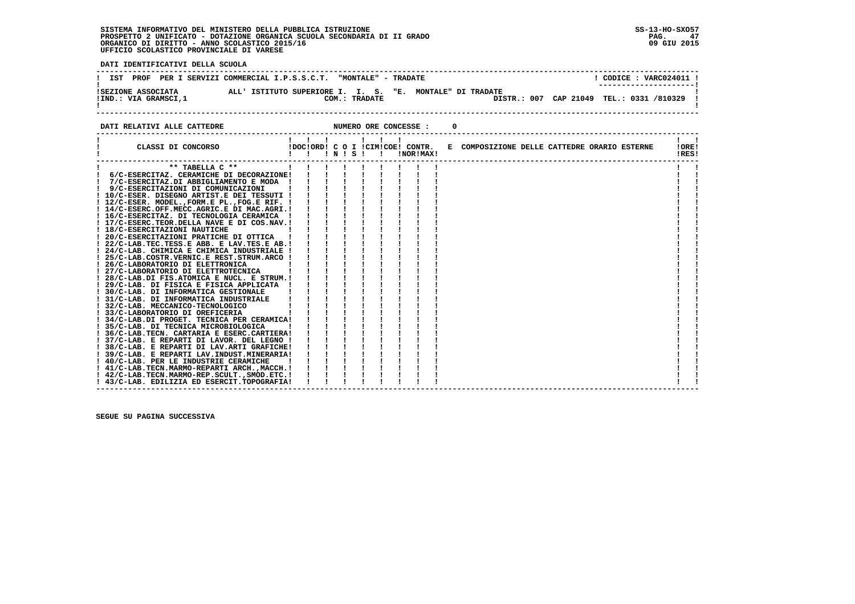**! 34/C-LAB.DI PROGET. TECNICA PER CERAMICA! ! ! ! ! ! ! ! ! ! !**

 **! 41/C-LAB.TECN.MARMO-REPARTI ARCH.,MACCH.! ! ! ! ! ! ! ! ! ! !**

**PAG.** 47 09 GIU 2015

- 1

- 1

  **------------------------------------------------------------------------------------------------------------------------------------**! CODICE : VARC024011 ! **! IST PROF PER I SERVIZI COMMERCIAL I.P.S.S.C.T. "MONTALE" - TRADATE ! ---------------------! !SEZIONE ASSOCIATA ALL' ISTITUTO SUPERIORE I. I. S. "E. MONTALE" DI TRADATE ! !IND.: VIA GRAMSCI,1 COM.: TRADATE DISTR.: 007 CAP 21049 TEL.: 0331 /810329 !**- 1 .......... ASSOCIATA<br>!IND.: VIA GRAMSCI,1<br>!  **------------------------------------------------------------------------------------------------------------------------------------DATI RELATIVI ALLE CATTEDRE NUMERO ORE CONCESSE : 0 ------------------------------------------------------------------------------------------------------------------------------------ ! ! ! ! ! ! ! ! ! ! CLASSI DI CONCORSO !DOC!ORD! C O I !CIM!COE! CONTR. E COMPOSIZIONE DELLE CATTEDRE ORARIO ESTERNE !ORE! ! ! ! ! N ! S ! ! !NOR!MAX! !RES! ------------------------------------------------------------------------------------------------------------------------------------** $\mathbf{I}$  and  $\mathbf{I}$  **! \*\* TABELLA C \*\* ! ! ! ! ! ! ! ! ! ! ! ! 6/C-ESERCITAZ. CERAMICHE DI DECORAZIONE! ! ! ! ! ! ! ! ! ! ! ! 7/C-ESERCITAZ.DI ABBIGLIAMENTO E MODA ! ! ! ! ! ! ! ! ! ! ! ! 9/C-ESERCITAZIONI DI COMUNICAZIONI ! ! ! ! ! ! ! ! ! ! !**- 1  **! 10/C-ESER. DISEGNO ARTIST.E DEI TESSUTI ! ! ! ! ! ! ! ! ! ! ! ! 12/C-ESER. MODEL.,FORM.E PL.,FOG.E RIF. ! ! ! ! ! ! ! ! ! ! ! ! 14/C-ESERC.OFF.MECC.AGRIC.E DI MAC.AGRI.! ! ! ! ! ! ! ! ! ! ! ! 16/C-ESERCITAZ. DI TECNOLOGIA CERAMICA ! ! ! ! ! ! ! ! ! ! ! ! 17/C-ESERC.TEOR.DELLA NAVE E DI COS.NAV.! ! ! ! ! ! ! ! ! ! ! ! 18/C-ESERCITAZIONI NAUTICHE ! ! ! ! ! ! ! ! ! ! ! ! 20/C-ESERCITAZIONI PRATICHE DI OTTICA ! ! ! ! ! ! ! ! ! ! ! ! 22/C-LAB.TEC.TESS.E ABB. E LAV.TES.E AB.! ! ! ! ! ! ! ! ! ! ! ! 24/C-LAB. CHIMICA E CHIMICA INDUSTRIALE ! ! ! ! ! ! ! ! ! ! ! ! 25/C-LAB.COSTR.VERNIC.E REST.STRUM.ARCO ! ! ! ! ! ! ! ! ! ! ! ! 26/C-LABORATORIO DI ELETTRONICA ! ! ! ! ! ! ! ! ! ! !**

 **! 27/C-LABORATORIO DI ELETTROTECNICA ! ! ! ! ! ! ! ! ! ! ! ! 28/C-LAB.DI FIS.ATOMICA E NUCL. E STRUM.! ! ! ! ! ! ! ! ! ! ! ! 29/C-LAB. DI FISICA E FISICA APPLICATA ! ! ! ! ! ! ! ! ! ! ! ! 30/C-LAB. DI INFORMATICA GESTIONALE ! ! ! ! ! ! ! ! ! ! ! ! 31/C-LAB. DI INFORMATICA INDUSTRIALE ! ! ! ! ! ! ! ! ! ! ! ! 32/C-LAB. MECCANICO-TECNOLOGICO ! ! ! ! ! ! ! ! ! ! ! ! 33/C-LABORATORIO DI OREFICERIA ! ! ! ! ! ! ! ! ! ! !**

 **! 35/C-LAB. DI TECNICA MICROBIOLOGICA ! ! ! ! ! ! ! ! ! ! ! ! 36/C-LAB.TECN. CARTARIA E ESERC.CARTIERA! ! ! ! ! ! ! ! ! ! !**

| 37/C-LAB. E REPARTI DI LAVOR. DEL LEGNO | | | | | | | | | | |<br>| 38/C-LAB. E REPARTI DI LAV.ARTI GRAFICHE| | | | | | | | | | |<br>| 39/C-LAB. E REPARTI LAV.ARTI GRAFICHE| | | | | | | | | |<br>| 40/C-LAB. PER LE INDUSTRIE CERAMI

 **! 42/C-LAB.TECN.MARMO-REP.SCULT.,SMOD.ETC.! ! ! ! ! ! ! ! ! ! ! ! 43/C-LAB. EDILIZIA ED ESERCIT.TOPOGRAFIA! ! ! ! ! ! ! ! ! ! !**

 **------------------------------------------------------------------------------------------------------------------------------------**

 **SEGUE SU PAGINA SUCCESSIVA**

 **DATI IDENTIFICATIVI DELLA SCUOLA**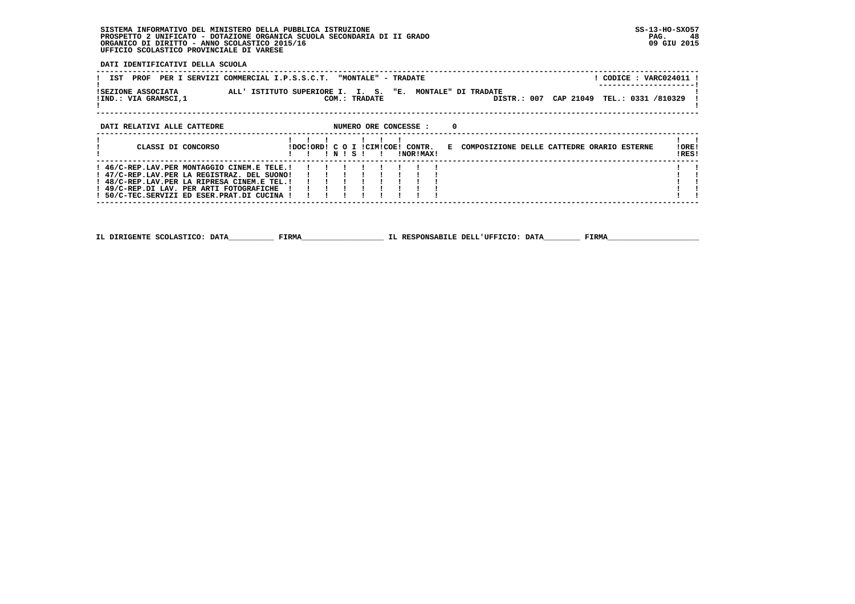**DATI IDENTIFICATIVI DELLA SCUOLA**

| IST<br>PROF                                | PER I SERVIZI COMMERCIAL I.P.S.S.C.T. "MONTALE" - TRADATE                                             | ! CODICE : VARC024011 !<br>-------------------- |
|--------------------------------------------|-------------------------------------------------------------------------------------------------------|-------------------------------------------------|
| ISEZIONE ASSOCIATA<br>!IND.: VIA GRAMSCI,1 | ALL' ISTITUTO SUPERIORE I. I. S. "E. MONTALE" DI TRADATE<br>CAP 21049<br>COM.: TRADATE<br>DISTR.: 007 | TEL.: 0331 /810329                              |
| DATI RELATIVI ALLE CATTEDRE                | NUMERO ORE CONCESSE :<br>$\Omega$                                                                     |                                                 |
| CLASSI DI CONCORSO                         | !DOC!ORD! C O I !CIM!COE! CONTR.<br>E COMPOSIZIONE DELLE CATTEDRE ORARIO ESTERNE<br>INORIMAX!         | ! ORE!<br>!RES!                                 |

| $!$ 47/C-REP.LAV.PER LA REGISTRAZ. DEL SUONO!!!!!!!!!!!!      |  |  |  |  |  |  |
|---------------------------------------------------------------|--|--|--|--|--|--|
| ! 48/C-REP.LAV.PER LA RIPRESA CINEM.E TEL.! ! ! ! ! ! ! ! ! ! |  |  |  |  |  |  |
|                                                               |  |  |  |  |  |  |
|                                                               |  |  |  |  |  |  |
|                                                               |  |  |  |  |  |  |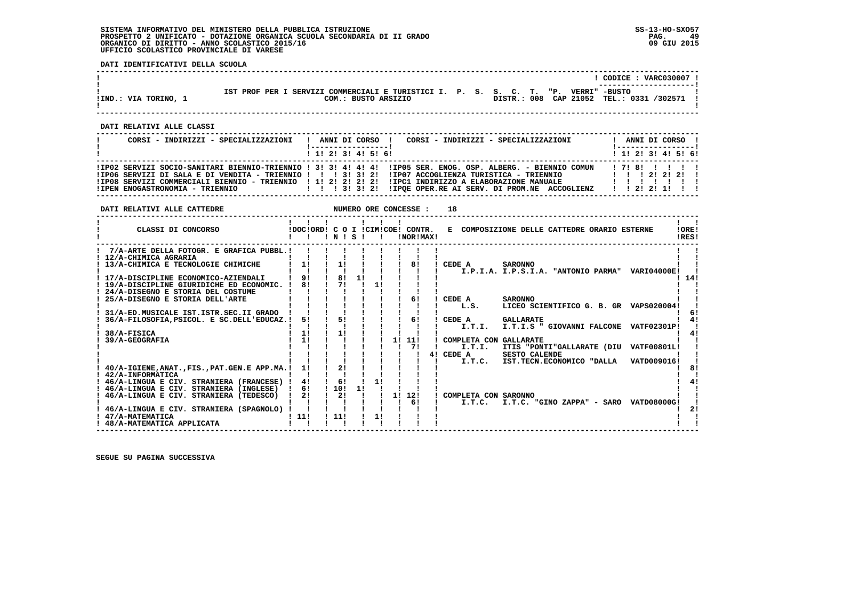**DATI IDENTIFICATIVI DELLA SCUOLA**

|                      |                                                                                    |  |  | $\overline{CODICE}$ : VARC030007<br>---------------------- |  |
|----------------------|------------------------------------------------------------------------------------|--|--|------------------------------------------------------------|--|
|                      | IST PROF PER I SERVIZI COMMERCIALI E TURISTICI I. P. S. S. C. T. "P. VERRI" -BUSTO |  |  |                                                            |  |
| !IND.: VIA TORINO, 1 | COM.: BUSTO ARSIZIO                                                                |  |  | DISTR.: 008 CAP 21052 TEL.: 0331 /302571                   |  |
|                      |                                                                                    |  |  |                                                            |  |

 **------------------------------------------------------------------------------------------------------------------------------------**

 **------------------------------------------------------------------------------------------------------------------------------------**

 **DATI RELATIVI ALLE CLASSI**

| CORSI - INDIRIZZI - SPECIALIZZAZIONI | CORSI - INDIRIZZI - SPECIALIZZAZIONI<br>ANNI DI CORSO !                                                                                                                                                                                                                                                                               | ANNI DI CORSO !<br>! -----------------! |
|--------------------------------------|---------------------------------------------------------------------------------------------------------------------------------------------------------------------------------------------------------------------------------------------------------------------------------------------------------------------------------------|-----------------------------------------|
|                                      | 1 1 1 2 1 3 1 4 1 5 1 6 1                                                                                                                                                                                                                                                                                                             | 1 1 2 2 1 3 1 4 1 5 1 6 1               |
|                                      | IIPO2 SERVIZI SOCIO-SANITARI BIENNIO-TRIENNIO ! 3! 3! 4! 4! 4! IIPO5 SER. ENOG. OSP. ALBERG. - BIENNIO COMUN<br>!IPO6 SERVIZI DI SALA E DI VENDITA - TRIENNIO !!! 3! 3! 2!!!IPO7 ACCOGLIENZA TURISTICA - TRIENNIO  !!!!!!!!!!!<br>IIP08 SERVIZI COMMERCIALI BIENNIO - TRIENNIO   1! 2! 2! 2! 1 IIPC1 INDIRIZZO A ELABORAZIONE MANUALE | 17181111                                |

| DATI RELATIVI ALLE CATTEDRE                                                        |                                  |            |    |    |    | NUMERO ORE CONCESSE : | 18                                                             |                |
|------------------------------------------------------------------------------------|----------------------------------|------------|----|----|----|-----------------------|----------------------------------------------------------------|----------------|
| CLASSI DI CONCORSO                                                                 | !DOC!ORD! C O I !CIM!COE! CONTR. | INISI      |    |    |    | !NOR!MAX!             | E COMPOSIZIONE DELLE CATTEDRE ORARIO ESTERNE                   | !ORE!<br>!RES! |
| 7/A-ARTE DELLA FOTOGR. E GRAFICA PUBBL.!                                           |                                  |            |    |    |    |                       |                                                                |                |
| 12/A-CHIMICA AGRARIA                                                               |                                  |            |    |    |    |                       |                                                                |                |
| 13/A-CHIMICA E TECNOLOGIE CHIMICHE                                                 | 11                               | 11         |    |    |    | 81                    | ! CEDE A<br><b>SARONNO</b>                                     |                |
|                                                                                    |                                  | 81         | 11 |    |    |                       | I.P.I.A. I.P.S.I.A. "ANTONIO PARMA" VARI04000E!                |                |
| 17/A-DISCIPLINE ECONOMICO-AZIENDALI<br>! 19/A-DISCIPLINE GIURIDICHE ED ECONOMIC. ! | 8!                               | 71         |    | 11 |    |                       |                                                                | -14!           |
| 24/A-DISEGNO E STORIA DEL COSTUME                                                  |                                  |            |    |    |    |                       |                                                                |                |
| 25/A-DISEGNO E STORIA DELL'ARTE                                                    |                                  |            |    |    |    | 6!                    | <b>SARONNO</b><br>CEDE A                                       |                |
|                                                                                    |                                  |            |    |    |    |                       | LICEO SCIENTIFICO G. B. GR VAPS020004!<br>L.S.                 |                |
| 31/A-ED. MUSICALE IST. ISTR. SEC. II GRADO                                         |                                  |            |    |    |    |                       |                                                                |                |
| 36/A-FILOSOFIA, PSICOL. E SC. DELL'EDUCAZ.!                                        | 51                               | 51         |    |    |    | 61                    | CEDE A<br><b>GALLARATE</b>                                     |                |
|                                                                                    |                                  |            |    |    |    |                       | I.T.I.S " GIOVANNI FALCONE VATF02301P!<br>I.T.I.               |                |
| 38/A-FISICA                                                                        | 1!                               | 11         |    |    |    |                       |                                                                |                |
| 39/A-GEOGRAFIA                                                                     | 11                               |            |    |    | 11 | 11!                   | COMPLETA CON GALLARATE                                         |                |
|                                                                                    |                                  |            |    |    |    | 71                    | I.T.I.<br>ITIS "PONTI"GALLARATE (DIU<br><b>VATF00801L!</b>     |                |
|                                                                                    |                                  |            |    |    |    |                       | 4! CEDE A<br><b>SESTO CALENDE</b>                              |                |
|                                                                                    |                                  |            |    |    |    |                       | VATD009016!<br>I.T.C. IST.TECN.ECONOMICO "DALLA                |                |
| 40/A-IGIENE, ANAT., FIS., PAT. GEN. E APP.MA.!                                     | 1!                               | 21         |    |    |    |                       |                                                                |                |
| <b>42/A-INFORMATICA</b>                                                            |                                  |            |    |    |    |                       |                                                                |                |
| 46/A-LINGUA E CIV. STRANIERA (FRANCESE) !                                          | 41                               | 6!         |    | 11 |    |                       |                                                                |                |
| 46/A-LINGUA E CIV. STRANIERA (INGLESE)                                             | 61                               | 110!<br>21 | 11 |    |    |                       |                                                                |                |
| 46/A-LINGUA E CIV. STRANIERA (TEDESCO)                                             | 2!                               |            |    |    |    | 1! 12!<br>61          | COMPLETA CON SARONNO<br>I.T.C. "GINO ZAPPA" - SARO VATD08000G! |                |
| 46/A-LINGUA E CIV. STRANIERA (SPAGNOLO)                                            |                                  |            |    |    |    |                       | I.T.C.                                                         |                |
| 47/A-MATEMATICA                                                                    | 111                              | 111        |    | 11 |    |                       |                                                                |                |
| 48/A-MATEMATICA APPLICATA                                                          |                                  |            |    |    |    |                       |                                                                |                |
|                                                                                    |                                  |            |    |    |    |                       |                                                                |                |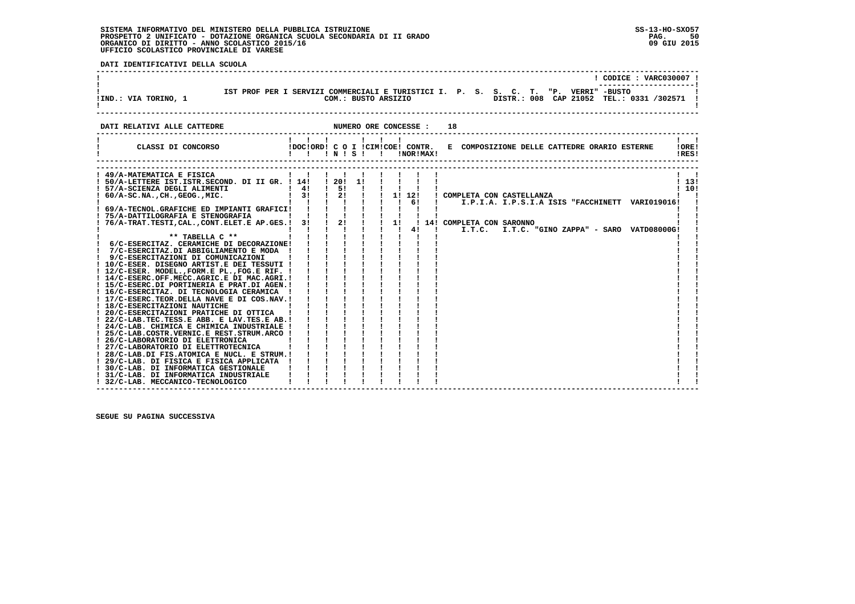**DATI IDENTIFICATIVI DELLA SCUOLA**

|                                                                          |                                                                                                                          |                                        |                       |                              | ! CODICE : VARC030007 !                                                                                                          |
|--------------------------------------------------------------------------|--------------------------------------------------------------------------------------------------------------------------|----------------------------------------|-----------------------|------------------------------|----------------------------------------------------------------------------------------------------------------------------------|
| !IND.: VIA TORINO, 1                                                     |                                                                                                                          |                                        | COM.: BUSTO ARSIZIO   |                              | IST PROF PER I SERVIZI COMMERCIALI E TURISTICI I. P. S. S. C. T. "P. VERRI" -BUSTO<br>DISTR.: 008 CAP 21052 TEL.: 0331 /302571 ! |
| DATI RELATIVI ALLE CATTEDRE                                              |                                                                                                                          |                                        | NUMERO ORE CONCESSE : |                              | 18                                                                                                                               |
| IDOCIORD! C O I ICIMICOE! CONTR.<br>CLASSI DI CONCORSO                   | $1 \quad 1 \quad 1 \quad 1 \quad 1$<br>!!!N!S!!                                                                          |                                        |                       | !NOR!MAX!                    | $\mathbf{1}$ $\mathbf{1}$<br>E COMPOSIZIONE DELLE CATTEDRE ORARIO ESTERNE<br>!ORE!<br>!RES!                                      |
| ! 49/A-MATEMATICA E FISICA                                               | $\mathbf{1}$ $\mathbf{1}$                                                                                                | .                                      |                       |                              |                                                                                                                                  |
| ! 50/A-LETTERE IST. ISTR. SECOND. DI II GR. ! 14!                        | $\frac{1}{4}$                                                                                                            | $\frac{1}{5!}$                         | $\frac{1}{20!}$ 11 1  |                              | 113!<br>110!                                                                                                                     |
| : 57/A-SCIENZA DEGLI ALIMENTI<br>! 60/A-SC.NA.,CH.,GEOG.,MIC.<br>!       | $1 \quad 31 \quad 1 \quad 21$                                                                                            |                                        |                       |                              | !!!!!!!! COMPLETA CON CASTELLANZA                                                                                                |
|                                                                          |                                                                                                                          |                                        |                       |                              | I.P.I.A. I.P.S.I.A ISIS "FACCHINETT VARIO19016!                                                                                  |
|                                                                          |                                                                                                                          |                                        |                       |                              |                                                                                                                                  |
|                                                                          |                                                                                                                          |                                        |                       |                              |                                                                                                                                  |
|                                                                          |                                                                                                                          |                                        |                       |                              |                                                                                                                                  |
|                                                                          |                                                                                                                          |                                        |                       | $1 \quad 1 \quad 41 \quad 1$ | I.T.C. I.T.C. "GINO ZAPPA" - SARO VATD08000G!                                                                                    |
| ** TABELLA $C$ **<br>! 6/C-ESERCITAZ. CERAMICHE DI DECORAZIONE!          |                                                                                                                          | i i i                                  |                       |                              |                                                                                                                                  |
| ! 7/C-ESERCITAZ.DI ABBIGLIAMENTO E MODA !                                |                                                                                                                          | $1 - 1 - 1$                            |                       |                              |                                                                                                                                  |
| ! 9/C-ESERCITAZIONI DI COMUNICAZIONI                                     |                                                                                                                          |                                        |                       |                              |                                                                                                                                  |
| ! 10/C-ESER. DISEGNO ARTIST.E DEI TESSUTI !                              |                                                                                                                          |                                        |                       |                              |                                                                                                                                  |
| ! 12/C-ESER. MODEL., FORM.E PL., FOG.E RIF. !                            |                                                                                                                          |                                        |                       |                              |                                                                                                                                  |
| ! 14/C-ESERC.OFF.MECC.AGRIC.E DI MAC.AGRI.!                              |                                                                                                                          |                                        |                       |                              |                                                                                                                                  |
| ! 15/C-ESERC.DI PORTINERIA E PRAT.DI AGEN.!                              |                                                                                                                          |                                        |                       |                              |                                                                                                                                  |
| ! 16/C-ESERCITAZ. DI TECNOLOGIA CERAMICA !                               |                                                                                                                          |                                        |                       |                              |                                                                                                                                  |
| ! 17/C-ESERC.TEOR.DELLA NAVE E DI COS.NAV.!                              |                                                                                                                          |                                        |                       |                              |                                                                                                                                  |
| ! 18/C-ESERCITAZIONI NAUTICHE<br>! 20/C-ESERCITAZIONI PRATICHE DI OTTICA | $\begin{array}{cccccc} 1 & 1 & 1 & 1 \\ 1 & 1 & 1 & 1 \\ 1 & 1 & 1 & 1 \\ 1 & 1 & 1 & 1 \\ 1 & 1 & 1 & 1 \\ \end{array}$ |                                        |                       |                              |                                                                                                                                  |
| ! 22/C-LAB.TEC.TESS.E ABB. E LAV.TES.E AB.!                              |                                                                                                                          | $\mathbf{i}$ $\mathbf{j}$ $\mathbf{k}$ |                       |                              |                                                                                                                                  |
| ! 24/C-LAB. CHIMICA E CHIMICA INDUSTRIALE !                              |                                                                                                                          |                                        |                       |                              |                                                                                                                                  |
| ! 25/C-LAB.COSTR.VERNIC.E REST.STRUM.ARCO !                              |                                                                                                                          |                                        |                       |                              |                                                                                                                                  |
| ! 26/C-LABORATORIO DI ELETTRONICA                                        |                                                                                                                          |                                        |                       |                              |                                                                                                                                  |
| ! 27/C-LABORATORIO DI ELETTROTECNICA                                     |                                                                                                                          |                                        |                       |                              |                                                                                                                                  |
| ! 28/C-LAB.DI FIS.ATOMICA E NUCL. E STRUM.!                              | $\mathbf{i}$ $\mathbf{i}$ $\mathbf{j}$                                                                                   |                                        |                       |                              |                                                                                                                                  |
| ! 29/C-LAB. DI FISICA E FISICA APPLICATA !                               | $\mathbf{i}$ $\mathbf{i}$ $\mathbf{j}$                                                                                   |                                        |                       |                              |                                                                                                                                  |
| ! 30/C-LAB. DI INFORMATICA GESTIONALE                                    |                                                                                                                          |                                        |                       |                              |                                                                                                                                  |
| ! 31/C-LAB. DI INFORMATICA INDUSTRIALE                                   |                                                                                                                          |                                        |                       |                              |                                                                                                                                  |
| ! 32/C-LAB. MECCANICO-TECNOLOGICO                                        |                                                                                                                          |                                        |                       |                              |                                                                                                                                  |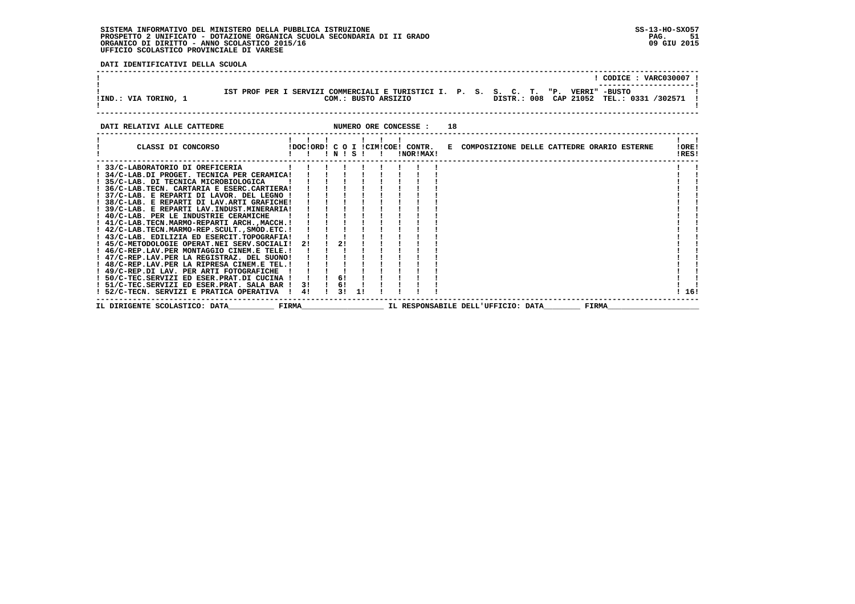**DATI IDENTIFICATIVI DELLA SCUOLA**

| !IND.: VIA TORINO, 1        | IST PROF PER I SERVIZI COMMERCIALI E TURISTICI I. P. S. S. C. T. "P. VERRI" -BUSTO<br>COM.: BUSTO ARSIZIO |                             | ! CODICE : VARC030007 !<br>DISTR.: 008 CAP 21052 TEL.: 0331 /302571 ! |                |
|-----------------------------|-----------------------------------------------------------------------------------------------------------|-----------------------------|-----------------------------------------------------------------------|----------------|
| DATI RELATIVI ALLE CATTEDRE |                                                                                                           | NUMERO ORE CONCESSE :<br>18 |                                                                       |                |
| CLASSI DI CONCORSO          | !DOC!ORD! C O I !CIM!COE! CONTR.<br>INISI                                                                 | INORIMAXI                   | E COMPOSIZIONE DELLE CATTEDRE ORARIO ESTERNE                          | !ORE!<br>IRES! |
|                             |                                                                                                           |                             |                                                                       |                |

| ! 33/C-LABORATORIO DI OREFICERIA                               |  |         |  |  |                                    |       |       |  |
|----------------------------------------------------------------|--|---------|--|--|------------------------------------|-------|-------|--|
| ! 34/C-LAB.DI PROGET. TECNICA PER CERAMICA!                    |  |         |  |  |                                    |       |       |  |
| ! 35/C-LAB. DI TECNICA MICROBIOLOGICA                          |  |         |  |  |                                    |       |       |  |
| ! 36/C-LAB.TECN. CARTARIA E ESERC.CARTIERA!                    |  |         |  |  |                                    |       |       |  |
| ! 37/C-LAB. E REPARTI DI LAVOR. DEL LEGNO !                    |  |         |  |  |                                    |       |       |  |
| ! 38/C-LAB. E REPARTI DI LAV.ARTI GRAFICHE!                    |  |         |  |  |                                    |       |       |  |
| ! 39/C-LAB. E REPARTI LAV.INDUST.MINERARIA!                    |  |         |  |  |                                    |       |       |  |
| ! 40/C-LAB. PER LE INDUSTRIE CERAMICHE                         |  |         |  |  |                                    |       |       |  |
| ! 41/C-LAB.TECN.MARMO-REPARTI ARCH.,MACCH.!!!                  |  |         |  |  |                                    |       |       |  |
| ! 42/C-LAB.TECN.MARMO-REP.SCULT.,SMOD.ETC.!                    |  |         |  |  |                                    |       |       |  |
| ! 43/C-LAB. EDILIZIA ED ESERCIT.TOPOGRAFIA!                    |  |         |  |  |                                    |       |       |  |
| ! 45/C-METODOLOGIE OPERAT.NEI SERV.SOCIALI! 2! ! 2!            |  |         |  |  |                                    |       |       |  |
| ! 46/C-REP.LAV.PER MONTAGGIO CINEM.E TELE.!                    |  |         |  |  |                                    |       |       |  |
| ! 47/C-REP.LAV.PER LA REGISTRAZ. DEL SUONO!                    |  |         |  |  |                                    |       |       |  |
| ! 48/C-REP.LAV.PER LA RIPRESA CINEM.E TEL.!                    |  |         |  |  |                                    |       |       |  |
| $!$ 49/C-REP.DI LAV. PER ARTI FOTOGRAFICHE $!$ $!$ $!$ $!$ $!$ |  |         |  |  |                                    |       |       |  |
| $!$ 50/C-TEC.SERVIZI ED ESER.PRAT.DI CUCINA $!$ $!$ $!$ 6!     |  |         |  |  |                                    |       |       |  |
| $!$ 51/C-TEC.SERVIZI ED ESER.PRAT. SALA BAR $!$ 3!! 6!         |  |         |  |  |                                    |       |       |  |
| ! 52/C-TECN. SERVIZI E PRATICA OPERATIVA ! 4!                  |  | 1 31 11 |  |  |                                    |       | ! 16! |  |
| FIRMA<br>IL DIRIGENTE SCOLASTICO: DATA                         |  |         |  |  | IL RESPONSABILE DELL'UFFICIO: DATA | FIRMA |       |  |
|                                                                |  |         |  |  |                                    |       |       |  |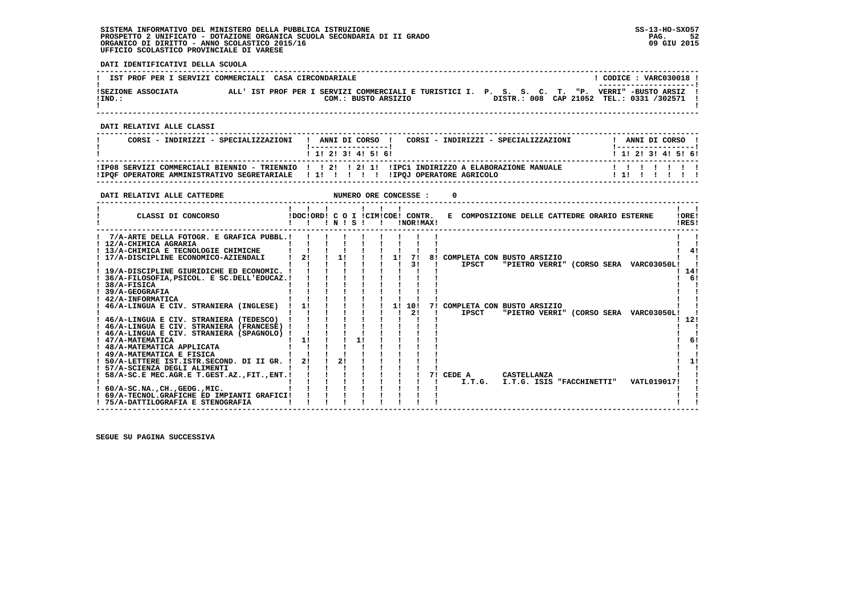**DATI IDENTIFICATIVI DELLA SCUOLA**

| IST PROF PER I SERVIZI COMMERCIALI CASA CIRCONDARIALE |  |  |  | CODICE: VARC030018 !<br>---------------------                                                                          |  |  |  |  |  |  |  |  |  |                                          |  |
|-------------------------------------------------------|--|--|--|------------------------------------------------------------------------------------------------------------------------|--|--|--|--|--|--|--|--|--|------------------------------------------|--|
| ISEZIONE ASSOCIATA<br>!IND.:                          |  |  |  | ALL' IST PROF PER I SERVIZI COMMERCIALI E TURISTICI I. P. S. S. C. T. "P. VERRI" -BUSTO ARSIZ !<br>COM.: BUSTO ARSIZIO |  |  |  |  |  |  |  |  |  | DISTR.: 008 CAP 21052 TEL.: 0331 /302571 |  |

 **------------------------------------------------------------------------------------------------------------------------------------**

 **DATI RELATIVI ALLE CLASSI**

| CORSI - INDIRIZZI - SPECIALIZZAZIONI                                                 | ANNI DI CORSO !<br>CORSI - INDIRIZZI - SPECIALIZZAZIONI<br>1 1 2 3 3 4 5 6 6                       | ANNI DI CORSO<br>1 1 2 2 1 3 1 4 1 5 1 6 1 |
|--------------------------------------------------------------------------------------|----------------------------------------------------------------------------------------------------|--------------------------------------------|
| IPOF OPERATORE AMMINISTRATIVO SEGRETARIALE   1   1   1   1   IPOJ OPERATORE AGRICOLO | IIPO8 SERVIZI COMMERCIALI BIENNIO - TRIENNIO     2    2  1  IIPC1 INDIRIZZO A ELABORAZIONE MANUALE | 1111111<br>111 1 1 1                       |

 **------------------------------------------------------------------------------------------------------------------------------------**

| DATI RELATIVI ALLE CATTEDRE                                                                                                                                                                                                                                                                                             |                                  |    |           |    | NUMERO ORE CONCESSE : |                                                                                                 |          |
|-------------------------------------------------------------------------------------------------------------------------------------------------------------------------------------------------------------------------------------------------------------------------------------------------------------------------|----------------------------------|----|-----------|----|-----------------------|-------------------------------------------------------------------------------------------------|----------|
| CLASSI DI CONCORSO                                                                                                                                                                                                                                                                                                      | !DOC!ORD! C O I !CIM!COE! CONTR. |    | 1 N 1 S 1 |    | !NOR!MAX!             | !ORE!<br>E COMPOSIZIONE DELLE CATTEDRE ORARIO ESTERNE<br>!RES!                                  |          |
| 7/A-ARTE DELLA FOTOGR. E GRAFICA PUBBL.!<br>! 12/A-CHIMICA AGRARIA<br>! 13/A-CHIMICA E TECNOLOGIE CHIMICHE<br>17/A-DISCIPLINE ECONOMICO-AZIENDALI<br>19/A-DISCIPLINE GIURIDICHE ED ECONOMIC.<br>36/A-FILOSOFIA, PSICOL. E SC. DELL'EDUCAZ. !                                                                            | 2!                               | 1! |           | 11 | 71<br>31              | 8! COMPLETA CON BUSTO ARSIZIO<br>"PIETRO VERRI" (CORSO SERA VARC03050L!<br>IPSCT<br>141         | 4!<br>61 |
| 38/A-FISICA<br>39/A-GEOGRAFIA<br>42/A-INFORMATICA<br>46/A-LINGUA E CIV. STRANIERA (INGLESE)<br>! 46/A-LINGUA E CIV. STRANIERA (TEDESCO)<br>! 46/A-LINGUA E CIV. STRANIERA (FRANCESE) !<br>46/A-LINGUA E CIV. STRANIERA (SPAGNOLO)<br>! 47/A-MATEMATICA                                                                  | 11<br>11                         |    |           | 11 | 10!<br>21             | 7! COMPLETA CON BUSTO ARSIZIO<br><b>IPSCT</b><br>"PIETRO VERRI" (CORSO SERA VARC03050L!<br>-12! |          |
| ! 48/A-MATEMATICA APPLICATA<br>! 49/A-MATEMATICA E FISICA<br>50/A-LETTERE IST.ISTR.SECOND. DI II GR.<br>! 57/A-SCIENZA DEGLI ALIMENTI<br>58/A-SC.E MEC.AGR.E T.GEST.AZ., FIT., ENT.!<br>$: 60/A-SC.NA.$ . $CH.$ , $GEOG.$ , $MIC.$<br>! 69/A-TECNOL.GRAFICHE ED IMPIANTI GRAFICI!<br>! 75/A-DATTILOGRAFIA E STENOGRAFIA | 2!                               | 21 |           |    |                       | 7! CEDE A<br>CASTELLANZA<br>VATL019017!<br>I.T.G. I.T.G. ISIS "FACCHINETTI"                     | 11       |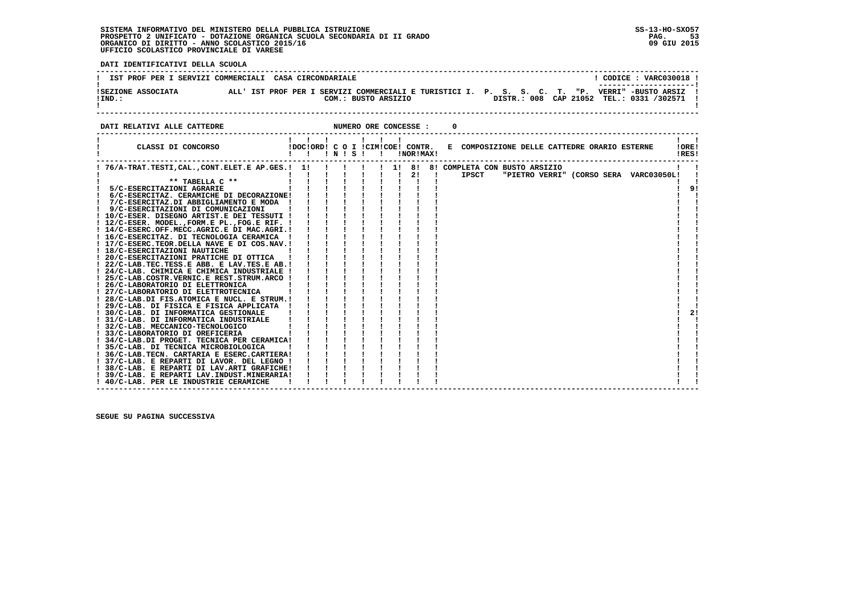**DATI IDENTIFICATIVI DELLA SCUOLA**

| IST PROF PER I SERVIZI COMMERCIALI CASA CIRCONDARIALE |  |  |                                                                                                 |  |  |  | ----------------------                                            | CODICE: VARC030018 ! |  |
|-------------------------------------------------------|--|--|-------------------------------------------------------------------------------------------------|--|--|--|-------------------------------------------------------------------|----------------------|--|
| ISEZIONE ASSOCIATA<br>$!$ IND.:                       |  |  | ALL'IST PROF PER I SERVIZI COMMERCIALI E TURISTICI I. P. S. S. C. T. "P.<br>COM.: BUSTO ARSIZIO |  |  |  | VERRI" -BUSTO ARSIZ<br>DISTR.: 008 CAP 21052 TEL.: 0331 /302571 ! |                      |  |
|                                                       |  |  |                                                                                                 |  |  |  |                                                                   |                      |  |

**DATI RELATIVI ALLE CATTEDRE CONCESSE : 0** 

| CLASSI DI CONCORSO                                                                    | $\blacksquare$ | $'$ N $'$ S $'$ | $\mathbf{I}$ $\mathbf{I}$ |  | !NOR!MAX! |  | !DOC!ORD! C O I !CIM!COE! CONTR. E COMPOSIZIONE DELLE CATTEDRE ORARIO ESTERNE |  |  |  |                                        | IOREI<br>!RES! |
|---------------------------------------------------------------------------------------|----------------|-----------------|---------------------------|--|-----------|--|-------------------------------------------------------------------------------|--|--|--|----------------------------------------|----------------|
| ! 76/A-TRAT.TESTI,CAL.,CONT.ELET.E AP.GES.! 1!                                        |                |                 |                           |  | ! 1! 8!   |  | 8! COMPLETA CON BUSTO ARSIZIO                                                 |  |  |  |                                        |                |
| $***$ TABELLA $C***$                                                                  |                |                 |                           |  | 2!        |  | IPSCT                                                                         |  |  |  | "PIETRO VERRI" (CORSO SERA VARC03050L! |                |
| 5/C-ESERCITAZIONI AGRARIE                                                             |                |                 |                           |  |           |  |                                                                               |  |  |  |                                        | 9!             |
| 6/C-ESERCITAZ. CERAMICHE DI DECORAZIONE!                                              |                |                 |                           |  |           |  |                                                                               |  |  |  |                                        |                |
| 7/C-ESERCITAZ.DI ABBIGLIAMENTO E MODA !                                               |                |                 |                           |  |           |  |                                                                               |  |  |  |                                        |                |
| 9/C-ESERCITAZIONI DI COMUNICAZIONI                                                    |                |                 |                           |  |           |  |                                                                               |  |  |  |                                        |                |
| ! 10/C-ESER. DISEGNO ARTIST.E DEI TESSUTI !                                           |                |                 |                           |  |           |  |                                                                               |  |  |  |                                        |                |
| ! 12/C-ESER. MODEL., FORM.E PL., FOG.E RIF. !                                         |                |                 |                           |  |           |  |                                                                               |  |  |  |                                        |                |
| ! 14/C-ESERC.OFF.MECC.AGRIC.E DI MAC.AGRI.!                                           |                |                 |                           |  |           |  |                                                                               |  |  |  |                                        |                |
| ! 16/C-ESERCITAZ. DI TECNOLOGIA CERAMICA                                              |                |                 |                           |  |           |  |                                                                               |  |  |  |                                        |                |
| ! 17/C-ESERC.TEOR.DELLA NAVE E DI COS.NAV.!                                           |                |                 |                           |  |           |  |                                                                               |  |  |  |                                        |                |
| ! 18/C-ESERCITAZIONI NAUTICHE                                                         |                |                 |                           |  |           |  |                                                                               |  |  |  |                                        |                |
| ! 20/C-ESERCITAZIONI PRATICHE DI OTTICA                                               |                |                 |                           |  |           |  |                                                                               |  |  |  |                                        |                |
| ! 22/C-LAB.TEC.TESS.E ABB. E LAV.TES.E AB.!                                           |                |                 |                           |  |           |  |                                                                               |  |  |  |                                        |                |
| ! 24/C-LAB. CHIMICA E CHIMICA INDUSTRIALE !                                           |                |                 |                           |  |           |  |                                                                               |  |  |  |                                        |                |
| ! 25/C-LAB.COSTR.VERNIC.E REST.STRUM.ARCO !                                           |                |                 |                           |  |           |  |                                                                               |  |  |  |                                        |                |
| ! 26/C-LABORATORIO DI ELETTRONICA                                                     |                |                 |                           |  |           |  |                                                                               |  |  |  |                                        |                |
| ! 27/C-LABORATORIO DI ELETTROTECNICA                                                  |                |                 |                           |  |           |  |                                                                               |  |  |  |                                        |                |
| ! 28/C-LAB.DI FIS.ATOMICA E NUCL. E STRUM.!                                           |                |                 |                           |  |           |  |                                                                               |  |  |  |                                        |                |
| ! 29/C-LAB. DI FISICA E FISICA APPLICATA                                              |                |                 |                           |  |           |  |                                                                               |  |  |  |                                        |                |
| ! 30/C-LAB. DI INFORMATICA GESTIONALE                                                 |                |                 |                           |  |           |  |                                                                               |  |  |  |                                        | 2!             |
| ! 31/C-LAB. DI INFORMATICA INDUSTRIALE                                                |                |                 |                           |  |           |  |                                                                               |  |  |  |                                        |                |
| ! 32/C-LAB. MECCANICO-TECNOLOGICO                                                     |                |                 |                           |  |           |  |                                                                               |  |  |  |                                        |                |
| ! 33/C-LABORATORIO DI OREFICERIA                                                      |                |                 |                           |  |           |  |                                                                               |  |  |  |                                        |                |
| ! 34/C-LAB.DI PROGET. TECNICA PER CERAMICA!                                           |                |                 |                           |  |           |  |                                                                               |  |  |  |                                        |                |
| ! 35/C-LAB. DI TECNICA MICROBIOLOGICA                                                 |                |                 |                           |  |           |  |                                                                               |  |  |  |                                        |                |
| ! 36/C-LAB.TECN. CARTARIA E ESERC.CARTIERA!                                           |                |                 |                           |  |           |  |                                                                               |  |  |  |                                        |                |
| ! 37/C-LAB. E REPARTI DI LAVOR. DEL LEGNO !                                           |                |                 |                           |  |           |  |                                                                               |  |  |  |                                        |                |
| ! 38/C-LAB. E REPARTI DI LAV.ARTI GRAFICHE!                                           |                |                 |                           |  |           |  |                                                                               |  |  |  |                                        |                |
| 39/C-LAB. E REPARTI LAV. INDUST. MINERARIA!<br>! 40/C-LAB. PER LE INDUSTRIE CERAMICHE |                |                 |                           |  |           |  |                                                                               |  |  |  |                                        |                |
|                                                                                       |                |                 |                           |  |           |  |                                                                               |  |  |  |                                        |                |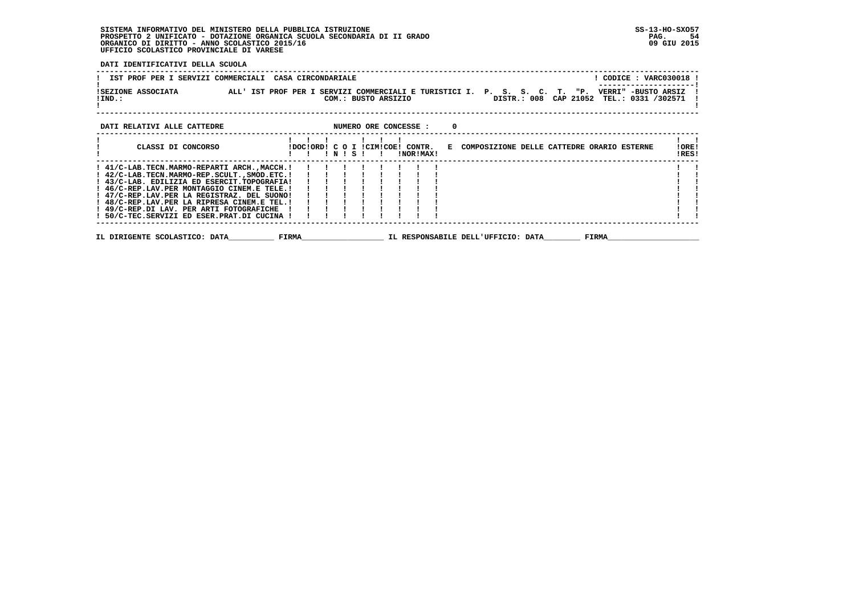**DATI IDENTIFICATIVI DELLA SCUOLA**

| ! CODICE : VARC030018 !<br>IST PROF PER I SERVIZI COMMERCIALI CASA CIRCONDARIALE                                                                                                                                                                                                                                                                                                                                                 |                |
|----------------------------------------------------------------------------------------------------------------------------------------------------------------------------------------------------------------------------------------------------------------------------------------------------------------------------------------------------------------------------------------------------------------------------------|----------------|
| !SEZIONE ASSOCIATA ALL'IST PROF PER I SERVIZI COMMERCIALI E TURISTICI I. P. S. S. C. T. "P. VERRI" -BUSTO ARSIZ<br>DISTR.: 008 CAP 21052<br>TEL.: 0331 /302571<br>$!$ IND.:<br>COM.: BUSTO ARSIZIO                                                                                                                                                                                                                               |                |
| DATI RELATIVI ALLE CATTEDRE<br>NUMERO ORE CONCESSE :<br>$\Omega$                                                                                                                                                                                                                                                                                                                                                                 |                |
| $\mathbf{1}$ $\mathbf{1}$ $\mathbf{1}$<br>CLASSI DI CONCORSO<br>!DOC!ORD! C O I !CIM!COE! CONTR. E COMPOSIZIONE DELLE CATTEDRE ORARIO ESTERNE<br>INISI<br>!NOR!MAX!<br>$\mathbf{I}$                                                                                                                                                                                                                                              | !ORE!<br>!RES! |
| 1 41/C-LAB.TECN.MARMO-REPARTI ARCH.,MACCH.1 1 1 1 1 1 1 1 1<br>1 42/C-LAB.TECN.MARMO-REP.SCULT.,SMOD.ETC.1 1 1 1 1 1 1 1 1<br>1 43/C-LAB. EDILIZIA ED ESERCIT.,TOPOGRAFIA1 1 1 1 1 1 1 1 1<br>1 46/C-REP.LAV.PER MONTAGGIO CINEM.E TELE<br>! 47/C-REP.LAV.PER LA REGISTRAZ. DEL SUONO!<br>! 48/C-REP.LAV.PER LA RIPRESA CINEM.E TEL.!<br>! 49/C-REP.DI LAV. PER ARTI FOTOGRAFICHE<br>! 50/C-TEC.SERVIZI ED ESER.PRAT.DI CUCINA ! |                |
| <b>FIRMA</b><br>IL DIRIGENTE SCOLASTICO: DATA<br>IL RESPONSABILE DELL'UFFICIO: DATA<br>FIRMA                                                                                                                                                                                                                                                                                                                                     |                |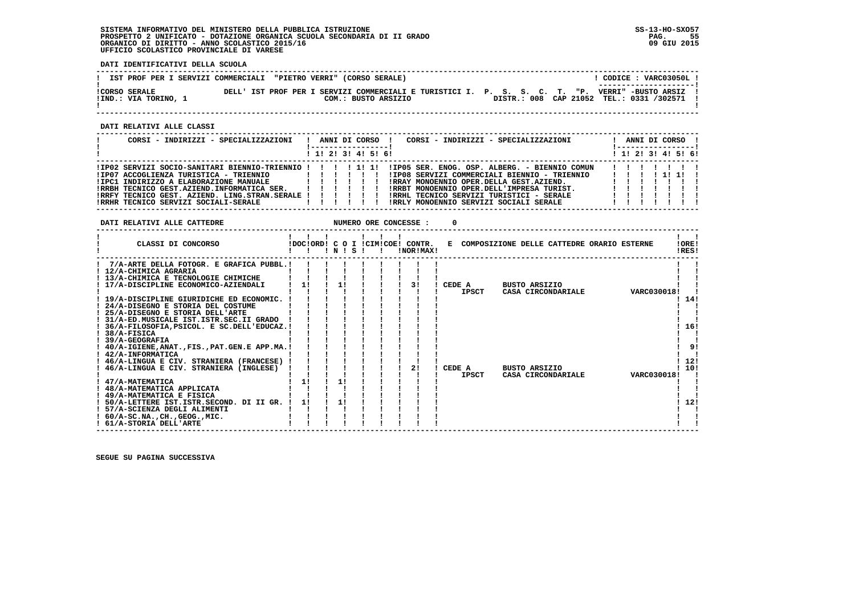**DATI IDENTIFICATIVI DELLA SCUOLA**

| IST PROF PER I SERVIZI COMMERCIALI "PIETRO VERRI" (CORSO SERALE) |  |                                                                                                                         |  | CODICE: VARC03050L!<br>--------------------- |
|------------------------------------------------------------------|--|-------------------------------------------------------------------------------------------------------------------------|--|----------------------------------------------|
| <b>!CORSO SERALE</b><br>!IND.: VIA TORINO, 1                     |  | DELL' IST PROF PER I SERVIZI COMMERCIALI E TURISTICI I. P. S. S. C. T. "P. VERRI" -BUSTO ARSIZ !<br>COM.: BUSTO ARSIZIO |  | DISTR.: 008 CAP 21052 TEL.: 0331 /302571 !   |

 **------------------------------------------------------------------------------------------------------------------------------------**

 **DATI RELATIVI ALLE CLASSI**

| CORSI - INDIRIZZI - SPECIALIZZAZIONI                                                                   |          |   |  | ANNI DI CORSO !     | CORSI - INDIRIZZI - SPECIALIZZAZIONI<br>ANNI DI CORSO !<br>! ------------------                                |  |
|--------------------------------------------------------------------------------------------------------|----------|---|--|---------------------|----------------------------------------------------------------------------------------------------------------|--|
|                                                                                                        |          |   |  | ! 1! 2! 3! 4! 5! 6! | ! 1! 2! 3! 4! 5! 6!                                                                                            |  |
| !IP02 SERVIZI SOCIO-SANITARI BIENNIO-TRIENNIO ! ! ! !! 1! 1!<br>!IP07 ACCOGLIENZA TURISTICA - TRIENNIO |          |   |  |                     | !IP05 SER. ENOG. OSP. ALBERG. - BIENNIO COMUN<br>.<br>!IP08 SERVIZI COMMERCIALI BIENNIO - TRIENNIO<br>11111111 |  |
|                                                                                                        |          |   |  |                     | !RRAY MONOENNIO OPER.DELLA GEST.AZIEND.                                                                        |  |
| IRRBH TECNICO GEST.AZIEND.INFORMATICA SER.<br>!RRFY TECNICO GEST. AZIEND. LING.STRAN.SERALE ! ! ! ! !  | ,,,,,,,, |   |  |                     | IRRBT MONOENNIO OPER.DELL'IMPRESA TURIST.<br>IRRHL TECNICO SERVIZI TURISTICI - SERALE                          |  |
| IRRHR TECNICO SERVIZI SOCIALI-SERALE                                                                   |          | . |  |                     | IRRLY MONOENNIO SERVIZI SOCIALI SERALE                                                                         |  |

**DATI RELATIVI ALLE CATTEDRE NUMERO ORE CONCESSE : 0** 

| CLASSI DI CONCORSO                             |    | ! N ! S |  | !DOC!ORD! C O I !CIM!COE! CONTR.<br>!NOR!MAX! |              | E COMPOSIZIONE DELLE CATTEDRE ORARIO ESTERNE |             | !ORE!<br>IRES! |
|------------------------------------------------|----|---------|--|-----------------------------------------------|--------------|----------------------------------------------|-------------|----------------|
| 7/A-ARTE DELLA FOTOGR. E GRAFICA PUBBL.!       |    |         |  |                                               |              |                                              |             |                |
| ! 12/A-CHIMICA AGRARIA                         |    |         |  |                                               |              |                                              |             |                |
| ! 13/A-CHIMICA E TECNOLOGIE CHIMICHE           |    |         |  |                                               |              |                                              |             |                |
| 17/A-DISCIPLINE ECONOMICO-AZIENDALI            | 11 |         |  | 31                                            | CEDE A       | <b>BUSTO ARSIZIO</b>                         |             |                |
|                                                |    |         |  |                                               | <b>IPSCT</b> | CASA CIRCONDARIALE                           | VARC030018! |                |
| ! 19/A-DISCIPLINE GIURIDICHE ED ECONOMIC.      |    |         |  |                                               |              |                                              |             | 14!            |
| 24/A-DISEGNO E STORIA DEL COSTUME              |    |         |  |                                               |              |                                              |             |                |
| 25/A-DISEGNO E STORIA DELL'ARTE                |    |         |  |                                               |              |                                              |             |                |
| ! 31/A-ED.MUSICALE IST.ISTR.SEC.II GRADO       |    |         |  |                                               |              |                                              |             |                |
| ! 36/A-FILOSOFIA, PSICOL. E SC. DELL'EDUCAZ. ! |    |         |  |                                               |              |                                              |             | 16!            |
| 38/A-FISICA<br>! 39/A-GEOGRAFIA                |    |         |  |                                               |              |                                              |             |                |
| ! 40/A-IGIENE, ANAT., FIS., PAT.GEN.E APP.MA.! |    |         |  |                                               |              |                                              |             | 9!             |
| ! 42/A-INFORMATICA                             |    |         |  |                                               |              |                                              |             |                |
| 46/A-LINGUA E CIV. STRANIERA (FRANCESE)        |    |         |  |                                               |              |                                              |             | 12!            |
| 46/A-LINGUA E CIV. STRANIERA (INGLESE)         |    |         |  | 2!                                            | CEDE A       | <b>BUSTO ARSIZIO</b>                         |             | 10!            |
|                                                |    |         |  |                                               | <b>IPSCT</b> | CASA CIRCONDARIALE                           | VARC030018! |                |
| 47/A-MATEMATICA                                | 11 | 1!      |  |                                               |              |                                              |             |                |
| ! 48/A-MATEMATICA APPLICATA                    |    |         |  |                                               |              |                                              |             |                |
| ! 49/A-MATEMATICA E FISICA                     |    |         |  |                                               |              |                                              |             |                |
| ! 50/A-LETTERE IST.ISTR.SECOND. DI II GR.      | 11 | 11      |  |                                               |              |                                              |             | 12!            |
| 57/A-SCIENZA DEGLI ALIMENTI                    |    |         |  |                                               |              |                                              |             |                |
| $: 60/A-SC.NA.$ , $CH.$ , $GEOG.$ , $MIC.$     |    |         |  |                                               |              |                                              |             |                |
| ! 61/A-STORIA DELL'ARTE                        |    |         |  |                                               |              |                                              |             |                |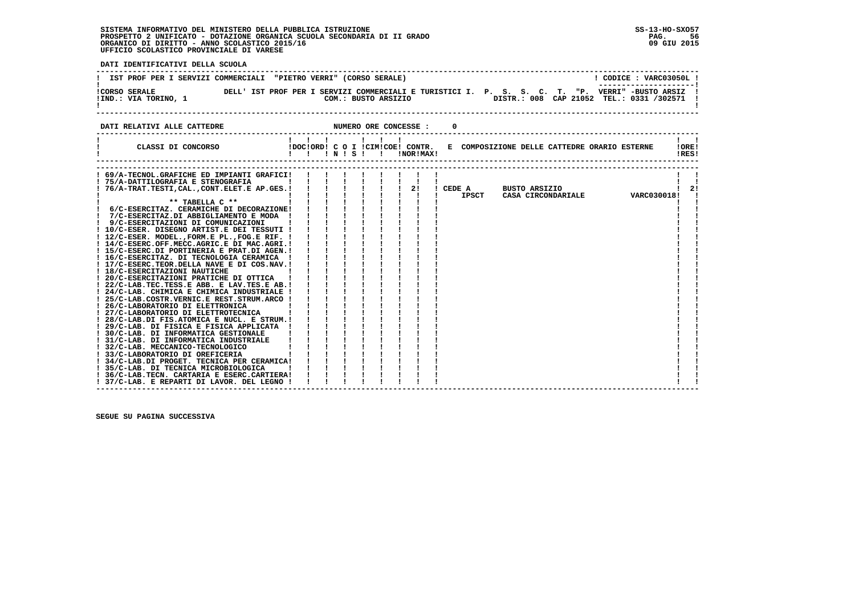**DATI IDENTIFICATIVI DELLA SCUOLA**

| IST PROF PER I SERVIZI COMMERCIALI "PIETRO VERRI" (CORSO SERALE) |                                                                                                   | CODICE: VARC03050L!                                             |
|------------------------------------------------------------------|---------------------------------------------------------------------------------------------------|-----------------------------------------------------------------|
| <b>!CORSO SERALE</b><br>!IND.: VIA TORINO, 1                     | DELL' IST PROF PER I SERVIZI COMMERCIALI E TURISTICI I. P. S. S. C. T. "P.<br>COM.: BUSTO ARSIZIO | VERRI" -BUSTO ARSIZ<br>DISTR.: 008 CAP 21052 TEL.: 0331 /302571 |
| DATI RELATIVI ALLE CATTEDRE                                      | NUMERO ORE CONCESSE :                                                                             |                                                                 |

| CLASSI DI CONCORSO                            | $\mathbf{1}$ |  | $\mathbf{I}$ | !!!N!S!! | !NOR!MAX! |        | !DOC!ORD! C O I !CIM!COE! CONTR. E COMPOSIZIONE DELLE CATTEDRE ORARIO ESTERNE |             | IOREI<br>!RES! |    |
|-----------------------------------------------|--------------|--|--------------|----------|-----------|--------|-------------------------------------------------------------------------------|-------------|----------------|----|
|                                               |              |  |              |          |           |        |                                                                               |             |                |    |
| 69/A-TECNOL.GRAFICHE ED IMPIANTI GRAFICI!     |              |  |              |          |           |        |                                                                               |             |                |    |
| ! 75/A-DATTILOGRAFIA E STENOGRAFIA            |              |  |              |          |           |        |                                                                               |             |                |    |
| 76/A-TRAT.TESTI, CAL., CONT.ELET.E AP.GES.!   |              |  |              |          | 2!        | CEDE A | <b>BUSTO ARSIZIO</b>                                                          |             |                | 21 |
|                                               |              |  |              |          |           | IPSCT  | CASA CIRCONDARIALE                                                            | VARC030018! |                |    |
| $***$ TABELLA $C**$                           |              |  |              |          |           |        |                                                                               |             |                |    |
| ! 6/C-ESERCITAZ. CERAMICHE DI DECORAZIONE!    |              |  |              |          |           |        |                                                                               |             |                |    |
| 7/C-ESERCITAZ.DI ABBIGLIAMENTO E MODA !       |              |  |              |          |           |        |                                                                               |             |                |    |
| 9/C-ESERCITAZIONI DI COMUNICAZIONI            |              |  |              |          |           |        |                                                                               |             |                |    |
| 10/C-ESER. DISEGNO ARTIST.E DEI TESSUTI !     |              |  |              |          |           |        |                                                                               |             |                |    |
| ! 12/C-ESER. MODEL., FORM.E PL., FOG.E RIF. ! |              |  |              |          |           |        |                                                                               |             |                |    |
| ! 14/C-ESERC.OFF.MECC.AGRIC.E DI MAC.AGRI.!   |              |  |              |          |           |        |                                                                               |             |                |    |
| ! 15/C-ESERC.DI PORTINERIA E PRAT.DI AGEN.!   |              |  |              |          |           |        |                                                                               |             |                |    |
| ! 16/C-ESERCITAZ. DI TECNOLOGIA CERAMICA !    |              |  |              |          |           |        |                                                                               |             |                |    |
| ! 17/C-ESERC.TEOR.DELLA NAVE E DI COS.NAV.!   |              |  |              |          |           |        |                                                                               |             |                |    |
| ! 18/C-ESERCITAZIONI NAUTICHE                 |              |  |              |          |           |        |                                                                               |             |                |    |
| ! 20/C-ESERCITAZIONI PRATICHE DI OTTICA       |              |  |              |          |           |        |                                                                               |             |                |    |
| ! 22/C-LAB.TEC.TESS.E ABB. E LAV.TES.E AB. !  |              |  |              |          |           |        |                                                                               |             |                |    |
| ! 24/C-LAB. CHIMICA E CHIMICA INDUSTRIALE !   |              |  |              |          |           |        |                                                                               |             |                |    |
| ! 25/C-LAB.COSTR.VERNIC.E REST.STRUM.ARCO !   |              |  |              |          |           |        |                                                                               |             |                |    |
| ! 26/C-LABORATORIO DI ELETTRONICA             |              |  |              |          |           |        |                                                                               |             |                |    |
| ! 27/C-LABORATORIO DI ELETTROTECNICA          |              |  |              |          |           |        |                                                                               |             |                |    |
| ! 28/C-LAB.DI FIS.ATOMICA E NUCL. E STRUM. !  |              |  |              |          |           |        |                                                                               |             |                |    |
| ! 29/C-LAB. DI FISICA E FISICA APPLICATA !    |              |  |              |          |           |        |                                                                               |             |                |    |
| ! 30/C-LAB. DI INFORMATICA GESTIONALE         |              |  |              |          |           |        |                                                                               |             |                |    |
| ! 31/C-LAB. DI INFORMATICA INDUSTRIALE        |              |  |              |          |           |        |                                                                               |             |                |    |
| ! 32/C-LAB. MECCANICO-TECNOLOGICO             |              |  |              |          |           |        |                                                                               |             |                |    |
| ! 33/C-LABORATORIO DI OREFICERIA              |              |  |              |          |           |        |                                                                               |             |                |    |
| ! 34/C-LAB.DI PROGET. TECNICA PER CERAMICA!   |              |  |              |          |           |        |                                                                               |             |                |    |
| ! 35/C-LAB. DI TECNICA MICROBIOLOGICA         |              |  |              |          |           |        |                                                                               |             |                |    |
| ! 36/C-LAB.TECN. CARTARIA E ESERC.CARTIERA!   |              |  |              |          |           |        |                                                                               |             |                |    |
| 37/C-LAB. E REPARTI DI LAVOR. DEL LEGNO !     |              |  |              |          |           |        |                                                                               |             |                |    |

 **SEGUE SU PAGINA SUCCESSIVA**

 **------------------------------------------------------------------------------------------------------------------------------------**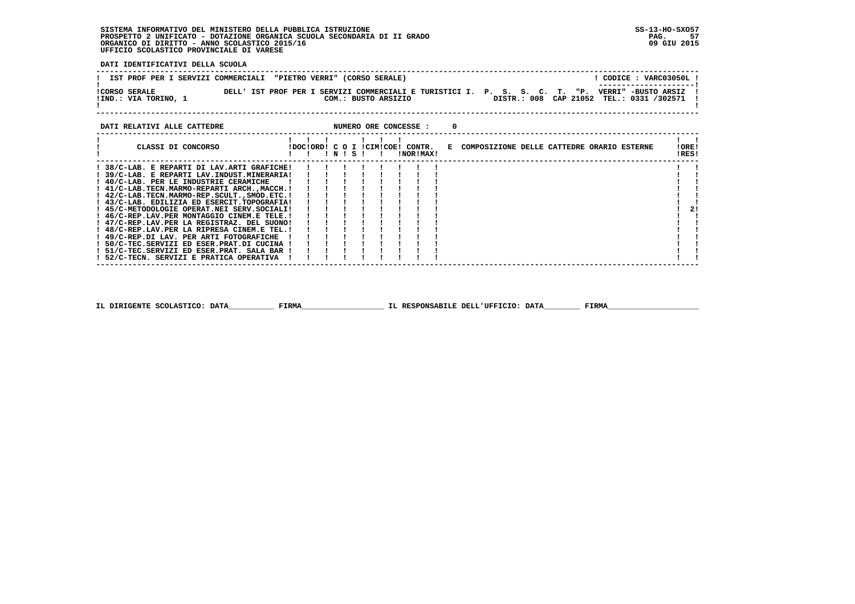**DATI IDENTIFICATIVI DELLA SCUOLA**

| IST PROF PER I SERVIZI COMMERCIALI "PIETRO VERRI" (CORSO SERALE)                                                                                  | CODICE: VARC03050L!<br>----------------------                     |
|---------------------------------------------------------------------------------------------------------------------------------------------------|-------------------------------------------------------------------|
| DELL' IST PROF PER I SERVIZI COMMERCIALI E TURISTICI I. P. S. S. C. T. "P.<br><b>!CORSO SERALE</b><br>!IND.: VIA TORINO, 1<br>COM.: BUSTO ARSIZIO | VERRI" -BUSTO ARSIZ<br>DISTR.: 008 CAP 21052 TEL.: 0331 /302571 ! |

| DATI RELATIVI ALLE CATTEDRE                 |                                  |           |  |                | NUMERO ORE CONCESSE : |  |                                              |                |
|---------------------------------------------|----------------------------------|-----------|--|----------------|-----------------------|--|----------------------------------------------|----------------|
| CLASSI DI CONCORSO                          | IDOCIORD! C O I ICIMICOE! CONTR. | ! N ! S ! |  | $\blacksquare$ | !NOR!MAX!             |  | E COMPOSIZIONE DELLE CATTEDRE ORARIO ESTERNE | !ORE!<br>!RES! |
| ! 38/C-LAB. E REPARTI DI LAV.ARTI GRAFICHE! |                                  |           |  |                |                       |  |                                              |                |
| 39/C-LAB. E REPARTI LAV.INDUST.MINERARIA!   |                                  |           |  |                |                       |  |                                              |                |
| ! 40/C-LAB. PER LE INDUSTRIE CERAMICHE      |                                  |           |  |                |                       |  |                                              |                |
| ! 41/C-LAB.TECN.MARMO-REPARTI ARCH.,MACCH.! |                                  |           |  |                |                       |  |                                              |                |
| ! 42/C-LAB.TECN.MARMO-REP.SCULTSMOD.ETC.!   |                                  |           |  |                |                       |  |                                              |                |
| ! 43/C-LAB. EDILIZIA ED ESERCIT.TOPOGRAFIA! |                                  |           |  |                |                       |  |                                              |                |
| ! 45/C-METODOLOGIE OPERAT.NEI SERV.SOCIALI! |                                  |           |  |                |                       |  |                                              | 21             |
| ! 46/C-REP.LAV.PER MONTAGGIO CINEM.E TELE.! |                                  |           |  |                |                       |  |                                              |                |
| ! 47/C-REP.LAV.PER LA REGISTRAZ. DEL SUONO! |                                  |           |  |                |                       |  |                                              |                |
| ! 48/C-REP.LAV.PER LA RIPRESA CINEM.E TEL.! |                                  |           |  |                |                       |  |                                              |                |
| ! 49/C-REP.DI LAV. PER ARTI FOTOGRAFICHE    |                                  |           |  |                |                       |  |                                              |                |
| ! 50/C-TEC.SERVIZI ED ESER.PRAT.DI CUCINA ! |                                  |           |  |                |                       |  |                                              |                |
| ! 51/C-TEC.SERVIZI ED ESER.PRAT. SALA BAR ! |                                  |           |  |                |                       |  |                                              |                |
| ! 52/C-TECN. SERVIZI E PRATICA OPERATIVA    |                                  |           |  |                |                       |  |                                              |                |
|                                             |                                  |           |  |                |                       |  |                                              |                |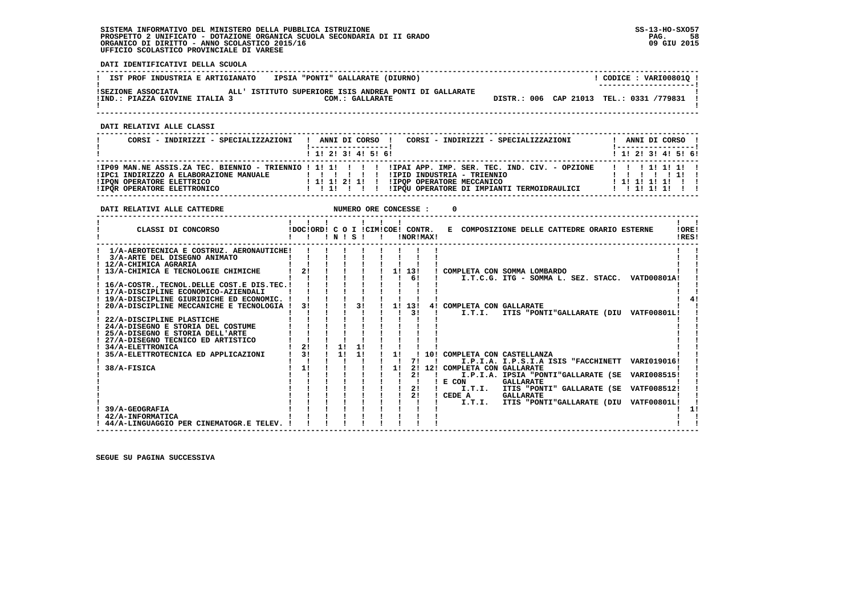**DATI IDENTIFICATIVI DELLA SCUOLA**

| IST PROF INDUSTRIA E ARTIGIANATO                     | IPSIA "PONTI" GALLARATE (DIURNO)                                          | CODICE: VARI008010 !<br>--------------------- |
|------------------------------------------------------|---------------------------------------------------------------------------|-----------------------------------------------|
| ISEZIONE ASSOCIATA<br>!IND.: PIAZZA GIOVINE ITALIA 3 | ALL' ISTITUTO SUPERIORE ISIS ANDREA PONTI DI GALLARATE<br>COM.: GALLARATE | DISTR.: 006 CAP 21013 TEL.: 0331 /779831 !    |

 **DATI RELATIVI ALLE CLASSI**

| CORSI - INDIRIZZI - SPECIALIZZAZIONI                                                                       | CORSI - INDIRIZZI - SPECIALIZZAZIONI<br>ANNI DI CORSO !                                                                                                                                                                                         | ANNI DI CORSO !<br>! ------------------ !   |
|------------------------------------------------------------------------------------------------------------|-------------------------------------------------------------------------------------------------------------------------------------------------------------------------------------------------------------------------------------------------|---------------------------------------------|
|                                                                                                            | 1 1 1 2 1 3 1 4 1 5 1 6 1                                                                                                                                                                                                                       | ! 1! 2! 3! 4! 5! 6!                         |
| !IPC1 INDIRIZZO A ELABORAZIONE MANUALE<br><b>!IPON OPERATORE ELETTRICO</b><br>! IPOR OPERATORE ELETTRONICO | IPO9 MAN.NE ASSIS.ZA TEC. BIENNIO - TRIENNIO ! 1! 1! ! ! ! ! IPAI APP. IMP. SER. TEC. IND. CIV. - OPZIONE!<br>!IPID INDUSTRIA - TRIENNIO<br>1 1 1 1 2 1 1 1<br>!IPOP OPERATORE MECCANICO<br>!IPQU OPERATORE DI IMPIANTI TERMOIDRAULICI<br>11111 | 11111111<br>111111111111<br>$1$ 1 1 1 1 1 1 |

**DATI RELATIVI ALLE CATTEDRE NUMERO ORE CONCESSE : 0 ------------------------------------------------------------------------------------------------------------------------------------** $\mathbf{I}$   $\mathbf{I}$  **! ! ! ! ! ! ! ! !LORE! ! CLASSI DI CONCORSO !DOC!ORD! C O I !CIM!COE! CONTR. E COMPOSIZIONE DELLE CATTEDRE ORARIO ESTERNE !ORE! ! ! ! ! N ! S ! ! !NOR!MAX! !RES!**IRES!  $- - - - - -$  **------------------------------------------------------------------------------------------------------------------------------------ ! 1/A-AEROTECNICA E COSTRUZ. AERONAUTICHE! ! ! ! ! ! ! ! ! ! ! ! 3/A-ARTE DEL DISEGNO ANIMATO ! ! ! ! ! ! ! ! ! ! ! ! 12/A-CHIMICA AGRARIA ! ! ! ! ! ! ! ! ! ! !** $\mathbf{I}$  and  $\mathbf{I}$  $\blacksquare$   **! 13/A-CHIMICA E TECNOLOGIE CHIMICHE ! 2! ! ! ! ! 1! 13! ! COMPLETA CON SOMMA LOMBARDO ! ! ! ! ! ! ! ! ! ! 6! ! I.T.C.G. ITG - SOMMA L. SEZ. STACC. VATD00801A! ! ! 16/A-COSTR.,TECNOL.DELLE COST.E DIS.TEC.! ! ! ! ! ! ! ! ! ! !** $\mathbf{I}$  **! 17/A-DISCIPLINE ECONOMICO-AZIENDALI ! ! ! ! ! ! ! ! ! ! !** $1 \quad 41$  **! 19/A-DISCIPLINE GIURIDICHE ED ECONOMIC. ! ! ! ! ! ! ! ! ! ! 4! ! 20/A-DISCIPLINE MECCANICHE E TECNOLOGIA ! 3! ! ! 3! ! 1! 13! 4! COMPLETA CON GALLARATE ! ! ! ! ! ! ! ! ! ! 3! ! I.T.I. ITIS "PONTI"GALLARATE (DIU VATF00801L! ! ! 22/A-DISCIPLINE PLASTICHE ! ! ! ! ! ! ! ! ! ! ! ! 24/A-DISEGNO E STORIA DEL COSTUME ! ! ! ! ! ! ! ! ! ! ! ! 25/A-DISEGNO E STORIA DELL'ARTE ! ! ! ! ! ! ! ! ! ! ! ! 27/A-DISEGNO TECNICO ED ARTISTICO ! ! ! ! ! ! ! ! ! ! ! ! 34/A-ELETTRONICA ! 2! ! 1! 1! ! ! ! ! ! ! ! 35/A-ELETTROTECNICA ED APPLICAZIONI ! 3! ! 1! 1! ! 1! ! 10! COMPLETA CON CASTELLANZA ! ! ! ! ! ! ! ! ! ! 7! ! I.P.I.A. I.P.S.I.A ISIS "FACCHINETT VARI019016! ! ! 38/A-FISICA ! 1! ! ! ! ! 1! 2! 12! COMPLETA CON GALLARATE ! ! ! ! ! ! ! ! ! ! 2! ! I.P.I.A. IPSIA "PONTI"GALLARATE (SE VARI008515! ! ! ! ! ! ! ! ! ! ! ! E CON GALLARATE ! ! ! ! ! ! ! ! ! ! 2! ! I.T.I. ITIS "PONTI" GALLARATE (SE VATF008512! ! ! ! ! ! ! ! ! ! 2! ! CEDE A GALLARATE ! ! ! ! ! ! ! ! ! ! ! ! I.T.I. ITIS "PONTI"GALLARATE (DIU VATF00801L! !**- 1  $\frac{1}{2}$  **! 39/A-GEOGRAFIA ! ! ! ! ! ! ! ! ! ! 1!**- 1  **! 42/A-INFORMATICA ! ! ! ! ! ! ! ! ! ! !** $\mathbf{I}$  and  $\mathbf{I}$  **! 44/A-LINGUAGGIO PER CINEMATOGR.E TELEV. ! ! ! ! ! ! ! ! ! ! ! ------------------------------------------------------------------------------------------------------------------------------------**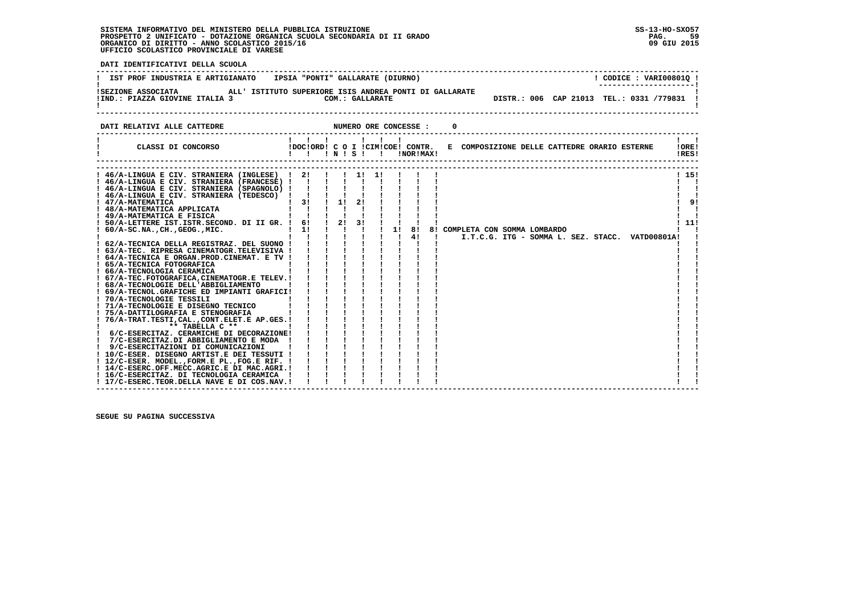59 09 GIU 2015

 **DATI IDENTIFICATIVI DELLA SCUOLA ------------------------------------------------------------------------------------------------------------------------------------**! CODICE: VARI008010 ! **! IST PROF INDUSTRIA E ARTIGIANATO | IPSIA "PONTI" GALLARATE (DIURNO)** \_\_\_\_\_\_\_\_\_\_\_\_\_\_\_\_\_\_\_\_\_\_\_  **! ---------------------! !SEZIONE ASSOCIATA ALL' ISTITUTO SUPERIORE ISIS ANDREA PONTI DI GALLARATE ! !IND.: PIAZZA GIOVINE ITALIA 3 COM.: GALLARATE DISTR.: 006 CAP 21013 TEL.: 0331 /779831 !**- 1  **! ! ------------------------------------------------------------------------------------------------------------------------------------DATI RELATIVI ALLE CATTEDRE NUMERO ORE CONCESSE : 0 ------------------------------------------------------------------------------------------------------------------------------------ ! ! ! ! ! ! ! ! ! ! CLASSI DI CONCORSO !DOC!ORD! C O I !CIM!COE! CONTR. E COMPOSIZIONE DELLE CATTEDRE ORARIO ESTERNE !ORE! ! ! ! ! N ! S ! ! !NOR!MAX! !RES!**-------- **------------------------------------------------------------------------------------------------------------------------------------ ------------------------------------------------------------------------------------------------------------------------------------**1 151  **! 46/A-LINGUA E CIV. STRANIERA (INGLESE) ! 2! ! ! 1! 1! ! ! ! ! 15!** $\mathbf{I}$   $\mathbf{I}$  **! 46/A-LINGUA E CIV. STRANIERA (FRANCESE) ! ! ! ! ! ! ! ! ! ! ! ! 46/A-LINGUA E CIV. STRANIERA (SPAGNOLO) ! ! ! ! ! ! ! ! ! ! !** $\overline{\phantom{a}}$  $\mathbf{I}$   $\mathbf{I}$  **! 46/A-LINGUA E CIV. STRANIERA (TEDESCO) ! ! ! ! ! ! ! ! ! ! !** $191$  **! 47/A-MATEMATICA ! 3! ! 1! 2! ! ! ! ! ! 9! ! 48/A-MATEMATICA APPLICATA ! ! ! ! ! ! ! ! ! ! ! ! 49/A-MATEMATICA E FISICA ! ! ! ! ! ! ! ! ! ! !** $\overline{\phantom{a}}$ i i  $1111$  **! 50/A-LETTERE IST.ISTR.SECOND. DI II GR. ! 6! ! 2! 3! ! ! ! ! ! 11!** $\overline{\phantom{0}}$  **! 60/A-SC.NA.,CH.,GEOG.,MIC. ! 1! ! ! ! ! 1! 8! 8! COMPLETA CON SOMMA LOMBARDO ! ! ! ! ! ! ! ! ! ! 4! ! I.T.C.G. ITG - SOMMA L. SEZ. STACC. VATD00801A! ! ! 62/A-TECNICA DELLA REGISTRAZ. DEL SUONO ! ! ! ! ! ! ! ! ! ! ! ! 63/A-TEC. RIPRESA CINEMATOGR.TELEVISIVA ! ! ! ! ! ! ! ! ! ! ! ! 64/A-TECNICA E ORGAN.PROD.CINEMAT. E TV ! ! ! ! ! ! ! ! ! ! ! ! 65/A-TECNICA FOTOGRAFICA ! ! ! ! ! ! ! ! ! ! ! ! 66/A-TECNOLOGIA CERAMICA ! ! ! ! ! ! ! ! ! ! ! ! 67/A-TEC.FOTOGRAFICA,CINEMATOGR.E TELEV.! ! ! ! ! ! ! ! ! ! ! ! 68/A-TECNOLOGIE DELL'ABBIGLIAMENTO ! ! ! ! ! ! ! ! ! ! ! ! 69/A-TECNOL.GRAFICHE ED IMPIANTI GRAFICI! ! ! ! ! ! ! ! ! ! ! ! 70/A-TECNOLOGIE TESSILI ! ! ! ! ! ! ! ! ! ! ! ! 71/A-TECNOLOGIE E DISEGNO TECNICO ! ! ! ! ! ! ! ! ! ! ! ! 75/A-DATTILOGRAFIA E STENOGRAFIA ! ! ! ! ! ! ! ! ! ! ! ! 76/A-TRAT.TESTI,CAL.,CONT.ELET.E AP.GES.! ! ! ! ! ! ! ! ! ! ! ! \*\* TABELLA C \*\* ! ! ! ! ! ! ! ! ! ! ! ! 6/C-ESERCITAZ. CERAMICHE DI DECORAZIONE! ! ! ! ! ! ! ! ! ! ! ! 7/C-ESERCITAZ.DI ABBIGLIAMENTO E MODA ! ! ! ! ! ! ! ! ! ! ! ! 9/C-ESERCITAZIONI DI COMUNICAZIONI ! ! ! ! ! ! ! ! ! ! ! ! 10/C-ESER. DISEGNO ARTIST.E DEI TESSUTI ! ! ! ! ! ! ! ! ! ! ! ! 12/C-ESER. MODEL.,FORM.E PL.,FOG.E RIF. ! ! ! ! ! ! ! ! ! ! ! ! 14/C-ESERC.OFF.MECC.AGRIC.E DI MAC.AGRI.! ! ! ! ! ! ! ! ! ! !** $\mathbf{I}$  **! 16/C-ESERCITAZ. DI TECNOLOGIA CERAMICA ! ! ! ! ! ! ! ! ! ! ! ! 17/C-ESERC.TEOR.DELLA NAVE E DI COS.NAV.! ! ! ! ! ! ! ! ! ! !**- 1  **------------------------------------------------------------------------------------------------------------------------------------**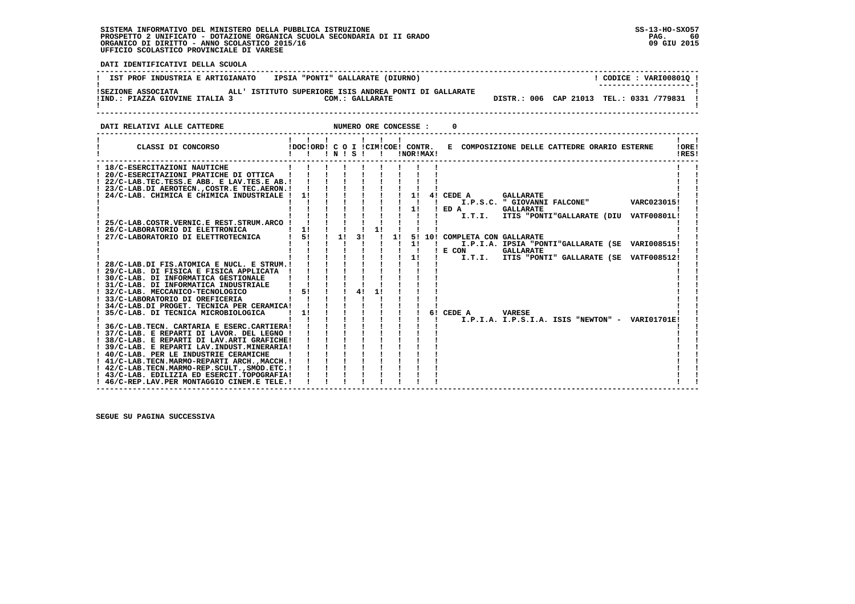- 60 09 GIU 2015

 **DATI IDENTIFICATIVI DELLA SCUOLA ------------------------------------------------------------------------------------------------------------------------------------**! CODICE: VARI008010 ! **! IST PROF INDUSTRIA E ARTIGIANATO : IPSIA "PONTI" GALLARATE (DIURNO) ! ---------------------! !SEZIONE ASSOCIATA ALL' ISTITUTO SUPERIORE ISIS ANDREA PONTI DI GALLARATE !**DISTR.: 006 CAP 21013 TEL.: 0331 /779831 1  **!IND.: PIAZZA GIOVINE ITALIA 3** COMETATION COM.: GALLARATE - 1  **! ! ------------------------------------------------------------------------------------------------------------------------------------DATI RELATIVI ALLE CATTEDRE NUMERO ORE CONCESSE : 0 ------------------------------------------------------------------------------------------------------------------------------------ ! ! ! ! ! ! ! ! ! ! CLASSI DI CONCORSO !DOC!ORD! C O I !CIM!COE! CONTR. E COMPOSIZIONE DELLE CATTEDRE ORARIO ESTERNE !ORE! ! ! ! ! N ! S ! ! !NOR!MAX! !RES! ------------------------------------------------------------------------------------------------------------------------------------** $\mathbf{I}$  and  $\mathbf{I}$  **! 18/C-ESERCITAZIONI NAUTICHE ! ! ! ! ! ! ! ! ! ! ! ! 20/C-ESERCITAZIONI PRATICHE DI OTTICA ! ! ! ! ! ! ! ! ! ! ! ! 22/C-LAB.TEC.TESS.E ABB. E LAV.TES.E AB.! ! ! ! ! ! ! ! ! ! !** $\blacksquare$   **! 23/C-LAB.DI AEROTECN.,COSTR.E TEC.AERON.! ! ! ! ! ! ! ! ! ! ! ! 24/C-LAB. CHIMICA E CHIMICA INDUSTRIALE ! 1! ! ! ! ! ! 1! 4! CEDE A GALLARATE ! ! ! ! ! ! ! ! ! ! ! ! I.P.S.C. " GIOVANNI FALCONE" VARC023015! ! ! ! ! ! ! ! ! ! 1! ! ED A GALLARATE ! ! ! ! ! ! ! ! ! ! ! ! I.T.I. ITIS "PONTI"GALLARATE (DIU VATF00801L! ! ! 25/C-LAB.COSTR.VERNIC.E REST.STRUM.ARCO ! ! ! ! ! ! ! ! ! ! ! ! 26/C-LABORATORIO DI ELETTRONICA ! 1! ! ! ! 1! ! ! ! ! ! ! 27/C-LABORATORIO DI ELETTROTECNICA ! 5! ! 1! 3! ! 1! 5! 10! COMPLETA CON GALLARATE ! ! ! ! ! ! ! ! ! ! 1! ! I.P.I.A. IPSIA "PONTI"GALLARATE (SE VARI008515! ! ! ! ! ! ! ! ! ! ! ! E CON GALLARATE ! ! ! ! ! ! ! ! ! ! 1! ! I.T.I. ITIS "PONTI" GALLARATE (SE VATF008512! ! ! 28/C-LAB.DI FIS.ATOMICA E NUCL. E STRUM.! ! ! ! ! ! ! ! ! ! ! ! 29/C-LAB. DI FISICA E FISICA APPLICATA ! ! ! ! ! ! ! ! ! ! ! ! 30/C-LAB. DI INFORMATICA GESTIONALE ! ! ! ! ! ! ! ! ! ! ! ! 31/C-LAB. DI INFORMATICA INDUSTRIALE ! ! ! ! ! ! ! ! ! ! ! ! 32/C-LAB. MECCANICO-TECNOLOGICO ! 5! ! ! 4! 1! ! ! ! ! 33/C-LABORATORIO DI OREFICERIA ! ! ! ! ! ! ! ! ! ! ! ! 34/C-LAB.DI PROGET. TECNICA PER CERAMICA! ! ! ! ! ! ! ! ! ! ! ! 35/C-LAB. DI TECNICA MICROBIOLOGICA ! 1! ! ! ! ! ! ! 6! CEDE A VARESE ! ! ! ! ! ! ! ! ! ! ! ! I.P.I.A. I.P.S.I.A. ISIS "NEWTON" - VARI01701E! ! ! 36/C-LAB.TECN. CARTARIA E ESERC.CARTIERA! ! ! ! ! ! ! ! ! ! ! ! 37/C-LAB. E REPARTI DI LAVOR. DEL LEGNO ! ! ! ! ! ! ! ! ! ! ! ! 38/C-LAB. E REPARTI DI LAV.ARTI GRAFICHE! ! ! ! ! ! ! ! ! ! ! ! 39/C-LAB. E REPARTI LAV.INDUST.MINERARIA! ! ! ! ! ! ! ! ! ! ! ! 40/C-LAB. PER LE INDUSTRIE CERAMICHE ! ! ! ! ! ! ! ! ! ! ! ! 41/C-LAB.TECN.MARMO-REPARTI ARCH.,MACCH.! ! ! ! ! ! ! ! ! ! ! ! 42/C-LAB.TECN.MARMO-REP.SCULT.,SMOD.ETC.! ! ! ! ! ! ! ! ! ! ! ! 43/C-LAB. EDILIZIA ED ESERCIT.TOPOGRAFIA! ! ! ! ! ! ! ! ! ! ! ! 46/C-REP.LAV.PER MONTAGGIO CINEM.E TELE.! ! ! ! ! ! ! ! ! ! !** $\mathbf{I}$ - 1  **------------------------------------------------------------------------------------------------------------------------------------**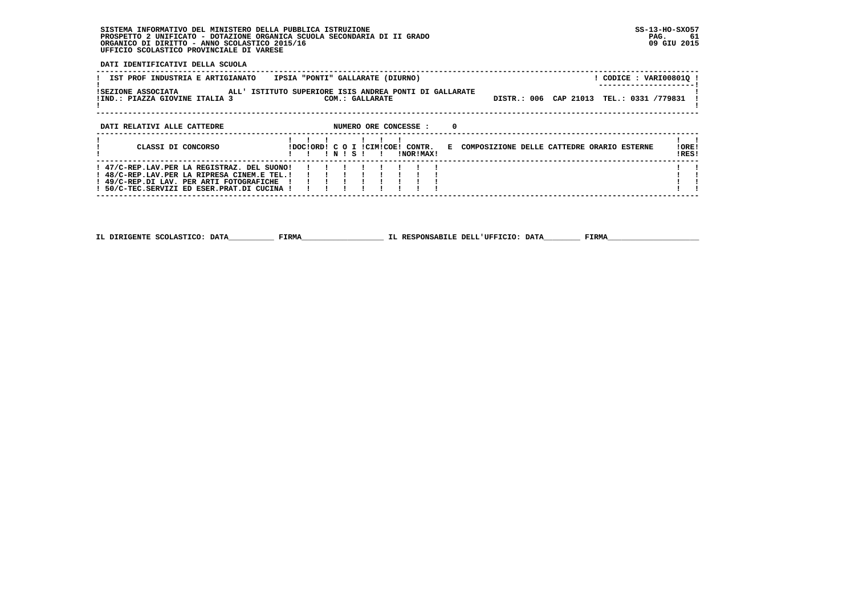**DATI IDENTIFICATIVI DELLA SCUOLA**

| IPSIA "PONTI" GALLARATE (DIURNO)<br>IST PROF INDUSTRIA E ARTIGIANATO                                                                                                                  | ! CODICE : VARI00801Q !                                        |
|---------------------------------------------------------------------------------------------------------------------------------------------------------------------------------------|----------------------------------------------------------------|
| ISEZIONE ASSOCIATA<br>ALL' ISTITUTO SUPERIORE ISIS ANDREA PONTI DI GALLARATE<br>!IND.: PIAZZA GIOVINE ITALIA 3<br>COM.: GALLARATE                                                     | DISTR.: 006 CAP 21013 TEL.: 0331 /779831                       |
| NUMERO ORE CONCESSE :<br>DATI RELATIVI ALLE CATTEDRE                                                                                                                                  | $\Omega$                                                       |
| CLASSI DI CONCORSO<br>IDOCIORDI C O I ICIMICOEI CONTR.<br>INISI<br>INORIMAX!                                                                                                          | !ORE!<br>E COMPOSIZIONE DELLE CATTEDRE ORARIO ESTERNE<br>!RES! |
| ! 47/C-REP.LAV.PER LA REGISTRAZ. DEL SUONO!<br>! 48/C-REP.LAV.PER LA RIPRESA CINEM.E TEL.!<br>! 49/C-REP.DI LAV. PER ARTI FOTOGRAFICHE<br>! 50/C-TEC.SERVIZI ED ESER.PRAT.DI CUCINA ! |                                                                |
|                                                                                                                                                                                       |                                                                |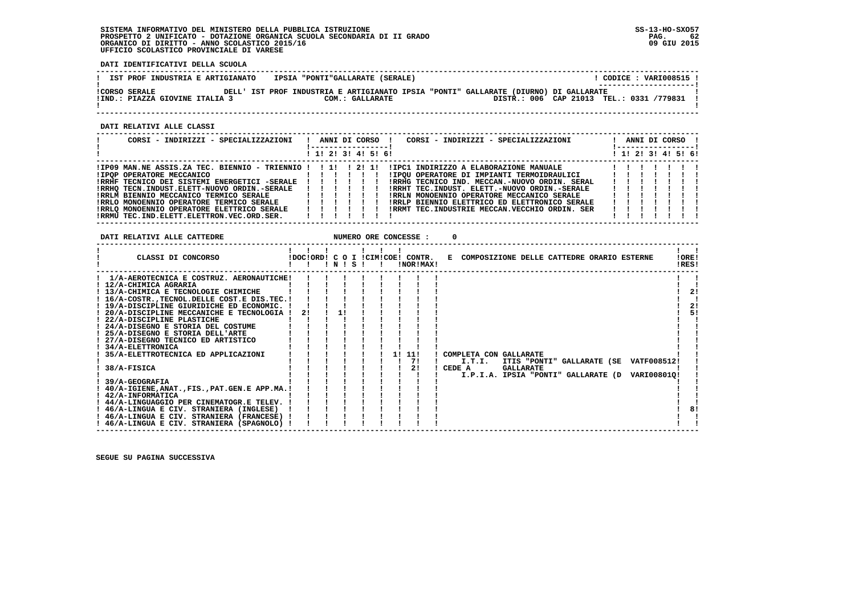**DATI IDENTIFICATIVI DELLA SCUOLA**

| IST PROF INDUSTRIA E ARTIGIANATO                       | IPSIA "PONTI"GALLARATE (SERALE) |                                                                                      | CODICE: VARI008515 !<br>---------------------- |  |
|--------------------------------------------------------|---------------------------------|--------------------------------------------------------------------------------------|------------------------------------------------|--|
| <b>!CORSO SERALE</b><br>!IND.: PIAZZA GIOVINE ITALIA 3 | COM.: GALLARATE                 | DELL' IST PROF INDUSTRIA E ARTIGIANATO IPSIA "PONTI" GALLARATE (DIURNO) DI GALLARATE | DISTR.: 006 CAP 21013 TEL.: 0331 /779831       |  |
|                                                        |                                 |                                                                                      |                                                |  |

 **------------------------------------------------------------------------------------------------------------------------------------**

 **DATI RELATIVI ALLE CLASSI**

| CORSI - INDIRIZZI - SPECIALIZZAZIONI                           |                                             |  |  | ANNI DI CORSO !<br>CORSI - INDIRIZZI - SPECIALIZZAZIONI           |   | ANNI DI CORSO !     |  |  |
|----------------------------------------------------------------|---------------------------------------------|--|--|-------------------------------------------------------------------|---|---------------------|--|--|
|                                                                | $1 \; 1 \; 2 \; 3 \; 3 \; 4 \; 5 \; 6 \; 6$ |  |  |                                                                   |   | ! 1! 2! 3! 4! 5! 6! |  |  |
| $IIP09$ MAN.NE ASSIS.ZA TEC. BIENNIO - TRIENNIO ! ! 1! ! 2! 1! |                                             |  |  | IIPC1 INDIRIZZO A ELABORAZIONE MANUALE                            |   |                     |  |  |
|                                                                |                                             |  |  | ! ! ! ! ! ! ! ! IPQU OPERATORE DI IMPIANTI TERMOIDRAULICI ! ! ! ! |   |                     |  |  |
| !RRHF TECNICO DEI SISTEMI ENERGETICI -SERALE ! ! ! ! ! !       |                                             |  |  | IRRHG TECNICO IND. MECCAN.-NUOVO ORDIN. SERAL                     |   |                     |  |  |
| !RRHQ TECN.INDUST.ELETT-NUOVO ORDIN.-SERALE                    | .                                           |  |  | IRRHT TEC.INDUST. ELETT.-NUOVO ORDIN.-SERALE                      |   |                     |  |  |
| !RRLM BIENNIO MECCANICO TERMICO SERALE   ! ! ! ! ! !           |                                             |  |  | ! RRLN MONOENNIO OPERATORE MECCANICO SERALE [ !!! !!              |   |                     |  |  |
| IRRLO MONOENNIO OPERATORE TERMICO SERALE                       |                                             |  |  | IRRLP BIENNIO ELETTRICO ED ELETTRONICO SERALE                     | . |                     |  |  |
| IRRLO MONOENNIO OPERATORE ELETTRICO SERALE                     | 111111                                      |  |  | !RRMT TEC.INDUSTRIE MECCAN.VECCHIO ORDIN. SER                     |   |                     |  |  |
| !RRMU TEC.IND.ELETT.ELETTRON.VEC.ORD.SER.                      |                                             |  |  |                                                                   |   |                     |  |  |

| DATI RELATIVI ALLE CATTEDRE                                                                                                                                                                                                                                                                                                                                                                                                                                                                                                                                                                                                                                                                                                                                             |    |       |  | NUMERO ORE CONCESSE :  |                                                                               |                  |  |                                                                                           |                      |
|-------------------------------------------------------------------------------------------------------------------------------------------------------------------------------------------------------------------------------------------------------------------------------------------------------------------------------------------------------------------------------------------------------------------------------------------------------------------------------------------------------------------------------------------------------------------------------------------------------------------------------------------------------------------------------------------------------------------------------------------------------------------------|----|-------|--|------------------------|-------------------------------------------------------------------------------|------------------|--|-------------------------------------------------------------------------------------------|----------------------|
| CLASSI DI CONCORSO                                                                                                                                                                                                                                                                                                                                                                                                                                                                                                                                                                                                                                                                                                                                                      |    | INISI |  | !NOR!MAX!              | IDOCIORDI C O I ICIMICOEI CONTR. E COMPOSIZIONE DELLE CATTEDRE ORARIO ESTERNE |                  |  |                                                                                           | !ORE!<br>!RES!       |
| 1/A-AEROTECNICA E COSTRUZ. AERONAUTICHE!<br>12/A-CHIMICA AGRARIA<br>! 13/A-CHIMICA E TECNOLOGIE CHIMICHE<br>! 16/A-COSTR., TECNOL. DELLE COST. E DIS. TEC. !<br>! 19/A-DISCIPLINE GIURIDICHE ED ECONOMIC. !<br>20/A-DISCIPLINE MECCANICHE E TECNOLOGIA !<br>! 22/A-DISCIPLINE PLASTICHE<br>! 24/A-DISEGNO E STORIA DEL COSTUME<br>! 25/A-DISEGNO E STORIA DELL'ARTE<br>! 27/A-DISEGNO TECNICO ED ARTISTICO<br>! 34/A-ELETTRONICA<br>35/A-ELETTROTECNICA ED APPLICAZIONI<br>38/A-FISICA<br>39/A-GEOGRAFIA<br>! 40/A-IGIENE, ANAT., FIS., PAT. GEN. E APP.MA.!<br>! 42/A-INFORMATICA<br>! 44/A-LINGUAGGIO PER CINEMATOGR.E TELEV.<br>! 46/A-LINGUA E CIV. STRANIERA (INGLESE)<br>! 46/A-LINGUA E CIV. STRANIERA (FRANCESE) !<br>! 46/A-LINGUA E CIV. STRANIERA (SPAGNOLO) | 21 |       |  | 11!<br>11.<br>71<br>21 | COMPLETA CON GALLARATE<br>I.T.I.<br>CEDE A                                    | <b>GALLARATE</b> |  | ITIS "PONTI" GALLARATE (SE VATF008512!<br>I.P.I.A. IPSIA "PONTI" GALLARATE (D VARI008010! | 2!<br>2!<br>51<br>81 |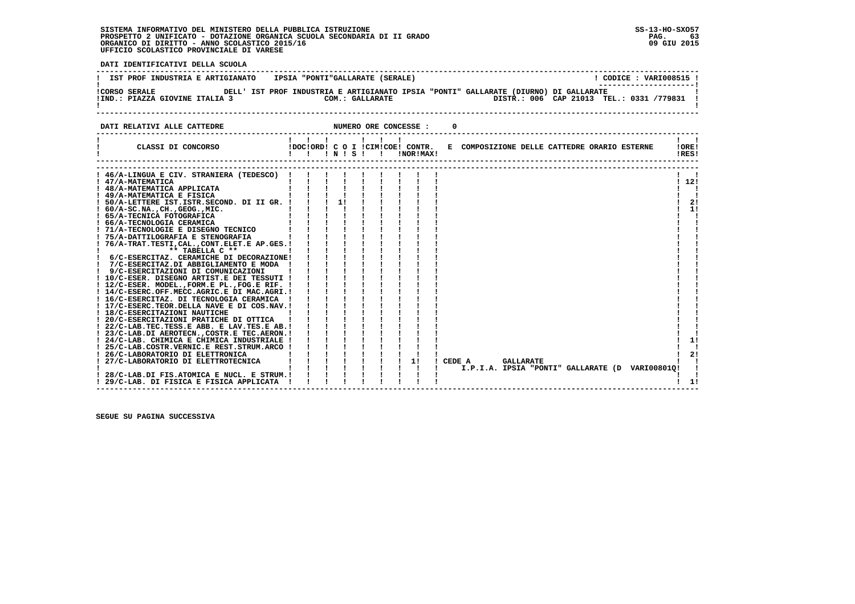**DATI IDENTIFICATIVI DELLA SCUOLA ------------------------------------------------------------------------------------------------------------------------------------**! CODICE : VARI008515 ! **! IST PROF INDUSTRIA E ARTIGIANATO | IPSIA "PONTI"GALLARATE (SERALE)** \_\_\_\_\_\_\_\_\_\_\_\_\_\_\_\_\_\_\_\_\_\_\_  **! ---------------------! !CORSO SERALE DELL' IST PROF INDUSTRIA E ARTIGIANATO IPSIA "PONTI" GALLARATE (DIURNO) DI GALLARATE ! !IND.: PIAZZA GIOVINE ITALIA 3 COM.: GALLARATE**  $\blacksquare$  **! ! ------------------------------------------------------------------------------------------------------------------------------------DATI RELATIVI ALLE CATTEDRE NUMERO ORE CONCESSE : 0 ------------------------------------------------------------------------------------------------------------------------------------ ! ! ! ! ! ! ! ! ! ! CLASSI DI CONCORSO !DOC!ORD! C O I !CIM!COE! CONTR. E COMPOSIZIONE DELLE CATTEDRE ORARIO ESTERNE !ORE! ! ! ! ! N ! S ! ! !NOR!MAX! !RES!**-------- **------------------------------------------------------------------------------------------------------------------------------------ ------------------------------------------------------------------------------------------------------------------------------------ ! 46/A-LINGUA E CIV. STRANIERA (TEDESCO) ! ! ! ! ! ! ! ! ! ! !** $\mathbf{I}$  and  $\mathbf{I}$  $1, 121$  **! 47/A-MATEMATICA ! ! ! ! ! ! ! ! ! ! 12! ! 48/A-MATEMATICA APPLICATA ! ! ! ! ! ! ! ! ! ! ! ! 49/A-MATEMATICA E FISICA ! ! ! ! ! ! ! ! ! ! ! ! 50/A-LETTERE IST.ISTR.SECOND. DI II GR. ! ! ! 1! ! ! ! ! ! ! 2! ! 60/A-SC.NA.,CH.,GEOG.,MIC. ! ! ! ! ! ! ! ! ! ! 1! ! 65/A-TECNICA FOTOGRAFICA ! ! ! ! ! ! ! ! ! ! !** $\mathbf{I}$  and  $\mathbf{I}$  $\mathbf{I}$   $\mathbf{I}$  $\overline{1}$  21  $1 \quad 11$  $\blacksquare$  **! 66/A-TECNOLOGIA CERAMICA ! ! ! ! ! ! ! ! ! ! ! ! 71/A-TECNOLOGIE E DISEGNO TECNICO ! ! ! ! ! ! ! ! ! ! ! ! 75/A-DATTILOGRAFIA E STENOGRAFIA ! ! ! ! ! ! ! ! ! ! ! ! 76/A-TRAT.TESTI,CAL.,CONT.ELET.E AP.GES.! ! ! ! ! ! ! ! ! ! ! ! \*\* TABELLA C \*\* ! ! ! ! ! ! ! ! ! ! ! ! 6/C-ESERCITAZ. CERAMICHE DI DECORAZIONE! ! ! ! ! ! ! ! ! ! ! ! 7/C-ESERCITAZ.DI ABBIGLIAMENTO E MODA ! ! ! ! ! ! ! ! ! ! ! ! 9/C-ESERCITAZIONI DI COMUNICAZIONI ! ! ! ! ! ! ! ! ! ! ! ! 10/C-ESER. DISEGNO ARTIST.E DEI TESSUTI ! ! ! ! ! ! ! ! ! ! ! ! 12/C-ESER. MODEL.,FORM.E PL.,FOG.E RIF. ! ! ! ! ! ! ! ! ! ! ! ! 14/C-ESERC.OFF.MECC.AGRIC.E DI MAC.AGRI.! ! ! ! ! ! ! ! ! ! ! ! 16/C-ESERCITAZ. DI TECNOLOGIA CERAMICA ! ! ! ! ! ! ! ! ! ! ! ! 17/C-ESERC.TEOR.DELLA NAVE E DI COS.NAV.! ! ! ! ! ! ! ! ! ! ! ! 18/C-ESERCITAZIONI NAUTICHE ! ! ! ! ! ! ! ! ! ! ! ! 20/C-ESERCITAZIONI PRATICHE DI OTTICA ! ! ! ! ! ! ! ! ! ! ! ! 22/C-LAB.TEC.TESS.E ABB. E LAV.TES.E AB.! ! ! ! ! ! ! ! ! ! ! ! 23/C-LAB.DI AEROTECN.,COSTR.E TEC.AERON.! ! ! ! ! ! ! ! ! ! ! ! 24/C-LAB. CHIMICA E CHIMICA INDUSTRIALE ! ! ! ! ! ! ! ! ! ! 1!** $\overline{1}$  $\blacksquare$  **! 25/C-LAB.COSTR.VERNIC.E REST.STRUM.ARCO ! ! ! ! ! ! ! ! ! ! ! ! 26/C-LABORATORIO DI ELETTRONICA ! ! ! ! ! ! ! ! ! ! 2! ! 27/C-LABORATORIO DI ELETTROTECNICA ! ! ! ! ! ! ! 1! ! CEDE A GALLARATE ! !** $1 \quad 21$  $\mathbf{I}$   $\mathbf{I}$   **! ! ! ! ! ! ! ! ! ! I.P.I.A. IPSIA "PONTI" GALLARATE (D VARI00801Q! !** $\mathbf{I}$  **! 28/C-LAB.DI FIS.ATOMICA E NUCL. E STRUM.! ! ! ! ! ! ! ! ! ! ! ! 29/C-LAB. DI FISICA E FISICA APPLICATA ! ! ! ! ! ! ! ! ! ! 1!** $1 \quad 11$  **------------------------------------------------------------------------------------------------------------------------------------**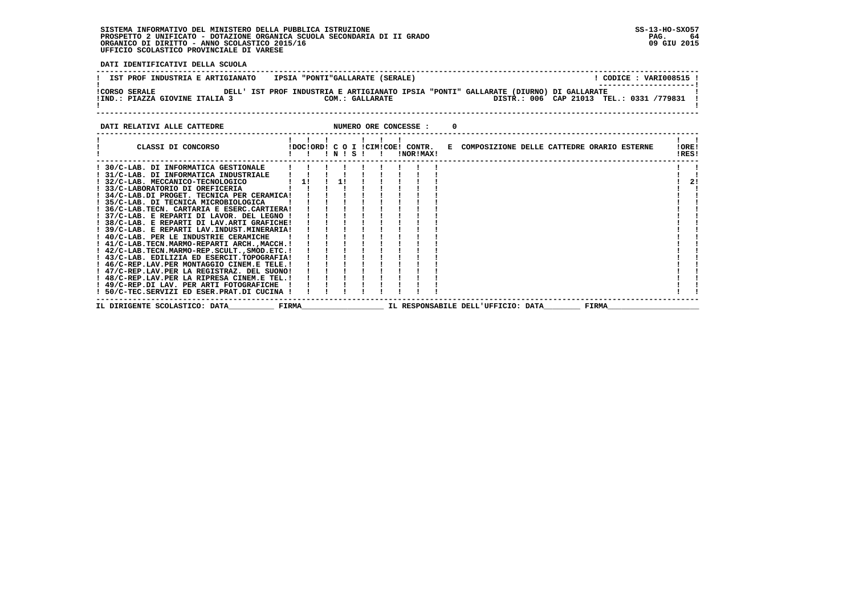**DATI IDENTIFICATIVI DELLA SCUOLA ------------------------------------------------------------------------------------------------------------------------------------**! CODICE : VARI008515 ! **! IST PROF INDUSTRIA E ARTIGIANATO IPSIA "PONTI"GALLARATE (SERALE)** \_\_\_\_\_\_\_\_\_\_\_\_\_\_\_\_\_\_\_\_\_\_\_  **! ---------------------! !CORSO SERALE DELL' IST PROF INDUSTRIA E ARTIGIANATO IPSIA "PONTI" GALLARATE (DIURNO) DI GALLARATE !**- 1  **!IND.: PIAZZA GIOVINE ITALIA 3 COM.: GALLARATE DISTR.: 006 CAP 21013 TEL.: 0331 /779831 !** $\mathbf{I}$  **! ! ------------------------------------------------------------------------------------------------------------------------------------DATI RELATIVI ALLE CATTEDRE NUMERO ORE CONCESSE : 0 ------------------------------------------------------------------------------------------------------------------------------------ ! ! ! ! ! ! ! ! ! ! CLASSI DI CONCORSO !DOC!ORD! C O I !CIM!COE! CONTR. E COMPOSIZIONE DELLE CATTEDRE ORARIO ESTERNE !ORE! ! ! ! ! N ! S ! ! !NOR!MAX! !RES! ------------------------------------------------------------------------------------------------------------------------------------** $\sim$   $\sim$   $\sim$  **! 30/C-LAB. DI INFORMATICA GESTIONALE ! ! ! ! ! ! ! ! ! ! !**

|  | IL DIRIGENTE SCOLASTICO: DATA               | FIRMA |  |  |  |  | IL RESPONSABILE DELL'UFFICIO: DATA | FIRMA |     |  |
|--|---------------------------------------------|-------|--|--|--|--|------------------------------------|-------|-----|--|
|  | 50/C-TEC.SERVIZI ED ESER.PRAT.DI CUCINA !   |       |  |  |  |  |                                    |       |     |  |
|  | ! 49/C-REP.DI LAV. PER ARTI FOTOGRAFICHE    |       |  |  |  |  |                                    |       |     |  |
|  | ! 48/C-REP.LAV.PER LA RIPRESA CINEM.E TEL.! |       |  |  |  |  |                                    |       |     |  |
|  | ! 47/C-REP.LAV.PER LA REGISTRAZ. DEL SUONO! |       |  |  |  |  |                                    |       |     |  |
|  | ! 46/C-REP.LAV.PER MONTAGGIO CINEM.E TELE.! |       |  |  |  |  |                                    |       |     |  |
|  | ! 43/C-LAB. EDILIZIA ED ESERCIT.TOPOGRAFIA! |       |  |  |  |  |                                    |       |     |  |
|  | ! 42/C-LAB.TECN.MARMO-REP.SCULT.,SMOD.ETC.! |       |  |  |  |  |                                    |       |     |  |
|  | ! 41/C-LAB.TECN.MARMO-REPARTI ARCH.,MACCH.! |       |  |  |  |  |                                    |       |     |  |
|  | ! 40/C-LAB. PER LE INDUSTRIE CERAMICHE      |       |  |  |  |  |                                    |       |     |  |
|  | ! 39/C-LAB. E REPARTI LAV.INDUST.MINERARIA! |       |  |  |  |  |                                    |       |     |  |
|  | ! 38/C-LAB. E REPARTI DI LAV.ARTI GRAFICHE! |       |  |  |  |  |                                    |       |     |  |
|  | ! 37/C-LAB. E REPARTI DI LAVOR. DEL LEGNO ! |       |  |  |  |  |                                    |       |     |  |
|  | 36/C-LAB.TECN. CARTARIA E ESERC.CARTIERA!   |       |  |  |  |  |                                    |       |     |  |
|  | ! 35/C-LAB. DI TECNICA MICROBIOLOGICA       |       |  |  |  |  |                                    |       |     |  |
|  | ! 34/C-LAB.DI PROGET. TECNICA PER CERAMICA! |       |  |  |  |  |                                    |       |     |  |
|  | ! 33/C-LABORATORIO DI OREFICERIA            |       |  |  |  |  |                                    |       |     |  |
|  | ! 32/C-LAB. MECCANICO-TECNOLOGICO           | - 11  |  |  |  |  |                                    |       | -21 |  |
|  | ! 31/C-LAB. DI INFORMATICA INDUSTRIALE      |       |  |  |  |  |                                    |       |     |  |
|  | JU/C-DAD. DI INFORMATICA GESIIONADE         |       |  |  |  |  |                                    |       |     |  |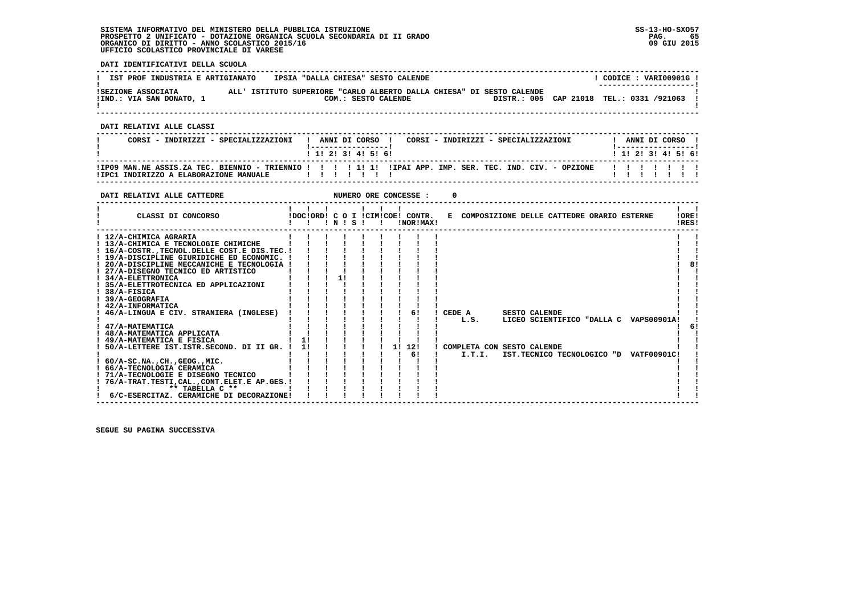**DATI IDENTIFICATIVI DELLA SCUOLA**

| IST PROF INDUSTRIA E ARTIGIANATO               | IPSIA "DALLA CHIESA" SESTO CALENDE                                                           |  | CODICE: VARI00901G!                                                |
|------------------------------------------------|----------------------------------------------------------------------------------------------|--|--------------------------------------------------------------------|
| ISEZIONE ASSOCIATA<br>!IND.: VIA SAN DONATO, 1 | ALL' ISTITUTO SUPERIORE "CARLO ALBERTO DALLA CHIESA" DI SESTO CALENDE<br>COM.: SESTO CALENDE |  | --------------------- <br>DISTR.: 005 CAP 21018 TEL.: 0331 /921063 |

 **------------------------------------------------------------------------------------------------------------------------------------**

 **DATI RELATIVI ALLE CLASSI**

| CORSI - INDIRIZZI - SPECIALIZZAZIONI                                                                                                                    |  | ANNI DI CORSO         |  | CORSI - INDIRIZZI - SPECIALIZZAZIONI |                           |  | ANNI DI CORSO ! |  |
|---------------------------------------------------------------------------------------------------------------------------------------------------------|--|-----------------------|--|--------------------------------------|---------------------------|--|-----------------|--|
|                                                                                                                                                         |  | $1$ 1! 2! 3! 4! 5! 6! |  |                                      | 1 1 2 2 1 3 1 4 1 5 1 6 1 |  |                 |  |
| IIP09 MAN.NE ASSIS.ZA TEC. BIENNIO - TRIENNIO ! ! ! ! ! ! I! II IIPAI APP. IMP. SER. TEC. IND. CIV. - OPZIONE<br>!IPC1 INDIRIZZO A ELABORAZIONE MANUALE |  |                       |  |                                      | .                         |  |                 |  |

 **------------------------------------------------------------------------------------------------------------------------------------**

| DATI RELATIVI ALLE CATTEDRE                                                                                                                                                                                                                                                                                                                                                                                                                                                                                                                                                                                                                                                                                 |          |       |  |    | NUMERO ORE CONCESSE :                         |                                                        |                      |  |                                                                                  |                |
|-------------------------------------------------------------------------------------------------------------------------------------------------------------------------------------------------------------------------------------------------------------------------------------------------------------------------------------------------------------------------------------------------------------------------------------------------------------------------------------------------------------------------------------------------------------------------------------------------------------------------------------------------------------------------------------------------------------|----------|-------|--|----|-----------------------------------------------|--------------------------------------------------------|----------------------|--|----------------------------------------------------------------------------------|----------------|
| CLASSI DI CONCORSO                                                                                                                                                                                                                                                                                                                                                                                                                                                                                                                                                                                                                                                                                          |          | INISI |  |    | !DOC!ORD! C O I !CIM!COE! CONTR.<br>!NOR!MAX! | E COMPOSIZIONE DELLE CATTEDRE ORARIO ESTERNE           |                      |  |                                                                                  | !ORE!<br>!RES! |
| ! 12/A-CHIMICA AGRARIA<br>! 13/A-CHIMICA E TECNOLOGIE CHIMICHE<br>! 16/A-COSTR., TECNOL. DELLE COST. E DIS. TEC. !<br>! 19/A-DISCIPLINE GIURIDICHE ED ECONOMIC. !<br>20/A-DISCIPLINE MECCANICHE E TECNOLOGIA<br>27/A-DISEGNO TECNICO ED ARTISTICO<br>! 34/A-ELETTRONICA<br>! 35/A-ELETTROTECNICA ED APPLICAZIONI<br>38/A-FISICA<br><b>39/A-GEOGRAFIA</b><br>42/A-INFORMATICA<br>46/A-LINGUA E CIV. STRANIERA (INGLESE)<br>47/A-MATEMATICA<br>! 48/A-MATEMATICA APPLICATA<br>49/A-MATEMATICA E FISICA<br>50/A-LETTERE IST.ISTR.SECOND. DI II GR.<br>$60/A-SC.NA.$ , $CH.$ , $GEOG.$ , $MIC.$<br>66/A-TECNOLOGIA CERAMICA<br>71/A-TECNOLOGIE E DISEGNO TECNICO<br>76/A-TRAT.TESTI, CAL., CONT.ELET.E AP.GES.! | 11<br>11 |       |  | 11 | 61<br>12!<br>6!                               | CEDE A<br>L.S.<br>COMPLETA CON SESTO CALENDE<br>I.T.I. | <b>SESTO CALENDE</b> |  | LICEO SCIENTIFICO "DALLA C VAPS00901A!<br>IST.TECNICO TECNOLOGICO "D VATF00901C! | 81<br>6        |
| ** TABELLA C **<br>6/C-ESERCITAZ. CERAMICHE DI DECORAZIONE!                                                                                                                                                                                                                                                                                                                                                                                                                                                                                                                                                                                                                                                 |          |       |  |    |                                               |                                                        |                      |  |                                                                                  |                |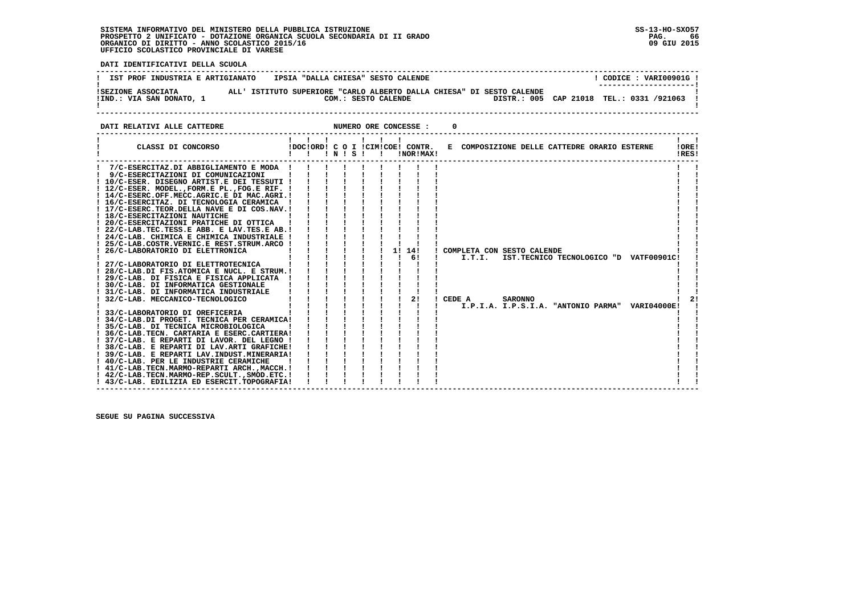י<br>ו

 **DATI IDENTIFICATIVI DELLA SCUOLA**

| IST PROF INDUSTRIA E ARTIGIANATO               | IPSIA "DALLA CHIESA" SESTO CALENDE                                                           | CODICE: VARI00901G!<br>---------------------- |
|------------------------------------------------|----------------------------------------------------------------------------------------------|-----------------------------------------------|
| ISEZIONE ASSOCIATA<br>!IND.: VIA SAN DONATO, 1 | ALL' ISTITUTO SUPERIORE "CARLO ALBERTO DALLA CHIESA" DI SESTO CALENDE<br>COM.: SESTO CALENDE | DISTR.: 005 CAP 21018 TEL.: 0331 /921063      |

#### **DATI RELATIVI ALLE CATTEDRE CONCESSE : 0**

| 7/C-ESERCITAZ.DI ABBIGLIAMENTO E MODA !<br>9/C-ESERCITAZIONI DI COMUNICAZIONI<br>! 10/C-ESER. DISEGNO ARTIST.E DEI TESSUTI !<br>! 12/C-ESER. MODEL., FORM.E PL., FOG.E RIF. !<br>! 14/C-ESERC.OFF.MECC.AGRIC.E DI MAC.AGRI.!<br>! 16/C-ESERCITAZ. DI TECNOLOGIA CERAMICA<br>! 17/C-ESERC.TEOR.DELLA NAVE E DI COS.NAV.!<br>! 18/C-ESERCITAZIONI NAUTICHE<br>! 20/C-ESERCITAZIONI PRATICHE DI OTTICA<br>! 22/C-LAB.TEC.TESS.E ABB. E LAV.TES.E AB.!<br>! 24/C-LAB. CHIMICA E CHIMICA INDUSTRIALE !<br>! 25/C-LAB.COSTR.VERNIC.E REST.STRUM.ARCO !<br>1!<br>14!<br>! COMPLETA CON SESTO CALENDE<br>! 26/C-LABORATORIO DI ELETTRONICA<br>61<br>п.<br>I.T.I.<br>IST.TECNICO TECNOLOGICO "D VATF00901C!<br>! 27/C-LABORATORIO DI ELETTROTECNICA<br>! 28/C-LAB.DI FIS.ATOMICA E NUCL. E STRUM. !<br>! 29/C-LAB. DI FISICA E FISICA APPLICATA<br>! 30/C-LAB. DI INFORMATICA GESTIONALE<br>! 31/C-LAB. DI INFORMATICA INDUSTRIALE<br>2!<br>! 32/C-LAB. MECCANICO-TECNOLOGICO<br>CEDE A<br><b>SARONNO</b><br>I.P.I.A. I.P.S.I.A. "ANTONIO PARMA" VARI04000E!<br>33/C-LABORATORIO DI OREFICERIA<br>! 34/C-LAB.DI PROGET. TECNICA PER CERAMICA!<br>! 35/C-LAB. DI TECNICA MICROBIOLOGICA<br>! 36/C-LAB. TECN. CARTARIA E ESERC. CARTIERA!<br>! 37/C-LAB. E REPARTI DI LAVOR. DEL LEGNO !<br>! 38/C-LAB. E REPARTI DI LAV.ARTI GRAFICHE!<br>! 39/C-LAB. E REPARTI LAV.INDUST.MINERARIA!<br>! 40/C-LAB. PER LE INDUSTRIE CERAMICHE<br>! 41/C-LAB.TECN.MARMO-REPARTI ARCH.,MACCH. !<br>! 42/C-LAB.TECN.MARMO-REP.SCULT., SMOD.ETC. ! | CLASSI DI CONCORSO                          | $\blacksquare$ $\blacksquare$ $\blacksquare$ $\blacksquare$ $\blacksquare$ $\blacksquare$ $\blacksquare$ $\blacksquare$ $\blacksquare$ $\blacksquare$ |  | $\blacksquare$ | IDOCIORD! C O I ICIMICOE! CONTR.<br>INOR ! MAX! | E COMPOSIZIONE DELLE CATTEDRE ORARIO ESTERNE |  |  | !ORE!<br>!RES! |  |
|------------------------------------------------------------------------------------------------------------------------------------------------------------------------------------------------------------------------------------------------------------------------------------------------------------------------------------------------------------------------------------------------------------------------------------------------------------------------------------------------------------------------------------------------------------------------------------------------------------------------------------------------------------------------------------------------------------------------------------------------------------------------------------------------------------------------------------------------------------------------------------------------------------------------------------------------------------------------------------------------------------------------------------------------------------------------------------------------------------------------------------------------------------------------------------------------------------------------------------------------------------------------------------------------------------------------------------------------------------------------------------------------------------------------------------------------------------------------------------------------------------------------|---------------------------------------------|-------------------------------------------------------------------------------------------------------------------------------------------------------|--|----------------|-------------------------------------------------|----------------------------------------------|--|--|----------------|--|
|                                                                                                                                                                                                                                                                                                                                                                                                                                                                                                                                                                                                                                                                                                                                                                                                                                                                                                                                                                                                                                                                                                                                                                                                                                                                                                                                                                                                                                                                                                                        | ! 43/C-LAB. EDILIZIA ED ESERCIT.TOPOGRAFIA! |                                                                                                                                                       |  |                |                                                 |                                              |  |  |                |  |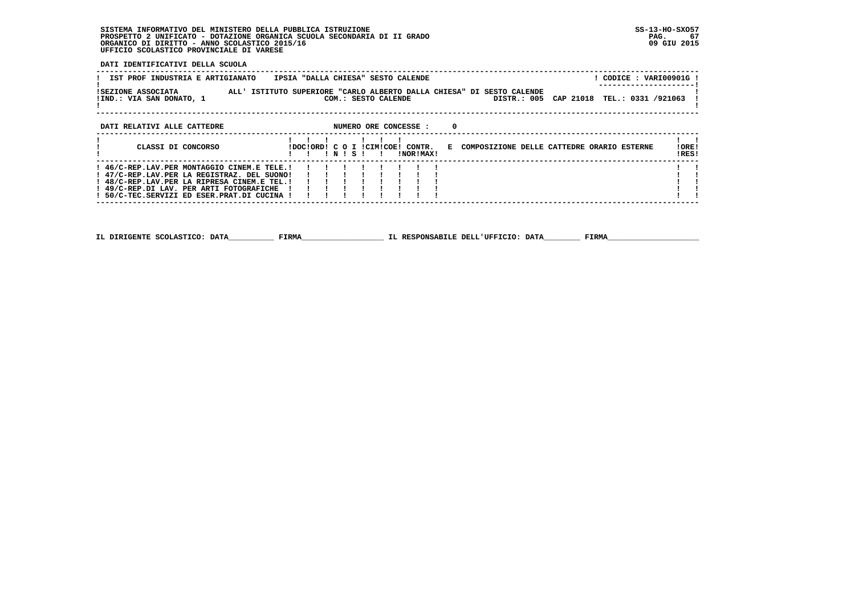**DATI IDENTIFICATIVI DELLA SCUOLA**

| IST PROF INDUSTRIA E ARTIGIANATO                                                                                                                                                                                                     | IPSIA "DALLA CHIESA" SESTO CALENDE                                                                                                       | ! CODICE : VARI00901G ! |
|--------------------------------------------------------------------------------------------------------------------------------------------------------------------------------------------------------------------------------------|------------------------------------------------------------------------------------------------------------------------------------------|-------------------------|
| ISEZIONE ASSOCIATA<br>!IND.: VIA SAN DONATO, 1                                                                                                                                                                                       | ALL' ISTITUTO SUPERIORE "CARLO ALBERTO DALLA CHIESA" DI SESTO CALENDE<br>DISTR.: 005 CAP 21018 TEL.: 0331 /921063<br>COM.: SESTO CALENDE |                         |
| DATI RELATIVI ALLE CATTEDRE                                                                                                                                                                                                          | $\Omega$<br>NUMERO ORE CONCESSE :                                                                                                        |                         |
| CLASSI DI CONCORSO                                                                                                                                                                                                                   | IDOCIORDI C O I ICIMICOEI CONTR. E COMPOSIZIONE DELLE CATTEDRE ORARIO ESTERNE<br>INISI<br>INORIMAXI                                      | !ORE!<br>!RES!          |
| ! 46/C-REP.LAV.PER MONTAGGIO CINEM.E TELE.!<br>! 47/C-REP.LAV.PER LA REGISTRAZ. DEL SUONO!<br>! 48/C-REP.LAV.PER LA RIPRESA CINEM.E TEL.!<br>! 49/C-REP.DI LAV. PER ARTI FOTOGRAFICHE<br>! 50/C-TEC.SERVIZI ED ESER.PRAT.DI CUCINA ! | $\begin{array}{ccccccccccccc} & 1 & & 1 & & 1 & & 1 \\ & & 1 & & 1 & & 1 & & 1 \end{array}$                                              |                         |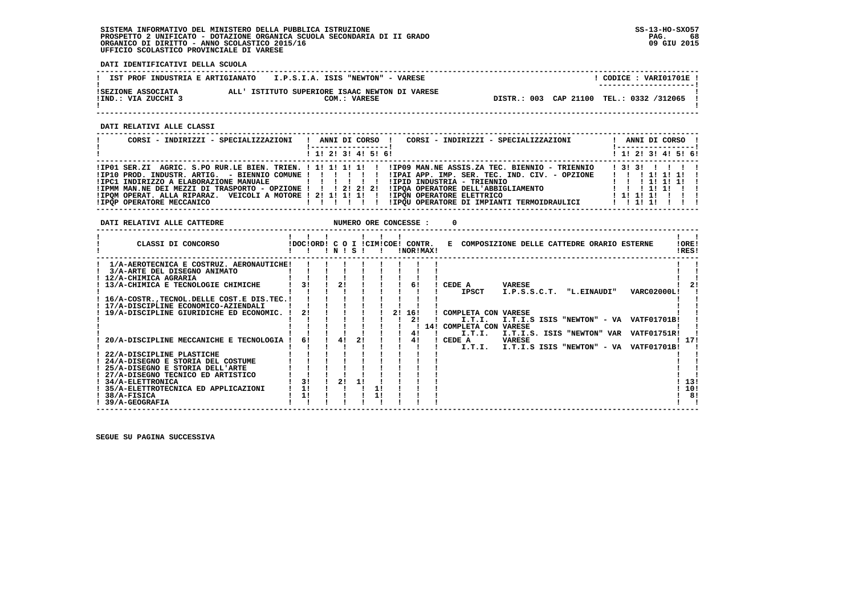**DATI IDENTIFICATIVI DELLA SCUOLA**

| IST PROF INDUSTRIA E ARTIGIANATO          | I.P.S.I.A. ISIS "NEWTON" - VARESE                              | CODICE: VARI01701E !<br>--------------------- |
|-------------------------------------------|----------------------------------------------------------------|-----------------------------------------------|
| ISEZIONE ASSOCIATA<br>IIND.: VIA ZUCCHI 3 | ALL' ISTITUTO SUPERIORE ISAAC NEWTON DI VARESE<br>COM.: VARESE | DISTR.: 003 CAP 21100 TEL.: 0332 /312065      |

 **------------------------------------------------------------------------------------------------------------------------------------**

 **DATI RELATIVI ALLE CLASSI**

| CORSI - INDIRIZZI - SPECIALIZZAZIONI                                                                                                                                                                           | CORSI - INDIRIZZI - SPECIALIZZAZIONI<br>ANNI DI CORSO !<br>. _ _ _ _ _ _ _ _ _ _ _ _ _ _ _ _ _                                                                                                                                                                                          | ANNI DI CORSO !<br>! ------------------                                |
|----------------------------------------------------------------------------------------------------------------------------------------------------------------------------------------------------------------|-----------------------------------------------------------------------------------------------------------------------------------------------------------------------------------------------------------------------------------------------------------------------------------------|------------------------------------------------------------------------|
|                                                                                                                                                                                                                | $1$ , 1! 2! 3! 4! 5! 6!                                                                                                                                                                                                                                                                 | $1$ 1! 2! 3! 4! 5! 6!                                                  |
| !IPC1 INDIRIZZO A ELABORAZIONE MANUALE   ! ! ! ! ! !<br>!IPMM MAN.NE DEI MEZZI DI TRASPORTO - OPZIONE ! ! ! 2! 2! 2!<br>!IPOM OPERAT. ALLA RIPARAZ. VEICOLI A MOTORE ! 2! 1! 1! 1! ! !IPON OPERATORE ELETTRICO | IPO1 SER.ZI AGRIC. S.PO RUR.LE BIEN. TRIEN. ! 1! 1! 1! 1! ! IPO9 MAN.NE ASSIS.ZA TEC. BIENNIO - TRIENNIO!<br>IP10 PROD. INDUSTR. ARTIG. - BIENNIO COMUNE ! ! ! ! ! ! ! IPAI APP. IMP. SER. TEC. IND. CIV. - OPZIONE<br>!IPID INDUSTRIA - TRIENNIO<br>IIPOA OPERATORE DELL'ABBIGLIAMENTO | 1 3 1 3 1 1 1 1 1<br>1 1 1 1 1 1 1 1 1<br>1 1 1 1 1 1 1 1<br>111111111 |
| IIPOP OPERATORE MECCANICO                                                                                                                                                                                      | IIPQU OPERATORE DI IMPIANTI TERMOIDRAULICI<br>.                                                                                                                                                                                                                                         | 1 1 1 1 1 1 1 1                                                        |

| DATI RELATIVI ALLE CATTEDRE                    |               |     |    | NUMERO ORE CONCESSE : |           |           | $^{\circ}$              |                                                                               |             |                |
|------------------------------------------------|---------------|-----|----|-----------------------|-----------|-----------|-------------------------|-------------------------------------------------------------------------------|-------------|----------------|
|                                                | 1 1 1 1 1 1 1 |     |    |                       |           |           |                         |                                                                               |             |                |
| CLASSI DI CONCORSO                             |               |     |    | 1 N 1 S 1 1           |           | !NOR!MAX! |                         | !DOC!ORD! C O I !CIM!COE! CONTR. E COMPOSIZIONE DELLE CATTEDRE ORARIO ESTERNE |             | !ORE!<br>!RES! |
| 1/A-AEROTECNICA E COSTRUZ. AERONAUTICHE!       |               |     |    |                       |           |           |                         |                                                                               |             |                |
| 3/A-ARTE DEL DISEGNO ANIMATO                   |               |     |    |                       |           |           |                         |                                                                               |             |                |
| 12/A-CHIMICA AGRARIA                           |               |     |    |                       |           |           |                         |                                                                               |             |                |
| 13/A-CHIMICA E TECNOLOGIE CHIMICHE             |               | 21  |    |                       | 61        |           | ! CEDE A                | VARESE                                                                        |             |                |
|                                                |               |     |    |                       |           |           | <b>IPSCT</b>            | I.P.S.S.C.T. "L.EINAUDI"                                                      | VARC02000L! |                |
| 16/A-COSTR., TECNOL. DELLE COST. E DIS. TEC. ! |               |     |    |                       |           |           |                         |                                                                               |             |                |
| 17/A-DISCIPLINE ECONOMICO-AZIENDALI            |               |     |    |                       |           |           |                         |                                                                               |             |                |
| 19/A-DISCIPLINE GIURIDICHE ED ECONOMIC. !      | 21            |     |    |                       | 2! 16!    |           | ! COMPLETA CON VARESE   |                                                                               |             |                |
|                                                |               |     |    |                       | 2!        |           | I.T.I.                  | I.T.I.S ISIS "NEWTON" - VA VATF01701B!                                        |             |                |
|                                                |               |     |    |                       |           |           | 14! COMPLETA CON VARESE |                                                                               |             |                |
| 20/A-DISCIPLINE MECCANICHE E TECNOLOGIA        | 6!            | 4 ! | 21 |                       | 4!<br>4 ! |           | I.T.I.<br>CEDE A        | I.T.I.S. ISIS "NEWTON" VAR VATF01751R!<br><b>VARESE</b>                       |             | ! 17!          |
|                                                |               |     |    |                       |           |           |                         | I.T.I. I.T.I.S ISIS "NEWTON" - VA VATF01701B!                                 |             |                |
| 22/A-DISCIPLINE PLASTICHE                      |               |     |    |                       |           |           |                         |                                                                               |             |                |
| 24/A-DISEGNO E STORIA DEL COSTUME              |               |     |    |                       |           |           |                         |                                                                               |             |                |
| 25/A-DISEGNO E STORIA DELL'ARTE                |               |     |    |                       |           |           |                         |                                                                               |             |                |
| 27/A-DISEGNO TECNICO ED ARTISTICO              |               |     |    |                       |           |           |                         |                                                                               |             |                |
| 34/A-ELETTRONICA                               |               | 21  |    |                       |           |           |                         |                                                                               |             | 13!            |
| 35/A-ELETTROTECNICA ED APPLICAZIONI            | 11            |     |    | 11                    |           |           |                         |                                                                               |             | ! 10!          |
| 38/A-FISICA                                    | 11            |     |    | 11                    |           |           |                         |                                                                               |             | 81             |
| 39/A-GEOGRAFIA                                 |               |     |    |                       |           |           |                         |                                                                               |             |                |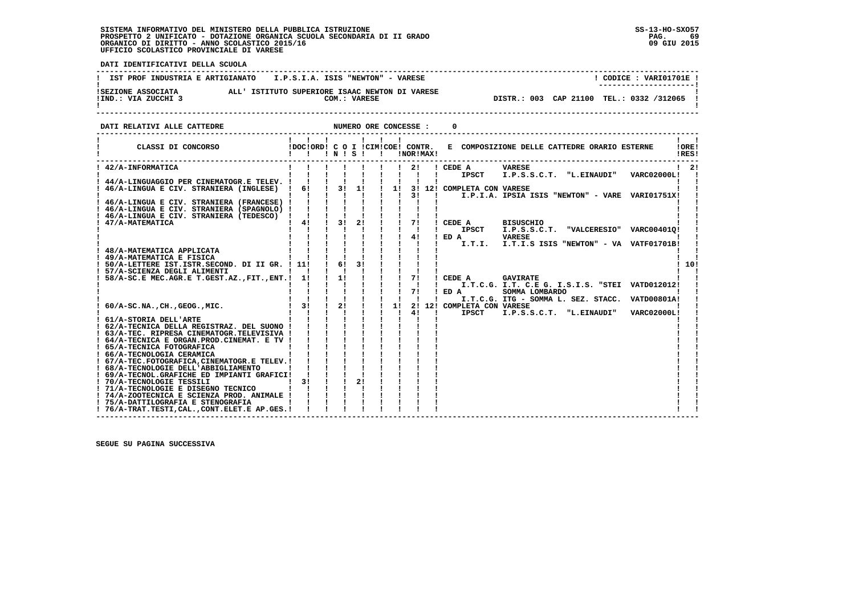**DATI IDENTIFICATIVI DELLA SCUOLA**

| IST PROF INDUSTRIA E ARTIGIANATO I.P.S.I.A. ISIS "NEWTON" - VARESE                                          | CODICE: VARI01701E !<br>--------------------- |
|-------------------------------------------------------------------------------------------------------------|-----------------------------------------------|
| ALL' ISTITUTO SUPERIORE ISAAC NEWTON DI VARESE<br>ISEZIONE ASSOCIATA<br>!IND.: VIA ZUCCHI 3<br>COM.: VARESE | DISTR.: 003 CAP 21100 TEL.: 0332 /312065 !    |

**DATI RELATIVI ALLE CATTEDRE NUMERO ORE CONCESSE : 0** 

| CLASSI DI CONCORSO                                                                  | !DOC!ORD! C O I !CIM!COE! CONTR. | INISI          |    |    |    | !NOR!MAX! |  |                            | E COMPOSIZIONE DELLE CATTEDRE ORARIO ESTERNE                       |                    | !ORE!<br>!RES! |
|-------------------------------------------------------------------------------------|----------------------------------|----------------|----|----|----|-----------|--|----------------------------|--------------------------------------------------------------------|--------------------|----------------|
| ! 42/A-INFORMATICA                                                                  |                                  |                |    |    |    | 21        |  | ! CEDE A                   | <b>VARESE</b>                                                      |                    | $1 \quad 21$   |
|                                                                                     |                                  |                |    |    |    |           |  | <b>IPSCT</b>               | I.P.S.S.C.T. "L.EINAUDI"                                           | VARC02000L!        |                |
| 44/A-LINGUAGGIO PER CINEMATOGR.E TELEV. !                                           |                                  |                |    |    |    |           |  |                            |                                                                    |                    |                |
| 46/A-LINGUA E CIV. STRANIERA (INGLESE)                                              | 6!                               | 3 <sub>1</sub> | 11 |    | 11 | 31        |  | 3! 12! COMPLETA CON VARESE |                                                                    |                    |                |
| 46/A-LINGUA E CIV. STRANIERA (FRANCESE)                                             |                                  |                |    |    |    |           |  |                            | I.P.I.A. IPSIA ISIS "NEWTON" - VARE                                | VARI01751X!        |                |
| ! 46/A-LINGUA E CIV. STRANIERA (SPAGNOLO) !                                         |                                  |                |    |    |    |           |  |                            |                                                                    |                    |                |
| ! 46/A-LINGUA E CIV. STRANIERA (TEDESCO)                                            |                                  |                |    |    |    |           |  |                            |                                                                    |                    |                |
| 47/A-MATEMATICA                                                                     | 4!                               | 31             | 21 |    |    | 71        |  | CEDE A                     | <b>BISUSCHIO</b>                                                   |                    |                |
|                                                                                     |                                  |                |    |    |    |           |  | <b>IPSCT</b>               | <b>"VALCERESIO"</b><br>I.P.S.S.C.T.                                | VARC004010!        |                |
|                                                                                     |                                  |                |    |    |    | 4!        |  | ED A                       | <b>VARESE</b>                                                      |                    |                |
|                                                                                     |                                  |                |    |    |    |           |  | I.T.I.                     | I.T.I.S ISIS "NEWTON" - VA VATF01701B!                             |                    |                |
| 48/A-MATEMATICA APPLICATA                                                           |                                  |                |    |    |    |           |  |                            |                                                                    |                    |                |
| ! 49/A-MATEMATICA E FISICA                                                          |                                  |                |    |    |    |           |  |                            |                                                                    |                    |                |
| ! 50/A-LETTERE IST.ISTR.SECOND. DI II GR. ! 11!                                     |                                  | 61             |    |    |    |           |  |                            |                                                                    |                    | 10!            |
| ! 57/A-SCIENZA DEGLI ALIMENTI                                                       |                                  |                |    |    |    |           |  |                            |                                                                    |                    |                |
| 58/A-SC.E MEC.AGR.E T.GEST.AZ., FIT., ENT.!                                         | 1!                               | 1!             |    |    |    | 71        |  | CEDE A                     | <b>GAVIRATE</b><br>I.T.C.G. I.T. C.E G. I.S.I.S. "STEI VATD012012! |                    |                |
|                                                                                     |                                  |                |    |    |    | 71        |  | ED A                       | SOMMA LOMBARDO                                                     |                    |                |
|                                                                                     |                                  |                |    |    |    |           |  |                            | I.T.C.G. ITG - SOMMA L. SEZ. STACC.                                | <b>VATD00801A!</b> |                |
| $60/A-SC.NA.$ , $CH.$ , $GEOG.$ , $MIC.$                                            | 31                               | 21             |    |    | 11 |           |  | 2! 12! COMPLETA CON VARESE |                                                                    |                    |                |
|                                                                                     |                                  |                |    |    |    | 41        |  | <b>IPSCT</b>               | I.P.S.S.C.T. "L.EINAUDI"                                           | <b>VARC02000L!</b> |                |
| 61/A-STORIA DELL'ARTE                                                               |                                  |                |    |    |    |           |  |                            |                                                                    |                    |                |
| 62/A-TECNICA DELLA REGISTRAZ. DEL SUONO !                                           |                                  |                |    |    |    |           |  |                            |                                                                    |                    |                |
| ! 63/A-TEC. RIPRESA CINEMATOGR.TELEVISIVA !                                         |                                  |                |    |    |    |           |  |                            |                                                                    |                    |                |
| ! 64/A-TECNICA E ORGAN.PROD.CINEMAT. E TV !                                         |                                  |                |    |    |    |           |  |                            |                                                                    |                    |                |
| ! 65/A-TECNICA FOTOGRAFICA                                                          |                                  |                |    |    |    |           |  |                            |                                                                    |                    |                |
| ! 66/A-TECNOLOGIA CERAMICA                                                          |                                  |                |    |    |    |           |  |                            |                                                                    |                    |                |
| ! 67/A-TEC.FOTOGRAFICA, CINEMATOGR.E TELEV. !                                       |                                  |                |    |    |    |           |  |                            |                                                                    |                    |                |
| ! 68/A-TECNOLOGIE DELL'ABBIGLIAMENTO<br>! 69/A-TECNOL.GRAFICHE ED IMPIANTI GRAFICI! |                                  |                |    |    |    |           |  |                            |                                                                    |                    |                |
| ! 70/A-TECNOLOGIE TESSILI                                                           | 31                               |                |    | 21 |    |           |  |                            |                                                                    |                    |                |
| ! 71/A-TECNOLOGIE E DISEGNO TECNICO                                                 |                                  |                |    |    |    |           |  |                            |                                                                    |                    |                |
| ! 74/A-ZOOTECNICA E SCIENZA PROD. ANIMALE !                                         |                                  |                |    |    |    |           |  |                            |                                                                    |                    |                |
| ! 75/A-DATTILOGRAFIA E STENOGRAFIA                                                  |                                  |                |    |    |    |           |  |                            |                                                                    |                    |                |
| ! 76/A-TRAT.TESTI, CAL., CONT. ELET. E AP. GES. !                                   |                                  |                |    |    |    |           |  |                            |                                                                    |                    |                |

 **------------------------------------------------------------------------------------------------------------------------------------**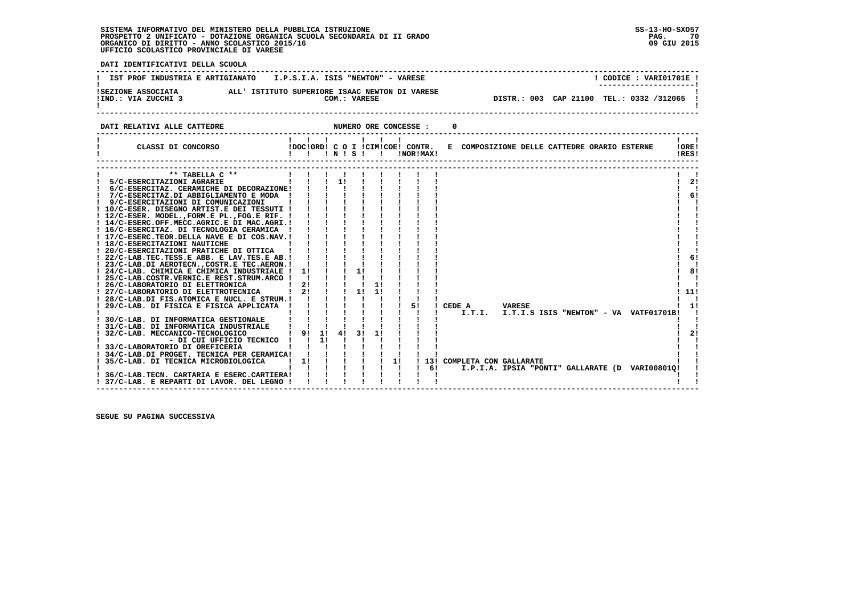י<br>ו

| DATI IDENTIFICATIVI DELLA SCUOLA                                                                                                                                                                                                                                                                                                                                                                                                                                                                                                                                                                                                                                                                                                                                                                                                                                                                                         |                                                                                                                                                                                                                                                                                                                              |                                                                           |    |    |         |                       |     |                 |                                 |                                                                                                  |                                                   |
|--------------------------------------------------------------------------------------------------------------------------------------------------------------------------------------------------------------------------------------------------------------------------------------------------------------------------------------------------------------------------------------------------------------------------------------------------------------------------------------------------------------------------------------------------------------------------------------------------------------------------------------------------------------------------------------------------------------------------------------------------------------------------------------------------------------------------------------------------------------------------------------------------------------------------|------------------------------------------------------------------------------------------------------------------------------------------------------------------------------------------------------------------------------------------------------------------------------------------------------------------------------|---------------------------------------------------------------------------|----|----|---------|-----------------------|-----|-----------------|---------------------------------|--------------------------------------------------------------------------------------------------|---------------------------------------------------|
| IST PROF INDUSTRIA E ARTIGIANATO    I.P.S.I.A. ISIS "NEWTON" - VARESE                                                                                                                                                                                                                                                                                                                                                                                                                                                                                                                                                                                                                                                                                                                                                                                                                                                    |                                                                                                                                                                                                                                                                                                                              |                                                                           |    |    |         |                       |     |                 |                                 | ! CODICE: VARI01701E !                                                                           |                                                   |
|                                                                                                                                                                                                                                                                                                                                                                                                                                                                                                                                                                                                                                                                                                                                                                                                                                                                                                                          |                                                                                                                                                                                                                                                                                                                              |                                                                           |    |    |         |                       |     |                 |                                 | DISTR.: 003 CAP 21100 TEL.: 0332 /312065 !                                                       |                                                   |
| DATI RELATIVI ALLE CATTEDRE                                                                                                                                                                                                                                                                                                                                                                                                                                                                                                                                                                                                                                                                                                                                                                                                                                                                                              |                                                                                                                                                                                                                                                                                                                              |                                                                           |    |    |         | NUMERO ORE CONCESSE : |     |                 |                                 |                                                                                                  |                                                   |
|                                                                                                                                                                                                                                                                                                                                                                                                                                                                                                                                                                                                                                                                                                                                                                                                                                                                                                                          |                                                                                                                                                                                                                                                                                                                              |                                                                           |    |    |         |                       |     |                 |                                 | E COMPOSIZIONE DELLE CATTEDRE ORARIO ESTERNE ! ORE!                                              | $\mathbf{1}$ $\mathbf{1}$<br>!RES!                |
| ** TABELLA C **<br>5/C-ESERCITAZIONI AGRARIE        <br>6/C-ESERCITAZ. CERAMICHE DI DECORAZIONE! !!!<br>! 7/C-ESERCITAZ.DI ABBIGLIAMENTO E MODA ! ! !<br>! 9/C-ESERCITAZIONI DI COMUNICAZIONI<br>! 10/C-ESER. DISEGNO ARTIST.E DEI TESSUTI ! ! ! !<br>! 12/C-ESER. MODEL., FORM.E PL., FOG.E RIF. !<br>! 14/C-ESERC.OFF.MECC.AGRIC.E DI MAC.AGRI.!<br>! 16/C-ESERCITAZ. DI TECNOLOGIA CERAMICA !<br>! 17/C-ESERC.TEOR.DELLA NAVE E DI COS.NAV.!<br>! 18/C-ESERCITAZIONI NAUTICHE<br>! 20/C-ESERCITAZIONI PRATICHE DI OTTICA !<br>! 22/C-LAB.TEC.TESS.E ABB. E LAV.TES.E AB.!<br>! 23/C-LAB.DI AEROTECN., COSTR.E TEC.AERON.!<br>! 24/C-LAB. CHIMICA E CHIMICA INDUSTRIALE !<br>! 25/C-LAB.COSTR.VERNIC.E REST.STRUM.ARCO !<br>! 26/C-LABORATORIO DI ELETTRONICA<br>! 27/C-LABORATORIO DI ELETTROTECNICA   2! ! ! 1!<br>! 28/C-LAB.DI FIS.ATOMICA E NUCL. E STRUM.! ! ! ! !<br>! 29/C-LAB. DI FISICA E FISICA APPLICATA ! | $\sim$ 1.0 H $\sim$ 1.0 $\sim$<br>$\frac{1}{2}$ $\frac{1}{2}$ $\frac{1}{2}$<br>$\mathbf{1}$ $\mathbf{1}$ $\mathbf{1}$<br>$\frac{1}{2}$ $\frac{1}{2}$ $\frac{1}{2}$ $\frac{1}{2}$<br>$\frac{1}{2}$ $\frac{1}{2}$ $\frac{1}{2}$<br>$\frac{1}{2}$ $\frac{1}{2}$ $\frac{1}{2}$ $\frac{1}{2}$<br>$1!$ $1$ $1$<br>$1 \t2! \t1 \t1$ | $1 \quad 1 \quad 1$<br>$1 \quad 1 \quad 1$<br>$1 \quad 1 \quad 1 \quad 1$ | 11 | 11 |         | 51                    |     | ! CEDE A VARESE |                                 |                                                                                                  | $1 \quad 21$<br>п.<br>61<br>61<br>81<br>111<br>11 |
| ! 30/C-LAB. DI INFORMATICA GESTIONALE<br>! 31/C-LAB. DI INFORMATICA INDUSTRIALE<br>! 32/C-LAB. MECCANICO-TECNOLOGICO<br>- DI CUI UFFICIO TECNICO ! ! 1!<br>! 33/C-LABORATORIO DI OREFICERIA<br>! 34/C-LAB.DI PROGET. TECNICA PER CERAMICA! !!!!<br>! 35/C-LAB. DI TECNICA MICROBIOLOGICA<br>36/C-LAB.TECN. CARTARIA E ESERC.CARTIERA!!<br>! 37/C-LAB. E REPARTI DI LAVOR. DEL LEGNO !!                                                                                                                                                                                                                                                                                                                                                                                                                                                                                                                                   | $1 \quad 1 \quad 1$<br>! 9! 1! 4! 3! 1!<br>$1 \quad 1 \quad 1 \quad 1 \quad 1 \quad 1 \quad 1 \quad 1 \quad 1 \quad 61$                                                                                                                                                                                                      | $\mathbf{i}$ $\mathbf{j}$ $\mathbf{k}$ $\mathbf{k}$                       |    |    | $1 - 1$ | $\mathbf{I}$          | - 1 |                 | ------------------------------- | I.T.I. I.T.I.S ISIS "NEWTON" - VA VATF01701B!<br>I.P.I.A. IPSIA "PONTI" GALLARATE (D VARI00801Q! | 21                                                |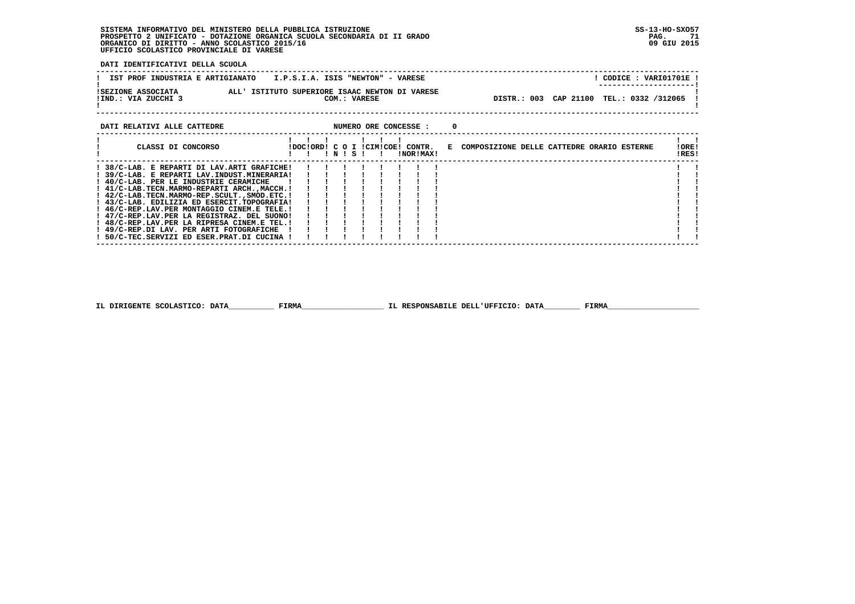**DATI IDENTIFICATIVI DELLA SCUOLA**

| I.P.S.I.A. ISIS "NEWTON" - VARESE<br>IST PROF INDUSTRIA E ARTIGIANATO                                       |  | CODICE: VARI01701E!<br>--------------------- |  |
|-------------------------------------------------------------------------------------------------------------|--|----------------------------------------------|--|
| ALL' ISTITUTO SUPERIORE ISAAC NEWTON DI VARESE<br>ISEZIONE ASSOCIATA<br>!IND.: VIA ZUCCHI 3<br>COM.: VARESE |  | DISTR.: 003 CAP 21100 TEL.: 0332 /312065     |  |

| CLASSI DI CONCORSO<br>E COMPOSIZIONE DELLE CATTEDRE ORARIO ESTERNE<br>IDOCIORD! C O I ICIMICOE! CONTR.<br>! N ! S !<br>INORIMAXI<br>! 38/C-LAB. E REPARTI DI LAV.ARTI GRAFICHE!<br>! 39/C-LAB. E REPARTI LAV.INDUST.MINERARIA!<br>! 40/C-LAB. PER LE INDUSTRIE CERAMICHE<br>! 41/C-LAB.TECN.MARMO-REPARTI ARCH.,MACCH.!<br>! 42/C-LAB.TECN.MARMO-REP.SCULT., SMOD.ETC. !<br>! 43/C-LAB. EDILIZIA ED ESERCIT. TOPOGRAFIA!<br>! 46/C-REP.LAV.PER MONTAGGIO CINEM.E TELE.!<br>! 47/C-REP.LAV.PER LA REGISTRAZ. DEL SUONO!<br>! 48/C-REP.LAV.PER LA RIPRESA CINEM.E TEL.!<br>! 49/C-REP.DI LAV. PER ARTI FOTOGRAFICHE<br>50/C-TEC.SERVIZI ED ESER.PRAT.DI CUCINA ! | DATI RELATIVI ALLE CATTEDRE |  |  | NUMERO ORE CONCESSE : |  |  |                 |
|----------------------------------------------------------------------------------------------------------------------------------------------------------------------------------------------------------------------------------------------------------------------------------------------------------------------------------------------------------------------------------------------------------------------------------------------------------------------------------------------------------------------------------------------------------------------------------------------------------------------------------------------------------------|-----------------------------|--|--|-----------------------|--|--|-----------------|
|                                                                                                                                                                                                                                                                                                                                                                                                                                                                                                                                                                                                                                                                |                             |  |  |                       |  |  | ! ORE!<br>!RES! |
|                                                                                                                                                                                                                                                                                                                                                                                                                                                                                                                                                                                                                                                                |                             |  |  |                       |  |  |                 |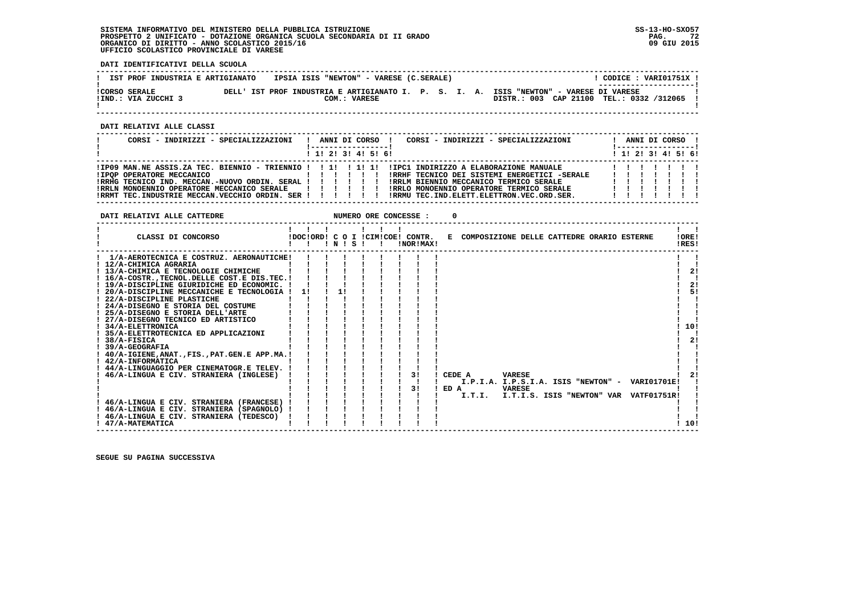**DATI IDENTIFICATIVI DELLA SCUOLA**

| IST PROF INDUSTRIA E ARTIGIANATO | IPSIA ISIS "NEWTON" - VARESE (C.SERALE)                                                |                                          | CODICE: VARI01751X !  |
|----------------------------------|----------------------------------------------------------------------------------------|------------------------------------------|-----------------------|
|                                  |                                                                                        |                                          | --------------------- |
| <b>!CORSO SERALE</b>             | DELL' IST PROF INDUSTRIA E ARTIGIANATO I. P. S. I. A. ISIS "NEWTON" - VARESE DI VARESE |                                          |                       |
| !IND.: VIA ZUCCHI 3              | COM.: VARESE                                                                           | DISTR.: 003 CAP 21100 TEL.: 0332 /312065 |                       |
|                                  |                                                                                        |                                          |                       |

 **------------------------------------------------------------------------------------------------------------------------------------**

 **DATI RELATIVI ALLE CLASSI**

| CORSI - INDIRIZZI - SPECIALIZZAZIONI                                                                                                                                    |  |  | ------------------      | CORSI - INDIRIZZI - SPECIALIZZAZIONI<br>ANNI DI CORSO !                                                                                                                                                                                    | ANNI DI CORSO !<br><u>!----------------- </u> |  |  |
|-------------------------------------------------------------------------------------------------------------------------------------------------------------------------|--|--|-------------------------|--------------------------------------------------------------------------------------------------------------------------------------------------------------------------------------------------------------------------------------------|-----------------------------------------------|--|--|
|                                                                                                                                                                         |  |  | $1$ , 1! 2! 3! 4! 5! 6! |                                                                                                                                                                                                                                            | ! 1! 2! 3! 4! 5! 6!                           |  |  |
| IIPOP OPERATORE MECCANICO<br>, , , , , , , , , ,<br>!RRHG TECNICO IND. MECCAN.-NUOVO ORDIN. SERAL ! ! ! ! ! !<br>!RRLN MONOENNIO OPERATORE MECCANICO SERALE ! ! ! ! ! ! |  |  |                         | IIP09 MAN.NE ASSIS.ZA TEC. BIENNIO - TRIENNIO ! ! 1! ! 1! 1! IIPC1 INDIRIZZO A ELABORAZIONE MANUALE!<br>IRRHF TECNICO DEI SISTEMI ENERGETICI -SERALE<br>IRRLM BIENNIO MECCANICO TERMICO SERALE<br>IRRLO MONOENNIO OPERATORE TERMICO SERALE | 1111111<br>1111111                            |  |  |
| !RRMT TEC.INDUSTRIE MECCAN.VECCHIO ORDIN. SER !!!!!!!                                                                                                                   |  |  |                         | IRRMU TEC. IND. ELETT. ELETTRON. VEC. ORD. SER.                                                                                                                                                                                            | 1111111                                       |  |  |

 **DATI RELATIVI ALLE CATTEDRE NUMERO ORE CONCESSE : 0 ------------------------------------------------------------------------------------------------------------------------------------** $\mathbf{I}$  and  $\mathbf{I}$  **! ! ! ! ! ! ! ! !LORE! ! CLASSI DI CONCORSO !DOC!ORD! C O I !CIM!COE! CONTR. E COMPOSIZIONE DELLE CATTEDRE ORARIO ESTERNE !ORE!**IRES!  **! ! ! ! N ! S ! ! !NOR!MAX! !RES! ------------------------------------------------------------------------------------------------------------------------------------ ! 1/A-AEROTECNICA E COSTRUZ. AERONAUTICHE! ! ! ! ! ! ! ! ! ! ! ! 12/A-CHIMICA AGRARIA ! ! ! ! ! ! ! ! ! ! ! ! 13/A-CHIMICA E TECNOLOGIE CHIMICHE ! ! ! ! ! ! ! ! ! ! 2! ! 16/A-COSTR.,TECNOL.DELLE COST.E DIS.TEC.! ! ! ! ! ! ! ! ! ! ! ! 19/A-DISCIPLINE GIURIDICHE ED ECONOMIC. ! ! ! ! ! ! ! ! ! ! 2!**- 1  $\blacksquare$  $1 \quad 21$  $\mathbf{I}$  $21$  $1 - 51$  **! 20/A-DISCIPLINE MECCANICHE E TECNOLOGIA ! 1! ! 1! ! ! ! ! ! ! 5!** $\mathbf{I}$  **! 22/A-DISCIPLINE PLASTICHE ! ! ! ! ! ! ! ! ! ! ! ! 24/A-DISEGNO E STORIA DEL COSTUME ! ! ! ! ! ! ! ! ! ! ! ! 25/A-DISEGNO E STORIA DELL'ARTE ! ! ! ! ! ! ! ! ! ! ! ! 27/A-DISEGNO TECNICO ED ARTISTICO ! ! ! ! ! ! ! ! ! ! !** $\overline{\phantom{a}}$  $\mathbf{I}$  $\blacksquare$  $1.101$  **! 34/A-ELETTRONICA ! ! ! ! ! ! ! ! ! ! 10! ! 35/A-ELETTROTECNICA ED APPLICAZIONI ! ! ! ! ! ! ! ! ! ! !** $\blacksquare$  $1 \quad 21$  **! 38/A-FISICA ! ! ! ! ! ! ! ! ! ! 2! ! 39/A-GEOGRAFIA ! ! ! ! ! ! ! ! ! ! ! ! 40/A-IGIENE,ANAT.,FIS.,PAT.GEN.E APP.MA.! ! ! ! ! ! ! ! ! ! ! ! 42/A-INFORMATICA ! ! ! ! ! ! ! ! ! ! !** $\blacksquare$  $\blacksquare$  $\mathbf{I}$   $\mathbf{I}$  **! 44/A-LINGUAGGIO PER CINEMATOGR.E TELEV. ! ! ! ! ! ! ! ! ! ! !** $121$  **! 46/A-LINGUA E CIV. STRANIERA (INGLESE) ! ! ! ! ! ! ! 3! ! CEDE A VARESE ! 2! ! ! ! ! ! ! ! ! ! ! I.P.I.A. I.P.S.I.A. ISIS "NEWTON" - VARI01701E! ! ! ! ! ! ! ! ! ! 3! ! ED A VARESE ! ! ! ! ! ! ! ! ! ! ! ! I.T.I. I.T.I.S. ISIS "NEWTON" VAR VATF01751R! ! ! 46/A-LINGUA E CIV. STRANIERA (FRANCESE) ! ! ! ! ! ! ! ! ! ! !**- 1  $\mathbf{I}$  $\blacksquare$  **! 46/A-LINGUA E CIV. STRANIERA (SPAGNOLO) ! ! ! ! ! ! ! ! ! ! !**- 1  **! 46/A-LINGUA E CIV. STRANIERA (TEDESCO) ! ! ! ! ! ! ! ! ! ! !** $1.101$  **! 47/A-MATEMATICA ! ! ! ! ! ! ! ! ! ! 10! ------------------------------------------------------------------------------------------------------------------------------------**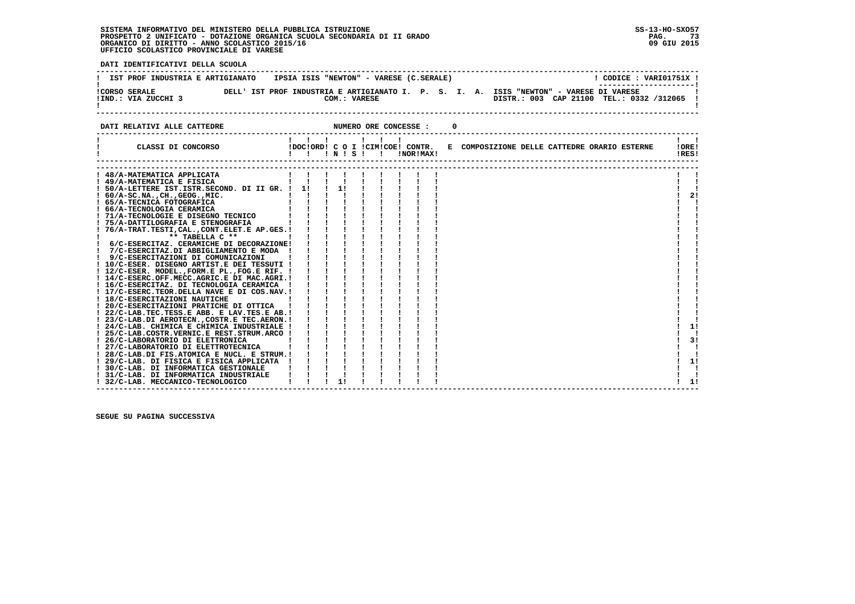**------------------------------------------------------------------------------------------------------------------------------------**! CODICE : VARI01751X ! **! IST PROF INDUSTRIA E ARTIGIANATO IPSIA ISIS "NEWTON" - VARESE (C.SERALE) ! ---------------------! !CORSO SERALE DELL' IST PROF INDUSTRIA E ARTIGIANATO I. P. S. I. A. ISIS "NEWTON" - VARESE DI VARESE ! !IND.: VIA ZUCCHI 3 COM.: VARESE DISTR.: 003 CAP 21100 TEL.: 0332 /312065 !** $\blacksquare$  **! ! ------------------------------------------------------------------------------------------------------------------------------------**

#### **DATI RELATIVI ALLE CATTEDRE NUMERO ORE CONCESSE : 0**

 **DATI IDENTIFICATIVI DELLA SCUOLA**

| DAII RELAIIVI ALLE CATTEDRE                                                 |            |               |  | NUMERO ORE CONCESSE : |                                                                               |  |  |                |    |
|-----------------------------------------------------------------------------|------------|---------------|--|-----------------------|-------------------------------------------------------------------------------|--|--|----------------|----|
| CLASSI DI CONCORSO                                                          | !!!!!!!!!! |               |  | !NOR!MAX!             | !DOC!ORD! C O I !CIM!COE! CONTR. E COMPOSIZIONE DELLE CATTEDRE ORARIO ESTERNE |  |  | !ORE!<br>!RES! |    |
|                                                                             |            |               |  |                       |                                                                               |  |  |                |    |
| ! 48/A-MATEMATICA APPLICATA                                                 |            |               |  |                       |                                                                               |  |  |                |    |
| ! 49/A-MATEMATICA E FISICA                                                  |            |               |  |                       |                                                                               |  |  |                |    |
| ! 50/A-LETTERE IST. ISTR. SECOND. DI II GR. ! 1!                            |            | $\frac{1}{1}$ |  |                       |                                                                               |  |  |                |    |
| $: 60/A-SC.NA.$ , $CH.$ , $GEOG.$ , $MIC.$                                  |            |               |  |                       |                                                                               |  |  |                | 2! |
| ! 65/A-TECNICA FOTOGRAFICA                                                  |            |               |  |                       |                                                                               |  |  |                |    |
| ! 66/A-TECNOLOGIA CERAMICA                                                  |            |               |  |                       |                                                                               |  |  |                |    |
| ! 71/A-TECNOLOGIE E DISEGNO TECNICO                                         |            |               |  |                       |                                                                               |  |  |                |    |
| ! 75/A-DATTILOGRAFIA E STENOGRAFIA                                          |            |               |  |                       |                                                                               |  |  |                |    |
| 76/A-TRAT.TESTI, CAL., CONT.ELET.E AP.GES.!                                 |            |               |  |                       |                                                                               |  |  |                |    |
| ** TABELLA C **                                                             |            |               |  |                       |                                                                               |  |  |                |    |
| 6/C-ESERCITAZ. CERAMICHE DI DECORAZIONE!                                    |            |               |  |                       |                                                                               |  |  |                |    |
| 7/C-ESERCITAZ.DI ABBIGLIAMENTO E MODA                                       |            |               |  |                       |                                                                               |  |  |                |    |
| 9/C-ESERCITAZIONI DI COMUNICAZIONI                                          |            |               |  |                       |                                                                               |  |  |                |    |
| ! 10/C-ESER. DISEGNO ARTIST.E DEI TESSUTI !                                 |            |               |  |                       |                                                                               |  |  |                |    |
| ! 12/C-ESER. MODEL., FORM.E PL., FOG.E RIF. !                               |            |               |  |                       |                                                                               |  |  |                |    |
| ! 14/C-ESERC.OFF.MECC.AGRIC.E DI MAC.AGRI.!                                 |            |               |  |                       |                                                                               |  |  |                |    |
| ! 16/C-ESERCITAZ. DI TECNOLOGIA CERAMICA                                    |            |               |  |                       |                                                                               |  |  |                |    |
| ! 17/C-ESERC.TEOR.DELLA NAVE E DI COS.NAV.!                                 |            |               |  |                       |                                                                               |  |  |                |    |
| ! 18/C-ESERCITAZIONI NAUTICHE                                               |            |               |  |                       |                                                                               |  |  |                |    |
| ! 20/C-ESERCITAZIONI PRATICHE DI OTTICA                                     |            |               |  |                       |                                                                               |  |  |                |    |
| ! 22/C-LAB.TEC.TESS.E ABB. E LAV.TES.E AB.!                                 |            |               |  |                       |                                                                               |  |  |                |    |
| ! 23/C-LAB.DI AEROTECN., COSTR.E TEC.AERON. !                               |            |               |  |                       |                                                                               |  |  |                |    |
| ! 24/C-LAB. CHIMICA E CHIMICA INDUSTRIALE !                                 |            |               |  |                       |                                                                               |  |  |                | 11 |
| ! 25/C-LAB.COSTR.VERNIC.E REST.STRUM.ARCO !                                 |            |               |  |                       |                                                                               |  |  |                |    |
| ! 26/C-LABORATORIO DI ELETTRONICA                                           |            |               |  |                       |                                                                               |  |  |                | 3! |
| ! 27/C-LABORATORIO DI ELETTROTECNICA                                        |            |               |  |                       |                                                                               |  |  |                |    |
| ! 28/C-LAB.DI FIS.ATOMICA E NUCL. E STRUM.!                                 |            |               |  |                       |                                                                               |  |  |                |    |
| ! 29/C-LAB. DI FISICA E FISICA APPLICATA                                    |            |               |  |                       |                                                                               |  |  |                | 1! |
| ! 30/C-LAB. DI INFORMATICA GESTIONALE                                       |            |               |  |                       |                                                                               |  |  |                |    |
| ! 31/C-LAB. DI INFORMATICA INDUSTRIALE<br>! 32/C-LAB. MECCANICO-TECNOLOGICO |            |               |  |                       |                                                                               |  |  |                | 11 |
|                                                                             |            | 11            |  |                       |                                                                               |  |  |                |    |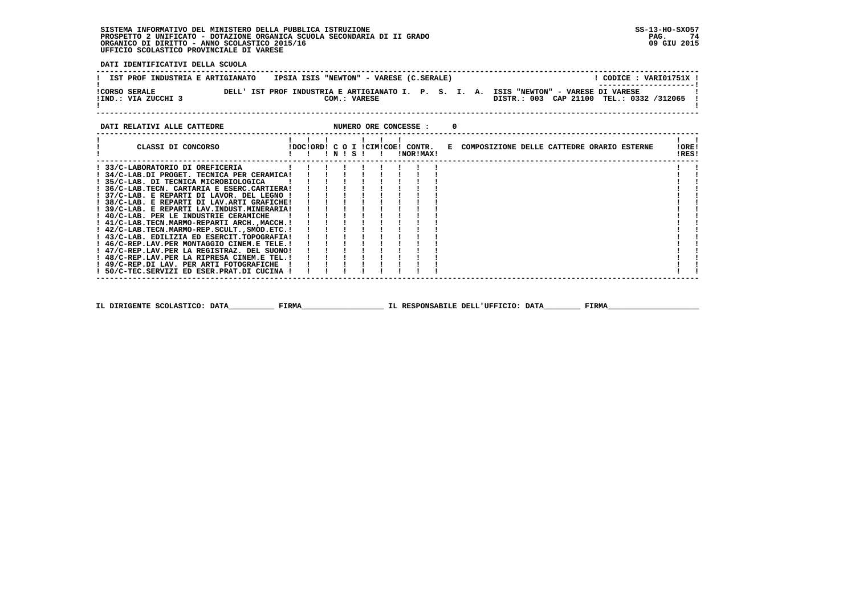**DATI IDENTIFICATIVI DELLA SCUOLA**

| IST PROF INDUSTRIA E ARTIGIANATO            | IPSIA ISIS "NEWTON" - VARESE (C.SERALE)                                                                |  |                                          | CODICE: VARI01751X !  |
|---------------------------------------------|--------------------------------------------------------------------------------------------------------|--|------------------------------------------|-----------------------|
| <b>!CORSO SERALE</b><br>!IND.: VIA ZUCCHI 3 | DELL' IST PROF INDUSTRIA E ARTIGIANATO I. P. S. I. A. ISIS "NEWTON" - VARESE DI VARESE<br>COM.: VARESE |  | DISTR.: 003 CAP 21100 TEL.: 0332 /312065 | --------------------- |
|                                             |                                                                                                        |  |                                          |                       |

| DATI RELATIVI ALLE CATTEDRE                      |         |  |  |  | NUMERO ORE CONCESSE :                                |                                              |  |  |                |  |
|--------------------------------------------------|---------|--|--|--|------------------------------------------------------|----------------------------------------------|--|--|----------------|--|
| CLASSI DI CONCORSO                               | !!N!S!! |  |  |  | !DOC!ORD! C O I !CIM!COE! CONTR.<br><b>!NOR!MAX!</b> | E COMPOSIZIONE DELLE CATTEDRE ORARIO ESTERNE |  |  | !ORE!<br>!RES! |  |
| ! 33/C-LABORATORIO DI OREFICERIA                 |         |  |  |  |                                                      |                                              |  |  |                |  |
| ! 34/C-LAB.DI PROGET. TECNICA PER CERAMICA!      |         |  |  |  |                                                      |                                              |  |  |                |  |
| ! 35/C-LAB. DI TECNICA MICROBIOLOGICA            |         |  |  |  |                                                      |                                              |  |  |                |  |
| ! 36/C-LAB.TECN. CARTARIA E ESERC.CARTIERA!      |         |  |  |  |                                                      |                                              |  |  |                |  |
| ! 37/C-LAB. E REPARTI DI LAVOR. DEL LEGNO !      |         |  |  |  |                                                      |                                              |  |  |                |  |
| ! 38/C-LAB. E REPARTI DI LAV.ARTI GRAFICHE!      |         |  |  |  |                                                      |                                              |  |  |                |  |
| ! 39/C-LAB. E REPARTI LAV.INDUST.MINERARIA!      |         |  |  |  |                                                      |                                              |  |  |                |  |
| ! 40/C-LAB. PER LE INDUSTRIE CERAMICHE           |         |  |  |  |                                                      |                                              |  |  |                |  |
| ! 41/C-LAB.TECN.MARMO-REPARTI ARCH.,MACCH.!      |         |  |  |  |                                                      |                                              |  |  |                |  |
| ! 42/C-LAB.TECN.MARMO-REP.SCULT., SMOD.ETC.!     |         |  |  |  |                                                      |                                              |  |  |                |  |
| ! 43/C-LAB. EDILIZIA ED ESERCIT.TOPOGRAFIA!      |         |  |  |  |                                                      |                                              |  |  |                |  |
| ! 46/C-REP.LAV.PER MONTAGGIO CINEM.E TELE.!      |         |  |  |  |                                                      |                                              |  |  |                |  |
| ! 47/C-REP.LAV.PER LA REGISTRAZ. DEL SUONO!      |         |  |  |  |                                                      |                                              |  |  |                |  |
| ! 48/C-REP.LAV.PER LA RIPRESA CINEM.E TEL.!      |         |  |  |  |                                                      |                                              |  |  |                |  |
| ! 49/C-REP.DI LAV. PER ARTI FOTOGRAFICHE ! ! ! ! |         |  |  |  |                                                      |                                              |  |  |                |  |
| ! 50/C-TEC.SERVIZI ED ESER.PRAT.DI CUCINA !      |         |  |  |  |                                                      |                                              |  |  |                |  |
|                                                  |         |  |  |  |                                                      |                                              |  |  |                |  |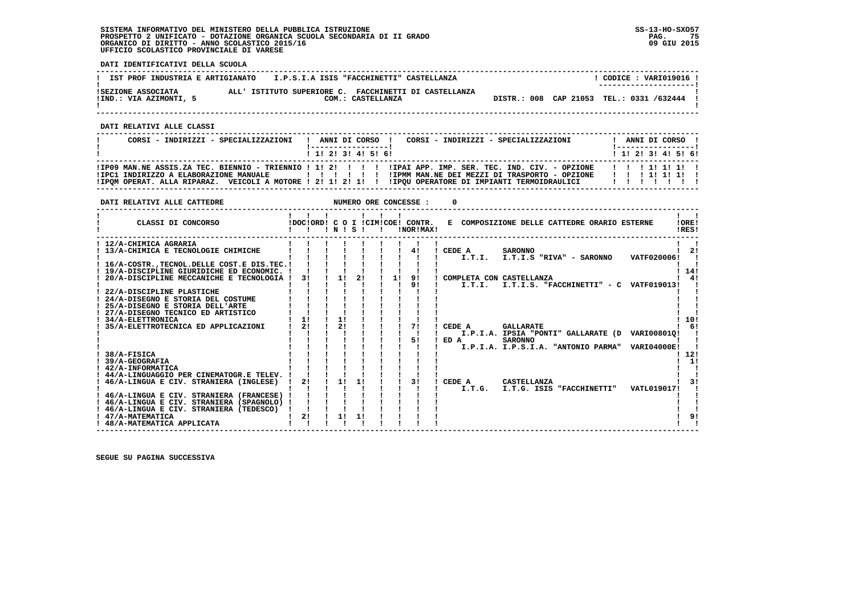**DATI IDENTIFICATIVI DELLA SCUOLA**

| IST PROF INDUSTRIA E ARTIGIANATO             |                                                       | I.P.S.I.A ISIS "FACCHINETTI" CASTELLANZA | CODICE: VARI019016 !<br>---------------------- |
|----------------------------------------------|-------------------------------------------------------|------------------------------------------|------------------------------------------------|
| ISEZIONE ASSOCIATA<br>!IND.: VIA AZIMONTI, 5 | ALL' ISTITUTO SUPERIORE C. FACCHINETTI DI CASTELLANZA | COM.: CASTELLANZA                        | DISTR.: 008 CAP 21053 TEL.: 0331 /632444       |

 **------------------------------------------------------------------------------------------------------------------------------------**

 **DATI RELATIVI ALLE CLASSI**

| CORSI - INDIRIZZI - SPECIALIZZAZIONI                                                                    | CORSI - INDIRIZZI - SPECIALIZZAZIONI<br>ANNI DI CORSO !                                                                                                     | ANNI DI CORSO !<br>!------------------! |
|---------------------------------------------------------------------------------------------------------|-------------------------------------------------------------------------------------------------------------------------------------------------------------|-----------------------------------------|
|                                                                                                         | ! 1! 2! 3! 4! 5! 6!                                                                                                                                         | $1$ , 1! 2! 3! 4! 5! 6!                 |
| !IPC1 INDIRIZZO A ELABORAZIONE MANUALE<br>! IPOM OPERAT. ALLA RIPARAZ. VEICOLI A MOTORE ! 2! 1! 2! 1! ! | IPO9 MAN.NE ASSIS.ZA TEC. BIENNIO - TRIENNIO ! 1! 2! ! ! ! ! IPAI APP. IMP. SER. TEC. IND. CIV. - OPZIONE!<br>IIPMM MAN.NE DEI MEZZI DI TRASPORTO - OPZIONE | 1 1 1 1 1 1 1 1 1<br>1 1 1 1 1 1 1 1    |

| DATI RELATIVI ALLE CATTEDRE                                                                                                                                                                                                                                                                                                                                                                                                                                                                                                                                                                                                                                                                               |                                  |                      |          |    | NUMERO ORE CONCESSE :                        |                                                                                                                                                                                                                                                                                                                                                                                                                             |                                             |
|-----------------------------------------------------------------------------------------------------------------------------------------------------------------------------------------------------------------------------------------------------------------------------------------------------------------------------------------------------------------------------------------------------------------------------------------------------------------------------------------------------------------------------------------------------------------------------------------------------------------------------------------------------------------------------------------------------------|----------------------------------|----------------------|----------|----|----------------------------------------------|-----------------------------------------------------------------------------------------------------------------------------------------------------------------------------------------------------------------------------------------------------------------------------------------------------------------------------------------------------------------------------------------------------------------------------|---------------------------------------------|
| CLASSI DI CONCORSO                                                                                                                                                                                                                                                                                                                                                                                                                                                                                                                                                                                                                                                                                        | !DOC!ORD! C O I !CIM!COE! CONTR. | INISI                |          |    | INOR ! MAX!                                  | E COMPOSIZIONE DELLE CATTEDRE ORARIO ESTERNE                                                                                                                                                                                                                                                                                                                                                                                | !ORE!<br>IRES!                              |
| ! 12/A-CHIMICA AGRARIA<br>13/A-CHIMICA E TECNOLOGIE CHIMICHE<br>! 16/A-COSTR., TECNOL. DELLE COST. E DIS. TEC. !<br>! 19/A-DISCIPLINE GIURIDICHE ED ECONOMIC. !<br>20/A-DISCIPLINE MECCANICHE E TECNOLOGIA !<br>22/A-DISCIPLINE PLASTICHE<br>! 24/A-DISEGNO E STORIA DEL COSTUME<br>! 25/A-DISEGNO E STORIA DELL'ARTE<br>27/A-DISEGNO TECNICO ED ARTISTICO<br>34/A-ELETTRONICA<br>35/A-ELETTROTECNICA ED APPLICAZIONI<br>38/A-FISICA<br>39/A-GEOGRAFIA<br>! 42/A-INFORMATICA<br>44/A-LINGUAGGIO PER CINEMATOGR.E TELEV.<br>46/A-LINGUA E CIV. STRANIERA (INGLESE)<br>! 46/A-LINGUA E CIV. STRANIERA (FRANCESE) !<br>! 46/A-LINGUA E CIV. STRANIERA (SPAGNOLO) !<br>46/A-LINGUA E CIV. STRANIERA (TEDESCO) | 31<br>11<br>2 <sub>1</sub><br>2! | 1!<br>11<br>21<br>1! | 21<br>11 | 11 | 4!<br>91<br>9 <sub>1</sub><br>71<br>51<br>3! | CEDE A<br><b>SARONNO</b><br>VATF020006!<br>I.T.I.<br>I.T.I.S "RIVA" - SARONNO<br>COMPLETA CON CASTELLANZA<br>I.T.I.S. "FACCHINETTI" - C VATF019013!<br>I.T.I.<br>CEDE A<br><b>GALLARATE</b><br>I.P.I.A. IPSIA "PONTI" GALLARATE (D VARI00801Q!<br>ED A<br><b>SARONNO</b><br>I.P.I.A. I.P.S.I.A. "ANTONIO PARMA"<br><b>VARI04000E!</b><br>CEDE A<br><b>CASTELLANZA</b><br>I.T.G. ISIS "FACCHINETTI"<br>VATL019017!<br>I.T.G. | 2!<br>14!<br>4!<br>10!<br>- 61<br>12!<br>11 |
| 47/A-MATEMATICA<br>! 48/A-MATEMATICA APPLICATA                                                                                                                                                                                                                                                                                                                                                                                                                                                                                                                                                                                                                                                            | 2!                               | 1!                   | 11       |    |                                              |                                                                                                                                                                                                                                                                                                                                                                                                                             |                                             |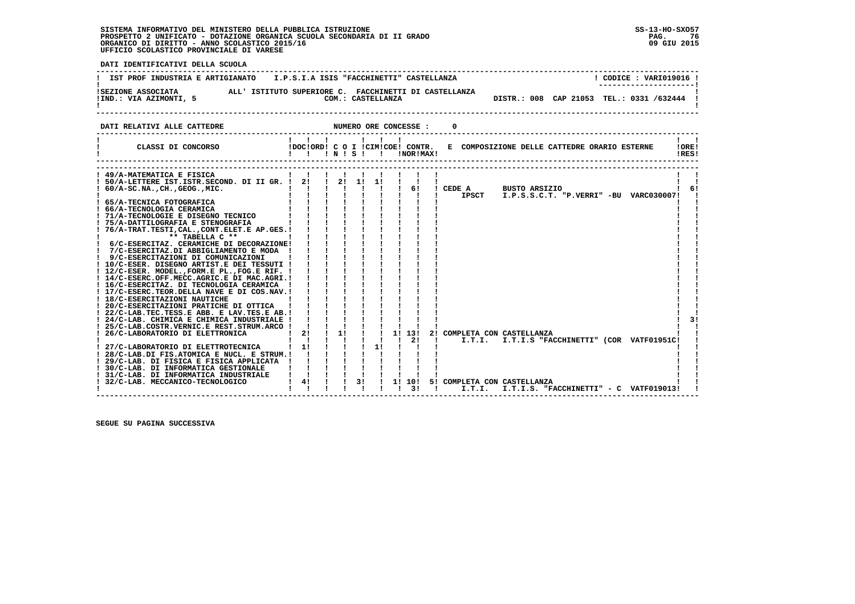76 09 GIU 2015

 **DATI IDENTIFICATIVI DELLA SCUOLA ------------------------------------------------------------------------------------------------------------------------------------**I CODICE . VARIO19016 I **!** IST PROF INDUSTRIA E ARTIGIANATO **I.P.S.I.A ISIS "FACCHINETTI" CASTELLANZA ! ---------------------! !SEZIONE ASSOCIATA ALL' ISTITUTO SUPERIORE C. FACCHINETTI DI CASTELLANZA ! !IND.: VIA AZIMONTI, 5 COM.: CASTELLANZA DISTR.: 008 CAP 21053 TEL.: 0331 /632444 ! ! ! ------------------------------------------------------------------------------------------------------------------------------------DATI RELATIVI ALLE CATTEDRE NUMERO ORE CONCESSE : 0 ------------------------------------------------------------------------------------------------------------------------------------ ! ! ! ! ! ! ! ! ! ! CLASSI DI CONCORSO !DOC!ORD! C O I !CIM!COE! CONTR. E COMPOSIZIONE DELLE CATTEDRE ORARIO ESTERNE !ORE! ! ! ! ! N ! S ! ! !NOR!MAX! !RES! ------------------------------------------------------------------------------------------------------------------------------------ ------------------------------------------------------------------------------------------------------------------------------------ ! 49/A-MATEMATICA E FISICA ! ! ! ! ! ! ! ! ! ! ! ! 50/A-LETTERE IST.ISTR.SECOND. DI II GR. ! 2! ! 2! 1! 1! ! ! ! ! ! ! 60/A-SC.NA.,CH.,GEOG.,MIC. ! ! ! ! ! ! ! 6! ! CEDE A BUSTO ARSIZIO ! 6! ! ! ! ! ! ! ! ! ! ! IPSCT I.P.S.S.C.T. "P.VERRI" -BU VARC030007! ! ! 65/A-TECNICA FOTOGRAFICA ! ! ! ! ! ! ! ! ! ! ! ! 66/A-TECNOLOGIA CERAMICA ! ! ! ! ! ! ! ! ! ! ! ! 71/A-TECNOLOGIE E DISEGNO TECNICO ! ! ! ! ! ! ! ! ! ! ! ! 75/A-DATTILOGRAFIA E STENOGRAFIA ! ! ! ! ! ! ! ! ! ! ! ! 76/A-TRAT.TESTI,CAL.,CONT.ELET.E AP.GES.! ! ! ! ! ! ! ! ! ! ! ! \*\* TABELLA C \*\* ! ! ! ! ! ! ! ! ! ! ! ! 6/C-ESERCITAZ. CERAMICHE DI DECORAZIONE! ! ! ! ! ! ! ! ! ! ! ! 7/C-ESERCITAZ.DI ABBIGLIAMENTO E MODA ! ! ! ! ! ! ! ! ! ! ! ! 9/C-ESERCITAZIONI DI COMUNICAZIONI ! ! ! ! ! ! ! ! ! ! ! ! 10/C-ESER. DISEGNO ARTIST.E DEI TESSUTI ! ! ! ! ! ! ! ! ! ! ! ! 12/C-ESER. MODEL.,FORM.E PL.,FOG.E RIF. ! ! ! ! ! ! ! ! ! ! ! ! 14/C-ESERC.OFF.MECC.AGRIC.E DI MAC.AGRI.! ! ! ! ! ! ! ! ! ! ! ! 16/C-ESERCITAZ. DI TECNOLOGIA CERAMICA ! ! ! ! ! ! ! ! ! ! ! ! 17/C-ESERC.TEOR.DELLA NAVE E DI COS.NAV.! ! ! ! ! ! ! ! ! ! ! ! 18/C-ESERCITAZIONI NAUTICHE ! ! ! ! ! ! ! ! ! ! ! ! 20/C-ESERCITAZIONI PRATICHE DI OTTICA ! ! ! ! ! ! ! ! ! ! ! ! 22/C-LAB.TEC.TESS.E ABB. E LAV.TES.E AB.! ! ! ! ! ! ! ! ! ! !** $-3!$  **! 24/C-LAB. CHIMICA E CHIMICA INDUSTRIALE ! ! ! ! ! ! ! ! ! ! 3! ! 25/C-LAB.COSTR.VERNIC.E REST.STRUM.ARCO ! ! ! ! ! ! ! ! ! ! ! ! 26/C-LABORATORIO DI ELETTRONICA ! 2! ! 1! ! ! 1! 13! 2! COMPLETA CON CASTELLANZA ! ! ! ! ! ! ! ! ! ! 2! ! I.T.I. I.T.I.S "FACCHINETTI" (COR VATF01951C! ! ! 27/C-LABORATORIO DI ELETTROTECNICA ! 1! ! ! ! 1! ! ! ! ! ! ! 28/C-LAB.DI FIS.ATOMICA E NUCL. E STRUM.! ! ! ! ! ! ! ! ! ! ! ! 29/C-LAB. DI FISICA E FISICA APPLICATA ! ! ! ! ! ! ! ! ! ! ! ! 30/C-LAB. DI INFORMATICA GESTIONALE ! ! ! ! ! ! ! ! ! ! ! ! 31/C-LAB. DI INFORMATICA INDUSTRIALE ! ! ! ! ! ! ! ! ! ! ! ! 32/C-LAB. MECCANICO-TECNOLOGICO ! 4! ! ! 3! ! 1! 10! 5! COMPLETA CON CASTELLANZA ! ! ! ! ! ! ! ! ! ! 3! ! I.T.I. I.T.I.S. "FACCHINETTI" - C VATF019013! ! ------------------------------------------------------------------------------------------------------------------------------------**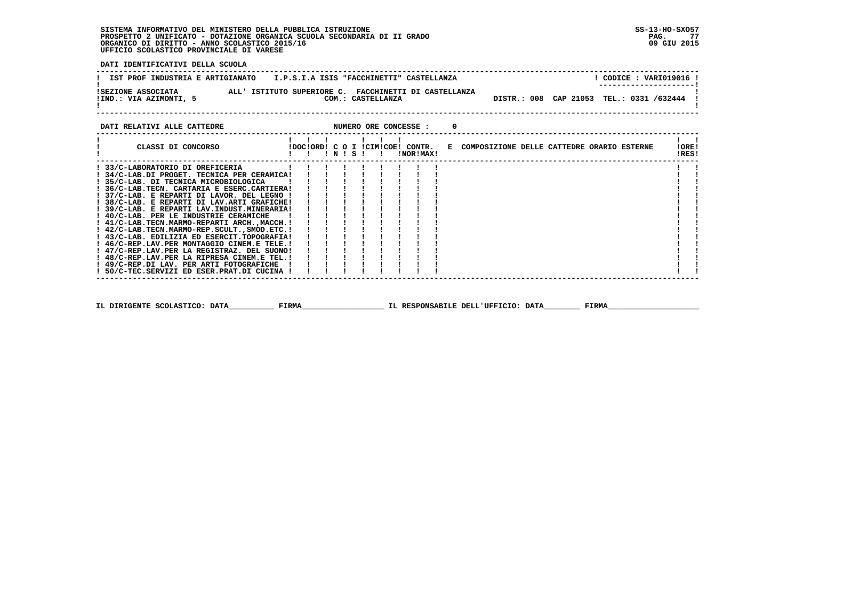- i  $\blacksquare$ 

 $\blacksquare$  $\overline{\phantom{a}}$ - i  $\overline{\phantom{a}}$  $\mathbf{I}$  $\blacksquare$  $1 \quad 1$ 

 **DATI IDENTIFICATIVI DELLA SCUOLA**

| IST PROF INDUSTRIA E ARTIGIANATO   I.P.S.I.A ISIS "FACCHINETTI" CASTELLANZA                                                                                                                                                                                                                                                                                    |  |  |       |                   |                                               |  |  |                                              |  | ! CODICE : VARI019016 !                  |  |
|----------------------------------------------------------------------------------------------------------------------------------------------------------------------------------------------------------------------------------------------------------------------------------------------------------------------------------------------------------------|--|--|-------|-------------------|-----------------------------------------------|--|--|----------------------------------------------|--|------------------------------------------|--|
| ALL' ISTITUTO SUPERIORE C. FACCHINETTI DI CASTELLANZA<br>ISEZIONE ASSOCIATA<br>!IND.: VIA AZIMONTI, 5                                                                                                                                                                                                                                                          |  |  |       | COM.: CASTELLANZA |                                               |  |  |                                              |  | DISTR.: 008 CAP 21053 TEL.: 0331 /632444 |  |
| DATI RELATIVI ALLE CATTEDRE                                                                                                                                                                                                                                                                                                                                    |  |  |       |                   | NUMERO ORE CONCESSE : 0                       |  |  |                                              |  |                                          |  |
| CLASSI DI CONCORSO                                                                                                                                                                                                                                                                                                                                             |  |  | INISI | $\mathbf{I}$      | IDOCIORDI C O I ICIMICOEI CONTR.<br>INORIMAXI |  |  | E COMPOSIZIONE DELLE CATTEDRE ORARIO ESTERNE |  | !ORE!<br>!RES!                           |  |
| ! 33/C-LABORATORIO DI OREFICERIA<br>! 34/C-LAB.DI PROGET. TECNICA PER CERAMICA!<br>! 35/C-LAB. DI TECNICA MICROBIOLOGICA<br>! 36/C-LAB.TECN. CARTARIA E ESERC.CARTIERA!<br>! 37/C-LAB. E REPARTI DI LAVOR. DEL LEGNO !<br>! 38/C-LAB. E REPARTI DI LAV.ARTI GRAFICHE!<br>! 39/C-LAB. E REPARTI LAV.INDUST.MINERARIA!<br>! 40/C-LAB. PER LE INDUSTRIE CERAMICHE |  |  |       |                   |                                               |  |  |                                              |  |                                          |  |

 **! 41/C-LAB.TECN.MARMO-REPARTI ARCH.,MACCH.! ! ! ! ! ! ! ! ! ! ! ! 42/C-LAB.TECN.MARMO-REP.SCULT.,SMOD.ETC.! ! ! ! ! ! ! ! ! ! ! ! 43/C-LAB. EDILIZIA ED ESERCIT.TOPOGRAFIA! ! ! ! ! ! ! ! ! ! ! ! 46/C-REP.LAV.PER MONTAGGIO CINEM.E TELE.! ! ! ! ! ! ! ! ! ! ! ! 47/C-REP.LAV.PER LA REGISTRAZ. DEL SUONO! ! ! ! ! ! ! ! ! ! ! ! 48/C-REP.LAV.PER LA RIPRESA CINEM.E TEL.! ! ! ! ! ! ! ! ! ! ! ! 49/C-REP.DI LAV. PER ARTI FOTOGRAFICHE ! ! ! ! ! ! ! ! ! ! !**

 **------------------------------------------------------------------------------------------------------------------------------------**

 **IL DIRIGENTE SCOLASTICO: DATA\_\_\_\_\_\_\_\_\_\_ FIRMA\_\_\_\_\_\_\_\_\_\_\_\_\_\_\_\_\_\_ IL RESPONSABILE DELL'UFFICIO: DATA\_\_\_\_\_\_\_\_ FIRMA\_\_\_\_\_\_\_\_\_\_\_\_\_\_\_\_\_\_\_\_**

 **! 50/C-TEC.SERVIZI ED ESER.PRAT.DI CUCINA ! ! ! ! ! ! ! ! ! ! !**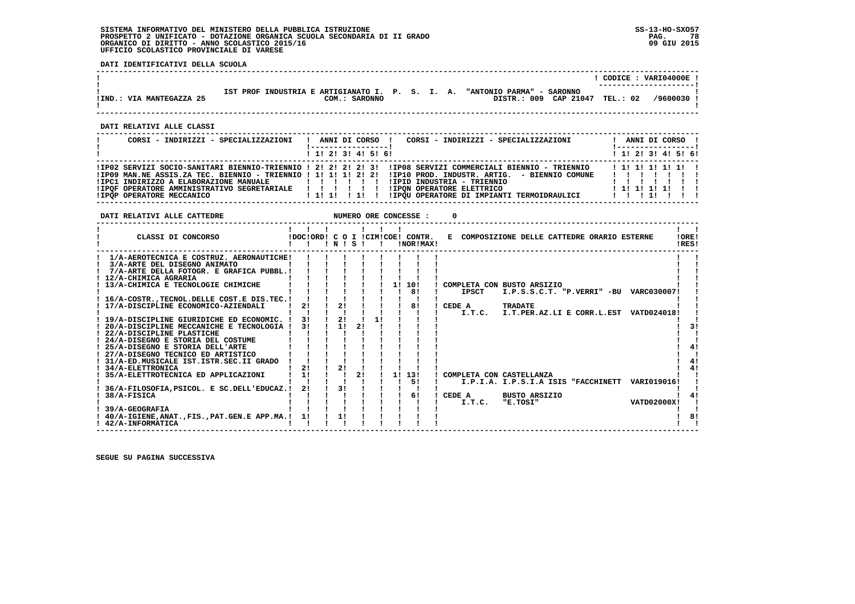**DATI IDENTIFICATIVI DELLA SCUOLA**

|                              |                                                                              | VART04000E<br>CODICE : |
|------------------------------|------------------------------------------------------------------------------|------------------------|
|                              | "ANTONIO PARMA" - SARONNO<br>IST PROF INDUSTRIA E ARTIGIANATO I. P. S. I. A. |                        |
| : VIA MANTEGAZZA 25<br>IIND. | DISTR.: 009<br>CAP 21047<br>COM.:<br><b>SARONNO</b>                          | TEL.: 02<br>/9600030   |
|                              |                                                                              |                        |

 **------------------------------------------------------------------------------------------------------------------------------------**

 **DATI RELATIVI ALLE CLASSI**

| CORSI - INDIRIZZI - SPECIALIZZAZIONI                                                                                                          |                         |  |  | CORSI - INDIRIZZI - SPECIALIZZAZIONI<br>ANNI DI CORSO !                                                                                                                                                                                                                                                                                                             |  |  | ANNI DI CORSO !<br>! -----------------! |  |
|-----------------------------------------------------------------------------------------------------------------------------------------------|-------------------------|--|--|---------------------------------------------------------------------------------------------------------------------------------------------------------------------------------------------------------------------------------------------------------------------------------------------------------------------------------------------------------------------|--|--|-----------------------------------------|--|
|                                                                                                                                               | $1$ , 1, 2, 3, 4, 5, 6, |  |  |                                                                                                                                                                                                                                                                                                                                                                     |  |  | 1 1 2 2 1 3 4 5 5 6 1                   |  |
| !IPC1 INDIRIZZO A ELABORAZIONE MANUALE   ! ! ! ! ! !<br>! IPOF OPERATORE AMMINISTRATIVO SEGRETARIALE            <br>IIPOP OPERATORE MECCANICO | ! 1! 1! ! 1! !          |  |  | IIPO2 SERVIZI SOCIO-SANITARI BIENNIO-TRIENNIO ! 2! 2! 2! 3! IIPO8 SERVIZI COMMERCIALI BIENNIO - TRIENNIO<br>1 1 1 1 1 1 1 1 1 1<br>IPO9 MAN.NE ASSIS.ZA TEC. BIENNIO - TRIENNIO ! 1! 1! 1! 2! 2! IIP10 PROD. INDUSTR. ARTIG. - BIENNIO COMUNE<br>.<br>!IPID INDUSTRIA - TRIENNIO<br><b>!IPON OPERATORE ELETTRICO</b><br>! IPOU OPERATORE DI IMPIANTI TERMOIDRAULICI |  |  | 1111111<br>$1$ 1! 1! 1! 1! 1            |  |

 **------------------------------------------------------------------------------------------------------------------------------------ DATI RELATIVI ALLE CATTEDRE NUMERO ORE CONCESSE : 0 ------------------------------------------------------------------------------------------------------------------------------------** $\mathbf{I}$   $\mathbf{I}$  **! ! ! ! ! ! ! ! !LORE!** CLASSI DI CONCORSO **8 100010RD! C O I !CIM!COE! CONTR.** E COMPOSIZIONE DELLE CATTEDRE ORARIO ESTERNE IRES!  **! ! ! ! N ! S ! ! !NOR!MAX! !RES! ------------------------------------------------------------------------------------------------------------------------------------ ! 1/A-AEROTECNICA E COSTRUZ. AERONAUTICHE! ! ! ! ! ! ! ! ! ! ! ! 3/A-ARTE DEL DISEGNO ANIMATO ! ! ! ! ! ! ! ! ! ! ! ! 7/A-ARTE DELLA FOTOGR. E GRAFICA PUBBL.! ! ! ! ! ! ! ! ! ! ! ! 12/A-CHIMICA AGRARIA ! ! ! ! ! ! ! ! ! ! ! ! 13/A-CHIMICA E TECNOLOGIE CHIMICHE ! ! ! ! ! ! 1! 10! ! COMPLETA CON BUSTO ARSIZIO ! ! ! ! ! ! ! ! ! ! 8! ! IPSCT I.P.S.S.C.T. "P.VERRI" -BU VARC030007! ! ! 16/A-COSTR.,TECNOL.DELLE COST.E DIS.TEC.! ! ! ! ! ! ! ! ! ! ! ! 17/A-DISCIPLINE ECONOMICO-AZIENDALI ! 2! ! 2! ! ! ! 8! ! CEDE A TRADATE ! ! ! ! ! ! ! ! ! ! ! ! I.T.C. I.T.PER.AZ.LI E CORR.L.EST VATD024018! !**- 1 - 1  $\mathbf{I}$  and  $\mathbf{I}$  $\mathbf{r}$  $\blacksquare$  $\blacksquare$  **! 19/A-DISCIPLINE GIURIDICHE ED ECONOMIC. ! 3! ! 2! ! 1! ! ! ! ! !** $-3!$  **! 19/A-DISCIPLINE MECCANICHE E TECNOLOGIA ! 3! ! 1! 2! ! ! ! ! ! ! !**  $\blacksquare$  **! 22/A-DISCIPLINE PLASTICHE ! ! ! ! ! ! ! ! ! ! ! ! 24/A-DISEGNO E STORIA DEL COSTUME ! ! ! ! ! ! ! ! ! ! !** $\blacksquare$  $4!$  **! 25/A-DISEGNO E STORIA DELL'ARTE ! ! ! ! ! ! ! ! ! ! 4! ! 27/A-DISEGNO TECNICO ED ARTISTICO ! ! ! ! ! ! ! ! ! ! !** $\blacksquare$  $1 \quad 41$  **! 31/A-ED.MUSICALE IST.ISTR.SEC.II GRADO ! ! ! ! ! ! ! ! ! ! 4! ! 34/A-ELETTRONICA ! 2! ! 2! ! ! ! ! ! ! 4! ! 35/A-ELETTROTECNICA ED APPLICAZIONI ! 1! ! ! 2! ! 1! 13! ! COMPLETA CON CASTELLANZA ! ! ! ! ! ! ! ! ! ! 5! ! I.P.I.A. I.P.S.I.A ISIS "FACCHINETT VARI019016! !** $1 \quad 41$  $\mathbf{r}$  $\mathbf{I}$  **! 36/A-FILOSOFIA,PSICOL. E SC.DELL'EDUCAZ.! 2! ! 3! ! ! ! ! ! ! !** $\sqrt{4}$  **! 38/A-FISICA ! ! ! ! ! ! ! 6! ! CEDE A BUSTO ARSIZIO ! 4! ! ! ! ! ! ! ! ! ! ! I.T.C. "E.TOSI" VATD02000X! !** $\mathbf{I}$  $\mathbf{I}$  **! 39/A-GEOGRAFIA ! ! ! ! ! ! ! ! ! ! !** $\frac{1}{8}$  **! 40/A-IGIENE,ANAT.,FIS.,PAT.GEN.E APP.MA.! 1! ! 1! ! ! ! ! ! ! 8!** $\mathbf{I}$  **! 42/A-INFORMATICA ! ! ! ! ! ! ! ! ! ! ! ------------------------------------------------------------------------------------------------------------------------------------**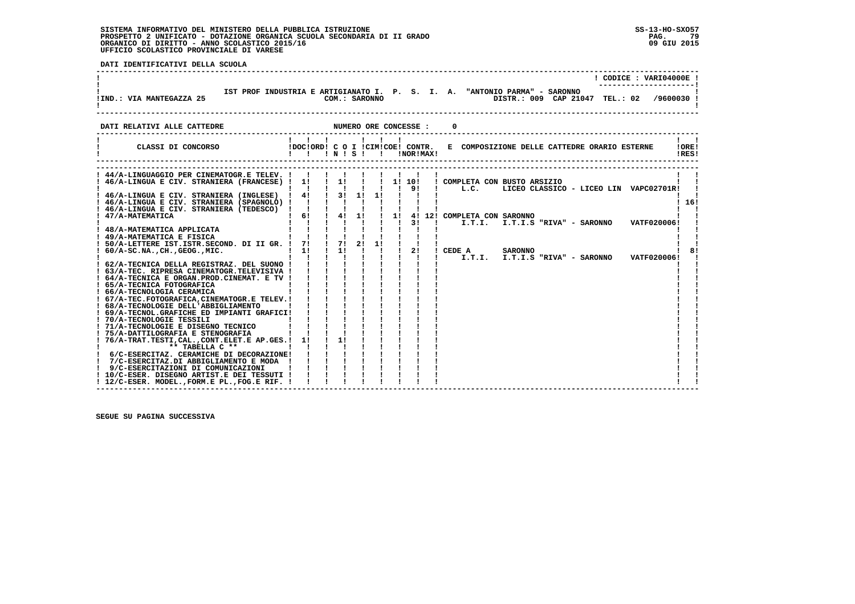**DATI IDENTIFICATIVI DELLA SCUOLA**

|                                                                                                                                                             |                                                                                                                               |                       |                                                     | $!$ CODICE : VARI04000E $!$                                                                                            |
|-------------------------------------------------------------------------------------------------------------------------------------------------------------|-------------------------------------------------------------------------------------------------------------------------------|-----------------------|-----------------------------------------------------|------------------------------------------------------------------------------------------------------------------------|
| <b>!IND.: VIA MANTEGAZZA 25</b>                                                                                                                             |                                                                                                                               | COM.: SARONNO         |                                                     | IST PROF INDUSTRIA E ARTIGIANATO I. P. S. I. A. "ANTONIO PARMA" - SARONNO<br>DISTR.: 009 CAP 21047 TEL.: 02 /9600030 ! |
| DATI RELATIVI ALLE CATTEDRE                                                                                                                                 |                                                                                                                               | NUMERO ORE CONCESSE : |                                                     |                                                                                                                        |
| CLASSI DI CONCORSO                                                                                                                                          | $1 \quad 1 \quad 1 \quad 1 \quad 1$<br>!DOC!ORD! C O I !CIM!COE! CONTR.                                                       |                       |                                                     | E COMPOSIZIONE DELLE CATTEDRE ORARIO ESTERNE<br>!ORE!<br>!RES!                                                         |
|                                                                                                                                                             |                                                                                                                               |                       |                                                     |                                                                                                                        |
|                                                                                                                                                             |                                                                                                                               |                       |                                                     |                                                                                                                        |
| ! 46/A-LINGUA E CIV. STRANIERA (SPAGNOLO) ! ! ! ! !                                                                                                         |                                                                                                                               |                       | $1 \quad 1 \quad 1$                                 | ! 16!                                                                                                                  |
| ! 46/A-LINGUA E CIV. STRANIERA (TEDESCO) ! ! ! !<br>! 47/A-MATEMATICA                                                                                       | $1 \t6! \t14! \t11$<br>1 1 1 1 1 1 1 31 1                                                                                     |                       |                                                     | ! 1! 4! 12! COMPLETA CON SARONNO<br>I.T.I. I.T.I.S "RIVA" - SARONNO VATF020006!                                        |
| ! 48/A-MATEMATICA APPLICATA<br>! 49/A-MATEMATICA E FISICA<br>! 50/A-LETTERE IST. ISTR. SECOND. DI II GR. ! 7! ! 7! 2! 1! ! ! !                              | $\frac{1}{2}$ $\frac{1}{2}$ $\frac{1}{2}$ $\frac{1}{2}$ $\frac{1}{2}$ $\frac{1}{2}$ $\frac{1}{2}$ $\frac{1}{2}$ $\frac{1}{2}$ |                       |                                                     |                                                                                                                        |
| $: 60/A-SC.NA.$ , $CH.$ , $GEOG.$ , $MIC.$                                                                                                                  | $1 \quad 1 \quad 1 \quad 1 \quad 1$                                                                                           |                       | $\mathbf{1}$ $\mathbf{1}$ $\mathbf{1}$ $\mathbf{1}$ | ! ! 2! ! CEDE A SARONNO<br>-81<br>I.T.I. I.T.I.S "RIVA" - SARONNO VATF020006!                                          |
| 1 62/A-TECNICA DELLA REGISTRAZ. DEL SUONO 1 1 1 1 1 1 1 1 1<br>! 63/A-TEC. RIPRESA CINEMATOGR.TELEVISIVA !<br>! 64/A-TECNICA E ORGAN. PROD. CINEMAT. E TV ! | i i i i                                                                                                                       |                       |                                                     |                                                                                                                        |
| ! 65/A-TECNICA FOTOGRAFICA<br>! 66/A-TECNOLOGIA CERAMICA                                                                                                    |                                                                                                                               |                       |                                                     |                                                                                                                        |
| ! 67/A-TEC.FOTOGRAFICA, CINEMATOGR.E TELEV. !<br>! 68/A-TECNOLOGIE DELL'ABBIGLIAMENTO<br>! 69/A-TECNOL.GRAFICHE ED IMPIANTI GRAFICI!                        | $\frac{1}{2}$ $\frac{1}{2}$ $\frac{1}{2}$ $\frac{1}{2}$                                                                       |                       |                                                     |                                                                                                                        |
| $TECNICO$ $ $ $ $ $ $ $ $ $ $<br>! 70/A-TECNOLOGIE TESSILI<br>! 71/A-TECNOLOGIE E DISEGNO TECNICO                                                           |                                                                                                                               |                       |                                                     |                                                                                                                        |
| ! 75/A-DATTILOGRAFIA E STENOGRAFIA<br>76/A-TRAT.TESTI, CAL., CONT.ELET.E AP.GES.! 1! ! 1!<br>** TABELLA C **                                                | $1 \quad 1 \quad 1 \quad 1$                                                                                                   |                       |                                                     |                                                                                                                        |
| ! 6/C-ESERCITAZ. CERAMICHE DI DECORAZIONE!<br>! 7/C-ESERCITAZ.DI ABBIGLIAMENTO E MODA !                                                                     | $\mathbf{I}$ and $\mathbf{I}$ and $\mathbf{I}$<br>$\mathbf{1}$ $\mathbf{1}$ $\mathbf{1}$ $\mathbf{1}$                         |                       |                                                     |                                                                                                                        |
| ! 9/C-ESERCITAZIONI DI COMUNICAZIONI<br>! 10/C-ESER. DISEGNO ARTIST.E DEI TESSUTI !<br>! 12/C-ESER. MODEL., FORM.E PL., FOG.E RIF. !                        | $\begin{array}{ccccccccccccccccccccc} & & & & & & 1 & & 1 & & 1 & & 1 & & 1 & & \end{array}$                                  |                       |                                                     |                                                                                                                        |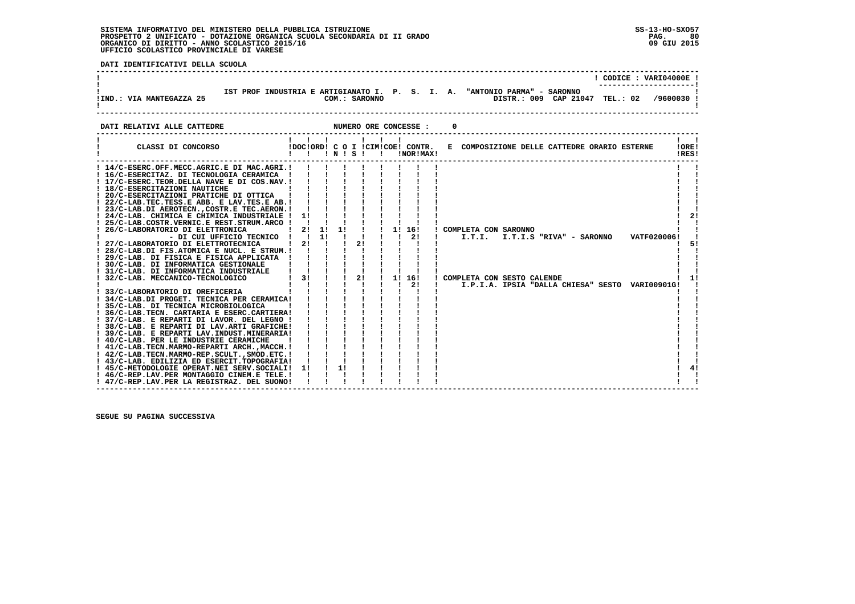י<br>ו

 **DATI IDENTIFICATIVI DELLA SCUOLA**

|                          |  |  |               |  |  |                                                                                                             | CODICE: VARI04000E! |            |  |
|--------------------------|--|--|---------------|--|--|-------------------------------------------------------------------------------------------------------------|---------------------|------------|--|
| !IND.: VIA MANTEGAZZA 25 |  |  | COM.: SARONNO |  |  | IST PROF INDUSTRIA E ARTIGIANATO I. P. S. I. A. "ANTONIO PARMA" - SARONNO<br>DISTR.: 009 CAP 21047 TEL.: 02 |                     | /9600030 ! |  |
|                          |  |  |               |  |  |                                                                                                             |                     |            |  |

**DATI RELATIVI ALLE CATTEDRE CONCESSE : 0** 

| CLASSI DI CONCORSO                                                                  |              | $\mathbf{1}$ $\mathbf{1}$ | $\blacksquare$ $\blacksquare$ $\blacksquare$ $\blacksquare$ $\blacksquare$ $\blacksquare$ $\blacksquare$ $\blacksquare$ $\blacksquare$ $\blacksquare$ |              |    | $\mathbf{1}$ $\mathbf{1}$ $\mathbf{1}$<br>$\mathbf{I}$ |              | !DOC!ORD! C O I !CIM!COE! CONTR.<br>!NOR!MAX! | E COMPOSIZIONE DELLE CATTEDRE ORARIO ESTERNE    | !ORE!<br>!RES! |    |
|-------------------------------------------------------------------------------------|--------------|---------------------------|-------------------------------------------------------------------------------------------------------------------------------------------------------|--------------|----|--------------------------------------------------------|--------------|-----------------------------------------------|-------------------------------------------------|----------------|----|
| ! 14/C-ESERC.OFF.MECC.AGRIC.E DI MAC.AGRI.!                                         |              |                           |                                                                                                                                                       |              |    |                                                        |              |                                               |                                                 |                |    |
| ! 16/C-ESERCITAZ. DI TECNOLOGIA CERAMICA !                                          |              |                           |                                                                                                                                                       |              |    |                                                        |              |                                               |                                                 |                |    |
| ! 17/C-ESERC.TEOR.DELLA NAVE E DI COS.NAV.!                                         |              |                           |                                                                                                                                                       |              |    |                                                        |              |                                               |                                                 |                |    |
| ! 18/C-ESERCITAZIONI NAUTICHE                                                       |              |                           |                                                                                                                                                       |              |    |                                                        |              |                                               |                                                 |                |    |
| ! 20/C-ESERCITAZIONI PRATICHE DI OTTICA                                             |              |                           |                                                                                                                                                       |              |    |                                                        |              |                                               |                                                 |                |    |
| ! 22/C-LAB.TEC.TESS.E ABB. E LAV.TES.E AB.!                                         |              |                           |                                                                                                                                                       |              |    |                                                        |              |                                               |                                                 |                |    |
| ! 23/C-LAB.DI AEROTECN., COSTR.E TEC.AERON.!                                        |              |                           |                                                                                                                                                       |              |    |                                                        |              |                                               |                                                 |                |    |
| ! 24/C-LAB. CHIMICA E CHIMICA INDUSTRIALE !                                         | 1!           |                           |                                                                                                                                                       |              |    |                                                        |              |                                               |                                                 |                | 21 |
| ! 25/C-LAB.COSTR.VERNIC.E REST.STRUM.ARCO !                                         |              |                           |                                                                                                                                                       |              |    |                                                        |              |                                               |                                                 |                |    |
| 26/C-LABORATORIO DI ELETTRONICA                                                     | 21           | 11                        | 1!                                                                                                                                                    |              |    |                                                        |              | 1! 16!                                        | ! COMPLETA CON SARONNO                          |                |    |
| - DI CUI UFFICIO TECNICO !                                                          | $\mathbf{I}$ | 11<br>$\mathbf{I}$        |                                                                                                                                                       |              | 21 |                                                        | $\mathbf{I}$ | 21                                            | I.T.I. I.T.I.S "RIVA" - SARONNO<br>VATF020006!  |                |    |
| ! 27/C-LABORATORIO DI ELETTROTECNICA<br>! 28/C-LAB.DI FIS.ATOMICA E NUCL. E STRUM.! | -21          |                           |                                                                                                                                                       |              |    |                                                        |              |                                               |                                                 |                | 51 |
| ! 29/C-LAB. DI FISICA E FISICA APPLICATA !                                          |              |                           |                                                                                                                                                       |              |    |                                                        |              |                                               |                                                 |                |    |
| ! 30/C-LAB. DI INFORMATICA GESTIONALE                                               |              |                           |                                                                                                                                                       |              |    |                                                        |              |                                               |                                                 |                |    |
| ! 31/C-LAB. DI INFORMATICA INDUSTRIALE                                              |              |                           |                                                                                                                                                       |              |    |                                                        |              |                                               |                                                 |                |    |
| ! 32/C-LAB. MECCANICO-TECNOLOGICO                                                   | 31           |                           |                                                                                                                                                       | $\mathbf{I}$ | 2! |                                                        |              | 1! 16!                                        | ! COMPLETA CON SESTO CALENDE                    |                |    |
|                                                                                     |              |                           |                                                                                                                                                       |              |    |                                                        |              | 2!                                            | I.P.I.A. IPSIA "DALLA CHIESA" SESTO VARI00901G! |                |    |
| ! 33/C-LABORATORIO DI OREFICERIA                                                    |              |                           |                                                                                                                                                       |              |    |                                                        |              |                                               |                                                 |                |    |
| ! 34/C-LAB.DI PROGET. TECNICA PER CERAMICA!                                         |              |                           |                                                                                                                                                       |              |    |                                                        |              |                                               |                                                 |                |    |
| ! 35/C-LAB. DI TECNICA MICROBIOLOGICA                                               |              |                           |                                                                                                                                                       |              |    |                                                        |              |                                               |                                                 |                |    |
| ! 36/C-LAB.TECN. CARTARIA E ESERC.CARTIERA!                                         |              |                           |                                                                                                                                                       |              |    |                                                        |              |                                               |                                                 |                |    |
| ! 37/C-LAB. E REPARTI DI LAVOR. DEL LEGNO !                                         |              |                           |                                                                                                                                                       |              |    |                                                        |              |                                               |                                                 |                |    |
| ! 38/C-LAB. E REPARTI DI LAV.ARTI GRAFICHE!                                         |              |                           |                                                                                                                                                       |              |    |                                                        |              |                                               |                                                 |                |    |
| ! 39/C-LAB. E REPARTI LAV.INDUST.MINERARIA!                                         |              |                           |                                                                                                                                                       |              |    |                                                        |              |                                               |                                                 |                |    |
| ! 40/C-LAB. PER LE INDUSTRIE CERAMICHE                                              |              |                           |                                                                                                                                                       |              |    |                                                        |              |                                               |                                                 |                |    |
| ! 41/C-LAB.TECN.MARMO-REPARTI ARCH.,MACCH.!                                         |              |                           |                                                                                                                                                       |              |    |                                                        |              |                                               |                                                 |                |    |
| ! 42/C-LAB.TECN.MARMO-REP.SCULT., SMOD.ETC. !                                       |              |                           |                                                                                                                                                       |              |    |                                                        |              |                                               |                                                 |                |    |
| ! 43/C-LAB. EDILIZIA ED ESERCIT.TOPOGRAFIA!                                         |              |                           |                                                                                                                                                       |              |    |                                                        |              |                                               |                                                 |                |    |
| ! 45/C-METODOLOGIE OPERAT.NEI SERV.SOCIALI!                                         | 11           |                           | 1!                                                                                                                                                    |              |    |                                                        |              |                                               |                                                 |                |    |
| ! 46/C-REP.LAV.PER MONTAGGIO CINEM.E TELE. !                                        |              |                           |                                                                                                                                                       |              |    |                                                        |              |                                               |                                                 |                |    |
| ! 47/C-REP.LAV.PER LA REGISTRAZ. DEL SUONO!                                         |              |                           |                                                                                                                                                       |              |    |                                                        |              |                                               |                                                 |                |    |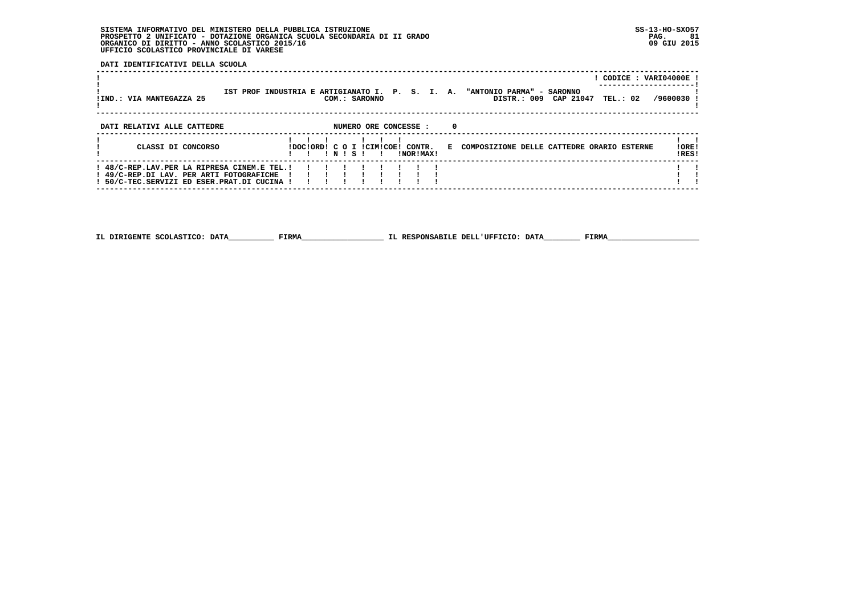**DATI IDENTIFICATIVI DELLA SCUOLA**

| !IND.: VIA MANTEGAZZA 25                                                                                                               |                                  |       | COM.: SARONNO |                       |   | IST PROF INDUSTRIA E ARTIGIANATO I. P. S. I. A. "ANTONIO PARMA" - SARONNO<br>DISTR.: 009 CAP 21047 TEL.: 02 |  | ! CODICE : VARI04000E !<br>/9600030 |
|----------------------------------------------------------------------------------------------------------------------------------------|----------------------------------|-------|---------------|-----------------------|---|-------------------------------------------------------------------------------------------------------------|--|-------------------------------------|
| DATI RELATIVI ALLE CATTEDRE                                                                                                            |                                  |       |               | NUMERO ORE CONCESSE : | 0 |                                                                                                             |  |                                     |
| CLASSI DI CONCORSO                                                                                                                     | IDOCIORDI C O I ICIMICOEI CONTR. | INISI |               | !NOR!MAX!             |   | E COMPOSIZIONE DELLE CATTEDRE ORARIO ESTERNE                                                                |  | ! ORE!<br>IRES!                     |
| ! 48/C-REP.LAV.PER LA RIPRESA CINEM.E TEL.!<br>! 49/C-REP.DI LAV. PER ARTI FOTOGRAFICHE<br>! 50/C-TEC.SERVIZI ED ESER.PRAT.DI CUCINA ! |                                  |       |               |                       |   |                                                                                                             |  |                                     |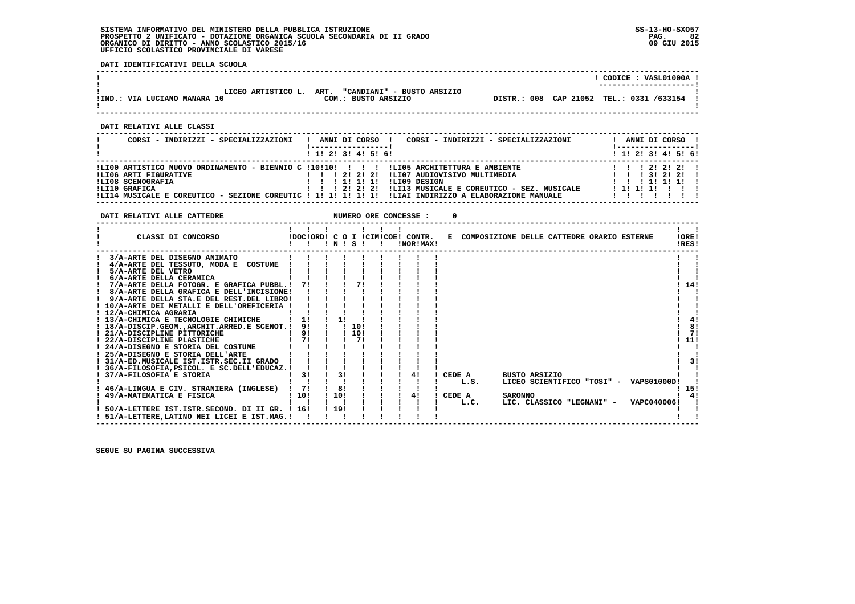**DATI IDENTIFICATIVI DELLA SCUOLA**

|                                                                                                                                                                                                                                                                                                                                                                                                                                                                                                                                                                                                                                                                                                                                                                                                                                                                                                                                                                                                                                                                                                                                   |                                                                                                                                                                                                                        | ! CODICE : VASL01000A !                                                                                                  |
|-----------------------------------------------------------------------------------------------------------------------------------------------------------------------------------------------------------------------------------------------------------------------------------------------------------------------------------------------------------------------------------------------------------------------------------------------------------------------------------------------------------------------------------------------------------------------------------------------------------------------------------------------------------------------------------------------------------------------------------------------------------------------------------------------------------------------------------------------------------------------------------------------------------------------------------------------------------------------------------------------------------------------------------------------------------------------------------------------------------------------------------|------------------------------------------------------------------------------------------------------------------------------------------------------------------------------------------------------------------------|--------------------------------------------------------------------------------------------------------------------------|
|                                                                                                                                                                                                                                                                                                                                                                                                                                                                                                                                                                                                                                                                                                                                                                                                                                                                                                                                                                                                                                                                                                                                   | IND.: VIA LUCIANO MANARA 10<br>1931-154 COM.: BUSTO ARSIZIO DISTR.: 008 CAP 21052 TEL.: 0331<br>1                                                                                                                      |                                                                                                                          |
| DATI RELATIVI ALLE CLASSI                                                                                                                                                                                                                                                                                                                                                                                                                                                                                                                                                                                                                                                                                                                                                                                                                                                                                                                                                                                                                                                                                                         |                                                                                                                                                                                                                        |                                                                                                                          |
|                                                                                                                                                                                                                                                                                                                                                                                                                                                                                                                                                                                                                                                                                                                                                                                                                                                                                                                                                                                                                                                                                                                                   | CORSI - INDIRIZZI - SPECIALIZZAZIONI   ANNI DI CORSO   CORSI - INDIRIZZI - SPECIALIZZAZIONI<br><u>  ------------------</u>  <br>1 1! 2! 3! 4! 5! 6!                                                                    | ! ANNI DI CORSO !<br>1 1 2 3 3 4 5 5 6                                                                                   |
|                                                                                                                                                                                                                                                                                                                                                                                                                                                                                                                                                                                                                                                                                                                                                                                                                                                                                                                                                                                                                                                                                                                                   |                                                                                                                                                                                                                        |                                                                                                                          |
|                                                                                                                                                                                                                                                                                                                                                                                                                                                                                                                                                                                                                                                                                                                                                                                                                                                                                                                                                                                                                                                                                                                                   |                                                                                                                                                                                                                        |                                                                                                                          |
|                                                                                                                                                                                                                                                                                                                                                                                                                                                                                                                                                                                                                                                                                                                                                                                                                                                                                                                                                                                                                                                                                                                                   |                                                                                                                                                                                                                        | $\mathbf{1}$ $\mathbf{1}$<br>! ORE!<br>IRES!                                                                             |
| 3/A-ARTE DEL DISEGNO ANIMATO 1111<br>$1 \quad 4/A$ -ARTE DEL TESSUTO, MODA E COSTUME $1 \quad 1 \quad 1 \quad 1 \quad 1$<br>! 7/A-ARTE DELLA FOTOGR. E GRAFICA PUBBL.! 7! ! ! 7! ! ! ! !<br>! 8/A-ARTE DELLA GRAFICA E DELL'INCISIONE! ! ! ! !<br>! 9/A-ARTE DELLA STA.E DEL REST.DEL LIBRO! ! ! ! !<br>$\begin{tabular}{l c c c c c c c c} \hline 1 0/A-ARTE DET METALLI & E DELL'OREFICERIA & 1 & 1 & 1 \\ \hline 1 12/A-CHIMICA AGRRRIA & 1 & 1 & 1 \\ \hline 1 3/A-CHIMICA & 1 & 1 & 1 \\ \hline \end{tabular}$<br>! 18/A-DISCIP.GEOM., ARCHIT. ARRED. E SCENOT. ! 9! ! ! 10!<br>1 21/A-DISCIPLINE PITORICHE<br>1 22/A-DISCIPLINE PLASTICHE<br>1 24/A-DISCIPLINE PLASTICHE<br>1 24/A-DISEGNO E STORIA DELL'ARTE<br>1 25/A-DISEGNO E STORIA DELL'ARTE<br>1 1 1 1 1<br>! 31/A-ED.MUSICALE IST.ISTR.SEC.II GRADO ! ! ! ! !<br>! 36/A-FILOSOFIA, PSICOL. E SC. DELL'EDUCAZ. ! ! ! ! !<br>46/A-LINGUA E CIV. STRANIERA (INGLESE) ! 7! ! 8! ! ! ! ! ! !<br>$\frac{1}{1}$ 49/A-MATEMATICA E FISICA $\frac{1}{1}$ 10!<br>50/A-LETTERE IST. ISTR. SECOND. DI II GR. ! 16! ! 19!<br>! 51/A-LETTERE, LATINO NEI LICEI E IST. MAG.! ! ! ! | BUSTO ARSIZIO<br>L.S.<br>$\frac{1}{2}$ 10! $\frac{1}{2}$ $\frac{1}{2}$ $\frac{1}{2}$ $\frac{4}{2}$ $\frac{1}{2}$ CEDE A<br><b>SARONNO</b><br>$1 \quad 1 \quad 1 \quad 1$ L.C.<br>LIC. CLASSICO "LEGNANI" - VAPC040006! | 1141<br>4!<br>! 8!<br>$1 \quad 71$<br>! 11!<br>-3 I<br>LICEO SCIENTIFICO "TOSI" - VAPS01000D! !<br>! 15!<br>$1 \quad 41$ |

 **------------------------------------------------------------------------------------------------------------------------------------**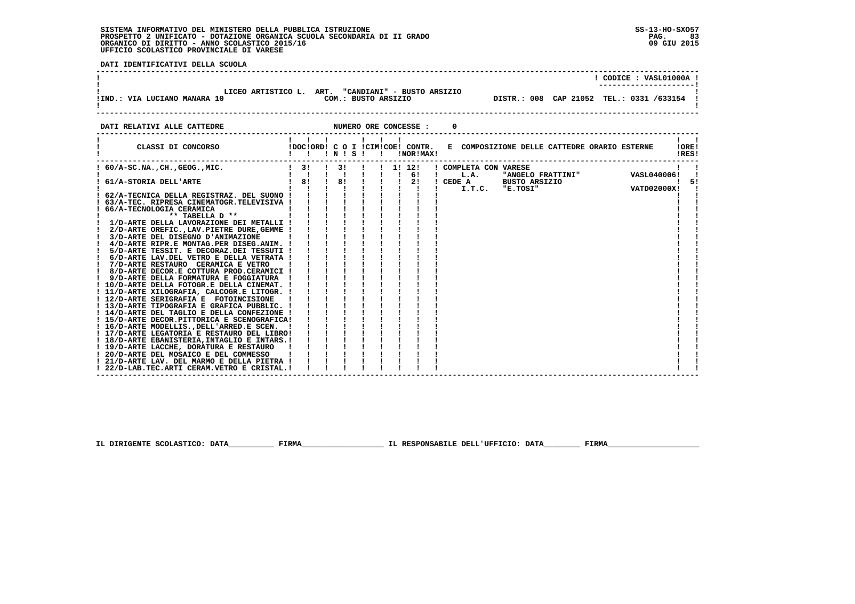i

 **DATI IDENTIFICATIVI DELLA SCUOLA**

|                                                                                                                                                                                                                                                                                                                                                      |                                                                 |  |  |  |  |  | $!$ CODICE : VASL01000A $!$ |                 |
|------------------------------------------------------------------------------------------------------------------------------------------------------------------------------------------------------------------------------------------------------------------------------------------------------------------------------------------------------|-----------------------------------------------------------------|--|--|--|--|--|-----------------------------|-----------------|
| LICEO ARTISTICO L. ART. "CANDIANI" - BUSTO ARSIZIO<br>COM.: BUSTO ARSIZIO <b>DISTR.: 008</b> CAP 21052 TEL.: 0331 /633154 1<br>!IND.: VIA LUCIANO MANARA 10                                                                                                                                                                                          |                                                                 |  |  |  |  |  |                             |                 |
| DATI RELATIVI ALLE CATTEDRE                                                                                                                                                                                                                                                                                                                          |                                                                 |  |  |  |  |  |                             |                 |
| CLASSI DI CONCORSO (100 I DOCIORDI CONTRIGORI CONTR. E COMPOSIZIONE DELLE CATTEDRE ORARIO ESTERNE                                                                                                                                                                                                                                                    |                                                                 |  |  |  |  |  |                             | ! ORE!<br>!RES! |
|                                                                                                                                                                                                                                                                                                                                                      |                                                                 |  |  |  |  |  |                             |                 |
|                                                                                                                                                                                                                                                                                                                                                      |                                                                 |  |  |  |  |  |                             |                 |
| $\frac{1}{2}$ /D-ARTE DELLA LAVORAZIONE DEI METALLI ! ! ! ! ! ! ! ! ! !<br>! 2/D-ARTE OREFIC., LAV. PIETRE DURE, GEMME ! ! ! ! !<br>! 3/D-ARTE DEL DISEGNO D'ANIMAZIONE<br>$\frac{1}{2}$ 4/D-ARTE RIPR.E MONTAG.PER DISEG.ANIM. $\frac{1}{2}$ $\frac{1}{2}$ $\frac{1}{2}$ $\frac{1}{2}$ $\frac{1}{2}$<br>! 14/D-ARTE DEL TAGLIO E DELLA CONFEZIONE ! | $\mathbf{I}$ and $\mathbf{I}$ and $\mathbf{I}$ and $\mathbf{I}$ |  |  |  |  |  |                             |                 |
|                                                                                                                                                                                                                                                                                                                                                      |                                                                 |  |  |  |  |  |                             |                 |
| ! 22/D-LAB.TEC.ARTI CERAM.VETRO E CRISTAL.!                                                                                                                                                                                                                                                                                                          |                                                                 |  |  |  |  |  |                             |                 |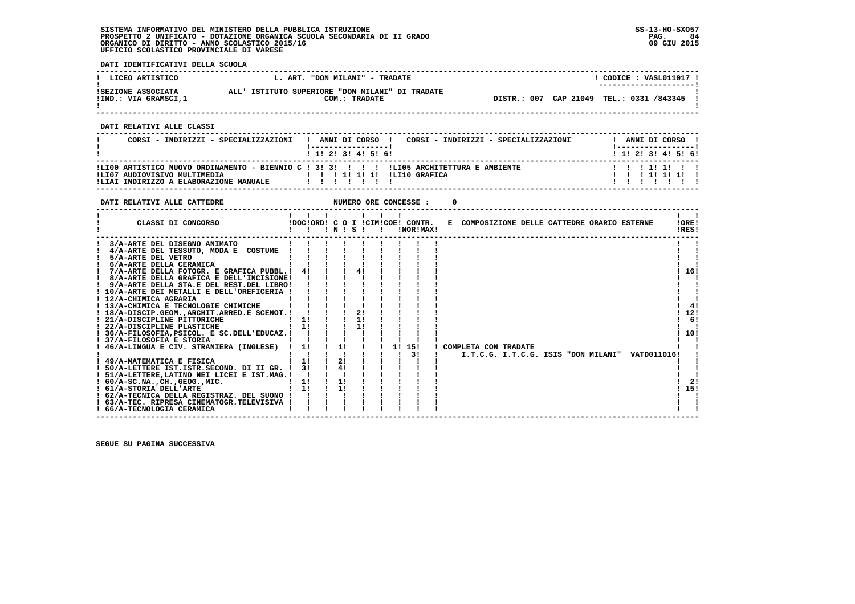**DATI IDENTIFICATIVI DELLA SCUOLA**

| ! LICEO ARTISTICO                          | L. ART. "DON MILANI" - TRADATE                                   | CODICE: VASL011017 !<br>---------------------- |
|--------------------------------------------|------------------------------------------------------------------|------------------------------------------------|
| ISEZIONE ASSOCIATA<br>!IND.: VIA GRAMSCI,1 | ALL' ISTITUTO SUPERIORE "DON MILANI" DI TRADATE<br>COM.: TRADATE | DISTR.: 007 CAP 21049 TEL.: 0331 /843345       |

 **------------------------------------------------------------------------------------------------------------------------------------**

 **DATI RELATIVI ALLE CLASSI**

| CORSI - INDIRIZZI - SPECIALIZZAZIONI                                   | ANNI DI CORSO<br>CORSI - INDIRIZZI - SPECIALIZZAZIONI<br>1 1 1 2 1 3 1 4 1 5 1 6 1                         | ANNI DI CORSO<br>1 1 2 3 3 4 5 6 1 |
|------------------------------------------------------------------------|------------------------------------------------------------------------------------------------------------|------------------------------------|
| ILI07 AUDIOVISIVO MULTIMEDIA<br>!LIAI INDIRIZZO A ELABORAZIONE MANUALE | ILI00 ARTISTICO NUOVO ORDINAMENTO - BIENNIO C ! 3! 3! ! ! ! !LI05 ARCHITETTURA E AMBIENTE<br>ILTIO GRAFTCA | 11111111<br>111111                 |

| DATI RELATIVI ALLE CATTEDRE                                                                         |              |    |    |       | NUMERO ORE CONCESSE : |                                                                               |  |  |                |
|-----------------------------------------------------------------------------------------------------|--------------|----|----|-------|-----------------------|-------------------------------------------------------------------------------|--|--|----------------|
| CLASSI DI CONCORSO                                                                                  | !!!!!!!      |    |    | INISI | !NOR!MAX!             | !DOC!ORD! C O I !CIM!COE! CONTR. E COMPOSIZIONE DELLE CATTEDRE ORARIO ESTERNE |  |  | !ORE!<br>!RES! |
| 3/A-ARTE DEL DISEGNO ANIMATO                                                                        |              |    |    |       |                       |                                                                               |  |  |                |
| 4/A-ARTE DEL TESSUTO, MODA E COSTUME                                                                |              |    |    |       |                       |                                                                               |  |  |                |
| 5/A-ARTE DEL VETRO                                                                                  |              |    |    |       |                       |                                                                               |  |  |                |
| 6/A-ARTE DELLA CERAMICA                                                                             |              |    |    |       |                       |                                                                               |  |  |                |
| 7/A-ARTE DELLA FOTOGR. E GRAFICA PUBBL.! 4!                                                         |              |    |    |       |                       |                                                                               |  |  | 16!            |
| ! 8/A-ARTE DELLA GRAFICA E DELL'INCISIONE!                                                          |              |    |    |       |                       |                                                                               |  |  |                |
| ! 9/A-ARTE DELLA STA.E DEL REST.DEL LIBRO!                                                          |              |    |    |       |                       |                                                                               |  |  |                |
| ! 10/A-ARTE DEI METALLI E DELL'OREFICERIA !                                                         |              |    |    |       |                       |                                                                               |  |  |                |
| ! 12/A-CHIMICA AGRARIA                                                                              |              |    |    |       |                       |                                                                               |  |  |                |
| ! 13/A-CHIMICA E TECNOLOGIE CHIMICHE                                                                |              |    |    |       |                       |                                                                               |  |  | 41             |
| ! 18/A-DISCIP.GEOM., ARCHIT. ARRED. E SCENOT. !                                                     |              |    |    |       |                       |                                                                               |  |  | 12!            |
| ! 21/A-DISCIPLINE PITTORICHE<br>: <i>2</i> 1/A-DISCIPLINE PITTORICHE<br>! 22/A-DISCIPLINE PLASTICHE | 11           |    |    | 11    |                       |                                                                               |  |  | 6!             |
|                                                                                                     | $1 \quad 11$ |    |    | 11    |                       |                                                                               |  |  |                |
| ! 36/A-FILOSOFIA, PSICOL. E SC.DELL'EDUCAZ.!                                                        |              |    |    |       |                       |                                                                               |  |  | 10!            |
| ! 37/A-FILOSOFIA E STORIA                                                                           |              | 1! |    |       |                       |                                                                               |  |  |                |
| ! 46/A-LINGUA E CIV. STRANIERA (INGLESE) ! 1!                                                       |              |    |    |       | 1! 15!<br>31          | ! COMPLETA CON TRADATE<br>I.T.C.G. I.T.C.G. ISIS "DON MILANI" VATD011016!     |  |  |                |
| ! 49/A-MATEMATICA E FISICA                                                                          | ! 1!         |    | 2! |       |                       |                                                                               |  |  |                |
| ! 50/A-LETTERE IST.ISTR.SECOND. DI II GR. ! 3!                                                      |              |    | 4! |       |                       |                                                                               |  |  |                |
| ! 51/A-LETTERE, LATINO NEI LICEI E IST.MAG.!                                                        |              |    |    |       |                       |                                                                               |  |  |                |
| $: 60/A-SC.NA.$ , $CH.$ , $GEOG.$ , $MIC.$                                                          | 11           |    | 1! |       |                       |                                                                               |  |  | 21             |
| ! 61/A-STORIA DELL'ARTE                                                                             | $1 \quad 11$ |    | 11 |       |                       |                                                                               |  |  | 15!            |
| ! 62/A-TECNICA DELLA REGISTRAZ. DEL SUONO !                                                         |              |    |    |       |                       |                                                                               |  |  |                |
| ! 63/A-TEC. RIPRESA CINEMATOGR.TELEVISIVA !                                                         |              |    |    |       |                       |                                                                               |  |  |                |
| ! 66/A-TECNOLOGIA CERAMICA                                                                          |              |    |    |       |                       |                                                                               |  |  |                |
|                                                                                                     |              |    |    |       |                       |                                                                               |  |  |                |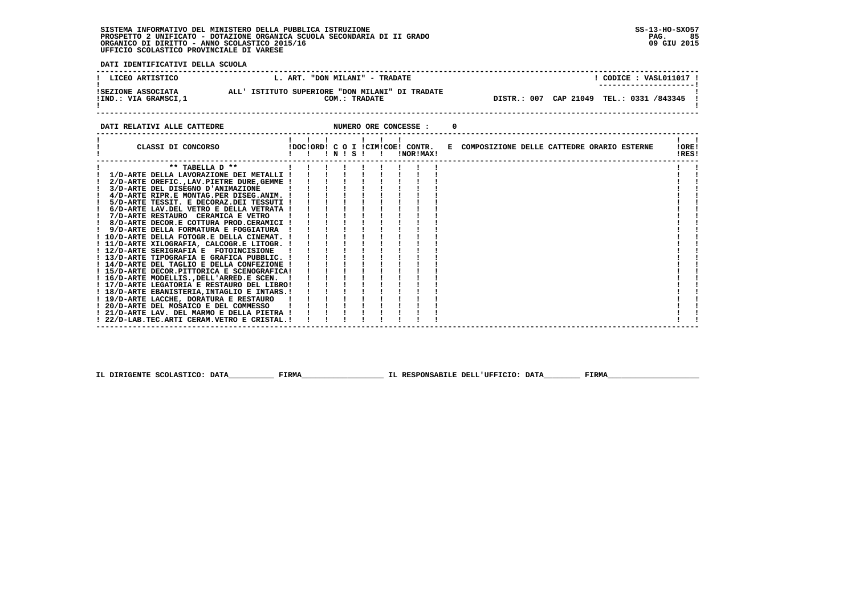**DATI IDENTIFICATIVI DELLA SCUOLA**

| LICEO ARTISTICO                            | "DON MILANI" - TRADATE<br>L. ART.                                | CODICE: VASL011017 !<br>---------------------- |
|--------------------------------------------|------------------------------------------------------------------|------------------------------------------------|
| ISEZIONE ASSOCIATA<br>!IND.: VIA GRAMSCI,1 | ALL' ISTITUTO SUPERIORE "DON MILANI" DI TRADATE<br>COM.: TRADATE | DISTR.: 007 CAP 21049 TEL.: 0331 /843345       |

**DATI RELATIVI ALLE CATTEDRE CONCESSE : 0** 

| CLASSI DI CONCORSO                           |  | ! N ! S ! |  | !NOR!MAX! |  | !DOC!ORD! C O I !CIM!COE! CONTR. E COMPOSIZIONE DELLE CATTEDRE ORARIO ESTERNE |  |  | !ORE!<br>!RES! |  |
|----------------------------------------------|--|-----------|--|-----------|--|-------------------------------------------------------------------------------|--|--|----------------|--|
| ** TABELLA D **                              |  |           |  |           |  |                                                                               |  |  |                |  |
| 1/D-ARTE DELLA LAVORAZIONE DEI METALLI !     |  |           |  |           |  |                                                                               |  |  |                |  |
| 2/D-ARTE OREFIC., LAV. PIETRE DURE, GEMME !  |  |           |  |           |  |                                                                               |  |  |                |  |
| 3/D-ARTE DEL DISEGNO D'ANIMAZIONE            |  |           |  |           |  |                                                                               |  |  |                |  |
| 4/D-ARTE RIPR.E MONTAG.PER DISEG.ANIM.       |  |           |  |           |  |                                                                               |  |  |                |  |
| 5/D-ARTE TESSIT. E DECORAZ.DEI TESSUTI !     |  |           |  |           |  |                                                                               |  |  |                |  |
| 6/D-ARTE LAV.DEL VETRO E DELLA VETRATA !     |  |           |  |           |  |                                                                               |  |  |                |  |
| 7/D-ARTE RESTAURO CERAMICA E VETRO           |  |           |  |           |  |                                                                               |  |  |                |  |
| 8/D-ARTE DECOR.E COTTURA PROD.CERAMICI !     |  |           |  |           |  |                                                                               |  |  |                |  |
| 9/D-ARTE DELLA FORMATURA E FOGGIATURA        |  |           |  |           |  |                                                                               |  |  |                |  |
| ! 10/D-ARTE DELLA FOTOGR.E DELLA CINEMAT. !  |  |           |  |           |  |                                                                               |  |  |                |  |
| ! 11/D-ARTE XILOGRAFIA, CALCOGR.E LITOGR. !  |  |           |  |           |  |                                                                               |  |  |                |  |
| ! 12/D-ARTE SERIGRAFIA E FOTOINCISIONE       |  |           |  |           |  |                                                                               |  |  |                |  |
| ! 13/D-ARTE TIPOGRAFIA E GRAFICA PUBBLIC. !  |  |           |  |           |  |                                                                               |  |  |                |  |
| 14/D-ARTE DEL TAGLIO E DELLA CONFEZIONE !    |  |           |  |           |  |                                                                               |  |  |                |  |
| ! 15/D-ARTE DECOR.PITTORICA E SCENOGRAFICA!  |  |           |  |           |  |                                                                               |  |  |                |  |
| ! 16/D-ARTE MODELLIS., DELL'ARRED.E SCEN.    |  |           |  |           |  |                                                                               |  |  |                |  |
| ! 17/D-ARTE LEGATORIA E RESTAURO DEL LIBRO!  |  |           |  |           |  |                                                                               |  |  |                |  |
| ! 18/D-ARTE EBANISTERIA, INTAGLIO E INTARS.! |  |           |  |           |  |                                                                               |  |  |                |  |
| ! 19/D-ARTE LACCHE, DORATURA E RESTAURO      |  |           |  |           |  |                                                                               |  |  |                |  |
| ! 20/D-ARTE DEL MOSAICO E DEL COMMESSO       |  |           |  |           |  |                                                                               |  |  |                |  |
| ! 21/D-ARTE LAV. DEL MARMO E DELLA PIETRA !  |  |           |  |           |  |                                                                               |  |  |                |  |
| ! 22/D-LAB.TEC.ARTI CERAM.VETRO E CRISTAL.!  |  |           |  |           |  |                                                                               |  |  |                |  |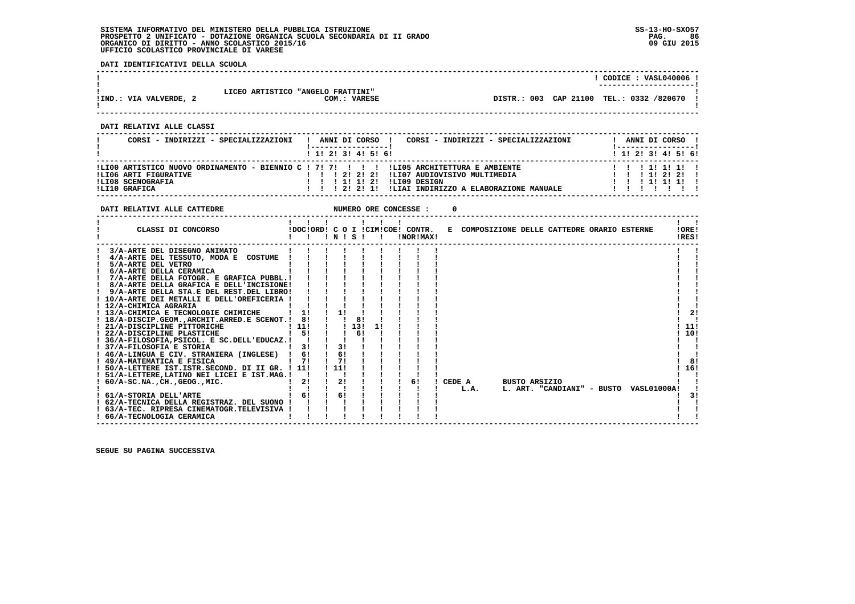**DATI IDENTIFICATIVI DELLA SCUOLA**

|                                                                                                                                                                                                                                                                                                                                                                                                                                                                                                                                                                                                                                                                                                                                                                                                                                                                                                                                                                           |                                                                                                                                                    |                                                        | ! CODICE : VASL040006 !<br>.                   |
|---------------------------------------------------------------------------------------------------------------------------------------------------------------------------------------------------------------------------------------------------------------------------------------------------------------------------------------------------------------------------------------------------------------------------------------------------------------------------------------------------------------------------------------------------------------------------------------------------------------------------------------------------------------------------------------------------------------------------------------------------------------------------------------------------------------------------------------------------------------------------------------------------------------------------------------------------------------------------|----------------------------------------------------------------------------------------------------------------------------------------------------|--------------------------------------------------------|------------------------------------------------|
| LICEO ARTISTICO "ANGELO FRATTINI"<br>! IND.: VIA VALVERDE, 2                                                                                                                                                                                                                                                                                                                                                                                                                                                                                                                                                                                                                                                                                                                                                                                                                                                                                                              | COM.: VARESE                                                                                                                                       | DISTR.: 003 CAP 21100 TEL.: 0332 /820670 !             |                                                |
| DATI RELATIVI ALLE CLASSI                                                                                                                                                                                                                                                                                                                                                                                                                                                                                                                                                                                                                                                                                                                                                                                                                                                                                                                                                 |                                                                                                                                                    |                                                        |                                                |
| CORSI - INDIRIZZI - SPECIALIZZAZIONI                                                                                                                                                                                                                                                                                                                                                                                                                                                                                                                                                                                                                                                                                                                                                                                                                                                                                                                                      | !-----------------!<br>1 1 2 3 3 4 5 5 6                                                                                                           | ! ANNI DI CORSO ! CORSI - INDIRIZZI - SPECIALIZZAZIONI | ! ANNI DI CORSO !<br>1 1 1 2 1 3 1 4 1 5 1 6 1 |
|                                                                                                                                                                                                                                                                                                                                                                                                                                                                                                                                                                                                                                                                                                                                                                                                                                                                                                                                                                           |                                                                                                                                                    |                                                        |                                                |
| DATI RELATIVI ALLE CATTEDRE                                                                                                                                                                                                                                                                                                                                                                                                                                                                                                                                                                                                                                                                                                                                                                                                                                                                                                                                               | NUMERO ORE CONCESSE :                                                                                                                              |                                                        |                                                |
| CLASSI DI CONCORSO                                                                                                                                                                                                                                                                                                                                                                                                                                                                                                                                                                                                                                                                                                                                                                                                                                                                                                                                                        | $\begin{array}{cccccccccccccc} 1 & 1 & 1 & 1 & 1 & 1 & 1 & 1 \end{array}$<br>IDOCIORDI CO I ICIMICOBI CONTR.<br>IDOCIORDI CO I ICIMICOBI INOPIMATI | E COMPOSIZIONE DELLE CATTEDRE ORARIO ESTERNE 10RE!     | $1 \quad 1$<br>IRES!                           |
| 3/A-ARTE DEL DISEGNO ANIMATO<br>! 4/A-ARTE DEL TESSUTO, MODA E COSTUME !<br>! 8/A-ARTE DELLA GRAFICA E DELL'INCISIONE! !!!<br>! 9/A-ARTE DELLA STA.E DEL REST.DEL LIBRO! ! ! ! !<br>! 10/A-ARTE DEI METALLI E DELL'OREFICERIA ! ! ! !<br>! 12/A-CHIMICA AGRARIA          <br>! 13/A-CHIMICA E TECNOLOGIE CHIMICHE   1! ! 1! !<br>! 18/A-DISCIP.GEOM., ARCHIT. ARRED.E SCENOT.! 8! !! 8!<br>! 21/A-DISCIPLINE PITTORICHE   111   1 13 11<br>! 22/A-DISCIPLINE PLASTICHE   5! ! 6! !<br>! 36/A-FILOSOFIA, PSICOL. E SC. DELL'EDUCAZ. ! ! ! ! !<br>! 37/A-FILOSOFIA E STORIA<br>! 46/A-LINGUA E CIV. STRANIERA (INGLESE) ! 6! ! 6! !<br>! 49/A-MATEMATICA E FISICA<br>! 50/A-LETTERE IST. ISTR. SECOND. DI II GR. ! 11! ! 11! ! ! ! !<br>! 51/A-LETTERE, LATINO NEI LICEI E IST.MAG.!!!!!!<br>! 62/A-TECNICA DELLA REGISTRAZ. DEL SUONO ! ! ! ! !<br>! 63/A-TEC. RIPRESA CINEMATOGR. TELEVISIVA ! ! ! !<br>and the contract of the contract of<br>! 66/A-TECNOLOGIA CERAMICA | $\mathbf{I}$<br>$1 \t3! \t1 \t3! \t1$<br>1 7 1 7 1 7 1 1                                                                                           | ! ! ! ! L.A. L. ART. "CANDIANI" - BUSTO VASL01000A!    | 2!<br>111<br>110!<br>8!<br>! 16!<br>- 1<br>3!  |

 **------------------------------------------------------------------------------------------------------------------------------------**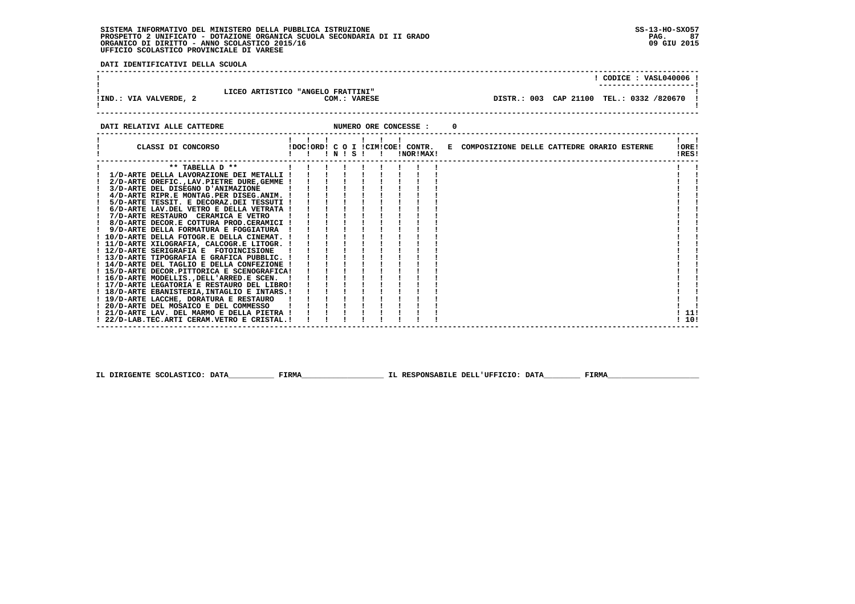**DATI IDENTIFICATIVI DELLA SCUOLA**

|                                |                                                   |                                            | CODICE: VASL040006 ! |
|--------------------------------|---------------------------------------------------|--------------------------------------------|----------------------|
| !IND.: VIA VALVERDE, 2         | LICEO ARTISTICO "ANGELO FRATTINI"<br>COM.: VARESE | DISTR.: 003 CAP 21100 TEL.: 0332 /820670 ! |                      |
| הסחהייים הזוג דעדייג והס דייגח | NIMEDO OPE CONCESSE .                             |                                            |                      |

|                                              |                    |  |  | . BUTTER ORD CONCEDUE |           |                                                                               |  |                |  |
|----------------------------------------------|--------------------|--|--|-----------------------|-----------|-------------------------------------------------------------------------------|--|----------------|--|
| CLASSI DI CONCORSO                           | !!!!!!!<br>!!N!S!! |  |  |                       | !NOR!MAX! | !DOC!ORD! C O I !CIM!COE! CONTR. E COMPOSIZIONE DELLE CATTEDRE ORARIO ESTERNE |  | IOREI<br>!RES! |  |
| ** TABELLA D **                              |                    |  |  |                       |           |                                                                               |  |                |  |
| 1/D-ARTE DELLA LAVORAZIONE DEI METALLI !     |                    |  |  |                       |           |                                                                               |  |                |  |
| 2/D-ARTE OREFIC., LAV. PIETRE DURE, GEMME !  |                    |  |  |                       |           |                                                                               |  |                |  |
| 3/D-ARTE DEL DISEGNO D'ANIMAZIONE            |                    |  |  |                       |           |                                                                               |  |                |  |
| 4/D-ARTE RIPR.E MONTAG.PER DISEG.ANIM. !     |                    |  |  |                       |           |                                                                               |  |                |  |
| 5/D-ARTE TESSIT. E DECORAZ.DEI TESSUTI !     |                    |  |  |                       |           |                                                                               |  |                |  |
| 6/D-ARTE LAV.DEL VETRO E DELLA VETRATA !     |                    |  |  |                       |           |                                                                               |  |                |  |
| ! 7/D-ARTE RESTAURO CERAMICA E VETRO         |                    |  |  |                       |           |                                                                               |  |                |  |
| ! 8/D-ARTE DECOR.E COTTURA PROD.CERAMICI !   |                    |  |  |                       |           |                                                                               |  |                |  |
| 9/D-ARTE DELLA FORMATURA E FOGGIATURA        |                    |  |  |                       |           |                                                                               |  |                |  |
| ! 10/D-ARTE DELLA FOTOGR.E DELLA CINEMAT. !  |                    |  |  |                       |           |                                                                               |  |                |  |
| ! 11/D-ARTE XILOGRAFIA, CALCOGR.E LITOGR. !  |                    |  |  |                       |           |                                                                               |  |                |  |
| ! 12/D-ARTE SERIGRAFIA E FOTOINCISIONE !     |                    |  |  |                       |           |                                                                               |  |                |  |
| ! 13/D-ARTE TIPOGRAFIA E GRAFICA PUBBLIC. !  |                    |  |  |                       |           |                                                                               |  |                |  |
| ! 14/D-ARTE DEL TAGLIO E DELLA CONFEZIONE !  |                    |  |  |                       |           |                                                                               |  |                |  |
| ! 15/D-ARTE DECOR.PITTORICA E SCENOGRAFICA!  |                    |  |  |                       |           |                                                                               |  |                |  |
| ! 16/D-ARTE MODELLIS., DELL'ARRED.E SCEN.    |                    |  |  |                       |           |                                                                               |  |                |  |
| ! 17/D-ARTE LEGATORIA E RESTAURO DEL LIBRO!  |                    |  |  |                       |           |                                                                               |  |                |  |
| ! 18/D-ARTE EBANISTERIA, INTAGLIO E INTARS.! |                    |  |  |                       |           |                                                                               |  |                |  |
| ! 19/D-ARTE LACCHE, DORATURA E RESTAURO      |                    |  |  |                       |           |                                                                               |  |                |  |
| ! 20/D-ARTE DEL MOSAICO E DEL COMMESSO       |                    |  |  |                       |           |                                                                               |  |                |  |
| ! 21/D-ARTE LAV. DEL MARMO E DELLA PIETRA !  |                    |  |  |                       |           |                                                                               |  | ! 11!          |  |
| ! 22/D-LAB.TEC.ARTI CERAM.VETRO E CRISTAL. ! |                    |  |  |                       |           |                                                                               |  | ! 10!          |  |
|                                              |                    |  |  |                       |           |                                                                               |  |                |  |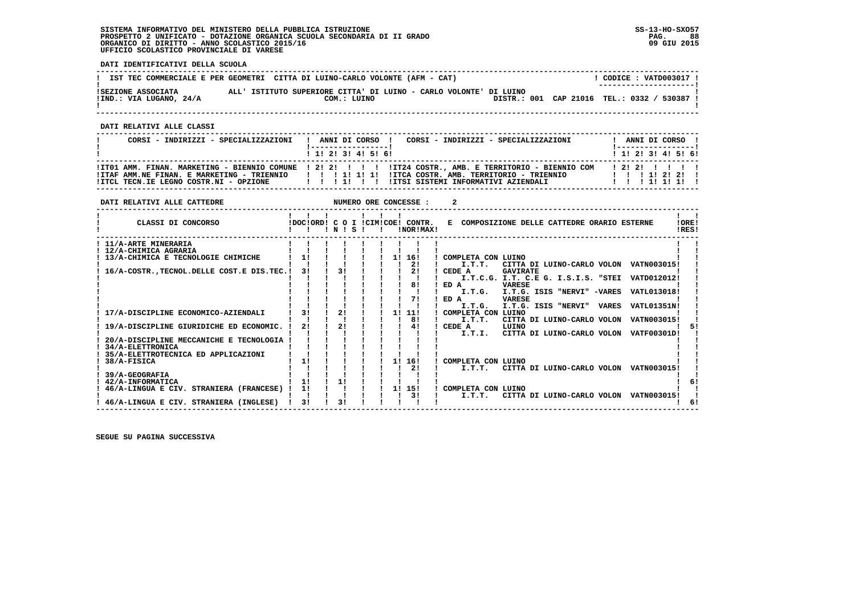**DATI IDENTIFICATIVI DELLA SCUOLA**

|                                               | IST TEC COMMERCIALE E PER GEOMETRI CITTA DI LUINO-CARLO VOLONTE (AFM - CAT)      | CODICE: VATD003017 !<br>--------------------- |
|-----------------------------------------------|----------------------------------------------------------------------------------|-----------------------------------------------|
| ISEZIONE ASSOCIATA<br>!IND.: VIA LUGANO, 24/A | ALL' ISTITUTO SUPERIORE CITTA' DI LUINO - CARLO VOLONTE' DI LUINO<br>COM.: LUINO | DISTR.: 001 CAP 21016 TEL.: 0332 / 530387     |

 **------------------------------------------------------------------------------------------------------------------------------------**

 **DATI RELATIVI ALLE CLASSI**

| CORSI - INDIRIZZI - SPECIALIZZAZIONI                  | CORSI - INDIRIZZI - SPECIALIZZAZIONI<br>! ANNI DI CORSO !<br>l ------------------ l                                                        | ANNI DI CORSO !<br>!------------------! |
|-------------------------------------------------------|--------------------------------------------------------------------------------------------------------------------------------------------|-----------------------------------------|
|                                                       | 1 1 1 2 1 3 1 4 1 5 1 6 1                                                                                                                  | 1 1 2 3 3 4 5 6 1                       |
|                                                       | ITO1 AMM. FINAN. MARKETING - BIENNIO COMUNE   2! 2! !!!!!!!! ITZ4 COSTR., AMB. E TERRITORIO - BIENNIO COM                                  | 12121111                                |
| ! ITCL TECN.IE LEGNO COSTR.NI - OPZIONE   ! ! ! ! ! ! | ITTAF AMM.NE FINAN. E MARKETING - TRIENNIO         1  1  1  ITTCA COSTR. AMB. TERRITORIO - TRIENNIO<br>IITSI SISTEMI INFORMATIVI AZIENDALI | 1 1 1 1 1 2 1 2 1 1<br>11111111         |

| DATI RELATIVI ALLE CATTEDRE                    |                |      |  |    | NUMERO ORE CONCESSE :                         |        |                              |                 |                                              |       |                                                 |                |
|------------------------------------------------|----------------|------|--|----|-----------------------------------------------|--------|------------------------------|-----------------|----------------------------------------------|-------|-------------------------------------------------|----------------|
| CLASSI DI CONCORSO                             |                | INIS |  |    | IDOCIORDI C O I ICIMICOEI CONTR.<br>INORIMAX! |        |                              |                 | E COMPOSIZIONE DELLE CATTEDRE ORARIO ESTERNE |       |                                                 | !ORE!<br>IRES! |
| 11/A-ARTE MINERARIA                            |                |      |  |    |                                               |        |                              |                 |                                              |       |                                                 |                |
| 12/A-CHIMICA AGRARIA                           |                |      |  |    |                                               |        |                              |                 |                                              |       |                                                 |                |
| 13/A-CHIMICA E TECNOLOGIE CHIMICHE             | 11             |      |  | 11 | 16!                                           |        | COMPLETA CON LUINO           |                 |                                              |       |                                                 |                |
|                                                |                |      |  |    | 21                                            |        | I.T.T.T.                     |                 |                                              |       | CITTA DI LUINO-CARLO VOLON VATN003015!          |                |
| 16/A-COSTR., TECNOL. DELLE COST. E DIS. TEC. ! | 31             | 31   |  |    |                                               | CEDE A |                              | <b>GAVIRATE</b> |                                              |       |                                                 |                |
|                                                |                |      |  |    |                                               |        |                              |                 |                                              |       | I.T.C.G. I.T. C.E G. I.S.I.S. "STEI VATD012012! |                |
|                                                |                |      |  |    | 81                                            | ED A   |                              | <b>VARESE</b>   |                                              |       |                                                 |                |
|                                                |                |      |  |    |                                               |        | I.T.G.                       |                 | I.T.G. ISIS "NERVI" -VARES                   |       | VATL013018!                                     |                |
|                                                |                |      |  |    | 71                                            | ED A   |                              | <b>VARESE</b>   |                                              |       |                                                 |                |
| 17/A-DISCIPLINE ECONOMICO-AZIENDALI            | 31             | 21   |  | 11 | 11!                                           |        | I.T.G.<br>COMPLETA CON LUINO |                 | I.T.G. ISIS "NERVI"                          | VARES | <b>VATL01351N!</b>                              |                |
|                                                |                |      |  |    | 81                                            |        | I.T.T.                       |                 | CITTA DI LUINO-CARLO VOLON                   |       | <b>VATN003015!</b>                              |                |
| 19/A-DISCIPLINE GIURIDICHE ED ECONOMIC.        | 21             | 2!   |  |    | 41                                            | CEDE A |                              | LUINO           |                                              |       |                                                 |                |
|                                                |                |      |  |    |                                               |        | I.T.I.                       |                 | CITTA DI LUINO-CARLO VOLON                   |       | <b>VATF00301D!</b>                              |                |
| 20/A-DISCIPLINE MECCANICHE E TECNOLOGIA        |                |      |  |    |                                               |        |                              |                 |                                              |       |                                                 |                |
| 34/A-ELETTRONICA                               |                |      |  |    |                                               |        |                              |                 |                                              |       |                                                 |                |
| 35/A-ELETTROTECNICA ED APPLICAZIONI            |                |      |  |    |                                               |        |                              |                 |                                              |       |                                                 |                |
| 38/A-FISICA                                    |                |      |  | 11 | 16!                                           |        | COMPLETA CON LUINO           |                 |                                              |       |                                                 |                |
|                                                |                |      |  |    | 2!                                            |        | I.T.T.                       |                 |                                              |       | CITTA DI LUINO-CARLO VOLON VATN003015!          |                |
| 39/A-GEOGRAFIA                                 |                |      |  |    |                                               |        |                              |                 |                                              |       |                                                 |                |
| 42/A-INFORMATICA                               | 1!             | 11   |  |    |                                               |        |                              |                 |                                              |       |                                                 |                |
| 46/A-LINGUA E CIV. STRANIERA (FRANCESE)        | 1!             |      |  | 1! | 15!                                           |        | COMPLETA CON LUINO           |                 |                                              |       |                                                 |                |
|                                                |                |      |  |    | 31                                            |        | I.T.T.                       |                 | CITTA DI LUINO-CARLO VOLON                   |       | VATN003015!                                     |                |
| 46/A-LINGUA E CIV. STRANIERA (INGLESE)         | 3 <sub>1</sub> | 31   |  |    |                                               |        |                              |                 |                                              |       |                                                 | 6!             |
|                                                |                |      |  |    |                                               |        |                              |                 |                                              |       |                                                 |                |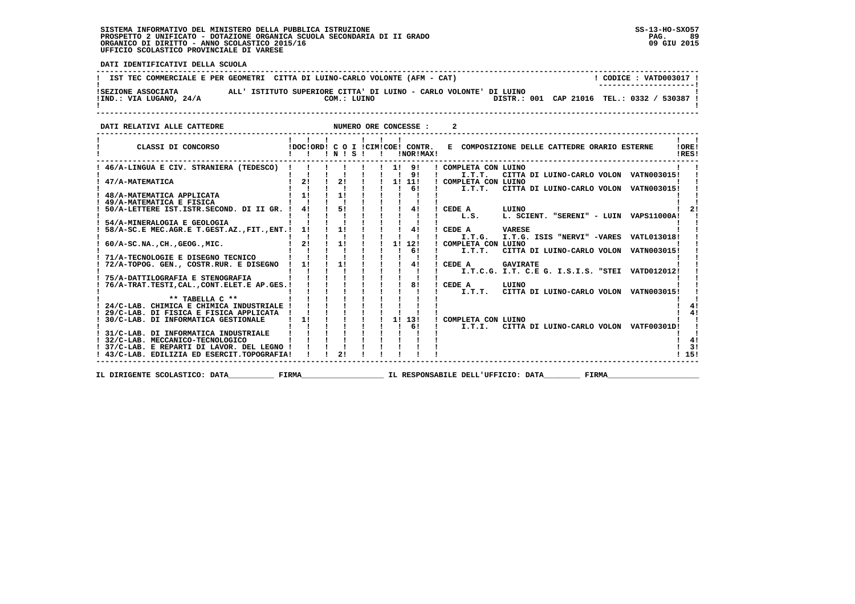**RQ** 09 GIU 2015

  **------------------------------------------------------------------------------------------------------------------------------------** $\overline{1}$  CODICE : VATD003017 I **! IST TEC COMMERCIALE E PER GEOMETRI CITTA DI LUINO-CARLO VOLONTE (AFM - CAT) ! ---------------------! !SEZIONE ASSOCIATA ALL' ISTITUTO SUPERIORE CITTA' DI LUINO - CARLO VOLONTE' DI LUINO ! !IND.: VIA LUGANO, 24/A COM.: LUINO DISTR.: 001 CAP 21016 TEL.: 0332 / 530387 !**- 1  **! ! ------------------------------------------------------------------------------------------------------------------------------------**

**DATI RELATIVI ALLE CATTEDRE NUMERO ORE CONCESSE : 2 ------------------------------------------------------------------------------------------------------------------------------------** $\mathbf{I}$   $\mathbf{I}$  **! ! ! ! ! ! ! ! !** $100F1$  **! CLASSI DI CONCORSO !DOC!ORD! C O I !CIM!COE! CONTR. E COMPOSIZIONE DELLE CATTEDRE ORARIO ESTERNE !ORE! ! ! ! ! N ! S ! ! !NOR!MAX! !RES!**IRES!  **------------------------------------------------------------------------------------------------------------------------------------** $\mathbf{r}$  and  $\mathbf{r}$  **! 46/A-LINGUA E CIV. STRANIERA (TEDESCO) ! ! ! ! ! ! 1! 9! ! COMPLETA CON LUINO ! ! ! ! ! ! ! ! ! ! 9! ! I.T.T. CITTA DI LUINO-CARLO VOLON VATN003015! ! ! 47/A-MATEMATICA ! 2! ! 2! ! ! 1! 11! ! COMPLETA CON LUINO ! ! ! ! ! ! ! ! ! ! 6! ! I.T.T. CITTA DI LUINO-CARLO VOLON VATN003015! ! ! 48/A-MATEMATICA APPLICATA ! 1! ! 1! ! ! ! ! ! ! ! ! 49/A-MATEMATICA E FISICA ! ! ! ! ! ! ! ! ! ! ! ! 50/A-LETTERE IST.ISTR.SECOND. DI II GR. ! 4! ! 5! ! ! ! 4! ! CEDE A LUINO ! 2! ! ! ! ! ! ! ! ! ! ! L.S. L. SCIENT. "SERENI" - LUIN VAPS11000A! ! ! 54/A-MINERALOGIA E GEOLOGIA ! ! ! ! ! ! ! ! ! ! ! ! 58/A-SC.E MEC.AGR.E T.GEST.AZ.,FIT.,ENT.! 1! ! 1! ! ! ! 4! ! CEDE A VARESE ! ! ! ! ! ! ! ! ! ! ! ! I.T.G. I.T.G. ISIS "NERVI" -VARES VATL013018! ! ! 60/A-SC.NA.,CH.,GEOG.,MIC. ! 2! ! 1! ! ! 1! 12! ! COMPLETA CON LUINO ! ! ! ! ! ! ! ! ! ! 6! ! I.T.T. CITTA DI LUINO-CARLO VOLON VATN003015! ! ! 71/A-TECNOLOGIE E DISEGNO TECNICO ! ! ! ! ! ! ! ! ! ! ! ! 72/A-TOPOG. GEN., COSTR.RUR. E DISEGNO ! 1! ! 1! ! ! ! 4! ! CEDE A GAVIRATE ! ! ! ! ! ! ! ! ! ! ! ! I.T.C.G. I.T. C.E G. I.S.I.S. "STEI VATD012012! ! ! 75/A-DATTILOGRAFIA E STENOGRAFIA ! ! ! ! ! ! ! ! ! ! ! ! 76/A-TRAT.TESTI,CAL.,CONT.ELET.E AP.GES.! ! ! ! ! ! ! 8! ! CEDE A LUINO ! ! ! ! ! ! ! ! ! ! ! ! I.T.T. CITTA DI LUINO-CARLO VOLON VATN003015! !** $\mathbf{I}$  **! \*\* TABELLA C \*\* ! ! ! ! ! ! ! ! ! ! ! ! 24/C-LAB. CHIMICA E CHIMICA INDUSTRIALE ! ! ! ! ! ! ! ! ! ! 4! ! 29/C-LAB. DI FISICA E FISICA APPLICATA ! ! ! ! ! ! ! ! ! ! 4!** $4<sub>1</sub>$  $1 \quad 41$  $\mathbf{I}$   $\mathbf{I}$  **! 30/C-LAB. DI INFORMATICA GESTIONALE ! 1! ! ! ! ! 1! 13! ! COMPLETA CON LUINO ! ! ! ! ! ! ! ! ! ! 6! ! I.T.I. CITTA DI LUINO-CARLO VOLON VATF00301D! ! ! 31/C-LAB. DI INFORMATICA INDUSTRIALE ! ! ! ! ! ! ! ! ! ! ! ! 32/C-LAB. MECCANICO-TECNOLOGICO ! ! ! ! ! ! ! ! ! ! 4!** $\blacksquare$  $1 \quad 41$  $\frac{1}{3}$  **! 37/C-LAB. E REPARTI DI LAVOR. DEL LEGNO ! ! ! ! ! ! ! ! ! ! 3! ! 43/C-LAB. EDILIZIA ED ESERCIT.TOPOGRAFIA! ! ! 2! ! ! ! ! ! ! 15!**1 151  **------------------------------------------------------------------------------------------------------------------------------------**

**IL DIRIGENTE SCOLASTICO: DATA** FIRMA FIRMA TE RESPONSABILE DELL'UFFICIO: DATA FIRMA

 **DATI IDENTIFICATIVI DELLA SCUOLA**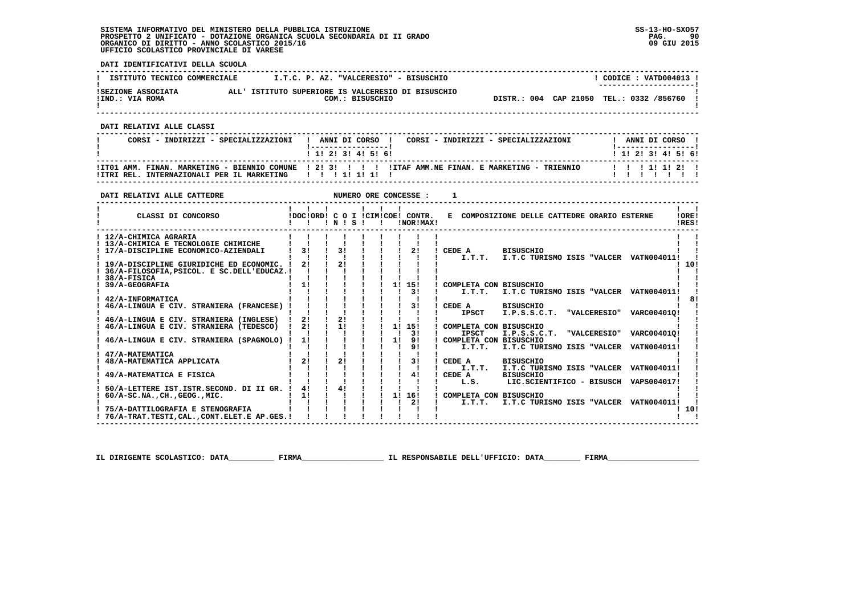**DATI IDENTIFICATIVI DELLA SCUOLA**

| ISTITUTO TECNICO COMMERCIALE          | I.T.C. P. AZ. "VALCERESIO" - BISUSCHIO                                | CODICE: VATD004013 !<br>---------------------- |  |
|---------------------------------------|-----------------------------------------------------------------------|------------------------------------------------|--|
| ISEZIONE ASSOCIATA<br>!IND.: VIA ROMA | ALL' ISTITUTO SUPERIORE IS VALCERESIO DI BISUSCHIO<br>COM.: BISUSCHIO | DISTR.: 004 CAP 21050 TEL.: 0332 /856760       |  |

 **------------------------------------------------------------------------------------------------------------------------------------**

 **DATI RELATIVI ALLE CLASSI**

| CORSI - INDIRIZZI - SPECIALIZZAZIONI                   | CORSI - INDIRIZZI - SPECIALIZZAZIONI<br>! ANNI DI CORSO !<br>1 1 2 3 3 4 5 6 1                       | ANNI DI CORSO !<br>1 1 1 2 1 3 1 4 1 5 1 6 1 |
|--------------------------------------------------------|------------------------------------------------------------------------------------------------------|----------------------------------------------|
| !ITRI REL. INTERNAZIONALI PER IL MARKETING   !!!!!!!!! | ITT01 AMM. FINAN. MARKETING - BIENNIO COMUNE   2! 3! !!!! ITTAF AMM.NE FINAN. E MARKETING - TRIENNIO | 1 1 1 1 1 1 2 1                              |

 **------------------------------------------------------------------------------------------------------------------------------------**

| DATI RELATIVI ALLE CATTEDRE                |    |    |                 |              |    | NUMERO ORE CONCESSE :                         |              |                                              |                     |                                        |                |
|--------------------------------------------|----|----|-----------------|--------------|----|-----------------------------------------------|--------------|----------------------------------------------|---------------------|----------------------------------------|----------------|
| CLASSI DI CONCORSO                         |    |    | $'$ N $'$ S $'$ | $\mathbf{I}$ |    | !DOC!ORD! C O I !CIM!COE! CONTR.<br>!NOR!MAX! |              | E COMPOSIZIONE DELLE CATTEDRE ORARIO ESTERNE |                     |                                        | !ORE!<br>!RES! |
| ! 12/A-CHIMICA AGRARIA                     |    |    |                 |              |    |                                               |              |                                              |                     |                                        |                |
| ! 13/A-CHIMICA E TECNOLOGIE CHIMICHE       |    |    |                 |              |    |                                               |              |                                              |                     |                                        |                |
| 17/A-DISCIPLINE ECONOMICO-AZIENDALI        | 31 | 31 |                 |              |    | 2!                                            | CEDE A       | <b>BISUSCHIO</b>                             |                     |                                        |                |
|                                            |    |    |                 |              |    |                                               | I.T.T.       |                                              |                     | I.T.C TURISMO ISIS "VALCER VATN004011! |                |
| 19/A-DISCIPLINE GIURIDICHE ED ECONOMIC. !  | 21 | 21 |                 |              |    |                                               |              |                                              |                     |                                        | 10!            |
| 36/A-FILOSOFIA, PSICOL. E SC.DELL'EDUCAZ.! |    |    |                 |              |    |                                               |              |                                              |                     |                                        |                |
| 38/A-FISICA                                |    |    |                 |              |    |                                               |              |                                              |                     |                                        |                |
| 39/A-GEOGRAFIA                             | 11 |    |                 |              |    | 1! 15!                                        |              | COMPLETA CON BISUSCHIO                       |                     |                                        |                |
|                                            |    |    |                 |              |    | 31                                            | I.T.T.       |                                              |                     | I.T.C TURISMO ISIS "VALCER VATN004011! |                |
| 42/A-INFORMATICA                           |    |    |                 |              |    |                                               |              |                                              |                     |                                        |                |
| 46/A-LINGUA E CIV. STRANIERA (FRANCESE)    |    |    |                 |              |    | 31                                            | CEDE A       | <b>BISUSCHIO</b>                             |                     |                                        |                |
|                                            |    |    |                 |              |    |                                               | <b>IPSCT</b> | I.P.S.S.C.T.                                 | <b>"VALCERESIO"</b> | VARC004010!                            |                |
| 46/A-LINGUA E CIV. STRANIERA (INGLESE)     | 21 | 21 |                 |              |    |                                               |              |                                              |                     |                                        |                |
| 46/A-LINGUA E CIV. STRANIERA (TEDESCO)     | 21 | 11 |                 |              |    | 1! 15!                                        |              | COMPLETA CON BISUSCHIO                       |                     |                                        |                |
|                                            |    |    |                 |              |    | 31                                            | <b>IPSCT</b> | I.P.S.S.C.T.                                 | "VALCERESIO"        | VARC004010!                            |                |
| 46/A-LINGUA E CIV. STRANIERA (SPAGNOLO)    | 11 |    |                 |              | 11 | 91                                            |              | ! COMPLETA CON BISUSCHIO                     |                     |                                        |                |
|                                            |    |    |                 |              |    | 9 <sub>1</sub>                                | I.T.T.       | I.T.C TURISMO ISIS "VALCER                   |                     | VATN004011!                            |                |
| 47/A-MATEMATICA                            |    |    |                 |              |    |                                               |              |                                              |                     |                                        |                |
| 48/A-MATEMATICA APPLICATA                  | 21 | 21 |                 |              |    | 31                                            | CEDE A       | <b>BISUSCHIO</b>                             |                     |                                        |                |
|                                            |    |    |                 |              |    |                                               | $I.T.T.T$ .  |                                              |                     | I.T.C TURISMO ISIS "VALCER VATN004011! |                |
| 49/A-MATEMATICA E FISICA                   |    |    |                 |              |    | 41                                            | CEDE A       | <b>BISUSCHIO</b>                             |                     |                                        |                |
|                                            |    |    |                 |              |    |                                               | L.S.         |                                              |                     | LIC.SCIENTIFICO - BISUSCH VAPS004017!  |                |
| 50/A-LETTERE IST.ISTR.SECOND. DI II GR.    | 41 | 41 |                 |              |    |                                               |              |                                              |                     |                                        |                |
| $60/A-SC.NA.$ , CH., GEOG., MIC.           | 11 |    |                 |              | 11 | 16!                                           |              | COMPLETA CON BISUSCHIO                       |                     |                                        |                |
|                                            |    |    |                 |              |    | 21                                            | I.T.T.       |                                              |                     | I.T.C TURISMO ISIS "VALCER VATN004011! |                |
| 75/A-DATTILOGRAFIA E STENOGRAFIA           |    |    |                 |              |    |                                               |              |                                              |                     |                                        | ! 10!          |
| ! 76/A-TRAT.TESTI.CALCONT.ELET.E AP.GES.!  |    |    |                 |              |    |                                               |              |                                              |                     |                                        |                |

 **IL DIRIGENTE SCOLASTICO: DATA\_\_\_\_\_\_\_\_\_\_ FIRMA\_\_\_\_\_\_\_\_\_\_\_\_\_\_\_\_\_\_ IL RESPONSABILE DELL'UFFICIO: DATA\_\_\_\_\_\_\_\_ FIRMA\_\_\_\_\_\_\_\_\_\_\_\_\_\_\_\_\_\_\_\_**

 **------------------------------------------------------------------------------------------------------------------------------------**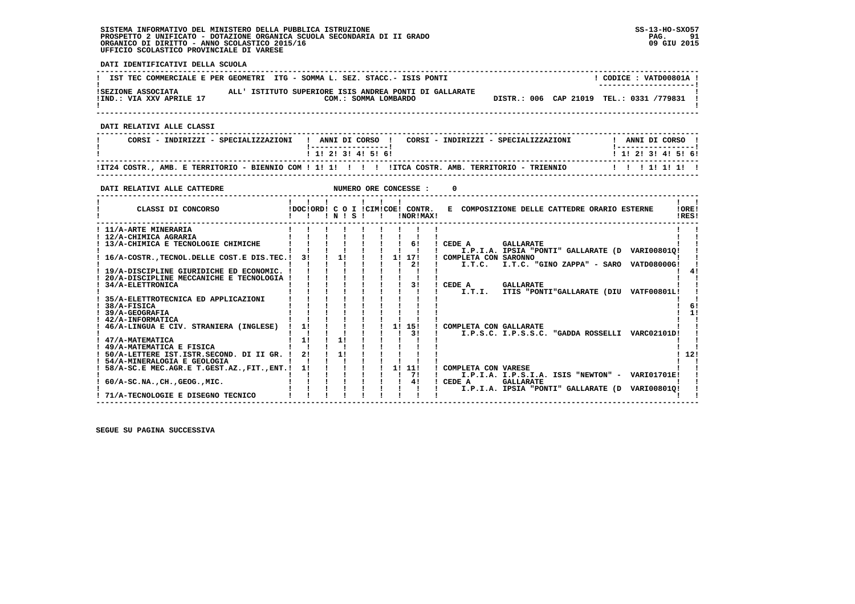$\mathbf{I}$  and  $\mathbf{I}$ 

  **------------------------------------------------------------------------------------------------------------------------------------** $1$  CODICE :  $VATD00801A$ **!** IST TEC COMMERCIALE E PER GEOMETRI ITG - SOMMA L. SEZ. STACC.- ISIS PONTI  **! ---------------------! !SEZIONE ASSOCIATA ALL' ISTITUTO SUPERIORE ISIS ANDREA PONTI DI GALLARATE ! !IND.: VIA XXV APRILE 17 COM.: SOMMA LOMBARDO DISTR.: 006 CAP 21019 TEL.: 0331 /779831 !** $\mathbf{I}$  **! ! ------------------------------------------------------------------------------------------------------------------------------------ DATI RELATIVI ALLE CLASSI ------------------------------------------------------------------------------------------------------------------------------------**I ANNI DI CORSO I  **! CORSI - INDIRIZZI - SPECIALIZZAZIONI ! ANNI DI CORSO ! CORSI - INDIRIZZI - SPECIALIZZAZIONI ! ANNI DI CORSO ! ! !-----------------! !-----------------!**1 1 1 2 1 3 1 4 1 5 1 6 1  **! ! 1! 2! 3! 4! 5! 6! ! 1! 2! 3! 4! 5! 6! ------------------------------------------------------------------------------------------------------------------------------------ !IT24 COSTR., AMB. E TERRITORIO - BIENNIO COM ! 1! 1! ! ! ! !ITCA COSTR. AMB. TERRITORIO - TRIENNIO ! ! ! 1! 1! 1! ! ------------------------------------------------------------------------------------------------------------------------------------DATI RELATIVI ALLE CATTEDRE NUMERO ORE CONCESSE : 0 ------------------------------------------------------------------------------------------------------------------------------------** $\mathbf{I}$   $\mathbf{I}$  **! ! ! ! ! ! ! ! !LORE!** CLASSI DI CONCORSO **8** | DOC!ORD! C O I !CIM!COE! CONTR. E COMPOSIZIONE DELLE CATTEDRE ORARIO ESTERNE **IDFSI 2** CLASSI DI CONCORSO **:**  $P(X|X|X) = P(X|X|X) = P(X|X|X) = P(X|X|X) = P(X|X|X) = P(X|X|X) = P(X|X|X) = P(X|X|X) = P(X|X|X) = P(X|X|X) = P(X|X|X) = P(X|X|X) = P(X|X|X) = P(X|X|X) = P(X|X|X) = P(X|X|X) = P(X|X|X) = P(X|X|X) = P(X|X|X) = P(X|X|X) = P(X|X|X) = P(X|X|X) = P(X|X|X) = P(X|X|X) = P(X$  **------------------------------------------------------------------------------------------------------------------------------------** $\mathbf{I}$  **! 11/A-ARTE MINERARIA ! ! ! ! ! ! ! ! ! ! ! ! 12/A-CHIMICA AGRARIA ! ! ! ! ! ! ! ! ! ! ! ! 13/A-CHIMICA E TECNOLOGIE CHIMICHE ! ! ! ! ! ! ! 6! ! CEDE A GALLARATE ! ! ! ! ! ! ! ! ! ! ! ! I.P.I.A. IPSIA "PONTI" GALLARATE (D VARI00801Q! ! ! 16/A-COSTR.,TECNOL.DELLE COST.E DIS.TEC.! 3! ! 1! ! ! 1! 17! ! COMPLETA CON SARONNO ! ! ! ! ! ! ! ! ! ! 2! ! I.T.C. I.T.C. "GINO ZAPPA" - SARO VATD08000G! !** $\overline{1}$  41  **! 19/A-DISCIPLINE GIURIDICHE ED ECONOMIC. ! ! ! ! ! ! ! ! ! ! 4!**- 1  **! 20/A-DISCIPLINE MECCANICHE E TECNOLOGIA ! ! ! ! ! ! ! ! ! ! ! ! 34/A-ELETTRONICA ! ! ! ! ! ! ! 3! ! CEDE A GALLARATE ! ! ! ! ! ! ! ! ! ! ! ! I.T.I. ITIS "PONTI"GALLARATE (DIU VATF00801L! !** $\overline{\phantom{a}}$  **! 35/A-ELETTROTECNICA ED APPLICAZIONI ! ! ! ! ! ! ! ! ! ! !** $61$  **! 38/A-FISICA ! ! ! ! ! ! ! ! ! ! 6!** $1 - 11$  **! 39/A-GEOGRAFIA ! ! ! ! ! ! ! ! ! ! 1!** $\mathbf{I}$   $\mathbf{I}$  **! 42/A-INFORMATICA ! ! ! ! ! ! ! ! ! ! ! ! 46/A-LINGUA E CIV. STRANIERA (INGLESE) ! 1! ! ! ! ! 1! 15! ! COMPLETA CON GALLARATE ! ! ! ! ! ! ! ! ! ! 3! ! I.P.S.C. I.P.S.S.C. "GADDA ROSSELLI VARC02101D! !** $\blacksquare$  **! 47/A-MATEMATICA ! 1! ! 1! ! ! ! ! ! ! ! ! 49/A-MATEMATICA E FISICA ! ! ! ! ! ! ! ! ! ! ! ! 50/A-LETTERE IST.ISTR.SECOND. DI II GR. ! 2! ! 1! ! ! ! ! ! ! 12! ! 54/A-MINERALOGIA E GEOLOGIA ! ! ! ! ! ! ! ! ! ! !** $1, 121$  $\blacksquare$  **! 58/A-SC.E MEC.AGR.E T.GEST.AZ.,FIT.,ENT.! 1! ! ! ! ! 1! 11! ! COMPLETA CON VARESE ! !**

 **! ! ! ! ! ! ! ! 7! ! I.P.I.A. I.P.S.I.A. ISIS "NEWTON" - VARI01701E! ! ! 60/A-SC.NA.,CH.,GEOG.,MIC. ! ! ! ! ! ! ! 4! ! CEDE A GALLARATE ! ! ! ! ! ! ! ! ! ! ! ! I.P.I.A. IPSIA "PONTI" GALLARATE (D VARI00801Q! !**

 **------------------------------------------------------------------------------------------------------------------------------------**

 **! 71/A-TECNOLOGIE E DISEGNO TECNICO ! ! ! ! ! ! ! ! ! ! !**

 **SEGUE SU PAGINA SUCCESSIVA**

#### **DATI IDENTIFICATIVI DELLA SCUOLA**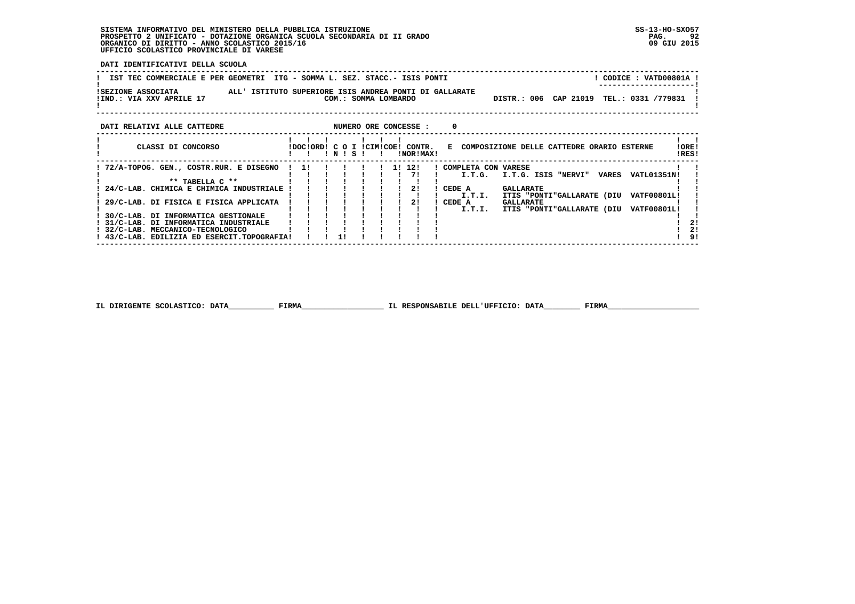**DATI IDENTIFICATIVI DELLA SCUOLA**

| IST TEC COMMERCIALE E PER GEOMETRI ITG - SOMMA L. SEZ. STACC.- ISIS PONTI                                |                                                                  | CODICE: VATD00801A !<br>-------------------- |
|----------------------------------------------------------------------------------------------------------|------------------------------------------------------------------|----------------------------------------------|
| ALL' ISTITUTO SUPERIORE ISIS ANDREA PONTI DI GALLARATE<br>ISEZIONE ASSOCIATA<br>!IND.: VIA XXV APRILE 17 | DISTR.: 006 CAP 21019 TEL.: 0331 /779831<br>COM.: SOMMA LOMBARDO |                                              |
| DATI RELATIVI ALLE CATTEDRE                                                                              | NUMERO ORE CONCESSE :<br><sup>0</sup>                            |                                              |
|                                                                                                          |                                                                  |                                              |

| CLASSI DI CONCORSO                          |    | NI | S. |  |    | !DOC!ORD! C O I !CIM!COE! CONTR.<br>INORIMAXI | E COMPOSIZIONE DELLE CATTEDRE ORARIO ESTERNE<br>IRES!        | !ORE! |
|---------------------------------------------|----|----|----|--|----|-----------------------------------------------|--------------------------------------------------------------|-------|
| 72/A-TOPOG. GEN., COSTR.RUR. E DISEGNO      | 11 |    |    |  | 1! | 12!                                           | COMPLETA CON VARESE                                          |       |
|                                             |    |    |    |  |    | 71                                            | I.T.G. ISIS "NERVI"<br><b>VARES</b><br>VATL01351N!<br>I.T.G. |       |
| $***$ TARELLA $C**$                         |    |    |    |  |    |                                               |                                                              |       |
| 24/C-LAB. CHIMICA E CHIMICA INDUSTRIALE     |    |    |    |  |    |                                               | CEDE A<br><b>GALLARATE</b>                                   |       |
|                                             |    |    |    |  |    |                                               | <b>VATF00801L!</b><br>ITIS "PONTI"GALLARATE (DIU<br>I.T.I.   |       |
| 29/C-LAB. DI FISICA E FISICA APPLICATA      |    |    |    |  |    |                                               | CEDE A<br><b>GALLARATE</b>                                   |       |
|                                             |    |    |    |  |    |                                               | VATF00801L!<br>I.T.I.<br>ITIS "PONTI"GALLARATE (DIU          |       |
| 30/C-LAB. DI INFORMATICA GESTIONALE         |    |    |    |  |    |                                               |                                                              |       |
| 31/C-LAB. DI INFORMATICA INDUSTRIALE        |    |    |    |  |    |                                               |                                                              | 21    |
| 32/C-LAB. MECCANICO-TECNOLOGICO             |    |    |    |  |    |                                               |                                                              | 21    |
| ! 43/C-LAB. EDILIZIA ED ESERCIT.TOPOGRAFIA! |    |    |    |  |    |                                               |                                                              | 9!    |

 **IL DIRIGENTE SCOLASTICO: DATA\_\_\_\_\_\_\_\_\_\_ FIRMA\_\_\_\_\_\_\_\_\_\_\_\_\_\_\_\_\_\_ IL RESPONSABILE DELL'UFFICIO: DATA\_\_\_\_\_\_\_\_ FIRMA\_\_\_\_\_\_\_\_\_\_\_\_\_\_\_\_\_\_\_\_**

 **------------------------------------------------------------------------------------------------------------------------------------**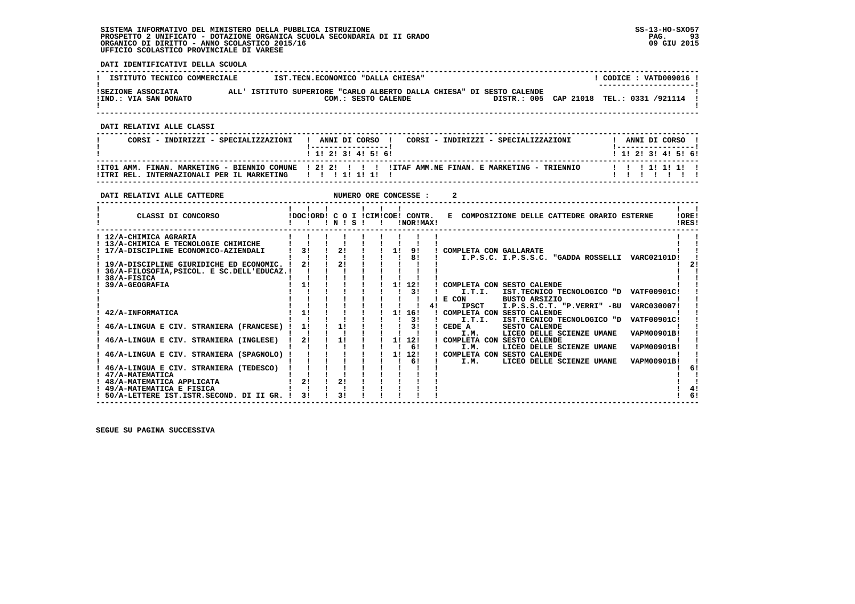**DATI IDENTIFICATIVI DELLA SCUOLA**

| ISTITUTO TECNICO COMMERCIALE                | IST.TECN.ECONOMICO "DALLA CHIESA"                                                            | CODICE: VATD009016!                                                |  |
|---------------------------------------------|----------------------------------------------------------------------------------------------|--------------------------------------------------------------------|--|
| ISEZIONE ASSOCIATA<br>!IND.: VIA SAN DONATO | ALL' ISTITUTO SUPERIORE "CARLO ALBERTO DALLA CHIESA" DI SESTO CALENDE<br>COM.: SESTO CALENDE | --------------------- <br>DISTR.: 005 CAP 21018 TEL.: 0331 /921114 |  |
|                                             |                                                                                              |                                                                    |  |

 **------------------------------------------------------------------------------------------------------------------------------------**

 **DATI RELATIVI ALLE CLASSI**

| CORSI - INDIRIZZI - SPECIALIZZAZIONI                   | CORSI - INDIRIZZI - SPECIALIZZAZIONI<br>ANNI DI CORSO !<br>1 1 2 3 3 4 5 6 1                          | ANNI DI CORSO !<br>1 1 1 2 1 3 1 4 1 5 1 6 1 |
|--------------------------------------------------------|-------------------------------------------------------------------------------------------------------|----------------------------------------------|
| !ITRI REL. INTERNAZIONALI PER IL MARKETING   !!!!!!!!! | ITT01 AMM. FINAN. MARKETING - BIENNIO COMUNE   2! 2! ! ! !! ITAF AMM.NE FINAN. E MARKETING - TRIENNIO | 1 1 1 1 1 1 1 1 1                            |

 **------------------------------------------------------------------------------------------------------------------------------------**

| DATI RELATIVI ALLE CATTEDRE                                                                           |          |       | NUMERO ORE CONCESSE :            |                        |                                                                                                                                                                                           |
|-------------------------------------------------------------------------------------------------------|----------|-------|----------------------------------|------------------------|-------------------------------------------------------------------------------------------------------------------------------------------------------------------------------------------|
| CLASSI DI CONCORSO                                                                                    |          | INISI | IDOCIORD! C O I ICIMICOE! CONTR. | INOR ! MAX!            | E COMPOSIZIONE DELLE CATTEDRE ORARIO ESTERNE<br><b>IORE!</b><br>IRES!                                                                                                                     |
| ! 12/A-CHIMICA AGRARIA<br>13/A-CHIMICA E TECNOLOGIE CHIMICHE<br>17/A-DISCIPLINE ECONOMICO-AZIENDALI   | 31       | 21    | 1!                               | 9!<br>8!               | COMPLETA CON GALLARATE<br>I.P.S.C. I.P.S.S.C. "GADDA ROSSELLI VARC02101D!                                                                                                                 |
| 19/A-DISCIPLINE GIURIDICHE ED ECONOMIC.<br>36/A-FILOSOFIA, PSICOL. E SC. DELL'EDUCAZ.!<br>38/A-FISICA | 2!       | 21    |                                  |                        |                                                                                                                                                                                           |
| 39/A-GEOGRAFIA                                                                                        | 1!       |       | 11                               | 12!<br>31              | COMPLETA CON SESTO CALENDE<br>I.T.I.<br>IST.TECNICO TECNOLOGICO "D VATF00901C!<br>E CON<br><b>BUSTO ARSIZIO</b>                                                                           |
| 42/A-INFORMATICA<br>46/A-LINGUA E CIV. STRANIERA (FRANCESE)                                           | 11<br>1! | 11    | 11                               | 4 !<br>16!<br>31<br>31 | <b>IPSCT</b><br>I.P.S.S.C.T. "P.VERRI" -BU<br>VARC030007!<br>! COMPLETA CON SESTO CALENDE<br>I.T.I.<br>IST.TECNICO TECNOLOGICO "D<br><b>VATF00901C!</b><br>CEDE A<br><b>SESTO CALENDE</b> |
| 46/A-LINGUA E CIV. STRANIERA (INGLESE)                                                                | 21       | 11    | 11                               | 12!<br>61              | VAPM00901B!<br>I.M.<br>LICEO DELLE SCIENZE UMANE<br>! COMPLETA CON SESTO CALENDE<br>VAPM00901B!<br>I.M.<br>LICEO DELLE SCIENZE UMANE                                                      |
| 46/A-LINGUA E CIV. STRANIERA (SPAGNOLO)                                                               |          |       | 1!                               | 12!<br>61              | ! COMPLETA CON SESTO CALENDE<br>LICEO DELLE SCIENZE UMANE<br><b>VAPM00901B!</b><br>I.M.                                                                                                   |
| 46/A-LINGUA E CIV. STRANIERA (TEDESCO)<br>47/A-MATEMATICA<br>! 48/A-MATEMATICA APPLICATA              | 2!       | 2!    |                                  |                        |                                                                                                                                                                                           |
| 49/A-MATEMATICA E FISICA<br>50/A-LETTERE IST.ISTR.SECOND. DI II GR.                                   | 31       | 31    |                                  |                        |                                                                                                                                                                                           |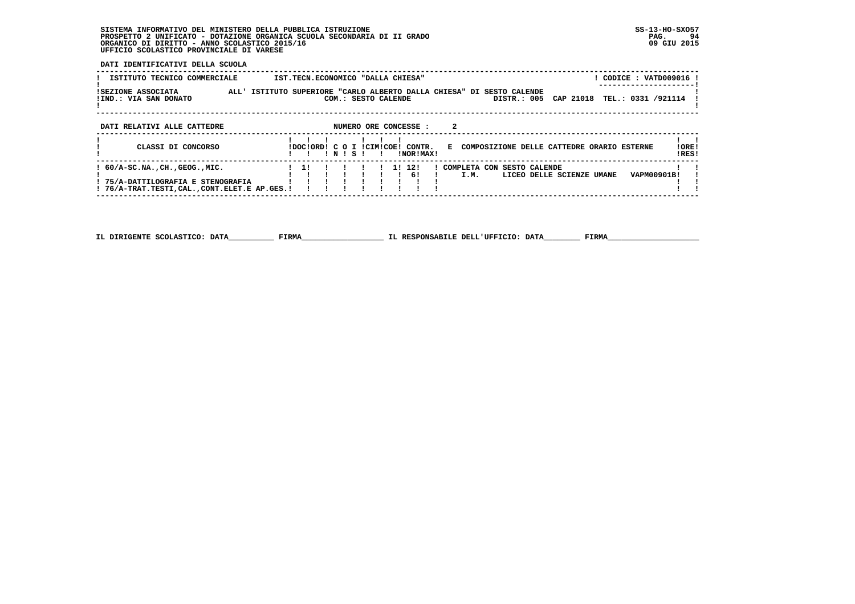**DATI IDENTIFICATIVI DELLA SCUOLA**

| ISTITUTO TECNICO COMMERCIALE                                                                                                          | CODICE: VATD009016<br>IST.TECN.ECONOMICO "DALLA CHIESA"                                                                                        |                |
|---------------------------------------------------------------------------------------------------------------------------------------|------------------------------------------------------------------------------------------------------------------------------------------------|----------------|
| ISEZIONE ASSOCIATA<br>!IND.: VIA SAN DONATO                                                                                           | ALL' ISTITUTO SUPERIORE "CARLO ALBERTO DALLA CHIESA" DI SESTO CALENDE<br>TEL.: 0331 /921114<br>CAP 21018<br>DISTR.: 005<br>COM.: SESTO CALENDE |                |
| DATI RELATIVI ALLE CATTEDRE                                                                                                           | 2<br>NUMERO ORE CONCESSE :                                                                                                                     |                |
| CLASSI DI CONCORSO                                                                                                                    | IDOCIORDI C O I ICIMICOEI CONTR.<br>E COMPOSIZIONE DELLE CATTEDRE ORARIO ESTERNE<br>INISI<br>INORIMAXI                                         | !ORE!<br>!RES! |
| $: 60/A-SC.NA.$ , $CH.$ , $GEOG.$ , $MIC.$<br>! 75/A-DATTILOGRAFIA E STENOGRAFIA<br>! 76/A-TRAT.TESTI, CAL., CONT. ELET. E AP. GES. ! | 11 121<br>! COMPLETA CON SESTO CALENDE<br><b>VAPM00901B!</b><br>$1 \quad 61$<br>I.M.<br>LICEO DELLE SCIENZE UMANE                              |                |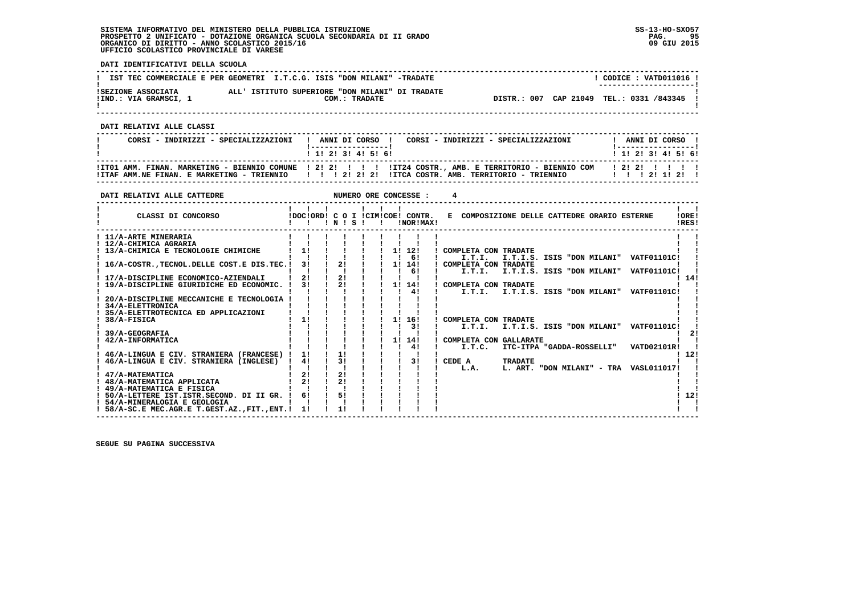**DATI IDENTIFICATIVI DELLA SCUOLA**

|                                             | IST TEC COMMERCIALE E PER GEOMETRI I.T.C.G. ISIS "DON MILANI" -TRADATE | CODICE: VATD011016 !<br>--------------------- |
|---------------------------------------------|------------------------------------------------------------------------|-----------------------------------------------|
| ISEZIONE ASSOCIATA<br>!IND.: VIA GRAMSCI, 1 | ALL' ISTITUTO SUPERIORE "DON MILANI" DI TRADATE<br>COM.: TRADATE       | DISTR.: 007 CAP 21049 TEL.: 0331 /843345      |

 **------------------------------------------------------------------------------------------------------------------------------------**

 **DATI RELATIVI ALLE CLASSI**

| CORSI - INDIRIZZI - SPECIALIZZAZIONI   ANNI DI CORSO   CORSI - INDIRIZZI - SPECIALIZZAZIONI                                                                                                                                               | ANNI DI CORSO !<br>1 ------------------ <b>1</b> |
|-------------------------------------------------------------------------------------------------------------------------------------------------------------------------------------------------------------------------------------------|--------------------------------------------------|
| 1 1 2 3 3 4 5 6 1                                                                                                                                                                                                                         | 1 1 1 2 1 3 1 4 1 5 1 6 1                        |
| ! ITO1 AMM. FINAN. MARKETING - BIENNIO COMUNE ! 2! 2! ! !!! !IT24 COSTR., AMB. E TERRITORIO - BIENNIO COM   2! 2! !!!!<br>!ITAF AMM.NE FINAN. E MARKETING - TRIENNIO   !!! 2! 2! 2!!ITCA COSTR. AMB. TERRITORIO - TRIENNIO   !!! 2! 1! 2! |                                                  |

 **------------------------------------------------------------------------------------------------------------------------------------**

| IDOCIORD! C O I ICIMICOE! CONTR.<br>E COMPOSIZIONE DELLE CATTEDRE ORARIO ESTERNE<br>!ORE!<br>CLASSI DI CONCORSO<br>INISI<br>INOR ! MAX!<br>IRES!<br>$\mathbf{I}$<br>! 11/A-ARTE MINERARIA<br>! 12/A-CHIMICA AGRARIA<br>11<br>$1 \quad 11 \quad 121$<br>! 13/A-CHIMICA E TECNOLOGIE CHIMICHE<br>! COMPLETA CON TRADATE<br>61<br>I.T.I.<br>I.T.I.S. ISIS "DON MILANI" VATF01101C!<br>21<br>16/A-COSTR., TECNOL. DELLE COST. E DIS. TEC. !<br>-3 I<br>! COMPLETA CON TRADATE<br>1! 14!<br>61<br>I.T.I.<br>I.T.I.S. ISIS "DON MILANI" VATF01101C!<br>21<br>21<br>14!<br>17/A-DISCIPLINE ECONOMICO-AZIENDALI<br>21<br>31<br>1! 14!<br>19/A-DISCIPLINE GIURIDICHE ED ECONOMIC.<br>COMPLETA CON TRADATE<br>41<br>I.T.I. I.T.I.S. ISIS "DON MILANI" VATF01101C!<br>20/A-DISCIPLINE MECCANICHE E TECNOLOGIA<br>34/A-ELETTRONICA<br>35/A-ELETTROTECNICA ED APPLICAZIONI<br>11<br>11<br>38/A-FISICA<br>16!<br>COMPLETA CON TRADATE<br>31<br>I.T.I.<br>I.T.I.S. ISIS "DON MILANI" VATF01101C!<br>39/A-GEOGRAFIA<br>1! 14!<br>42/A-INFORMATICA<br>COMPLETA CON GALLARATE<br>41<br>ITC-ITPA "GADDA-ROSSELLI"<br>VATD02101R!<br>I.T.C.<br>11<br>46/A-LINGUA E CIV. STRANIERA (FRANCESE) !<br>11<br>12!<br>31<br>41<br>31<br>46/A-LINGUA E CIV. STRANIERA (INGLESE) !<br>CEDE A<br><b>TRADATE</b><br>L. ART. "DON MILANI" - TRA VASL011017!<br>L.A.<br>21<br>21<br>47/A-MATEMATICA<br>21<br>21<br>! 48/A-MATEMATICA APPLICATA<br>! 49/A-MATEMATICA E FISICA<br>5!<br>12!<br>6!<br>50/A-LETTERE IST.ISTR.SECOND. DI II GR. !<br>! 54/A-MINERALOGIA E GEOLOGIA<br>1!<br>11<br>! 58/A-SC.E MEC.AGR.E T.GEST.AZ., FIT., ENT.! | DATI RELATIVI ALLE CATTEDRE |  |  |  | NUMERO ORE CONCESSE : |  |  |  |  |
|-----------------------------------------------------------------------------------------------------------------------------------------------------------------------------------------------------------------------------------------------------------------------------------------------------------------------------------------------------------------------------------------------------------------------------------------------------------------------------------------------------------------------------------------------------------------------------------------------------------------------------------------------------------------------------------------------------------------------------------------------------------------------------------------------------------------------------------------------------------------------------------------------------------------------------------------------------------------------------------------------------------------------------------------------------------------------------------------------------------------------------------------------------------------------------------------------------------------------------------------------------------------------------------------------------------------------------------------------------------------------------------------------------------------------------------------------------------------------------------------------------------------------------------------------------------------------------------------------------------|-----------------------------|--|--|--|-----------------------|--|--|--|--|
|                                                                                                                                                                                                                                                                                                                                                                                                                                                                                                                                                                                                                                                                                                                                                                                                                                                                                                                                                                                                                                                                                                                                                                                                                                                                                                                                                                                                                                                                                                                                                                                                           |                             |  |  |  |                       |  |  |  |  |
|                                                                                                                                                                                                                                                                                                                                                                                                                                                                                                                                                                                                                                                                                                                                                                                                                                                                                                                                                                                                                                                                                                                                                                                                                                                                                                                                                                                                                                                                                                                                                                                                           |                             |  |  |  |                       |  |  |  |  |
|                                                                                                                                                                                                                                                                                                                                                                                                                                                                                                                                                                                                                                                                                                                                                                                                                                                                                                                                                                                                                                                                                                                                                                                                                                                                                                                                                                                                                                                                                                                                                                                                           |                             |  |  |  |                       |  |  |  |  |
|                                                                                                                                                                                                                                                                                                                                                                                                                                                                                                                                                                                                                                                                                                                                                                                                                                                                                                                                                                                                                                                                                                                                                                                                                                                                                                                                                                                                                                                                                                                                                                                                           |                             |  |  |  |                       |  |  |  |  |
|                                                                                                                                                                                                                                                                                                                                                                                                                                                                                                                                                                                                                                                                                                                                                                                                                                                                                                                                                                                                                                                                                                                                                                                                                                                                                                                                                                                                                                                                                                                                                                                                           |                             |  |  |  |                       |  |  |  |  |
|                                                                                                                                                                                                                                                                                                                                                                                                                                                                                                                                                                                                                                                                                                                                                                                                                                                                                                                                                                                                                                                                                                                                                                                                                                                                                                                                                                                                                                                                                                                                                                                                           |                             |  |  |  |                       |  |  |  |  |
|                                                                                                                                                                                                                                                                                                                                                                                                                                                                                                                                                                                                                                                                                                                                                                                                                                                                                                                                                                                                                                                                                                                                                                                                                                                                                                                                                                                                                                                                                                                                                                                                           |                             |  |  |  |                       |  |  |  |  |
|                                                                                                                                                                                                                                                                                                                                                                                                                                                                                                                                                                                                                                                                                                                                                                                                                                                                                                                                                                                                                                                                                                                                                                                                                                                                                                                                                                                                                                                                                                                                                                                                           |                             |  |  |  |                       |  |  |  |  |
|                                                                                                                                                                                                                                                                                                                                                                                                                                                                                                                                                                                                                                                                                                                                                                                                                                                                                                                                                                                                                                                                                                                                                                                                                                                                                                                                                                                                                                                                                                                                                                                                           |                             |  |  |  |                       |  |  |  |  |
|                                                                                                                                                                                                                                                                                                                                                                                                                                                                                                                                                                                                                                                                                                                                                                                                                                                                                                                                                                                                                                                                                                                                                                                                                                                                                                                                                                                                                                                                                                                                                                                                           |                             |  |  |  |                       |  |  |  |  |
|                                                                                                                                                                                                                                                                                                                                                                                                                                                                                                                                                                                                                                                                                                                                                                                                                                                                                                                                                                                                                                                                                                                                                                                                                                                                                                                                                                                                                                                                                                                                                                                                           |                             |  |  |  |                       |  |  |  |  |
|                                                                                                                                                                                                                                                                                                                                                                                                                                                                                                                                                                                                                                                                                                                                                                                                                                                                                                                                                                                                                                                                                                                                                                                                                                                                                                                                                                                                                                                                                                                                                                                                           |                             |  |  |  |                       |  |  |  |  |
|                                                                                                                                                                                                                                                                                                                                                                                                                                                                                                                                                                                                                                                                                                                                                                                                                                                                                                                                                                                                                                                                                                                                                                                                                                                                                                                                                                                                                                                                                                                                                                                                           |                             |  |  |  |                       |  |  |  |  |
|                                                                                                                                                                                                                                                                                                                                                                                                                                                                                                                                                                                                                                                                                                                                                                                                                                                                                                                                                                                                                                                                                                                                                                                                                                                                                                                                                                                                                                                                                                                                                                                                           |                             |  |  |  |                       |  |  |  |  |
|                                                                                                                                                                                                                                                                                                                                                                                                                                                                                                                                                                                                                                                                                                                                                                                                                                                                                                                                                                                                                                                                                                                                                                                                                                                                                                                                                                                                                                                                                                                                                                                                           |                             |  |  |  |                       |  |  |  |  |
|                                                                                                                                                                                                                                                                                                                                                                                                                                                                                                                                                                                                                                                                                                                                                                                                                                                                                                                                                                                                                                                                                                                                                                                                                                                                                                                                                                                                                                                                                                                                                                                                           |                             |  |  |  |                       |  |  |  |  |
|                                                                                                                                                                                                                                                                                                                                                                                                                                                                                                                                                                                                                                                                                                                                                                                                                                                                                                                                                                                                                                                                                                                                                                                                                                                                                                                                                                                                                                                                                                                                                                                                           |                             |  |  |  |                       |  |  |  |  |
|                                                                                                                                                                                                                                                                                                                                                                                                                                                                                                                                                                                                                                                                                                                                                                                                                                                                                                                                                                                                                                                                                                                                                                                                                                                                                                                                                                                                                                                                                                                                                                                                           |                             |  |  |  |                       |  |  |  |  |
|                                                                                                                                                                                                                                                                                                                                                                                                                                                                                                                                                                                                                                                                                                                                                                                                                                                                                                                                                                                                                                                                                                                                                                                                                                                                                                                                                                                                                                                                                                                                                                                                           |                             |  |  |  |                       |  |  |  |  |
|                                                                                                                                                                                                                                                                                                                                                                                                                                                                                                                                                                                                                                                                                                                                                                                                                                                                                                                                                                                                                                                                                                                                                                                                                                                                                                                                                                                                                                                                                                                                                                                                           |                             |  |  |  |                       |  |  |  |  |
|                                                                                                                                                                                                                                                                                                                                                                                                                                                                                                                                                                                                                                                                                                                                                                                                                                                                                                                                                                                                                                                                                                                                                                                                                                                                                                                                                                                                                                                                                                                                                                                                           |                             |  |  |  |                       |  |  |  |  |
|                                                                                                                                                                                                                                                                                                                                                                                                                                                                                                                                                                                                                                                                                                                                                                                                                                                                                                                                                                                                                                                                                                                                                                                                                                                                                                                                                                                                                                                                                                                                                                                                           |                             |  |  |  |                       |  |  |  |  |
|                                                                                                                                                                                                                                                                                                                                                                                                                                                                                                                                                                                                                                                                                                                                                                                                                                                                                                                                                                                                                                                                                                                                                                                                                                                                                                                                                                                                                                                                                                                                                                                                           |                             |  |  |  |                       |  |  |  |  |
|                                                                                                                                                                                                                                                                                                                                                                                                                                                                                                                                                                                                                                                                                                                                                                                                                                                                                                                                                                                                                                                                                                                                                                                                                                                                                                                                                                                                                                                                                                                                                                                                           |                             |  |  |  |                       |  |  |  |  |
|                                                                                                                                                                                                                                                                                                                                                                                                                                                                                                                                                                                                                                                                                                                                                                                                                                                                                                                                                                                                                                                                                                                                                                                                                                                                                                                                                                                                                                                                                                                                                                                                           |                             |  |  |  |                       |  |  |  |  |
|                                                                                                                                                                                                                                                                                                                                                                                                                                                                                                                                                                                                                                                                                                                                                                                                                                                                                                                                                                                                                                                                                                                                                                                                                                                                                                                                                                                                                                                                                                                                                                                                           |                             |  |  |  |                       |  |  |  |  |
|                                                                                                                                                                                                                                                                                                                                                                                                                                                                                                                                                                                                                                                                                                                                                                                                                                                                                                                                                                                                                                                                                                                                                                                                                                                                                                                                                                                                                                                                                                                                                                                                           |                             |  |  |  |                       |  |  |  |  |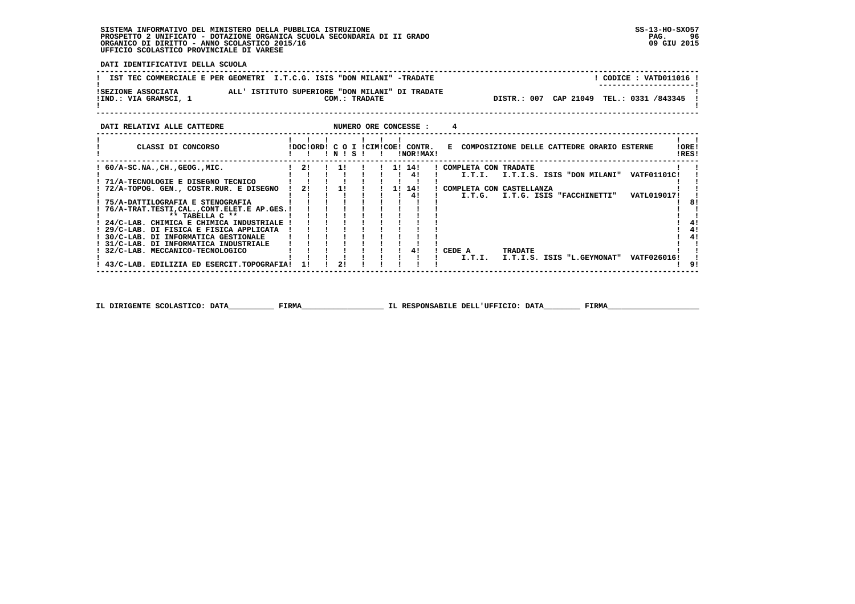**DATI IDENTIFICATIVI DELLA SCUOLA**

|                                             | IST TEC COMMERCIALE E PER GEOMETRI I.T.C.G. ISIS "DON MILANI" -TRADATE | CODICE: VATD011016 !<br>--------------------- |
|---------------------------------------------|------------------------------------------------------------------------|-----------------------------------------------|
| ISEZIONE ASSOCIATA<br>!IND.: VIA GRAMSCI, 1 | ALL' ISTITUTO SUPERIORE "DON MILANI" DI TRADATE<br>COM.: TRADATE       | DISTR.: 007 CAP 21049 TEL.: 0331 /843345      |

| DATI RELATIVI ALLE CATTEDRE               |                           |           |  |  | NUMERO ORE CONCESSE : |                                              |                           |                            |                    |                |
|-------------------------------------------|---------------------------|-----------|--|--|-----------------------|----------------------------------------------|---------------------------|----------------------------|--------------------|----------------|
| CLASSI DI CONCORSO                        | IDOCIORDI C O I ICIMICOEI | ! N ! S ! |  |  | CONTR.<br>!NOR!MAX!   | E COMPOSIZIONE DELLE CATTEDRE ORARIO ESTERNE |                           |                            |                    | !ORE!<br>!RES! |
| $60/A-SC.NA.$ , $CH.$ , $GEOG.$ , $MIC.$  | 21                        | -11       |  |  | 11 141                | COMPLETA CON TRADATE                         |                           |                            |                    |                |
|                                           |                           |           |  |  | 41                    | I.T.I.                                       |                           | I.T.I.S. ISIS "DON MILANI" | <b>VATF01101C!</b> |                |
| ! 71/A-TECNOLOGIE E DISEGNO TECNICO       |                           | <b>11</b> |  |  |                       |                                              |                           |                            |                    |                |
| 72/A-TOPOG. GEN., COSTR.RUR. E DISEGNO    | 21                        |           |  |  | 1! 14!<br>41          | COMPLETA CON CASTELLANZA<br>I.T.G.           | I.T.G. ISIS "FACCHINETTI" |                            | <b>VATL019017!</b> |                |
| ! 75/A-DATTILOGRAFIA E STENOGRAFIA        |                           |           |  |  |                       |                                              |                           |                            |                    | 8!             |
| 76/A-TRAT.TESTI,CAL.,CONT.ELET.E AP.GES.! |                           |           |  |  |                       |                                              |                           |                            |                    |                |
| $***$ TABELLA $C**$                       |                           |           |  |  |                       |                                              |                           |                            |                    |                |
| ! 24/C-LAB. CHIMICA E CHIMICA INDUSTRIALE |                           |           |  |  |                       |                                              |                           |                            |                    |                |
| ! 29/C-LAB. DI FISICA E FISICA APPLICATA  |                           |           |  |  |                       |                                              |                           |                            |                    | 41             |
| ! 30/C-LAB. DI INFORMATICA GESTIONALE     |                           |           |  |  |                       |                                              |                           |                            |                    | 41             |
| ! 31/C-LAB. DI INFORMATICA INDUSTRIALE    |                           |           |  |  |                       |                                              |                           |                            |                    |                |
| ! 32/C-LAB. MECCANICO-TECNOLOGICO         |                           |           |  |  | 41                    | CEDE A<br><b>TRADATE</b>                     |                           |                            |                    |                |
|                                           |                           |           |  |  |                       | I.T.I.                                       |                           | I.T.I.S. ISIS "L.GEYMONAT" | VATF026016!        |                |
| 43/C-LAB. EDILIZIA ED ESERCIT.TOPOGRAFIA! | 11                        | 2!        |  |  |                       |                                              |                           |                            |                    |                |
|                                           |                           |           |  |  |                       |                                              |                           |                            |                    |                |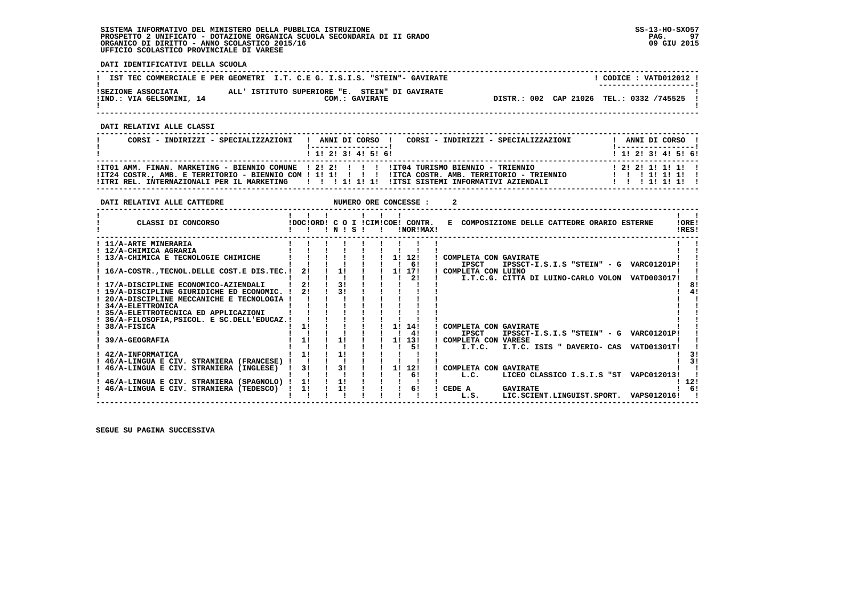**DATI IDENTIFICATIVI DELLA SCUOLA**

|                                                | IST TEC COMMERCIALE E PER GEOMETRI I.T. C.E G. I.S.I.S. "STEIN"- GAVIRATE | CODICE: VATD012012 !<br>--------------------- |
|------------------------------------------------|---------------------------------------------------------------------------|-----------------------------------------------|
| ISEZIONE ASSOCIATA<br>!IND.: VIA GELSOMINI, 14 | ALL' ISTITUTO SUPERIORE "E. STEIN" DI GAVIRATE<br>COM.: GAVIRATE          | DISTR.: 002 CAP 21026 TEL.: 0332 /745525      |
|                                                |                                                                           |                                               |

 **------------------------------------------------------------------------------------------------------------------------------------**

 **DATI RELATIVI ALLE CLASSI**

| CORSI - INDIRIZZI - SPECIALIZZAZIONI | CORSI - INDIRIZZI - SPECIALIZZAZIONI<br>! ANNI DI CORSO !<br>1 1 2 3 3 4 5 6 1                                                                                                                                                                                                                      | ANNI DI CORSO !<br>1 1 1 2 1 3 1 4 1 5 1 6 1    |
|--------------------------------------|-----------------------------------------------------------------------------------------------------------------------------------------------------------------------------------------------------------------------------------------------------------------------------------------------------|-------------------------------------------------|
|                                      | ITT01 AMM. FINAN. MARKETING - BIENNIO COMUNE ! 2! 2! ! !!! ITT04 TURISMO BIENNIO - TRIENNIO<br>ITZ4 COSTR., AMB. E TERRITORIO - BIENNIO COM ! 1! 1! ! ! ! IITCA COSTR. AMB. TERRITORIO - TRIENNIO<br>ITTRI REL. INTERNAZIONALI PER IL MARKETING         1  1  1  ITSI SISTEMI INFORMATIVI AZIENDALI | 1 2 1 2 1 1 1 1 1 1 1<br>111111111<br>111111111 |

| DATI RELATIVI ALLE CATTEDRE                                                                                                                                                                                                                                                                                                                                                                                               |                            |                      |  |                      | NUMERO ORE CONCESSE :                            |                                                                                                                                                                                                                                                                                                                                      |                 |
|---------------------------------------------------------------------------------------------------------------------------------------------------------------------------------------------------------------------------------------------------------------------------------------------------------------------------------------------------------------------------------------------------------------------------|----------------------------|----------------------|--|----------------------|--------------------------------------------------|--------------------------------------------------------------------------------------------------------------------------------------------------------------------------------------------------------------------------------------------------------------------------------------------------------------------------------------|-----------------|
| CLASSI DI CONCORSO                                                                                                                                                                                                                                                                                                                                                                                                        |                            | 1 N 1 S 1            |  |                      | !DOC!ORD! C O I !CIM!COE! CONTR.<br>!NOR!MAX!    | E COMPOSIZIONE DELLE CATTEDRE ORARIO ESTERNE                                                                                                                                                                                                                                                                                         | ! ORE!<br>!RES! |
| ! 11/A-ARTE MINERARIA<br>! 12/A-CHIMICA AGRARIA<br>13/A-CHIMICA E TECNOLOGIE CHIMICHE<br>16/A-COSTR., TECNOL. DELLE COST. E DIS. TEC. !<br>17/A-DISCIPLINE ECONOMICO-AZIENDALI<br>19/A-DISCIPLINE GIURIDICHE ED ECONOMIC.<br>20/A-DISCIPLINE MECCANICHE E TECNOLOGIA !<br><b>34/A-ELETTRONICA</b><br>35/A-ELETTROTECNICA ED APPLICAZIONI<br>36/A-FILOSOFIA, PSICOL. E SC. DELL'EDUCAZ. !<br>38/A-FISICA<br>39/A-GEOGRAFIA | 2!<br>21<br>2!<br>1!<br>11 | 11<br>31<br>31<br>11 |  | 11<br>11<br>11<br>1! | 12!<br>61<br>17!<br>21<br>14!<br>4!<br>13!<br>51 | COMPLETA CON GAVIRATE<br><b>IPSCT</b><br>IPSSCT-I.S.I.S "STEIN" - G VARC01201P!<br>! COMPLETA CON LUINO<br>I.T.C.G. CITTA DI LUINO-CARLO VOLON VATD003017!<br>COMPLETA CON GAVIRATE<br><b>IPSCT</b><br>IPSSCT-I.S.I.S "STEIN" - G VARC01201P!<br>! COMPLETA CON VARESE<br>I.T.C. ISIS " DAVERIO- CAS<br><b>VATD01301T!</b><br>I.T.C. |                 |
| 42/A-INFORMATICA<br>! 46/A-LINGUA E CIV. STRANIERA (FRANCESE)<br>46/A-LINGUA E CIV. STRANIERA (INGLESE)<br>46/A-LINGUA E CIV. STRANIERA (SPAGNOLO)<br>46/A-LINGUA E CIV. STRANIERA (TEDESCO)                                                                                                                                                                                                                              | 11<br>3!<br>1!<br>11       | 11<br>31<br>11<br>1! |  | 11                   | 12!<br>6!<br>61                                  | COMPLETA CON GAVIRATE<br>LICEO CLASSICO I.S.I.S "ST<br>VAPC012013!<br>L.C.<br>CEDE A<br><b>GAVIRATE</b><br>LIC.SCIENT.LINGUIST.SPORT.<br>L.S.<br>VAPS012016!                                                                                                                                                                         | -12!            |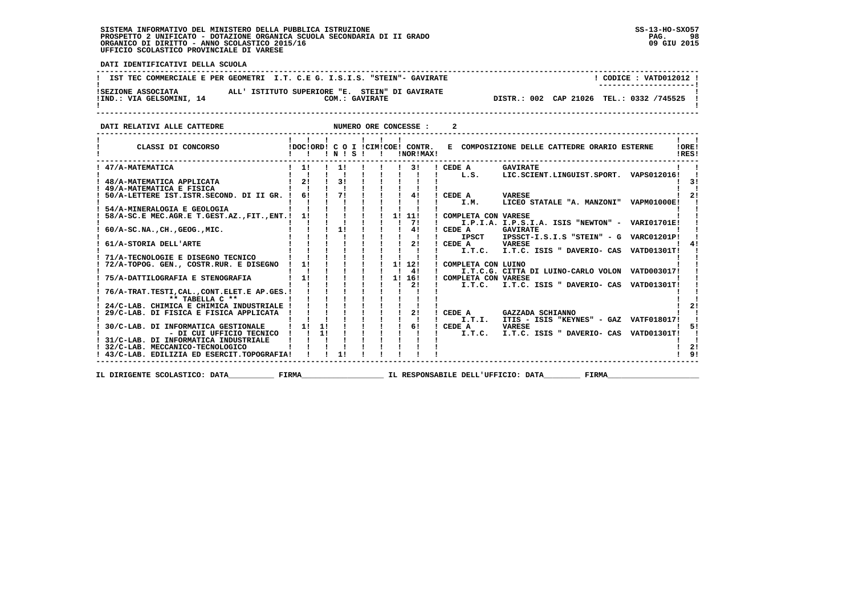PAG. 98 09 GIU 2015

 $\mathbf{I}$ 

 **DATI IDENTIFICATIVI DELLA SCUOLA ------------------------------------------------------------------------------------------------------------------------------------**! CODICE : VATD012012 ! **!** IST TEC COMMERCIALE E PER GEOMETRI I.T. C.E G. I.S.I.S. "STEIN"- GAVIRATE ------------------------ **! ---------------------! !SEZIONE ASSOCIATA ALL' ISTITUTO SUPERIORE "E. STEIN" DI GAVIRATE ! !IND.: VIA GELSOMINI, 14 COM.: GAVIRATE DISTR.: 002 CAP 21026 TEL.: 0332 /745525 ! ! !**DISTR.: 002 CAP 21026 TEL.: 0332 /745525 !  **------------------------------------------------------------------------------------------------------------------------------------DATI RELATIVI ALLE CATTEDRE NUMERO ORE CONCESSE : 2** 

| CLASSI DI CONCORSO                           |    |    | 1 N 1 S 1      |  |    | IDOCIORD! C O I ICIMICOE! CONTR.<br>!NOR!MAX! |                     | E COMPOSIZIONE DELLE CATTEDRE ORARIO ESTERNE    |                    | !ORE!<br>IRES! |
|----------------------------------------------|----|----|----------------|--|----|-----------------------------------------------|---------------------|-------------------------------------------------|--------------------|----------------|
| 47/A-MATEMATICA                              | 11 |    | 1!             |  |    | 3!                                            | CEDE A              | <b>GAVIRATE</b>                                 |                    |                |
|                                              |    |    |                |  |    |                                               | L.S.                | LIC.SCIENT.LINGUIST.SPORT.                      | VAPS012016!        |                |
| 48/A-MATEMATICA APPLICATA                    | 21 |    | 3 <sub>1</sub> |  |    |                                               |                     |                                                 |                    | 31             |
| 49/A-MATEMATICA E FISICA                     |    |    |                |  |    |                                               |                     |                                                 |                    |                |
| 50/A-LETTERE IST.ISTR.SECOND. DI II GR.      | 61 |    | 71             |  |    | 41                                            | CEDE A              | <b>VARESE</b>                                   |                    |                |
|                                              |    |    |                |  |    |                                               | I.M.                | LICEO STATALE "A. MANZONI"                      | <b>VAPM01000E!</b> |                |
| 54/A-MINERALOGIA E GEOLOGIA                  |    |    |                |  |    |                                               |                     |                                                 |                    |                |
| 58/A-SC.E MEC.AGR.E T.GEST.AZ., FIT., ENT. ! | 11 |    |                |  | 1! | 11!                                           | COMPLETA CON VARESE |                                                 |                    |                |
|                                              |    |    |                |  |    | 71                                            |                     | I.P.I.A. I.P.S.I.A. ISIS "NEWTON" - VARI01701E! |                    |                |
| $60/A-SC.NA.$ , CH., GEOG., MIC.             |    |    | 11             |  |    | 41                                            | CEDE A              | <b>GAVIRATE</b>                                 |                    |                |
|                                              |    |    |                |  |    |                                               | <b>IPSCT</b>        | IPSSCT-I.S.I.S "STEIN" - G                      | <b>VARC01201P!</b> |                |
| 61/A-STORIA DELL'ARTE                        |    |    |                |  |    | 2!                                            | CEDE A              | VARESE                                          |                    |                |
|                                              |    |    |                |  |    |                                               | I.T.C.              | I.T.C. ISIS " DAVERIO- CAS                      | <b>VATD01301T!</b> |                |
| 71/A-TECNOLOGIE E DISEGNO TECNICO            |    |    |                |  |    |                                               |                     |                                                 |                    |                |
| 72/A-TOPOG. GEN., COSTR.RUR. E DISEGNO       | 11 |    |                |  | 11 | 12!                                           | COMPLETA CON LUINO  |                                                 |                    |                |
|                                              |    |    |                |  |    | 41                                            |                     | I.T.C.G. CITTA DI LUINO-CARLO VOLON VATD003017! |                    |                |
| 75/A-DATTILOGRAFIA E STENOGRAFIA             | 11 |    |                |  | 1! | 16!                                           | COMPLETA CON VARESE |                                                 |                    |                |
|                                              |    |    |                |  |    | 2!                                            | I.T.C.              | I.T.C. ISIS " DAVERIO- CAS VATD01301T!          |                    |                |
| 76/A-TRAT.TESTI, CAL., CONT.ELET.E AP.GES. ! |    |    |                |  |    |                                               |                     |                                                 |                    |                |
| ** TABELLA C **                              |    |    |                |  |    |                                               |                     |                                                 |                    |                |
| 24/C-LAB. CHIMICA E CHIMICA INDUSTRIALE      |    |    |                |  |    |                                               |                     |                                                 |                    |                |
| 29/C-LAB. DI FISICA E FISICA APPLICATA       |    |    |                |  |    | 21                                            | CEDE A              | GAZZADA SCHIANNO                                |                    |                |
|                                              |    |    |                |  |    |                                               | I.T.I.              | ITIS - ISIS "KEYNES" - GAZ VATF018017!          |                    |                |
| 30/C-LAB. DI INFORMATICA GESTIONALE          |    | 11 |                |  |    | 61                                            | CEDE A              | <b>VARESE</b>                                   |                    |                |
| - DI CUI UFFICIO TECNICO                     |    | 1! |                |  |    |                                               | I.T.C.              | I.T.C. ISIS " DAVERIO- CAS                      | <b>VATD01301T!</b> |                |
| 31/C-LAB. DI INFORMATICA INDUSTRIALE         |    |    |                |  |    |                                               |                     |                                                 |                    |                |
| 32/C-LAB. MECCANICO-TECNOLOGICO              |    |    |                |  |    |                                               |                     |                                                 |                    | 2!             |
| 43/C-LAB. EDILIZIA ED ESERCIT.TOPOGRAFIA!    |    |    |                |  |    |                                               |                     |                                                 |                    | 91             |
|                                              |    |    |                |  |    |                                               |                     |                                                 |                    |                |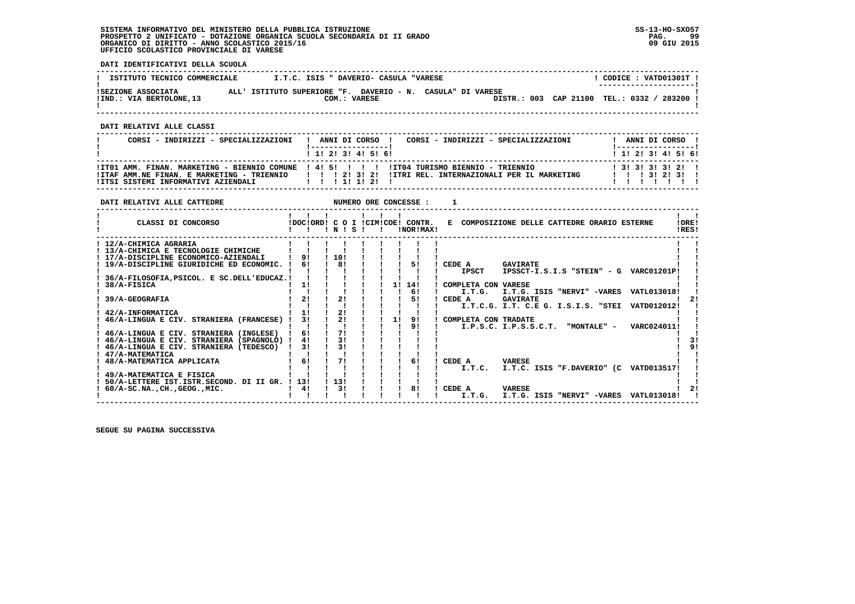**DATI IDENTIFICATIVI DELLA SCUOLA**

| ISTITUTO TECNICO COMMERCIALE | I.T.C. ISIS " DAVERIO- CASULA "VARESE                      | CODICE: VATD01301T !                      |
|------------------------------|------------------------------------------------------------|-------------------------------------------|
| ISEZIONE ASSOCIATA           | ALL' ISTITUTO SUPERIORE "F. DAVERIO - N. CASULA" DI VARESE | ---------------------                     |
| !IND.: VIA BERTOLONE, 13     | COM.: VARESE                                               | DISTR.: 003 CAP 21100 TEL.: 0332 / 283200 |

 **------------------------------------------------------------------------------------------------------------------------------------**

 **DATI RELATIVI ALLE CLASSI**

| CORSI - INDIRIZZI - SPECIALIZZAZIONI | CORSI - INDIRIZZI - SPECIALIZZAZIONI<br>ANNI DI CORSO !                                                                                                                                               |  | ANNI DI CORSO !<br>1 __________________      |  |
|--------------------------------------|-------------------------------------------------------------------------------------------------------------------------------------------------------------------------------------------------------|--|----------------------------------------------|--|
|                                      | 1 1 2 3 3 4 5 6 1                                                                                                                                                                                     |  | 1 1 2 3 3 4 5 6 1                            |  |
|                                      | ITT01 AMM. FINAN. MARKETING - BIENNIO COMUNE 1 41 51 1 1 1 11T04 TURISMO BIENNIO - TRIENNIO<br>ITTAF AMM.NE FINAN. E MARKETING - TRIENNIO         2  3  2  ITTRI REL. INTERNAZIONALI PER IL MARKETING |  | 1 3 1 3 1 3 1 3 1 2 1 1<br>1 1 1 3 1 2 1 3 1 |  |
|                                      |                                                                                                                                                                                                       |  |                                              |  |

| DATI RELATIVI ALLE CATTEDRE                  |                                  |          |           |    | NUMERO ORE CONCESSE : |                                              |                       |                                     |                                        |                |
|----------------------------------------------|----------------------------------|----------|-----------|----|-----------------------|----------------------------------------------|-----------------------|-------------------------------------|----------------------------------------|----------------|
| CLASSI DI CONCORSO                           | IDOCIORDI C O I ICIMICOE! CONTR. |          | 1 N 1 S 1 |    | INORIMAX!             | E COMPOSIZIONE DELLE CATTEDRE ORARIO ESTERNE |                       |                                     |                                        | !ORE!<br>IRES! |
| ! 12/A-CHIMICA AGRARIA                       |                                  |          |           |    |                       |                                              |                       |                                     |                                        |                |
| ! 13/A-CHIMICA E TECNOLOGIE CHIMICHE         |                                  |          |           |    |                       |                                              |                       |                                     |                                        |                |
| ! 17/A-DISCIPLINE ECONOMICO-AZIENDALI        | 91                               | 10!      |           |    |                       |                                              |                       |                                     |                                        |                |
| ! 19/A-DISCIPLINE GIURIDICHE ED ECONOMIC.    | 61                               | 81       |           |    | 51                    | CEDE A                                       | <b>GAVIRATE</b>       |                                     |                                        |                |
|                                              |                                  |          |           |    |                       | <b>IPSCT</b>                                 |                       |                                     | IPSSCT-I.S.I.S "STEIN" - G VARC01201P! |                |
| 36/A-FILOSOFIA, PSICOL. E SC. DELL'EDUCAZ. ! |                                  |          |           |    |                       |                                              |                       |                                     |                                        |                |
| 38/A-FISICA                                  | 11                               |          |           | 1! | 14!                   | COMPLETA CON VARESE                          |                       |                                     |                                        |                |
|                                              |                                  |          |           |    | 6!                    |                                              |                       | I.T.G. I.T.G. ISIS "NERVI" -VARES   | VATL013018!                            |                |
| 39/A-GEOGRAFIA                               | 21                               | 21       |           |    | 51                    | CEDE A                                       | <b>GAVIRATE</b>       |                                     |                                        |                |
|                                              |                                  |          |           |    |                       |                                              |                       | I.T.C.G. I.T. C.E G. I.S.I.S. "STEI | VATD012012!                            |                |
| 42/A-INFORMATICA                             | 1!                               | 21       |           |    |                       |                                              |                       |                                     |                                        |                |
| 46/A-LINGUA E CIV. STRANIERA (FRANCESE)      | 31                               | 21       |           | 11 | 91                    | COMPLETA CON TRADATE                         |                       |                                     |                                        |                |
|                                              |                                  |          |           |    | 9!                    |                                              | I.P.S.C. I.P.S.S.C.T. | "MONTALE" -                         | VARC024011!                            |                |
| 46/A-LINGUA E CIV. STRANIERA (INGLESE)       | 61                               | 71<br>31 |           |    |                       |                                              |                       |                                     |                                        |                |
| 46/A-LINGUA E CIV. STRANIERA (SPAGNOLO) !    | 41                               | 31       |           |    |                       |                                              |                       |                                     |                                        | 31<br>91       |
| 46/A-LINGUA E CIV. STRANIERA (TEDESCO)       | 31                               |          |           |    |                       |                                              |                       |                                     |                                        |                |
| 47/A-MATEMATICA<br>48/A-MATEMATICA APPLICATA | 61                               | 71       |           |    | 61                    | CEDE A                                       | <b>VARESE</b>         |                                     |                                        |                |
|                                              |                                  |          |           |    |                       |                                              |                       |                                     | I.T.C. ISIS "F.DAVERIO" (C VATD013517! |                |
| 49/A-MATEMATICA E FISICA                     |                                  |          |           |    |                       | I.T.C.                                       |                       |                                     |                                        |                |
| 50/A-LETTERE IST.ISTR.SECOND. DI II GR. !    | 13!                              | 1131     |           |    |                       |                                              |                       |                                     |                                        |                |
| $60/A-SC.NA.$ , $CH.$ , $GEOG.$ , $MIC.$     | 41                               | 3!       |           |    | 81                    | CEDE A                                       | <b>VARESE</b>         |                                     |                                        |                |
|                                              |                                  |          |           |    |                       | I.T.G.                                       |                       | I.T.G. ISIS "NERVI" -VARES          | VATL013018!                            |                |
|                                              |                                  |          |           |    |                       |                                              |                       |                                     |                                        |                |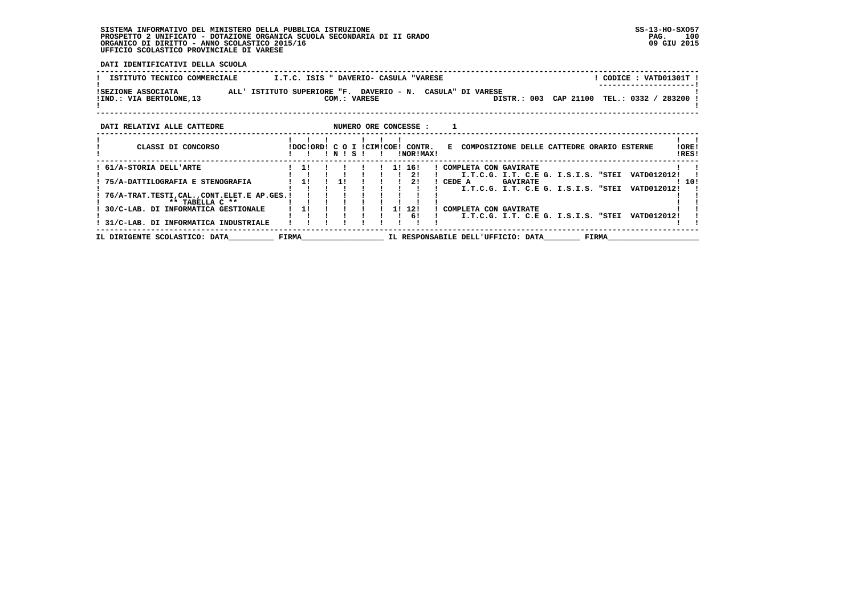**DATI IDENTIFICATIVI DELLA SCUOLA**

| ! CODICE : VATD01301T !<br>ISTITUTO TECNICO COMMERCIALE<br>I.T.C. ISIS " DAVERIO- CASULA "VARESE             |       |  |         |              |  |    |                                               |        |                                    |                 |  |           |                                     |                                            |                |
|--------------------------------------------------------------------------------------------------------------|-------|--|---------|--------------|--|----|-----------------------------------------------|--------|------------------------------------|-----------------|--|-----------|-------------------------------------|--------------------------------------------|----------------|
| ISEZIONE ASSOCIATA<br>ALL' ISTITUTO SUPERIORE "F. DAVERIO - N. CASULA" DI VARESE<br>IIND.: VIA BERTOLONE, 13 |       |  |         | COM.: VARESE |  |    |                                               |        |                                    | DISTR.: 003     |  | CAP 21100 |                                     | TEL.: 0332 / 283200                        |                |
| NUMERO ORE CONCESSE :<br>DATI RELATIVI ALLE CATTEDRE                                                         |       |  |         |              |  |    |                                               |        |                                    |                 |  |           |                                     |                                            |                |
| CLASSI DI CONCORSO                                                                                           |       |  | $'$ N 1 | - S          |  |    | IDOCIORD! C O I ICIMICOE! CONTR.<br>!NOR!MAX! | E.     |                                    |                 |  |           |                                     | COMPOSIZIONE DELLE CATTEDRE ORARIO ESTERNE | !ORE!<br>!RES! |
| 61/A-STORIA DELL'ARTE                                                                                        | 11    |  |         |              |  | 11 | 16!<br>21                                     |        | COMPLETA CON GAVIRATE              |                 |  |           | I.T.C.G. I.T. C.E G. I.S.I.S. "STEI | VATD012012!                                |                |
| 75/A-DATTILOGRAFIA E STENOGRAFIA                                                                             | 11    |  | 1!      |              |  |    | 21                                            | CEDE A |                                    | <b>GAVIRATE</b> |  |           | I.T.C.G. I.T. C.E G. I.S.I.S. "STEI | VATD012012!                                | 10!            |
| 76/A-TRAT.TESTI, CAL., CONT.ELET.E AP.GES.!<br>** TABELLA C **                                               |       |  |         |              |  |    |                                               |        |                                    |                 |  |           |                                     |                                            |                |
| 30/C-LAB. DI INFORMATICA GESTIONALE                                                                          | 11    |  |         |              |  | 11 | 12!<br>61                                     |        | COMPLETA CON GAVIRATE              |                 |  |           | I.T.C.G. I.T. C.E G. I.S.I.S. "STEI | VATD012012!                                |                |
| 31/C-LAB. DI INFORMATICA INDUSTRIALE<br>IL DIRIGENTE SCOLASTICO: DATA                                        | FIRMA |  |         |              |  |    |                                               |        | IL RESPONSABILE DELL'UFFICIO: DATA |                 |  |           | FIRMA                               |                                            |                |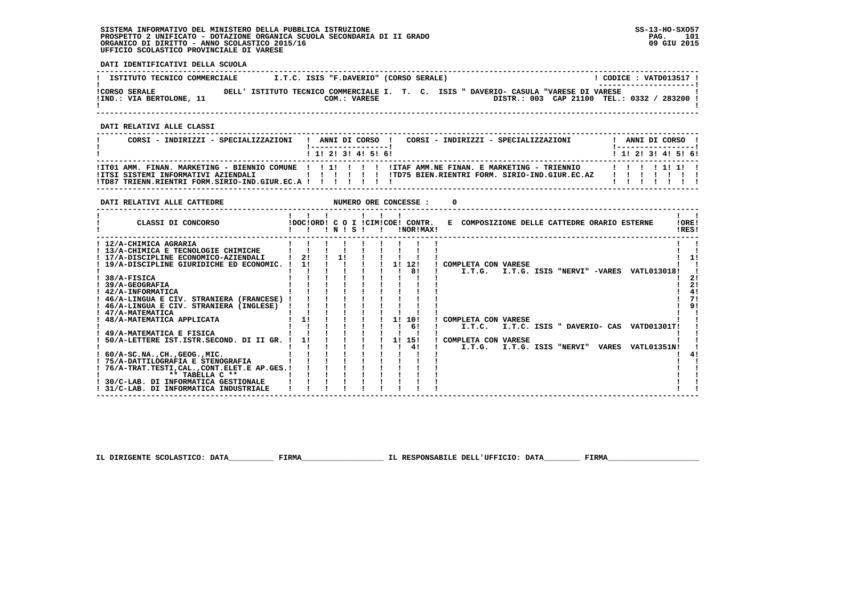**DATI IDENTIFICATIVI DELLA SCUOLA**

| ISTITUTO TECNICO COMMERCIALE                     |                                                                                      | I.T.C. ISIS "F.DAVERIO" (CORSO SERALE) |  |  |                                           |  | CODICE: VATD013517 !  |  |
|--------------------------------------------------|--------------------------------------------------------------------------------------|----------------------------------------|--|--|-------------------------------------------|--|-----------------------|--|
| <b>!CORSO SERALE</b><br>!IND.: VIA BERTOLONE, 11 | DELL' ISTITUTO TECNICO COMMERCIALE I. T. C. ISIS " DAVERIO- CASULA "VARESE DI VARESE | COM.: VARESE                           |  |  | DISTR.: 003 CAP 21100 TEL.: 0332 / 283200 |  | --------------------- |  |
|                                                  |                                                                                      |                                        |  |  |                                           |  |                       |  |

 **------------------------------------------------------------------------------------------------------------------------------------**

 **DATI RELATIVI ALLE CLASSI**

| CORSI - INDIRIZZI - SPECIALIZZAZIONI                          | ANNI DI CORSO !<br>CORSI - INDIRIZZI - SPECIALIZZAZIONI<br>1 1 1 2 1 3 1 4 1 5 1 6 1                  | ANNI DI CORSO !<br>1 1 2 2 1 3 1 4 1 5 1 6 1 |
|---------------------------------------------------------------|-------------------------------------------------------------------------------------------------------|----------------------------------------------|
| !TD87 TRIENN.RIENTRI FORM.SIRIO-IND.GIUR.EC.A ! ! ! ! ! ! ! ! | ITTSI SISTEMI INFORMATIVI AZIENDALI XALI II II III III IIID75 BIEN.RIENTRI FORM. SIRIO-IND.GIUR.EC.AZ |                                              |

| CLASSI DI CONCORSO<br>!DOC!ORD! C O I !CIM!COE! CONTR.<br>E COMPOSIZIONE DELLE CATTEDRE ORARIO ESTERNE<br>INISI<br>!NOR!MAX!<br>$\mathbf{I}$      | !ORE!<br>!RES! |
|---------------------------------------------------------------------------------------------------------------------------------------------------|----------------|
|                                                                                                                                                   |                |
| ! 12/A-CHIMICA AGRARIA<br>! 13/A-CHIMICA E TECNOLOGIE CHIMICHE<br>11<br>2!<br>! 17/A-DISCIPLINE ECONOMICO-AZIENDALI                               | 11             |
| 11<br>1! 12!<br>! 19/A-DISCIPLINE GIURIDICHE ED ECONOMIC. !<br>COMPLETA CON VARESE<br>81<br>I.T.G. I.T.G. ISIS "NERVI" -VARES VATL013018!         |                |
| ! 38/A-FISICA<br>39/A-GEOGRAFIA                                                                                                                   | 21<br>21       |
| $1.42/A-INFORMATICA$<br>! 46/A-LINGUA E CIV. STRANIERA (FRANCESE)<br>! 46/A-LINGUA E CIV. STRANIERA (INGLESE)                                     | 71<br>9!       |
| ! 47/A-MATEMATICA<br>11<br>1! 10!<br>! 48/A-MATEMATICA APPLICATA<br>! COMPLETA CON VARESE                                                         |                |
| I.T.C. ISIS " DAVERIO- CAS VATD01301T!<br>61<br>I.T.C.<br>49/A-MATEMATICA E FISICA                                                                |                |
| 11<br>15!<br>50/A-LETTERE IST.ISTR.SECOND. DI II GR.<br><b>11</b><br>COMPLETA CON VARESE<br>4!<br>I.T.G. ISIS "NERVI" VARES VATL01351N!<br>I.T.G. |                |
| ! 60/A-SC.NA., CH., GEOG., MIC.<br>! 75/A-DATTILOGRAFIA E STENOGRAFIA                                                                             |                |
| ! 76/A-TRAT.TESTI.CALCONT.ELET.E AP.GES.!<br>** TABELLA C **                                                                                      |                |
| ! 30/C-LAB. DI INFORMATICA GESTIONALE<br>! 31/C-LAB. DI INFORMATICA INDUSTRIALE                                                                   |                |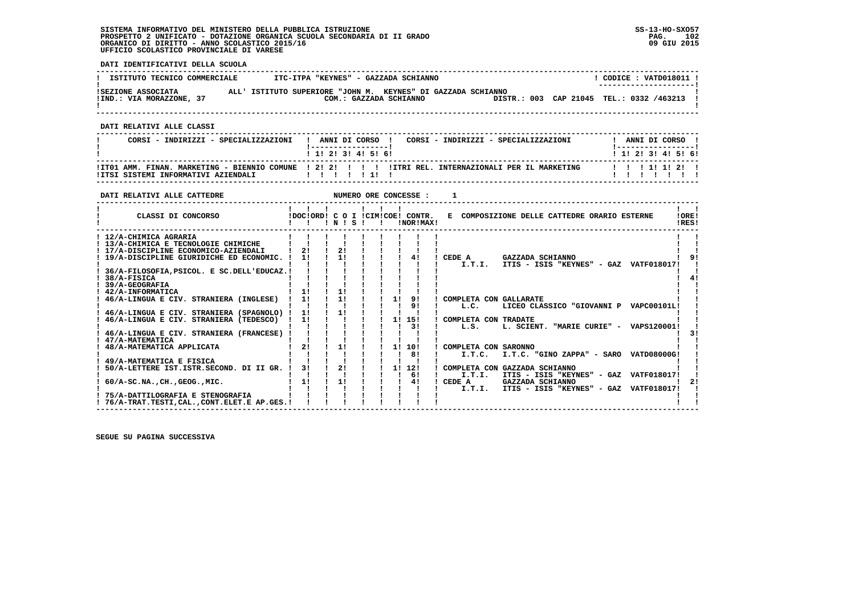**DATI IDENTIFICATIVI DELLA SCUOLA**

| ISTITUTO TECNICO COMMERCIALE                   | ITC-ITPA "KEYNES" - GAZZADA SCHIANNO                                                   |  | CODICE: VATD018011 !<br>--------------------- |  |
|------------------------------------------------|----------------------------------------------------------------------------------------|--|-----------------------------------------------|--|
| ISEZIONE ASSOCIATA<br>!IND.: VIA MORAZZONE, 37 | ALL' ISTITUTO SUPERIORE "JOHN M. KEYNES" DI GAZZADA SCHIANNO<br>COM.: GAZZADA SCHIANNO |  | DISTR.: 003 CAP 21045 TEL.: 0332 /463213      |  |

 **------------------------------------------------------------------------------------------------------------------------------------**

 **DATI RELATIVI ALLE CLASSI**

| CORSI - INDIRIZZI - SPECIALIZZAZIONI | CORSI - INDIRIZZI - SPECIALIZZAZIONI<br>ANNI DI CORSO !<br>1 1 2 3 3 4 5 6 1                                  | ANNI DI CORSO !<br>1 - - - - - - - - - - - - - - - - - 1<br>1 1 2 3 4 5 6 |
|--------------------------------------|---------------------------------------------------------------------------------------------------------------|---------------------------------------------------------------------------|
|                                      | ITTO1 AMM. FINAN. MARKETING - BIENNIO COMUNE 1 21 21 1 1 1 1 1 1 1 1 1 1 REL. INTERNAZIONALI PER IL MARKETING | 1 1 1 1 1 1 2 1                                                           |

 **------------------------------------------------------------------------------------------------------------------------------------**

| DATI RELATIVI ALLE CATTEDRE                                                                                                                                                                                                                                   |                |                |       |  |    | NUMERO ORE CONCESSE :                         |                                |                                                                         |                |
|---------------------------------------------------------------------------------------------------------------------------------------------------------------------------------------------------------------------------------------------------------------|----------------|----------------|-------|--|----|-----------------------------------------------|--------------------------------|-------------------------------------------------------------------------|----------------|
| CLASSI DI CONCORSO                                                                                                                                                                                                                                            |                |                | INISI |  |    | IDOCIORD! C O I ICIMICOE! CONTR.<br>!NOR!MAX! |                                | E COMPOSIZIONE DELLE CATTEDRE ORARIO ESTERNE                            | !ORE!<br>IRES! |
| ! 12/A-CHIMICA AGRARIA<br>! 13/A-CHIMICA E TECNOLOGIE CHIMICHE<br>! 17/A-DISCIPLINE ECONOMICO-AZIENDALI<br>! 19/A-DISCIPLINE GIURIDICHE ED ECONOMIC. !<br>36/A-FILOSOFIA, PSICOL. E SC. DELL'EDUCAZ. !<br>38/A-FISICA<br>39/A-GEOGRAFIA<br>! 42/A-INFORMATICA | 21<br>11<br>11 | 21<br>11<br>11 |       |  |    | 41                                            | CEDE A<br>I.T.I.               | GAZZADA SCHIANNO<br>ITIS - ISIS "KEYNES" - GAZ VATF018017!              |                |
| 46/A-LINGUA E CIV. STRANIERA (INGLESE)<br>46/A-LINGUA E CIV. STRANIERA (SPAGNOLO) !                                                                                                                                                                           | 11<br>11       | 11<br>11       |       |  | 11 | 91<br>91                                      | COMPLETA CON GALLARATE<br>L.C. | LICEO CLASSICO "GIOVANNI P VAPC00101L!                                  |                |
| 46/A-LINGUA E CIV. STRANIERA (TEDESCO)<br>46/A-LINGUA E CIV. STRANIERA (FRANCESE)                                                                                                                                                                             | 11             |                |       |  | 11 | 15!<br>31                                     | COMPLETA CON TRADATE<br>L.S.   | L. SCIENT. "MARIE CURIE" - VAPS120001!                                  |                |
| 47/A-MATEMATICA<br>48/A-MATEMATICA APPLICATA                                                                                                                                                                                                                  | 21             | 11             |       |  | 11 | 10!<br>81                                     | COMPLETA CON SARONNO<br>I.T.C. | I.T.C. "GINO ZAPPA" - SARO VATD08000G!                                  |                |
| 49/A-MATEMATICA E FISICA<br>50/A-LETTERE IST. ISTR. SECOND. DI II GR. !                                                                                                                                                                                       | 31             | 21             |       |  | 11 | 12!<br>6!                                     | I.T.I.                         | COMPLETA CON GAZZADA SCHIANNO<br>ITIS - ISIS "KEYNES" - GAZ VATF018017! |                |
| $60/A-SC.NA.$ , $CH.$ , $GEOG.$ , $MIC.$<br>75/A-DATTILOGRAFIA E STENOGRAFIA<br>! 76/A-TRAT.TESTI.CALCONT.ELET.E AP.GES.!                                                                                                                                     | 11             | 11             |       |  |    | 41                                            | CEDE A<br>I.T.I.               | GAZZADA SCHIANNO<br>ITIS - ISIS "KEYNES" - GAZ VATF018017!              | 21             |

 **------------------------------------------------------------------------------------------------------------------------------------**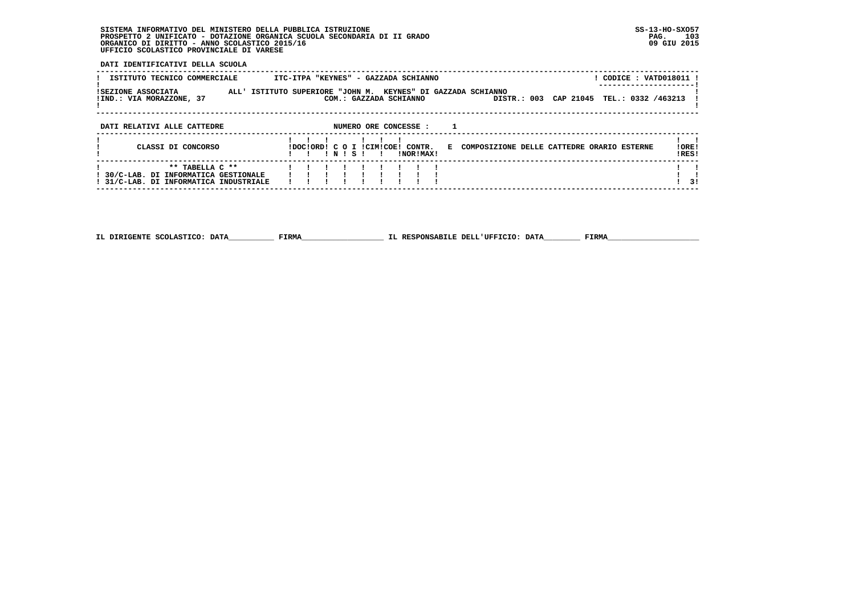**DATI IDENTIFICATIVI DELLA SCUOLA**

| ISTITUTO TECNICO COMMERCIALE                                                                       | ! CODICE : VATD018011 !<br>ITC-ITPA "KEYNES" - GAZZADA SCHIANNO                                                                             |                |
|----------------------------------------------------------------------------------------------------|---------------------------------------------------------------------------------------------------------------------------------------------|----------------|
| ISEZIONE ASSOCIATA<br>!IND.: VIA MORAZZONE, 37                                                     | KEYNES" DI GAZZADA SCHIANNO<br>ALL' ISTITUTO SUPERIORE "JOHN M.<br>DISTR.: 003 CAP 21045<br>TEL.: 0332 /463213<br>COM.: GAZZADA SCHIANNO    |                |
| DATI RELATIVI ALLE CATTEDRE                                                                        | NUMERO ORE CONCESSE :                                                                                                                       |                |
| CLASSI DI CONCORSO                                                                                 | IDOCIORDI C O I ICIMICOEI CONTR.<br>E COMPOSIZIONE DELLE CATTEDRE ORARIO ESTERNE<br>INISI<br>INORIMAXI<br><b>Contract Contract Contract</b> | !ORE!<br>!RES! |
| ** TABELLA C **<br>! 30/C-LAB. DI INFORMATICA GESTIONALE<br>! 31/C-LAB. DI INFORMATICA INDUSTRIALE |                                                                                                                                             | 31             |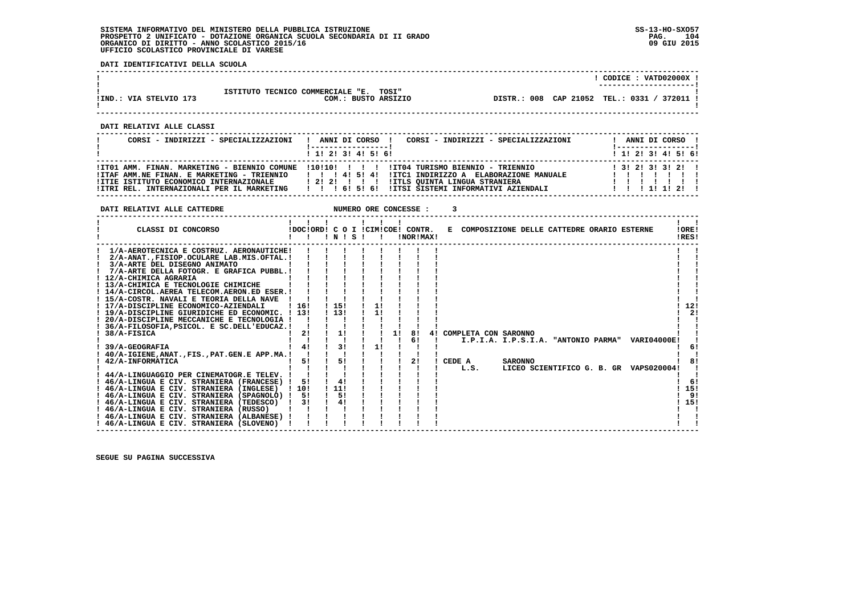**DATI RELATIVI ALLE CATTEDRE NUMERO ORE CONCESSE : 3** 

 **DATI IDENTIFICATIVI DELLA SCUOLA**

|                        |                                        | CODICE: VATD02000X !                        |
|------------------------|----------------------------------------|---------------------------------------------|
|                        |                                        | ---------------------                       |
|                        | ISTITUTO TECNICO COMMERCIALE "E. TOSI" |                                             |
| IIND.: VIA STELVIO 173 | COM.: BUSTO ARSIZIO                    | DISTR.: 008 CAP 21052 TEL.: 0331 / 372011 ! |
|                        |                                        |                                             |

 **------------------------------------------------------------------------------------------------------------------------------------**

 **------------------------------------------------------------------------------------------------------------------------------------**

 **DATI RELATIVI ALLE CLASSI**

| CORSI - INDIRIZZI - SPECIALIZZAZIONI                                                                                                | CORSI - INDIRIZZI - SPECIALIZZAZIONI<br>ANNI DI CORSO !<br>-----------------<br>1 1 2 3 3 4 5 6 1                                                                                                                                                                                                              | ANNI DI CORSO !<br>! -----------------<br>$1$ , 1! 2! 3! 4! 5! 6! |
|-------------------------------------------------------------------------------------------------------------------------------------|----------------------------------------------------------------------------------------------------------------------------------------------------------------------------------------------------------------------------------------------------------------------------------------------------------------|-------------------------------------------------------------------|
| !ITAF AMM.NE FINAN. E MARKETING - TRIENNIO<br>ITTIE ISTITUTO ECONOMICO INTERNAZIONALE<br>!ITRI REL. INTERNAZIONALI PER IL MARKETING | ITT01 AMM, FINAN, MARKETING - BIENNIO COMUNE 1101101 1 1 1 11T04 TURISMO BIENNIO - TRIENNIO<br>11454<br>IITC1 INDIRIZZO A ELABORAZIONE MANUALE<br><b>!ITLS OUINTA LINGUA STRANIERA</b><br>$\begin{array}{cccccccccccc}\n1 & 2 & 2 & 1 & 1 & 1\n\end{array}$<br>!!! 6! 5! 6!!ITSI SISTEMI INFORMATIVI AZIENDALI | 1 3 1 2 1 3 1 3 1 2 1<br>1 1 1 1 1 1 2 1                          |

| CLASSI DI CONCORSO<br>IDOCIORDI C O I ICIMICOEI CONTR.<br>E COMPOSIZIONE DELLE CATTEDRE ORARIO ESTERNE<br>!ORE!<br>IRES!<br>!NOR!MAX!<br>! N ! S<br>1/A-AEROTECNICA E COSTRUZ. AERONAUTICHE!<br>2/A-ANAT. FISIOP. OCULARE LAB.MIS. OFTAL. !<br>3/A-ARTE DEL DISEGNO ANIMATO<br>7/A-ARTE DELLA FOTOGR. E GRAFICA PUBBL.!<br>12/A-CHIMICA AGRARIA<br>! 13/A-CHIMICA E TECNOLOGIE CHIMICHE<br>! 14/A-CIRCOL.AEREA TELECOM.AERON.ED ESER.!<br>! 15/A-COSTR. NAVALI E TEORIA DELLA NAVE<br>12!<br>15!<br>! 17/A-DISCIPLINE ECONOMICO-AZIENDALI<br>-16!<br>11<br>113!<br>21<br>1!<br>-131<br>19/A-DISCIPLINE GIURIDICHE ED ECONOMIC.<br>20/A-DISCIPLINE MECCANICHE E TECNOLOGIA !<br>36/A-FILOSOFIA, PSICOL. E SC.DELL'EDUCAZ.!<br>11<br>38/A-FISICA<br>21<br>4! COMPLETA CON SARONNO<br>81<br>1!<br>6!<br>I.P.I.A. I.P.S.I.A. "ANTONIO PARMA"<br><b>VARI04000E!</b><br>31<br>41<br>11<br>39/A-GEOGRAFIA<br>-61<br>40/A-IGIENE, ANAT., FIS., PAT. GEN. E APP.MA.<br>51<br>21<br>CEDE A<br>51<br><b>SARONNO</b><br>42/A-INFORMATICA<br>LICEO SCIENTIFICO G. B. GR VAPS020004!<br>L.S.<br>44/A-LINGUAGGIO PER CINEMATOGR.E TELEV.<br>4!<br>! 46/A-LINGUA E CIV. STRANIERA (FRANCESE)<br>-61<br>5!<br>11!<br>15!<br>! 10!<br>46/A-LINGUA E CIV. STRANIERA (INGLESE)<br>91<br>5!<br>46/A-LINGUA E CIV. STRANIERA (SPAGNOLO) !<br>51<br>4!<br>15!<br>! 46/A-LINGUA E CIV. STRANIERA (TEDESCO)<br>31<br>! 46/A-LINGUA E CIV. STRANIERA (RUSSO)<br>! 46/A-LINGUA E CIV. STRANIERA (ALBANESE)<br>46/A-LINGUA E CIV. STRANIERA (SLOVENO) |  |  |  |  |  |  |  |  |  |  |
|---------------------------------------------------------------------------------------------------------------------------------------------------------------------------------------------------------------------------------------------------------------------------------------------------------------------------------------------------------------------------------------------------------------------------------------------------------------------------------------------------------------------------------------------------------------------------------------------------------------------------------------------------------------------------------------------------------------------------------------------------------------------------------------------------------------------------------------------------------------------------------------------------------------------------------------------------------------------------------------------------------------------------------------------------------------------------------------------------------------------------------------------------------------------------------------------------------------------------------------------------------------------------------------------------------------------------------------------------------------------------------------------------------------------------------------------------------------------------------------------------------------------------|--|--|--|--|--|--|--|--|--|--|
|                                                                                                                                                                                                                                                                                                                                                                                                                                                                                                                                                                                                                                                                                                                                                                                                                                                                                                                                                                                                                                                                                                                                                                                                                                                                                                                                                                                                                                                                                                                           |  |  |  |  |  |  |  |  |  |  |
|                                                                                                                                                                                                                                                                                                                                                                                                                                                                                                                                                                                                                                                                                                                                                                                                                                                                                                                                                                                                                                                                                                                                                                                                                                                                                                                                                                                                                                                                                                                           |  |  |  |  |  |  |  |  |  |  |
|                                                                                                                                                                                                                                                                                                                                                                                                                                                                                                                                                                                                                                                                                                                                                                                                                                                                                                                                                                                                                                                                                                                                                                                                                                                                                                                                                                                                                                                                                                                           |  |  |  |  |  |  |  |  |  |  |
|                                                                                                                                                                                                                                                                                                                                                                                                                                                                                                                                                                                                                                                                                                                                                                                                                                                                                                                                                                                                                                                                                                                                                                                                                                                                                                                                                                                                                                                                                                                           |  |  |  |  |  |  |  |  |  |  |
|                                                                                                                                                                                                                                                                                                                                                                                                                                                                                                                                                                                                                                                                                                                                                                                                                                                                                                                                                                                                                                                                                                                                                                                                                                                                                                                                                                                                                                                                                                                           |  |  |  |  |  |  |  |  |  |  |
|                                                                                                                                                                                                                                                                                                                                                                                                                                                                                                                                                                                                                                                                                                                                                                                                                                                                                                                                                                                                                                                                                                                                                                                                                                                                                                                                                                                                                                                                                                                           |  |  |  |  |  |  |  |  |  |  |
|                                                                                                                                                                                                                                                                                                                                                                                                                                                                                                                                                                                                                                                                                                                                                                                                                                                                                                                                                                                                                                                                                                                                                                                                                                                                                                                                                                                                                                                                                                                           |  |  |  |  |  |  |  |  |  |  |
|                                                                                                                                                                                                                                                                                                                                                                                                                                                                                                                                                                                                                                                                                                                                                                                                                                                                                                                                                                                                                                                                                                                                                                                                                                                                                                                                                                                                                                                                                                                           |  |  |  |  |  |  |  |  |  |  |
|                                                                                                                                                                                                                                                                                                                                                                                                                                                                                                                                                                                                                                                                                                                                                                                                                                                                                                                                                                                                                                                                                                                                                                                                                                                                                                                                                                                                                                                                                                                           |  |  |  |  |  |  |  |  |  |  |
|                                                                                                                                                                                                                                                                                                                                                                                                                                                                                                                                                                                                                                                                                                                                                                                                                                                                                                                                                                                                                                                                                                                                                                                                                                                                                                                                                                                                                                                                                                                           |  |  |  |  |  |  |  |  |  |  |
|                                                                                                                                                                                                                                                                                                                                                                                                                                                                                                                                                                                                                                                                                                                                                                                                                                                                                                                                                                                                                                                                                                                                                                                                                                                                                                                                                                                                                                                                                                                           |  |  |  |  |  |  |  |  |  |  |
|                                                                                                                                                                                                                                                                                                                                                                                                                                                                                                                                                                                                                                                                                                                                                                                                                                                                                                                                                                                                                                                                                                                                                                                                                                                                                                                                                                                                                                                                                                                           |  |  |  |  |  |  |  |  |  |  |
|                                                                                                                                                                                                                                                                                                                                                                                                                                                                                                                                                                                                                                                                                                                                                                                                                                                                                                                                                                                                                                                                                                                                                                                                                                                                                                                                                                                                                                                                                                                           |  |  |  |  |  |  |  |  |  |  |
|                                                                                                                                                                                                                                                                                                                                                                                                                                                                                                                                                                                                                                                                                                                                                                                                                                                                                                                                                                                                                                                                                                                                                                                                                                                                                                                                                                                                                                                                                                                           |  |  |  |  |  |  |  |  |  |  |
|                                                                                                                                                                                                                                                                                                                                                                                                                                                                                                                                                                                                                                                                                                                                                                                                                                                                                                                                                                                                                                                                                                                                                                                                                                                                                                                                                                                                                                                                                                                           |  |  |  |  |  |  |  |  |  |  |
|                                                                                                                                                                                                                                                                                                                                                                                                                                                                                                                                                                                                                                                                                                                                                                                                                                                                                                                                                                                                                                                                                                                                                                                                                                                                                                                                                                                                                                                                                                                           |  |  |  |  |  |  |  |  |  |  |
|                                                                                                                                                                                                                                                                                                                                                                                                                                                                                                                                                                                                                                                                                                                                                                                                                                                                                                                                                                                                                                                                                                                                                                                                                                                                                                                                                                                                                                                                                                                           |  |  |  |  |  |  |  |  |  |  |
|                                                                                                                                                                                                                                                                                                                                                                                                                                                                                                                                                                                                                                                                                                                                                                                                                                                                                                                                                                                                                                                                                                                                                                                                                                                                                                                                                                                                                                                                                                                           |  |  |  |  |  |  |  |  |  |  |
|                                                                                                                                                                                                                                                                                                                                                                                                                                                                                                                                                                                                                                                                                                                                                                                                                                                                                                                                                                                                                                                                                                                                                                                                                                                                                                                                                                                                                                                                                                                           |  |  |  |  |  |  |  |  |  |  |
|                                                                                                                                                                                                                                                                                                                                                                                                                                                                                                                                                                                                                                                                                                                                                                                                                                                                                                                                                                                                                                                                                                                                                                                                                                                                                                                                                                                                                                                                                                                           |  |  |  |  |  |  |  |  |  |  |
|                                                                                                                                                                                                                                                                                                                                                                                                                                                                                                                                                                                                                                                                                                                                                                                                                                                                                                                                                                                                                                                                                                                                                                                                                                                                                                                                                                                                                                                                                                                           |  |  |  |  |  |  |  |  |  |  |
|                                                                                                                                                                                                                                                                                                                                                                                                                                                                                                                                                                                                                                                                                                                                                                                                                                                                                                                                                                                                                                                                                                                                                                                                                                                                                                                                                                                                                                                                                                                           |  |  |  |  |  |  |  |  |  |  |
|                                                                                                                                                                                                                                                                                                                                                                                                                                                                                                                                                                                                                                                                                                                                                                                                                                                                                                                                                                                                                                                                                                                                                                                                                                                                                                                                                                                                                                                                                                                           |  |  |  |  |  |  |  |  |  |  |
|                                                                                                                                                                                                                                                                                                                                                                                                                                                                                                                                                                                                                                                                                                                                                                                                                                                                                                                                                                                                                                                                                                                                                                                                                                                                                                                                                                                                                                                                                                                           |  |  |  |  |  |  |  |  |  |  |
|                                                                                                                                                                                                                                                                                                                                                                                                                                                                                                                                                                                                                                                                                                                                                                                                                                                                                                                                                                                                                                                                                                                                                                                                                                                                                                                                                                                                                                                                                                                           |  |  |  |  |  |  |  |  |  |  |
|                                                                                                                                                                                                                                                                                                                                                                                                                                                                                                                                                                                                                                                                                                                                                                                                                                                                                                                                                                                                                                                                                                                                                                                                                                                                                                                                                                                                                                                                                                                           |  |  |  |  |  |  |  |  |  |  |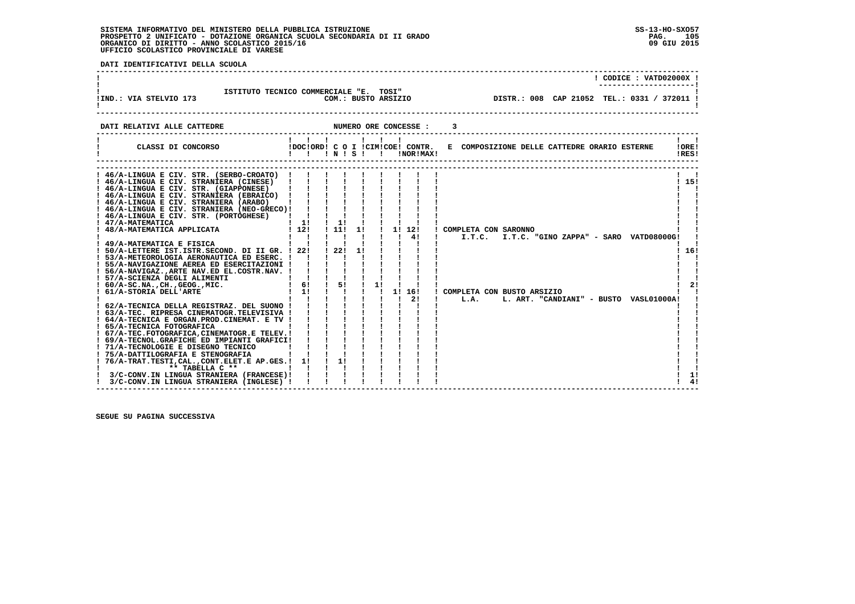$1 \quad 41$ 

 **DATI IDENTIFICATIVI DELLA SCUOLA ------------------------------------------------------------------------------------------------------------------------------------ ! ! CODICE : VATD02000X ! ! ---------------------!1** ISTITUTO TECNICO COMMERCIALE "E. TOSI"<br>2001.: VIA STELVIO 173 COM.: BUSTO ARSIZIO  **!IND.: VIA STELVIO 173 COM.: BUSTO ARSIZIO DISTR.: 008 CAP 21052 TEL.: 0331 / 372011 !**- 1  **! ! ------------------------------------------------------------------------------------------------------------------------------------DATI RELATIVI ALLE CATTEDRE NUMERO ORE CONCESSE : 3 ------------------------------------------------------------------------------------------------------------------------------------** $\mathbf{I}$   $\mathbf{I}$  **! ! ! ! ! ! ! ! ! ! CLASSI DI CONCORSO !DOC!ORD! C O I !CIM!COE! CONTR. E COMPOSIZIONE DELLE CATTEDRE ORARIO ESTERNE !ORE! ! ! ! ! N ! S ! ! !NOR!MAX! !RES!IORE!** IRESI  **------------------------------------------------------------------------------------------------------------------------------------ ------------------------------------------------------------------------------------------------------------------------------------ ! 46/A-LINGUA E CIV. STR. (SERBO-CROATO) ! ! ! ! ! ! ! ! ! ! !** $\sim$  $1.151$  **! 46/A-LINGUA E CIV. STRANIERA (CINESE) ! ! ! ! ! ! ! ! ! ! 15! ! 46/A-LINGUA E CIV. STR. (GIAPPONESE) ! ! ! ! ! ! ! ! ! ! !** $\mathbf{I}$  and  $\mathbf{I}$  $\mathbf{I}$  **! 46/A-LINGUA E CIV. STRANIERA (EBRAICO) ! ! ! ! ! ! ! ! ! ! ! ! 46/A-LINGUA E CIV. STRANIERA (ARABO) ! ! ! ! ! ! ! ! ! ! ! ! 46/A-LINGUA E CIV. STRANIERA (NEO-GRECO)! ! ! ! ! ! ! ! ! ! ! ! 46/A-LINGUA E CIV. STR. (PORTOGHESE) ! ! ! ! ! ! ! ! ! ! !** $\mathbf{I}$ i i  $\mathbf{I}$   $\mathbf{I}$ 1 47/A-MATEMATICA<br>1 48/A-MATEMATICA APPLICATA<br>1 48/A-MATEMATICA APPLICATA<br>1 121 111 11 11 121 1  **! 48/A-MATEMATICA APPLICATA ! 12! ! 11! 1! ! 1! 12! ! COMPLETA CON SARONNO ! ! ! ! ! ! ! ! ! ! 4! ! I.T.C. I.T.C. "GINO ZAPPA" - SARO VATD08000G! ! ! 49/A-MATEMATICA E FISICA ! ! ! ! ! ! ! ! ! ! !** $1, 161$  **! 50/A-LETTERE IST.ISTR.SECOND. DI II GR. ! 22! ! 22! 1! ! ! ! ! ! 16! ! 53/A-METEOROLOGIA AERONAUTICA ED ESERC. ! ! ! ! ! ! ! ! ! ! !** $\blacksquare$ - 1  **! 55/A-NAVIGAZIONE AEREA ED ESERCITAZIONI ! ! ! ! ! ! ! ! ! ! ! ! 56/A-NAVIGAZ.,ARTE NAV.ED EL.COSTR.NAV. ! ! ! ! ! ! ! ! ! ! ! ! 57/A-SCIENZA DEGLI ALIMENTI ! ! ! ! ! ! ! ! ! ! ! ! 60/A-SC.NA.,CH.,GEOG.,MIC. ! 6! ! 5! ! 1! ! ! ! ! 2! ! 61/A-STORIA DELL'ARTE ! 1! ! ! ! ! 1! 16! ! COMPLETA CON BUSTO ARSIZIO ! ! ! ! ! ! ! ! ! ! 2! ! L.A. L. ART. "CANDIANI" - BUSTO VASL01000A! ! ! 62/A-TECNICA DELLA REGISTRAZ. DEL SUONO ! ! ! ! ! ! ! ! ! ! ! ! 63/A-TEC. RIPRESA CINEMATOGR.TELEVISIVA ! ! ! ! ! ! ! ! ! ! !** $\blacksquare$  $1 \quad 21$  **! 64/A-TECNICA E ORGAN.PROD.CINEMAT. E TV ! ! ! ! ! ! ! ! ! ! ! ! 65/A-TECNICA FOTOGRAFICA ! ! ! ! ! ! ! ! ! ! ! ! 67/A-TEC.FOTOGRAFICA,CINEMATOGR.E TELEV.! ! ! ! ! ! ! ! ! ! ! ! 69/A-TECNOL.GRAFICHE ED IMPIANTI GRAFICI! ! ! ! ! ! ! ! ! ! ! ! 71/A-TECNOLOGIE E DISEGNO TECNICO ! ! ! ! ! ! ! ! ! ! ! ! 75/A-DATTILOGRAFIA E STENOGRAFIA ! ! ! ! ! ! ! ! ! ! ! ! 76/A-TRAT.TESTI,CAL.,CONT.ELET.E AP.GES.! 1! ! 1! ! ! ! ! ! ! !**- 1  **! \*\* TABELLA C \*\* ! ! ! ! ! ! ! ! ! ! ! ! 3/C-CONV.IN LINGUA STRANIERA (FRANCESE)! ! ! ! ! ! ! ! ! ! 1! ! 3/C-CONV.IN LINGUA STRANIERA (INGLESE) ! ! ! ! ! ! ! ! ! ! 4!** $1 \quad 11$ 

 **------------------------------------------------------------------------------------------------------------------------------------**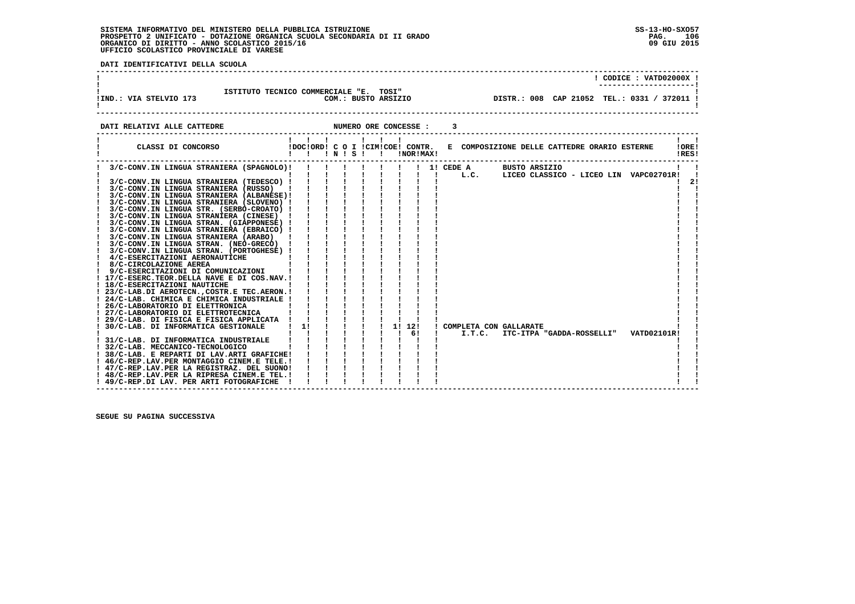PAG. 106 09 GIU 2015

. . . . . . . . . .

- 1 - 1  $\mathbf{I}$ 

 **DATI IDENTIFICATIVI DELLA SCUOLA**

|                        |                                                               |  | CODICE: VATD02000X !                        |
|------------------------|---------------------------------------------------------------|--|---------------------------------------------|
| IIND.: VIA STELVIO 173 | ISTITUTO TECNICO COMMERCIALE "E. TOSI"<br>COM.: BUSTO ARSIZIO |  | DISTR.: 008 CAP 21052 TEL.: 0331 / 372011 ! |
|                        |                                                               |  |                                             |

**DATI RELATIVI ALLE CATTEDRE NUMERO ORE CONCESSE : 3 ------------------------------------------------------------------------------------------------------------------------------------ ! ! ! ! ! ! ! ! ! ! CLASSI DI CONCORSO !DOC!ORD! C O I !CIM!COE! CONTR. E COMPOSIZIONE DELLE CATTEDRE ORARIO ESTERNE !ORE! ! ! ! ! N ! S ! ! !NOR!MAX! !RES! ------------------------------------------------------------------------------------------------------------------------------------ ! 3/C-CONV.IN LINGUA STRANIERA (SPAGNOLO)! ! ! ! ! ! ! ! 1! CEDE A BUSTO ARSIZIO ! ! ! ! ! ! ! ! ! ! ! ! L.C. LICEO CLASSICO - LICEO LIN VAPC02701R! ! ! 3/C-CONV.IN LINGUA STRANIERA (TEDESCO) ! ! ! ! ! ! ! ! ! ! 2! ! 3/C-CONV.IN LINGUA STRANIERA (RUSSO) ! ! ! ! ! ! ! ! ! ! ! ! 3/C-CONV.IN LINGUA STRANIERA (ALBANESE)! ! ! ! ! ! ! ! ! ! ! ! 3/C-CONV.IN LINGUA STRANIERA (SLOVENO) ! ! ! ! ! ! ! ! ! ! ! ! 3/C-CONV.IN LINGUA STR. (SERBO-CROATO) ! ! ! ! ! ! ! ! ! ! ! ! 3/C-CONV.IN LINGUA STRANIERA (CINESE) ! ! ! ! ! ! ! ! ! ! ! ! 3/C-CONV.IN LINGUA STRAN. (GIAPPONESE) ! ! ! ! ! ! ! ! ! ! ! ! 3/C-CONV.IN LINGUA STRANIERA (EBRAICO) ! ! ! ! ! ! ! ! ! ! ! ! 3/C-CONV.IN LINGUA STRANIERA (ARABO) ! ! ! ! ! ! ! ! ! ! ! ! 3/C-CONV.IN LINGUA STRAN. (NEO-GRECO) ! ! ! ! ! ! ! ! ! ! ! ! 3/C-CONV.IN LINGUA STRAN. (PORTOGHESE) ! ! ! ! ! ! ! ! ! ! ! ! 4/C-ESERCITAZIONI AERONAUTICHE ! ! ! ! ! ! ! ! ! ! ! ! 8/C-CIRCOLAZIONE AEREA ! ! ! ! ! ! ! ! ! ! ! ! 9/C-ESERCITAZIONI DI COMUNICAZIONI ! ! ! ! ! ! ! ! ! ! ! ! 17/C-ESERC.TEOR.DELLA NAVE E DI COS.NAV.! ! ! ! ! ! ! ! ! ! ! ! 18/C-ESERCITAZIONI NAUTICHE ! ! ! ! ! ! ! ! ! ! ! ! 23/C-LAB.DI AEROTECN.,COSTR.E TEC.AERON.! ! ! ! ! ! ! ! ! ! ! ! 24/C-LAB. CHIMICA E CHIMICA INDUSTRIALE ! ! ! ! ! ! ! ! ! ! ! ! 26/C-LABORATORIO DI ELETTRONICA ! ! ! ! ! ! ! ! ! ! ! ! 27/C-LABORATORIO DI ELETTROTECNICA ! ! ! ! ! ! ! ! ! ! ! ! 29/C-LAB. DI FISICA E FISICA APPLICATA ! ! ! ! ! ! ! ! ! ! ! ! 30/C-LAB. DI INFORMATICA GESTIONALE ! 1! ! ! ! ! 1! 12! ! COMPLETA CON GALLARATE ! ! ! ! ! ! ! ! ! ! 6! ! I.T.C. ITC-ITPA "GADDA-ROSSELLI" VATD02101R! ! ! 31/C-LAB. DI INFORMATICA INDUSTRIALE ! ! ! ! ! ! ! ! ! ! ! ! 32/C-LAB. MECCANICO-TECNOLOGICO ! ! ! ! ! ! ! ! ! ! ! ! 38/C-LAB. E REPARTI DI LAV.ARTI GRAFICHE! ! ! ! ! ! ! ! ! ! ! ! 46/C-REP.LAV.PER MONTAGGIO CINEM.E TELE.! ! ! ! ! ! ! ! ! ! ! ! 47/C-REP.LAV.PER LA REGISTRAZ. DEL SUONO! ! ! ! ! ! ! ! ! ! ! ! 48/C-REP.LAV.PER LA RIPRESA CINEM.E TEL.! ! ! ! ! ! ! ! ! ! ! ! 49/C-REP.DI LAV. PER ARTI FOTOGRAFICHE ! ! ! ! ! ! ! ! ! ! !**

 **------------------------------------------------------------------------------------------------------------------------------------**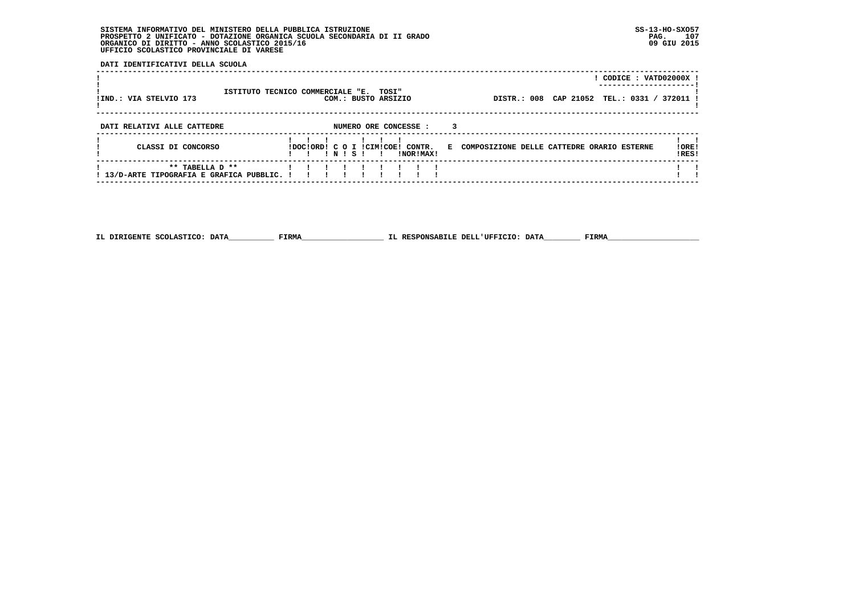**DATI IDENTIFICATIVI DELLA SCUOLA**

| !IND.: VIA STELVIO 173                                         | ISTITUTO TECNICO COMMERCIALE "E. TOSI" |  |        | COM.: BUSTO ARSIZIO |                                               |    | DISTR.: 008 CAP 21052                      |  | CODICE: VATD02000X !<br>TEL.: 0331 / 372011 |                 |
|----------------------------------------------------------------|----------------------------------------|--|--------|---------------------|-----------------------------------------------|----|--------------------------------------------|--|---------------------------------------------|-----------------|
| DATI RELATIVI ALLE CATTEDRE                                    |                                        |  |        |                     | NUMERO ORE CONCESSE :                         |    |                                            |  |                                             |                 |
| CLASSI DI CONCORSO                                             |                                        |  | 'NIS'I |                     | IDOCIORDI C O I ICIMICOEI CONTR.<br>INORIMAXI | к. | COMPOSIZIONE DELLE CATTEDRE ORARIO ESTERNE |  |                                             | ! ORE!<br>!RES! |
| ** TABELLA D **<br>! 13/D-ARTE TIPOGRAFIA E GRAFICA PUBBLIC. ! |                                        |  |        |                     |                                               |    |                                            |  |                                             |                 |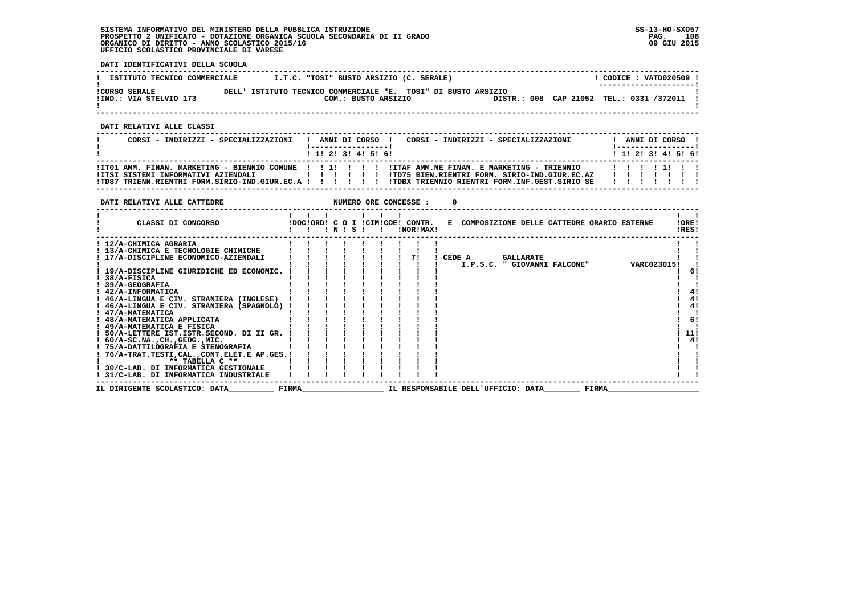**DATI IDENTIFICATIVI DELLA SCUOLA**

| ISTITUTO TECNICO COMMERCIALE                   |       | I.T.C. "TOSI" BUSTO ARSIZIO (C. SERALE)                                        |  | CODICE: VATD020509 !<br>--------------------- |
|------------------------------------------------|-------|--------------------------------------------------------------------------------|--|-----------------------------------------------|
| <b>!CORSO SERALE</b><br>IIND.: VIA STELVIO 173 | DELL' | ISTITUTO TECNICO COMMERCIALE "E. TOSI" DI BUSTO ARSIZIO<br>COM.: BUSTO ARSIZIO |  | DISTR.: 008 CAP 21052 TEL.: 0331 /372011 !    |

 **------------------------------------------------------------------------------------------------------------------------------------**

 **DATI RELATIVI ALLE CLASSI**

| CORSI - INDIRIZZI - SPECIALIZZAZIONI                                                                                                                                                                               |  |  | ANNI DI CORSO !<br>$1$ 1! 2! 3! 4! 5! 6! | CORSI - INDIRIZZI - SPECIALIZZAZIONI                                                           |  | ANNI DI CORSO !<br>! ------------------<br>1 1 2 3 3 4 5 6 1 |  |  |
|--------------------------------------------------------------------------------------------------------------------------------------------------------------------------------------------------------------------|--|--|------------------------------------------|------------------------------------------------------------------------------------------------|--|--------------------------------------------------------------|--|--|
| ! ITO1 AMM. FINAN. MARKETING - BIENNIO COMUNE ! ! !!!!!!!! !ITAF AMM.NE FINAN. E MARKETING - TRIENNIO !!!!!!!!<br>IITSI SISTEMI INFORMATIVI AZIENDALI<br>!TD87 TRIENN.RIENTRI FORM.SIRIO-IND.GIUR.EC.A ! ! ! ! ! ! |  |  | .                                        | ITD75 BIEN.RIENTRI FORM. SIRIO-IND.GIUR.EC.AZ<br>ITDBX TRIENNIO RIENTRI FORM.INF.GEST.SIRIO SE |  | .<br>.                                                       |  |  |

| DATI RELATIVI ALLE CATTEDRE                 |       |       |  | NUMERO ORE CONCESSE :                         |        |                                    |                  |                                              |              |             |                |     |
|---------------------------------------------|-------|-------|--|-----------------------------------------------|--------|------------------------------------|------------------|----------------------------------------------|--------------|-------------|----------------|-----|
| CLASSI DI CONCORSO                          |       | INISI |  | !DOC!ORD! C O I !CIM!COE! CONTR.<br>!NOR!MAX! |        |                                    |                  | E COMPOSIZIONE DELLE CATTEDRE ORARIO ESTERNE |              |             | IORE!<br>!RES! |     |
| ! 12/A-CHIMICA AGRARIA                      |       |       |  |                                               |        |                                    |                  |                                              |              |             |                |     |
| ! 13/A-CHIMICA E TECNOLOGIE CHIMICHE        |       |       |  |                                               |        |                                    |                  |                                              |              |             |                |     |
| ! 17/A-DISCIPLINE ECONOMICO-AZIENDALI       |       |       |  |                                               | CEDE A |                                    | <b>GALLARATE</b> |                                              |              |             |                |     |
|                                             |       |       |  |                                               |        |                                    |                  | I.P.S.C. " GIOVANNI FALCONE"                 |              | VARC023015! |                |     |
| ! 19/A-DISCIPLINE GIURIDICHE ED ECONOMIC.   |       |       |  |                                               |        |                                    |                  |                                              |              |             |                | -61 |
| 38/A-FISICA                                 |       |       |  |                                               |        |                                    |                  |                                              |              |             |                |     |
| 39/A-GEOGRAFIA                              |       |       |  |                                               |        |                                    |                  |                                              |              |             |                |     |
| ! 42/A-INFORMATICA                          |       |       |  |                                               |        |                                    |                  |                                              |              |             |                | 4!  |
| ! 46/A-LINGUA E CIV. STRANIERA (INGLESE)    |       |       |  |                                               |        |                                    |                  |                                              |              |             |                | 4!  |
| ! 46/A-LINGUA E CIV. STRANIERA (SPAGNOLO) ! |       |       |  |                                               |        |                                    |                  |                                              |              |             |                | 4!  |
| ! 47/A-MATEMATICA                           |       |       |  |                                               |        |                                    |                  |                                              |              |             |                |     |
| 48/A-MATEMATICA APPLICATA                   |       |       |  |                                               |        |                                    |                  |                                              |              |             |                | 6!  |
| ! 49/A-MATEMATICA E FISICA                  |       |       |  |                                               |        |                                    |                  |                                              |              |             |                |     |
| ! 50/A-LETTERE IST.ISTR.SECOND. DI II GR.   |       |       |  |                                               |        |                                    |                  |                                              |              |             |                | 11! |
| $: 60/A-SC.NA.$ , $CH.$ , $GEOG.$ , $MIC.$  |       |       |  |                                               |        |                                    |                  |                                              |              |             |                | 4!  |
| ! 75/A-DATTILOGRAFIA E STENOGRAFIA          |       |       |  |                                               |        |                                    |                  |                                              |              |             |                |     |
| ! 76/A-TRAT.TESTI,CAL.,CONT.ELET.E AP.GES.! |       |       |  |                                               |        |                                    |                  |                                              |              |             |                |     |
| ** TABELLA C **                             |       |       |  |                                               |        |                                    |                  |                                              |              |             |                |     |
| ! 30/C-LAB. DI INFORMATICA GESTIONALE       |       |       |  |                                               |        |                                    |                  |                                              |              |             |                |     |
| 31/C-LAB. DI INFORMATICA INDUSTRIALE        |       |       |  |                                               |        |                                    |                  |                                              |              |             |                |     |
| IL DIRIGENTE SCOLASTICO: DATA               | FIRMA |       |  |                                               |        | IL RESPONSABILE DELL'UFFICIO: DATA |                  |                                              | <b>FIRMA</b> |             |                |     |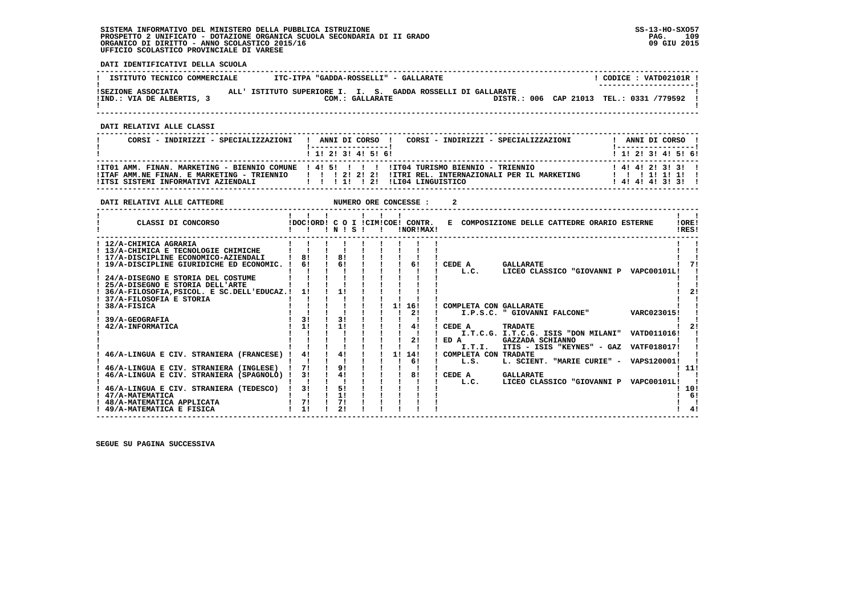**DATI IDENTIFICATIVI DELLA SCUOLA**

| ISTITUTO TECNICO COMMERCIALE                    | ITC-ITPA "GADDA-ROSSELLI" - GALLARATE                        |                 |  | CODICE: VATD02101R !<br>--------------------- |
|-------------------------------------------------|--------------------------------------------------------------|-----------------|--|-----------------------------------------------|
| ISEZIONE ASSOCIATA<br>!IND.: VIA DE ALBERTIS, 3 | ALL' ISTITUTO SUPERIORE I. I. S. GADDA ROSSELLI DI GALLARATE | COM.: GALLARATE |  | DISTR.: 006 CAP 21013 TEL.: 0331 /779592      |

 **------------------------------------------------------------------------------------------------------------------------------------**

 **DATI RELATIVI ALLE CLASSI**

| CORSI - INDIRIZZI - SPECIALIZZAZIONI | CORSI - INDIRIZZI - SPECIALIZZAZIONI<br>ANNI DI CORSO !                                                                                                                                                                | ANNI DI CORSO !                                          |
|--------------------------------------|------------------------------------------------------------------------------------------------------------------------------------------------------------------------------------------------------------------------|----------------------------------------------------------|
|                                      | 1 1 1 2 1 3 1 4 1 5 1 6 1                                                                                                                                                                                              | 1 1 1 2 1 3 1 4 1 5 1 6 1                                |
|                                      | ITT01 AMM. FINAN. MARKETING - BIENNIO COMUNE 1 41 51 1 1 1 11T04 TURISMO BIENNIO - TRIENNIO<br>ITAF AMM.NE FINAN. E MARKETING - TRIENNIO       2  2  2  ITRI REL. INTERNAZIONALI PER IL MARKETING<br>ILIO4 LINGUISTICO | $1$ 4! 4! 2! 3! 3!!<br>11111111<br>1 4 1 4 1 4 1 3 1 3 1 |

| DATI RELATIVI ALLE CATTEDRE                                                                                                                                                                                                    |                                                    |                            |              |    | NUMERO ORE CONCESSE : | 2                                                |                                                                                                      |                            |                |
|--------------------------------------------------------------------------------------------------------------------------------------------------------------------------------------------------------------------------------|----------------------------------------------------|----------------------------|--------------|----|-----------------------|--------------------------------------------------|------------------------------------------------------------------------------------------------------|----------------------------|----------------|
| CLASSI DI CONCORSO                                                                                                                                                                                                             | $\blacksquare$<br>IDOCIORD! C O I ICIMICOE! CONTR. | INISI                      | $\mathbf{I}$ |    | !NOR!MAX!             |                                                  | E COMPOSIZIONE DELLE CATTEDRE ORARIO ESTERNE                                                         |                            | !ORE!<br>!RES! |
| ! 12/A-CHIMICA AGRARIA<br>! 13/A-CHIMICA E TECNOLOGIE CHIMICHE<br>! 17/A-DISCIPLINE ECONOMICO-AZIENDALI<br>! 19/A-DISCIPLINE GIURIDICHE ED ECONOMIC. !<br>24/A-DISEGNO E STORIA DEL COSTUME<br>25/A-DISEGNO E STORIA DELL'ARTE | 81<br>61<br>11                                     | 81<br>6!                   |              |    | 61                    | CEDE A<br>L.C.                                   | <b>GALLARATE</b><br>LICEO CLASSICO "GIOVANNI P VAPC00101L!                                           |                            |                |
| 36/A-FILOSOFIA, PSICOL. E SC.DELL'EDUCAZ. !<br>37/A-FILOSOFIA E STORIA<br>38/A-FISICA<br>39/A-GEOGRAFIA<br>42/A-INFORMATICA                                                                                                    | 31<br>11                                           | 11<br>31<br>11             |              | 11 | 16!<br>2!<br>4!<br>2! | ! COMPLETA CON GALLARATE<br>CEDE A<br>ED A       | I.P.S.C. " GIOVANNI FALCONE"<br>TRADATE<br>I.T.C.G. I.T.C.G. ISIS "DON MILANI"<br>GAZZADA SCHIANNO   | VARC023015!<br>VATD011016! |                |
| 46/A-LINGUA E CIV. STRANIERA (FRANCESE)<br>46/A-LINGUA E CIV. STRANIERA (INGLESE)<br>46/A-LINGUA E CIV. STRANIERA (SPAGNOLO)                                                                                                   | 41<br>71<br>31                                     | 41<br>9 <sub>1</sub><br>4! |              | 11 | 14!<br>61<br>81       | I.T.I.<br>COMPLETA CON TRADATE<br>L.S.<br>CEDE A | ITIS - ISIS "KEYNES" - GAZ VATF018017!<br>L. SCIENT. "MARIE CURIE" - VAPS120001!<br><b>GALLARATE</b> |                            | . 11!          |
| 46/A-LINGUA E CIV. STRANIERA (TEDESCO)<br>! 47/A-MATEMATICA<br>48/A-MATEMATICA APPLICATA<br>49/A-MATEMATICA E FISICA                                                                                                           | 31<br>71<br>11                                     | 51<br>11<br>71<br>21       |              |    |                       | L.C.                                             | LICEO CLASSICO "GIOVANNI P VAPC00101L!                                                               |                            | -10!<br>6!     |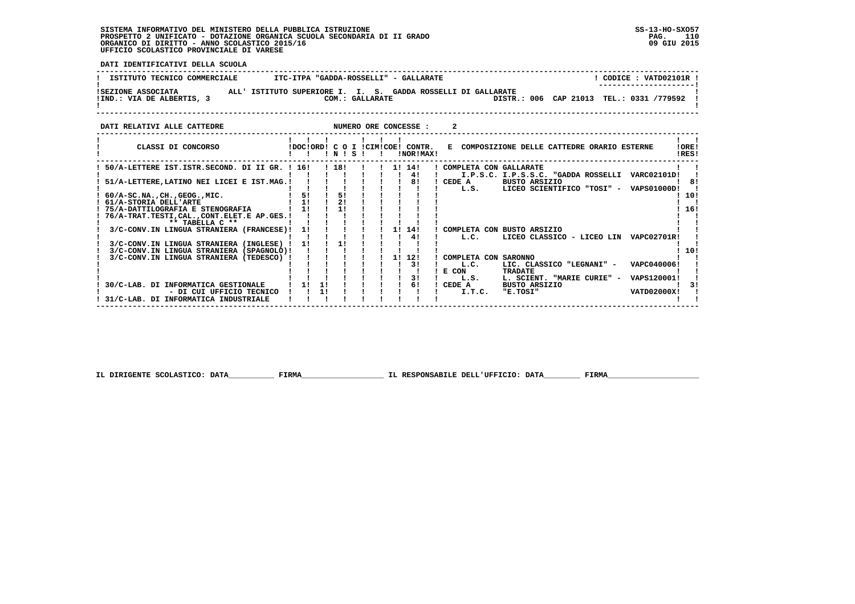י<br>ו

 **DATI IDENTIFICATIVI DELLA SCUOLA**

| ISTITUTO TECNICO COMMERCIALE                  |  | ITC-ITPA "GADDA-ROSSELLI" - GALLARATE                                           | CODICE: VATD02101R<br>---------------------- |
|-----------------------------------------------|--|---------------------------------------------------------------------------------|----------------------------------------------|
| ISEZIONE ASSOCIATA<br>!IND.: VIA DE ALBERTIS, |  | ALL' ISTITUTO SUPERIORE I. I. S. GADDA ROSSELLI DI GALLARATE<br>COM.: GALLARATE | DISTR.: 006 CAP 21013 TEL.: 0331 /779592     |

**DATI RELATIVI ALLE CATTEDRE CONCESSE : 2** 

| CLASSI DI CONCORSO                                                                    |    | !DOC!ORD! | $\epsilon$<br><sup>o</sup><br>N | s | LCTMLCORL |     | CONTR.<br>!NOR!MAX! | Е                      | COMPOSIZIONE DELLE CATTEDRE ORARIO ESTERNE         | !ORE!<br>!RES!     |     |
|---------------------------------------------------------------------------------------|----|-----------|---------------------------------|---|-----------|-----|---------------------|------------------------|----------------------------------------------------|--------------------|-----|
| 50/A-LETTERE IST.ISTR.SECOND. DI II GR. ! 16!                                         |    |           | ! 18!                           |   |           | 11  | 14!<br>41           | COMPLETA CON GALLARATE | I.P.S.C. I.P.S.S.C. "GADDA ROSSELLI                | VARC02101D!        |     |
| 51/A-LETTERE, LATINO NEI LICEI E IST.MAG. !                                           |    |           |                                 |   |           |     | 81                  | CEDE A<br>L.S.         | <b>BUSTO ARSIZIO</b><br>LICEO SCIENTIFICO "TOSI" - | <b>VAPS01000D!</b> | 81  |
| $60/A-SC.NA.$ , CH., GEOG., MIC.<br>61/A-STORIA DELL'ARTE                             | 51 |           | 51                              |   |           |     |                     |                        |                                                    |                    | 10! |
| 75/A-DATTILOGRAFIA E STENOGRAFIA                                                      | 1! |           |                                 |   |           |     |                     |                        |                                                    |                    | 16! |
| 76/A-TRAT.TESTI, CAL., CONT.ELET.E AP.GES. !<br>** TABELLA C **                       |    |           |                                 |   |           |     |                     |                        |                                                    |                    |     |
| 3/C-CONV.IN LINGUA STRANIERA (FRANCESE)!                                              | 11 |           |                                 |   |           | 11  | 14!<br>41           | COMPLETA CON<br>L.C.   | <b>BUSTO ARSIZIO</b><br>LICEO CLASSICO - LICEO LIN | VAPC02701R!        |     |
| 3/C-CONV.IN LINGUA STRANIERA (INGLESE)<br>3/C-CONV.IN LINGUA STRANIERA<br>(SPAGNOLO)! | 11 |           | 11                              |   |           |     |                     |                        |                                                    |                    | 10! |
| 3/C-CONV.IN LINGUA STRANIERA<br>(TEDESCO)                                             |    |           |                                 |   |           | 1 ! | 12!<br>31           | COMPLETA CON<br>L.C.   | <b>SARONNO</b><br>LIC. CLASSICO "LEGNANI" -        | VAPC040006!        |     |
|                                                                                       |    |           |                                 |   |           |     | 31                  | E CON<br>L.S.          | <b>TRADATE</b><br>L. SCIENT. "MARIE CURIE" -       | VAPS120001!        |     |
| 30/C-LAB. DI INFORMATICA GESTIONALE<br>- DI CUI UFFICIO TECNICO                       |    | 11        |                                 |   |           |     | 61                  | CEDE A<br>I.T.C.       | <b>BUSTO ARSIZIO</b><br>"E.TOSI"                   | VATD02000X!        |     |
| 31/C-LAB. DI INFORMATICA<br><b>INDUSTRIALE</b>                                        |    |           |                                 |   |           |     |                     |                        |                                                    |                    |     |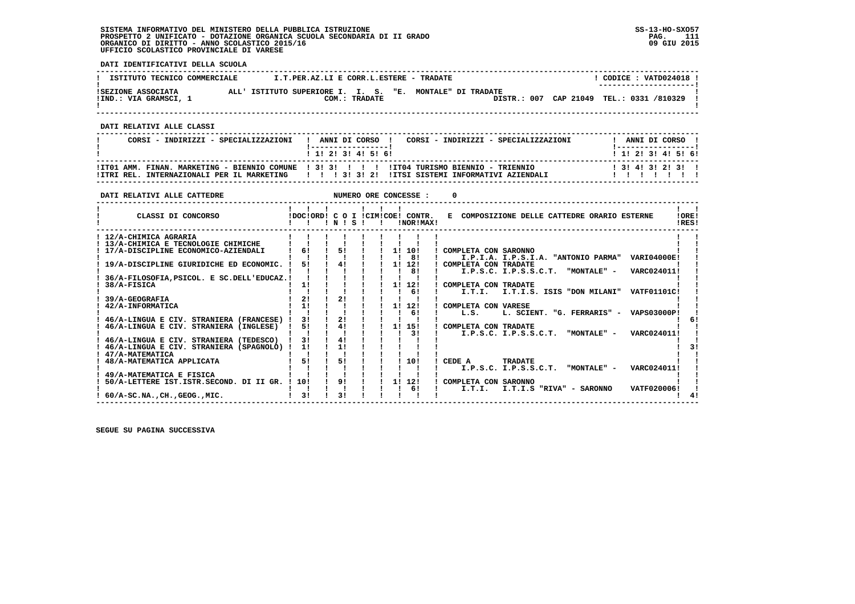**DATI IDENTIFICATIVI DELLA SCUOLA**

| ISTITUTO TECNICO COMMERCIALE                | I.T.PER.AZ.LI E CORR.L.ESTERE - TRADATE                  |               |  |                                          |  | CODICE: VATD024018 !<br>--------------------- |  |
|---------------------------------------------|----------------------------------------------------------|---------------|--|------------------------------------------|--|-----------------------------------------------|--|
| ISEZIONE ASSOCIATA<br>!IND.: VIA GRAMSCI, 1 | ALL' ISTITUTO SUPERIORE I. I. S. "E. MONTALE" DI TRADATE | COM.: TRADATE |  | DISTR.: 007 CAP 21049 TEL.: 0331 /810329 |  |                                               |  |

 **------------------------------------------------------------------------------------------------------------------------------------**

 **DATI RELATIVI ALLE CLASSI**

| CORSI - INDIRIZZI - SPECIALIZZAZIONI | CORSI - INDIRIZZI - SPECIALIZZAZIONI<br>! ANNI DI CORSO !<br>------------------                                                                                                                                             | ANNI DI CORSO !<br>! ----------------- !             |
|--------------------------------------|-----------------------------------------------------------------------------------------------------------------------------------------------------------------------------------------------------------------------------|------------------------------------------------------|
|                                      | 1 1 1 2 1 3 1 4 1 5 1 6 1<br>ITT01 AMM. FINAN. MARKETING - BIENNIO COMUNE 1 31 31 1 1 1 11T04 TURISMO BIENNIO - TRIENNIO<br>ITTRI REL. INTERNAZIONALI PER IL MARKETING         3  3  2  ITTSI SISTEMI INFORMATIVI AZIENDALI | 1 1 2 2 1 3 1 4 1 5 1 6 1<br>1 3 1 4 1 3 1 2 1 3 1 1 |

 **------------------------------------------------------------------------------------------------------------------------------------**

| DATI RELATIVI ALLE CATTEDRE                  |              |          |  |    | NUMERO ORE CONCESSE :                         |                                                                 |  |
|----------------------------------------------|--------------|----------|--|----|-----------------------------------------------|-----------------------------------------------------------------|--|
| CLASSI DI CONCORSO                           | $\mathbf{I}$ | INISI    |  |    | IDOCIORDI C O I ICIMICOE! CONTR.<br>INORIMAXI | E COMPOSIZIONE DELLE CATTEDRE ORARIO ESTERNE<br>! ORE!<br>IRES! |  |
| ! 12/A-CHIMICA AGRARIA                       |              |          |  |    |                                               |                                                                 |  |
| ! 13/A-CHIMICA E TECNOLOGIE CHIMICHE         |              |          |  |    |                                               |                                                                 |  |
| 17/A-DISCIPLINE ECONOMICO-AZIENDALI          | 61           | 51       |  |    | 1! 10!                                        | ! COMPLETA CON SARONNO                                          |  |
|                                              |              |          |  |    | -81                                           | I.P.I.A. I.P.S.I.A. "ANTONIO PARMA" VARI04000E!                 |  |
| 19/A-DISCIPLINE GIURIDICHE ED ECONOMIC.      | 51           | 41       |  |    | 1! 12!                                        | ! COMPLETA CON TRADATE                                          |  |
|                                              |              |          |  |    | 81                                            | I.P.S.C. I.P.S.S.C.T. "MONTALE" -<br>VARC024011!                |  |
| 36/A-FILOSOFIA, PSICOL. E SC. DELL'EDUCAZ. ! |              |          |  |    |                                               |                                                                 |  |
| 38/A-FISICA                                  | 1!           |          |  |    | 1! 12!                                        | ! COMPLETA CON TRADATE                                          |  |
|                                              |              |          |  |    | 61                                            | I.T.I.S. ISIS "DON MILANI"<br>I.T.I.<br>VATF01101C!             |  |
| 39/A-GEOGRAFIA                               | 21           | 21       |  |    |                                               |                                                                 |  |
| 42/A-INFORMATICA                             | 11           |          |  |    | 1! 12!                                        | COMPLETA CON VARESE                                             |  |
|                                              |              |          |  |    | 61                                            | L. SCIENT. "G. FERRARIS" - VAPS03000P!<br>L.S.                  |  |
| 46/A-LINGUA E CIV. STRANIERA (FRANCESE) !    | 31           | 21       |  |    |                                               |                                                                 |  |
| 46/A-LINGUA E CIV. STRANIERA (INGLESE)       | 5!           | 41       |  | 11 | 15!                                           | ! COMPLETA CON TRADATE                                          |  |
|                                              |              |          |  |    | 31                                            | "MONTALE" -<br>VARC024011!<br>I.P.S.C. I.P.S.S.C.T.             |  |
| 46/A-LINGUA E CIV. STRANIERA (TEDESCO)       | 31           | 41<br>11 |  |    |                                               |                                                                 |  |
| ! 46/A-LINGUA E CIV. STRANIERA (SPAGNOLO) !  | 1!           |          |  |    |                                               |                                                                 |  |
| 47/A-MATEMATICA<br>48/A-MATEMATICA APPLICATA | 51           | 51       |  |    | 10!                                           | CEDE A<br><b>TRADATE</b>                                        |  |
|                                              |              |          |  |    |                                               | I.P.S.C. I.P.S.S.C.T.<br>"MONTALE" -<br>VARC024011!             |  |
| 49/A-MATEMATICA E FISICA                     |              |          |  |    |                                               |                                                                 |  |
| 50/A-LETTERE IST.ISTR.SECOND. DI II GR. !    | 10!          | 91       |  | 11 | 12!                                           | ! COMPLETA CON SARONNO                                          |  |
|                                              |              |          |  |    | 61                                            | I.T.I.S "RIVA" - SARONNO<br>I.T.I.<br>VATF020006!               |  |
| $60/A$ -SC.NA., CH., GEOG., MIC.             | 31           | 31       |  |    |                                               |                                                                 |  |
|                                              |              |          |  |    |                                               |                                                                 |  |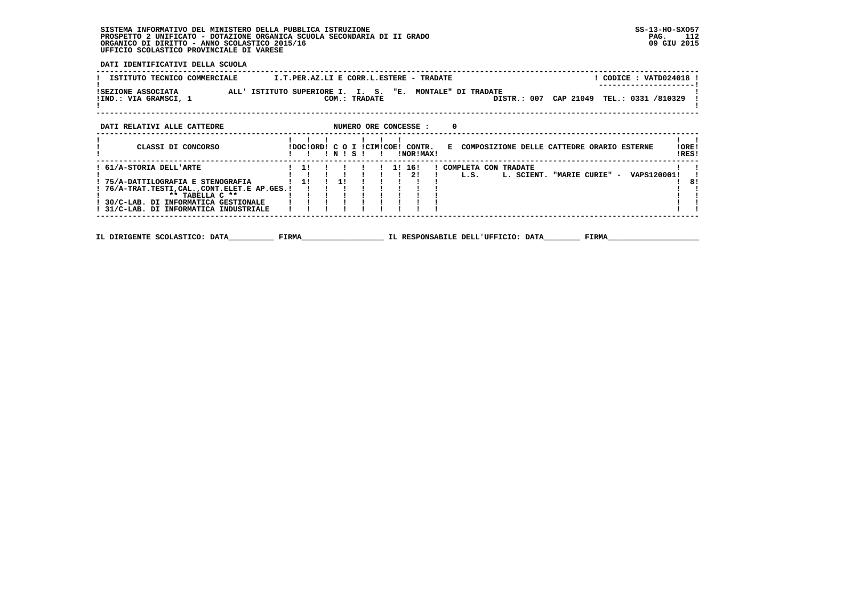**DATI IDENTIFICATIVI DELLA SCUOLA**

| ISTITUTO TECNICO COMMERCIALE                | ! CODICE : VATD024018 !<br>I.T.PER.AZ.LI E CORR.L.ESTERE - TRADATE                                                          |                 |
|---------------------------------------------|-----------------------------------------------------------------------------------------------------------------------------|-----------------|
| ISEZIONE ASSOCIATA<br>!IND.: VIA GRAMSCI, 1 | ALL' ISTITUTO SUPERIORE I. I. S. "E.<br>MONTALE" DI TRADATE<br>CAP 21049 TEL.: 0331 /810329<br>COM.: TRADATE<br>DISTR.: 007 |                 |
| DATI RELATIVI ALLE CATTEDRE                 | NUMERO ORE CONCESSE :<br>0                                                                                                  |                 |
| CLASSI DI CONCORSO                          | IDOCIORDI C O I ICIMICOEI CONTR.<br>E COMPOSIZIONE DELLE CATTEDRE ORARIO ESTERNE<br>NISI<br>INORIMAXI                       | ! ORE!<br>IRES! |

| : 61/A-STORIA DELL'ARTE                      |  |  |  | 16! | COMPLETA CON TRADATE |            |                 |             |     |
|----------------------------------------------|--|--|--|-----|----------------------|------------|-----------------|-------------|-----|
|                                              |  |  |  |     | L.S.                 | L. SCIENT. | "MARIE CURIE" - | VAPS120001! |     |
| 75/A-DATTILOGRAFIA E STENOGRAFIA             |  |  |  |     |                      |            |                 |             | -81 |
| ! 76/A-TRAT.TESTI,CAL.,CONT.ELET.E AP.GES.!! |  |  |  |     |                      |            |                 |             |     |
| $*$ * TARELLA C $**$                         |  |  |  |     |                      |            |                 |             |     |
| 30/C-LAB. DI INFORMATICA GESTIONALE          |  |  |  |     |                      |            |                 |             |     |
| ! 31/C-LAB. DI INFORMATICA INDUSTRIALE       |  |  |  |     |                      |            |                 |             |     |
|                                              |  |  |  |     |                      |            |                 |             |     |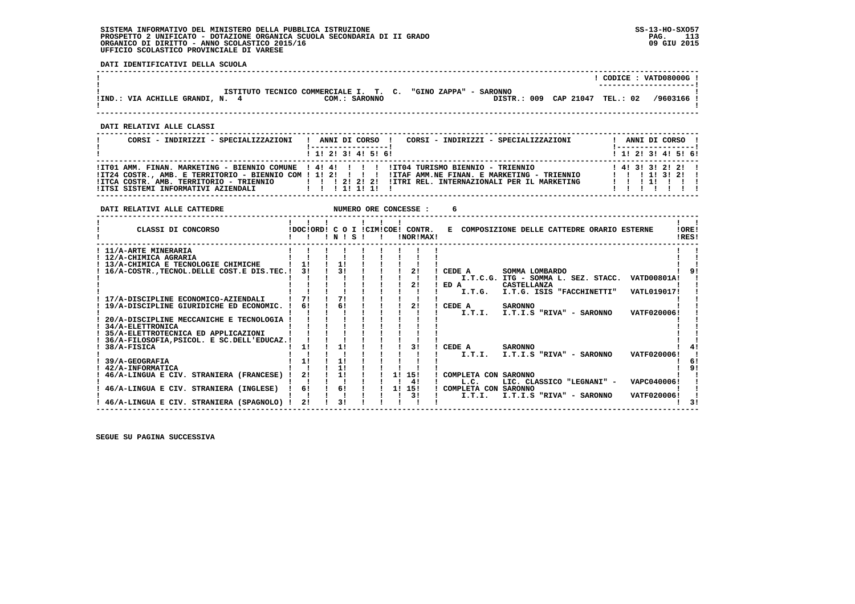**DATI RELATIVI ALLE CATTEDRE NUMERO ORE CONCESSE : 6** 

 **DATI IDENTIFICATIVI DELLA SCUOLA**

|                               |               |                                                                             |           |          | CODICE: VATD08000G!<br>---------------------- |
|-------------------------------|---------------|-----------------------------------------------------------------------------|-----------|----------|-----------------------------------------------|
| !IND.: VIA ACHILLE GRANDI, N. | COM.: SARONNO | ISTITUTO TECNICO COMMERCIALE I. T. C. "GINO ZAPPA" - SARONNO<br>DISTR.: 009 | CAP 21047 | TEL.: 02 | /9603166 !                                    |

 **------------------------------------------------------------------------------------------------------------------------------------**

 **DATI RELATIVI ALLE CLASSI**

| CORSI - INDIRIZZI - SPECIALIZZAZIONI                                 | CORSI - INDIRIZZI - SPECIALIZZAZIONI<br>ANNI DI CORSO !                                                                                                                                                                                                                                                 | ANNI DI CORSO !<br>! ----------------- !              |
|----------------------------------------------------------------------|---------------------------------------------------------------------------------------------------------------------------------------------------------------------------------------------------------------------------------------------------------------------------------------------------------|-------------------------------------------------------|
|                                                                      | $1$ , 1! 2! 3! 4! 5! 6!                                                                                                                                                                                                                                                                                 | $1$ 1! 2! 3! 4! 5! 6!                                 |
| ! ITSI SISTEMI INFORMATIVI AZIENDALI                ! ! ! !! 1! 1! ! | ITO1 AMM. FINAN. MARKETING - BIENNIO COMUNE ! 4! 4! ! !!! ITO4 TURISMO BIENNIO - TRIENNIO<br>IT24 COSTR., AMB. E TERRITORIO - BIENNIO COM ! 1! 2! ! !! !ITAF AMM.NE FINAN. E MARKETING - TRIENNIO<br>ITCA COSTR. AMB. TERRITORIO - TRIENNIO         2  2  2  IITRI REL. INTERNAZIONALI PER IL MARKETING | $1$ 41 31 31 21 21 1<br>1 1 1 1 1 3 1 2 1<br>11111111 |

| CLASSI DI CONCORSO                            |    | INIS |  |    | IDOCIORDI C O I ICIMICOEI CONTR.<br>INOR ! MAX! | Е    |                      | COMPOSIZIONE DELLE CATTEDRE ORARIO ESTERNE |                    | 10RE!<br>!RES! |    |
|-----------------------------------------------|----|------|--|----|-------------------------------------------------|------|----------------------|--------------------------------------------|--------------------|----------------|----|
| ! 11/A-ARTE MINERARIA                         |    |      |  |    |                                                 |      |                      |                                            |                    |                |    |
| ! 12/A-CHIMICA AGRARIA                        |    |      |  |    |                                                 |      |                      |                                            |                    |                |    |
| ! 13/A-CHIMICA E TECNOLOGIE CHIMICHE          |    |      |  |    |                                                 |      |                      |                                            |                    |                |    |
| 16/A-COSTR. TECNOL. DELLE COST. E DIS. TEC. ! | 31 |      |  |    | 21                                              |      | CEDE A               | SOMMA LOMBARDO                             |                    |                |    |
|                                               |    |      |  |    |                                                 |      |                      | I.T.C.G. ITG - SOMMA L. SEZ. STACC.        | <b>VATD00801A!</b> |                |    |
|                                               |    |      |  |    | 2!                                              | ED A |                      | <b>CASTELLANZA</b>                         |                    |                |    |
|                                               |    |      |  |    |                                                 |      | I.T.G.               | I.T.G. ISIS "FACCHINETTI"                  | VATL019017!        |                |    |
| 17/A-DISCIPLINE ECONOMICO-AZIENDALI           |    |      |  |    |                                                 |      |                      |                                            |                    |                |    |
| 19/A-DISCIPLINE GIURIDICHE ED ECONOMIC.       | 61 | 6!   |  |    | 21                                              |      | CEDE A               | <b>SARONNO</b>                             |                    |                |    |
|                                               |    |      |  |    |                                                 |      | I.T.I.               | I.T.I.S "RIVA" - SARONNO                   | VATF020006!        |                |    |
| 20/A-DISCIPLINE MECCANICHE E TECNOLOGIA       |    |      |  |    |                                                 |      |                      |                                            |                    |                |    |
| 34/A-ELETTRONICA                              |    |      |  |    |                                                 |      |                      |                                            |                    |                |    |
| 35/A-ELETTROTECNICA ED APPLICAZIONI           |    |      |  |    |                                                 |      |                      |                                            |                    |                |    |
| 36/A-FILOSOFIA, PSICOL. E SC. DELL'EDUCAZ. !  |    |      |  |    |                                                 |      |                      |                                            |                    |                |    |
| 38/A-FISICA                                   | 11 | 1!   |  |    | 31                                              |      | CEDE A               | <b>SARONNO</b>                             |                    |                |    |
|                                               |    |      |  |    |                                                 |      | I.T.I.               | I.T.I.S "RIVA" - SARONNO                   | VATF020006!        |                |    |
| 39/A-GEOGRAFIA                                |    |      |  |    |                                                 |      |                      |                                            |                    |                | 6! |
| 42/A-INFORMATICA                              |    |      |  |    |                                                 |      |                      |                                            |                    |                |    |
| 46/A-LINGUA E CIV. STRANIERA (FRANCESE)       | 21 | 1!   |  | 11 | 151                                             |      | COMPLETA CON SARONNO |                                            |                    |                |    |
|                                               |    |      |  |    | 41                                              |      | L.C.                 | LIC. CLASSICO "LEGNANI" -                  | VAPC0400061        |                |    |
| 46/A-LINGUA E CIV. STRANIERA (INGLESE)        | 6! | 6!   |  | 11 | 15!                                             |      | COMPLETA CON SARONNO |                                            |                    |                |    |
|                                               |    |      |  |    | 31                                              |      | I.T.I.               | I.T.I.S "RIVA" - SARONNO                   | VATF020006!        |                |    |
| 46/A-LINGUA E CIV. STRANIERA (SPAGNOLO)       | 21 | 31   |  |    |                                                 |      |                      |                                            |                    |                | 31 |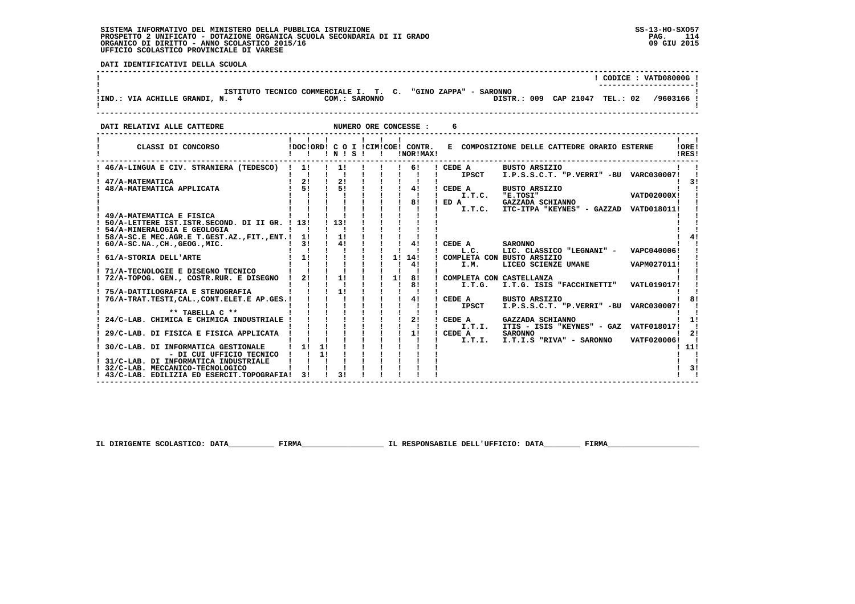i

 **DATI IDENTIFICATIVI DELLA SCUOLA**

|                                 |                                                              |               |  |                                | CODICE: VATD08000G! |
|---------------------------------|--------------------------------------------------------------|---------------|--|--------------------------------|---------------------|
| !IND.: VIA ACHILLE GRANDI, N. 4 | ISTITUTO TECNICO COMMERCIALE I. T. C. "GINO ZAPPA" - SARONNO | COM.: SARONNO |  | DISTR.: 009 CAP 21047 TEL.: 02 | /9603166 !          |
|                                 |                                                              |               |  |                                |                     |

 **DATI RELATIVI ALLE CATTEDRE NUMERO ORE CONCESSE : 6**

| 46/A-LINGUA E CIV. STRANIERA (TEDESCO)<br>11<br>11<br>CEDE A<br>BUSTO ARSIZIO<br>61<br>I.P.S.S.C.T. "P.VERRI" -BU VARC030007!<br><b>IPSCT</b><br>2!<br>2!<br>47/A-MATEMATICA<br>51<br>51<br>4!<br>48/A-MATEMATICA APPLICATA<br>CEDE A<br><b>BUSTO ARSIZIO</b><br>I.T.C.<br>"E.TOSI"<br><b>VATD02000X!</b><br>81<br>ED A<br>GAZZADA SCHIANNO<br>I.T.C. ITC-ITPA "KEYNES" - GAZZAD VATD018011!<br>49/A-MATEMATICA E FISICA<br>1131<br>50/A-LETTERE IST.ISTR.SECOND. DI II GR. ! 13!<br>! 54/A-MINERALOGIA E GEOLOGIA<br>1!<br>58/A-SC.E MEC.AGR.E T.GEST.AZ., FIT., ENT.! 1!<br>4!<br>3!<br>4!<br>CEDE A<br><b>SARONNO</b><br>$60/A-SC.NA.$ , CH., GEOG., MIC.<br>L.C.<br>LIC. CLASSICO "LEGNANI" -<br>VAPC040006!<br>1!<br>1! 14!<br>COMPLETA CON BUSTO ARSIZIO<br>61/A-STORIA DELL'ARTE<br>VAPM027011!<br>41<br>LICEO SCIENZE UMANE<br>I.M.<br>71/A-TECNOLOGIE E DISEGNO TECNICO<br>2!<br>1!<br>1!<br>8!<br>72/A-TOPOG. GEN., COSTR.RUR. E DISEGNO<br>COMPLETA CON CASTELLANZA<br>81<br>I.T.G. ISIS "FACCHINETTI"<br><b>VATL019017!</b><br>I.T.G.<br>11<br>75/A-DATTILOGRAFIA E STENOGRAFIA<br>41<br>76/A-TRAT.TESTI, CAL., CONT.ELET.E AP.GES. !<br>CEDE A<br><b>BUSTO ARSIZIO</b><br>I.P.S.S.C.T. "P.VERRI" -BU VARC030007!<br><b>IPSCT</b><br>** TABELLA C **<br>21<br>24/C-LAB. CHIMICA E CHIMICA INDUSTRIALE<br>GAZZADA SCHIANNO<br>CEDE A<br>I.T.I. ITIS - ISIS "KEYNES" - GAZ VATF018017! |
|--------------------------------------------------------------------------------------------------------------------------------------------------------------------------------------------------------------------------------------------------------------------------------------------------------------------------------------------------------------------------------------------------------------------------------------------------------------------------------------------------------------------------------------------------------------------------------------------------------------------------------------------------------------------------------------------------------------------------------------------------------------------------------------------------------------------------------------------------------------------------------------------------------------------------------------------------------------------------------------------------------------------------------------------------------------------------------------------------------------------------------------------------------------------------------------------------------------------------------------------------------------------------------------------------------------------------------------------------------------------------------------------------|
|                                                                                                                                                                                                                                                                                                                                                                                                                                                                                                                                                                                                                                                                                                                                                                                                                                                                                                                                                                                                                                                                                                                                                                                                                                                                                                                                                                                                  |
|                                                                                                                                                                                                                                                                                                                                                                                                                                                                                                                                                                                                                                                                                                                                                                                                                                                                                                                                                                                                                                                                                                                                                                                                                                                                                                                                                                                                  |
|                                                                                                                                                                                                                                                                                                                                                                                                                                                                                                                                                                                                                                                                                                                                                                                                                                                                                                                                                                                                                                                                                                                                                                                                                                                                                                                                                                                                  |
|                                                                                                                                                                                                                                                                                                                                                                                                                                                                                                                                                                                                                                                                                                                                                                                                                                                                                                                                                                                                                                                                                                                                                                                                                                                                                                                                                                                                  |
|                                                                                                                                                                                                                                                                                                                                                                                                                                                                                                                                                                                                                                                                                                                                                                                                                                                                                                                                                                                                                                                                                                                                                                                                                                                                                                                                                                                                  |
|                                                                                                                                                                                                                                                                                                                                                                                                                                                                                                                                                                                                                                                                                                                                                                                                                                                                                                                                                                                                                                                                                                                                                                                                                                                                                                                                                                                                  |
|                                                                                                                                                                                                                                                                                                                                                                                                                                                                                                                                                                                                                                                                                                                                                                                                                                                                                                                                                                                                                                                                                                                                                                                                                                                                                                                                                                                                  |
|                                                                                                                                                                                                                                                                                                                                                                                                                                                                                                                                                                                                                                                                                                                                                                                                                                                                                                                                                                                                                                                                                                                                                                                                                                                                                                                                                                                                  |
|                                                                                                                                                                                                                                                                                                                                                                                                                                                                                                                                                                                                                                                                                                                                                                                                                                                                                                                                                                                                                                                                                                                                                                                                                                                                                                                                                                                                  |
|                                                                                                                                                                                                                                                                                                                                                                                                                                                                                                                                                                                                                                                                                                                                                                                                                                                                                                                                                                                                                                                                                                                                                                                                                                                                                                                                                                                                  |
|                                                                                                                                                                                                                                                                                                                                                                                                                                                                                                                                                                                                                                                                                                                                                                                                                                                                                                                                                                                                                                                                                                                                                                                                                                                                                                                                                                                                  |
|                                                                                                                                                                                                                                                                                                                                                                                                                                                                                                                                                                                                                                                                                                                                                                                                                                                                                                                                                                                                                                                                                                                                                                                                                                                                                                                                                                                                  |
|                                                                                                                                                                                                                                                                                                                                                                                                                                                                                                                                                                                                                                                                                                                                                                                                                                                                                                                                                                                                                                                                                                                                                                                                                                                                                                                                                                                                  |
|                                                                                                                                                                                                                                                                                                                                                                                                                                                                                                                                                                                                                                                                                                                                                                                                                                                                                                                                                                                                                                                                                                                                                                                                                                                                                                                                                                                                  |
|                                                                                                                                                                                                                                                                                                                                                                                                                                                                                                                                                                                                                                                                                                                                                                                                                                                                                                                                                                                                                                                                                                                                                                                                                                                                                                                                                                                                  |
|                                                                                                                                                                                                                                                                                                                                                                                                                                                                                                                                                                                                                                                                                                                                                                                                                                                                                                                                                                                                                                                                                                                                                                                                                                                                                                                                                                                                  |
|                                                                                                                                                                                                                                                                                                                                                                                                                                                                                                                                                                                                                                                                                                                                                                                                                                                                                                                                                                                                                                                                                                                                                                                                                                                                                                                                                                                                  |
|                                                                                                                                                                                                                                                                                                                                                                                                                                                                                                                                                                                                                                                                                                                                                                                                                                                                                                                                                                                                                                                                                                                                                                                                                                                                                                                                                                                                  |
|                                                                                                                                                                                                                                                                                                                                                                                                                                                                                                                                                                                                                                                                                                                                                                                                                                                                                                                                                                                                                                                                                                                                                                                                                                                                                                                                                                                                  |
|                                                                                                                                                                                                                                                                                                                                                                                                                                                                                                                                                                                                                                                                                                                                                                                                                                                                                                                                                                                                                                                                                                                                                                                                                                                                                                                                                                                                  |
|                                                                                                                                                                                                                                                                                                                                                                                                                                                                                                                                                                                                                                                                                                                                                                                                                                                                                                                                                                                                                                                                                                                                                                                                                                                                                                                                                                                                  |
| 11<br>29/C-LAB. DI FISICA E FISICA APPLICATA<br>CEDE A<br><b>SARONNO</b>                                                                                                                                                                                                                                                                                                                                                                                                                                                                                                                                                                                                                                                                                                                                                                                                                                                                                                                                                                                                                                                                                                                                                                                                                                                                                                                         |
| I.T.I.S "RIVA" - SARONNO<br>VATF020006!<br>I.T.I.                                                                                                                                                                                                                                                                                                                                                                                                                                                                                                                                                                                                                                                                                                                                                                                                                                                                                                                                                                                                                                                                                                                                                                                                                                                                                                                                                |
| 11<br>11<br>11!<br>30/C-LAB. DI INFORMATICA GESTIONALE                                                                                                                                                                                                                                                                                                                                                                                                                                                                                                                                                                                                                                                                                                                                                                                                                                                                                                                                                                                                                                                                                                                                                                                                                                                                                                                                           |
| 1!<br>- DI CUI UFFICIO TECNICO                                                                                                                                                                                                                                                                                                                                                                                                                                                                                                                                                                                                                                                                                                                                                                                                                                                                                                                                                                                                                                                                                                                                                                                                                                                                                                                                                                   |
| 31/C-LAB. DI INFORMATICA INDUSTRIALE                                                                                                                                                                                                                                                                                                                                                                                                                                                                                                                                                                                                                                                                                                                                                                                                                                                                                                                                                                                                                                                                                                                                                                                                                                                                                                                                                             |
| 32/C-LAB. MECCANICO-TECNOLOGICO                                                                                                                                                                                                                                                                                                                                                                                                                                                                                                                                                                                                                                                                                                                                                                                                                                                                                                                                                                                                                                                                                                                                                                                                                                                                                                                                                                  |
| ! 43/C-LAB. EDILIZIA ED ESERCIT.TOPOGRAFIA!<br>31<br>31                                                                                                                                                                                                                                                                                                                                                                                                                                                                                                                                                                                                                                                                                                                                                                                                                                                                                                                                                                                                                                                                                                                                                                                                                                                                                                                                          |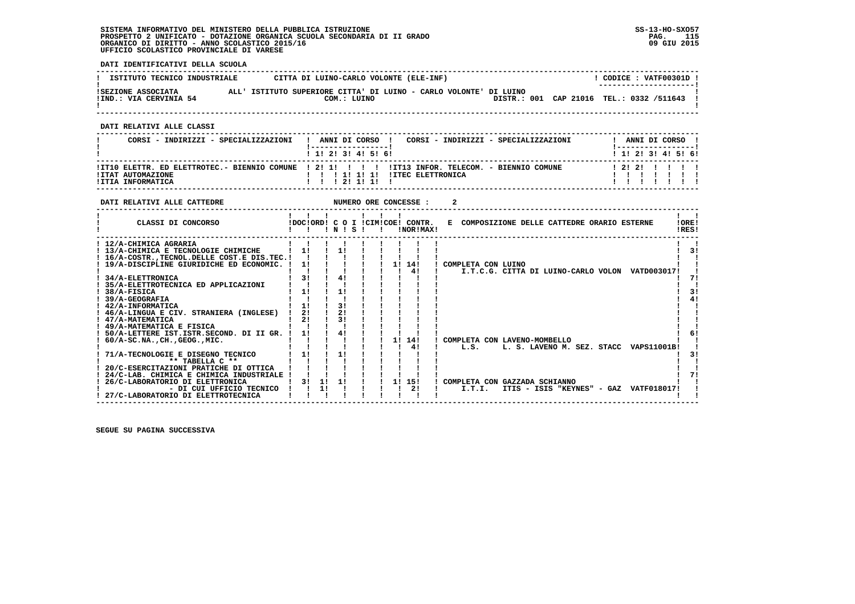**DATI IDENTIFICATIVI DELLA SCUOLA**

| ISTITUTO TECNICO INDUSTRIALE                 | CITTA DI LUINO-CARLO VOLONTE (ELE-INF) |                                                                   |  | CODICE: VATF00301D !<br>--------------------- |  |
|----------------------------------------------|----------------------------------------|-------------------------------------------------------------------|--|-----------------------------------------------|--|
| ISEZIONE ASSOCIATA<br>!IND.: VIA CERVINIA 54 | COM.: LUINO                            | ALL' ISTITUTO SUPERIORE CITTA' DI LUINO - CARLO VOLONTE' DI LUINO |  | DISTR.: 001 CAP 21016 TEL.: 0332 /511643      |  |

 **------------------------------------------------------------------------------------------------------------------------------------**

 **DATI RELATIVI ALLE CLASSI**

| CORSI - INDIRIZZI - SPECIALIZZAZIONI   | CORSI - INDIRIZZI - SPECIALIZZAZIONI<br>ANNI DI CORSO !<br>$1$ , 1! 2! 3! 4! 5! 6!                                                                                                                                                                                                                                                                                                                                                                                                                                                                                                                                                                      |  | ANNI DI CORSO<br>$1$ , 1! 2! 3! 4! 5! 6! |  |
|----------------------------------------|---------------------------------------------------------------------------------------------------------------------------------------------------------------------------------------------------------------------------------------------------------------------------------------------------------------------------------------------------------------------------------------------------------------------------------------------------------------------------------------------------------------------------------------------------------------------------------------------------------------------------------------------------------|--|------------------------------------------|--|
| !ITAT AUTOMAZIONE<br>!ITIA INFORMATICA | ITIO ELETTR. ED ELETTROTEC.- BIENNIO COMUNE ! 2! 1! ! !! !ITI3 INFOR. TELECOM. - BIENNIO COMUNE<br>$\blacksquare$ $\blacksquare$ $\blacksquare$ $\blacksquare$ $\blacksquare$ $\blacksquare$ $\blacksquare$ $\blacksquare$ $\blacksquare$ $\blacksquare$ $\blacksquare$ $\blacksquare$ $\blacksquare$ $\blacksquare$ $\blacksquare$ $\blacksquare$ $\blacksquare$ $\blacksquare$ $\blacksquare$ $\blacksquare$ $\blacksquare$ $\blacksquare$ $\blacksquare$ $\blacksquare$ $\blacksquare$ $\blacksquare$ $\blacksquare$ $\blacksquare$ $\blacksquare$ $\blacksquare$ $\blacksquare$ $\blacks$<br>$1 \quad 1 \quad 1 \quad 21 \quad 11 \quad 11 \quad 1$ |  | 12121 111                                |  |

| DATI RELATIVI ALLE CATTEDRE                                                                                                                                       |                |    |                |  | NUMERO ORE CONCESSE :                         |                                                                                |
|-------------------------------------------------------------------------------------------------------------------------------------------------------------------|----------------|----|----------------|--|-----------------------------------------------|--------------------------------------------------------------------------------|
| CLASSI DI CONCORSO                                                                                                                                                |                |    | 1 N 1 S 1      |  | !DOC!ORD! C O I !CIM!COE! CONTR.<br>!NOR!MAX! | !ORE!<br>E COMPOSIZIONE DELLE CATTEDRE ORARIO ESTERNE<br>!RES!                 |
| ! 12/A-CHIMICA AGRARIA<br>! 13/A-CHIMICA E TECNOLOGIE CHIMICHE<br>! 16/A-COSTR., TECNOL. DELLE COST. E DIS. TEC. !<br>! 19/A-DISCIPLINE GIURIDICHE ED ECONOMIC. ! | 11<br>11       |    | 11             |  | 14!<br>11                                     | 31<br>COMPLETA CON LUINO                                                       |
| 34/A-ELETTRONICA<br>35/A-ELETTROTECNICA ED APPLICAZIONI<br>38/A-FISICA                                                                                            | 31<br>1!       |    | 41<br>11       |  | 41                                            | I.T.C.G. CITTA DI LUINO-CARLO VOLON VATD003017!                                |
| 39/A-GEOGRAFIA<br>! 42/A-INFORMATICA<br>! 46/A-LINGUA E CIV. STRANIERA (INGLESE)<br>! 47/A-MATEMATICA                                                             | 11<br>21<br>21 |    | 31<br>21<br>31 |  |                                               |                                                                                |
| ! 49/A-MATEMATICA E FISICA<br>50/A-LETTERE IST.ISTR.SECOND. DI II GR. !<br>$60/A-SC.NA.$ , $CH.$ , $GEOG.$ , $MIC.$<br>71/A-TECNOLOGIE E DISEGNO TECNICO          | 11<br>1!       |    | 41<br>1!       |  | 11 141<br>41                                  | COMPLETA CON LAVENO-MOMBELLO<br>L.S.<br>L. S. LAVENO M. SEZ. STACC VAPS11001B! |
| ** TABELLA C **<br>20/C-ESERCITAZIONI PRATICHE DI OTTICA<br>24/C-LAB. CHIMICA E CHIMICA INDUSTRIALE<br>26/C-LABORATORIO DI ELETTRONICA                            | 31             | 11 | 11             |  | 11<br>15!                                     | COMPLETA CON GAZZADA SCHIANNO                                                  |
| - DI CUI UFFICIO TECNICO<br>27/C-LABORATORIO DI ELETTROTECNICA                                                                                                    |                | 11 |                |  | 2!                                            | I.T.I.<br>ITIS - ISIS "KEYNES" - GAZ VATF018017!                               |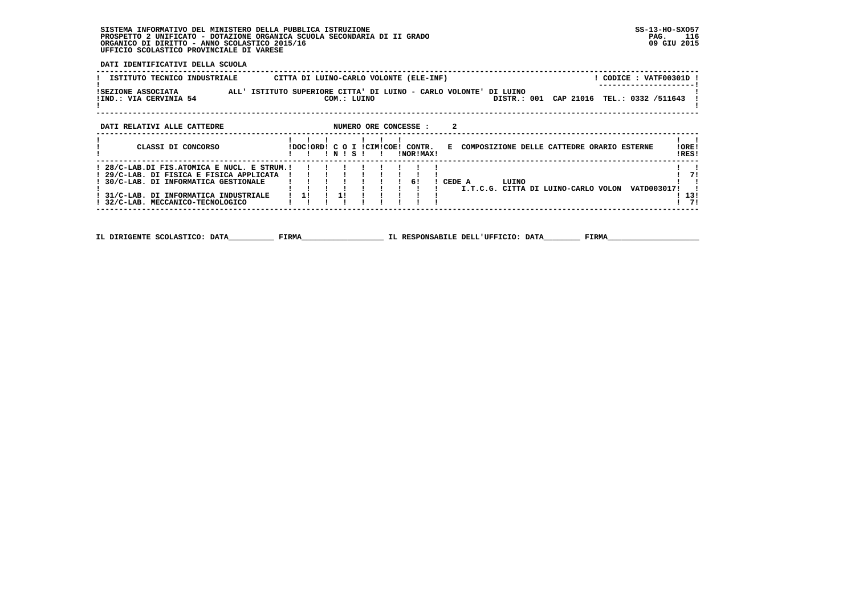**DATI IDENTIFICATIVI DELLA SCUOLA**

| ISTITUTO TECNICO INDUSTRIALE                                                                                                                                             |             | CITTA DI LUINO-CARLO VOLONTE (ELE-INF)        |                                                                   | ! CODICE : VATF00301D !                  |
|--------------------------------------------------------------------------------------------------------------------------------------------------------------------------|-------------|-----------------------------------------------|-------------------------------------------------------------------|------------------------------------------|
| ISEZIONE ASSOCIATA<br>!IND.: VIA CERVINIA 54                                                                                                                             | COM.: LUINO |                                               | ALL' ISTITUTO SUPERIORE CITTA' DI LUINO - CARLO VOLONTE' DI LUINO | DISTR.: 001 CAP 21016 TEL.: 0332 /511643 |
| DATI RELATIVI ALLE CATTEDRE                                                                                                                                              |             | NUMERO ORE CONCESSE :                         | 2                                                                 |                                          |
| CLASSI DI CONCORSO                                                                                                                                                       | IN ISI      | IDOCIORDI C O I ICIMICOEI CONTR.<br>INORIMAXI | E COMPOSIZIONE DELLE CATTEDRE ORARIO ESTERNE                      | !ORE!<br>!RES!                           |
| ! 28/C-LAB.DI FIS.ATOMICA E NUCL. E STRUM.!<br>! 29/C-LAB. DI FISICA E FISICA APPLICATA<br>30/C-LAB. DI INFORMATICA GESTIONALE<br>! 31/C-LAB. DI INFORMATICA INDUSTRIALE | 11          | 61                                            | CEDE A<br>LUINO<br>I.T.C.G. CITTA DI LUINO-CARLO VOLON            | -71<br>VATD0030171<br>13!                |
| 32/C-LAB. MECCANICO-TECNOLOGICO                                                                                                                                          |             |                                               |                                                                   | - 71                                     |

 **------------------------------------------------------------------------------------------------------------------------------------**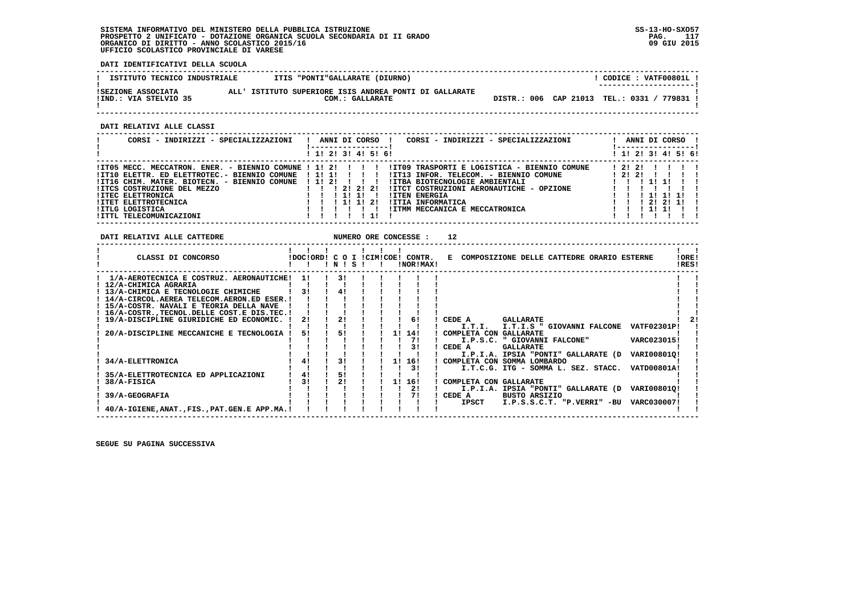**DATI IDENTIFICATIVI DELLA SCUOLA**

| ISTITUTO TECNICO INDUSTRIALE                | ITIS "PONTI"GALLARATE (DIURNO)                                            |  | CODICE: VATF00801L!<br>---------------------- |
|---------------------------------------------|---------------------------------------------------------------------------|--|-----------------------------------------------|
| ISEZIONE ASSOCIATA<br>IIND.: VIA STELVIO 35 | ALL' ISTITUTO SUPERIORE ISIS ANDREA PONTI DI GALLARATE<br>COM.: GALLARATE |  | DISTR.: 006 CAP 21013 TEL.: 0331 / 779831 !   |

 **------------------------------------------------------------------------------------------------------------------------------------**

 **DATI RELATIVI ALLE CLASSI**

| CORSI - INDIRIZZI - SPECIALIZZAZIONI                            | ANNI DI CORSO<br>CORSI - INDIRIZZI - SPECIALIZZAZIONI     |       |        | ANNI DI CORSO       |  |
|-----------------------------------------------------------------|-----------------------------------------------------------|-------|--------|---------------------|--|
|                                                                 | ! 1! 2! 3! 4! 5! 6!                                       |       |        | ! 1! 2! 3! 4! 5! 6! |  |
| $11T05$ MECC. MECCATRON. ENER. - BIENNIO COMUNE ! 1! 2! ! ! ! ! | !IT09 TRASPORTI E LOGISTICA - BIENNIO COMUNE              | 12121 |        |                     |  |
| !IT10 ELETTR. ED ELETTROTEC.- BIENNIO COMUNE                    | !IT13 INFOR. TELECOM. - BIENNIO COMUNE<br>.               | 12121 |        |                     |  |
| !IT16 CHIM. MATER. BIOTECN. - BIENNIO COMUNE                    | 1 1 1 2 1<br>!ITBA BIOTECNOLOGIE AMBIENTALI               |       |        |                     |  |
| <b>!ITCS COSTRUZIONE DEL MEZZO</b>                              | 1 2 1 2 1 2 1<br>!ITCT COSTRUZIONI AERONAUTICHE - OPZIONE |       |        |                     |  |
| <b>!ITEC ELETTRONICA</b>                                        | <b>!ITEN ENERGIA</b><br>11111                             |       | 111111 |                     |  |
| <b>!ITET ELETTROTECNICA</b>                                     | <b>!ITIA INFORMATICA</b><br>1 1 1 1 2 1                   |       | 121211 |                     |  |
| <b>!ITLG LOGISTICA</b>                                          | !ITMM MECCANICA E MECCATRONICA                            |       |        |                     |  |
| !ITTL TELECOMUNICAZIONI                                         |                                                           |       |        |                     |  |

| DATI RELATIVI ALLE CATTEDRE                    |     |                 |  |    | NUMERO ORE CONCESSE :                         | 12                                                         |                |
|------------------------------------------------|-----|-----------------|--|----|-----------------------------------------------|------------------------------------------------------------|----------------|
| CLASSI DI CONCORSO                             |     | $'$ N $'$ S $'$ |  |    | IDOCIORDI C O I ICIMICOE! CONTR.<br>!NOR!MAX! | E COMPOSIZIONE DELLE CATTEDRE ORARIO ESTERNE               | !ORE!<br>!RES! |
| 1/A-AEROTECNICA E COSTRUZ. AERONAUTICHE!       | -11 | 31              |  |    |                                               |                                                            |                |
| ! 12/A-CHIMICA AGRARIA                         |     |                 |  |    |                                               |                                                            |                |
| 13/A-CHIMICA E TECNOLOGIE CHIMICHE             | 31  | 4!              |  |    |                                               |                                                            |                |
| ! 14/A-CIRCOL.AEREA TELECOM.AERON.ED ESER.!    |     |                 |  |    |                                               |                                                            |                |
| ! 15/A-COSTR. NAVALI E TEORIA DELLA NAVE       |     |                 |  |    |                                               |                                                            |                |
| ! 16/A-COSTRTECNOL.DELLE COST.E DIS.TEC.!      |     |                 |  |    |                                               |                                                            |                |
| ! 19/A-DISCIPLINE GIURIDICHE ED ECONOMIC.      | 21  | 2!              |  |    | 61                                            | CEDE A<br><b>GALLARATE</b>                                 |                |
|                                                |     |                 |  |    |                                               | I.T.I.<br><b>VATF02301P!</b><br>I.T.I.S " GIOVANNI FALCONE |                |
| 20/A-DISCIPLINE MECCANICHE E TECNOLOGIA !      | 51  | 51              |  | 11 | 14!                                           | COMPLETA CON GALLARATE                                     |                |
|                                                |     |                 |  |    | 71                                            | VARC023015!<br>I.P.S.C. " GIOVANNI FALCONE"                |                |
|                                                |     |                 |  |    | 31                                            | CEDE A<br><b>GALLARATE</b>                                 |                |
|                                                |     |                 |  |    |                                               | I.P.I.A. IPSIA "PONTI" GALLARATE (D<br>VARI00801Q!         |                |
| 34/A-ELETTRONICA                               | 4!  | 31              |  | 11 | 16!                                           | COMPLETA CON SOMMA LOMBARDO                                |                |
|                                                |     |                 |  |    | 31                                            | <b>VATD00801A!</b><br>I.T.C.G. ITG - SOMMA L. SEZ. STACC.  |                |
| 35/A-ELETTROTECNICA ED APPLICAZIONI            | 4!  | 51              |  |    |                                               |                                                            |                |
| 38/A-FISICA                                    | 31  |                 |  | 11 | 16!                                           | COMPLETA CON GALLARATE                                     |                |
|                                                |     |                 |  |    | 21                                            | VARI008010!<br>I.P.I.A. IPSIA "PONTI" GALLARATE (D         |                |
| 39/A-GEOGRAFIA                                 |     |                 |  |    | 71                                            | CEDE A<br><b>BUSTO ARSIZIO</b>                             |                |
|                                                |     |                 |  |    |                                               | VARC030007!<br>IPSCT<br>I.P.S.S.C.T. "P.VERRI" -BU         |                |
| 40/A-IGIENE, ANAT., FIS., PAT. GEN. E APP.MA.! |     |                 |  |    |                                               |                                                            |                |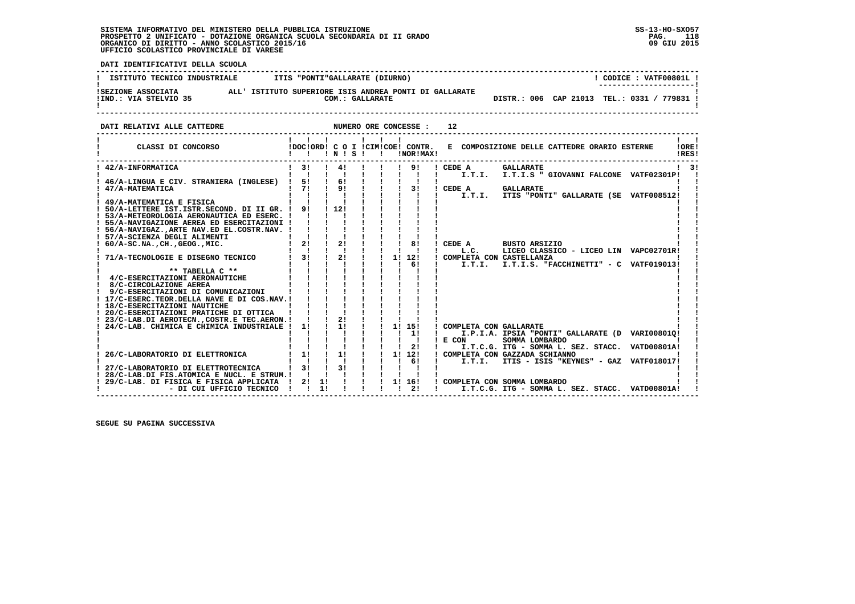i

 **DATI IDENTIFICATIVI DELLA SCUOLA**

| ISTITUTO TECNICO INDUSTRIALE                | ITIS "PONTI"GALLARATE (DIURNO)                                            |  | CODICE: VATF00801L!                                                  |
|---------------------------------------------|---------------------------------------------------------------------------|--|----------------------------------------------------------------------|
| ISEZIONE ASSOCIATA<br>IIND.: VIA STELVIO 35 | ALL' ISTITUTO SUPERIORE ISIS ANDREA PONTI DI GALLARATE<br>COM.: GALLARATE |  | ---------------------- <br>DISTR.: 006 CAP 21013 TEL.: 0331 / 779831 |

 **DATI RELATIVI ALLE CATTEDRE NUMERO ORE CONCESSE : 12**

| CLASSI DI CONCORSO                                                 |    |          | INIS           | - 1 |  |    | IDOCIORDI C O I ICIMICOEI CONTR.<br>!NOR!MAX! |          |        | E COMPOSIZIONE DELLE CATTEDRE ORARIO ESTERNE |  |                                                 | !ORE!<br>IRES! |
|--------------------------------------------------------------------|----|----------|----------------|-----|--|----|-----------------------------------------------|----------|--------|----------------------------------------------|--|-------------------------------------------------|----------------|
| ! 42/A-INFORMATICA                                                 | 3! |          | 41             |     |  |    | 9!                                            | ! CEDE A |        | <b>GALLARATE</b>                             |  |                                                 | 31             |
|                                                                    | 51 |          | 61             |     |  |    |                                               |          | I.T.I. |                                              |  | I.T.I.S " GIOVANNI FALCONE VATF02301P!          |                |
| 46/A-LINGUA E CIV. STRANIERA (INGLESE)<br>47/A-MATEMATICA          | 71 |          | 9 <sub>1</sub> |     |  |    | 31                                            | ! CEDE A |        | <b>GALLARATE</b>                             |  |                                                 |                |
|                                                                    |    |          |                |     |  |    |                                               |          |        |                                              |  | I.T.I. ITIS "PONTI" GALLARATE (SE VATF008512!   |                |
| 49/A-MATEMATICA E FISICA                                           |    |          |                |     |  |    |                                               |          |        |                                              |  |                                                 |                |
| 50/A-LETTERE IST.ISTR.SECOND. DI II GR. !                          | 91 |          | 1121           |     |  |    |                                               |          |        |                                              |  |                                                 |                |
| ! 53/A-METEOROLOGIA AERONAUTICA ED ESERC. !                        |    |          |                |     |  |    |                                               |          |        |                                              |  |                                                 |                |
| ! 55/A-NAVIGAZIONE AEREA ED ESERCITAZIONI !                        |    |          |                |     |  |    |                                               |          |        |                                              |  |                                                 |                |
| 56/A-NAVIGAZARTE NAV.ED EL.COSTR.NAV. !                            |    |          |                |     |  |    |                                               |          |        |                                              |  |                                                 |                |
| 57/A-SCIENZA DEGLI ALIMENTI                                        |    |          |                |     |  |    |                                               |          |        |                                              |  |                                                 |                |
| $60/A-SC.NA.$ , CH., GEOG., MIC.                                   | 21 |          | 21             |     |  |    | 81                                            | CEDE A   |        | BUSTO ARSIZIO                                |  |                                                 |                |
|                                                                    |    |          |                |     |  |    |                                               |          | L.C.   |                                              |  | LICEO CLASSICO - LICEO LIN VAPC02701R!          |                |
| 71/A-TECNOLOGIE E DISEGNO TECNICO                                  | 31 |          | 21             |     |  | 11 | 12!                                           |          |        | COMPLETA CON CASTELLANZA                     |  |                                                 |                |
|                                                                    |    |          |                |     |  |    | 61                                            |          | I.T.I. |                                              |  | I.T.I.S. "FACCHINETTI" - C VATF019013!          |                |
| ** TABELLA C **                                                    |    |          |                |     |  |    |                                               |          |        |                                              |  |                                                 |                |
| 4/C-ESERCITAZIONI AERONAUTICHE                                     |    |          |                |     |  |    |                                               |          |        |                                              |  |                                                 |                |
| 8/C-CIRCOLAZIONE AEREA                                             |    |          |                |     |  |    |                                               |          |        |                                              |  |                                                 |                |
| 9/C-ESERCITAZIONI DI COMUNICAZIONI                                 |    |          |                |     |  |    |                                               |          |        |                                              |  |                                                 |                |
| ! 17/C-ESERC.TEOR.DELLA NAVE E DI COS.NAV.!                        |    |          |                |     |  |    |                                               |          |        |                                              |  |                                                 |                |
| ! 18/C-ESERCITAZIONI NAUTICHE                                      |    |          |                |     |  |    |                                               |          |        |                                              |  |                                                 |                |
| ! 20/C-ESERCITAZIONI PRATICHE DI OTTICA                            |    |          |                |     |  |    |                                               |          |        |                                              |  |                                                 |                |
| ! 23/C-LAB.DI AEROTECN., COSTR.E TEC.AERON. !                      |    |          | 2!             |     |  |    |                                               |          |        |                                              |  |                                                 |                |
| 24/C-LAB. CHIMICA E CHIMICA INDUSTRIALE !                          | 1! |          | 1!             |     |  | 11 | 15!                                           |          |        | ! COMPLETA CON GALLARATE                     |  |                                                 |                |
|                                                                    |    |          |                |     |  |    | 11                                            |          |        |                                              |  | I.P.I.A. IPSIA "PONTI" GALLARATE (D VARI00801Q! |                |
|                                                                    |    |          |                |     |  |    |                                               | E CON    |        | SOMMA LOMBARDO                               |  |                                                 |                |
|                                                                    |    |          |                |     |  |    | 21                                            |          |        |                                              |  | I.T.C.G. ITG - SOMMA L. SEZ. STACC. VATD00801A! |                |
| 26/C-LABORATORIO DI ELETTRONICA                                    | 11 |          | 1!             |     |  | 11 | 12!                                           |          |        | ! COMPLETA CON GAZZADA SCHIANNO              |  |                                                 |                |
|                                                                    |    |          |                |     |  |    | 61                                            |          | I.T.I. | ITIS - ISIS "KEYNES" - GAZ                   |  | VATF018017!                                     |                |
| 27/C-LABORATORIO DI ELETTROTECNICA                                 | 31 |          | 31             |     |  |    |                                               |          |        |                                              |  |                                                 |                |
| 28/C-LAB.DI FIS.ATOMICA E NUCL. E STRUM.!                          |    |          |                |     |  |    |                                               |          |        |                                              |  |                                                 |                |
| 29/C-LAB. DI FISICA E FISICA APPLICATA<br>- DI CUI UFFICIO TECNICO | 2! | 1!<br>11 |                |     |  | 1! | 16!<br>2!                                     |          |        | ! COMPLETA CON SOMMA LOMBARDO                |  | <b>VATD00801A!</b>                              |                |
|                                                                    |    |          |                |     |  |    |                                               |          |        | I.T.C.G. ITG - SOMMA L. SEZ. STACC.          |  |                                                 |                |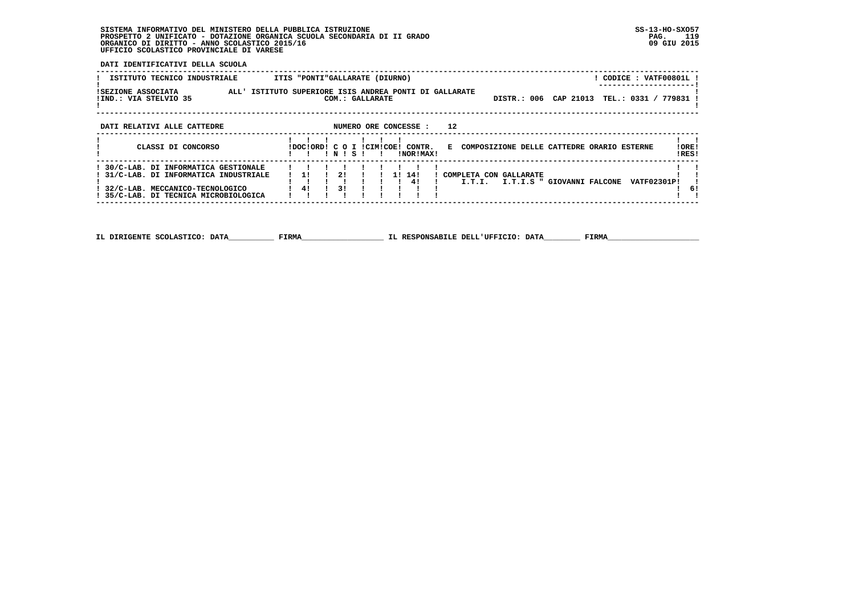**DATI IDENTIFICATIVI DELLA SCUOLA**

| ISTITUTO TECNICO INDUSTRIALE                                                  | ITIS "PONTI"GALLARATE (DIURNO)                                                                               | ! CODICE : VATF00801L !                     |
|-------------------------------------------------------------------------------|--------------------------------------------------------------------------------------------------------------|---------------------------------------------|
| ISEZIONE ASSOCIATA<br>!IND.: VIA STELVIO 35                                   | ALL' ISTITUTO SUPERIORE ISIS ANDREA PONTI DI GALLARATE<br>COM.: GALLARATE                                    | DISTR.: 006 CAP 21013 TEL.: 0331 / 779831 ! |
| DATI RELATIVI ALLE CATTEDRE                                                   | 12<br>NUMERO ORE CONCESSE :                                                                                  |                                             |
| CLASSI DI CONCORSO                                                            | E COMPOSIZIONE DELLE CATTEDRE ORARIO ESTERNE<br>IDOCIORDI C O I ICIMICOEI CONTR.<br>INORIMAX!<br>INISI<br>Ι. | !ORE!<br>!RES!                              |
| 30/C-LAB. DI INFORMATICA GESTIONALE<br>! 31/C-LAB. DI INFORMATICA INDUSTRIALE | 2!<br>14!<br>11.<br>COMPLETA CON GALLARATE<br>1 I<br>41<br>I.T.I.S " GIOVANNI FALCONE<br>I.T.I.              | <b>VATF02301P!</b>                          |
| 32/C-LAB. MECCANICO-TECNOLOGICO                                               | 31<br>41                                                                                                     | 61                                          |

i Ti  **! 35/C-LAB. DI TECNICA MICROBIOLOGICA ! ! ! ! ! ! ! ! ! ! ! ------------------------------------------------------------------------------------------------------------------------------------**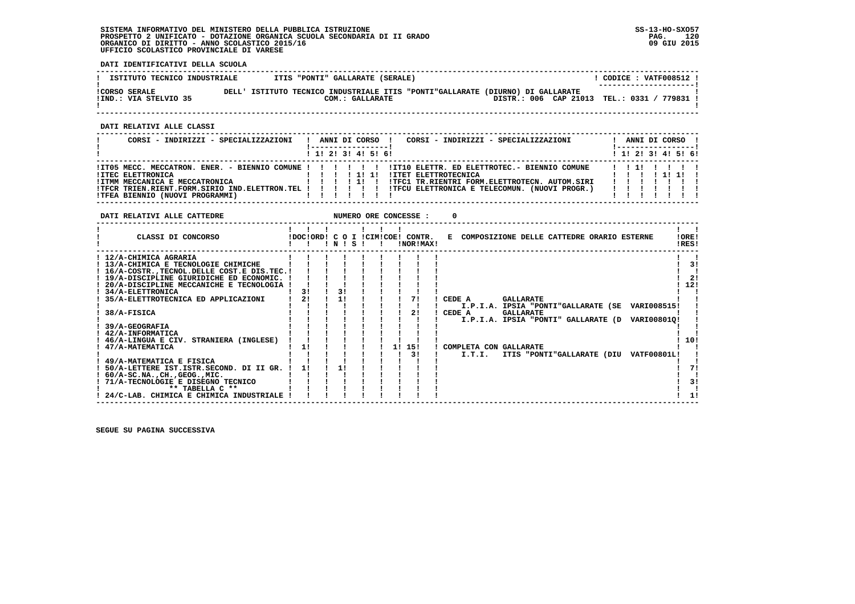**DATI IDENTIFICATIVI DELLA SCUOLA**

| ISTITUTO TECNICO INDUSTRIALE                  |  | ITIS "PONTI" GALLARATE (SERALE) |                                                                                |  |                                             | CODICE: VATF008512 !<br>--------------------- |  |  |
|-----------------------------------------------|--|---------------------------------|--------------------------------------------------------------------------------|--|---------------------------------------------|-----------------------------------------------|--|--|
| <b>!CORSO SERALE</b><br>IIND.: VIA STELVIO 35 |  | COM.: GALLARATE                 | DELL' ISTITUTO TECNICO INDUSTRIALE ITIS "PONTI"GALLARATE (DIURNO) DI GALLARATE |  | DISTR.: 006 CAP 21013 TEL.: 0331 / 779831 ! |                                               |  |  |

 **------------------------------------------------------------------------------------------------------------------------------------**

 **DATI RELATIVI ALLE CLASSI**

| CORSI - INDIRIZZI - SPECIALIZZAZIONI                                                                                              |       |  |  | ANNI DI CORSO ! |                         | CORSI - INDIRIZZI - SPECIALIZZAZIONI                                                                  |  |  | ANNI DI CORSO !              |
|-----------------------------------------------------------------------------------------------------------------------------------|-------|--|--|-----------------|-------------------------|-------------------------------------------------------------------------------------------------------|--|--|------------------------------|
|                                                                                                                                   |       |  |  |                 | $1$ , 1! 2! 3! 4! 5! 6! |                                                                                                       |  |  | $1$ , 1!, 2!, 3!, 4!, 5!, 6! |
| ITO5 MECC. MECCATRON. ENER. - BIENNIO COMUNE ! ! ! ! ! ! ITIO ELETTR. ED ELETTROTEC. - BIENNIO COMUNE<br><b>!ITEC ELETTRONICA</b> |       |  |  |                 |                         | ! ITET ELETTROTECNICA                                                                                 |  |  | 11111                        |
| !ITMM MECCANICA E MECCATRONICA<br>! TFCR TRIEN.RIENT.FORM.SIRIO IND.ELETTRON.TEL ! ! ! ! ! !                                      | 11111 |  |  |                 |                         | !TFC1 TR.RIENTRI FORM.ELETTROTECN. AUTOM.SIRI<br>! TFCU ELETTRONICA E TELECOMUN. (NUOVI PROGR.)   !!! |  |  |                              |
| !TFEA BIENNIO (NUOVI PROGRAMMI)                                                                                                   |       |  |  |                 |                         |                                                                                                       |  |  |                              |

 **DATI RELATIVI ALLE CATTEDRE NUMERO ORE CONCESSE : 0**

| CLASSI DI CONCORSO                            | IDOCIORDI C O I ICIMICOEI | ! N ! | - 5 |  | CONTR.<br>!NOR!MAX! | COMPOSIZIONE DELLE CATTEDRE ORARIO ESTERNE<br>к.           | !ORE!<br>!RES! |
|-----------------------------------------------|---------------------------|-------|-----|--|---------------------|------------------------------------------------------------|----------------|
| : 12/A-CHIMICA AGRARIA                        |                           |       |     |  |                     |                                                            |                |
| ! 13/A-CHIMICA E TECNOLOGIE CHIMICHE          |                           |       |     |  |                     |                                                            | 3!             |
| 16/A-COSTR. TECNOL. DELLE COST. E DIS. TEC. ! |                           |       |     |  |                     |                                                            |                |
| ! 19/A-DISCIPLINE GIURIDICHE ED ECONOMIC.     |                           |       |     |  |                     |                                                            | 21             |
| 20/A-DISCIPLINE MECCANICHE E TECNOLOGIA       |                           |       |     |  |                     |                                                            | 12!            |
| ! 34/A-ELETTRONICA                            | 31                        | 3!    |     |  |                     |                                                            |                |
| 35/A-ELETTROTECNICA ED APPLICAZIONI           | 21                        | 1!    |     |  | 71                  | CEDE A<br><b>GALLARATE</b>                                 |                |
|                                               |                           |       |     |  |                     | I.P.I.A. IPSIA "PONTI"GALLARATE (SE<br>VARI008515!         |                |
| 38/A-FISICA                                   |                           |       |     |  | 21                  | CEDE A<br><b>GALLARATE</b>                                 |                |
|                                               |                           |       |     |  |                     | I.P.I.A. IPSIA "PONTI" GALLARATE (D<br>VARI008010!         |                |
| 39/A-GEOGRAFIA                                |                           |       |     |  |                     |                                                            |                |
| 42/A-INFORMATICA                              |                           |       |     |  |                     |                                                            |                |
| 46/A-LINGUA E CIV. STRANIERA (INGLESE)        |                           |       |     |  |                     |                                                            | 10!            |
| 47/A-MATEMATICA                               | 11                        |       |     |  | 151<br>1 !          | COMPLETA CON GALLARATE                                     |                |
|                                               |                           |       |     |  | 31                  | <b>VATF00801L!</b><br>I.T.I.<br>ITIS "PONTI"GALLARATE (DIU |                |
| ! 49/A-MATEMATICA E FISICA                    |                           |       |     |  |                     |                                                            |                |
| 50/A-LETTERE IST.ISTR.SECOND. DI II GR.       | 1!                        |       |     |  |                     |                                                            |                |
| $60/A-SC.NA.$ , $CH.$ , $GEOG.$ , $MIC.$      |                           |       |     |  |                     |                                                            |                |
| 71/A-TECNOLOGIE E DISEGNO TECNICO             |                           |       |     |  |                     |                                                            | 31             |
| ** TABELLA C **                               |                           |       |     |  |                     |                                                            |                |
| ! 24/C-LAB. CHIMICA E CHIMICA INDUSTRIALE     |                           |       |     |  |                     |                                                            |                |

 **------------------------------------------------------------------------------------------------------------------------------------**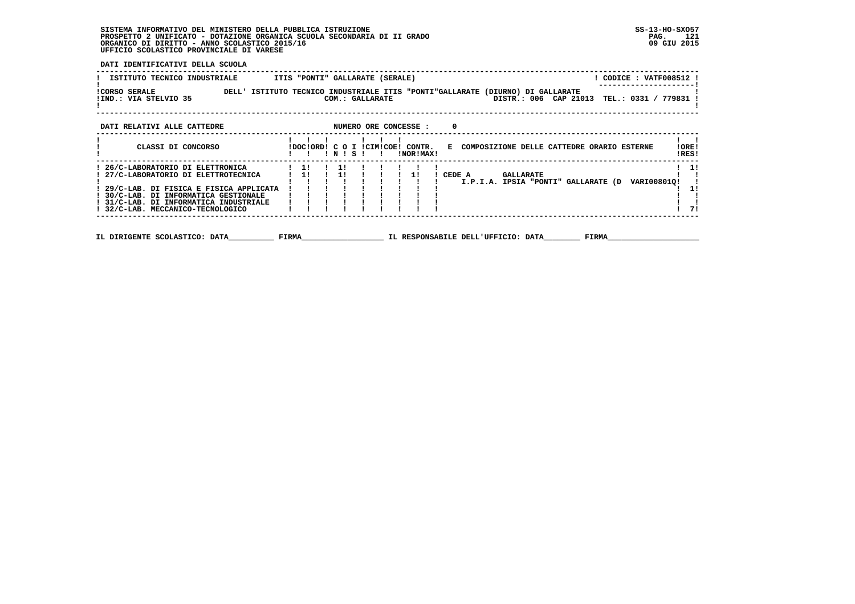**DATI IDENTIFICATIVI DELLA SCUOLA**

| ! ISTITUTO TECNICO INDUSTRIALE       ITIS "PONTI" GALLARATE (SERALE)                                                                                             |  |                 |           |                                                                               |  |  | ! CODICE : VATF008512 !                         |                           |
|------------------------------------------------------------------------------------------------------------------------------------------------------------------|--|-----------------|-----------|-------------------------------------------------------------------------------|--|--|-------------------------------------------------|---------------------------|
| !CORSO SERALE THE DELL' ISTITUTO TECNICO INDUSTRIALE ITIS "PONTI"GALLARATE (DIURNO) DI GALLARATE<br>IIND.: VIA STELVIO 35                                        |  | COM.: GALLARATE |           |                                                                               |  |  | DISTR.: 006 CAP 21013 TEL.: 0331 / 779831 !     |                           |
| NUMERO ORE CONCESSE : 0<br>DATI RELATIVI ALLE CATTEDRE                                                                                                           |  |                 |           |                                                                               |  |  |                                                 |                           |
| CLASSI DI CONCORSO                                                                                                                                               |  | INISI I         | !NOR!MAX! | !DOC!ORD! C O I !CIM!COE! CONTR. E COMPOSIZIONE DELLE CATTEDRE ORARIO ESTERNE |  |  |                                                 | !ORE!<br>!RES!            |
| ! 29/C-LAB. DI FISICA E FISICA APPLICATA<br>! 30/C-LAB. DI INFORMATICA GESTIONALE<br>! 31/C-LAB. DI INFORMATICA INDUSTRIALE<br>! 32/C-LAB. MECCANICO-TECNOLOGICO |  |                 |           |                                                                               |  |  | I.P.I.A. IPSIA "PONTI" GALLARATE (D VARI008010! | $1 \quad 11$<br>11<br>-71 |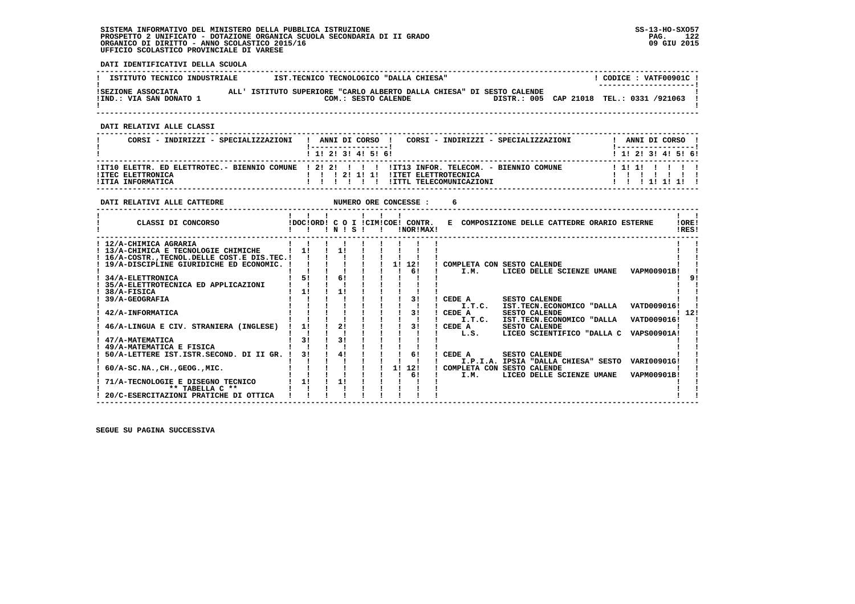**DATI IDENTIFICATIVI DELLA SCUOLA**

| ISTITUTO TECNICO INDUSTRIALE                  | IST.TECNICO TECNOLOGICO "DALLA CHIESA"                                                       |  | CODICE: VATF00901C!<br>--------------------- |  |
|-----------------------------------------------|----------------------------------------------------------------------------------------------|--|----------------------------------------------|--|
| ISEZIONE ASSOCIATA<br>!IND.: VIA SAN DONATO 1 | ALL' ISTITUTO SUPERIORE "CARLO ALBERTO DALLA CHIESA" DI SESTO CALENDE<br>COM.: SESTO CALENDE |  | DISTR.: 005 CAP 21018 TEL.: 0331 /921063     |  |

 **------------------------------------------------------------------------------------------------------------------------------------**

 **DATI RELATIVI ALLE CLASSI**

| CORSI - INDIRIZZI - SPECIALIZZAZIONI          | ANNI DI CORSO<br>CORSI - INDIRIZZI - SPECIALIZZAZIONI                                         | ANNI DI CORSO                                 |
|-----------------------------------------------|-----------------------------------------------------------------------------------------------|-----------------------------------------------|
| <b>!ITEC ELETTRONICA</b><br>!ITIA INFORMATICA | 1 1 1 2 1 3 1 4 1 5 1 6 1<br><b>!ITET ELETTROTECNICA</b><br>121111<br>!ITTL TELECOMUNICAZIONI | 1 1 1 2 1 3 1 4 1 5 1 6 1<br>111111<br>111111 |

| DATI RELATIVI ALLE CATTEDRE                      |    |                |  |    | NUMERO ORE CONCESSE :                           |                                              |                      |                            |                                                 |                |
|--------------------------------------------------|----|----------------|--|----|-------------------------------------------------|----------------------------------------------|----------------------|----------------------------|-------------------------------------------------|----------------|
| CLASSI DI CONCORSO                               |    | INISI          |  |    | !DOC!ORD! C O I !CIM!COE! CONTR.<br>INOR ! MAX! | E COMPOSIZIONE DELLE CATTEDRE ORARIO ESTERNE |                      |                            |                                                 | !ORE!<br>IRES! |
| ! 12/A-CHIMICA AGRARIA                           |    |                |  |    |                                                 |                                              |                      |                            |                                                 |                |
| ! 13/A-CHIMICA E TECNOLOGIE CHIMICHE             | 11 | 11             |  |    |                                                 |                                              |                      |                            |                                                 |                |
| ! 16/A-COSTR., TECNOL. DELLE COST. E DIS. TEC. ! |    |                |  |    |                                                 |                                              |                      |                            |                                                 |                |
| ! 19/A-DISCIPLINE GIURIDICHE ED ECONOMIC. !      |    |                |  | 11 | 12!                                             | COMPLETA CON SESTO CALENDE                   |                      |                            |                                                 |                |
|                                                  |    |                |  |    | 61                                              | I.M.                                         |                      | LICEO DELLE SCIENZE UMANE  | <b>VAPM00901B!</b>                              |                |
| 34/A-ELETTRONICA                                 | 5! | 61             |  |    |                                                 |                                              |                      |                            |                                                 |                |
| 35/A-ELETTROTECNICA ED APPLICAZIONI              |    |                |  |    |                                                 |                                              |                      |                            |                                                 |                |
| 38/A-FISICA                                      | 11 | 11             |  |    |                                                 |                                              |                      |                            |                                                 |                |
| 39/A-GEOGRAFIA                                   |    |                |  |    | 31                                              | CEDE A                                       | <b>SESTO CALENDE</b> |                            |                                                 |                |
|                                                  |    |                |  |    |                                                 | I.T.C.                                       |                      | IST.TECN.ECONOMICO "DALLA  | VATD009016!                                     |                |
| 42/A-INFORMATICA                                 |    |                |  |    | 31                                              | CEDE A                                       | <b>SESTO CALENDE</b> |                            |                                                 | ! 12!          |
|                                                  |    |                |  |    |                                                 | I.T.C.                                       |                      | IST.TECN.ECONOMICO "DALLA  | VATD009016!                                     |                |
| 46/A-LINGUA E CIV. STRANIERA (INGLESE)           | 11 | 21             |  |    | 31                                              | CEDE A                                       | <b>SESTO CALENDE</b> |                            |                                                 |                |
|                                                  |    |                |  |    |                                                 | L.S.                                         |                      | LICEO SCIENTIFICO "DALLA C | VAPS00901A!                                     |                |
| 47/A-MATEMATICA                                  | 31 | 3 <sub>1</sub> |  |    |                                                 |                                              |                      |                            |                                                 |                |
| 49/A-MATEMATICA E FISICA                         |    |                |  |    |                                                 |                                              |                      |                            |                                                 |                |
| 50/A-LETTERE IST. ISTR. SECOND. DI II GR.        | 31 | 41             |  |    | 61                                              | CEDE A                                       | <b>SESTO CALENDE</b> |                            |                                                 |                |
|                                                  |    |                |  |    |                                                 |                                              |                      |                            | I.P.I.A. IPSIA "DALLA CHIESA" SESTO VARI00901G! |                |
| $60/A-SC.NA.$ , $CH.$ , $GEOG.$ , $MIC.$         |    |                |  | 1! | 12!                                             | COMPLETA CON SESTO CALENDE                   |                      |                            |                                                 |                |
|                                                  |    |                |  |    | 6!                                              | I.M.                                         |                      | LICEO DELLE SCIENZE UMANE  | VAPM00901B!                                     |                |
| 71/A-TECNOLOGIE E DISEGNO TECNICO                | 11 | 11             |  |    |                                                 |                                              |                      |                            |                                                 |                |
| ** TABELLA C **                                  |    |                |  |    |                                                 |                                              |                      |                            |                                                 |                |
| 20/C-ESERCITAZIONI PRATICHE DI OTTICA            |    |                |  |    |                                                 |                                              |                      |                            |                                                 |                |
|                                                  |    |                |  |    |                                                 |                                              |                      |                            |                                                 |                |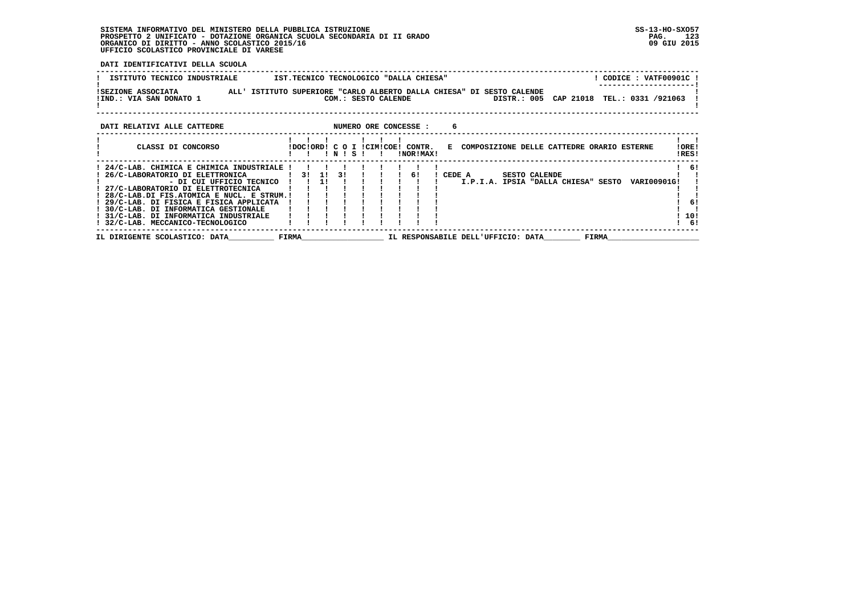**DATI IDENTIFICATIVI DELLA SCUOLA**

| ISTITUTO TECNICO INDUSTRIALE<br>IST.TECNICO TECNOLOGICO "DALLA CHIESA"                                                                                                                                                                                                                                                                                                                                                                                         | ! CODICE : VATF00901C !           |  |  |  |  |  |  |  |  |  |  |  |  |
|----------------------------------------------------------------------------------------------------------------------------------------------------------------------------------------------------------------------------------------------------------------------------------------------------------------------------------------------------------------------------------------------------------------------------------------------------------------|-----------------------------------|--|--|--|--|--|--|--|--|--|--|--|--|
| ISEZIONE ASSOCIATA                ALL' ISTITUTO SUPERIORE "CARLO ALBERTO DALLA CHIESA" DI SESTO CALENDE!<br>DISTR.: 005 CAP 21018 TEL.: 0331 /921063<br>!IND.: VIA SAN DONATO 1<br>COM.: SESTO CALENDE                                                                                                                                                                                                                                                         |                                   |  |  |  |  |  |  |  |  |  |  |  |  |
| DATI RELATIVI ALLE CATTEDRE THE SERIES ON MUMERO ORE CONCESSE :                                                                                                                                                                                                                                                                                                                                                                                                |                                   |  |  |  |  |  |  |  |  |  |  |  |  |
| CLASSI DI CONCORSO<br>!DOC!ORD! C O I !CIM!COE! CONTR. E COMPOSIZIONE DELLE CATTEDRE ORARIO ESTERNE<br>$'$ N $'$ S $'$<br>!NOR!MAX!<br>$\blacksquare$                                                                                                                                                                                                                                                                                                          | !ORE!<br>!RES!                    |  |  |  |  |  |  |  |  |  |  |  |  |
| ! 24/C-LAB. CHIMICA E CHIMICA INDUSTRIALE !!<br>! 26/C-LABORATORIO DI ELETTRONICA<br>! CEDE A SESTO CALENDE<br>11<br>- DI CUI UFFICIO TECNICO !!<br>I.P.I.A. IPSIA "DALLA CHIESA" SESTO VARI00901G!<br>! 27/C-LABORATORIO DI ELETTROTECNICA<br>! 28/C-LAB.DI FIS.ATOMICA E NUCL. E STRUM.!<br>! 29/C-LAB. DI FISICA E FISICA APPLICATA<br>! 30/C-LAB. DI INFORMATICA GESTIONALE<br>! 31/C-LAB. DI INFORMATICA INDUSTRIALE<br>! 32/C-LAB. MECCANICO-TECNOLOGICO | ! 6!<br>6!<br>10!<br>$1 \quad 61$ |  |  |  |  |  |  |  |  |  |  |  |  |
| FIRMA                                 IL RESPONSABILE DELL'UFFICIO: DATA<br>IL DIRIGENTE SCOLASTICO: DATA                                                                                                                                                                                                                                                                                                                                                      | <b>FIRMA</b>                      |  |  |  |  |  |  |  |  |  |  |  |  |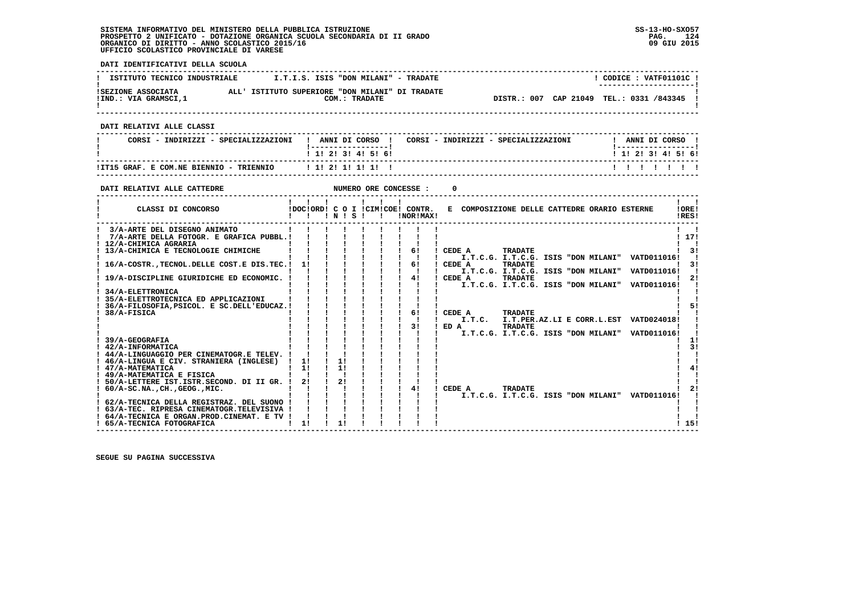**DATI IDENTIFICATIVI DELLA SCUOLA ------------------------------------------------------------------------------------------------------------------------------------** $1$  CODICE : VATE01101C I **! ISTITUTO TECNICO INDUSTRIALE**  $\qquad \qquad$  **I.T.I.S. ISIS "DON MILANI" - TRADATE ! ---------------------! !SEZIONE ASSOCIATA ALL' ISTITUTO SUPERIORE "DON MILANI" DI TRADATE ! !IND.: VIA GRAMSCI,1 COM.: TRADATE DISTR.: 007 CAP 21049 TEL.: 0331 /843345 !** $\mathbf{I}$  **! ! ------------------------------------------------------------------------------------------------------------------------------------ DATI RELATIVI ALLE CLASSI ------------------------------------------------------------------------------------------------------------------------------------**! ANNI DI CORSO !  **! CORSI - INDIRIZZI - SPECIALIZZAZIONI ! ANNI DI CORSO ! CORSI - INDIRIZZI - SPECIALIZZAZIONI ! ANNI DI CORSO !**\_\_\_\_\_\_\_\_\_\_\_\_\_\_\_\_\_\_\_\_\_\_  **! !-----------------! !-----------------!**1 1 2 2 1 3 1 4 1 5 1 6 1  **! ! 1! 2! 3! 4! 5! 6! ! 1! 2! 3! 4! 5! 6! ------------------------------------------------------------------------------------------------------------------------------------ !IT15 GRAF. E COM.NE BIENNIO - TRIENNIO ! 1! 2! 1! 1! 1! ! ! ! ! ! ! ! ! ------------------------------------------------------------------------------------------------------------------------------------DATI RELATIVI ALLE CATTEDRE NUMERO ORE CONCESSE : 0 ------------------------------------------------------------------------------------------------------------------------------------** $\mathbf{I}$   $\mathbf{I}$  **! ! ! ! ! ! ! ! !LORE! ! CLASSI DI CONCORSO !DOC!ORD! C O I !CIM!COE! CONTR. E COMPOSIZIONE DELLE CATTEDRE ORARIO ESTERNE !ORE! ! ! ! ! N ! S ! ! !NOR!MAX! !RES!**IRES!  **------------------------------------------------------------------------------------------------------------------------------------** $\mathbf{I}$   $\mathbf{I}$  **! 3/A-ARTE DEL DISEGNO ANIMATO ! ! ! ! ! ! ! ! ! ! ! ! 7/A-ARTE DELLA FOTOGR. E GRAFICA PUBBL.! ! ! ! ! ! ! ! ! ! 17! ! 12/A-CHIMICA AGRARIA ! ! ! ! ! ! ! ! ! ! !** $1771$ **Contract Contract Contract ! 13/A-CHIMICA E TECNOLOGIE CHIMICHE ! ! ! ! ! ! ! 6! ! CEDE A TRADATE ! 3! ! ! ! ! ! ! ! ! ! ! I.T.C.G. I.T.C.G. ISIS "DON MILANI" VATD011016! ! ! 16/A-COSTR.,TECNOL.DELLE COST.E DIS.TEC.! 1! ! ! ! ! ! 6! ! CEDE A TRADATE ! 3! ! ! ! ! ! ! ! ! ! ! I.T.C.G. I.T.C.G. ISIS "DON MILANI" VATD011016! ! ! 19/A-DISCIPLINE GIURIDICHE ED ECONOMIC. ! ! ! ! ! ! ! 4! ! CEDE A TRADATE ! 2! ! ! ! ! ! ! ! ! ! ! I.T.C.G. I.T.C.G. ISIS "DON MILANI" VATD011016! ! ! 34/A-ELETTRONICA ! ! ! ! ! ! ! ! ! ! !** $\mathbf{I}$  $\overline{\phantom{a}}$  **! 35/A-ELETTROTECNICA ED APPLICAZIONI ! ! ! ! ! ! ! ! ! ! !** $1 - 51$  **! 36/A-FILOSOFIA, PSICOL. E SC. DELL'EDUCAZ. ! ! 38/A-FISICA**  $\mathbf{I}$   $\mathbf{I}$  **! 38/A-FISICA ! ! ! ! ! ! ! 6! ! CEDE A TRADATE ! ! ! ! ! ! ! ! ! ! ! ! I.T.C. I.T.PER.AZ.LI E CORR.L.EST VATD024018! ! ! ! ! ! ! ! ! ! 3! ! ED A TRADATE ! ! ! ! ! ! ! ! ! ! ! ! I.T.C.G. I.T.C.G. ISIS "DON MILANI" VATD011016! !** $\overline{1}$  **! 39/A-GEOGRAFIA ! ! ! ! ! ! ! ! ! ! 1!** $-3!$  **12/A-INFORMATICA ! : 12/A-INFORMATICA ! : 12/A-INFORMATICA ! : 12/A-INFORMATICA ! : 12/A-INFORMATICA ! : 13/A-INFORMATICA ! : 13/A-INFORMATICA ! : 13/A-INFORMATICA ! : 13/A-INFORMATICA ! : 13/A-INFORMATICA ! : 13/A-INFOR**  $\blacksquare$  **! 44/A-LINGUAGGIO PER CINEMATOGR.E TELEV. ! ! ! ! ! ! ! ! ! ! !** $\blacksquare$  **! 46/A-LINGUA E CIV. STRANIERA (INGLESE) ! 1! ! 1! ! ! ! ! ! ! ! ! 47/A-MATEMATICA ! 1! ! 1! ! ! ! ! ! ! 4!** $41$  $\mathbf{I}$  **! 49/A-MATEMATICA E FISICA ! ! ! ! ! ! ! ! ! ! ! ! 50/A-LETTERE IST.ISTR.SECOND. DI II GR. ! 2! ! 2! ! ! ! ! ! ! !** $\blacksquare$  $1 \quad 21$  **! 60/A-SC.NA.,CH.,GEOG.,MIC. ! ! ! ! ! ! ! 4! ! CEDE A TRADATE ! 2!** $\overline{\phantom{a}}$  **! ! ! ! ! ! ! ! ! ! I.T.C.G. I.T.C.G. ISIS "DON MILANI" VATD011016! ! ! 62/A-TECNICA DELLA REGISTRAZ. DEL SUONO ! ! ! ! ! ! ! ! ! ! !**- 1  $\blacksquare$  **! 63/A-TEC. RIPRESA CINEMATOGR.TELEVISIVA ! ! ! ! ! ! ! ! ! ! !**- 1  **! 64/A-TECNICA E ORGAN.PROD.CINEMAT. E TV ! ! ! ! ! ! ! ! ! ! !1 151 ! 65/A-TECNICA FOTOGRAFICA ! 1! ! 1! ! ! ! ! ! ! 15! ------------------------------------------------------------------------------------------------------------------------------------**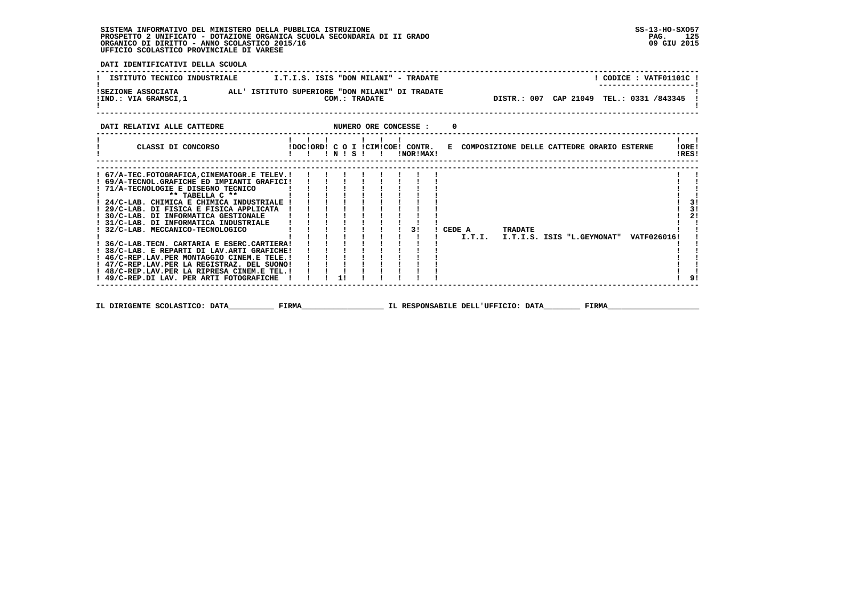$\overline{1}$  91

 **DATI IDENTIFICATIVI DELLA SCUOLA ------------------------------------------------------------------------------------------------------------------------------------** $!$  CODICE : VATF01101C  $!$ **! ISTITUTO TECNICO INDUSTRIALE**  $I.T.I.S.$  **ISIS "DON MILANI" - TRADATE** \_\_\_\_\_\_\_\_\_\_\_\_\_\_\_\_\_\_\_\_\_\_\_  **! ---------------------! !SEZIONE ASSOCIATA ALL' ISTITUTO SUPERIORE "DON MILANI" DI TRADATE ! !IND.: VIA GRAMSCI,1 COM.: TRADATE DISTR.: 007 CAP 21049 TEL.: 0331 /843345 ! ! !**DISTR.: 007 CAP 21049 TEL.: 0331 /843345 !  $\blacksquare$   **------------------------------------------------------------------------------------------------------------------------------------DATI RELATIVI ALLE CATTEDRE NUMERO ORE CONCESSE : 0 ------------------------------------------------------------------------------------------------------------------------------------ ! ! ! ! ! ! ! ! ! ! CLASSI DI CONCORSO !DOC!ORD! C O I !CIM!COE! CONTR. E COMPOSIZIONE DELLE CATTEDRE ORARIO ESTERNE !ORE! ! ! ! ! N ! S ! ! !NOR!MAX! !RES! ------------------------------------------------------------------------------------------------------------------------------------ ------------------------------------------------------------------------------------------------------------------------------------ ! 67/A-TEC.FOTOGRAFICA,CINEMATOGR.E TELEV.! ! ! ! ! ! ! ! ! ! ! ! 69/A-TECNOL.GRAFICHE ED IMPIANTI GRAFICI! ! ! ! ! ! ! ! ! ! ! ! 71/A-TECNOLOGIE E DISEGNO TECNICO ! ! ! ! ! ! ! ! ! ! ! ! \*\* TABELLA C \*\* ! ! ! ! ! ! ! ! ! ! ! ! 24/C-LAB. CHIMICA E CHIMICA INDUSTRIALE ! ! ! ! ! ! ! ! ! ! 3! ! 29/C-LAB. DI FISICA E FISICA APPLICATA ! ! ! ! ! ! ! ! ! ! 3! ! 30/C-LAB. DI INFORMATICA GESTIONALE ! ! ! ! ! ! ! ! ! ! 2!** $\mathbf{I}$  and  $\mathbf{I}$  $\mathbf{I}$  $\mathbf{I}$  $\mathbf{I}$  and  $\mathbf{I}$  $\overline{1}$   $\overline{3}$   $\overline{1}$  $1 \quad 31$  $\overline{1}$  21  $\mathbf{I}$   $\mathbf{I}$  **! 31/C-LAB. DI INFORMATICA INDUSTRIALE ! ! ! ! ! ! ! ! ! ! ! ! 32/C-LAB. MECCANICO-TECNOLOGICO ! ! ! ! ! ! ! 3! ! CEDE A TRADATE ! ! ! ! ! ! ! ! ! ! ! ! I.T.I. I.T.I.S. ISIS "L.GEYMONAT" VATF026016! ! ! 36/C-LAB.TECN. CARTARIA E ESERC.CARTIERA! ! ! ! ! ! ! ! ! ! ! ! 38/C-LAB. E REPARTI DI LAV.ARTI GRAFICHE! ! ! ! ! ! ! ! ! ! ! ! 46/C-REP.LAV.PER MONTAGGIO CINEM.E TELE.! ! ! ! ! ! ! ! ! ! ! ! 47/C-REP.LAV.PER LA REGISTRAZ. DEL SUONO! ! ! ! ! ! ! ! ! ! !** $\blacksquare$  $\blacksquare$  $\blacksquare$  $\blacksquare$  $\overline{\phantom{a}}$ 

 **IL DIRIGENTE SCOLASTICO: DATA\_\_\_\_\_\_\_\_\_\_ FIRMA\_\_\_\_\_\_\_\_\_\_\_\_\_\_\_\_\_\_ IL RESPONSABILE DELL'UFFICIO: DATA\_\_\_\_\_\_\_\_ FIRMA\_\_\_\_\_\_\_\_\_\_\_\_\_\_\_\_\_\_\_\_**

 **! 48/C-REP.LAV.PER LA RIPRESA CINEM.E TEL.! ! ! ! ! ! ! ! ! ! ! ! 49/C-REP.DI LAV. PER ARTI FOTOGRAFICHE ! ! ! 1! ! ! ! ! ! ! 9!**

 **------------------------------------------------------------------------------------------------------------------------------------**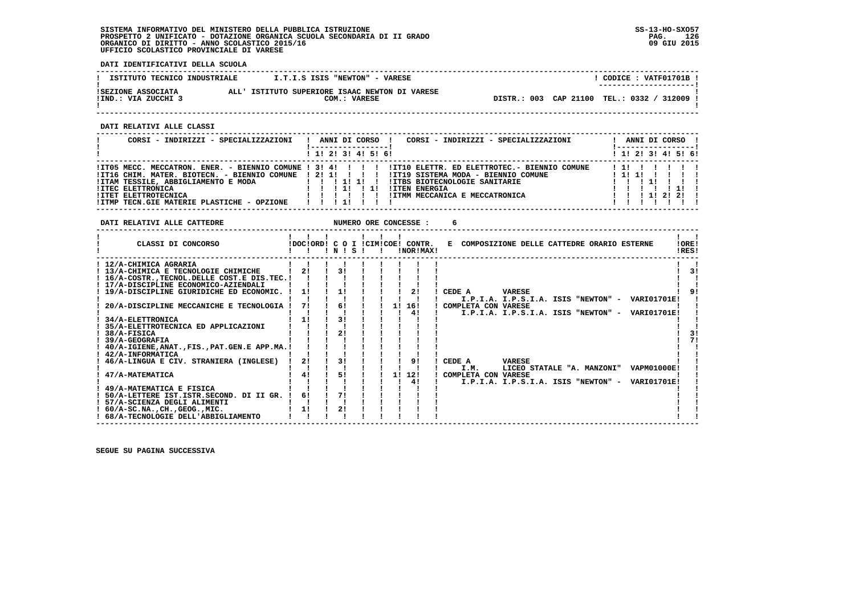**DATI IDENTIFICATIVI DELLA SCUOLA**

| ISTITUTO TECNICO INDUSTRIALE              | I.T.I.S ISIS "NEWTON" - VARESE                                 |                                             | CODICE: VATF01701B !<br>---------------------- |
|-------------------------------------------|----------------------------------------------------------------|---------------------------------------------|------------------------------------------------|
| ISEZIONE ASSOCIATA<br>!IND.: VIA ZUCCHI 3 | ALL' ISTITUTO SUPERIORE ISAAC NEWTON DI VARESE<br>COM.: VARESE | DISTR.: 003 CAP 21100 TEL.: 0332 / 312009 ! |                                                |

 **------------------------------------------------------------------------------------------------------------------------------------**

 **DATI RELATIVI ALLE CLASSI**

| CORSI - INDIRIZZI - SPECIALIZZAZIONI                                                                                                                                                                  | ANNI DI CORSO !<br>CORSI - INDIRIZZI - SPECIALIZZAZIONI                                                                                                                                                                                           | ANNI DI CORSO !           |
|-------------------------------------------------------------------------------------------------------------------------------------------------------------------------------------------------------|---------------------------------------------------------------------------------------------------------------------------------------------------------------------------------------------------------------------------------------------------|---------------------------|
|                                                                                                                                                                                                       | $1$ , 1! 2! 3! 4! 5! 6!                                                                                                                                                                                                                           | $1$ 1! 2! 3! 4! 5! 6!     |
| !IT16 CHIM. MATER. BIOTECN. - BIENNIO COMUNE ! 2! 1! ! ! ! !<br>!ITAM TESSILE, ABBIGLIAMENTO E MODA<br><b>!ITEC ELETTRONICA</b><br>!ITET ELETTROTECNICA<br>!ITMP TECN.GIE MATERIE PLASTICHE - OPZIONE | ITO5 MECC. MECCATRON. ENER. - BIENNIO COMUNE ! 3! 4! ! !! !ITIO ELETTR. ED ELETTROTEC. - BIENNIO COMUNE<br>!IT19 SISTEMA MODA - BIENNIO COMUNE<br>!ITBS BIOTECNOLOGIE SANITARIE<br><b>!ITEN ENERGIA</b><br>IITMM MECCANICA E MECCATRONICA<br>1111 | 111111<br>1 1 1 1 2 1 2 1 |

**DATI RELATIVI ALLE CATTEDRE NUMERO ORE CONCESSE : 6** 

| CLASSI DI CONCORSO                                 |    | INIS |  |    | IDOCIORDI C O I ICIMICOEI CONTR.<br>INOR IMAX ! | E COMPOSIZIONE DELLE CATTEDRE ORARIO ESTERNE                                    | !ORE!<br>!RES! |
|----------------------------------------------------|----|------|--|----|-------------------------------------------------|---------------------------------------------------------------------------------|----------------|
| ! 12/A-CHIMICA AGRARIA                             |    |      |  |    |                                                 |                                                                                 |                |
| ! 13/A-CHIMICA E TECNOLOGIE CHIMICHE               | 21 |      |  |    |                                                 |                                                                                 | 31             |
| 16/A-COSTR., TECNOL. DELLE COST. E DIS. TEC. !     |    |      |  |    |                                                 |                                                                                 |                |
| ! 17/A-DISCIPLINE ECONOMICO-AZIENDALI              |    |      |  |    |                                                 |                                                                                 |                |
| ! 19/A-DISCIPLINE GIURIDICHE ED ECONOMIC.          | 1! | 1!   |  |    | 21                                              | CEDE A<br><b>VARESE</b>                                                         |                |
|                                                    |    |      |  |    |                                                 | I.P.I.A. I.P.S.I.A. ISIS "NEWTON" -<br>VARIO1701E!                              |                |
| 20/A-DISCIPLINE MECCANICHE E TECNOLOGIA            | 71 | 6!   |  | 11 | 16!                                             | COMPLETA CON VARESE                                                             |                |
|                                                    |    |      |  |    | 4!                                              | <b>VARIO1701E!</b><br>I.P.I.A. I.P.S.I.A. ISIS "NEWTON" -                       |                |
| 34/A-ELETTRONICA                                   | 1! |      |  |    |                                                 |                                                                                 |                |
| 35/A-ELETTROTECNICA ED APPLICAZIONI                |    |      |  |    |                                                 |                                                                                 |                |
| 38/A-FISICA                                        |    | 2!   |  |    |                                                 |                                                                                 | 31             |
| 39/A-GEOGRAFIA                                     |    |      |  |    |                                                 |                                                                                 | 71             |
| ! 40/A-IGIENE, ANAT., FIS., PAT. GEN. E APP. MA. ! |    |      |  |    |                                                 |                                                                                 |                |
| ! 42/A-INFORMATICA                                 | 21 | 31   |  |    | 91                                              |                                                                                 |                |
| 46/A-LINGUA E CIV. STRANIERA (INGLESE)             |    |      |  |    |                                                 | CEDE A<br><b>VARESE</b>                                                         |                |
| 47/A-MATEMATICA                                    | 41 | 51   |  | 11 | 12!                                             | I.M.<br>LICEO STATALE "A. MANZONI"<br><b>VAPM01000E!</b><br>COMPLETA CON VARESE |                |
|                                                    |    |      |  |    |                                                 | I.P.I.A. I.P.S.I.A. ISIS "NEWTON" -<br><b>VARI01701E!</b>                       |                |
| 49/A-MATEMATICA E FISICA                           |    |      |  |    |                                                 |                                                                                 |                |
| 50/A-LETTERE IST.ISTR.SECOND. DI II GR.            | 6! |      |  |    |                                                 |                                                                                 |                |
| 57/A-SCIENZA DEGLI ALIMENTI                        |    |      |  |    |                                                 |                                                                                 |                |
| $: 60/A-SC.NA.$ , $CH.$ , $GEOG.$ , $MIC.$         | 1! | 2!   |  |    |                                                 |                                                                                 |                |
| ! 68/A-TECNOLOGIE DELL'ABBIGLIAMENTO               |    |      |  |    |                                                 |                                                                                 |                |
|                                                    |    |      |  |    |                                                 |                                                                                 |                |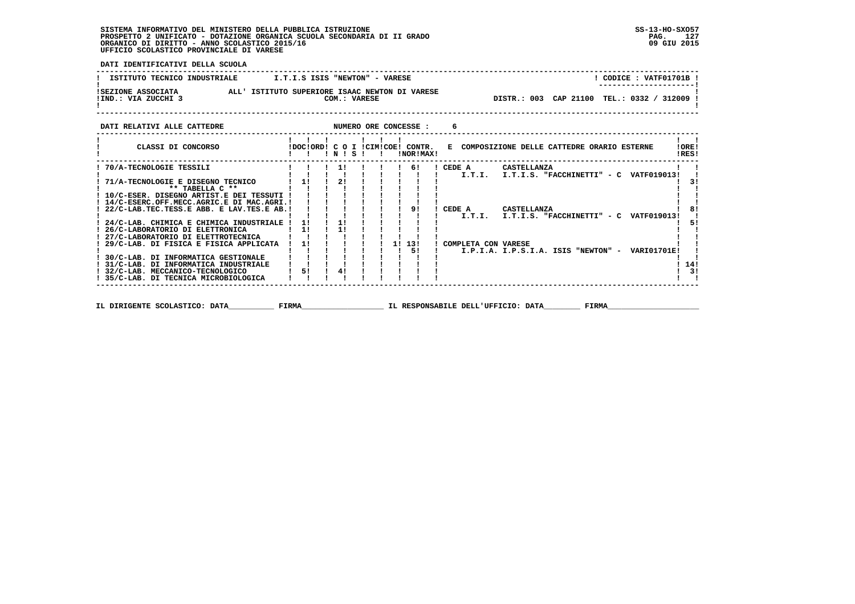**DATI IDENTIFICATIVI DELLA SCUOLA**

| ISTITUTO TECNICO INDUSTRIALE              | I.T.I.S ISIS "NEWTON" - VARESE                                 | CODICE: VATF01701B !<br>--------------------- |
|-------------------------------------------|----------------------------------------------------------------|-----------------------------------------------|
| ISEZIONE ASSOCIATA<br>!IND.: VIA ZUCCHI 3 | ALL' ISTITUTO SUPERIORE ISAAC NEWTON DI VARESE<br>COM.: VARESE | DISTR.: 003 CAP 21100 TEL.: 0332 / 312009 !   |
| DATI RELATIVI ALLE CATTEDRE               | NUMERO ORE CONCESSE :                                          |                                               |

| CLASSI DI CONCORSO                        |       |    | N  | s |  |    | IDOCIORD! C O I ICIMICOE! CONTR.<br>!NOR!MAX! |                     | E COMPOSIZIONE DELLE CATTEDRE ORARIO ESTERNE |       |                    | IORE!<br>!RES! |    |
|-------------------------------------------|-------|----|----|---|--|----|-----------------------------------------------|---------------------|----------------------------------------------|-------|--------------------|----------------|----|
| 70/A-TECNOLOGIE TESSILI                   |       |    | 11 |   |  |    | 61                                            | CEDE A              | CASTELLANZA                                  |       |                    |                |    |
|                                           |       |    |    |   |  |    |                                               | I.T.I.              | I.T.I.S. "FACCHINETTI" - C                   |       | VATF019013!        |                |    |
| 71/A-TECNOLOGIE E DISEGNO TECNICO         |       | 11 | 21 |   |  |    |                                               |                     |                                              |       |                    |                | 31 |
| ** TABELLA C **                           |       |    |    |   |  |    |                                               |                     |                                              |       |                    |                |    |
| ! 10/C-ESER. DISEGNO ARTIST.E DEI TESSUTI |       |    |    |   |  |    |                                               |                     |                                              |       |                    |                |    |
| 14/C-ESERC.OFF.MECC.AGRIC.E DI MAC.AGRI.! |       |    |    |   |  |    |                                               |                     |                                              |       |                    |                |    |
| 22/C-LAB.TEC.TESS.E ABB. E LAV.TES.E AB.! |       |    |    |   |  |    | 9!                                            | CEDE A              | CASTELLANZA                                  |       |                    |                | 81 |
|                                           |       |    |    |   |  |    |                                               | I.T.I.              | I.T.I.S. "FACCHINETTI" - C                   |       | VATF019013!        |                |    |
| 24/C-LAB. CHIMICA E CHIMICA INDUSTRIALE   |       | 11 | 11 |   |  |    |                                               |                     |                                              |       |                    |                | 51 |
| 26/C-LABORATORIO DI ELETTRONICA           |       | 11 | 11 |   |  |    |                                               |                     |                                              |       |                    |                |    |
| ! 27/C-LABORATORIO DI ELETTROTECNICA      |       |    |    |   |  |    |                                               |                     |                                              |       |                    |                |    |
| 29/C-LAB. DI FISICA E FISICA APPLICATA    |       | 1! |    |   |  | 11 | 13!                                           | COMPLETA CON VARESE |                                              |       |                    |                |    |
|                                           |       |    |    |   |  |    | 51                                            |                     | I.P.I.A. I.P.S.I.A. ISIS "NEWTON" -          |       | <b>VARIO1701E!</b> |                |    |
| ! 30/C-LAB. DI INFORMATICA GESTIONALE     |       |    |    |   |  |    |                                               |                     |                                              |       |                    |                |    |
| 31/C-LAB. DI INFORMATICA INDUSTRIALE      |       |    |    |   |  |    |                                               |                     |                                              |       |                    | 14!            |    |
| ! 32/C-LAB. MECCANICO-TECNOLOGICO         |       | 51 | 41 |   |  |    |                                               |                     |                                              |       |                    |                | 3! |
| 35/C-LAB. DI TECNICA MICROBIOLOGICA       |       |    |    |   |  |    |                                               |                     |                                              |       |                    |                |    |
| IL DIRIGENTE SCOLASTICO: DATA             | FIRMA |    |    |   |  |    |                                               |                     | IL RESPONSABILE DELL'UFFICIO: DATA           | FIRMA |                    |                |    |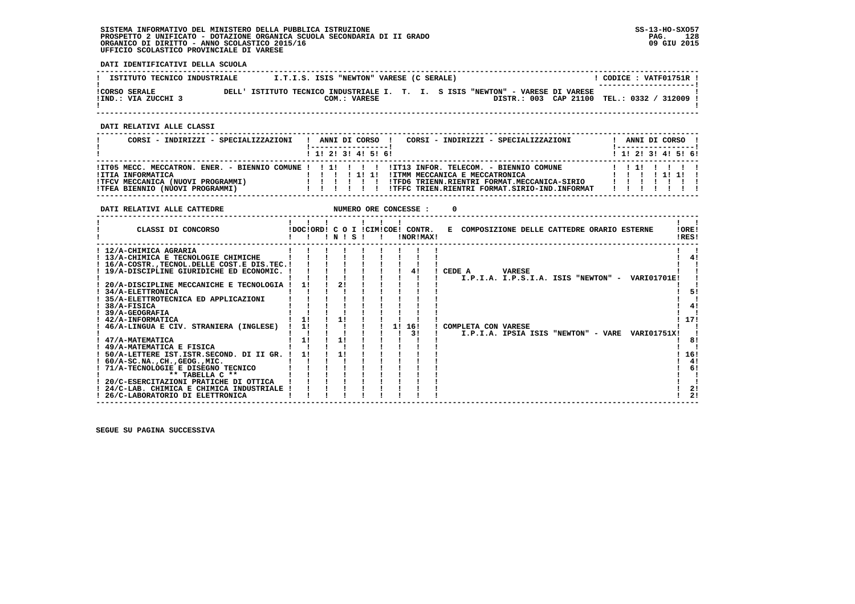**DATI IDENTIFICATIVI DELLA SCUOLA**

| ISTITUTO TECNICO INDUSTRIALE                |                                                                                | I.T.I.S. ISIS "NEWTON" VARESE (C SERALE) |  |  |                                    | CODICE: VATF01751R !<br>--------------------- |
|---------------------------------------------|--------------------------------------------------------------------------------|------------------------------------------|--|--|------------------------------------|-----------------------------------------------|
| <b>!CORSO SERALE</b><br>IIND.: VIA ZUCCHI 3 | DELL' ISTITUTO TECNICO INDUSTRIALE I. T. I. S ISIS "NEWTON" - VARESE DI VARESE | COM.: VARESE                             |  |  | DISTR.: 003 CAP 21100 TEL.: 0332 / | $'$ 312009 $\overline{ }$                     |

 **------------------------------------------------------------------------------------------------------------------------------------**

 **DATI RELATIVI ALLE CLASSI**

| CORSI - INDIRIZZI - SPECIALIZZAZIONI                                                      | CORSI - INDIRIZZI - SPECIALIZZAZIONI<br>ANNI DI CORSO !<br>-----------------<br>! 1! 2! 3! 4! 5! 6!                                                                                                                                                  | ANNI DI CORSO !<br>! -----------------<br>! 1! 2! 3! 4! 5! 6! |
|-------------------------------------------------------------------------------------------|------------------------------------------------------------------------------------------------------------------------------------------------------------------------------------------------------------------------------------------------------|---------------------------------------------------------------|
| !ITIA INFORMATICA<br>!TFCV MECCANICA (NUOVI PROGRAMMI)<br>!TFEA BIENNIO (NUOVI PROGRAMMI) | IIT05 MECC. MECCATRON. ENER. - BIENNIO COMUNE !!!!!!!!!!!IT13 INFOR. TELECOM. - BIENNIO COMUNE<br>! ITMM MECCANICA E MECCATRONICA<br>11111<br>!TFD6 TRIENN.RIENTRI FORMAT.MECCANICA-SIRIO<br>!TFFC TRIEN.RIENTRI FORMAT.SIRIO-IND.INFORMAT<br>111111 | 1111                                                          |

| DATI RELATIVI ALLE CATTEDRE                                                    |    |      |  | NUMERO ORE CONCESSE :                         |          |                                                                |
|--------------------------------------------------------------------------------|----|------|--|-----------------------------------------------|----------|----------------------------------------------------------------|
| CLASSI DI CONCORSO                                                             |    | INIS |  | IDOCIORD! C O I ICIMICOE! CONTR.<br>!NOR!MAX! |          | E COMPOSIZIONE DELLE CATTEDRE ORARIO ESTERNE<br>IOREI<br>!RES! |
| ! 12/A-CHIMICA AGRARIA                                                         |    |      |  |                                               |          |                                                                |
| ! 13/A-CHIMICA E TECNOLOGIE CHIMICHE                                           |    |      |  |                                               |          | 41                                                             |
| ! 16/A-COSTR., TECNOL. DELLE COST. E DIS. TEC. !                               |    |      |  |                                               |          |                                                                |
| ! 19/A-DISCIPLINE GIURIDICHE ED ECONOMIC. !                                    |    |      |  |                                               | ! CEDE A | <b>VARESE</b>                                                  |
|                                                                                |    |      |  |                                               |          | I.P.I.A. I.P.S.I.A. ISIS "NEWTON" - VARIO1701E!                |
| 20/A-DISCIPLINE MECCANICHE E TECNOLOGIA                                        |    |      |  |                                               |          |                                                                |
| ! 34/A-ELETTRONICA                                                             |    |      |  |                                               |          | 51                                                             |
| 35/A-ELETTROTECNICA ED APPLICAZIONI                                            |    |      |  |                                               |          |                                                                |
| 38/A-FISICA                                                                    |    |      |  |                                               |          | 41                                                             |
| <b>39/A-GEOGRAFIA</b>                                                          |    |      |  |                                               |          |                                                                |
| ! 42/A-INFORMATICA                                                             | 11 |      |  |                                               |          | 17!                                                            |
| 46/A-LINGUA E CIV. STRANIERA (INGLESE)                                         | 1! |      |  | 16!<br>11                                     |          | ! COMPLETA CON VARESE                                          |
|                                                                                |    |      |  | 3 I                                           |          | I.P.I.A. IPSIA ISIS "NEWTON" - VARE<br>VARI01751X!             |
| ! 47/A-MATEMATICA                                                              | 11 | 11   |  |                                               |          | 8!                                                             |
| ! 49/A-MATEMATICA E FISICA                                                     |    |      |  |                                               |          |                                                                |
| 50/A-LETTERE IST. ISTR. SECOND. DI II GR. !                                    | 11 |      |  |                                               |          | 16!                                                            |
| $: 60/A-SC.NA.$ , $CH.$ , $GEOG.$ , $MIC.$                                     |    |      |  |                                               |          | 4!                                                             |
| 71/A-TECNOLOGIE E DISEGNO TECNICO                                              |    |      |  |                                               |          | 6!                                                             |
| ** TABELLA C **                                                                |    |      |  |                                               |          |                                                                |
| 20/C-ESERCITAZIONI PRATICHE DI OTTICA                                          |    |      |  |                                               |          | 2!                                                             |
| ! 24/C-LAB. CHIMICA E CHIMICA INDUSTRIALE !<br>26/C-LABORATORIO DI ELETTRONICA |    |      |  |                                               |          | 2!                                                             |
|                                                                                |    |      |  |                                               |          |                                                                |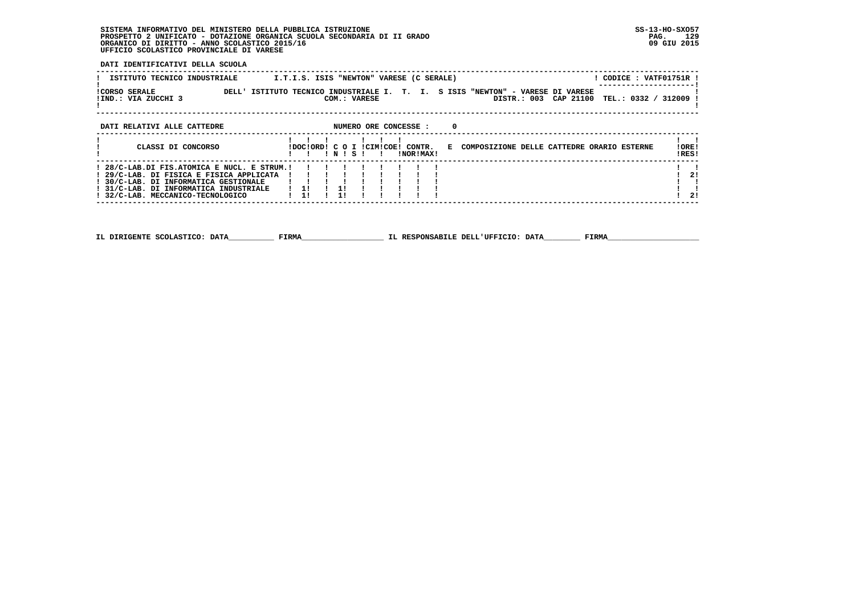**DATI IDENTIFICATIVI DELLA SCUOLA**

| ISTITUTO TECNICO INDUSTRIALE                         | I.T.I.S. ISIS "NEWTON" VARESE (C SERALE)                                                                                                | CODICE : VATF01751R ! |  |
|------------------------------------------------------|-----------------------------------------------------------------------------------------------------------------------------------------|-----------------------|--|
| <b>!CORSO SERALE</b><br>DELL'<br>!IND.: VIA ZUCCHI 3 | ISTITUTO TECNICO INDUSTRIALE I. T. I. S ISIS "NEWTON" - VARESE DI VARESE<br>DISTR.: 003 CAP 21100 TEL.: 0332 / 312009 !<br>COM.: VARESE |                       |  |
| DATI RELATIVI ALLE CATTEDRE                          | NUMERO ORE CONCESSE :                                                                                                                   |                       |  |
|                                                      |                                                                                                                                         |                       |  |

| CLASSI DI CONCORSO                                                                                                                                                    |  | INISI |  |  | IDOCIORD! C O I ICIMICOE! CONTR.<br>INORIMAXI |  | E COMPOSIZIONE DELLE CATTEDRE ORARIO ESTERNE | ! ORE!<br>IRES! |            |
|-----------------------------------------------------------------------------------------------------------------------------------------------------------------------|--|-------|--|--|-----------------------------------------------|--|----------------------------------------------|-----------------|------------|
| 29/C-LAB. DI FISICA E FISICA APPLICATA !!!!!!<br>! 30/C-LAB. DI INFORMATICA GESTIONALE<br>! 31/C-LAB. DI INFORMATICA INDUSTRIALE<br>! 32/C-LAB. MECCANICO-TECNOLOGICO |  |       |  |  |                                               |  |                                              |                 | -21<br>-21 |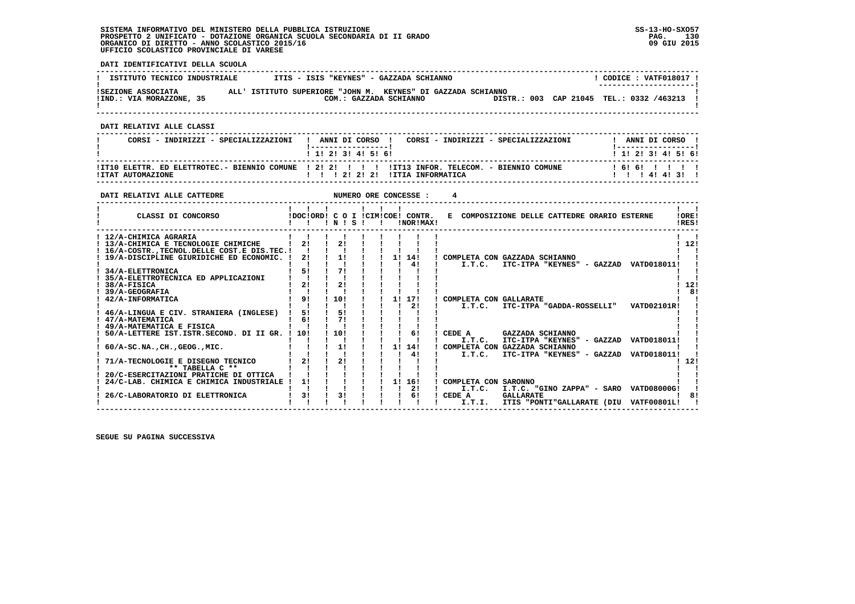**DATI IDENTIFICATIVI DELLA SCUOLA**

| ISTITUTO TECNICO INDUSTRIALE                   | ITIS - ISIS "KEYNES" - GAZZADA SCHIANNO                                                |  | CODICE: VATF018017 !<br>--------------------- |  |
|------------------------------------------------|----------------------------------------------------------------------------------------|--|-----------------------------------------------|--|
| ISEZIONE ASSOCIATA<br>!IND.: VIA MORAZZONE, 35 | ALL' ISTITUTO SUPERIORE "JOHN M. KEYNES" DI GAZZADA SCHIANNO<br>COM.: GAZZADA SCHIANNO |  | DISTR.: 003 CAP 21045 TEL.: 0332 /463213 !    |  |

 **------------------------------------------------------------------------------------------------------------------------------------**

 **DATI RELATIVI ALLE CLASSI**

| CORST - INDIRIZZI - SPECIALIZZAZIONI | ANNI DI CORSO<br>CORST - INDIRIZZI - SPECIALIZZAZIONI<br>1 1 2 3 3 4 5 6 1                                                              | ANNI DI CORSO<br>1 1 1 2 1 3 1 4 1 5 1 6 1 |
|--------------------------------------|-----------------------------------------------------------------------------------------------------------------------------------------|--------------------------------------------|
| <b>!ITAT AUTOMAZIONE</b>             | ITI0 ELETTR. ED ELETTROTEC.- BIENNIO COMUNE   2! 2! !   !   ITI3 INFOR. TELECOM. - BIENNIO COMUNE<br>1 2 1 2 1 2 1<br>ITTIA INFORMATICA | ! 6! 6! ! ! ! !<br>414131                  |

| DATI RELATIVI ALLE CATTEDRE                                                                                                                                                                                       |                                  |                       |    | NUMERO ORE CONCESSE : |                                                    |                                                                                    |                                   |                |
|-------------------------------------------------------------------------------------------------------------------------------------------------------------------------------------------------------------------|----------------------------------|-----------------------|----|-----------------------|----------------------------------------------------|------------------------------------------------------------------------------------|-----------------------------------|----------------|
| CLASSI DI CONCORSO                                                                                                                                                                                                | IDOCIORDI C O I ICIMICOEI CONTR. | 1 N 1 S 1             |    | !NOR!MAX!             |                                                    | E COMPOSIZIONE DELLE CATTEDRE ORARIO ESTERNE                                       |                                   | 10RE!<br>!RES! |
| ! 12/A-CHIMICA AGRARIA<br>! 13/A-CHIMICA E TECNOLOGIE CHIMICHE<br>! 16/A-COSTRTECNOL.DELLE COST.E DIS.TEC.!<br>19/A-DISCIPLINE GIURIDICHE ED ECONOMIC.<br>34/A-ELETTRONICA<br>35/A-ELETTROTECNICA ED APPLICAZIONI | 21<br>21<br>5!                   | 21<br>1!<br>71        |    | 1! 14!<br>41          | I.T.C.                                             | COMPLETA CON GAZZADA SCHIANNO<br>ITC-ITPA "KEYNES" - GAZZAD                        | VATD018011!                       | 12!            |
| 38/A-FISICA<br>39/A-GEOGRAFIA<br>42/A-INFORMATICA<br>46/A-LINGUA E CIV. STRANIERA (INGLESE)<br>47/A-MATEMATICA                                                                                                    | 21<br>91<br>51<br>61             | 21<br>10!<br>51<br>71 | 11 | 17!<br>21             | COMPLETA CON GALLARATE<br>I.T.C.                   | ITC-ITPA "GADDA-ROSSELLI"                                                          | VATD02101R!                       | 12!<br>8!      |
| ! 49/A-MATEMATICA E FISICA<br>50/A-LETTERE IST.ISTR.SECOND. DI II GR.<br>$60/A-SC.NA.$ , $CH.$ , $GEOG.$ , $MIC.$                                                                                                 | 10!                              | 10!<br>1!             | 11 | 6!<br>14!             | CEDE A<br>I.T.C.                                   | GAZZADA SCHIANNO<br>ITC-ITPA "KEYNES" -<br>GAZZAD<br>COMPLETA CON GAZZADA SCHIANNO | VATD018011!                       |                |
| 71/A-TECNOLOGIE E DISEGNO TECNICO<br>** TABELLA C **                                                                                                                                                              | 21                               | 21                    |    | 41                    | I.T.C.                                             | ITC-ITPA "KEYNES" - GAZZAD                                                         | VATD018011!                       | 12!            |
| 20/C-ESERCITAZIONI PRATICHE DI OTTICA<br>24/C-LAB. CHIMICA E CHIMICA INDUSTRIALE !<br>26/C-LABORATORIO DI ELETTRONICA                                                                                             | 11<br>31                         | 3!                    | 11 | 16!<br>21<br>61       | COMPLETA CON SARONNO<br>I.T.C.<br>CEDE A<br>I.T.I. | I.T.C. "GINO ZAPPA" - SARO<br><b>GALLARATE</b><br>ITIS "PONTI"GALLARATE (DIU       | VATD08000G!<br><b>VATF00801L!</b> |                |
|                                                                                                                                                                                                                   |                                  |                       |    |                       |                                                    |                                                                                    |                                   |                |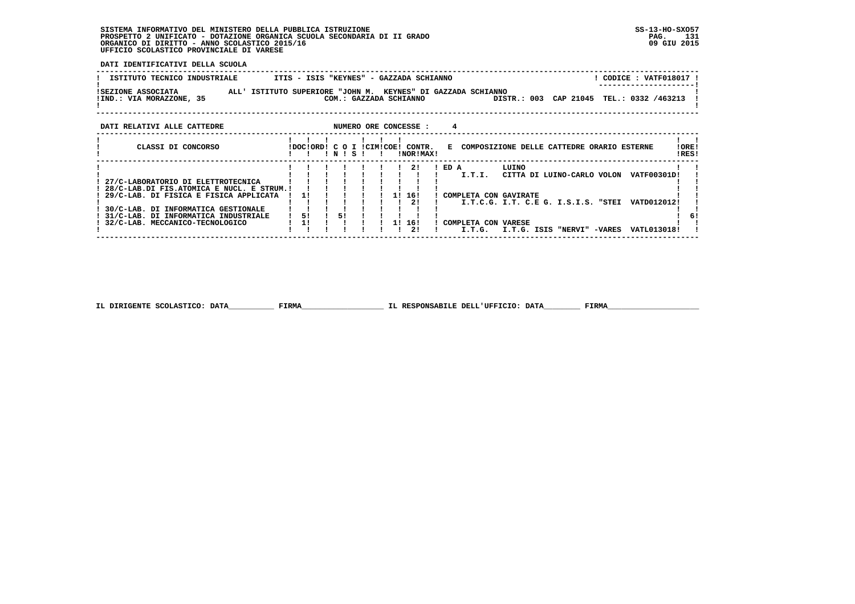**DATI IDENTIFICATIVI DELLA SCUOLA**

| ISTITUTO TECNICO INDUSTRIALE                                                                                                                                                                                                                          |                |       |              |               | ITIS - ISIS "KEYNES" - GAZZADA SCHIANNO       |          |                                                                                                                                                                |       |                            |  | ! CODICE : VATF018017 ! |                |
|-------------------------------------------------------------------------------------------------------------------------------------------------------------------------------------------------------------------------------------------------------|----------------|-------|--------------|---------------|-----------------------------------------------|----------|----------------------------------------------------------------------------------------------------------------------------------------------------------------|-------|----------------------------|--|-------------------------|----------------|
| <b>ISEZIONE ASSOCIATA</b><br>ALL' ISTITUTO SUPERIORE "JOHN M. KEYNES" DI GAZZADA SCHIANNO<br>!IND.: VIA MORAZZONE, 35                                                                                                                                 |                |       |              |               | COM.: GAZZADA SCHIANNO                        |          | DISTR.: 003 CAP 21045 TEL.: 0332 /463213                                                                                                                       |       |                            |  |                         |                |
| NUMERO ORE CONCESSE :<br>DATI RELATIVI ALLE CATTEDRE                                                                                                                                                                                                  |                |       |              |               |                                               | 4        |                                                                                                                                                                |       |                            |  |                         |                |
| CLASSI DI CONCORSO                                                                                                                                                                                                                                    |                | INISI | $\mathbf{I}$ |               | !DOC!ORD! C O I !CIM!COE! CONTR.<br>!NOR!MAX! |          | E COMPOSIZIONE DELLE CATTEDRE ORARIO ESTERNE                                                                                                                   |       |                            |  |                         | !ORE!<br>!RES! |
| ! 27/C-LABORATORIO DI ELETTROTECNICA<br>! 28/C-LAB.DI FIS.ATOMICA E NUCL. E STRUM.!<br>29/C-LAB. DI FISICA E FISICA APPLICATA<br>! 30/C-LAB. DI INFORMATICA GESTIONALE<br>! 31/C-LAB, DI INFORMATICA INDUSTRIALE<br>! 32/C-LAB. MECCANICO-TECNOLOGICO | 11<br>51<br>11 | 51    |              | 1! 16!<br>11. | $1 \quad 21$<br>21<br>16!<br>21               | $!$ ED A | I.T.I. CITTA DI LUINO-CARLO VOLON VATF00301D!<br>! COMPLETA CON GAVIRATE<br>I.T.C.G. I.T. C.E G. I.S.I.S. "STEI VATD012012!<br>! COMPLETA CON VARESE<br>I.T.G. | LUINO | I.T.G. ISIS "NERVI" -VARES |  | VATL013018!             |                |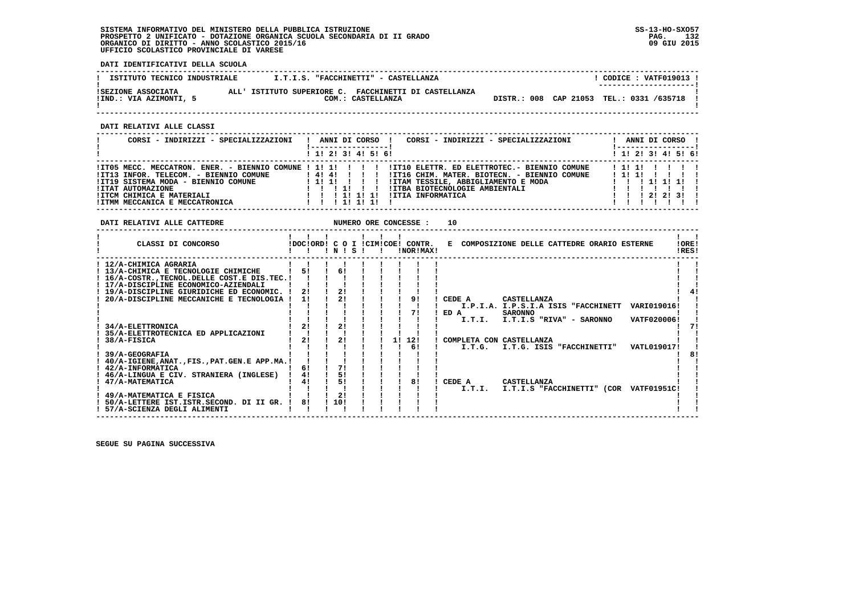**DATI IDENTIFICATIVI DELLA SCUOLA**

| ISTITUTO TECNICO INDUSTRIALE                 | I.T.I.S. "FACCHINETTI" - CASTELLANZA                                       |  | CODICE: VATF019013 !<br>--------------------- |  |
|----------------------------------------------|----------------------------------------------------------------------------|--|-----------------------------------------------|--|
| ISEZIONE ASSOCIATA<br>IIND.: VIA AZIMONTI, 5 | ALL' ISTITUTO SUPERIORE C. FACCHINETTI DI CASTELLANZA<br>COM.: CASTELLANZA |  | DISTR.: 008 CAP 21053 TEL.: 0331 /635718      |  |

 **------------------------------------------------------------------------------------------------------------------------------------**

 **DATI RELATIVI ALLE CLASSI**

| CORSI - INDIRIZZI - SPECIALIZZAZIONI                                                                                                                                                                                               | ANNI DI CORSO<br>CORSI - INDIRIZZI - SPECIALIZZAZIONI                                                                                                                                                                                     | ANNI DI CORSO !<br>!-----------------                                  |
|------------------------------------------------------------------------------------------------------------------------------------------------------------------------------------------------------------------------------------|-------------------------------------------------------------------------------------------------------------------------------------------------------------------------------------------------------------------------------------------|------------------------------------------------------------------------|
|                                                                                                                                                                                                                                    | 1 1! 2! 3! 4! 5! 6!                                                                                                                                                                                                                       | ! 1! 2! 3! 4! 5! 6!                                                    |
| !IT05 MECC. MECCATRON. ENER. - BIENNIO COMUNE ! 1! 1! ! ! ! !<br>!IT13 INFOR. TELECOM. - BIENNIO COMUNE<br>!IT19 SISTEMA MODA - BIENNIO COMUNE<br>!ITAT AUTOMAZIONE<br>!ITCM CHIMICA E MATERIALI<br>!ITMM MECCANICA E MECCATRONICA | !IT10 ELETTR. ED ELETTROTEC.- BIENNIO COMUNE<br>1414111<br>!IT16 CHIM. MATER. BIOTECN. - BIENNIO COMUNE<br>!ITAM TESSILE, ABBIGLIAMENTO E MODA<br>1111<br>!ITBA BIOTECNOLOGIE AMBIENTALI<br>!ITIA INFORMATICA<br>11111<br>1 1 1 1 1 1 1 1 | 11111<br>1 1 1 1 1 1<br>$1 \quad 1 \quad 1 \quad 21 \quad 21 \quad 31$ |

**DATI RELATIVI ALLE CATTEDRE NUMERO ORE CONCESSE : 10** 

| CLASSI DI CONCORSO                                                     |                | N         | s |  |    | IDOCIORDI C O I ICIMICOE! CONTR.<br>!NOR!MAX! | Е                        | COMPOSIZIONE DELLE CATTEDRE ORARIO ESTERNE |  |                                        | ! ORE!<br>!RES! |  |
|------------------------------------------------------------------------|----------------|-----------|---|--|----|-----------------------------------------------|--------------------------|--------------------------------------------|--|----------------------------------------|-----------------|--|
| ! 12/A-CHIMICA AGRARIA                                                 |                |           |   |  |    |                                               |                          |                                            |  |                                        |                 |  |
| ! 13/A-CHIMICA E TECNOLOGIE CHIMICHE                                   | 51             | 6!        |   |  |    |                                               |                          |                                            |  |                                        |                 |  |
| ! 16/A-COSTR., TECNOL. DELLE COST. E DIS. TEC. !                       |                |           |   |  |    |                                               |                          |                                            |  |                                        |                 |  |
| ! 17/A-DISCIPLINE ECONOMICO-AZIENDALI                                  |                |           |   |  |    |                                               |                          |                                            |  |                                        |                 |  |
| ! 19/A-DISCIPLINE GIURIDICHE ED ECONOMIC.                              | 21             | 21        |   |  |    |                                               |                          |                                            |  |                                        |                 |  |
| 20/A-DISCIPLINE MECCANICHE E TECNOLOGIA !                              | 1!             | 21        |   |  |    | 91                                            | CEDE A                   | <b>CASTELLANZA</b>                         |  |                                        |                 |  |
|                                                                        |                |           |   |  |    |                                               |                          | I.P.I.A. I.P.S.I.A ISIS "FACCHINETT        |  | VARI019016!                            |                 |  |
|                                                                        |                |           |   |  |    |                                               | ED A                     | <b>SARONNO</b>                             |  |                                        |                 |  |
|                                                                        |                |           |   |  |    |                                               | I.T.I.                   | I.T.I.S "RIVA" - SARONNO                   |  | VATF020006!                            |                 |  |
| 34/A-ELETTRONICA                                                       | 21             | 21        |   |  |    |                                               |                          |                                            |  |                                        |                 |  |
| 35/A-ELETTROTECNICA ED APPLICAZIONI                                    |                |           |   |  |    |                                               |                          |                                            |  |                                        |                 |  |
| 38/A-FISICA                                                            | 2 <sub>1</sub> | 2!        |   |  | 11 | 12!                                           | COMPLETA CON CASTELLANZA |                                            |  |                                        |                 |  |
|                                                                        |                |           |   |  |    | 61                                            | I.T.G.                   | I.T.G. ISIS "FACCHINETTI"                  |  | <b>VATL019017!</b>                     |                 |  |
| 39/A-GEOGRAFIA                                                         |                |           |   |  |    |                                               |                          |                                            |  |                                        |                 |  |
| 40/A-IGIENE, ANAT., FIS., PAT. GEN. E APP. MA.                         |                |           |   |  |    |                                               |                          |                                            |  |                                        |                 |  |
| ! 42/A-INFORMATICA                                                     | 61             | 71        |   |  |    |                                               |                          |                                            |  |                                        |                 |  |
| 46/A-LINGUA E CIV. STRANIERA (INGLESE)                                 | 4!             | 51<br>51  |   |  |    |                                               |                          |                                            |  |                                        |                 |  |
| 47/A-MATEMATICA                                                        | 4!             |           |   |  |    | 81                                            | CEDE A                   | <b>CASTELLANZA</b>                         |  |                                        |                 |  |
|                                                                        |                |           |   |  |    |                                               | I.T.I.                   |                                            |  | I.T.I.S "FACCHINETTI" (COR VATF01951C! |                 |  |
| 49/A-MATEMATICA E FISICA                                               | 81             | 2!<br>10! |   |  |    |                                               |                          |                                            |  |                                        |                 |  |
| 50/A-LETTERE IST.ISTR.SECOND. DI II GR.<br>57/A-SCIENZA DEGLI ALIMENTI |                |           |   |  |    |                                               |                          |                                            |  |                                        |                 |  |
|                                                                        |                |           |   |  |    |                                               |                          |                                            |  |                                        |                 |  |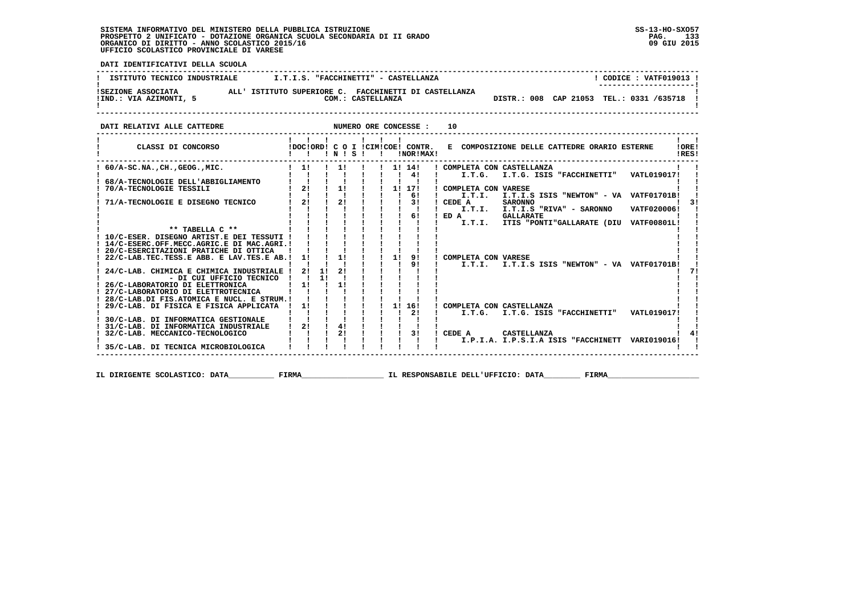**DATI IDENTIFICATIVI DELLA SCUOLA ------------------------------------------------------------------------------------------------------------------------------------**! CODICE : VATF019013 ! **! ISTITUTO TECNICO INDUSTRIALE**  $I.T.I.S. "FACCHINETTI" - CASTELLANDZA$   **! ---------------------! !IND.: VIA AZIMONTI, 5 COM.: CASTELLANZA DISTR.: 008 CAP 21053 TEL.: 0331 /635718 ! !SEZIONE ASSOCIATA ALL' ISTITUTO SUPERIORE C. FACCHINETTI DI CASTELLANZA !** $\blacksquare$  **! ! ------------------------------------------------------------------------------------------------------------------------------------DATI RELATIVI ALLE CATTEDRE NUMERO ORE CONCESSE : 10 ------------------------------------------------------------------------------------------------------------------------------------ ! ! ! ! ! ! ! ! ! ! CLASSI DI CONCORSO !DOC!ORD! C O I !CIM!COE! CONTR. E COMPOSIZIONE DELLE CATTEDRE ORARIO ESTERNE !ORE! ! ! ! ! N ! S ! ! !NOR!MAX! !RES!** $1 - 1$ **ORE!** IRES!  **------------------------------------------------------------------------------------------------------------------------------------ ! ! ! ! ! ! ! ! 4! ! I.T.G. I.T.G. ISIS "FACCHINETTI" VATL019017! ! ! 68/A-TECNOLOGIE DELL'ABBIGLIAMENTO ! ! ! ! ! ! ! ! ! ! ! ! 70/A-TECNOLOGIE TESSILI ! 2! ! 1! ! ! 1! 17! ! COMPLETA CON VARESE ! ! ! ! ! ! ! ! ! ! 6! ! I.T.I. I.T.I.S ISIS "NEWTON" - VA VATF01701B! ! ! 71/A-TECNOLOGIE E DISEGNO TECNICO ! 2! ! 2! ! ! ! 3! ! CEDE A SARONNO ! 3! ! 60/A-SC.NA.,CH.,GEOG.,MIC. ! 1! ! 1! ! ! 1! 14! ! COMPLETA CON CASTELLANZA ! !**

| /I/A-TECNOLOGIE E DISEGNO TECNICO                     |              | <b>41</b> | .              |    |  |    | 51     | CEDE A<br><b>SARUNNU</b>                          | -51 |
|-------------------------------------------------------|--------------|-----------|----------------|----|--|----|--------|---------------------------------------------------|-----|
|                                                       |              |           |                |    |  |    |        | VATF020006!<br>I.T.I.<br>I.T.I.S "RIVA" - SARONNO |     |
|                                                       |              |           |                |    |  |    | 61     | $!$ ED $A$<br><b>GALLARATE</b>                    |     |
|                                                       |              |           |                |    |  |    |        | ITIS "PONTI"GALLARATE (DIU VATF00801L!<br>I.T.I.  |     |
| $***$ TABELLA $C**$                                   |              |           |                |    |  |    |        |                                                   |     |
| ! 10/C-ESER. DISEGNO ARTIST.E DEI TESSUTI !           |              |           |                |    |  |    |        |                                                   |     |
| ! 14/C-ESERC.OFF.MECC.AGRIC.E DI MAC.AGRI.!           |              |           |                |    |  |    |        |                                                   |     |
| ! 20/C-ESERCITAZIONI PRATICHE DI OTTICA               |              |           |                |    |  |    |        |                                                   |     |
| $!$ 22/C-LAB.TEC.TESS.E ABB. E LAV.TES.E AB.! 1! ! 1! |              |           |                |    |  | 1! | 91     | COMPLETA CON VARESE                               |     |
|                                                       |              |           |                |    |  |    | 91     | I.T.I.S ISIS "NEWTON" - VA VATF01701B!<br>I.T.T.L |     |
| 24/C-LAB. CHIMICA E CHIMICA INDUSTRIALE !             |              | 21        | - 11           | 2! |  |    |        |                                                   |     |
| - DI CUI UFFICIO TECNICO                              |              |           | $\blacksquare$ |    |  |    |        |                                                   |     |
| ! 26/C-LABORATORIO DI ELETTRONICA                     | $1 \quad 11$ |           |                |    |  |    |        |                                                   |     |
| ! 27/C-LABORATORIO DI ELETTROTECNICA                  |              |           |                |    |  |    |        |                                                   |     |
| ! 28/C-LAB.DI FIS.ATOMICA E NUCL. E STRUM.!           |              |           |                |    |  |    |        |                                                   |     |
| ! 29/C-LAB. DI FISICA E FISICA APPLICATA              |              | 11        |                |    |  |    | 1! 16! | COMPLETA CON CASTELLANZA                          |     |
|                                                       |              |           |                |    |  |    | 21     | VATL019017!<br>I.T.G. I.T.G. ISIS "FACCHINETTI"   |     |
| ! 30/C-LAB. DI INFORMATICA GESTIONALE                 |              |           |                |    |  |    |        |                                                   |     |
| ! 31/C-LAB. DI INFORMATICA INDUSTRIALE                |              | 21        |                | 41 |  |    |        |                                                   |     |
| ! 32/C-LAB. MECCANICO-TECNOLOGICO                     |              |           |                | 21 |  |    | 31     | CEDE A<br>CASTELLANZA                             |     |
|                                                       |              |           |                |    |  |    |        | I.P.I.A. I.P.S.I.A ISIS "FACCHINETT VARIO19016!   |     |
| ! 35/C-LAB. DI TECNICA MICROBIOLOGICA                 |              |           |                |    |  |    |        |                                                   |     |
|                                                       |              |           |                |    |  |    |        |                                                   |     |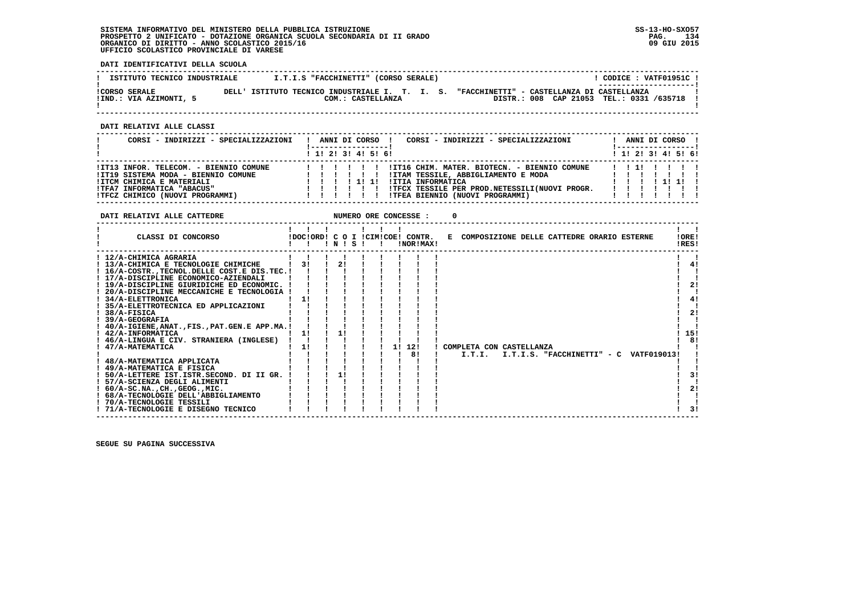**DATI IDENTIFICATIVI DELLA SCUOLA**

| ISTITUTO TECNICO INDUSTRIALE | I.T.I.S "FACCHINETTI" (CORSO SERALE)           | CODICE: VATF01951C !<br>---------------------- |
|------------------------------|------------------------------------------------|------------------------------------------------|
| <b>!CORSO SERALE</b>         | DELL' ISTITUTO TECNICO INDUSTRIALE I. T. I. S. | "FACCHINETTI" - CASTELLANZA DI CASTELLANZA     |
| !IND.: VIA AZIMONTI, 5       | COM.: CASTELLANZA                              | DISTR.: 008 CAP 21053 TEL.: 0331 /635718       |

 **------------------------------------------------------------------------------------------------------------------------------------**

 **DATI RELATIVI ALLE CLASSI**

| CORSI - INDIRIZZI - SPECIALIZZAZIONI                                                                                                                                        | CORSI - INDIRIZZI - SPECIALIZZAZIONI<br>ANNI DI CORSO !                                                                                                                                                          |  |  | ANNI DI CORSO !<br>! -----------------! |  |
|-----------------------------------------------------------------------------------------------------------------------------------------------------------------------------|------------------------------------------------------------------------------------------------------------------------------------------------------------------------------------------------------------------|--|--|-----------------------------------------|--|
|                                                                                                                                                                             | $1$ , 1! 2! 3! 4! 5! 6!                                                                                                                                                                                          |  |  | ! 1! 2! 3! 4! 5! 6!                     |  |
| !IT13 INFOR. TELECOM. - BIENNIO COMUNE<br>!IT19 SISTEMA MODA - BIENNIO COMUNE<br>!ITCM CHIMICA E MATERIALI<br>!TFA7 INFORMATICA "ABACUS"<br>!TFCZ CHIMICO (NUOVI PROGRAMMI) | !IT16 CHIM. MATER. BIOTECN. - BIENNIO COMUNE<br>IITAM TESSILE, ABBIGLIAMENTO E MODA<br><b>!ITIA INFORMATICA</b><br>1111<br>!TFCX TESSILE PER PROD.NETESSILI(NUOVI PROGR.<br>!TFEA BIENNIO (NUOVI PROGRAMMI)<br>. |  |  | 1111                                    |  |

 **DATI RELATIVI ALLE CATTEDRE NUMERO ORE CONCESSE : 0**

| CLASSI DI CONCORSO                                                |    | INISI |  | !DOC!ORD! C O I !CIM!COE! CONTR.<br>!NOR!MAX! | E COMPOSIZIONE DELLE CATTEDRE ORARIO ESTERNE |  |                            |                    | !ORE!<br>!RES! |
|-------------------------------------------------------------------|----|-------|--|-----------------------------------------------|----------------------------------------------|--|----------------------------|--------------------|----------------|
| ! 12/A-CHIMICA AGRARIA                                            |    |       |  |                                               |                                              |  |                            |                    |                |
| ! 13/A-CHIMICA E TECNOLOGIE CHIMICHE                              |    | 21    |  |                                               |                                              |  |                            |                    | 41             |
| ! 16/A-COSTRTECNOL.DELLE COST.E DIS.TEC.!                         |    |       |  |                                               |                                              |  |                            |                    |                |
| ! 17/A-DISCIPLINE ECONOMICO-AZIENDALI                             |    |       |  |                                               |                                              |  |                            |                    |                |
| ! 19/A-DISCIPLINE GIURIDICHE ED ECONOMIC.                         |    |       |  |                                               |                                              |  |                            |                    | 21             |
| 20/A-DISCIPLINE MECCANICHE E TECNOLOGIA<br>! 34/A-ELETTRONICA     | 11 |       |  |                                               |                                              |  |                            |                    | 4!             |
| ! 35/A-ELETTROTECNICA ED APPLICAZIONI                             |    |       |  |                                               |                                              |  |                            |                    |                |
| 38/A-FISICA                                                       |    |       |  |                                               |                                              |  |                            |                    | 21             |
| ! 39/A-GEOGRAFIA                                                  |    |       |  |                                               |                                              |  |                            |                    |                |
| ! 40/A-IGIENE, ANAT., FIS., PAT. GEN. E APP. MA.!                 |    |       |  |                                               |                                              |  |                            |                    |                |
| ! 42/A-INFORMATICA                                                | 11 |       |  |                                               |                                              |  |                            |                    | 15!            |
| ! 46/A-LINGUA E CIV. STRANIERA (INGLESE)                          |    |       |  |                                               |                                              |  |                            |                    | 8!             |
| ! 47/A-MATEMATICA                                                 | 11 |       |  | 12!<br>1 !                                    | COMPLETA CON CASTELLANZA                     |  |                            |                    |                |
|                                                                   |    |       |  | 81                                            | I.T.I.                                       |  | I.T.I.S. "FACCHINETTI" - C | <b>VATF019013!</b> |                |
| ! 48/A-MATEMATICA APPLICATA                                       |    |       |  |                                               |                                              |  |                            |                    |                |
| ! 49/A-MATEMATICA E FISICA                                        |    |       |  |                                               |                                              |  |                            |                    |                |
| 50/A-LETTERE IST.ISTR.SECOND. DI II GR.                           |    |       |  |                                               |                                              |  |                            |                    |                |
| ! 57/A-SCIENZA DEGLI ALIMENTI                                     |    |       |  |                                               |                                              |  |                            |                    |                |
| $: 60/A-SC.NA.$ , $CH.$ , $GEOG.$ , $MIC.$                        |    |       |  |                                               |                                              |  |                            |                    | 21             |
| ! 68/A-TECNOLOGIE DELL'ABBIGLIAMENTO<br>! 70/A-TECNOLOGIE TESSILI |    |       |  |                                               |                                              |  |                            |                    |                |
| ! 71/A-TECNOLOGIE E DISEGNO TECNICO                               |    |       |  |                                               |                                              |  |                            |                    | 31             |
|                                                                   |    |       |  |                                               |                                              |  |                            |                    |                |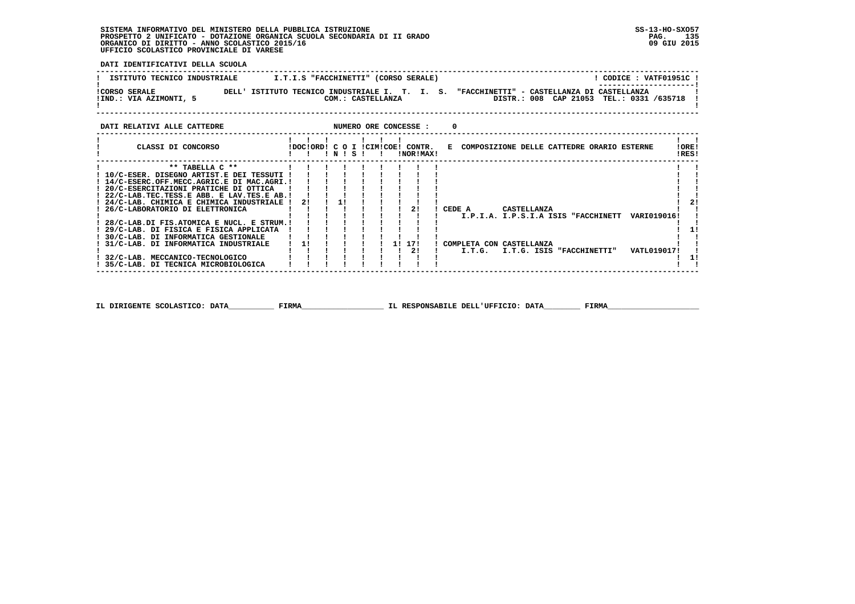**DATI IDENTIFICATIVI DELLA SCUOLA**

| ISTITUTO TECNICO INDUSTRIALE                   | I.T.I.S "FACCHINETTI" (CORSO SERALE)                                | CODICE: VATF01951C !                                                                                             |
|------------------------------------------------|---------------------------------------------------------------------|------------------------------------------------------------------------------------------------------------------|
| <b>!CORSO SERALE</b><br>!IND.: VIA AZIMONTI, 5 | DELL' ISTITUTO TECNICO INDUSTRIALE I. T. I. S.<br>COM.: CASTELLANZA | --------------------- <br>"FACCHINETTI" - CASTELLANZA DI CASTELLANZA<br>DISTR.: 008 CAP 21053 TEL.: 0331 /635718 |
|                                                |                                                                     |                                                                                                                  |

 **------------------------------------------------------------------------------------------------------------------------------------**

### **DATI RELATIVI ALLE CATTEDRE NUMERO ORE CONCESSE : 0 ------------------------------------------------------------------------------------------------------------------------------------ ! ! ! ! ! ! ! ! ! ! CLASSI DI CONCORSO !DOC!ORD! C O I !CIM!COE! CONTR. E COMPOSIZIONE DELLE CATTEDRE ORARIO ESTERNE !ORE! ! ! ! ! N ! S ! ! !NOR!MAX! !RES! ------------------------------------------------------------------------------------------------------------------------------------** $\mathbf{I}$  and  $\mathbf{I}$  **! \*\* TABELLA C \*\* ! ! ! ! ! ! ! ! ! ! !** $\mathbf{I}$  **! 10/C-ESER. DISEGNO ARTIST.E DEI TESSUTI ! ! ! ! ! ! ! ! ! ! ! ! 14/C-ESERC.OFF.MECC.AGRIC.E DI MAC.AGRI.! ! ! ! ! ! ! ! ! ! !** $\mathbf{I}$  $\mathbf{I}$ | 20/C-ESERCITAZIONI PRATICHE DI OTTICA | | | | | | | | | | |<br>| 22/C-LAB.TEC.TESS.E ABB. E LAV.TES.E AB.| | | | | | | | | | |<br>| 24/C-LAB. CHIMICA E CHIMICA INDUSTRIALE | 2! | 1 | | | | | | | |<br>| 26/C-LABORATORIO DI ELETTRO **Contract District ! 28/C-LAB.DI FIS.ATOMICA E NUCL. E STRUM.! ! ! ! ! ! ! ! ! ! ! ! 29/C-LAB. DI FISICA E FISICA APPLICATA ! ! ! ! ! ! ! ! ! ! 1! ! 30/C-LAB. DI INFORMATICA GESTIONALE ! ! ! ! ! ! ! ! ! ! ! ! 31/C-LAB. DI INFORMATICA INDUSTRIALE ! 1! ! ! ! ! 1! 17! ! COMPLETA CON CASTELLANZA ! ! ! ! ! ! ! ! ! ! 2! ! I.T.G. I.T.G. ISIS "FACCHINETTI" VATL019017! ! ! 32/C-LAB. MECCANICO-TECNOLOGICO ! ! ! ! ! ! ! ! ! ! 1! ! 35/C-LAB. DI TECNICA MICROBIOLOGICA ! ! ! ! ! ! ! ! ! ! ! ------------------------------------------------------------------------------------------------------------------------------------**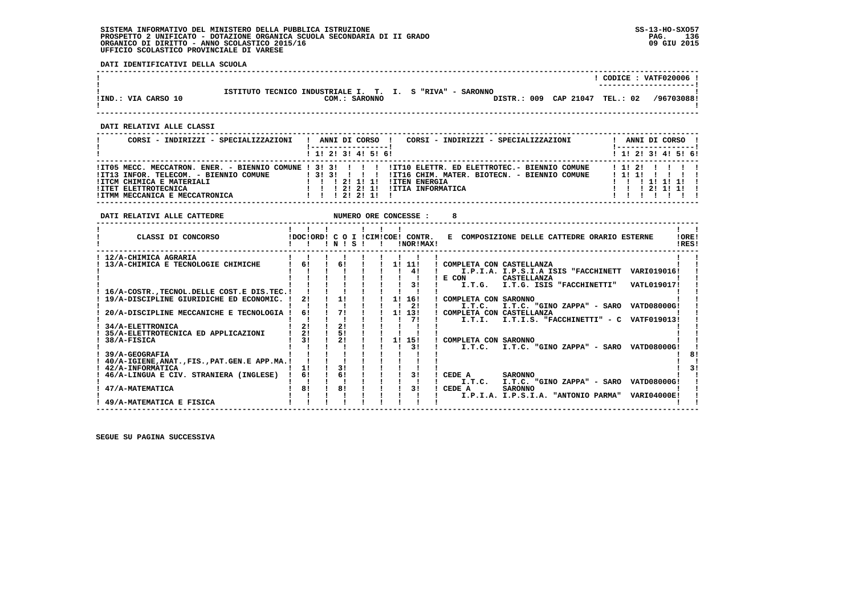**DATI IDENTIFICATIVI DELLA SCUOLA**

|                                                                                                                                                                                                                                                                         |                                                                                                                                             |                                                                                  |                                                                                                                                                                                                                                                                                                                                                                                                                                                                                            |                                                                                          |                                                                                                                                      |               | $!$ CODICE : VATF020006 $!$                                                                  |
|-------------------------------------------------------------------------------------------------------------------------------------------------------------------------------------------------------------------------------------------------------------------------|---------------------------------------------------------------------------------------------------------------------------------------------|----------------------------------------------------------------------------------|--------------------------------------------------------------------------------------------------------------------------------------------------------------------------------------------------------------------------------------------------------------------------------------------------------------------------------------------------------------------------------------------------------------------------------------------------------------------------------------------|------------------------------------------------------------------------------------------|--------------------------------------------------------------------------------------------------------------------------------------|---------------|----------------------------------------------------------------------------------------------|
| !IND.: VIA CARSO 10                                                                                                                                                                                                                                                     |                                                                                                                                             | COM.: SARONNO                                                                    |                                                                                                                                                                                                                                                                                                                                                                                                                                                                                            | ISTITUTO TECNICO INDUSTRIALE I. T. I. S "RIVA" - SARONNO                                 | DISTR.: 009 CAP 21047 TEL.: 02 /96703088!                                                                                            |               |                                                                                              |
| DATI RELATIVI ALLE CLASSI                                                                                                                                                                                                                                               |                                                                                                                                             |                                                                                  |                                                                                                                                                                                                                                                                                                                                                                                                                                                                                            |                                                                                          |                                                                                                                                      |               |                                                                                              |
| CORSI - INDIRIZZI - SPECIALIZZAZIONI   ANNI DI CORSO   CORSI - INDIRIZZI - SPECIALIZZAZIONI                                                                                                                                                                             |                                                                                                                                             |                                                                                  |                                                                                                                                                                                                                                                                                                                                                                                                                                                                                            |                                                                                          |                                                                                                                                      |               | ! ANNI DI CORSO !                                                                            |
|                                                                                                                                                                                                                                                                         |                                                                                                                                             | 1 1 2 2 1 3 1 4 1 5 1 6 1                                                        |                                                                                                                                                                                                                                                                                                                                                                                                                                                                                            |                                                                                          |                                                                                                                                      |               | !-----------------!<br>1 1 2 2 1 3 1 4 1 5 1 6 1                                             |
| IIT05 MECC. MECCATRON. ENER. - BIENNIO COMUNE ! 3! 3! ! !! IIT10 ELETTR. ED ELETTROTEC.- BIENNIO COMUNE<br>!IT13 INFOR. TELECOM. - BIENNIO COMUNE : 3! 3! 3! !!! !IT16 CHIM. MATER. BIOTECN. - BIENNIO COMUNE : 1! 1!!!!!!                                              |                                                                                                                                             |                                                                                  |                                                                                                                                                                                                                                                                                                                                                                                                                                                                                            |                                                                                          |                                                                                                                                      | 1 1 1 2 1 1 1 | 1 1 1 1 1 1 1 1<br>$1 \quad 1 \quad 1 \quad 21 \quad 11 \quad 11 \quad 1$<br>$1$ 1 1 1 1 1 1 |
| DATI RELATIVI ALLE CATTEDRE                                                                                                                                                                                                                                             |                                                                                                                                             |                                                                                  |                                                                                                                                                                                                                                                                                                                                                                                                                                                                                            | 8                                                                                        |                                                                                                                                      |               |                                                                                              |
| CLASSI DI CONCORSO                                                                                                                                                                                                                                                      |                                                                                                                                             | $1$ $1$ $1$ $1$ $1$ $1$                                                          | $\blacksquare$ $\blacksquare$ $\blacksquare$ $\blacksquare$ $\blacksquare$ $\blacksquare$ $\blacksquare$ $\blacksquare$ $\blacksquare$ $\blacksquare$ $\blacksquare$ $\blacksquare$ $\blacksquare$ $\blacksquare$ $\blacksquare$ $\blacksquare$ $\blacksquare$ $\blacksquare$ $\blacksquare$ $\blacksquare$ $\blacksquare$ $\blacksquare$ $\blacksquare$ $\blacksquare$ $\blacksquare$ $\blacksquare$ $\blacksquare$ $\blacksquare$ $\blacksquare$ $\blacksquare$ $\blacksquare$ $\blacks$ |                                                                                          | !DOC!ORD! C O I !CIM!COE! CONTR. E COMPOSIZIONE DELLE CATTEDRE ORARIO ESTERNE                                                        |               | $\mathbf{I}$ $\mathbf{I}$<br>IOREI<br>IRES!                                                  |
| ! 12/A-CHIMICA AGRARIA<br>$12/A$ -CHIMICA AGRARIA<br>$13/A$ -CHIMICA E TECNOLOGIE CHIMICHE $161$<br>$171$<br>$13$<br>! 16/A-COSTR., TECNOL. DELLE COST. E DIS. TEC. !<br>! 19/A-DISCIPLINE GIURIDICHE ED ECONOMIC. ! 2!<br>20/A-DISCIPLINE MECCANICHE E TECNOLOGIA ! 6! | $\mathbf{I}$ $\mathbf{I}$                                                                                                                   |                                                                                  | 1 1 1 1 1 1 1<br>1 1 1 1 1 1 1 1 4 1                                                                                                                                                                                                                                                                                                                                                                                                                                                       | ! COMPLETA CON CASTELLANZA<br>and the state of the state of<br>IIIIIIIIE CON CASTELLANZA | I.P.I.A. I.P.S.I.A ISIS "FACCHINETT VARIO19016!                                                                                      |               |                                                                                              |
| <b>34/A-ELETTRONICA</b><br>35/A-ELETTROTECNICA ED APPLICAZIONI<br>! 38/A-FISICA<br>39/A-GEOGRAFIA<br>! 40/A-IGIENE, ANAT., FIS., PAT. GEN. E APP. MA.!                                                                                                                  | $\mathbf{I}$ $\mathbf{I}$<br>$1 \quad 21$<br>$\frac{1}{2}$<br>$1 \quad 31$<br>$\mathbf{I}$ $\mathbf{I}$<br>$\blacksquare$<br>$\blacksquare$ | $\mathbf{I}$ and $\mathbf{I}$<br>$\frac{1}{2}$<br>$\frac{1}{5}$<br>$\frac{1}{2}$ | $\mathbf{I}$ $\mathbf{I}$ $\mathbf{I}$ $\mathbf{I}$<br>$1 \t1 \t31$                                                                                                                                                                                                                                                                                                                                                                                                                        | $\mathbf{I}$<br>! COMPLETA CON SARONNO                                                   | !!! ?!! I.T.I. I.T.I.S. "FACCHINETTI" - C VATF019013!<br>$\blacksquare$ I.T.C. I.T.C. "GINO ZAPPA" - SARO VATD08000G!                |               | 81                                                                                           |
| ! 42/A-INFORMATICA<br>! 46/A-LINGUA E CIV. STRANIERA (INGLESE) ! 6!<br>47/A-MATEMATICA<br>! 49/A-MATEMATICA E FISICA                                                                                                                                                    | $\frac{1}{1}$<br>$\mathbf{I}$ $\mathbf{I}$<br>181                                                                                           | <b>Contract Contract</b><br>$\mathbf{I}$ $\mathbf{I}$<br>181                     | $\begin{array}{cccccccccccc} 1 & 1 & 1 & 1 & 1 & 1 & 1 \\ 1 & 1 & 1 & 1 & 1 & 1 & 1 \\ 1 & 31 & 1 & 1 & 1 & 1 & 1 \\ 1 & 61 & 1 & 1 & 1 & 1 & 31 \end{array}$<br>$\mathbf{i}$ $\mathbf{j}$ $\mathbf{k}$                                                                                                                                                                                                                                                                                    | ! CEDE A<br><b>Contract Contract</b>                                                     | <b>SARONNO</b><br>I.T.C. I.T.C. "GINO ZAPPA" - SARO VATD08000G!<br><b>SARONNO</b><br>I.P.I.A. I.P.S.I.A. "ANTONIO PARMA" VARI04000E! |               | 31                                                                                           |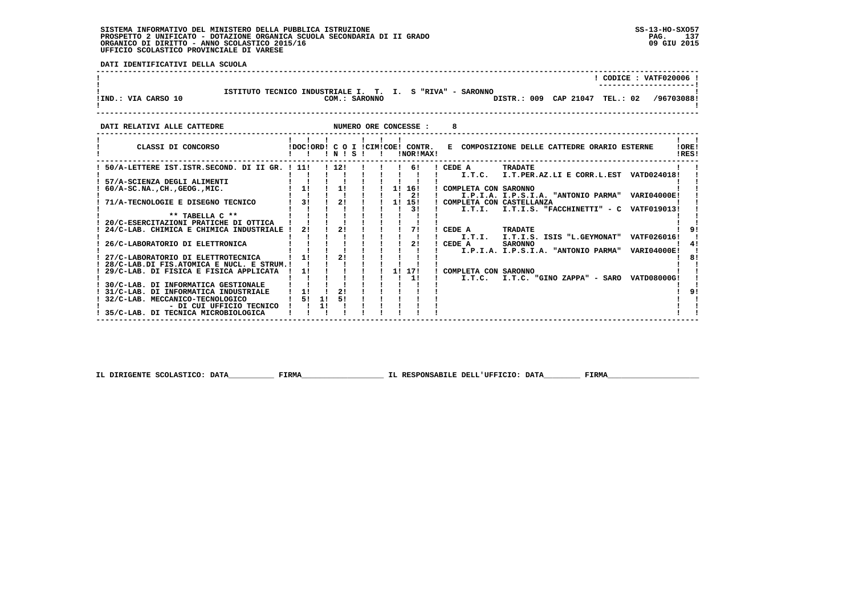**DATI IDENTIFICATIVI DELLA SCUOLA**

| !IND.: VIA CARSO 10            | ISTITUTO TECNICO INDUSTRIALE I. T. I. S "RIVA" - SARONNO<br>DISTR.: 009 CAP 21047 TEL.: 02 /96703088!<br>COM.: SARONNO | CODICE: VATF020006 ! |
|--------------------------------|------------------------------------------------------------------------------------------------------------------------|----------------------|
| הסחהייים הזוג דעדייג והס דייגח | NIMEDO OPE CONCESSE .                                                                                                  |                      |

| CLASSI DI CONCORSO                                                |    |    | ! N ! | S. |  | IDOCIORD! C O I ICIMICOE! CONTR.<br>!NOR!MAX! | E COMPOSIZIONE DELLE CATTEDRE ORARIO ESTERNE                                | !ORE!<br>IRES! |
|-------------------------------------------------------------------|----|----|-------|----|--|-----------------------------------------------|-----------------------------------------------------------------------------|----------------|
| 50/A-LETTERE IST.ISTR.SECOND. DI II GR. ! 11!                     |    |    | 112!  |    |  | 61                                            | CEDE A<br>TRADATE                                                           |                |
| 57/A-SCIENZA DEGLI ALIMENTI                                       |    |    |       |    |  |                                               | I.T.PER.AZ.LI E CORR.L.EST VATD024018!<br>I.T.C.                            |                |
| $60/A$ -SC.NA., CH., GEOG., MIC.                                  | 1! |    | 11    |    |  | 1! 16!                                        | ! COMPLETA CON SARONNO                                                      |                |
|                                                                   | 31 |    | 21    |    |  | 21                                            | I.P.I.A. I.P.S.I.A. "ANTONIO PARMA" VARI04000E!                             |                |
| 71/A-TECNOLOGIE E DISEGNO TECNICO                                 |    |    |       |    |  | 1! 15!<br>31                                  | ! COMPLETA CON CASTELLANZA<br>I.T.I. I.T.I.S. "FACCHINETTI" - C VATF019013! |                |
| ** TABELLA C **                                                   |    |    |       |    |  |                                               |                                                                             |                |
| 20/C-ESERCITAZIONI PRATICHE DI OTTICA                             |    |    |       |    |  |                                               |                                                                             |                |
| 24/C-LAB. CHIMICA E CHIMICA INDUSTRIALE !                         | 21 |    |       |    |  |                                               | CEDE A<br>TRADATE                                                           |                |
| 26/C-LABORATORIO DI ELETTRONICA                                   |    |    |       |    |  | 21                                            | I.T.I. I.T.I.S. ISIS "L.GEYMONAT" VATF026016!<br>CEDE A<br><b>SARONNO</b>   |                |
|                                                                   |    |    |       |    |  |                                               | I.P.I.A. I.P.S.I.A. "ANTONIO PARMA" VARI04000E!                             |                |
| 27/C-LABORATORIO DI ELETTROTECNICA                                | 11 |    | 21    |    |  |                                               |                                                                             | 81             |
| 28/C-LAB.DI FIS.ATOMICA E NUCL. E STRUM.!                         |    |    |       |    |  |                                               |                                                                             |                |
| 29/C-LAB. DI FISICA E FISICA APPLICATA                            | 11 |    |       |    |  | 1! 17!<br>11                                  | COMPLETA CON SARONNO<br>I.T.C. "GINO ZAPPA" - SARO VATD08000G!<br>I.T.C.    |                |
| 30/C-LAB. DI INFORMATICA GESTIONALE                               |    |    |       |    |  |                                               |                                                                             |                |
| 31/C-LAB. DI INFORMATICA INDUSTRIALE                              | 11 |    | 21    |    |  |                                               |                                                                             |                |
| 32/C-LAB. MECCANICO-TECNOLOGICO                                   | 51 | 11 | 51    |    |  |                                               |                                                                             |                |
| - DI CUI UFFICIO TECNICO<br>! 35/C-LAB. DI TECNICA MICROBIOLOGICA |    | 11 |       |    |  |                                               |                                                                             |                |
|                                                                   |    |    |       |    |  |                                               |                                                                             |                |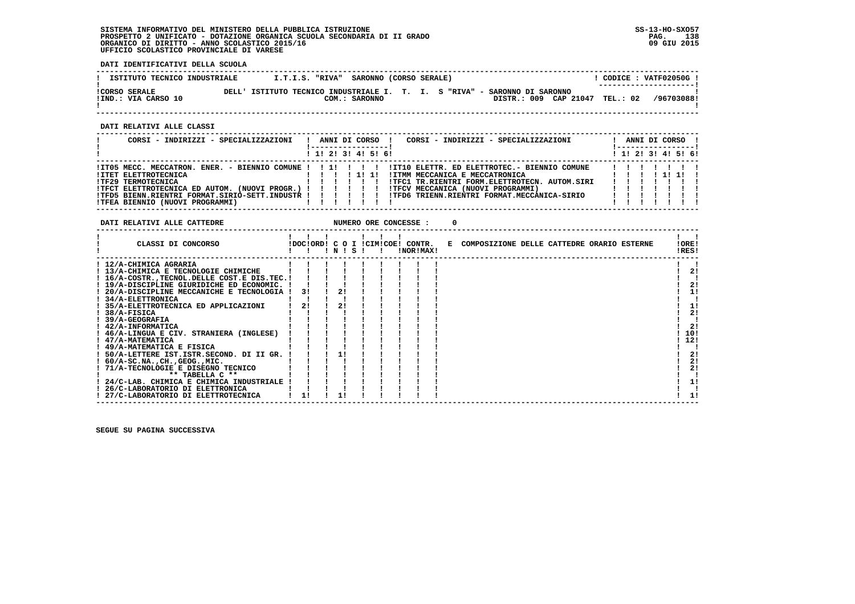**DATI IDENTIFICATIVI DELLA SCUOLA**

| ISTITUTO TECNICO INDUSTRIALE                | I.T.I.S. "RIVA" SARONNO (CORSO SERALE)                                    |               |  |  |                                | CODICE: VATF02050G!<br>--------------------- |
|---------------------------------------------|---------------------------------------------------------------------------|---------------|--|--|--------------------------------|----------------------------------------------|
| <b>!CORSO SERALE</b><br>!IND.: VIA CARSO 10 | DELL' ISTITUTO TECNICO INDUSTRIALE I. T. I. S "RIVA" - SARONNO DI SARONNO | COM.: SARONNO |  |  | DISTR.: 009 CAP 21047 TEL.: 02 | /96703088!                                   |

 **------------------------------------------------------------------------------------------------------------------------------------**

 **DATI RELATIVI ALLE CLASSI**

| CORSI - INDIRIZZI - SPECIALIZZAZIONI                                                                                                                 |  |                   |  | CORSI - INDIRIZZI - SPECIALIZZAZIONI<br>ANNI DI CORSO !<br><u>!----------------- </u>                |  | ANNI DI CORSO ! |
|------------------------------------------------------------------------------------------------------------------------------------------------------|--|-------------------|--|------------------------------------------------------------------------------------------------------|--|-----------------|
|                                                                                                                                                      |  |                   |  | 1 1! 2! 3! 4! 5! 6!<br>$1$ , 1!, 2!, 3!, 4!, 5!, 6!                                                  |  |                 |
| <b>!ITET ELETTROTECNICA</b><br><b>!TF29 TERMOTECNICA</b><br>!TFCT ELETTROTECNICA ED AUTOM. (NUOVI PROGR.) !!!!!!!!! TFCV MECCANICA (NUOVI PROGRAMMI) |  | 1 1 1 1 1 1 1 1 1 |  | IITMM MECCANICA E MECCATRONICA<br>!TFC1 TR.RIENTRI FORM.ELETTROTECN. AUTOM.SIRI                      |  |                 |
| !TFEA BIENNIO (NUOVI PROGRAMMI)                                                                                                                      |  | .                 |  | TFD5 BIENN.RIENTRI FORMAT.SIRIO-SETT.INDUSTR !!!!!!!!!!TFD6 TRIENN.RIENTRI FORMAT.MECCANICA-SIRIO!!! |  |                 |

**DATI RELATIVI ALLE CATTEDRE NUMERO ORE CONCESSE : 0** 

| CLASSI DI CONCORSO                             | IDOCIORD! C O I ICIMICOE! CONTR. | ! N ! S |    |  |  | !NOR!MAX! |  | E COMPOSIZIONE DELLE CATTEDRE ORARIO ESTERNE |  |  |  | !ORE!<br>!RES! |    |
|------------------------------------------------|----------------------------------|---------|----|--|--|-----------|--|----------------------------------------------|--|--|--|----------------|----|
| ! 12/A-CHIMICA AGRARIA                         |                                  |         |    |  |  |           |  |                                              |  |  |  |                |    |
| ! 13/A-CHIMICA E TECNOLOGIE CHIMICHE           |                                  |         |    |  |  |           |  |                                              |  |  |  | 2!             |    |
| 16/A-COSTR., TECNOL. DELLE COST. E DIS. TEC. ! |                                  |         |    |  |  |           |  |                                              |  |  |  |                |    |
| ! 19/A-DISCIPLINE GIURIDICHE ED ECONOMIC.      |                                  |         |    |  |  |           |  |                                              |  |  |  | 2!             |    |
| 20/A-DISCIPLINE MECCANICHE E TECNOLOGIA        | 31                               |         | 21 |  |  |           |  |                                              |  |  |  |                | 1! |
| ! 34/A-ELETTRONICA                             |                                  |         |    |  |  |           |  |                                              |  |  |  |                |    |
| 35/A-ELETTROTECNICA ED APPLICAZIONI            |                                  |         | 2! |  |  |           |  |                                              |  |  |  | 1!             |    |
| 38/A-FISICA                                    |                                  |         |    |  |  |           |  |                                              |  |  |  | 2!             |    |
| 39/A-GEOGRAFIA                                 |                                  |         |    |  |  |           |  |                                              |  |  |  |                |    |
| ! 42/A-INFORMATICA                             |                                  |         |    |  |  |           |  |                                              |  |  |  | 21             |    |
| 46/A-LINGUA E CIV. STRANIERA (INGLESE)         |                                  |         |    |  |  |           |  |                                              |  |  |  | 10!            |    |
| ! 47/A-MATEMATICA                              |                                  |         |    |  |  |           |  |                                              |  |  |  | 12!            |    |
| 49/A-MATEMATICA E FISICA                       |                                  |         |    |  |  |           |  |                                              |  |  |  |                |    |
| ! 50/A-LETTERE IST.ISTR.SECOND. DI II GR.      |                                  |         |    |  |  |           |  |                                              |  |  |  | 2!             |    |
| $60/A-SC.NA.$ , $CH.$ , $GEOG.$ , $MIC.$       |                                  |         |    |  |  |           |  |                                              |  |  |  | 2!             |    |
| 71/A-TECNOLOGIE E DISEGNO TECNICO              |                                  |         |    |  |  |           |  |                                              |  |  |  | 2!             |    |
| $***$ TABELLA $C**$                            |                                  |         |    |  |  |           |  |                                              |  |  |  |                |    |
| 24/C-LAB. CHIMICA E CHIMICA INDUSTRIALE        |                                  |         |    |  |  |           |  |                                              |  |  |  | 11             |    |
| 26/C-LABORATORIO DI ELETTRONICA                |                                  |         |    |  |  |           |  |                                              |  |  |  |                |    |
| 27/C-LABORATORIO DI ELETTROTECNICA             |                                  |         |    |  |  |           |  |                                              |  |  |  | 11             |    |
|                                                |                                  |         |    |  |  |           |  |                                              |  |  |  |                |    |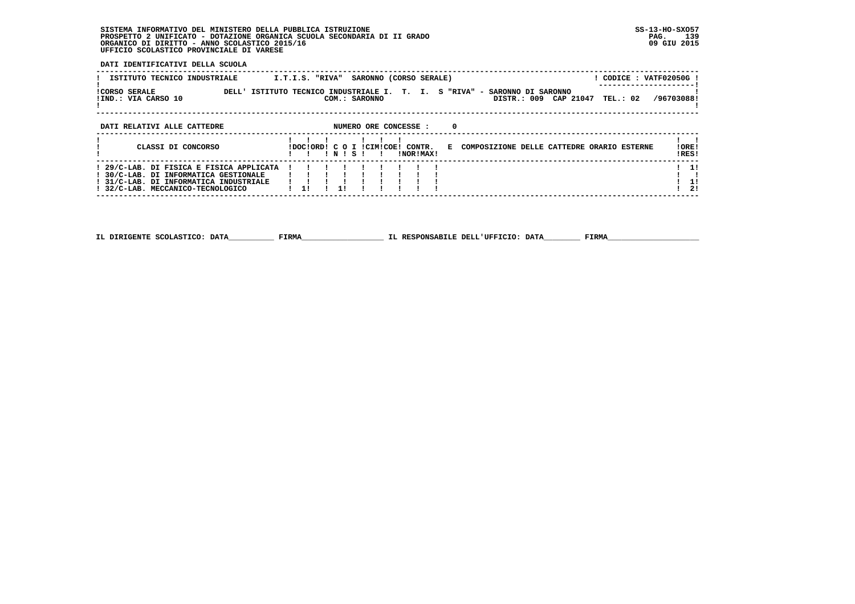$\overline{1}$   $\overline{2}$   $\overline{1}$ 

--------------------------------<sup>--</sup>-

 **DATI IDENTIFICATIVI DELLA SCUOLA**

 **------------------------------------------------------------------------------------------------------------------------------------**

| ISTITUTO TECNICO INDUSTRIALE                                                                                                                                   | SARONNO (CORSO SERALE)<br>CODICE: VATF02050G!<br>I.T.I.S. "RIVA"                                                                              |                |
|----------------------------------------------------------------------------------------------------------------------------------------------------------------|-----------------------------------------------------------------------------------------------------------------------------------------------|----------------|
| <b>!CORSO SERALE</b><br>!IND.: VIA CARSO 10                                                                                                                    | T. I. S "RIVA" - SARONNO DI SARONNO<br>DELL' ISTITUTO TECNICO INDUSTRIALE I.<br>TEL.: 02 /96703088!<br>DISTR.: 009 CAP 21047<br>COM.: SARONNO |                |
| DATI RELATIVI ALLE CATTEDRE                                                                                                                                    | NUMERO ORE CONCESSE :<br>$\Omega$                                                                                                             |                |
| CLASSI DI CONCORSO                                                                                                                                             | IDOCIORDI C O I ICIMICOE! CONTR.<br>E COMPOSIZIONE DELLE CATTEDRE ORARIO ESTERNE<br>INISI<br>INORIMAXI                                        | !ORE!<br>!RES! |
| ! 29/C-LAB. DI FISICA E FISICA APPLICATA<br>! 30/C-LAB. DI INFORMATICA GESTIONALE<br>! 31/C-LAB. DI INFORMATICA INDUSTRIALE<br>32/C-LAB. MECCANICO-TECNOLOGICO | 11<br>11                                                                                                                                      | 11<br>11<br>21 |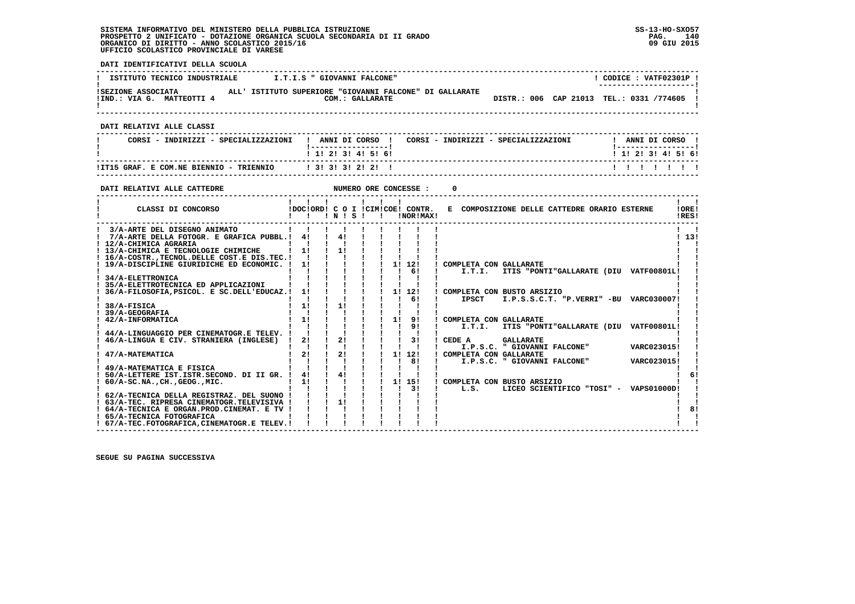**DATI IDENTIFICATIVI DELLA SCUOLA ------------------------------------------------------------------------------------------------------------------------------------** $\overline{1}$  CODICE : VATE02301P  $\overline{1}$ **I ISTITUTO TECNICO INDUSTRIALE : I.T.I.S " GIOVANNI FALCONE" ! ---------------------! !SEZIONE ASSOCIATA ALL' ISTITUTO SUPERIORE "GIOVANNI FALCONE" DI GALLARATE ! !IND.: VIA G. MATTEOTTI 4 COM.: GALLARATE DISTR.: 006 CAP 21013 TEL.: 0331 /774605 !** $\mathbf{I}$  **! ! ------------------------------------------------------------------------------------------------------------------------------------ DATI RELATIVI ALLE CLASSI ------------------------------------------------------------------------------------------------------------------------------------**I ANNI DI CORSO I  **! CORSI - INDIRIZZI - SPECIALIZZAZIONI ! ANNI DI CORSO ! CORSI - INDIRIZZI - SPECIALIZZAZIONI ! ANNI DI CORSO !**\_\_\_\_\_\_\_\_\_\_\_\_\_\_\_\_\_\_\_\_\_  **! !-----------------! !-----------------!**1 1 2 2 1 3 1 4 1 5 1 6 1  **! ! 1! 2! 3! 4! 5! 6! ! 1! 2! 3! 4! 5! 6! ------------------------------------------------------------------------------------------------------------------------------------ !IT15 GRAF. E COM.NE BIENNIO - TRIENNIO ! 3! 3! 3! 2! 2! ! ! ! ! ! ! ! ! ------------------------------------------------------------------------------------------------------------------------------------DATI RELATIVI ALLE CATTEDRE NUMERO ORE CONCESSE : 0 ------------------------------------------------------------------------------------------------------------------------------------ ! ! ! ! ! ! ! ! !** $\mathbf{I}$   $\mathbf{I}$ **LORE!** CLASSI DI CONCORSO **8** | DOC!ORD! C O I !CIM!COE! CONTR. E COMPOSIZIONE DELLE CATTEDRE ORARIO ESTERNE **IDFSI ! ! ! ! N ! S ! ! !NOR!MAX! !RES! ------------------------------------------------------------------------------------------------------------------------------------ ! 3/A-ARTE DEL DISEGNO ANIMATO ! ! ! ! ! ! ! ! ! ! ! ! 7/A-ARTE DELLA FOTOGR. E GRAFICA PUBBL.! 4! ! 4! ! ! ! ! ! ! 13! ! 12/A-CHIMICA AGRARIA ! ! ! ! ! ! ! ! ! ! ! ! 13/A-CHIMICA E TECNOLOGIE CHIMICHE ! 1! ! 1! ! ! ! ! ! ! ! ! 16/A-COSTR.,TECNOL.DELLE COST.E DIS.TEC.! ! ! ! ! ! ! ! ! ! ! ! 19/A-DISCIPLINE GIURIDICHE ED ECONOMIC. ! 1! ! ! ! ! 1! 12! ! COMPLETA CON GALLARATE ! !** $\mathbf{I}$  $1, 131$  $\mathbf{I}$  and  $\mathbf{I}$  $\mathbf{I}$ ا ! ! 1 ! 1 ! 1 ! ! ! ! ! ! ! ! ! ! ! 1 ! ! 1 ! 34/A-ELETTRONICA ! ! ! ! ! ! ! ! ! ! ! 34/A-ELETTRONICA<br>! ! ! ! ! ! ! ! ! ! ! ! ! ! ! ! ! ! 35/A-ELETTROTECNICA ED APPLICAZIONI ! ! ! ! ! !<br>! 35/A-ELETTROTECNICA ED APPLICAZ  **! 36/A-FILOSOFIA,PSICOL. E SC.DELL'EDUCAZ.! 1! ! ! ! ! 1! 12! ! COMPLETA CON BUSTO ARSIZIO ! ! ! ! ! ! ! ! ! ! 6! ! IPSCT I.P.S.S.C.T. "P.VERRI" -BU VARC030007! ! ! 38/A-FISICA ! 1! ! 1! ! ! ! ! ! ! ! ! 39/A-GEOGRAFIA ! ! ! ! ! ! ! ! ! ! ! ! 42/A-INFORMATICA ! 1! ! ! ! ! 1! 9! ! COMPLETA CON GALLARATE ! ! ! ! ! ! ! ! ! ! 9! ! I.T.I. ITIS "PONTI"GALLARATE (DIU VATF00801L! ! ! 44/A-LINGUAGGIO PER CINEMATOGR.E TELEV. ! ! ! ! ! ! ! ! ! ! ! ! 46/A-LINGUA E CIV. STRANIERA (INGLESE) ! 2! ! 2! ! ! ! 3! ! CEDE A GALLARATE ! ! ! ! ! ! ! ! ! ! ! ! I.P.S.C. " GIOVANNI FALCONE" VARC023015! ! ! 47/A-MATEMATICA ! 2! ! 2! ! ! 1! 12! ! COMPLETA CON GALLARATE ! ! ! ! ! ! ! ! ! ! 8! ! I.P.S.C. " GIOVANNI FALCONE" VARC023015! ! ! 49/A-MATEMATICA E FISICA ! ! ! ! ! ! ! ! ! ! ! ! 50/A-LETTERE IST.ISTR.SECOND. DI II GR. ! 4! ! 4! ! ! ! ! ! ! 6! ! 60/A-SC.NA.,CH.,GEOG.,MIC. ! 1! ! ! ! ! 1! 15! ! COMPLETA CON BUSTO ARSIZIO ! ! ! ! ! ! ! ! ! ! 3! ! L.S. LICEO SCIENTIFICO "TOSI" - VAPS01000D! !** $\epsilon$  $\mathbf{I}$  **! 62/A-TECNICA DELLA REGISTRAZ. DEL SUONO ! ! ! ! ! ! ! ! ! ! ! ! 63/A-TEC. RIPRESA CINEMATOGR.TELEVISIVA ! ! ! 1! ! ! ! ! ! ! !** $\mathbf{I}$  $\frac{1}{1}$  8!  **! 64/A-TECNICA E ORGAN.PROD.CINEMAT. E TV ! ! ! ! ! ! ! ! ! ! 8!**- 1  **! 65/A-TECNICA FOTOGRAFICA ! ! ! ! ! ! ! ! ! ! !** $\mathbf{I}$   $\mathbf{I}$  **! 67/A-TEC.FOTOGRAFICA,CINEMATOGR.E TELEV.! ! ! ! ! ! ! ! ! ! ! ------------------------------------------------------------------------------------------------------------------------------------**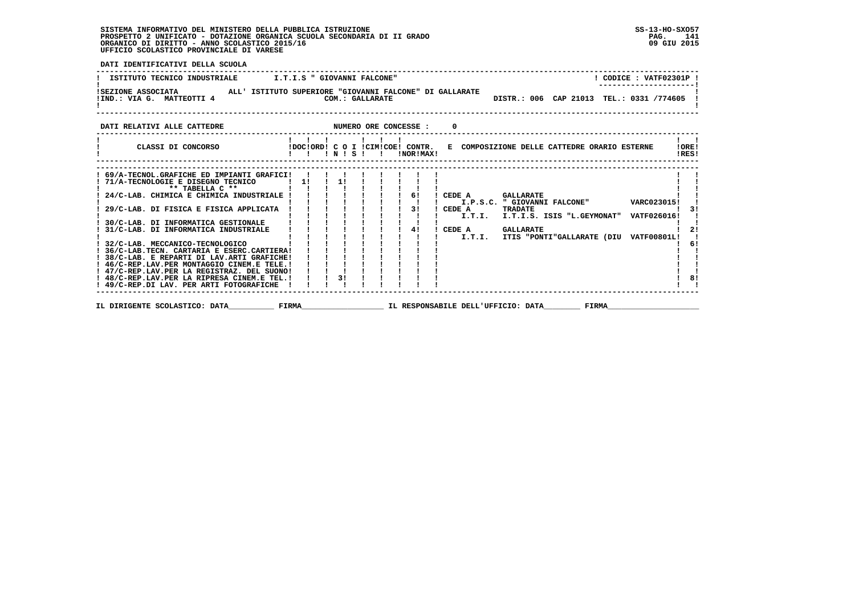**DATI IDENTIFICATIVI DELLA SCUOLA ------------------------------------------------------------------------------------------------------------------------------------**! CODICE: VATF02301P !  **! ISTITUTO TECNICO INDUSTRIALE : I.T.I.S " GIOVANNI FALCONE"** \_\_\_\_\_\_\_\_\_\_\_\_\_\_\_\_\_\_\_\_\_\_\_  **! ---------------------! !SEZIONE ASSOCIATA ALL' ISTITUTO SUPERIORE "GIOVANNI FALCONE" DI GALLARATE ! !IND.: VIA G. MATTEOTTI 4 COM.: GALLARATE DISTR.: 006 CAP 21013 TEL.: 0331 /774605 ! ! !** $\overline{D}$  DISTR.: 006 CAP 21013 TEL.: 0331 /774605 1 - 1  **------------------------------------------------------------------------------------------------------------------------------------DATI RELATIVI ALLE CATTEDRE NUMERO ORE CONCESSE : 0 ------------------------------------------------------------------------------------------------------------------------------------ ! ! ! ! ! ! ! ! ! ! CLASSI DI CONCORSO !DOC!ORD! C O I !CIM!COE! CONTR. E COMPOSIZIONE DELLE CATTEDRE ORARIO ESTERNE !ORE! ! ! ! ! N ! S ! ! !NOR!MAX! !RES!**. . . . . . . .  **------------------------------------------------------------------------------------------------------------------------------------ ------------------------------------------------------------------------------------------------------------------------------------ ! 69/A-TECNOL.GRAFICHE ED IMPIANTI GRAFICI! ! ! ! ! ! ! ! ! ! ! ! 71/A-TECNOLOGIE E DISEGNO TECNICO ! 1! ! 1! ! ! ! ! ! ! ! ! \*\* TABELLA C \*\* ! ! ! ! ! ! ! ! ! ! ! ! 24/C-LAB. CHIMICA E CHIMICA INDUSTRIALE ! ! ! ! ! ! ! 6! ! CEDE A GALLARATE ! ! ! ! ! ! ! ! ! ! ! ! I.P.S.C. " GIOVANNI FALCONE" VARC023015! ! ! 29/C-LAB. DI FISICA E FISICA APPLICATA ! ! ! ! ! ! ! 3! ! CEDE A TRADATE ! 3! ! ! ! ! ! ! ! ! ! ! I.T.I. I.T.I.S. ISIS "L.GEYMONAT" VATF026016! ! ! 30/C-LAB. DI INFORMATICA GESTIONALE ! ! ! ! ! ! ! ! ! ! ! ! 31/C-LAB. DI INFORMATICA INDUSTRIALE ! ! ! ! ! ! ! 4! ! CEDE A GALLARATE ! 2! ! ! ! ! ! ! ! ! ! ! I.T.I. ITIS "PONTI"GALLARATE (DIU VATF00801L! ! ! 32/C-LAB. MECCANICO-TECNOLOGICO ! ! ! ! ! ! ! ! ! ! 6! ! 36/C-LAB.TECN. CARTARIA E ESERC.CARTIERA! ! ! ! ! ! ! ! ! ! ! ! 38/C-LAB. E REPARTI DI LAV.ARTI GRAFICHE! ! ! ! ! ! ! ! ! ! ! ! 46/C-REP.LAV.PER MONTAGGIO CINEM.E TELE.! ! ! ! ! ! ! ! ! ! !** $\frac{1}{2}$  $\blacksquare$  $1<sub>61</sub>$  $\blacksquare$  $\blacksquare$  $\mathbf{I}$  and  $\mathbf{I}$  $\mathbf{I}$  and  $\mathbf{I}$  **! 47/C-REP.LAV.PER LA REGISTRAZ. DEL SUONO! ! ! ! ! ! ! ! ! ! ! ! 48/C-REP.LAV.PER LA RIPRESA CINEM.E TEL.! ! ! 3! ! ! ! ! ! ! 8! ! 49/C-REP.DI LAV. PER ARTI FOTOGRAFICHE ! ! ! ! ! ! ! ! ! ! !** $\overline{1}$  81  $\frac{1}{2}$   $\frac{1}{2}$   **------------------------------------------------------------------------------------------------------------------------------------ IL DIRIGENTE SCOLASTICO: DATA\_\_\_\_\_\_\_\_\_\_ FIRMA\_\_\_\_\_\_\_\_\_\_\_\_\_\_\_\_\_\_ IL RESPONSABILE DELL'UFFICIO: DATA\_\_\_\_\_\_\_\_ FIRMA\_\_\_\_\_\_\_\_\_\_\_\_\_\_\_\_\_\_\_\_**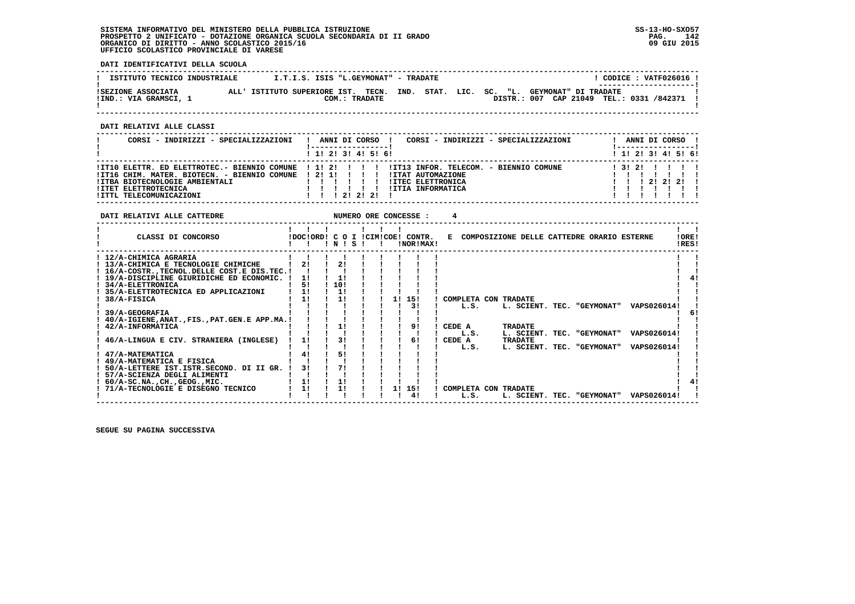**DATI IDENTIFICATIVI DELLA SCUOLA**

| ISTITUTO TECNICO INDUSTRIALE                |         | I.T.I.S. ISIS "L.GEYMONAT" - TRADATE                  |               |  |  |                                                                  |  | ---------------------- | CODICE: VATF026016! |
|---------------------------------------------|---------|-------------------------------------------------------|---------------|--|--|------------------------------------------------------------------|--|------------------------|---------------------|
| ISEZIONE ASSOCIATA<br>!IND.: VIA GRAMSCI, 1 | AT.T. I | ISTITUTO SUPERIORE IST. TECN. IND. STAT. LIC. SC. "L. | COM.: TRADATE |  |  | GEYMONAT" DI TRADATE<br>DISTR.: 007 CAP 21049 TEL.: 0331 /842371 |  |                        |                     |

 **------------------------------------------------------------------------------------------------------------------------------------**

 **DATI RELATIVI ALLE CLASSI**

| CORSI - INDIRIZZI - SPECIALIZZAZIONI                                                                                                              | CORSI - INDIRIZZI - SPECIALIZZAZIONI<br>ANNI DI CORSO !                                                                                                                                               | ANNI DI CORSO !<br>! ------------------ ! |
|---------------------------------------------------------------------------------------------------------------------------------------------------|-------------------------------------------------------------------------------------------------------------------------------------------------------------------------------------------------------|-------------------------------------------|
|                                                                                                                                                   | 1 1! 2! 3! 4! 5! 6!                                                                                                                                                                                   | $1$ 1! 2! 3! 4! 5! 6!                     |
| !IT16 CHIM. MATER. BIOTECN. - BIENNIO COMUNE ! 2! 1! ! ! ! !<br>!ITBA BIOTECNOLOGIE AMBIENTALI<br>!ITET ELETTROTECNICA<br>!ITTL TELECOMUNICAZIONI | IIT10 ELETTR. ED ELETTROTEC.- BIENNIO COMUNE   1! 2!         IIT13 INFOR. TELECOM. - BIENNIO COMUNE<br><b>!ITAT AUTOMAZIONE</b><br><b>!ITEC ELETTRONICA</b><br>!ITIA INFORMATICA<br>1 1 1 2 1 2 1 2 1 | 1 31 21<br>1 1 1 2 1 2 1 2 1              |

| DATI RELATIVI ALLE CATTEDRE                                                                                                                                                           |                |                 |  |    | NUMERO ORE CONCESSE :                         |                              |  |                                              |  |                 |                                              |                |  |
|---------------------------------------------------------------------------------------------------------------------------------------------------------------------------------------|----------------|-----------------|--|----|-----------------------------------------------|------------------------------|--|----------------------------------------------|--|-----------------|----------------------------------------------|----------------|--|
| CLASSI DI CONCORSO                                                                                                                                                                    |                | 1 N 1 S 1       |  |    | IDOCIORDI C O I ICIMICOEI CONTR.<br>!NOR!MAX! |                              |  |                                              |  |                 | E COMPOSIZIONE DELLE CATTEDRE ORARIO ESTERNE | !ORE!<br>!RES! |  |
| ! 12/A-CHIMICA AGRARIA<br>! 13/A-CHIMICA E TECNOLOGIE CHIMICHE<br>! 16/A-COSTR., TECNOL. DELLE COST. E DIS. TEC. !<br>! 19/A-DISCIPLINE GIURIDICHE ED ECONOMIC.<br>! 34/A-ELETTRONICA | 21<br>11<br>51 | 21<br>1!<br>10! |  |    |                                               |                              |  |                                              |  |                 |                                              |                |  |
| 35/A-ELETTROTECNICA ED APPLICAZIONI<br>38/A-FISICA                                                                                                                                    | 11<br>11       | 11<br>11        |  | 11 | 15!<br>31                                     | COMPLETA CON TRADATE<br>L.S. |  | L. SCIENT. TEC. "GEYMONAT"                   |  |                 | VAPS026014!                                  |                |  |
| 39/A-GEOGRAFIA<br>40/A-IGIENE, ANAT., FIS., PAT. GEN. E APP.MA.!<br>42/A-INFORMATICA                                                                                                  |                | 1!              |  |    | 91                                            | CEDE A<br>L.S.               |  | <b>TRADATE</b><br>L. SCIENT. TEC. "GEYMONAT" |  |                 | VAPS026014!                                  | 6!             |  |
| 46/A-LINGUA E CIV. STRANIERA (INGLESE)<br>47/A-MATEMATICA<br>49/A-MATEMATICA E FISICA<br>50/A-LETTERE IST.ISTR.SECOND. DI II GR.                                                      | 11<br>41<br>31 | 31<br>51<br>71  |  |    | 61                                            | CEDE A<br>L.S.               |  | <b>TRADATE</b><br>L. SCIENT. TEC. "GEYMONAT" |  |                 | VAPS026014!                                  |                |  |
| 57/A-SCIENZA DEGLI ALIMENTI<br>$60/A-SC.NA.$ , $CH.$ , $GEOG.$ , $MIC.$<br>! 71/A-TECNOLOGIE E DISEGNO TECNICO                                                                        | 1!<br>11       | 1!<br>11        |  | 11 | 15!<br>41                                     | COMPLETA CON TRADATE<br>L.S. |  | L. SCIENT.                                   |  | TEC. "GEYMONAT" | VAPS026014!                                  |                |  |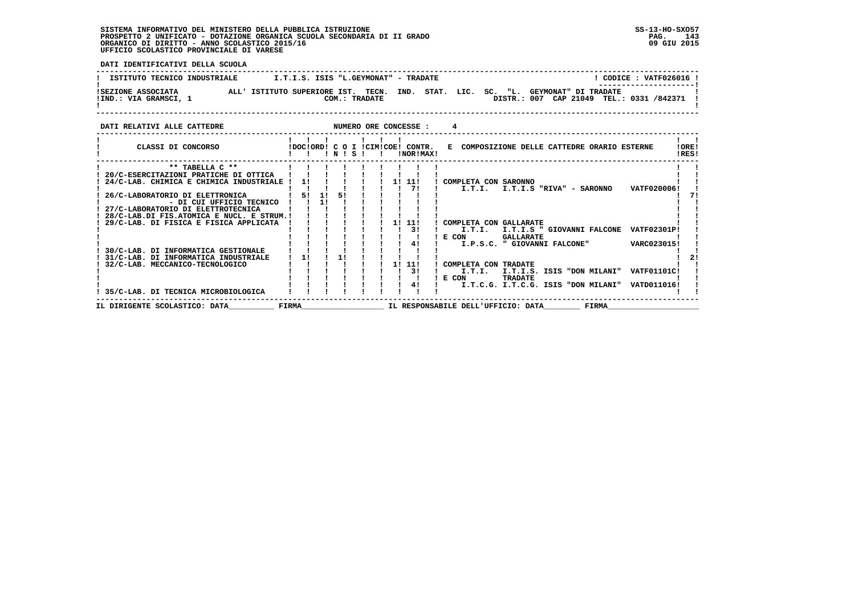**DATI IDENTIFICATIVI DELLA SCUOLA ------------------------------------------------------------------------------------------------------------------------------------**! CODICE : VATF026016 ! ! CODICE: VATF026016 ! ISTITUTO TECNICO INDUSTRIALE [ 1.T.I.S. ISIS "L.GEYMONAT" - TRADATE |<br>! ISEZIONE ASSOCIATA ALL' ISTITUTO SUPERIORE IST. TECN. IND. STAT. LIC. SC. "L. GEYMONAT" DI TRADATE<br>!ISEZIONE ASSOCI  $\mathbf{I}$  **! ! ------------------------------------------------------------------------------------------------------------------------------------DATI RELATIVI ALLE CATTEDRE NUMERO ORE CONCESSE : 4 ------------------------------------------------------------------------------------------------------------------------------------ ! ! ! ! ! ! ! ! !**

| CLASSI DI CONCORSO                        |       |          | ! N ! | -S |  |    | !DOC!ORD! C O I !CIM!COE! CONTR.<br>!NOR!MAX! |       | E COMPOSIZIONE DELLE CATTEDRE ORARIO ESTERNE               | !ORE!<br>!RES! |
|-------------------------------------------|-------|----------|-------|----|--|----|-----------------------------------------------|-------|------------------------------------------------------------|----------------|
| ** TABELLA C **                           |       |          |       |    |  |    |                                               |       |                                                            |                |
| 20/C-ESERCITAZIONI PRATICHE DI OTTICA     |       |          |       |    |  |    |                                               |       |                                                            |                |
| 24/C-LAB. CHIMICA E CHIMICA INDUSTRIALE   |       |          |       |    |  | 1! | -11!                                          |       | COMPLETA CON SARONNO                                       |                |
|                                           |       |          |       |    |  |    | 71                                            |       | VATF020006!<br>I.T.I.<br>I.T.I.S "RIVA" - SARONNO          |                |
| 26/C-LABORATORIO DI ELETTRONICA           |       | 51<br>11 |       | 51 |  |    |                                               |       |                                                            |                |
| - DI CUI UFFICIO TECNICO                  |       |          |       |    |  |    |                                               |       |                                                            |                |
| 27/C-LABORATORIO DI ELETTROTECNICA        |       |          |       |    |  |    |                                               |       |                                                            |                |
| 28/C-LAB.DI FIS.ATOMICA E NUCL. E STRUM.! |       |          |       |    |  |    |                                               |       |                                                            |                |
| 29/C-LAB. DI FISICA E FISICA APPLICATA    |       |          |       |    |  |    | 1! 11!                                        |       | COMPLETA CON GALLARATE                                     |                |
|                                           |       |          |       |    |  |    | 31                                            |       | I.T.I.<br>I.T.I.S " GIOVANNI FALCONE<br><b>VATF02301P!</b> |                |
|                                           |       |          |       |    |  |    |                                               |       | E CON<br><b>GALLARATE</b>                                  |                |
|                                           |       |          |       |    |  |    |                                               |       | VARC023015!<br>I.P.S.C. " GIOVANNI FALCONE"                |                |
| 30/C-LAB. DI INFORMATICA GESTIONALE       |       |          |       |    |  |    |                                               |       |                                                            |                |
| 31/C-LAB. DI INFORMATICA INDUSTRIALE      | 11    |          |       |    |  |    |                                               |       |                                                            |                |
| 32/C-LAB. MECCANICO-TECNOLOGICO           |       |          |       |    |  |    | -11!                                          |       | COMPLETA CON TRADATE                                       |                |
|                                           |       |          |       |    |  |    | 31                                            |       | <b>VATF01101C!</b><br>I.T.I.<br>I.T.I.S. ISIS "DON MILANI" |                |
|                                           |       |          |       |    |  |    |                                               | E CON | <b>TRADATE</b>                                             |                |
|                                           |       |          |       |    |  |    | 41                                            |       | I.T.C.G. I.T.C.G. ISIS "DON MILANI"<br>VATD011016!         |                |
| ! 35/C-LAB. DI TECNICA MICROBIOLOGICA     |       |          |       |    |  |    |                                               |       |                                                            |                |
| IL DIRIGENTE SCOLASTICO: DATA             | FIRMA |          |       |    |  |    |                                               |       | FIRMA<br>IL RESPONSABILE DELL'UFFICIO: DATA                |                |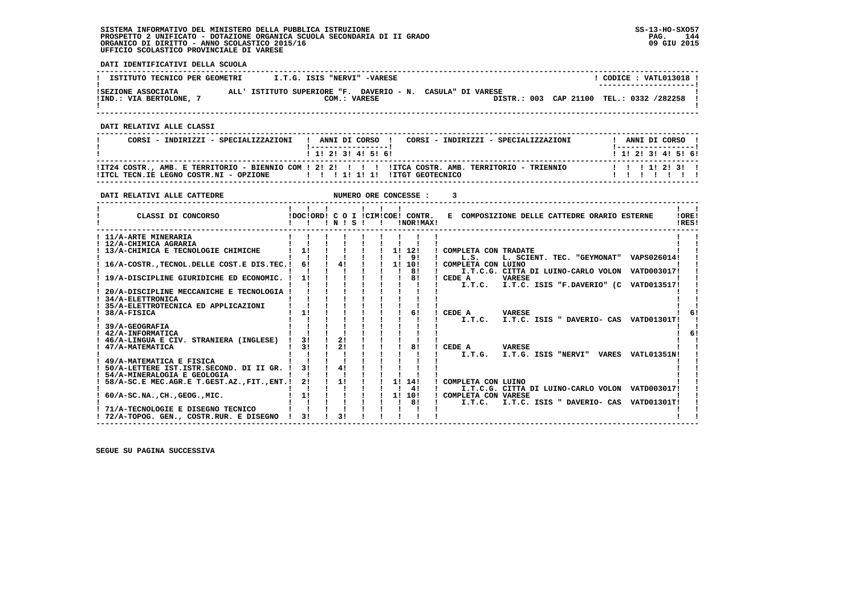**DATI IDENTIFICATIVI DELLA SCUOLA**

| ISTITUTO TECNICO PER GEOMETRI               | I.T.G. ISIS "NERVI" -VARESE                                                |  | CODICE: VATL013018 !<br>--------------------- |
|---------------------------------------------|----------------------------------------------------------------------------|--|-----------------------------------------------|
| ISEZIONE ASSOCIATA<br>!IND.: VIA BERTOLONE, | ALL' ISTITUTO SUPERIORE "F. DAVERIO - N. CASULA" DI VARESE<br>COM.: VARESE |  | DISTR.: 003 CAP 21100 TEL.: 0332 /282258      |

 **------------------------------------------------------------------------------------------------------------------------------------**

 **DATI RELATIVI ALLE CLASSI**

| CORSI - INDIRIZZI - SPECIALIZZAZIONI                               | CORSI - INDIRIZZI - SPECIALIZZAZIONI<br>! ANNI DI CORSO !                                         | ANNI DI CORSO !                      |
|--------------------------------------------------------------------|---------------------------------------------------------------------------------------------------|--------------------------------------|
|                                                                    | 1 1 2 3 3 4 5 6 1                                                                                 | 1 1 1 2 1 3 1 4 1 5 1 6 1            |
| IITCL TECN.IE LEGNO COSTR.NI - OPZIONE IIIIIIIIIIIIIIIITGEOTECNICO | IT24 COSTR., AMB. E TERRITORIO - BIENNIO COM ! 2! 2! ! !!! ITCA COSTR. AMB. TERRITORIO - TRIENNIO | 1 1 1 1 1 2 1 3 1<br>, , , , , , , , |

 **------------------------------------------------------------------------------------------------------------------------------------**

| DATI RELATIVI ALLE CATTEDRE                   |                                       |       |              | NUMERO ORE CONCESSE :  |                                                                |
|-----------------------------------------------|---------------------------------------|-------|--------------|------------------------|----------------------------------------------------------------|
| CLASSI DI CONCORSO                            | .<br>IDOCIORD! C O I ICIMICOE! CONTR. | INISI | $\mathbf{I}$ | !NOR!MAX!              | E COMPOSIZIONE DELLE CATTEDRE ORARIO ESTERNE<br>!ORE!<br>!RES! |
| ! 11/A-ARTE MINERARIA                         |                                       |       |              |                        |                                                                |
| ! 12/A-CHIMICA AGRARIA                        |                                       |       |              |                        |                                                                |
| 13/A-CHIMICA E TECNOLOGIE CHIMICHE            | 1!                                    |       |              | $1 \quad 11 \quad 121$ | ! COMPLETA CON TRADATE                                         |
|                                               |                                       |       |              | 91                     | L. SCIENT. TEC. "GEYMONAT" VAPS026014!<br>L.S.                 |
| 16/A-COSTR. TECNOL. DELLE COST. E DIS. TEC. ! | 61                                    | 41    |              | $1 \quad 11 \quad 101$ | ! COMPLETA CON LUINO                                           |
|                                               |                                       |       |              | 81                     | I.T.C.G. CITTA DI LUINO-CARLO VOLON VATD003017!                |
| 19/A-DISCIPLINE GIURIDICHE ED ECONOMIC.       | 1!                                    |       |              | 81                     | ! CEDE A<br><b>VARESE</b>                                      |
|                                               |                                       |       |              |                        | I.T.C. ISIS "F.DAVERIO" (C VATD013517!<br>I.T.C.               |
| 20/A-DISCIPLINE MECCANICHE E TECNOLOGIA       |                                       |       |              |                        |                                                                |
| 34/A-ELETTRONICA                              |                                       |       |              |                        |                                                                |
| 35/A-ELETTROTECNICA ED APPLICAZIONI           |                                       |       |              |                        |                                                                |
| 38/A-FISICA                                   | 11                                    |       |              | 61                     | CEDE A<br><b>VARESE</b>                                        |
|                                               |                                       |       |              |                        | I.T.C. I.T.C. ISIS " DAVERIO- CAS VATD01301T!                  |
| 39/A-GEOGRAFIA                                |                                       |       |              |                        |                                                                |
| 42/A-INFORMATICA                              |                                       |       |              |                        |                                                                |
| 46/A-LINGUA E CIV. STRANIERA (INGLESE)        | 31                                    | 21    |              |                        |                                                                |
| 47/A-MATEMATICA                               | 31                                    | 21    |              | 81                     | CEDE A<br><b>VARESE</b>                                        |
|                                               |                                       |       |              |                        | I.T.G.<br>I.T.G. ISIS "NERVI" VARES VATL01351N!                |
| 49/A-MATEMATICA E FISICA                      |                                       |       |              |                        |                                                                |
| 50/A-LETTERE IST.ISTR.SECOND. DI II GR.       | 31                                    | 41    |              |                        |                                                                |
| 54/A-MINERALOGIA E GEOLOGIA                   |                                       |       |              |                        |                                                                |
| 58/A-SC.E MEC.AGR.E T.GEST.AZ., FIT., ENT.!   | -21                                   | 11    |              | 1! 14!                 | ! COMPLETA CON LUINO                                           |
|                                               |                                       |       |              | 41                     | I.T.C.G. CITTA DI LUINO-CARLO VOLON VATD003017!                |
| $60/A-SC.NA.$ , $CH.$ , $GEOG.$ , $MIC.$      | 11                                    |       |              | 11 101                 | ! COMPLETA CON VARESE                                          |
|                                               |                                       |       |              | 81                     | I.T.C. ISIS " DAVERIO- CAS VATD01301T!<br>I.T.C.               |
| 71/A-TECNOLOGIE E DISEGNO TECNICO             |                                       |       |              |                        |                                                                |
| ! 72/A-TOPOG. GEN., COSTR.RUR. E DISEGNO      | 31                                    | 31    |              |                        |                                                                |
|                                               |                                       |       |              |                        |                                                                |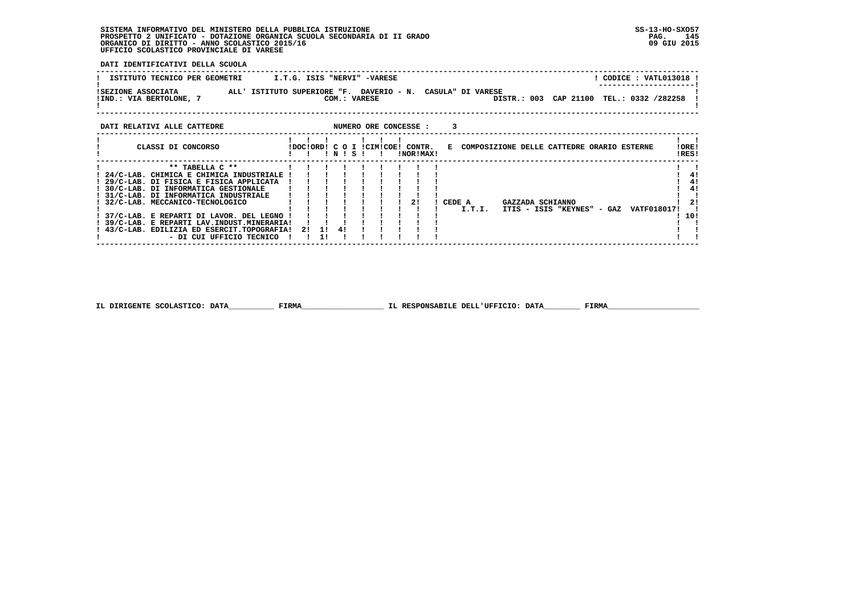# **SISTEMA INFORMATIVO DEL MINISTERO DELLA PUBBLICA ISTRUZIONE SS-13-HO-SXO57**PROSPETTO 2 UNIFICATO - DOTAZIONE ORGANICA SCUOLA SECONDARIA DI II GRADO<br>ORGANICO DI DIRITTO - ANNO SCOLASTICO 2015/16<br>UFFICIO SCOLASTICO PROVINCIALE DI VARESE

 **DATI IDENTIFICATIVI DELLA SCUOLA**

| ISTITUTO TECNICO PER GEOMETRI | I.T.G. ISIS "NERVI" -VARESE                                | CODICE: VATL013018 !                     |
|-------------------------------|------------------------------------------------------------|------------------------------------------|
|                               |                                                            | ---------------------                    |
| ISEZIONE ASSOCIATA            | ALL' ISTITUTO SUPERIORE "F. DAVERIO - N. CASULA" DI VARESE |                                          |
| !IND.: VIA BERTOLONE,         | COM.: VARESE                                               | DISTR.: 003 CAP 21100 TEL.: 0332 /282258 |
|                               |                                                            |                                          |
|                               |                                                            |                                          |

| CLASSI DI CONCORSO                                                                                                                                                                                                                                                                                                                                                                                | IDOCIORD! C O I ICIMICOE! CONTR. |    | $'$ N $'$ S $'$ |  | !NOR!MAX! |        |        | E COMPOSIZIONE DELLE CATTEDRE ORARIO ESTERNE   |                    | !ORE!<br>!RES!                |
|---------------------------------------------------------------------------------------------------------------------------------------------------------------------------------------------------------------------------------------------------------------------------------------------------------------------------------------------------------------------------------------------------|----------------------------------|----|-----------------|--|-----------|--------|--------|------------------------------------------------|--------------------|-------------------------------|
| ** TABELLA C **<br>24/C-LAB. CHIMICA E CHIMICA INDUSTRIALE<br>29/C-LAB. DI FISICA E FISICA APPLICATA<br>30/C-LAB. DI INFORMATICA GESTIONALE<br>! 31/C-LAB. DI INFORMATICA INDUSTRIALE<br>32/C-LAB. MECCANICO-TECNOLOGICO<br>! 37/C-LAB. E REPARTI DI LAVOR. DEL LEGNO !<br>! 39/C-LAB. E REPARTI LAV.INDUST.MINERARIA!<br>! 43/C-LAB. EDILIZIA ED ESERCIT.TOPOGRAFIA!<br>- DI CUI UFFICIO TECNICO | 2! 1! 4!                         | 11 |                 |  | 2!        | CEDE A | I.T.I. | GAZZADA SCHIANNO<br>ITIS - ISIS "KEYNES" - GAZ | <b>VATF018017!</b> | 41<br>4!<br>41<br>21<br>- 10! |

 **IL DIRIGENTE SCOLASTICO: DATA\_\_\_\_\_\_\_\_\_\_ FIRMA\_\_\_\_\_\_\_\_\_\_\_\_\_\_\_\_\_\_ IL RESPONSABILE DELL'UFFICIO: DATA\_\_\_\_\_\_\_\_ FIRMA\_\_\_\_\_\_\_\_\_\_\_\_\_\_\_\_\_\_\_\_**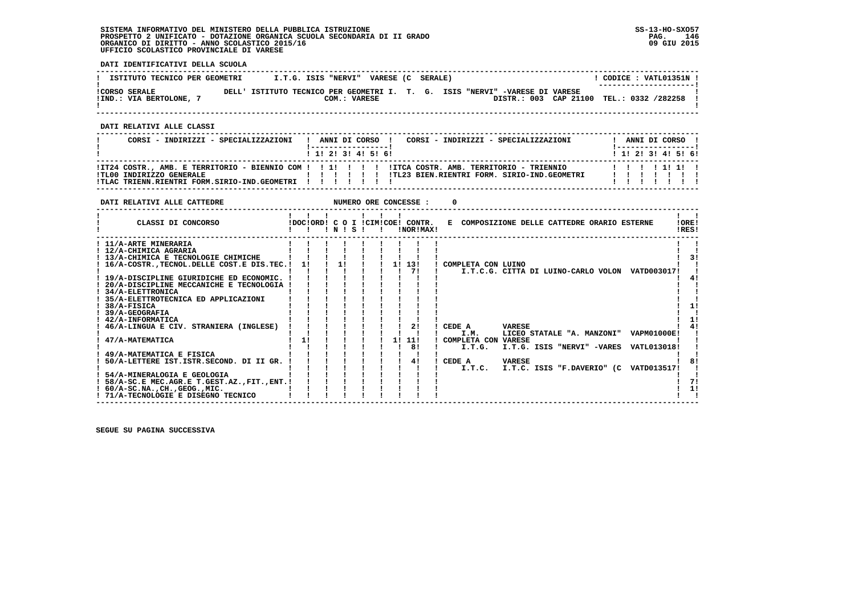# **SISTEMA INFORMATIVO DEL MINISTERO DELLA PUBBLICA ISTRUZIONE SS-13-HO-SXO57**PROSPETTO 2 UNIFICATO - DOTAZIONE ORGANICA SCUOLA SECONDARIA DI II GRADO<br>ORGANICO DI DIRITTO - ANNO SCOLASTICO 2015/16<br>UFFICIO SCOLASTICO PROVINCIALE DI VARESE

 **DATI IDENTIFICATIVI DELLA SCUOLA**

| ISTITUTO TECNICO PER GEOMETRI                 |       | I.T.G. ISIS "NERVI" |              | VARESE (C SERALE) |                                                                                                                   | CODICE : VATL01351N !<br>--------------------- |  |
|-----------------------------------------------|-------|---------------------|--------------|-------------------|-------------------------------------------------------------------------------------------------------------------|------------------------------------------------|--|
| <b>!CORSO SERALE</b><br>!IND.: VIA BERTOLONE, | DELL' |                     | COM.: VARESE |                   | ISTITUTO TECNICO PER GEOMETRI I. T. G. ISIS "NERVI" -VARESE DI VARESE<br>DISTR.: 003 CAP 21100 TEL.: 0332 /282258 |                                                |  |

 **------------------------------------------------------------------------------------------------------------------------------------**

 **DATI RELATIVI ALLE CLASSI**

| CORSI - INDIRIZZI - SPECIALIZZAZIONI                                                      |  |  |                           | CORSI - INDIRIZZI - SPECIALIZZAZIONI<br>ANNI DI CORSO ! | ANNI DI CORSO !<br>l ------------------ |  |  |
|-------------------------------------------------------------------------------------------|--|--|---------------------------|---------------------------------------------------------|-----------------------------------------|--|--|
|                                                                                           |  |  | 1 1 1 2 1 3 1 4 1 5 1 6 1 |                                                         | 1 1 2 3 3 4 5 6 1                       |  |  |
| !TL00 INDIRIZZO GENERALE<br>! TLAC TRIENN.RIENTRI FORM.SIRIO-IND.GEOMETRI ! ! ! ! ! ! ! ! |  |  |                           |                                                         |                                         |  |  |

| DATI RELATIVI ALLE CATTEDRE                                                                                                                                                                                                                                                                                                                                                                                                                                                                                                             |          |       |  |    | NUMERO ORE CONCESSE :                           |                                                                                                                                                                                                                                                                                                                |  |
|-----------------------------------------------------------------------------------------------------------------------------------------------------------------------------------------------------------------------------------------------------------------------------------------------------------------------------------------------------------------------------------------------------------------------------------------------------------------------------------------------------------------------------------------|----------|-------|--|----|-------------------------------------------------|----------------------------------------------------------------------------------------------------------------------------------------------------------------------------------------------------------------------------------------------------------------------------------------------------------------|--|
| CLASSI DI CONCORSO                                                                                                                                                                                                                                                                                                                                                                                                                                                                                                                      |          | INISI |  |    | !DOC!ORD! C O I !CIM!COE! CONTR.<br>INOR ! MAX! | E COMPOSIZIONE DELLE CATTEDRE ORARIO ESTERNE<br>! ORE!<br>!RES!                                                                                                                                                                                                                                                |  |
| ! 11/A-ARTE MINERARIA<br>! 12/A-CHIMICA AGRARIA<br>! 13/A-CHIMICA E TECNOLOGIE CHIMICHE<br>! 16/A-COSTR., TECNOL. DELLE COST. E DIS. TEC. !<br>! 19/A-DISCIPLINE GIURIDICHE ED ECONOMIC.<br>20/A-DISCIPLINE MECCANICHE E TECNOLOGIA<br>34/A-ELETTRONICA<br>! 35/A-ELETTROTECNICA ED APPLICAZIONI<br>$!$ 38/A-FISICA<br><b>39/A-GEOGRAFIA</b><br>! 42/A-INFORMATICA<br>46/A-LINGUA E CIV. STRANIERA (INGLESE)<br>47/A-MATEMATICA<br>49/A-MATEMATICA E FISICA<br>50/A-LETTERE IST.ISTR.SECOND. DI II GR.<br>! 54/A-MINERALOGIA E GEOLOGIA | 1!<br>1! | 11    |  | 11 | 1! 13!<br>71<br>21<br>11!<br>81<br>41           | ! COMPLETA CON LUINO<br>I.T.C.G. CITTA DI LUINO-CARLO VOLON VATD003017!<br>CEDE A<br><b>VARESE</b><br>I.M.<br>LICEO STATALE "A. MANZONI" VAPM01000E!<br>COMPLETA CON VARESE<br>I.T.G. ISIS "NERVI" -VARES VATL013018!<br>I.T.G.<br>CEDE A<br><b>VARESE</b><br>I.T.C. ISIS "F.DAVERIO" (C VATD013517!<br>I.T.C. |  |
| ! 58/A-SC.E MEC.AGR.E T.GEST.AZ.,FIT.,ENT.!<br>$: 60/A-SC.NA.$ , $CH.$ , $GEOG.$ , $MIC.$<br>! 71/A-TECNOLOGIE E DISEGNO TECNICO                                                                                                                                                                                                                                                                                                                                                                                                        |          |       |  |    |                                                 |                                                                                                                                                                                                                                                                                                                |  |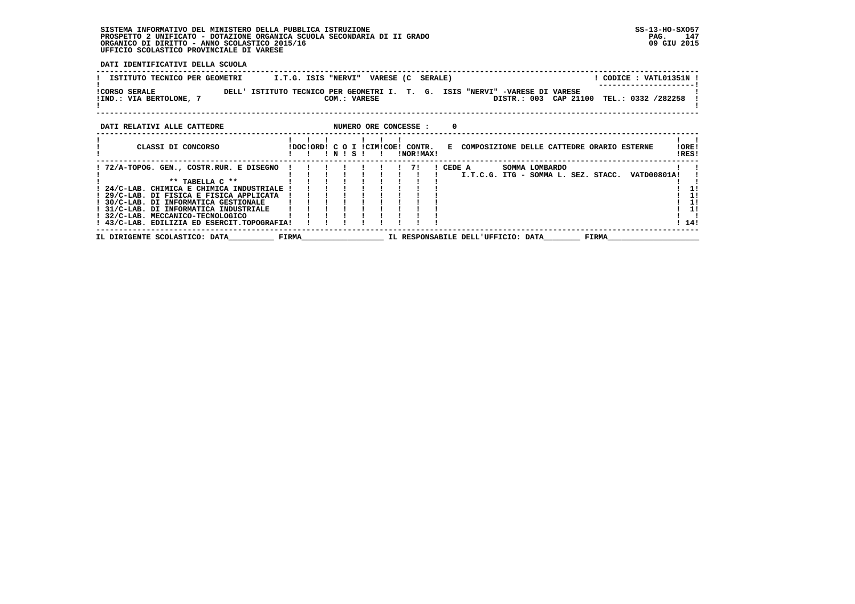# **SISTEMA INFORMATIVO DEL MINISTERO DELLA PUBBLICA ISTRUZIONE SS-13-HO-SXO57**PROSPETTO 2 UNIFICATO - DOTAZIONE ORGANICA SCUOLA SECONDARIA DI II GRADO<br>ORGANICO DI DIRITTO - ANNO SCOLASTICO 2015/16<br>UFFICIO SCOLASTICO PROVINCIALE DI VARESE

 **DATI IDENTIFICATIVI DELLA SCUOLA**

| ISTITUTO TECNICO PER GEOMETRI                            | VARESE (C<br>I.T.G. ISIS "NERVI"<br><b>SERALE)</b>                                       | CODICE: VATL01351N !<br>------------------- |  |
|----------------------------------------------------------|------------------------------------------------------------------------------------------|---------------------------------------------|--|
| <b>!CORSO SERALE</b><br>DELL'<br>!IND.: VIA BERTOLONE, 7 | ISTITUTO TECNICO PER GEOMETRI I. T. G.<br>ISIS "NERVI" -VARESE DI VARESE<br>COM.: VARESE | DISTR.: 003 CAP 21100 TEL.: 0332 /282258    |  |
| DATI RELATIVI ALLE CATTEDRE                              | NUMERO ORE CONCESSE :                                                                    |                                             |  |
| CLASSI DI CONCORSO                                       | IDOCIORDI C O I ICIMICOEI CONTR.<br>COMPOSIZIONE DELLE CATTEDRE ORARIO ESTERNE<br>E.     | !ORE!                                       |  |

|                                             |       |  | NISI |  | INORIMAXI |          |                                    |                                     |       |             | !RES! |
|---------------------------------------------|-------|--|------|--|-----------|----------|------------------------------------|-------------------------------------|-------|-------------|-------|
| ! 72/A-TOPOG. GEN., COSTR.RUR. E DISEGNO !  |       |  |      |  |           | ! CEDE A |                                    | SOMMA LOMBARDO                      |       |             |       |
|                                             |       |  |      |  |           |          |                                    | I.T.C.G. ITG - SOMMA L. SEZ. STACC. |       | VATD00801A! |       |
| $*$ * TARELLA $C$ $**$                      |       |  |      |  |           |          |                                    |                                     |       |             |       |
| 24/C-LAB. CHIMICA E CHIMICA INDUSTRIALE !   |       |  |      |  |           |          |                                    |                                     |       |             |       |
| 29/C-LAB. DI FISICA E FISICA APPLICATA      |       |  |      |  |           |          |                                    |                                     |       |             | 11    |
| 30/C-LAB. DI INFORMATICA GESTIONALE         |       |  |      |  |           |          |                                    |                                     |       |             | 11    |
| 31/C-LAB. DI INFORMATICA INDUSTRIALE        |       |  |      |  |           |          |                                    |                                     |       |             | 11    |
| ! 32/C-LAB. MECCANICO-TECNOLOGICO           |       |  |      |  |           |          |                                    |                                     |       |             |       |
| ! 43/C-LAB. EDILIZIA ED ESERCIT.TOPOGRAFIA! |       |  |      |  |           |          |                                    |                                     |       |             | ! 14! |
| IL DIRIGENTE SCOLASTICO: DATA               | FIRMA |  |      |  |           |          | IL RESPONSABILE DELL'UFFICIO: DATA |                                     | FIRMA |             |       |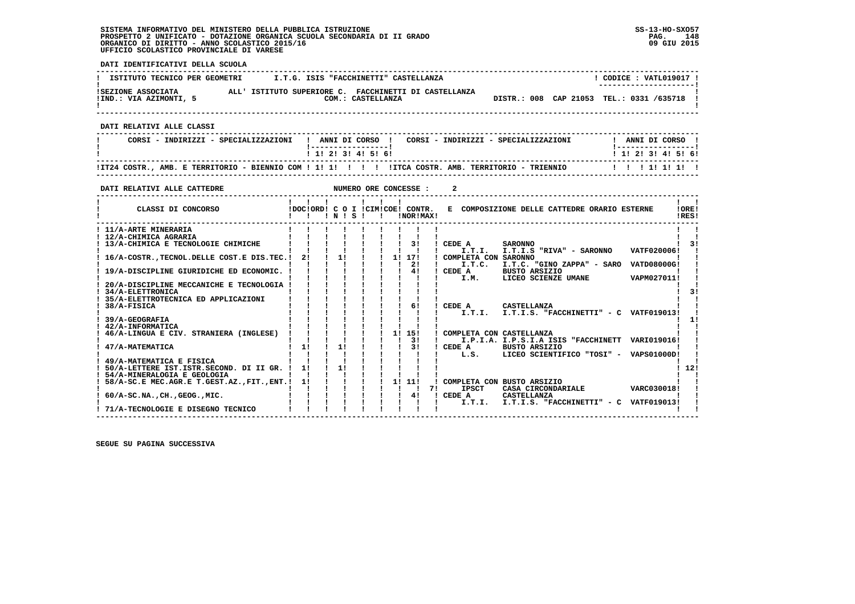#### **SISTEMA INFORMATIVO DEL MINISTERO DELLA PUBBLICA ISTRUZIONE SS-13-HO-SXO57 PROSPETTO 2 UNIFICATO - DOTAZIONE ORGANICA SCUOLA SECONDARIA DI II GRADO PAG. 148**ORGANICO DI DIRITTO - ANNO SCOLASTICO 2015/16  **UFFICIO SCOLASTICO PROVINCIALE DI VARESE**

 **DATI IDENTIFICATIVI DELLA SCUOLA ------------------------------------------------------------------------------------------------------------------------------------**I CODICE . VATI019017 I **! ISTITUTO TECNICO PER GEOMETRI | I.T.G. ISIS "FACCHINETTI" CASTELLANZA ! ---------------------! !SEZIONE ASSOCIATA ALL' ISTITUTO SUPERIORE C. FACCHINETTI DI CASTELLANZA ! !IND.: VIA AZIMONTI, 5 COM.: CASTELLANZA DISTR.: 008 CAP 21053 TEL.: 0331 /635718 !** $\mathbf{I}$  **! ! ------------------------------------------------------------------------------------------------------------------------------------ DATI RELATIVI ALLE CLASSI ------------------------------------------------------------------------------------------------------------------------------------**I ANNIT DI CORSO I  **! CORSI - INDIRIZZI - SPECIALIZZAZIONI ! ANNI DI CORSO ! CORSI - INDIRIZZI - SPECIALIZZAZIONI ! ANNI DI CORSO !**\_\_\_\_\_\_\_\_\_\_\_\_\_\_\_\_\_\_\_\_\_\_  **! !-----------------! !-----------------!**1 1 1 2 1 3 1 4 1 5 1 6 1  **! ! 1! 2! 3! 4! 5! 6! ! 1! 2! 3! 4! 5! 6! ------------------------------------------------------------------------------------------------------------------------------------ !IT24 COSTR., AMB. E TERRITORIO - BIENNIO COM ! 1! 1! ! ! ! !ITCA COSTR. AMB. TERRITORIO - TRIENNIO ! ! ! 1! 1! 1! ! ------------------------------------------------------------------------------------------------------------------------------------DATI RELATIVI ALLE CATTEDRE NUMERO ORE CONCESSE : 2 ------------------------------------------------------------------------------------------------------------------------------------** $\mathbf{I}$   $\mathbf{I}$  **! ! ! ! ! ! ! ! !LORE!** CLASSI DI CONCORSO **8** | DOC!ORD! C O I !CIM!COE! CONTR. E COMPOSIZIONE DELLE CATTEDRE ORARIO ESTERNE IRES! **2** CLASSI DI CONCORSO **:**  $P(X|X|X) = P(X|X|X) = P(X|X|X) = P(X|X|X) = P(X|X|X) = P(X|X|X) = P(X|X|X) = P(X|X|X) = P(X|X|X) = P(X|X|X) = P(X|X|X) = P(X|X|X) = P(X|X|X) = P(X|X|X) = P(X|X|X) = P(X|X|X) = P(X|X|X) = P(X|X|X) = P(X|X|X) = P(X|X|X) = P(X|X|X) = P(X|X|X) = P(X|X|X) = P(X|X|X) = P(X$  **------------------------------------------------------------------------------------------------------------------------------------** $\mathbf{I}$  **! 11/A-ARTE MINERARIA ! ! ! ! ! ! ! ! ! ! !** $\blacksquare$  **! 12/A-CHIMICA AGRARIA ! ! ! ! ! ! ! ! ! ! ! ! 13/A-CHIMICA E TECNOLOGIE CHIMICHE ! ! ! ! ! ! ! 3! ! CEDE A SARONNO ! 3! ! ! ! ! ! ! ! ! ! ! I.T.I. I.T.I.S "RIVA" - SARONNO VATF020006! ! ! 16/A-COSTR.,TECNOL.DELLE COST.E DIS.TEC.! 2! ! 1! ! ! 1! 17! ! COMPLETA CON SARONNO ! ! ! ! ! ! ! ! ! ! 2! ! I.T.C. I.T.C. "GINO ZAPPA" - SARO VATD08000G! ! ! 19/A-DISCIPLINE GIURIDICHE ED ECONOMIC. ! ! ! ! ! ! ! 4! ! CEDE A BUSTO ARSIZIO ! !**- 1  **! ! ! ! ! ! ! ! ! ! I.M. LICEO SCIENZE UMANE VAPM027011! ! ! 20/A-DISCIPLINE MECCANICHE E TECNOLOGIA ! ! ! ! ! ! ! ! ! ! !** $\overline{\phantom{a}}$  $\overline{31}$  **! 34/A-ELETTRONICA ! ! ! ! ! ! ! ! ! ! 3!** $\mathbf{I}$  **! 35/A-ELETTROTECNICA ED APPLICAZIONI ! ! ! ! ! ! ! ! ! ! ! ! 38/A-FISICA ! ! ! ! ! ! ! 6! ! CEDE A CASTELLANZA ! ! ! ! ! ! ! ! ! ! ! ! I.T.I. I.T.I.S. "FACCHINETTI" - C VATF019013! !**- 1  $1 \quad 11$  **! 39/A-GEOGRAFIA ! ! ! ! ! ! ! ! ! ! 1!**- 1  **! 42/A-INFORMATICA ! ! ! ! ! ! ! ! ! ! ! ! 46/A-LINGUA E CIV. STRANIERA (INGLESE) ! ! ! ! ! ! 1! 15! ! COMPLETA CON CASTELLANZA ! ! ! ! ! ! ! ! ! ! 3! ! I.P.I.A. I.P.S.I.A ISIS "FACCHINETT VARI019016! ! ! 47/A-MATEMATICA ! 1! ! 1! ! ! ! 3! ! CEDE A BUSTO ARSIZIO ! ! ! ! ! ! ! ! ! ! ! ! L.S. LICEO SCIENTIFICO "TOSI" - VAPS01000D! ! ! 49/A-MATEMATICA E FISICA ! ! ! ! ! ! ! ! ! ! !**- 1  $1, 121$  **! 50/A-LETTERE IST.ISTR.SECOND. DI II GR. ! 1! ! 1! ! ! ! ! ! ! 12!** $\blacksquare$  **! 54/A-MINERALOGIA E GEOLOGIA ! ! ! ! ! ! ! ! ! ! ! ! 58/A-SC.E MEC.AGR.E T.GEST.AZ.,FIT.,ENT.! 1! ! ! ! ! 1! 11! ! COMPLETA CON BUSTO ARSIZIO ! ! ! ! ! ! ! ! ! ! ! 7! IPSCT CASA CIRCONDARIALE VARC030018! ! ! 60/A-SC.NA.,CH.,GEOG.,MIC. ! ! ! ! ! ! ! 4! ! CEDE A CASTELLANZA ! ! ! ! ! ! ! ! ! ! ! ! I.T.I. I.T.I.S. "FACCHINETTI" - C VATF019013! !**- 1  $\blacksquare$   $\blacksquare$   $\blacksquare$  **! 71/A-TECNOLOGIE E DISEGNO TECNICO ! ! ! ! ! ! ! ! ! ! ! ------------------------------------------------------------------------------------------------------------------------------------**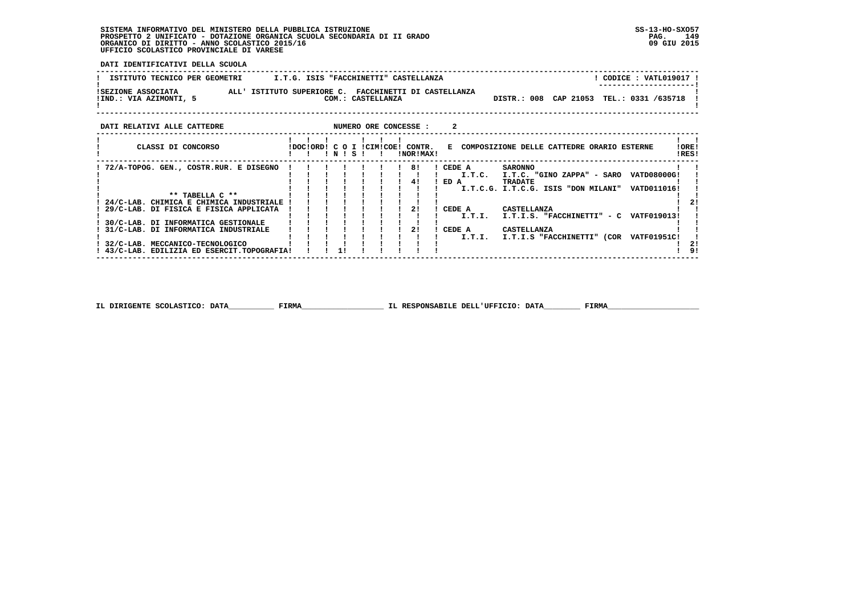**SISTEMA INFORMATIVO DEL MINISTERO DELLA PUBBLICA ISTRUZIONE SS-13-HO-SXO57 PROSPETTO 2 UNIFICATO - DOTAZIONE ORGANICA SCUOLA SECONDARIA DI II GRADO PAG. 149**ORGANICO DI DIRITTO - ANNO SCOLASTICO 2015/16  **UFFICIO SCOLASTICO PROVINCIALE DI VARESE**

 **! 30/C-LAB. DI INFORMATICA GESTIONALE ! ! ! ! ! ! ! ! ! ! !**

 **! 43/C-LAB. EDILIZIA ED ESERCIT.TOPOGRAFIA! ! 1! ! ! ! ! ! ! ! !** !

 $\mathbf{I}$  $\blacksquare$ 

 $1 \quad 21$ 

 $\mathbf{1}$   $\mathbf{1}$ 

 $1$  91

 **DATI IDENTIFICATIVI DELLA SCUOLA**

| ISTITUTO TECNICO PER GEOMETRI                                                                         | I.T.G. ISIS "FACCHINETTI" CASTELLANZA |       |  |                   |                       |                  |        |                           |                                                                               | CODICE : VATL019017 ! |                |
|-------------------------------------------------------------------------------------------------------|---------------------------------------|-------|--|-------------------|-----------------------|------------------|--------|---------------------------|-------------------------------------------------------------------------------|-----------------------|----------------|
| ALL' ISTITUTO SUPERIORE C. FACCHINETTI DI CASTELLANZA<br>ISEZIONE ASSOCIATA<br>!IND.: VIA AZIMONTI, 5 |                                       |       |  | COM.: CASTELLANZA |                       |                  |        |                           | DISTR.: 008 CAP 21053 TEL.: 0331 /635718                                      |                       |                |
| DATI RELATIVI ALLE CATTEDRE                                                                           |                                       |       |  |                   | NUMERO ORE CONCESSE : |                  |        |                           |                                                                               |                       |                |
| CLASSI DI CONCORSO                                                                                    | IDOCIORDI C O I ICIMICOEI CONTR.      | INISI |  |                   | INORIMAXI             |                  |        |                           | E COMPOSIZIONE DELLE CATTEDRE ORARIO ESTERNE                                  |                       | !ORE!<br>IRES! |
| ! 72/A-TOPOG. GEN., COSTR.RUR. E DISEGNO                                                              |                                       |       |  |                   | 81<br>41              | ! CEDE A<br>ED A | I.T.C. | <b>SARONNO</b><br>TRADATE | I.T.C. "GINO ZAPPA" - SARO VATD08000G!<br>I.T.C.G. I.T.C.G. ISIS "DON MILANI" | VATD011016!           |                |

 **! \*\* TABELLA C \*\* ! ! ! ! ! ! ! ! ! ! !**

 **! 24/C-LAB. CHIMICA E CHIMICA INDUSTRIALE ! ! ! ! ! ! ! ! ! ! 2! ! 29/C-LAB. DI FISICA E FISICA APPLICATA ! ! ! ! ! ! ! 2! ! CEDE A CASTELLANZA ! ! ! ! ! ! ! ! ! ! ! ! I.T.I. I.T.I.S. "FACCHINETTI" - C VATF019013! !**

 **! 31/C-LAB. DI INFORMATICA INDUSTRIALE ! ! ! ! ! ! ! 2! ! CEDE A CASTELLANZA ! ! ! ! ! ! ! ! ! ! ! ! I.T.I. I.T.I.S "FACCHINETTI" (COR VATF01951C! ! ! 32/C-LAB. MECCANICO-TECNOLOGICO ! ! ! ! ! ! ! ! ! ! 2!**

 **------------------------------------------------------------------------------------------------------------------------------------**

**IL DIRIGENTE SCOLASTICO: DATA FIRMA Exercise Exercise ELL'UFFICIO: DATA FIRMA**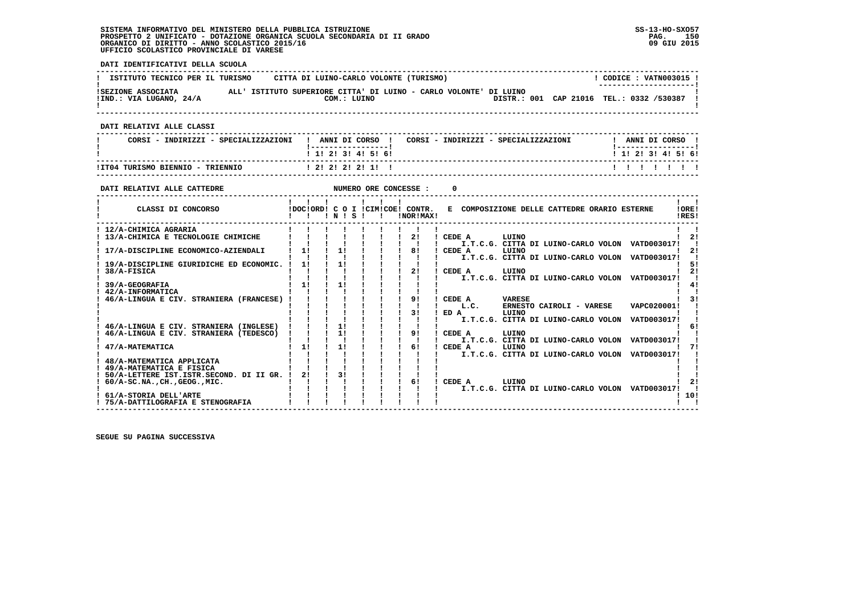#### **SISTEMA INFORMATIVO DEL MINISTERO DELLA PUBBLICA ISTRUZIONE SS-13-HO-SXO57 PROSPETTO 2 UNIFICATO - DOTAZIONE ORGANICA SCUOLA SECONDARIA DI II GRADO PAG. 150**ORGANICO DI DIRITTO - ANNO SCOLASTICO 2015/16  **UFFICIO SCOLASTICO PROVINCIALE DI VARESE**

 **! 75/A-DATTILOGRAFIA E STENOGRAFIA ! ! ! ! ! ! ! ! ! ! !**

 **------------------------------------------------------------------------------------------------------------------------------------**

- 1

- 1

 $\mathbf{I}$ 

 $\mathbf{I}$ 

 $\blacksquare$ 

 $\blacksquare$ 

 $\blacksquare$  $\sim$  1  $\mathbf{I}$  $1 \quad 21$ 

 $1.101$  $\mathbf{I}$  and  $\mathbf{I}$ 

 **DATI IDENTIFICATIVI DELLA SCUOLA ------------------------------------------------------------------------------------------------------------------------------------**L CODICE : VATNOO3015 L **! ISTITUTO TECNICO PER IL TURISMO CITTA DI LUINO-CARLO VOLONTE (TURISMO) ! ---------------------! !SEZIONE ASSOCIATA ALL' ISTITUTO SUPERIORE CITTA' DI LUINO - CARLO VOLONTE' DI LUINO ! !IND.: VIA LUGANO, 24/A COM.: LUINO DISTR.: 001 CAP 21016 TEL.: 0332 /530387 ! ! ! ------------------------------------------------------------------------------------------------------------------------------------ DATI RELATIVI ALLE CLASSI ------------------------------------------------------------------------------------------------------------------------------------**! ANNI DI CORSO !  **! CORSI - INDIRIZZI - SPECIALIZZAZIONI ! ANNI DI CORSO ! CORSI - INDIRIZZI - SPECIALIZZAZIONI ! ANNI DI CORSO !**\_\_\_\_\_\_\_\_\_\_\_\_\_\_\_\_\_\_\_\_\_  **! !-----------------! !-----------------!**1 1 2 2 1 3 1 4 1 5 1 6 1  **! ! 1! 2! 3! 4! 5! 6! ! 1! 2! 3! 4! 5! 6! ------------------------------------------------------------------------------------------------------------------------------------ !IT04 TURISMO BIENNIO - TRIENNIO ! 2! 2! 2! 2! 1! ! ! ! ! ! ! ! ! ------------------------------------------------------------------------------------------------------------------------------------DATI RELATIVI ALLE CATTEDRE NUMERO ORE CONCESSE : 0 ------------------------------------------------------------------------------------------------------------------------------------** $\mathbf{I}$   $\mathbf{I}$  **! ! ! ! ! ! ! ! !LORE! ! CLASSI DI CONCORSO ! DOC!ORD! C O I !CIM!COE! CONTR. E COMPOSIZIONE DELLE CATTEDRE ORARIO ESTERNE** IRES!  **! ! ! ! N ! S ! ! !NOR!MAX! !RES! ------------------------------------------------------------------------------------------------------------------------------------ ! 12/A-CHIMICA AGRARIA ! ! ! ! ! ! ! ! ! ! ! ! 13/A-CHIMICA E TECNOLOGIE CHIMICHE ! ! ! ! ! ! ! 2! ! CEDE A LUINO ! 2! ! ! ! ! ! ! ! ! ! ! I.T.C.G. CITTA DI LUINO-CARLO VOLON VATD003017! !** $\frac{1}{2}$  **! 17/A-DISCIPLINE ECONOMICO-AZIENDALI ! 1! ! 1! ! ! ! 8! ! CEDE A LUINO ! 2! ! ! ! ! ! ! ! ! ! ! I.T.C.G. CITTA DI LUINO-CARLO VOLON VATD003017! ! ! 19/A-DISCIPLINE GIURIDICHE ED ECONOMIC. ! 1! ! 1! ! ! ! ! ! ! 5!** $\sqrt{1}$  51  $1 \quad 21$ 1 2 ] 38/A-FISICA [ 2 ] ] ] ] ] ] ] ] ] ] ] [ ] ] [ ] ] [ [ ] ] [ ] ] [ ] ] [ ] ] [ ] ] [ ] ] [ ] ] [ ] [ ] [ ] [ ] [ ] [ ] [ ] [ ] [ ] [ ] [ ] [ ] [ ] [ ] [ ] [ ] [ ] [ ] [ ] [ ] [ ] [ ] [ ] [ ] [ ] [ ] [ ] [ ] [ ] [ ] [  $1 \quad 41$  $\mathbf{I}$  and  $\mathbf{I}$  $\overline{1}$   $\overline{3}$   $\overline{1}$  **! 46/A-LINGUA E CIV. STRANIERA (FRANCESE) ! ! ! ! ! ! ! 9! ! CEDE A VARESE ! 3! ! ! ! ! ! ! ! ! ! ! L.C. ERNESTO CAIROLI - VARESE VAPC020001! !** $\mathbf{I}$  and  $\mathbf{I}$  **! ! ! ! ! ! ! ! 3! ! ED A LUINO ! ! ! ! ! ! ! ! ! ! ! ! I.T.C.G. CITTA DI LUINO-CARLO VOLON VATD003017! !161 ! 46/A-LINGUA E CIV. STRANIERA (INGLESE) ! ! ! 1! ! ! ! ! ! ! 6! ! 46/A-LINGUA E CIV. STRANIERA (TEDESCO) ! ! ! 1! ! ! ! 9! ! CEDE A LUINO ! ! ! ! ! ! ! ! ! ! ! ! I.T.C.G. CITTA DI LUINO-CARLO VOLON VATD003017! !** $7!$  **! 47/A-MATEMATICA ! 1! ! 1! ! ! ! 6! ! CEDE A LUINO ! 7!**

 **! ! ! ! ! ! ! ! ! ! I.T.C.G. CITTA DI LUINO-CARLO VOLON VATD003017! ! ! 48/A-MATEMATICA APPLICATA ! ! ! ! ! ! ! ! ! ! ! ! 49/A-MATEMATICA E FISICA ! ! ! ! ! ! ! ! ! ! ! ! 50/A-LETTERE IST.ISTR.SECOND. DI II GR. ! 2! ! 3! ! ! ! ! ! ! ! ! 60/A-SC.NA.,CH.,GEOG.,MIC. ! ! ! ! ! ! ! 6! ! CEDE A LUINO ! 2! ! ! ! ! ! ! ! ! ! ! I.T.C.G. CITTA DI LUINO-CARLO VOLON VATD003017! ! ! 61/A-STORIA DELL'ARTE ! ! ! ! ! ! ! ! ! ! 10!**

 $\overline{1}$   $\overline{1}$   $\overline{1}$   $\overline{1}$   $\overline{1}$   $\overline{1}$   $\overline{1}$   $\overline{1}$   $\overline{1}$ ,  $\overline{1}$ ,  $\overline{1}$ ,  $\overline{1}$ ,  $\overline{1}$ ,  $\overline{1}$   $\overline{1}$   $\overline{1}$   $\overline{1}$   $\overline{1}$   $\overline{1}$   $\overline{1}$   $\overline{1}$   $\overline{1}$   $\overline{1}$   $\overline{1}$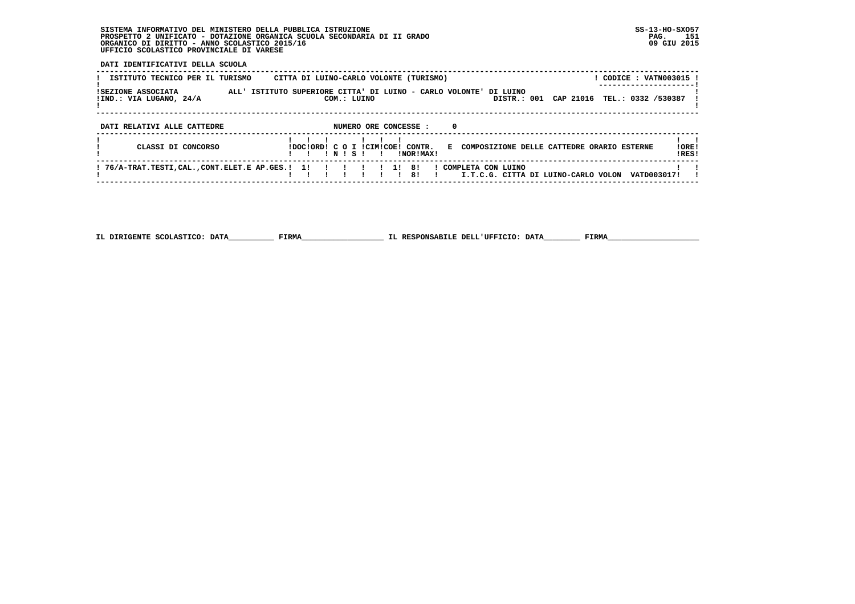### **SISTEMA INFORMATIVO DEL MINISTERO DELLA PUBBLICA ISTRUZIONE SS-13-HO-SXO57 PROSPETTO 2 UNIFICATO - DOTAZIONE ORGANICA SCUOLA SECONDARIA DI II GRADO PAG. 151 ORGANICO DI DIRITTO - ANNO SCOLASTICO 2015/16 09 GIU 2015 UFFICIO SCOLASTICO PROVINCIALE DI VARESE**

### **DATI IDENTIFICATIVI DELLA SCUOLA**

| ISTITUTO TECNICO PER IL TURISMO                                | CITTA DI LUINO-CARLO VOLONTE (TURISMO)                    | ! CODICE : VATN003015 !                                        |
|----------------------------------------------------------------|-----------------------------------------------------------|----------------------------------------------------------------|
| ISEZIONE ASSOCIATA<br>ALL' ISTITUTO<br>!IND.: VIA LUGANO, 24/A | SUPERIORE CITTA' DI LUINO - CARLO VOLONTE'<br>COM.: LUINO | DI LUINO<br>CAP 21016 TEL.: 0332 /530387<br>DISTR.: 001        |
| DATI RELATIVI ALLE CATTEDRE                                    | NUMERO ORE CONCESSE :<br>$\mathbf 0$                      |                                                                |
| CLASSI DI CONCORSO                                             | IDOCIORDI C O I ICIMICOEI CONTR.<br>INISI<br>INORIMAXI    | !ORE!<br>E COMPOSIZIONE DELLE CATTEDRE ORARIO ESTERNE<br>!RES! |
| ! 76/A-TRAT.TESTI,CAL.,CONT.ELET.E AP.GES.! 1!                 | ! 1! 8!<br>! COMPLETA CON LUINO<br>-81                    | VATD003017!<br>I.T.C.G. CITTA DI LUINO-CARLO VOLON             |

 **IL DIRIGENTE SCOLASTICO: DATA\_\_\_\_\_\_\_\_\_\_ FIRMA\_\_\_\_\_\_\_\_\_\_\_\_\_\_\_\_\_\_ IL RESPONSABILE DELL'UFFICIO: DATA\_\_\_\_\_\_\_\_ FIRMA\_\_\_\_\_\_\_\_\_\_\_\_\_\_\_\_\_\_\_\_**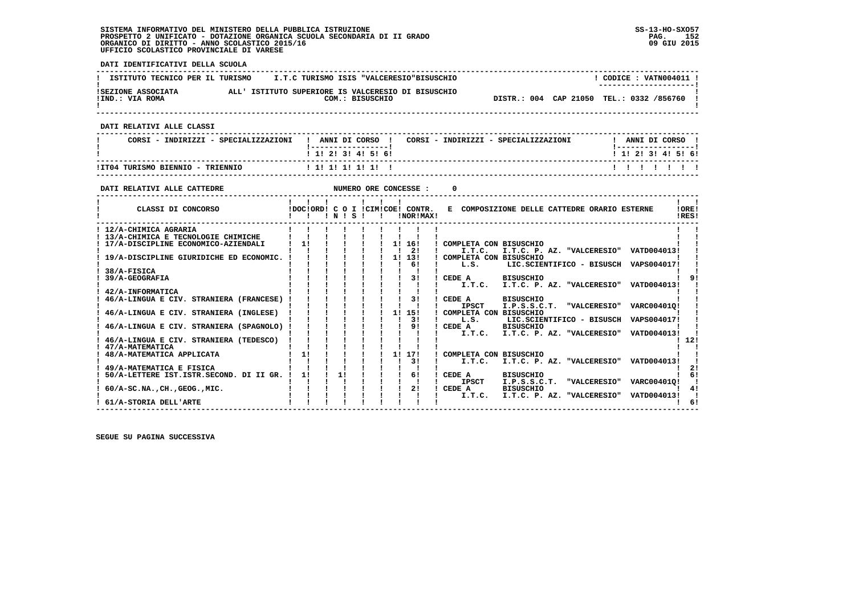#### **SISTEMA INFORMATIVO DEL MINISTERO DELLA PUBBLICA ISTRUZIONE SS-13-HO-SXO57 PROSPETTO 2 UNIFICATO - DOTAZIONE ORGANICA SCUOLA SECONDARIA DI II GRADO PAG. 152**ORGANICO DI DIRITTO - ANNO SCOLASTICO 2015/16  **UFFICIO SCOLASTICO PROVINCIALE DI VARESE**

 **DATI IDENTIFICATIVI DELLA SCUOLA ------------------------------------------------------------------------------------------------------------------------------------** $1$  CODICE : VATN004011 I **I ISTITUTO TECNICO PER IL TURISMO 1.T.C TURISMO ISIS "VALCERESIO"BISUSCHIO ! ---------------------! !SEZIONE ASSOCIATA ALL' ISTITUTO SUPERIORE IS VALCERESIO DI BISUSCHIO ! !IND.: VIA ROMA COM.: BISUSCHIO DISTR.: 004 CAP 21050 TEL.: 0332 /856760 !** $\mathbf{I}$  **! ! ------------------------------------------------------------------------------------------------------------------------------------ DATI RELATIVI ALLE CLASSI ------------------------------------------------------------------------------------------------------------------------------------**I ANNI DI CORSO I  **! CORSI - INDIRIZZI - SPECIALIZZAZIONI ! ANNI DI CORSO ! CORSI - INDIRIZZI - SPECIALIZZAZIONI ! ANNI DI CORSO !**\_\_\_\_\_\_\_\_\_\_\_\_\_\_\_\_\_\_\_\_\_  **! !-----------------! !-----------------!**1 1 1 2 1 3 1 4 1 5 1 6 1  **! ! 1! 2! 3! 4! 5! 6! ! 1! 2! 3! 4! 5! 6! ------------------------------------------------------------------------------------------------------------------------------------ !IT04 TURISMO BIENNIO - TRIENNIO ! 1! 1! 1! 1! 1! ! ! ! ! ! ! ! ! ------------------------------------------------------------------------------------------------------------------------------------DATI RELATIVI ALLE CATTEDRE NUMERO ORE CONCESSE : 0 ------------------------------------------------------------------------------------------------------------------------------------** $\mathbf{I}$   $\mathbf{I}$  **! ! ! ! ! ! ! ! !IORE! ! CLASSI DI CONCORSO !DOC!ORD! C O I !CIM!COE! CONTR. E COMPOSIZIONE DELLE CATTEDRE ORARIO ESTERNE !ORE! ! ! ! ! N ! S ! ! !NOR!MAX! !RES!**IRES!  **------------------------------------------------------------------------------------------------------------------------------------** $\mathbf{I}$  **! 12/A-CHIMICA AGRARIA ! ! ! ! ! ! ! ! ! ! ! ! 13/A-CHIMICA E TECNOLOGIE CHIMICHE ! ! ! ! ! ! ! ! ! ! ! ! 17/A-DISCIPLINE ECONOMICO-AZIENDALI ! 1! ! ! ! ! 1! 16! ! COMPLETA CON BISUSCHIO ! !** $[117] \setminus \texttt{A-DISCIPLINE GURIDICHE ED ECONOMIC.} \begin{tabular}{cccccccc} \texttt{111} & \texttt{111} & \texttt{111} & \texttt{111} & \texttt{111} & \texttt{111} & \texttt{111} & \texttt{111} & \texttt{111} & \texttt{111} & \texttt{111} & \texttt{111} & \texttt{111} & \texttt{111} & \texttt{111} & \texttt{111} & \texttt{111} & \texttt{111} & \texttt{111} & \texttt{111} &$  **! 38/A-FISICA ! ! ! ! ! ! ! ! ! ! ! ! 39/A-GEOGRAFIA ! ! ! ! ! ! ! 3! ! CEDE A BISUSCHIO ! 9! ! ! ! ! ! ! ! ! ! ! I.T.C. I.T.C. P. AZ. "VALCERESIO" VATD004013! !** $\overline{1}$  91  **! 42/A-INFORMATICA ! ! ! ! ! ! ! ! ! ! !: 46/A-LINGUA E CIV. STRANIERA (FRANCESE) !** ا 46/A-LINGUA لا تا التي العربية التي يقطع العربية التي يقوم التي تعليم التي يقوم التي التي تعليم التي يقوم ال<br>| 1950 T.P.S.S.C.T. "VALCERESIO" VARC00401Q!<br>| 46/A-LINGUA E CIV. STRANIERA (INGLESE) | 1 | 1 | 1 | 1 | 15| |  $\begin{array}{ccc} \n 1 & 1 & 1 \\
1 & 1 & 1\n \end{array}$   $\begin{array}{ccc} \n 1 & 1 & 15 \\
1 & 15 & 1\n \end{array}$  COMPLETA CON BISUSCHIO  **! ! ! ! ! ! ! ! 3! ! L.S. LIC.SCIENTIFICO - BISUSCH VAPS004017! ! ! 46/A-LINGUA E CIV. STRANIERA (SPAGNOLO) ! ! ! ! ! ! ! 9! ! CEDE A BISUSCHIO ! ! ! ! ! ! ! ! ! ! ! ! I.T.C. I.T.C. P. AZ. "VALCERESIO" VATD004013! ! ! 46/A-LINGUA E CIV. STRANIERA (TEDESCO) ! ! ! ! ! ! ! ! ! ! 12!** $1, 121$  $\mathbf{I}$   $\mathbf{I}$  **! 47/A-MATEMATICA ! ! ! ! ! ! ! ! ! ! ! ! 48/A-MATEMATICA APPLICATA ! 1! ! ! ! ! 1! 17! ! COMPLETA CON BISUSCHIO ! ! ! ! ! ! ! ! ! ! 3! ! I.T.C. I.T.C. P. AZ. "VALCERESIO" VATD004013! ! ! 49/A-MATEMATICA E FISICA ! ! ! ! ! ! ! ! ! ! 2! ! 50/A-LETTERE IST.ISTR.SECOND. DI II GR. ! 1! ! 1! ! ! ! 6! ! CEDE A BISUSCHIO ! 6! ! ! ! ! ! ! ! ! ! ! IPSCT I.P.S.S.C.T. "VALCERESIO" VARC00401Q! !**141  **! 60/A-SC.NA.,CH.,GEOG.,MIC. ! ! ! ! ! ! ! 2! ! CEDE A BISUSCHIO ! 4! ! ! ! ! ! ! ! ! ! ! I.T.C. I.T.C. P. AZ. "VALCERESIO" VATD004013! !** $\frac{1}{6}$  **! 61/A-STORIA DELL'ARTE ! ! ! ! ! ! ! ! ! ! 6! ------------------------------------------------------------------------------------------------------------------------------------**